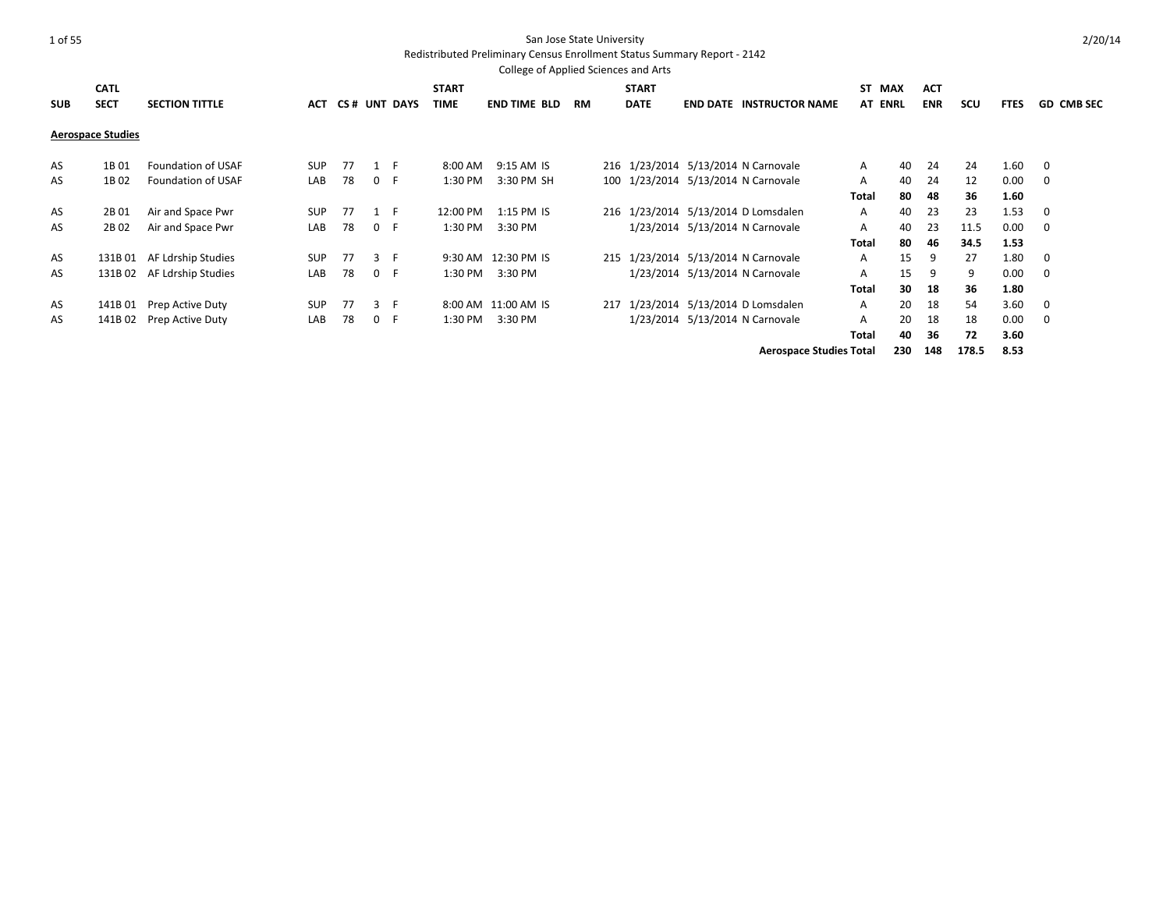Redistributed Preliminary Census Enrollment Status Summary Report - 2142

|            |                          |                       |            |    |       |              |              | College of Applied Sciences and Arts |    |              |                                     |                |    |            |      |             |                   |
|------------|--------------------------|-----------------------|------------|----|-------|--------------|--------------|--------------------------------------|----|--------------|-------------------------------------|----------------|----|------------|------|-------------|-------------------|
|            | <b>CATL</b>              |                       |            |    |       |              | <b>START</b> |                                      |    | <b>START</b> |                                     | ST MAX         |    | <b>ACT</b> |      |             |                   |
| <b>SUB</b> | <b>SECT</b>              | <b>SECTION TITTLE</b> | <b>ACT</b> |    |       | CS# UNT DAYS | <b>TIME</b>  | <b>END TIME BLD</b>                  | RM | <b>DATE</b>  | <b>END DATE INSTRUCTOR NAME</b>     | <b>AT ENRL</b> |    | <b>ENR</b> | scu  | <b>FTES</b> | <b>GD CMB SEC</b> |
|            | <b>Aerospace Studies</b> |                       |            |    |       |              |              |                                      |    |              |                                     |                |    |            |      |             |                   |
| AS         | 1B 01                    | Foundation of USAF    | <b>SUP</b> | 77 | $1$ F |              | 8:00 AM      | 9:15 AM IS                           |    |              | 216 1/23/2014 5/13/2014 N Carnovale | A              | 40 | 24         | 24   | 1.60        | $\mathbf 0$       |
| AS         | 1B02                     | Foundation of USAF    | LAB        | 78 | 0 F   |              | 1:30 PM      | 3:30 PM SH                           |    |              | 100 1/23/2014 5/13/2014 N Carnovale | Α              | 40 | 24         | 12   | 0.00        | - 0               |
|            |                          |                       |            |    |       |              |              |                                      |    |              |                                     | <b>Total</b>   | 80 | 48         | 36   | 1.60        |                   |
| AS         | 2B 01                    | Air and Space Pwr     | <b>SUP</b> | 77 | $1$ F |              | 12:00 PM     | 1:15 PM IS                           |    |              | 216 1/23/2014 5/13/2014 D Lomsdalen | A              | 40 | 23         | 23   | 1.53        | 0                 |
| AS         | 2B02                     | Air and Space Pwr     | LAB        | 78 | 0 F   |              | 1:30 PM      | 3:30 PM                              |    |              | 1/23/2014 5/13/2014 N Carnovale     | Α              | 40 | 23         | 11.5 | 0.00        | $\overline{0}$    |
|            |                          |                       |            |    |       |              |              |                                      |    |              |                                     | Total          | 80 | 46         | 34.5 | 1.53        |                   |
| AS         | 131B 01                  | AF Ldrship Studies    | <b>SUP</b> | 77 | 3 F   |              | 9:30 AM      | 12:30 PM IS                          |    |              | 215 1/23/2014 5/13/2014 N Carnovale | A              | 15 | -9         | 27   | 1.80        | $\mathbf 0$       |
| AS         | 131B 02                  | AF Ldrship Studies    | LAB        | 78 | 0 F   |              | 1:30 PM      | 3:30 PM                              |    |              | 1/23/2014 5/13/2014 N Carnovale     | A              | 15 | 9          | 9    | 0.00        | $\overline{0}$    |
|            |                          |                       |            |    |       |              |              |                                      |    |              |                                     | Total          | 30 | -18        | 36   | 1.80        |                   |
| AS         | 141B 01                  | Prep Active Duty      | <b>SUP</b> | 77 | 3 F   |              |              | 8:00 AM 11:00 AM IS                  |    |              | 217 1/23/2014 5/13/2014 D Lomsdalen | $\mathsf{A}$   | 20 | 18         | 54   | 3.60        | $\mathbf 0$       |
| AS         | 141B 02                  | Prep Active Duty      | LAB        | 78 | 0 F   |              | 1:30 PM      | 3:30 PM                              |    |              | 1/23/2014 5/13/2014 N Carnovale     | A              | 20 | 18         | 18   | 0.00        | $\overline{0}$    |
|            |                          |                       |            |    |       |              |              |                                      |    |              |                                     | <b>Total</b>   | 40 | -36        | 72   | 3.60        |                   |

**Aerospace Studies Total 230 148 178.5 8.53**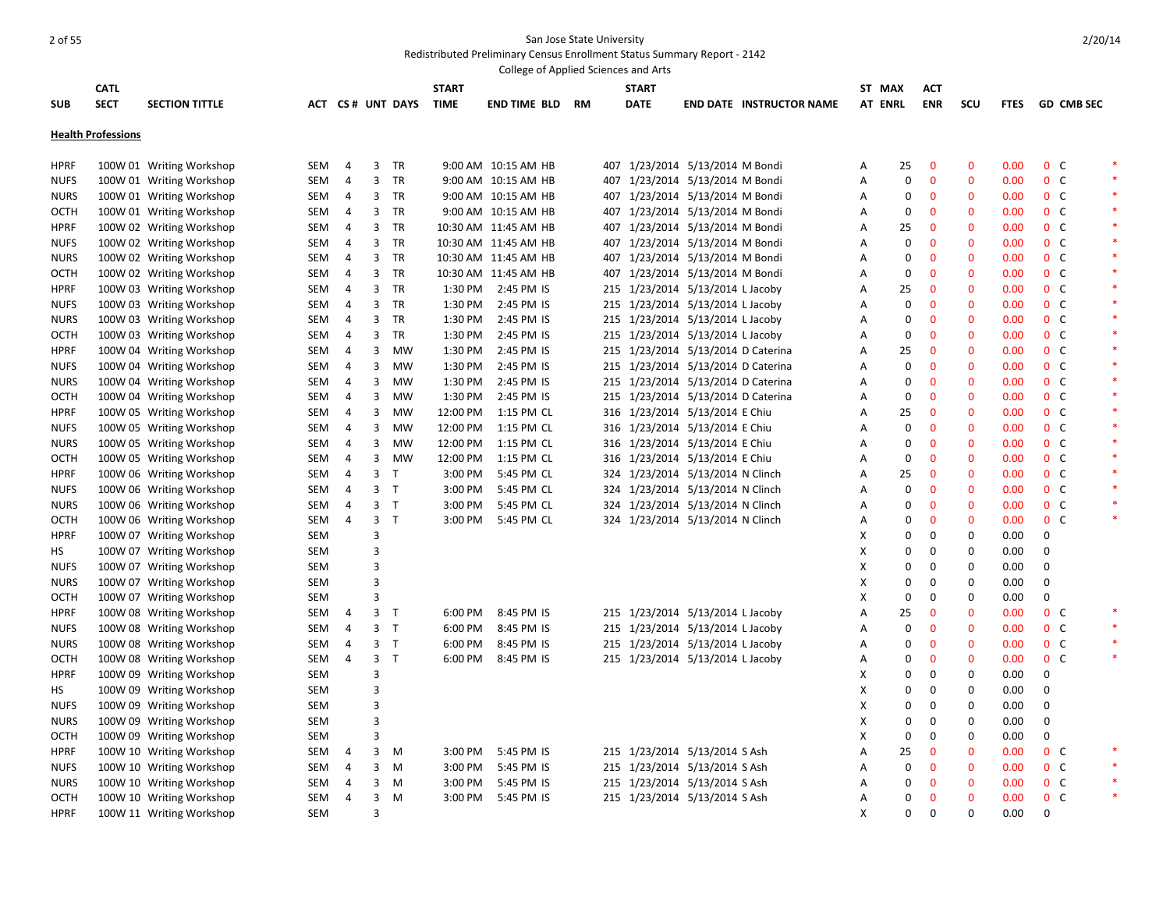|             |                           |                          |            |                |                |                  |              | College of Applied Sciences and Arts |    |              |                                    |                                 |   |                |              |              |             |                  |                   |        |
|-------------|---------------------------|--------------------------|------------|----------------|----------------|------------------|--------------|--------------------------------------|----|--------------|------------------------------------|---------------------------------|---|----------------|--------------|--------------|-------------|------------------|-------------------|--------|
|             | <b>CATL</b>               |                          |            |                |                |                  | <b>START</b> |                                      |    | <b>START</b> |                                    |                                 |   | ST MAX         | <b>ACT</b>   |              |             |                  |                   |        |
| <b>SUB</b>  | <b>SECT</b>               | <b>SECTION TITTLE</b>    |            |                |                | ACT CS# UNT DAYS | <b>TIME</b>  | END TIME BLD                         | RM | <b>DATE</b>  |                                    | <b>END DATE INSTRUCTOR NAME</b> |   | <b>AT ENRL</b> | <b>ENR</b>   | SCU          | <b>FTES</b> |                  | <b>GD CMB SEC</b> |        |
|             |                           |                          |            |                |                |                  |              |                                      |    |              |                                    |                                 |   |                |              |              |             |                  |                   |        |
|             | <b>Health Professions</b> |                          |            |                |                |                  |              |                                      |    |              |                                    |                                 |   |                |              |              |             |                  |                   |        |
|             |                           |                          |            |                |                |                  |              |                                      |    |              |                                    |                                 |   |                |              |              |             |                  |                   |        |
| <b>HPRF</b> |                           | 100W 01 Writing Workshop | SEM        | 4              | 3              | <b>TR</b>        |              | 9:00 AM 10:15 AM HB                  |    |              | 407 1/23/2014 5/13/2014 M Bondi    |                                 | A | 25             | $\mathbf 0$  | $\mathbf{0}$ | 0.00        | 0 <sup>o</sup>   |                   |        |
| <b>NUFS</b> |                           | 100W 01 Writing Workshop | SEM        | 4              | 3              | <b>TR</b>        |              | 9:00 AM 10:15 AM HB                  |    |              | 407 1/23/2014 5/13/2014 M Bondi    |                                 | Α | 0              | $\mathbf 0$  | $\mathbf 0$  | 0.00        | 0 <sup>o</sup>   |                   | $\ast$ |
| <b>NURS</b> |                           | 100W 01 Writing Workshop | SEM        | 4              |                | 3 TR             |              | 9:00 AM 10:15 AM HB                  |    |              | 407 1/23/2014 5/13/2014 M Bondi    |                                 | A | 0              | $\mathbf{0}$ | $\mathbf{0}$ | 0.00        | 0 <sup>o</sup>   |                   | $\ast$ |
| OCTH        |                           | 100W 01 Writing Workshop | SEM        | 4              |                | 3 TR             |              | 9:00 AM 10:15 AM HB                  |    |              | 407 1/23/2014 5/13/2014 M Bondi    |                                 | Α | 0              | 0            | $\mathbf 0$  | 0.00        | 0 <sup>o</sup>   |                   | $\ast$ |
| <b>HPRF</b> |                           | 100W 02 Writing Workshop | SEM        | $\overline{4}$ | 3              | <b>TR</b>        |              | 10:30 AM 11:45 AM HB                 |    |              | 407 1/23/2014 5/13/2014 M Bondi    |                                 | Α | 25             | $\mathbf 0$  | $\mathbf 0$  | 0.00        | 0 <sup>o</sup>   |                   | $\ast$ |
| <b>NUFS</b> |                           | 100W 02 Writing Workshop | SEM        | 4              |                | 3 TR             |              | 10:30 AM 11:45 AM HB                 |    |              | 407 1/23/2014 5/13/2014 M Bondi    |                                 | Α | $\mathbf 0$    | $\mathbf 0$  | $\mathbf 0$  | 0.00        | 0 <sup>o</sup>   |                   | $\ast$ |
| <b>NURS</b> |                           | 100W 02 Writing Workshop | SEM        | $\overline{4}$ | $\overline{3}$ | TR               |              | 10:30 AM 11:45 AM HB                 |    |              | 407 1/23/2014 5/13/2014 M Bondi    |                                 | Α | $\mathbf 0$    | $\mathbf{0}$ | $\mathbf{0}$ | 0.00        | 0 <sup>o</sup>   |                   | $\ast$ |
| <b>OCTH</b> |                           | 100W 02 Writing Workshop | SEM        | 4              | 3              | TR               |              | 10:30 AM 11:45 AM HB                 |    |              | 407 1/23/2014 5/13/2014 M Bondi    |                                 | Α | $\mathbf 0$    | $\mathbf 0$  | $\mathbf 0$  | 0.00        | 0 <sup>o</sup>   |                   | $\ast$ |
| <b>HPRF</b> |                           | 100W 03 Writing Workshop | SEM        | $\overline{4}$ | 3              | TR               | 1:30 PM      | 2:45 PM IS                           |    |              | 215 1/23/2014 5/13/2014 L Jacoby   |                                 | Α | 25             | $\mathbf{0}$ | $\mathbf{0}$ | 0.00        | 0 <sup>o</sup>   |                   | $\ast$ |
| <b>NUFS</b> |                           | 100W 03 Writing Workshop | SEM        | 4              | 3              | TR               | 1:30 PM      | 2:45 PM IS                           |    |              | 215 1/23/2014 5/13/2014 L Jacoby   |                                 | Α | 0              | $\mathbf 0$  | $\mathbf 0$  | 0.00        | 0 <sup>o</sup>   |                   | $\ast$ |
| <b>NURS</b> |                           | 100W 03 Writing Workshop | SEM        | $\overline{4}$ | 3              | TR               | 1:30 PM      | 2:45 PM IS                           |    |              | 215 1/23/2014 5/13/2014 L Jacoby   |                                 | Α | 0              | $\mathbf{0}$ | $\mathbf{0}$ | 0.00        | 0 <sup>o</sup>   |                   | $\ast$ |
| OCTH        |                           | 100W 03 Writing Workshop | SEM        | 4              | 3              | TR               | 1:30 PM      | 2:45 PM IS                           |    |              | 215 1/23/2014 5/13/2014 L Jacoby   |                                 | Α | 0              | $\mathbf 0$  | $\mathbf 0$  | 0.00        | 0 <sup>o</sup>   |                   | $\ast$ |
| <b>HPRF</b> |                           | 100W 04 Writing Workshop | SEM        | 4              | 3              | <b>MW</b>        | 1:30 PM      | 2:45 PM IS                           |    |              | 215 1/23/2014 5/13/2014 D Caterina |                                 | A | 25             | $\mathbf{0}$ | $\mathbf{0}$ | 0.00        | 0 <sup>o</sup>   |                   |        |
| <b>NUFS</b> |                           | 100W 04 Writing Workshop | SEM        | 4              | 3              | <b>MW</b>        | 1:30 PM      | 2:45 PM IS                           |    |              | 215 1/23/2014 5/13/2014 D Caterina |                                 | A | $\mathbf 0$    | $\mathbf{0}$ | $\mathbf{0}$ | 0.00        | 0 <sup>o</sup>   |                   | $\ast$ |
| <b>NURS</b> |                           | 100W 04 Writing Workshop | SEM        | 4              | 3              | MW               | 1:30 PM      | 2:45 PM IS                           |    |              | 215 1/23/2014 5/13/2014 D Caterina |                                 | Α | 0              | 0            | $\mathbf 0$  | 0.00        | 0 <sup>o</sup>   |                   | $\ast$ |
| <b>OCTH</b> |                           | 100W 04 Writing Workshop | SEM        | $\overline{4}$ | 3              | <b>MW</b>        | 1:30 PM      | 2:45 PM IS                           |    |              | 215 1/23/2014 5/13/2014 D Caterina |                                 | A | $\mathbf 0$    | $\mathbf{0}$ | $\mathbf 0$  | 0.00        | 0 <sup>o</sup>   |                   | $\ast$ |
| <b>HPRF</b> |                           | 100W 05 Writing Workshop | SEM        | 4              | 3              | <b>MW</b>        |              | 12:00 PM 1:15 PM CL                  |    |              | 316 1/23/2014 5/13/2014 E Chiu     |                                 | Α | 25             | $\mathbf 0$  | $\mathbf 0$  | 0.00        | 0 <sup>o</sup>   |                   | $\ast$ |
| <b>NUFS</b> |                           | 100W 05 Writing Workshop | SEM        | $\overline{4}$ | 3              | <b>MW</b>        | 12:00 PM     | 1:15 PM CL                           |    |              | 316 1/23/2014 5/13/2014 E Chiu     |                                 | A | $\Omega$       | $\mathbf{0}$ | $\mathbf 0$  | 0.00        | 0 <sup>o</sup>   |                   | $\ast$ |
| <b>NURS</b> |                           | 100W 05 Writing Workshop | SEM        | 4              | 3              | <b>MW</b>        |              | 12:00 PM 1:15 PM CL                  |    |              | 316 1/23/2014 5/13/2014 E Chiu     |                                 | Α | $\Omega$       | $\mathbf 0$  | $\mathbf 0$  | 0.00        | 0 <sup>o</sup>   |                   | $\ast$ |
| <b>OCTH</b> |                           | 100W 05 Writing Workshop | SEM        | $\overline{4}$ | 3              | <b>MW</b>        | 12:00 PM     | 1:15 PM CL                           |    |              | 316 1/23/2014 5/13/2014 E Chiu     |                                 | Α | $\mathbf 0$    | $\mathbf{0}$ | $\mathbf 0$  | 0.00        | 0 <sup>o</sup>   |                   | $\ast$ |
| <b>HPRF</b> |                           | 100W 06 Writing Workshop | SEM        | 4              | 3              | $\mathsf{T}$     | 3:00 PM      | 5:45 PM CL                           |    |              | 324 1/23/2014 5/13/2014 N Clinch   |                                 | Α | 25             | $\mathbf 0$  | $\mathbf 0$  | 0.00        | 0 <sup>o</sup>   |                   | $\ast$ |
| <b>NUFS</b> |                           | 100W 06 Writing Workshop | SEM        | $\overline{4}$ | 3 <sup>7</sup> | $\mathsf{T}$     | 3:00 PM      | 5:45 PM CL                           |    |              | 324 1/23/2014 5/13/2014 N Clinch   |                                 | Α | $\Omega$       | $\mathbf{0}$ | $\mathbf 0$  | 0.00        | 0 <sup>o</sup>   |                   | $\ast$ |
| <b>NURS</b> |                           | 100W 06 Writing Workshop | SEM        | 4              | 3 <sub>T</sub> |                  | 3:00 PM      | 5:45 PM CL                           |    |              | 324 1/23/2014 5/13/2014 N Clinch   |                                 | Α | 0              | $\mathbf 0$  | $\mathbf 0$  | 0.00        | 0 <sup>o</sup>   |                   |        |
| OCTH        |                           | 100W 06 Writing Workshop | SEM        | $\overline{4}$ | 3 <sub>T</sub> |                  | 3:00 PM      | 5:45 PM CL                           |    |              | 324 1/23/2014 5/13/2014 N Clinch   |                                 | Α | $\Omega$       | $\mathbf{0}$ | $\mathbf{0}$ | 0.00        | 0 <sup>o</sup>   |                   | $\ast$ |
| <b>HPRF</b> |                           | 100W 07 Writing Workshop | SEM        |                | 3              |                  |              |                                      |    |              |                                    |                                 | х | 0              | $\mathbf 0$  | 0            | 0.00        | $\boldsymbol{0}$ |                   |        |
| HS          |                           | 100W 07 Writing Workshop | <b>SEM</b> |                | 3              |                  |              |                                      |    |              |                                    |                                 | X | 0              | $\mathbf 0$  | $\mathbf 0$  | 0.00        | $\mathbf 0$      |                   |        |
| <b>NUFS</b> |                           | 100W 07 Writing Workshop | SEM        |                | 3              |                  |              |                                      |    |              |                                    |                                 | х | 0              | $\mathbf 0$  | $\pmb{0}$    | 0.00        | $\boldsymbol{0}$ |                   |        |
| <b>NURS</b> |                           | 100W 07 Writing Workshop | SEM        |                | 3              |                  |              |                                      |    |              |                                    |                                 | X | $\mathbf 0$    | $\mathbf{0}$ | $\mathbf 0$  | 0.00        | $\mathbf 0$      |                   |        |
| OCTH        |                           | 100W 07 Writing Workshop | SEM        |                | 3              |                  |              |                                      |    |              |                                    |                                 | X | $\mathbf 0$    | $\mathbf 0$  | $\mathbf 0$  | 0.00        | $\boldsymbol{0}$ |                   |        |
| <b>HPRF</b> |                           | 100W 08 Writing Workshop | SEM        | 4              | 3 <sub>7</sub> |                  | 6:00 PM      | 8:45 PM IS                           |    |              | 215 1/23/2014 5/13/2014 L Jacoby   |                                 | Α | 25             | $\mathbf{0}$ | $\mathbf{0}$ | 0.00        | 0 <sup>o</sup>   |                   | $\ast$ |
| <b>NUFS</b> |                           | 100W 08 Writing Workshop | SEM        | 4              | 3 <sub>T</sub> |                  | 6:00 PM      | 8:45 PM IS                           |    |              | 215 1/23/2014 5/13/2014 L Jacoby   |                                 | Α | $\mathbf 0$    | $\mathbf 0$  | $\mathbf 0$  | 0.00        | 0 <sup>o</sup>   |                   | $\ast$ |
| <b>NURS</b> |                           | 100W 08 Writing Workshop | SEM        | 4              | 3 <sub>1</sub> |                  | 6:00 PM      | 8:45 PM IS                           |    |              | 215 1/23/2014 5/13/2014 L Jacoby   |                                 | Α | $\Omega$       | $\mathbf{0}$ | $\mathbf{0}$ | 0.00        | 0 <sup>o</sup>   |                   | $\ast$ |
| <b>OCTH</b> |                           | 100W 08 Writing Workshop | SEM        | $\overline{4}$ | 3 <sup>7</sup> | $\mathsf{T}$     | 6:00 PM      | 8:45 PM IS                           |    |              | 215 1/23/2014 5/13/2014 L Jacoby   |                                 | Α | $\mathbf 0$    | $\mathbf 0$  | $\mathbf 0$  | 0.00        | 0 <sup>o</sup>   |                   | $\ast$ |
| <b>HPRF</b> |                           | 100W 09 Writing Workshop | SEM        |                | 3              |                  |              |                                      |    |              |                                    |                                 | х | $\Omega$       | $\mathbf 0$  | 0            | 0.00        | 0                |                   |        |
| HS.         |                           | 100W 09 Writing Workshop | SEM        |                | 3              |                  |              |                                      |    |              |                                    |                                 | X | 0              | $\mathbf 0$  | $\mathbf 0$  | 0.00        | 0                |                   |        |
| <b>NUFS</b> |                           | 100W 09 Writing Workshop | SEM        |                | 3              |                  |              |                                      |    |              |                                    |                                 | х | 0              | 0            | $\mathbf 0$  | 0.00        | 0                |                   |        |
| <b>NURS</b> |                           | 100W 09 Writing Workshop | SEM        |                | 3              |                  |              |                                      |    |              |                                    |                                 | X | 0              | $\mathbf 0$  | $\mathbf 0$  | 0.00        | $\boldsymbol{0}$ |                   |        |
| OCTH        |                           | 100W 09 Writing Workshop | SEM        |                | 3              |                  |              |                                      |    |              |                                    |                                 | х | $\mathbf 0$    | $\mathbf 0$  | 0            | 0.00        | $\pmb{0}$        |                   |        |
| <b>HPRF</b> |                           | 100W 10 Writing Workshop | SEM        | 4              | 3              | M                | 3:00 PM      | 5:45 PM IS                           |    |              | 215 1/23/2014 5/13/2014 S Ash      |                                 | A | 25             | $\mathbf{0}$ | $\mathbf{0}$ | 0.00        | $0\quad C$       |                   | $\ast$ |
| <b>NUFS</b> |                           | 100W 10 Writing Workshop | SEM        | 4              | 3              | M                | 3:00 PM      | 5:45 PM IS                           |    |              | 215 1/23/2014 5/13/2014 S Ash      |                                 | Α | 0              | $\mathbf 0$  | $\mathbf 0$  | 0.00        | 0 <sup>o</sup>   |                   | $\ast$ |
| <b>NURS</b> |                           | 100W 10 Writing Workshop | SEM        | 4              | 3              | M                | 3:00 PM      | 5:45 PM IS                           |    |              | 215 1/23/2014 5/13/2014 S Ash      |                                 | A | 0              | $\mathbf{0}$ | $\mathbf{0}$ | 0.00        | 0 <sup>o</sup>   |                   | $\ast$ |
| OCTH        |                           | 100W 10 Writing Workshop | SEM        | 4              | 3              | M                |              | 3:00 PM 5:45 PM IS                   |    |              | 215 1/23/2014 5/13/2014 S Ash      |                                 | Α | $\Omega$       | $\mathbf{0}$ | $\mathbf 0$  | 0.00        | 0 <sup>o</sup>   |                   | $\ast$ |
| <b>HPRF</b> |                           | 100W 11 Writing Workshop | <b>SEM</b> |                | 3              |                  |              |                                      |    |              |                                    |                                 | X | 0              | $\Omega$     | $\Omega$     | 0.00        | $\mathbf 0$      |                   |        |
|             |                           |                          |            |                |                |                  |              |                                      |    |              |                                    |                                 |   |                |              |              |             |                  |                   |        |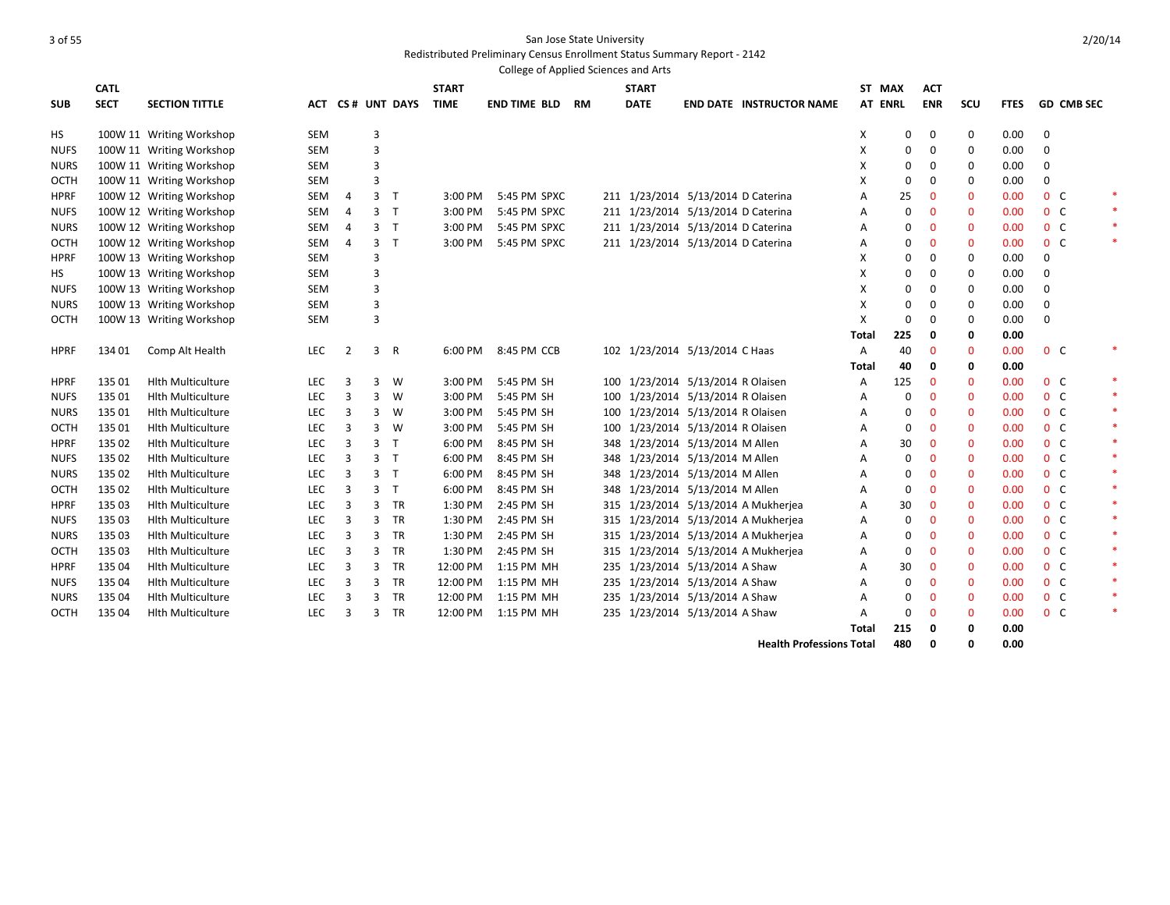Redistributed Preliminary Census Enrollment Status Summary Report - 2142

|             |             |                          |            |                |                |                  |              | College of Applied Sciences and Arts |           |     |              |                                    |                                     |       |                |              |              |             |                |                   |        |
|-------------|-------------|--------------------------|------------|----------------|----------------|------------------|--------------|--------------------------------------|-----------|-----|--------------|------------------------------------|-------------------------------------|-------|----------------|--------------|--------------|-------------|----------------|-------------------|--------|
|             | <b>CATL</b> |                          |            |                |                |                  | <b>START</b> |                                      |           |     | <b>START</b> |                                    |                                     |       | ST MAX         | <b>ACT</b>   |              |             |                |                   |        |
| <b>SUB</b>  | <b>SECT</b> | <b>SECTION TITTLE</b>    |            |                |                | ACT CS# UNT DAYS | <b>TIME</b>  | <b>END TIME BLD</b>                  | <b>RM</b> |     | <b>DATE</b>  |                                    | <b>END DATE INSTRUCTOR NAME</b>     |       | <b>AT ENRL</b> | <b>ENR</b>   | SCU          | <b>FTES</b> |                | <b>GD CMB SEC</b> |        |
| HS          |             | 100W 11 Writing Workshop | <b>SEM</b> |                | 3              |                  |              |                                      |           |     |              |                                    |                                     | х     | 0              | 0            | 0            | 0.00        | $\mathbf 0$    |                   |        |
| <b>NUFS</b> |             | 100W 11 Writing Workshop | SEM        |                | 3              |                  |              |                                      |           |     |              |                                    |                                     | х     | $\mathbf 0$    | 0            | 0            | 0.00        | 0              |                   |        |
| <b>NURS</b> |             | 100W 11 Writing Workshop | SEM        |                | 3              |                  |              |                                      |           |     |              |                                    |                                     | х     | $\mathbf 0$    | $\Omega$     | 0            | 0.00        | $\mathbf 0$    |                   |        |
| OCTH        |             | 100W 11 Writing Workshop | <b>SEM</b> |                | 3              |                  |              |                                      |           |     |              |                                    |                                     | X     | $\mathbf 0$    | $\mathbf 0$  | $\mathbf 0$  | 0.00        | $\mathbf 0$    |                   |        |
| <b>HPRF</b> |             | 100W 12 Writing Workshop | SEM        | 4              | 3              | $\top$           | $3:00$ PM    | 5:45 PM SPXC                         |           |     |              | 211 1/23/2014 5/13/2014 D Caterina |                                     | A     | 25             | $\mathbf 0$  | $\mathbf{0}$ | 0.00        |                | 0 <sup>o</sup>    |        |
| <b>NUFS</b> |             | 100W 12 Writing Workshop | SEM        | $\overline{4}$ | $\overline{3}$ | $\top$           | 3:00 PM      | 5:45 PM SPXC                         |           |     |              | 211 1/23/2014 5/13/2014 D Caterina |                                     | A     | $\mathbf 0$    | $\mathbf 0$  | $\mathbf{0}$ | 0.00        |                | 0 <sup>o</sup>    |        |
| <b>NURS</b> |             | 100W 12 Writing Workshop | SEM        | 4              | 3 <sub>T</sub> |                  | 3:00 PM      | 5:45 PM SPXC                         |           |     |              | 211 1/23/2014 5/13/2014 D Caterina |                                     | А     | 0              | $\mathbf 0$  | $\mathbf 0$  | 0.00        |                | 0 <sup>o</sup>    |        |
| OCTH        |             | 100W 12 Writing Workshop | SEM        | 4              | 3              | $\mathsf{T}$     | 3:00 PM      | 5:45 PM SPXC                         |           |     |              | 211 1/23/2014 5/13/2014 D Caterina |                                     | Α     | 0              | $\mathbf 0$  | $\mathbf 0$  | 0.00        |                | 0 <sup>o</sup>    |        |
| <b>HPRF</b> |             | 100W 13 Writing Workshop | <b>SEM</b> |                | 3              |                  |              |                                      |           |     |              |                                    |                                     | х     | 0              | 0            | 0            | 0.00        | $\Omega$       |                   |        |
| HS          |             | 100W 13 Writing Workshop | <b>SEM</b> |                | 3              |                  |              |                                      |           |     |              |                                    |                                     | X     | $\Omega$       | 0            | 0            | 0.00        | 0              |                   |        |
| <b>NUFS</b> |             | 100W 13 Writing Workshop | SEM        |                | 3              |                  |              |                                      |           |     |              |                                    |                                     | X     | 0              | $\mathbf 0$  | 0            | 0.00        | $\mathbf 0$    |                   |        |
| <b>NURS</b> |             | 100W 13 Writing Workshop | SEM        |                | 3              |                  |              |                                      |           |     |              |                                    |                                     | X     | $\Omega$       | 0            | 0            | 0.00        | $\mathbf 0$    |                   |        |
| OCTH        |             | 100W 13 Writing Workshop | SEM        |                | 3              |                  |              |                                      |           |     |              |                                    |                                     | X     | $\mathbf 0$    | 0            | 0            | 0.00        | $\mathbf 0$    |                   |        |
|             |             |                          |            |                |                |                  |              |                                      |           |     |              |                                    |                                     | Total | 225            | 0            | 0            | 0.00        |                |                   |        |
| <b>HPRF</b> | 134 01      | Comp Alt Health          | <b>LEC</b> | 2              | 3              | $\mathsf{R}$     | 6:00 PM      | 8:45 PM CCB                          |           |     |              | 102 1/23/2014 5/13/2014 C Haas     |                                     | Α     | 40             | $\mathbf{0}$ | $\mathbf{0}$ | 0.00        |                | 0 <sup>o</sup>    |        |
|             |             |                          |            |                |                |                  |              |                                      |           |     |              |                                    |                                     | Total | 40             | 0            | 0            | 0.00        |                |                   |        |
| <b>HPRF</b> | 135 01      | <b>Hith Multiculture</b> | <b>LEC</b> | 3              | 3              | W                | 3:00 PM      | 5:45 PM SH                           |           |     |              | 100 1/23/2014 5/13/2014 R Olaisen  |                                     | A     | 125            | $\mathbf 0$  | $\mathbf 0$  | 0.00        |                | 0 <sup>o</sup>    |        |
| <b>NUFS</b> | 135 01      | <b>Hith Multiculture</b> | <b>LEC</b> | 3              | 3              | W                | 3:00 PM      | 5:45 PM SH                           |           |     |              | 100 1/23/2014 5/13/2014 R Olaisen  |                                     | A     | 0              | $\mathbf 0$  | $\mathbf 0$  | 0.00        |                | 0 <sup>o</sup>    | $\ast$ |
| <b>NURS</b> | 135 01      | <b>Hith Multiculture</b> | <b>LEC</b> | 3              | 3              | W                | 3:00 PM      | 5:45 PM SH                           |           | 100 |              | 1/23/2014 5/13/2014 R Olaisen      |                                     | А     | $\Omega$       | $\mathbf 0$  | $\mathbf{0}$ | 0.00        |                | 0 <sup>o</sup>    | $\ast$ |
| OCTH        | 135 01      | <b>Hith Multiculture</b> | <b>LEC</b> | 3              | 3              | W                | 3:00 PM      | 5:45 PM SH                           |           | 100 |              | 1/23/2014 5/13/2014 R Olaisen      |                                     | А     | 0              | $\mathbf 0$  | $\mathbf{0}$ | 0.00        |                | 0 <sup>o</sup>    | $\ast$ |
| <b>HPRF</b> | 135 02      | <b>Hith Multiculture</b> | <b>LEC</b> | 3              | 3 <sub>T</sub> |                  | 6:00 PM      | 8:45 PM SH                           |           | 348 |              | 1/23/2014 5/13/2014 M Allen        |                                     | А     | 30             | $\mathbf 0$  | $\mathbf{0}$ | 0.00        |                | 0 <sup>o</sup>    | $\ast$ |
| <b>NUFS</b> | 135 02      | <b>Hith Multiculture</b> | <b>LEC</b> | 3              | 3 <sub>7</sub> |                  | 6:00 PM      | 8:45 PM SH                           |           | 348 |              | 1/23/2014 5/13/2014 M Allen        |                                     | Α     | $\mathbf 0$    | $\mathbf 0$  | $\mathbf{0}$ | 0.00        |                | 0 <sup>o</sup>    | $\ast$ |
| <b>NURS</b> | 135 02      | <b>Hlth Multiculture</b> | <b>LEC</b> | 3              | 3 <sub>7</sub> |                  | 6:00 PM      | 8:45 PM SH                           |           | 348 |              | 1/23/2014 5/13/2014 M Allen        |                                     | A     | $\mathbf 0$    | $\Omega$     | $\mathbf{0}$ | 0.00        |                | 0 <sup>o</sup>    | $\ast$ |
| OCTH        | 135 02      | <b>Hith Multiculture</b> | <b>LEC</b> | 3              |                | 3 <sub>1</sub>   | 6:00 PM      | 8:45 PM SH                           |           | 348 |              | 1/23/2014 5/13/2014 M Allen        |                                     | А     | $\mathbf 0$    | 0            | $\mathbf{0}$ | 0.00        |                | 0 <sup>o</sup>    | $\ast$ |
| <b>HPRF</b> | 135 03      | <b>Hith Multiculture</b> | <b>LEC</b> | 3              | 3              | TR               | 1:30 PM      | 2:45 PM SH                           |           |     |              |                                    | 315 1/23/2014 5/13/2014 A Mukherjea | A     | 30             | $\mathbf 0$  | $\mathbf{0}$ | 0.00        |                | 0 <sup>o</sup>    | $\ast$ |
| <b>NUFS</b> | 135 03      | <b>Hlth Multiculture</b> | <b>LEC</b> | 3              | 3              | <b>TR</b>        | 1:30 PM      | 2:45 PM SH                           |           |     |              |                                    | 315 1/23/2014 5/13/2014 A Mukherjea | A     | $\mathbf 0$    | $\Omega$     | $\mathbf{0}$ | 0.00        |                | 0 <sup>o</sup>    | $\ast$ |
| <b>NURS</b> | 135 03      | <b>Hith Multiculture</b> | <b>LEC</b> | 3              | 3              | <b>TR</b>        | 1:30 PM      | 2:45 PM SH                           |           |     |              |                                    | 315 1/23/2014 5/13/2014 A Mukherjea | Α     | 0              | 0            | $\mathbf 0$  | 0.00        |                | 0 <sup>o</sup>    | $\ast$ |
| OCTH        | 135 03      | <b>Hlth Multiculture</b> | <b>LEC</b> | 3              | 3              | <b>TR</b>        | 1:30 PM      | 2:45 PM SH                           |           |     |              |                                    | 315 1/23/2014 5/13/2014 A Mukherjea | A     | $\mathbf 0$    | $\Omega$     | $\mathbf{0}$ | 0.00        | 0 <sup>o</sup> |                   | $\ast$ |
| <b>HPRF</b> | 135 04      | <b>Hlth Multiculture</b> | <b>LEC</b> | 3              | 3              | TR               | 12:00 PM     | 1:15 PM MH                           |           |     |              | 235 1/23/2014 5/13/2014 A Shaw     |                                     | Α     | 30             | $\mathbf 0$  | $\mathbf 0$  | 0.00        |                | 0 <sup>o</sup>    |        |
| <b>NUFS</b> | 135 04      | <b>Hith Multiculture</b> | <b>LEC</b> | 3              | 3              | <b>TR</b>        | 12:00 PM     | 1:15 PM MH                           |           |     |              | 235 1/23/2014 5/13/2014 A Shaw     |                                     | A     | $\Omega$       | $\mathbf 0$  | $\mathbf 0$  | 0.00        | 0 <sup>o</sup> |                   | $\ast$ |
| <b>NURS</b> | 135 04      | <b>Hith Multiculture</b> | <b>LEC</b> | 3              | 3              | <b>TR</b>        | 12:00 PM     | 1:15 PM MH                           |           |     |              | 235 1/23/2014 5/13/2014 A Shaw     |                                     | A     | $\mathbf 0$    | $\Omega$     | $\mathbf{0}$ | 0.00        |                | 0 <sup>o</sup>    | $\ast$ |
| OCTH        | 135 04      | <b>Hith Multiculture</b> | <b>LEC</b> | 3              | 3              | <b>TR</b>        | 12:00 PM     | 1:15 PM MH                           |           |     |              | 235 1/23/2014 5/13/2014 A Shaw     |                                     | A     | 0              | $\mathbf 0$  | $\mathbf 0$  | 0.00        |                | 0 <sup>o</sup>    |        |
|             |             |                          |            |                |                |                  |              |                                      |           |     |              |                                    |                                     | Total | 215            | 0            | 0            | 0.00        |                |                   |        |
|             |             |                          |            |                |                |                  |              |                                      |           |     |              |                                    | <b>Health Professions Total</b>     |       | 480            | $\Omega$     | O            | 0.00        |                |                   |        |

2/20/14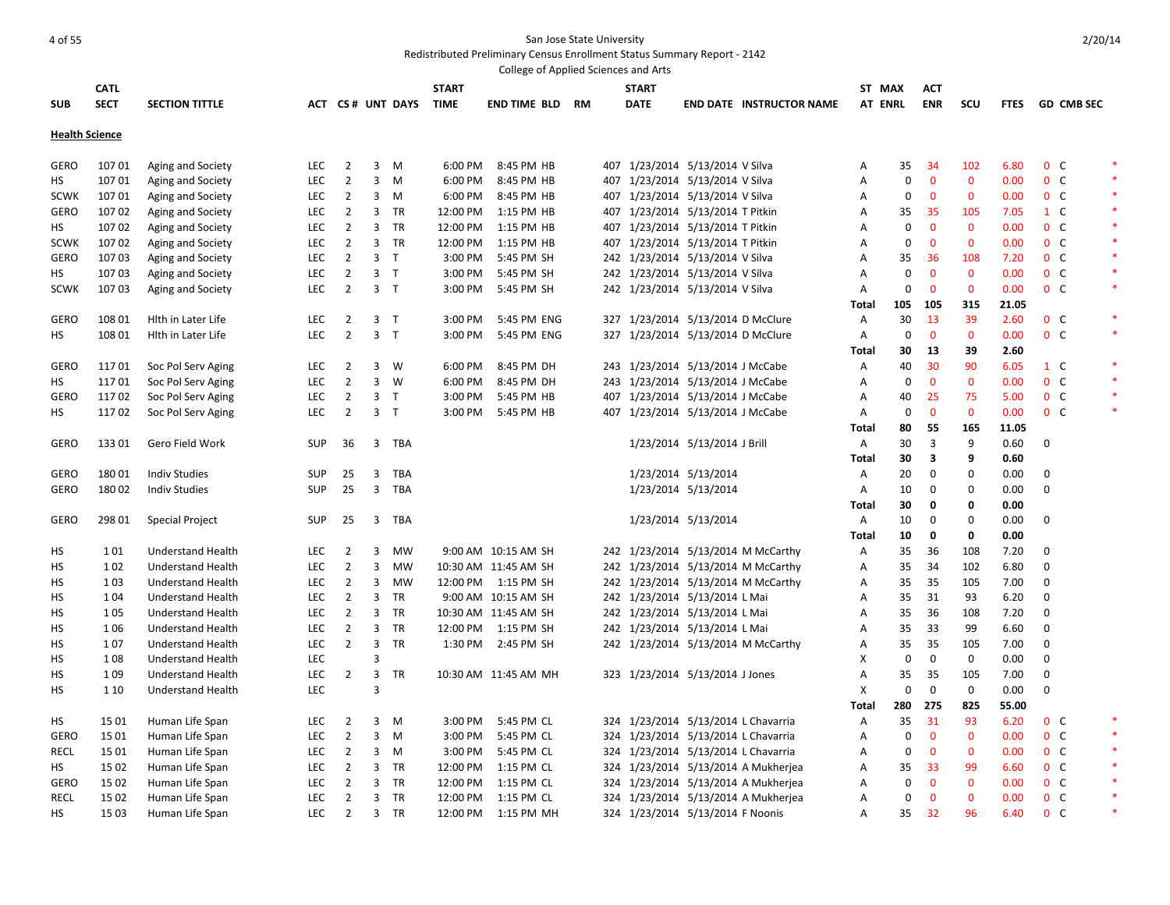Redistributed Preliminary Census Enrollment Status Summary Report - 2142

|                       |             |                          |            |                |                         |                  |              | College of Applied Sciences and Arts |    |                                   |                             |                                     |                |             |                         |              |       |                  |                 |        |
|-----------------------|-------------|--------------------------|------------|----------------|-------------------------|------------------|--------------|--------------------------------------|----|-----------------------------------|-----------------------------|-------------------------------------|----------------|-------------|-------------------------|--------------|-------|------------------|-----------------|--------|
|                       | <b>CATL</b> |                          |            |                |                         |                  | <b>START</b> |                                      |    | <b>START</b>                      |                             |                                     |                | ST MAX      | <b>ACT</b>              |              |       |                  |                 |        |
| <b>SUB</b>            | <b>SECT</b> | <b>SECTION TITTLE</b>    |            |                |                         | ACT CS# UNT DAYS | TIME         | <b>END TIME BLD</b>                  | RM | <b>DATE</b>                       |                             | <b>END DATE INSTRUCTOR NAME</b>     |                | AT ENRL     | <b>ENR</b>              | <b>SCU</b>   |       |                  | FTES GD CMB SEC |        |
| <b>Health Science</b> |             |                          |            |                |                         |                  |              |                                      |    |                                   |                             |                                     |                |             |                         |              |       |                  |                 |        |
|                       |             |                          |            |                |                         |                  |              |                                      |    |                                   |                             |                                     |                |             |                         |              |       |                  |                 |        |
| <b>GERO</b>           | 10701       | Aging and Society        | LEC.       | 2              | 3                       | M                | 6:00 PM      | 8:45 PM HB                           |    | 407 1/23/2014 5/13/2014 V Silva   |                             |                                     | A              | 35          | -34                     | 102          | 6.80  | 0 <sup>o</sup>   |                 |        |
| HS                    | 10701       | Aging and Society        | <b>LEC</b> | $\overline{2}$ | $\mathbf{3}$            | M                | 6:00 PM      | 8:45 PM HB                           |    | 407 1/23/2014 5/13/2014 V Silva   |                             |                                     | Α              | 0           | $\mathbf 0$             | $\mathbf{0}$ | 0.00  | 0 <sup>o</sup>   |                 |        |
| <b>SCWK</b>           | 10701       | Aging and Society        | <b>LEC</b> | $\overline{2}$ | $\overline{3}$          | M                | 6:00 PM      | 8:45 PM HB                           |    | 407 1/23/2014 5/13/2014 V Silva   |                             |                                     | A              | 0           | $\mathbf{0}$            | $\mathbf{0}$ | 0.00  | 0 <sup>o</sup>   |                 |        |
| GERO                  | 10702       | Aging and Society        | <b>LEC</b> | $\overline{2}$ | $\overline{\mathbf{3}}$ | <b>TR</b>        | 12:00 PM     | 1:15 PM HB                           |    | 407 1/23/2014 5/13/2014 T Pitkin  |                             |                                     | A              | 35          | 35                      | 105          | 7.05  | $1\quad C$       |                 |        |
| HS                    | 10702       | Aging and Society        | <b>LEC</b> | $\overline{2}$ | 3                       | <b>TR</b>        | 12:00 PM     | 1:15 PM HB                           |    | 407 1/23/2014 5/13/2014 T Pitkin  |                             |                                     | A              | 0           | $\mathbf{0}$            | $\mathbf{0}$ | 0.00  | $0\quad C$       |                 |        |
| <b>SCWK</b>           | 107 02      | Aging and Society        | <b>LEC</b> | $\overline{2}$ | 3                       | TR               | 12:00 PM     | 1:15 PM HB                           |    | 407 1/23/2014 5/13/2014 T Pitkin  |                             |                                     | Α              | $\pmb{0}$   | $\mathbf 0$             | $\mathbf 0$  | 0.00  | 0 <sup>o</sup>   |                 | $\ast$ |
| <b>GERO</b>           | 10703       | Aging and Society        | <b>LEC</b> | $\overline{2}$ | $\mathbf{3}$            | $\top$           | 3:00 PM      | 5:45 PM SH                           |    | 242 1/23/2014 5/13/2014 V Silva   |                             |                                     | A              | 35          | 36                      | 108          | 7.20  | 0 <sup>o</sup>   |                 |        |
| HS                    | 10703       | Aging and Society        | <b>LEC</b> | $\overline{2}$ | $\mathbf{3}$            | $\top$           | 3:00 PM      | 5:45 PM SH                           |    | 242 1/23/2014 5/13/2014 V Silva   |                             |                                     | Α              | 0           | $\mathbf 0$             | $\mathbf{0}$ | 0.00  | 0 <sup>o</sup>   |                 | $\ast$ |
| <b>SCWK</b>           | 10703       | Aging and Society        | <b>LEC</b> | $\overline{2}$ |                         | 3 <sub>T</sub>   | 3:00 PM      | 5:45 PM SH                           |    | 242 1/23/2014 5/13/2014 V Silva   |                             |                                     | Α              | 0           | $\mathbf{0}$            | $\mathbf 0$  | 0.00  | $0\quad C$       |                 | $\ast$ |
|                       |             |                          |            |                |                         |                  |              |                                      |    |                                   |                             |                                     | Total          | 105         | - 105                   | 315          | 21.05 |                  |                 |        |
| GERO                  | 108 01      | Hith in Later Life       | <b>LEC</b> | $\overline{2}$ |                         | 3 <sub>T</sub>   | 3:00 PM      | 5:45 PM ENG                          |    |                                   |                             | 327 1/23/2014 5/13/2014 D McClure   | Α              | 30          | 13                      | 39           | 2.60  | $0\quad C$       |                 |        |
| НS                    | 108 01      | Hith in Later Life       | <b>LEC</b> | $\overline{2}$ |                         | 3 <sub>T</sub>   | 3:00 PM      | 5:45 PM ENG                          |    | 327 1/23/2014 5/13/2014 D McClure |                             |                                     | A              | 0           | $\mathbf{0}$            | $\mathbf{0}$ | 0.00  | 0 <sup>o</sup>   |                 | $\ast$ |
|                       |             |                          |            |                |                         |                  |              |                                      |    |                                   |                             |                                     | <b>Total</b>   | 30          | 13                      | 39           | 2.60  |                  |                 |        |
| <b>GERO</b>           | 11701       | Soc Pol Serv Aging       | LEC.       | $\overline{2}$ | 3                       | W                | 6:00 PM      | 8:45 PM DH                           |    | 243 1/23/2014 5/13/2014 J McCabe  |                             |                                     | A              | 40          | 30                      | 90           | 6.05  | $1 \quad C$      |                 |        |
| HS                    | 11701       | Soc Pol Serv Aging       | <b>LEC</b> | $\overline{2}$ | $\mathbf{3}$            | W                | 6:00 PM      | 8:45 PM DH                           |    | 243 1/23/2014 5/13/2014 J McCabe  |                             |                                     | Α              | 0           | $\mathbf 0$             | $\mathbf{0}$ | 0.00  | $0\quad C$       |                 |        |
| <b>GERO</b>           | 11702       | Soc Pol Serv Aging       | <b>LEC</b> | $\overline{2}$ | $\overline{3}$          | $\top$           | 3:00 PM      | 5:45 PM HB                           |    | 407 1/23/2014 5/13/2014 J McCabe  |                             |                                     | $\overline{A}$ | 40          | 25                      | 75           | 5.00  | $0\quad C$       |                 |        |
| HS                    | 11702       | Soc Pol Serv Aging       | <b>LEC</b> | $\overline{2}$ |                         | 3 <sub>T</sub>   | 3:00 PM      | 5:45 PM HB                           |    | 407 1/23/2014 5/13/2014 J McCabe  |                             |                                     | Α              | 0           | $\mathbf 0$             | $\mathbf 0$  | 0.00  | 0 <sup>o</sup>   |                 |        |
|                       |             |                          |            |                |                         |                  |              |                                      |    |                                   |                             |                                     | Total          | 80          | -55                     | 165          | 11.05 |                  |                 |        |
| <b>GERO</b>           | 13301       | Gero Field Work          | <b>SUP</b> | 36             |                         | 3 TBA            |              |                                      |    |                                   | 1/23/2014 5/13/2014 J Brill |                                     | Α              | 30          | $\overline{3}$          | 9            | 0.60  | 0                |                 |        |
|                       |             |                          |            |                |                         |                  |              |                                      |    |                                   |                             |                                     | Total          | 30          | $\overline{\mathbf{3}}$ | 9            | 0.60  |                  |                 |        |
| <b>GERO</b>           | 18001       | <b>Indiv Studies</b>     | <b>SUP</b> | 25             | 3                       | TBA              |              |                                      |    |                                   | 1/23/2014 5/13/2014         |                                     | Α              | 20          | 0                       | 0            | 0.00  | 0                |                 |        |
| GERO                  | 18002       | <b>Indiv Studies</b>     | <b>SUP</b> | 25             | $\overline{3}$          | TBA              |              |                                      |    |                                   | 1/23/2014 5/13/2014         |                                     | Α              | 10          | $\mathbf 0$             | 0            | 0.00  | 0                |                 |        |
|                       |             |                          |            |                |                         |                  |              |                                      |    |                                   |                             |                                     | Total          | 30          | $\mathbf 0$             | $\mathbf 0$  | 0.00  |                  |                 |        |
| <b>GERO</b>           | 298 01      | <b>Special Project</b>   | <b>SUP</b> | 25             | $\overline{3}$          | TBA              |              |                                      |    |                                   | 1/23/2014 5/13/2014         |                                     | Α              | 10          | $\mathbf 0$             | 0            | 0.00  | $\mathbf 0$      |                 |        |
|                       |             |                          |            |                |                         |                  |              |                                      |    |                                   |                             |                                     | Total          | 10          | $\mathbf 0$             | $\mathbf 0$  | 0.00  |                  |                 |        |
| HS                    | 101         | <b>Understand Health</b> | <b>LEC</b> | 2              | 3                       | MW               |              | 9:00 AM 10:15 AM SH                  |    |                                   |                             | 242 1/23/2014 5/13/2014 M McCarthy  | Α              | 35          | 36                      | 108          | 7.20  | $\mathbf 0$      |                 |        |
| HS                    | 102         | <b>Understand Health</b> | <b>LEC</b> | $\overline{2}$ | 3                       | <b>MW</b>        |              | 10:30 AM 11:45 AM SH                 |    |                                   |                             | 242 1/23/2014 5/13/2014 M McCarthy  | Α              | 35          | 34                      | 102          | 6.80  | $\Omega$         |                 |        |
| НS                    | 103         | <b>Understand Health</b> | <b>LEC</b> | $\overline{2}$ | 3                       | MW               |              | 12:00 PM 1:15 PM SH                  |    |                                   |                             | 242 1/23/2014 5/13/2014 M McCarthy  | Α              | 35          | 35                      | 105          | 7.00  | $\mathbf 0$      |                 |        |
| HS                    | 104         | <b>Understand Health</b> | <b>LEC</b> | $\overline{2}$ | 3                       | <b>TR</b>        |              | 9:00 AM 10:15 AM SH                  |    | 242 1/23/2014 5/13/2014 L Mai     |                             |                                     | Α              | 35          | 31                      | 93           | 6.20  | $\mathbf 0$      |                 |        |
| нs                    | 105         | <b>Understand Health</b> | <b>LEC</b> | $\overline{2}$ | 3                       | TR               |              | 10:30 AM 11:45 AM SH                 |    | 242 1/23/2014 5/13/2014 L Mai     |                             |                                     | Α              | 35          | 36                      | 108          | 7.20  | $\Omega$         |                 |        |
| HS                    | 106         | <b>Understand Health</b> | <b>LEC</b> | $\overline{2}$ | 3                       | TR               |              | 12:00 PM 1:15 PM SH                  |    | 242 1/23/2014 5/13/2014 L Mai     |                             |                                     | Α              | 35          | 33                      | 99           | 6.60  | 0                |                 |        |
| НS                    | 107         | <b>Understand Health</b> | <b>LEC</b> | $\overline{2}$ | 3                       | TR               |              | 1:30 PM 2:45 PM SH                   |    |                                   |                             | 242 1/23/2014 5/13/2014 M McCarthy  | Α              | 35          | -35                     | 105          | 7.00  | $\Omega$         |                 |        |
| HS                    | 108         | <b>Understand Health</b> | LEC        |                | 3                       |                  |              |                                      |    |                                   |                             |                                     | x              | 0           | $\mathbf 0$             | $\mathbf 0$  | 0.00  | $\mathbf 0$      |                 |        |
| нs                    | 109         | <b>Understand Health</b> | LEC        | $\overline{2}$ | 3                       | <b>TR</b>        |              | 10:30 AM 11:45 AM MH                 |    | 323 1/23/2014 5/13/2014 J Jones   |                             |                                     | A              | 35          | 35                      | 105          | 7.00  | $\Omega$         |                 |        |
| HS.                   | 1 1 0       | <b>Understand Health</b> | LEC        |                | 3                       |                  |              |                                      |    |                                   |                             |                                     | X              | 0           | $\mathbf{0}$            | $\mathbf 0$  | 0.00  | $\boldsymbol{0}$ |                 |        |
|                       |             |                          |            |                |                         |                  |              |                                      |    |                                   |                             |                                     | Total          | 280         | 275                     | 825          | 55.00 |                  |                 |        |
| HS                    | 15 01       | Human Life Span          | <b>LEC</b> | 2              | 3                       | M                | 3:00 PM      | 5:45 PM CL                           |    |                                   |                             | 324 1/23/2014 5/13/2014 L Chavarria | A              | 35          | 31                      | 93           | 6.20  | 0 <sup>o</sup>   |                 |        |
| GERO                  | 15 01       | Human Life Span          | <b>LEC</b> | $\overline{2}$ | $\mathbf{3}$            | M                | 3:00 PM      | 5:45 PM CL                           |    |                                   |                             | 324 1/23/2014 5/13/2014 L Chavarria | A              | 0           | $\mathbf{0}$            | $\mathbf{0}$ | 0.00  | $0\quad C$       |                 |        |
| RECL                  | 15 01       | Human Life Span          | <b>LEC</b> | $\overline{2}$ | 3                       | M                | 3:00 PM      | 5:45 PM CL                           |    |                                   |                             | 324 1/23/2014 5/13/2014 L Chavarria | A              | 0           | $\mathbf 0$             | 0            | 0.00  | 0 <sup>o</sup>   |                 | $\ast$ |
| HS                    | 15 02       | Human Life Span          | <b>LEC</b> | $\overline{2}$ | $\overline{3}$          | TR               | 12:00 PM     | 1:15 PM CL                           |    |                                   |                             | 324 1/23/2014 5/13/2014 A Mukherjea | Α              | 35          | 33                      | 99           | 6.60  | $0\quad C$       |                 | $\ast$ |
| <b>GERO</b>           | 15 02       | Human Life Span          | <b>LEC</b> | 2              | 3                       | TR               | 12:00 PM     | 1:15 PM CL                           |    |                                   |                             | 324 1/23/2014 5/13/2014 A Mukherjea | Α              | 0           | $\mathbf 0$             | 0            | 0.00  | $0\quad C$       |                 |        |
| <b>RECL</b>           | 15 02       | Human Life Span          | <b>LEC</b> | $\overline{2}$ |                         | 3 TR             |              | 12:00 PM 1:15 PM CL                  |    |                                   |                             | 324 1/23/2014 5/13/2014 A Mukherjea | Α              | $\mathbf 0$ | $\mathbf 0$             | $\mathbf{0}$ | 0.00  | 0 <sup>o</sup>   |                 |        |
| HS.                   | 15 03       | Human Life Span          | <b>LEC</b> | $\overline{2}$ | 3                       | <b>TR</b>        |              | 12:00 PM 1:15 PM MH                  |    | 324 1/23/2014 5/13/2014 F Noonis  |                             |                                     | Α              | 35          | -32                     | 96           | 6.40  | 0 <sup>o</sup>   |                 |        |

2/20/14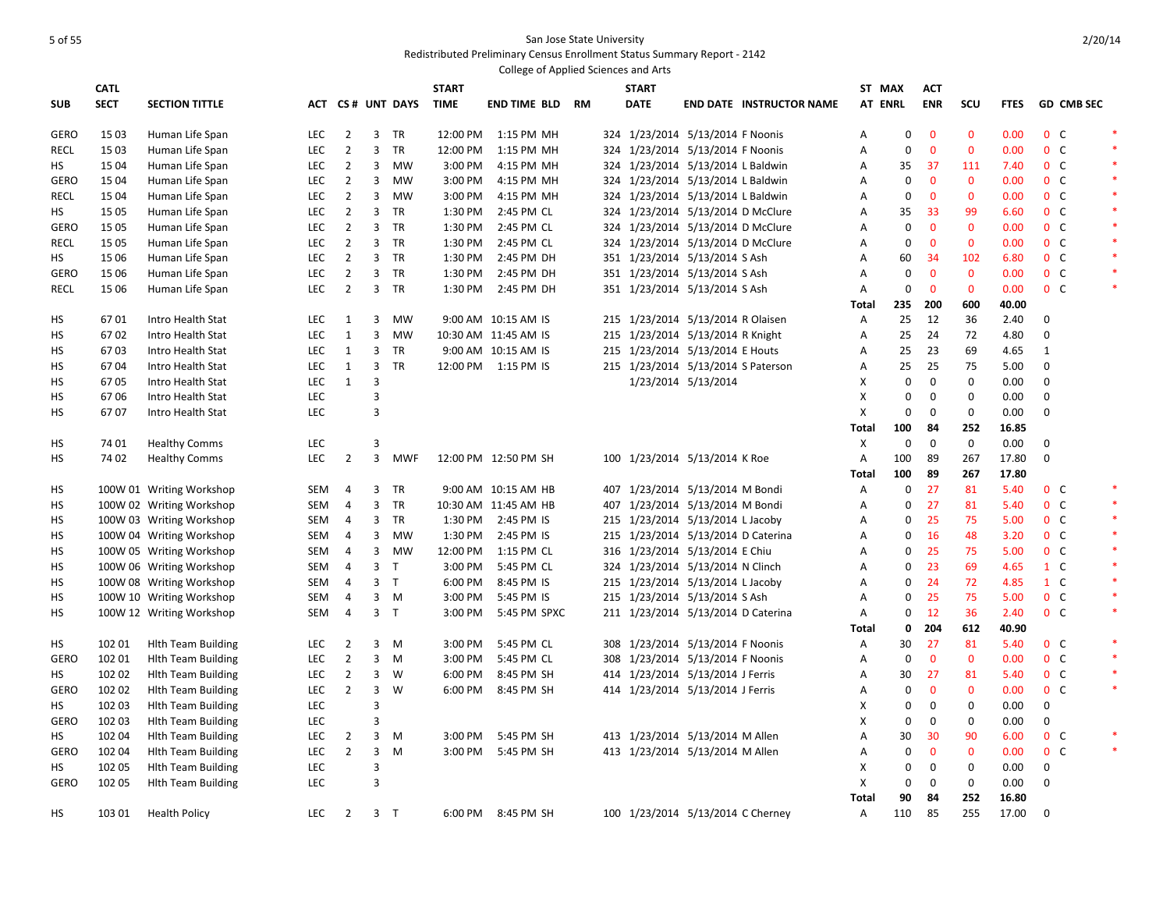|             |             |                           |            |                |                                |                     |                    | College of Applied Sciences and Arts |  |                                                                      |                     |                                   |                   |                  |                |                  |              |                                  |                   |        |
|-------------|-------------|---------------------------|------------|----------------|--------------------------------|---------------------|--------------------|--------------------------------------|--|----------------------------------------------------------------------|---------------------|-----------------------------------|-------------------|------------------|----------------|------------------|--------------|----------------------------------|-------------------|--------|
|             | <b>CATL</b> |                           |            |                |                                |                     | <b>START</b>       |                                      |  | <b>START</b>                                                         |                     |                                   |                   | ST MAX           | <b>ACT</b>     |                  |              |                                  |                   |        |
| <b>SUB</b>  | <b>SECT</b> | <b>SECTION TITTLE</b>     |            |                |                                | ACT CS# UNT DAYS    | <b>TIME</b>        | <b>END TIME BLD RM</b>               |  | <b>DATE</b>                                                          |                     | <b>END DATE INSTRUCTOR NAME</b>   |                   | <b>AT ENRL</b>   | <b>ENR</b>     | SCU              | <b>FTES</b>  |                                  | <b>GD CMB SEC</b> |        |
| <b>GERO</b> | 15 03       | Human Life Span           | <b>LEC</b> | $\overline{2}$ | 3                              | TR                  | 12:00 PM           | 1:15 PM MH                           |  | 324 1/23/2014 5/13/2014 F Noonis                                     |                     |                                   | Α                 | 0                | $\overline{0}$ | $\mathbf{0}$     | 0.00         | 0 <sup>o</sup>                   |                   | $\ast$ |
| <b>RECL</b> | 1503        | Human Life Span           | <b>LEC</b> | $\overline{2}$ | $\overline{3}$                 | <b>TR</b>           | 12:00 PM           | 1:15 PM MH                           |  | 324 1/23/2014 5/13/2014 F Noonis                                     |                     |                                   | A                 | $\Omega$         | $\overline{0}$ | $\mathbf{0}$     | 0.00         | 0 <sup>o</sup>                   |                   |        |
| HS          | 15 04       | Human Life Span           | <b>LEC</b> | $\overline{2}$ | 3                              | <b>MW</b>           | 3:00 PM            | 4:15 PM MH                           |  | 324 1/23/2014 5/13/2014 L Baldwin                                    |                     |                                   | $\overline{A}$    | 35               | -37            | 111              | 7.40         | 0 <sup>o</sup>                   |                   | $\ast$ |
| <b>GERO</b> | 1504        | Human Life Span           | <b>LEC</b> | $\overline{2}$ | $\mathbf{3}$                   | MW                  | 3:00 PM            | 4:15 PM MH                           |  | 324 1/23/2014 5/13/2014 L Baldwin                                    |                     |                                   | A                 | $\mathbf 0$      | $\mathbf{0}$   | $\mathbf{0}$     | 0.00         | 0 <sup>o</sup>                   |                   | $\ast$ |
| RECL        | 15 04       | Human Life Span           | <b>LEC</b> | $\overline{2}$ | 3                              | <b>MW</b>           | 3:00 PM            | 4:15 PM MH                           |  | 324 1/23/2014 5/13/2014 L Baldwin                                    |                     |                                   | A                 | 0                | $\mathbf 0$    | $\mathbf{0}$     | 0.00         | 0 <sup>o</sup>                   |                   | $\ast$ |
| HS          | 15 05       | Human Life Span           | <b>LEC</b> | $\overline{2}$ | 3                              | TR                  | 1:30 PM            | 2:45 PM CL                           |  | 324 1/23/2014 5/13/2014 D McClure                                    |                     |                                   | A                 | 35               | 33             | 99               | 6.60         | 0 <sup>o</sup>                   |                   | $\ast$ |
| <b>GERO</b> | 15 05       | Human Life Span           | <b>LEC</b> | $\overline{2}$ | 3                              | TR                  | 1:30 PM            | 2:45 PM CL                           |  | 324 1/23/2014 5/13/2014 D McClure                                    |                     |                                   | Α                 | 0                | $\mathbf 0$    | $\mathbf{0}$     | 0.00         | 0 <sup>o</sup>                   |                   | $\ast$ |
| <b>RECL</b> | 15 05       | Human Life Span           | <b>LEC</b> | $\overline{2}$ |                                | 3 TR                | 1:30 PM            | 2:45 PM CL                           |  |                                                                      |                     | 324 1/23/2014 5/13/2014 D McClure | A                 | 0                | $\mathbf 0$    | $\mathbf{0}$     | 0.00         | 0 <sup>o</sup>                   |                   | $\ast$ |
| HS          | 15 06       | Human Life Span           | <b>LEC</b> | $\overline{2}$ |                                | 3 TR                | 1:30 PM            | 2:45 PM DH                           |  | 351 1/23/2014 5/13/2014 S Ash                                        |                     |                                   | A                 | 60               | -34            | 102              | 6.80         | 0 <sup>o</sup>                   |                   | $\ast$ |
| <b>GERO</b> | 15 06       | Human Life Span           | <b>LEC</b> | $\overline{2}$ |                                | 3 TR                | 1:30 PM            | 2:45 PM DH                           |  | 351 1/23/2014 5/13/2014 S Ash                                        |                     |                                   | A                 | 0                | $\mathbf 0$    | $\mathbf{0}$     | 0.00         | 0 <sup>o</sup>                   |                   | $\ast$ |
| <b>RECL</b> | 15 06       | Human Life Span           | <b>LEC</b> | $\overline{2}$ |                                | 3 TR                | 1:30 PM            | 2:45 PM DH                           |  | 351 1/23/2014 5/13/2014 S Ash                                        |                     |                                   | A                 | $\mathbf 0$      | $\overline{0}$ | $\mathbf{0}$     | 0.00         | 0 <sup>o</sup>                   |                   | $\ast$ |
|             |             |                           |            |                |                                |                     |                    |                                      |  |                                                                      |                     |                                   | Total             | 235              | 200            | 600              | 40.00        |                                  |                   |        |
| HS          | 6701        | Intro Health Stat         | <b>LEC</b> | 1              | 3                              | <b>MW</b>           |                    | 9:00 AM 10:15 AM IS                  |  | 215 1/23/2014 5/13/2014 R Olaisen                                    |                     |                                   | $\overline{A}$    | 25               | 12             | 36               | 2.40         | $\mathbf 0$                      |                   |        |
| НS          | 6702        | Intro Health Stat         | <b>LEC</b> | $\mathbf{1}$   | 3                              | <b>MW</b>           |                    | 10:30 AM 11:45 AM IS                 |  | 215 1/23/2014 5/13/2014 R Knight                                     |                     |                                   | A                 | 25               | 24             | 72               | 4.80         | 0                                |                   |        |
| HS          | 6703        | Intro Health Stat         | <b>LEC</b> | $\mathbf{1}$   | 3                              | <b>TR</b>           |                    | 9:00 AM 10:15 AM IS                  |  | 215 1/23/2014 5/13/2014 E Houts                                      |                     |                                   | A                 | 25               | 23             | 69               | 4.65         | $\mathbf{1}$                     |                   |        |
| HS          | 6704        | Intro Health Stat         | <b>LEC</b> | $\mathbf{1}$   | 3                              | TR                  |                    | 12:00 PM 1:15 PM IS                  |  | 215 1/23/2014 5/13/2014 S Paterson                                   |                     |                                   | Α                 | 25               | 25             | 75               | 5.00         | $\mathbf 0$                      |                   |        |
| HS          | 6705        | Intro Health Stat         | <b>LEC</b> | $\mathbf{1}$   | 3                              |                     |                    |                                      |  |                                                                      | 1/23/2014 5/13/2014 |                                   | Χ                 | 0                | $\mathbf 0$    | $\mathbf 0$      | 0.00         | $\mathbf 0$                      |                   |        |
| HS          | 6706        | Intro Health Stat         | <b>LEC</b> |                | 3                              |                     |                    |                                      |  |                                                                      |                     |                                   | X                 | $\boldsymbol{0}$ | $\mathbf 0$    | $\boldsymbol{0}$ | 0.00         | 0                                |                   |        |
| НS          | 6707        | Intro Health Stat         | <b>LEC</b> |                | 3                              |                     |                    |                                      |  |                                                                      |                     |                                   | Χ                 | $\boldsymbol{0}$ | $\mathbf 0$    | 0                | 0.00         | $\mathbf 0$                      |                   |        |
|             |             |                           |            |                |                                |                     |                    |                                      |  |                                                                      |                     |                                   | Total             | 100              | 84             | 252              | 16.85        |                                  |                   |        |
| HS          | 74 01       | <b>Healthy Comms</b>      | <b>LEC</b> |                | 3                              |                     |                    |                                      |  |                                                                      |                     |                                   | Χ                 | $\mathbf 0$      | $\mathbf 0$    | $\mathbf 0$      | 0.00         | $\mathbf 0$                      |                   |        |
| HS          | 74 02       | <b>Healthy Comms</b>      | <b>LEC</b> | $\overline{2}$ | $\overline{3}$                 | <b>MWF</b>          |                    | 12:00 PM 12:50 PM SH                 |  | 100 1/23/2014 5/13/2014 K Roe                                        |                     |                                   | $\mathsf{A}$      | 100              | 89             | 267              | 17.80        | $\mathbf 0$                      |                   |        |
|             |             |                           |            |                |                                |                     |                    |                                      |  |                                                                      |                     |                                   | Total             | 100              | 89             | 267              | 17.80        |                                  |                   |        |
| HS          |             | 100W 01 Writing Workshop  | SEM        | $\overline{4}$ | 3                              | <b>TR</b>           |                    | 9:00 AM 10:15 AM HB                  |  | 407 1/23/2014 5/13/2014 M Bondi                                      |                     |                                   | $\mathsf{A}$      | $\Omega$         | 27             | 81               | 5.40         | 0 <sup>o</sup>                   |                   | $\ast$ |
| НS          |             | 100W 02 Writing Workshop  | SEM        | 4              | 3                              | TR                  |                    | 10:30 AM 11:45 AM HB                 |  | 407 1/23/2014 5/13/2014 M Bondi                                      |                     |                                   | Α                 | 0                | 27             | 81               | 5.40         | 0 <sup>o</sup>                   |                   | $\ast$ |
| HS          |             | 100W 03 Writing Workshop  | SEM        | $\overline{4}$ | 3                              | TR                  | 1:30 PM            | 2:45 PM IS                           |  | 215 1/23/2014 5/13/2014 L Jacoby                                     |                     |                                   | A                 | $\mathbf 0$      | 25             | 75               | 5.00         | 0 <sup>o</sup>                   |                   | $\ast$ |
| HS          |             | 100W 04 Writing Workshop  | SEM        | $\overline{4}$ |                                | 3 MW                | 1:30 PM            | 2:45 PM IS                           |  | 215 1/23/2014 5/13/2014 D Caterina                                   |                     |                                   | Α                 | $\mathbf 0$      | 16             | 48               | 3.20         | 0 <sup>o</sup>                   |                   | $\ast$ |
| HS          |             | 100W 05 Writing Workshop  | SEM        | $\overline{4}$ | 3                              | MW                  | 12:00 PM           | 1:15 PM CL                           |  | 316 1/23/2014 5/13/2014 E Chiu                                       |                     |                                   | A                 | 0                | 25             | 75               | 5.00         | 0 <sup>o</sup>                   |                   | $\ast$ |
| HS          |             | 100W 06 Writing Workshop  | SEM        | $\overline{4}$ | 3 <sub>T</sub>                 |                     | 3:00 PM            | 5:45 PM CL                           |  | 324 1/23/2014 5/13/2014 N Clinch                                     |                     |                                   | A                 | $\mathbf 0$      | 23             | 69               | 4.65         | $1\,c$                           |                   | *      |
| HS          |             | 100W 08 Writing Workshop  | SEM        | 4              | 3 <sub>T</sub><br>$\mathbf{3}$ |                     | 6:00 PM            | 8:45 PM IS                           |  | 215 1/23/2014 5/13/2014 L Jacoby                                     |                     |                                   | A                 | 0<br>0           | 24<br>25       | 72<br>75         | 4.85         | 1 C                              |                   | $\ast$ |
| HS          |             | 100W 10 Writing Workshop  | SEM        | 4              |                                | M<br>3 <sub>T</sub> | 3:00 PM<br>3:00 PM | 5:45 PM IS                           |  | 215 1/23/2014 5/13/2014 S Ash                                        |                     |                                   | A                 | 0                | 12             | 36               | 5.00<br>2.40 | 0 <sup>o</sup><br>0 <sup>o</sup> |                   | $\ast$ |
| HS          |             | 100W 12 Writing Workshop  | SEM        | 4              |                                |                     |                    | 5:45 PM SPXC                         |  | 211 1/23/2014 5/13/2014 D Caterina                                   |                     |                                   | A<br><b>Total</b> | 0                | 204            | 612              | 40.90        |                                  |                   |        |
| HS          | 10201       | <b>Hith Team Building</b> | <b>LEC</b> | $\overline{2}$ | 3                              | M                   | 3:00 PM            | 5:45 PM CL                           |  | 308 1/23/2014 5/13/2014 F Noonis                                     |                     |                                   | $\mathsf{A}$      | 30               | 27             | 81               | 5.40         | 0 <sup>o</sup>                   |                   | $\ast$ |
| <b>GERO</b> | 102 01      | <b>Hith Team Building</b> | <b>LEC</b> | $\overline{2}$ | 3                              | M                   | 3:00 PM            | 5:45 PM CL                           |  | 308 1/23/2014 5/13/2014 F Noonis                                     |                     |                                   | A                 | 0                | $\mathbf 0$    | $\mathbf 0$      | 0.00         | 0 <sup>o</sup>                   |                   | $\ast$ |
| HS          | 102 02      | <b>Hith Team Building</b> | <b>LEC</b> | $\overline{2}$ | 3                              | W                   | 6:00 PM            | 8:45 PM SH                           |  |                                                                      |                     |                                   | Α                 | 30               | 27             | 81               | 5.40         | 0 <sup>o</sup>                   |                   | $\ast$ |
| <b>GERO</b> | 102 02      | <b>Hith Team Building</b> | <b>LEC</b> | $\overline{2}$ | 3                              | W                   | 6:00 PM            | 8:45 PM SH                           |  | 414 1/23/2014 5/13/2014 J Ferris<br>414 1/23/2014 5/13/2014 J Ferris |                     |                                   | Α                 | $\mathbf 0$      | $\mathbf 0$    | $\mathbf 0$      | 0.00         | 0 <sup>o</sup>                   |                   | $\ast$ |
| HS          | 102 03      | <b>Hith Team Building</b> | LEC        |                | 3                              |                     |                    |                                      |  |                                                                      |                     |                                   | X                 | 0                | $\mathbf 0$    | 0                | 0.00         | $\mathbf 0$                      |                   |        |
| <b>GERO</b> | 102 03      | <b>Hith Team Building</b> | <b>LEC</b> |                | 3                              |                     |                    |                                      |  |                                                                      |                     |                                   | X                 | 0                | $\mathbf 0$    | 0                | 0.00         | 0                                |                   |        |
| HS          | 102 04      | <b>Hith Team Building</b> | <b>LEC</b> | $\overline{2}$ | 3                              | M                   | 3:00 PM            | 5:45 PM SH                           |  | 413 1/23/2014 5/13/2014 M Allen                                      |                     |                                   | Α                 | 30               | 30             | 90               | 6.00         | 0 <sup>o</sup>                   |                   |        |
| GERO        | 102 04      | <b>Hith Team Building</b> | <b>LEC</b> | $\overline{2}$ | 3                              | M                   | 3:00 PM            | 5:45 PM SH                           |  | 413 1/23/2014 5/13/2014 M Allen                                      |                     |                                   | Α                 | 0                | $\mathbf 0$    | $\mathbf 0$      | 0.00         | 0 <sup>o</sup>                   |                   | $\ast$ |
| HS          | 102 05      | <b>Hith Team Building</b> | <b>LEC</b> |                | 3                              |                     |                    |                                      |  |                                                                      |                     |                                   | Χ                 | 0                | $\mathbf 0$    | $\mathbf 0$      | 0.00         | $\mathbf 0$                      |                   |        |
| <b>GERO</b> | 102 05      | <b>Hith Team Building</b> | <b>LEC</b> |                | $\overline{3}$                 |                     |                    |                                      |  |                                                                      |                     |                                   | X                 | $\mathbf 0$      | $\mathbf 0$    | $\mathbf 0$      | 0.00         | 0                                |                   |        |
|             |             |                           |            |                |                                |                     |                    |                                      |  |                                                                      |                     |                                   | <b>Total</b>      | 90               | 84             | 252              | 16.80        |                                  |                   |        |
| HS          | 103 01      | <b>Health Policy</b>      | <b>LEC</b> | $\overline{2}$ | 3 <sub>1</sub>                 |                     | 6:00 PM            | 8:45 PM SH                           |  | 100 1/23/2014 5/13/2014 C Cherney                                    |                     |                                   | $\overline{A}$    | 110              | 85             | 255              | 17.00        | $\mathbf{0}$                     |                   |        |
|             |             |                           |            |                |                                |                     |                    |                                      |  |                                                                      |                     |                                   |                   |                  |                |                  |              |                                  |                   |        |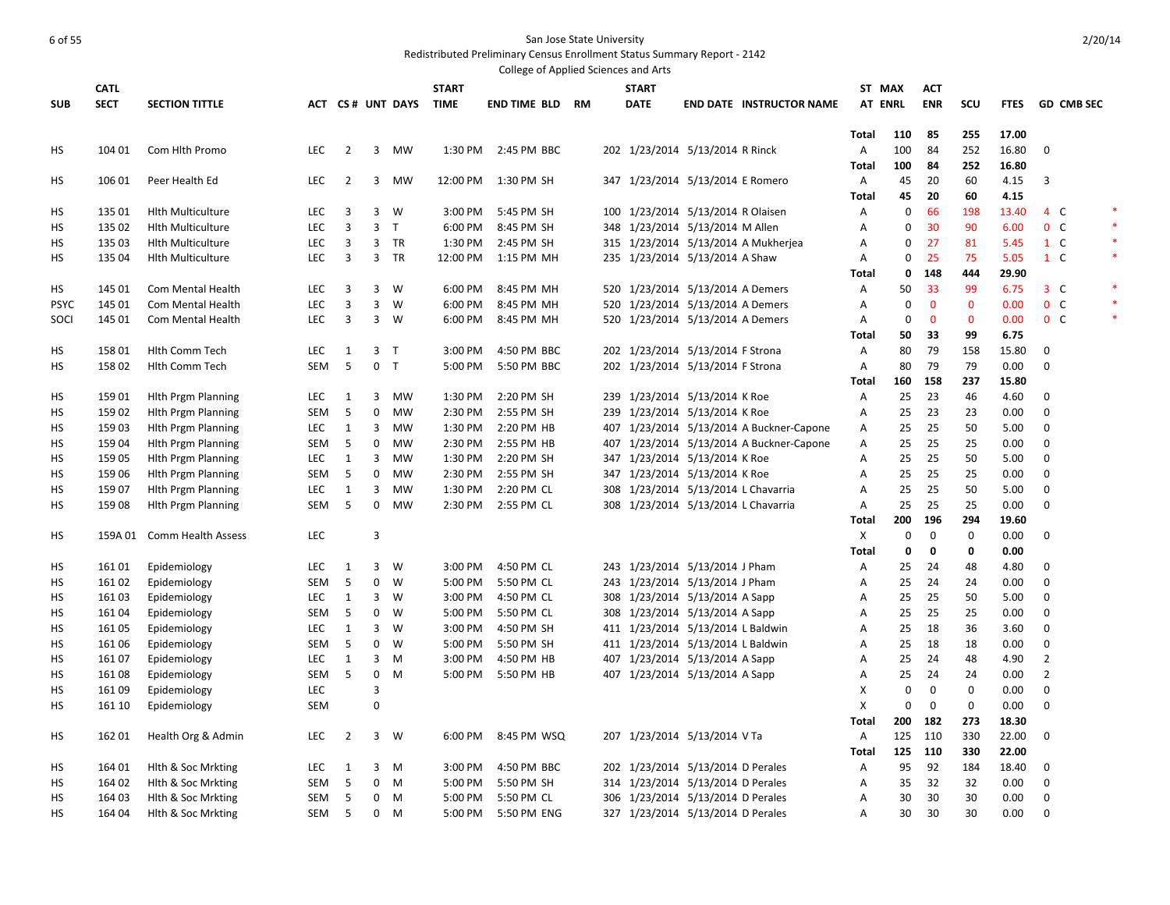| <b>CATL</b><br><b>START</b><br><b>START</b><br>ST MAX<br><b>ACT</b><br><b>SECT</b><br><b>ENR</b><br><b>SECTION TITTLE</b><br>ACT CS# UNT DAYS<br><b>TIME</b><br><b>DATE</b><br><b>AT ENRL</b><br><b>SCU</b><br><b>SUB</b><br>END TIME BLD<br>RM<br><b>END DATE INSTRUCTOR NAME</b><br><b>FTES</b><br>17.00<br><b>Total</b><br>110<br>85<br>255<br>104 01<br>Com Hlth Promo<br><b>LEC</b><br>$\overline{2}$<br>3<br><b>MW</b><br>2:45 PM BBC<br>202 1/23/2014 5/13/2014 R Rinck<br>100<br>84<br>252<br>16.80<br>HS<br>1:30 PM<br>Α<br>100<br>16.80<br>Total<br>84<br>252<br>60<br>HS<br>106 01<br>Peer Health Ed<br><b>LEC</b><br>$\overline{2}$<br>3<br><b>MW</b><br>12:00 PM<br>1:30 PM SH<br>347 1/23/2014 5/13/2014 E Romero<br>Α<br>45<br>20<br>4.15<br>20<br>60<br>Total<br>45<br>4.15<br>135 01<br><b>Hith Multiculture</b><br><b>LEC</b><br>3<br>3<br>W<br>3:00 PM<br>5:45 PM SH<br>100 1/23/2014 5/13/2014 R Olaisen<br>Α<br>0<br>66<br>198<br>13.40<br>HS<br>$\overline{3}$<br>135 02<br><b>LEC</b><br>3 <sub>T</sub><br>6:00 PM<br>348 1/23/2014 5/13/2014 M Allen<br>0<br>30<br>90<br>6.00<br>HS<br><b>Hith Multiculture</b><br>8:45 PM SH<br>Α<br>$\overline{3}$<br>$\mathbf{3}$<br>315 1/23/2014 5/13/2014 A Mukherjea<br>27<br>135 03<br>LEC<br>TR<br>1:30 PM<br>2:45 PM SH<br>$\Omega$<br>81<br>5.45<br>HS<br><b>Hith Multiculture</b><br>Α | <b>GD CMB SEC</b><br>$\Omega$<br>3<br>*<br>4 C<br>$0\quad C$<br>$1\quad C$<br>$\ast$<br>$1\quad C$<br>3 <sup>c</sup><br>0 <sup>o</sup> |
|------------------------------------------------------------------------------------------------------------------------------------------------------------------------------------------------------------------------------------------------------------------------------------------------------------------------------------------------------------------------------------------------------------------------------------------------------------------------------------------------------------------------------------------------------------------------------------------------------------------------------------------------------------------------------------------------------------------------------------------------------------------------------------------------------------------------------------------------------------------------------------------------------------------------------------------------------------------------------------------------------------------------------------------------------------------------------------------------------------------------------------------------------------------------------------------------------------------------------------------------------------------------------------------------------------------------------------------------------------|----------------------------------------------------------------------------------------------------------------------------------------|
|                                                                                                                                                                                                                                                                                                                                                                                                                                                                                                                                                                                                                                                                                                                                                                                                                                                                                                                                                                                                                                                                                                                                                                                                                                                                                                                                                            |                                                                                                                                        |
|                                                                                                                                                                                                                                                                                                                                                                                                                                                                                                                                                                                                                                                                                                                                                                                                                                                                                                                                                                                                                                                                                                                                                                                                                                                                                                                                                            |                                                                                                                                        |
|                                                                                                                                                                                                                                                                                                                                                                                                                                                                                                                                                                                                                                                                                                                                                                                                                                                                                                                                                                                                                                                                                                                                                                                                                                                                                                                                                            |                                                                                                                                        |
|                                                                                                                                                                                                                                                                                                                                                                                                                                                                                                                                                                                                                                                                                                                                                                                                                                                                                                                                                                                                                                                                                                                                                                                                                                                                                                                                                            |                                                                                                                                        |
|                                                                                                                                                                                                                                                                                                                                                                                                                                                                                                                                                                                                                                                                                                                                                                                                                                                                                                                                                                                                                                                                                                                                                                                                                                                                                                                                                            |                                                                                                                                        |
|                                                                                                                                                                                                                                                                                                                                                                                                                                                                                                                                                                                                                                                                                                                                                                                                                                                                                                                                                                                                                                                                                                                                                                                                                                                                                                                                                            |                                                                                                                                        |
|                                                                                                                                                                                                                                                                                                                                                                                                                                                                                                                                                                                                                                                                                                                                                                                                                                                                                                                                                                                                                                                                                                                                                                                                                                                                                                                                                            |                                                                                                                                        |
|                                                                                                                                                                                                                                                                                                                                                                                                                                                                                                                                                                                                                                                                                                                                                                                                                                                                                                                                                                                                                                                                                                                                                                                                                                                                                                                                                            |                                                                                                                                        |
|                                                                                                                                                                                                                                                                                                                                                                                                                                                                                                                                                                                                                                                                                                                                                                                                                                                                                                                                                                                                                                                                                                                                                                                                                                                                                                                                                            |                                                                                                                                        |
|                                                                                                                                                                                                                                                                                                                                                                                                                                                                                                                                                                                                                                                                                                                                                                                                                                                                                                                                                                                                                                                                                                                                                                                                                                                                                                                                                            |                                                                                                                                        |
| $\overline{3}$<br>3 TR<br>25<br>135 04<br>LEC<br>12:00 PM<br>235 1/23/2014 5/13/2014 A Shaw<br>0<br>75<br>5.05<br>HS<br><b>Hith Multiculture</b><br>1:15 PM MH<br>Α                                                                                                                                                                                                                                                                                                                                                                                                                                                                                                                                                                                                                                                                                                                                                                                                                                                                                                                                                                                                                                                                                                                                                                                        |                                                                                                                                        |
| 29.90<br>0<br>148<br>444<br>Total                                                                                                                                                                                                                                                                                                                                                                                                                                                                                                                                                                                                                                                                                                                                                                                                                                                                                                                                                                                                                                                                                                                                                                                                                                                                                                                          |                                                                                                                                        |
| 145 01<br><b>LEC</b><br>3<br>3<br>W<br>6:00 PM<br>8:45 PM MH<br>520 1/23/2014 5/13/2014 A Demers<br>50<br>33<br>99<br>6.75<br>HS<br>Com Mental Health<br>Α                                                                                                                                                                                                                                                                                                                                                                                                                                                                                                                                                                                                                                                                                                                                                                                                                                                                                                                                                                                                                                                                                                                                                                                                 |                                                                                                                                        |
| $\overline{3}$<br>$\overline{3}$<br>LEC<br>$\Omega$<br>$\mathbf{0}$<br>$\mathbf{0}$<br><b>PSYC</b><br>145 01<br>W<br>6:00 PM<br>8:45 PM MH<br>520 1/23/2014 5/13/2014 A Demers<br>A<br>0.00<br>Com Mental Health                                                                                                                                                                                                                                                                                                                                                                                                                                                                                                                                                                                                                                                                                                                                                                                                                                                                                                                                                                                                                                                                                                                                           |                                                                                                                                        |
| $\overline{3}$<br>$3 \quad W$<br>$\mathbf{0}$<br><b>LEC</b><br>520 1/23/2014 5/13/2014 A Demers<br>0<br>$\mathbf{0}$<br>0.00<br>SOCI<br>145 01<br>Com Mental Health<br>6:00 PM<br>8:45 PM MH<br>Α                                                                                                                                                                                                                                                                                                                                                                                                                                                                                                                                                                                                                                                                                                                                                                                                                                                                                                                                                                                                                                                                                                                                                          | $0\quad C$                                                                                                                             |
| 50<br>6.75<br><b>Total</b><br>33<br>99                                                                                                                                                                                                                                                                                                                                                                                                                                                                                                                                                                                                                                                                                                                                                                                                                                                                                                                                                                                                                                                                                                                                                                                                                                                                                                                     |                                                                                                                                        |
| 158 01<br><b>Hith Comm Tech</b><br><b>LEC</b><br>3 <sub>T</sub><br>3:00 PM<br>4:50 PM BBC<br>202 1/23/2014 5/13/2014 F Strona<br>80<br>79<br>158<br>15.80<br>HS<br>1<br>Α                                                                                                                                                                                                                                                                                                                                                                                                                                                                                                                                                                                                                                                                                                                                                                                                                                                                                                                                                                                                                                                                                                                                                                                  | $\Omega$                                                                                                                               |
| 5<br>15802<br><b>SEM</b><br>0 <sub>T</sub><br>5:00 PM<br>5:50 PM BBC<br>202 1/23/2014 5/13/2014 F Strona<br>80<br>79<br>79<br>0.00<br>НS<br>Hith Comm Tech<br>Α                                                                                                                                                                                                                                                                                                                                                                                                                                                                                                                                                                                                                                                                                                                                                                                                                                                                                                                                                                                                                                                                                                                                                                                            | $\mathbf 0$                                                                                                                            |
| 237<br>15.80<br><b>Total</b><br>160<br>158                                                                                                                                                                                                                                                                                                                                                                                                                                                                                                                                                                                                                                                                                                                                                                                                                                                                                                                                                                                                                                                                                                                                                                                                                                                                                                                 |                                                                                                                                        |
| 2:20 PM SH<br>239 1/23/2014 5/13/2014 K Roe<br>25<br>23<br>46<br>4.60<br>НS<br>15901<br><b>Hith Prgm Planning</b><br>LEC<br>1<br>3<br>MW<br>1:30 PM<br>Α                                                                                                                                                                                                                                                                                                                                                                                                                                                                                                                                                                                                                                                                                                                                                                                                                                                                                                                                                                                                                                                                                                                                                                                                   | $\mathbf 0$                                                                                                                            |
| $\mathbf 0$<br>239 1/23/2014 5/13/2014 K Roe<br>25<br>23<br>23<br>159 02<br><b>Hith Prgm Planning</b><br><b>SEM</b><br>5<br><b>MW</b><br>2:30 PM<br>2:55 PM SH<br>0.00<br>HS<br>Α                                                                                                                                                                                                                                                                                                                                                                                                                                                                                                                                                                                                                                                                                                                                                                                                                                                                                                                                                                                                                                                                                                                                                                          | $\mathbf 0$                                                                                                                            |
| 3<br>1:30 PM<br>2:20 PM HB<br>407 1/23/2014 5/13/2014 A Buckner-Capone<br>25<br>25<br>50<br>5.00<br>HS<br>159 03<br><b>Hith Prgm Planning</b><br><b>LEC</b><br>1<br>MW<br>Α                                                                                                                                                                                                                                                                                                                                                                                                                                                                                                                                                                                                                                                                                                                                                                                                                                                                                                                                                                                                                                                                                                                                                                                | $\mathbf 0$                                                                                                                            |
| 5<br>$\mathbf 0$<br>25<br>25<br>25<br>0.00<br>159 04<br><b>Hith Prgm Planning</b><br><b>SEM</b><br><b>MW</b><br>2:30 PM<br>2:55 PM HB<br>407 1/23/2014 5/13/2014 A Buckner-Capone<br>А<br>HS                                                                                                                                                                                                                                                                                                                                                                                                                                                                                                                                                                                                                                                                                                                                                                                                                                                                                                                                                                                                                                                                                                                                                               | $\mathbf 0$                                                                                                                            |
| 25<br>25<br>50<br>159 05<br>LEC<br>$\mathbf{1}$<br>3<br>1:30 PM<br>2:20 PM SH<br>347 1/23/2014 5/13/2014 K Roe<br>5.00<br>HS<br><b>Hith Prgm Planning</b><br>MW<br>Α                                                                                                                                                                                                                                                                                                                                                                                                                                                                                                                                                                                                                                                                                                                                                                                                                                                                                                                                                                                                                                                                                                                                                                                       | $\mathbf 0$                                                                                                                            |
| 5<br>$\mathbf 0$<br>347 1/23/2014 5/13/2014 K Roe<br>25<br>25<br>25<br>HS<br>159 06<br><b>Hith Prgm Planning</b><br>SEM<br><b>MW</b><br>2:30 PM<br>2:55 PM SH<br>A<br>0.00                                                                                                                                                                                                                                                                                                                                                                                                                                                                                                                                                                                                                                                                                                                                                                                                                                                                                                                                                                                                                                                                                                                                                                                 | $\mathbf 0$                                                                                                                            |
| 25<br>25<br>50<br>$\mathbf{1}$<br>3<br>1:30 PM<br>308 1/23/2014 5/13/2014 L Chavarria<br>5.00<br>HS<br>159 07<br><b>Hith Prgm Planning</b><br><b>LEC</b><br>MW<br>2:20 PM CL<br>Α                                                                                                                                                                                                                                                                                                                                                                                                                                                                                                                                                                                                                                                                                                                                                                                                                                                                                                                                                                                                                                                                                                                                                                          | $\mathbf 0$                                                                                                                            |
| 5<br>$\mathbf 0$<br>25<br>25<br>25<br>0.00<br>HS<br>15908<br>SEM<br>MW<br>2:30 PM<br>2:55 PM CL<br>308 1/23/2014 5/13/2014 L Chavarria<br>A<br>Hith Prgm Planning                                                                                                                                                                                                                                                                                                                                                                                                                                                                                                                                                                                                                                                                                                                                                                                                                                                                                                                                                                                                                                                                                                                                                                                          | $\Omega$                                                                                                                               |
| 200<br>196<br>294<br>19.60<br><b>Total</b>                                                                                                                                                                                                                                                                                                                                                                                                                                                                                                                                                                                                                                                                                                                                                                                                                                                                                                                                                                                                                                                                                                                                                                                                                                                                                                                 |                                                                                                                                        |
| 0<br>$\boldsymbol{0}$<br>3<br>Χ<br>0<br>0.00<br>HS<br>159A 01<br>Comm Health Assess<br>LEC                                                                                                                                                                                                                                                                                                                                                                                                                                                                                                                                                                                                                                                                                                                                                                                                                                                                                                                                                                                                                                                                                                                                                                                                                                                                 | $\Omega$                                                                                                                               |
| 0<br>0<br><b>Total</b><br>$\mathbf 0$<br>0.00                                                                                                                                                                                                                                                                                                                                                                                                                                                                                                                                                                                                                                                                                                                                                                                                                                                                                                                                                                                                                                                                                                                                                                                                                                                                                                              |                                                                                                                                        |
| $\mathbf{3}$<br>4:50 PM CL<br>243 1/23/2014 5/13/2014 J Pham<br>25<br>24<br>48<br>4.80<br>16101<br>Epidemiology<br><b>LEC</b><br>1<br>W<br>3:00 PM<br>Α<br>НS                                                                                                                                                                                                                                                                                                                                                                                                                                                                                                                                                                                                                                                                                                                                                                                                                                                                                                                                                                                                                                                                                                                                                                                              | $\mathbf 0$                                                                                                                            |
| 5<br>0<br>Epidemiology<br><b>SEM</b><br>W<br>5:00 PM<br>5:50 PM CL<br>243 1/23/2014 5/13/2014 J Pham<br>25<br>24<br>24<br>0.00<br>HS<br>16102<br>Α                                                                                                                                                                                                                                                                                                                                                                                                                                                                                                                                                                                                                                                                                                                                                                                                                                                                                                                                                                                                                                                                                                                                                                                                         | $\mathbf 0$                                                                                                                            |
| $\mathbf{1}$<br>$\overline{\mathbf{3}}$<br>308 1/23/2014 5/13/2014 A Sapp<br>25<br>25<br>50<br>5.00<br>16103<br>Epidemiology<br><b>LEC</b><br>W<br>3:00 PM<br>4:50 PM CL<br>Α<br>НS                                                                                                                                                                                                                                                                                                                                                                                                                                                                                                                                                                                                                                                                                                                                                                                                                                                                                                                                                                                                                                                                                                                                                                        | 0                                                                                                                                      |
| 5<br>0<br>25<br>25<br>25<br>0.00<br>16104<br><b>SEM</b><br>W<br>5:00 PM<br>5:50 PM CL<br>308 1/23/2014 5/13/2014 A Sapp<br>Α<br>HS<br>Epidemiology                                                                                                                                                                                                                                                                                                                                                                                                                                                                                                                                                                                                                                                                                                                                                                                                                                                                                                                                                                                                                                                                                                                                                                                                         | $\mathbf 0$                                                                                                                            |
| $\overline{3}$<br>36<br>$\mathbf{1}$<br>3:00 PM<br>4:50 PM SH<br>411 1/23/2014 5/13/2014 L Baldwin<br>25<br>18<br>3.60<br>HS<br>16105<br>Epidemiology<br><b>LEC</b><br>W<br>Α<br>5<br>$\mathbf 0$                                                                                                                                                                                                                                                                                                                                                                                                                                                                                                                                                                                                                                                                                                                                                                                                                                                                                                                                                                                                                                                                                                                                                          | 0<br>$\mathbf 0$                                                                                                                       |
| 411 1/23/2014 5/13/2014 L Baldwin<br>0.00<br>161 06<br><b>SEM</b><br>W<br>5:00 PM<br>5:50 PM SH<br>25<br>18<br>18<br>НS<br>Epidemiology<br>А<br>3<br>48<br>16107<br>$\mathbf{1}$<br>3:00 PM<br>25<br>4.90                                                                                                                                                                                                                                                                                                                                                                                                                                                                                                                                                                                                                                                                                                                                                                                                                                                                                                                                                                                                                                                                                                                                                  | $\overline{2}$                                                                                                                         |
| 407 1/23/2014 5/13/2014 A Sapp<br>HS<br>Epidemiology<br><b>LEC</b><br>M<br>4:50 PM HB<br>Α<br>24<br>5<br>0<br>407 1/23/2014 5/13/2014 A Sapp<br>25<br>0.00<br>HS<br>16108<br>SEM<br>M<br>5:00 PM<br>5:50 PM HB<br>24<br>24<br>Α                                                                                                                                                                                                                                                                                                                                                                                                                                                                                                                                                                                                                                                                                                                                                                                                                                                                                                                                                                                                                                                                                                                            | $\overline{2}$                                                                                                                         |
| Epidemiology<br>$\overline{3}$<br>$\mathbf 0$<br>$\mathbf 0$<br>LEC<br>X<br>0<br>0.00<br>HS<br>16109<br>Epidemiology                                                                                                                                                                                                                                                                                                                                                                                                                                                                                                                                                                                                                                                                                                                                                                                                                                                                                                                                                                                                                                                                                                                                                                                                                                       | $\mathbf 0$                                                                                                                            |
| 0<br>$\mathbf 0$<br>$\Omega$<br>X<br>0<br>0.00<br>HS<br>161 10<br>SEM<br>Epidemiology                                                                                                                                                                                                                                                                                                                                                                                                                                                                                                                                                                                                                                                                                                                                                                                                                                                                                                                                                                                                                                                                                                                                                                                                                                                                      | $\Omega$                                                                                                                               |
| 273<br>200<br>182<br>18.30<br><b>Total</b>                                                                                                                                                                                                                                                                                                                                                                                                                                                                                                                                                                                                                                                                                                                                                                                                                                                                                                                                                                                                                                                                                                                                                                                                                                                                                                                 |                                                                                                                                        |
| $\overline{2}$<br>$3 \quad W$<br>207 1/23/2014 5/13/2014 V Ta<br>330<br>22.00<br>HS<br>162 01<br>Health Org & Admin<br><b>LEC</b><br>6:00 PM<br>8:45 PM WSQ<br>Α<br>125<br>110                                                                                                                                                                                                                                                                                                                                                                                                                                                                                                                                                                                                                                                                                                                                                                                                                                                                                                                                                                                                                                                                                                                                                                             | $\Omega$                                                                                                                               |
| 125<br>330<br>22.00<br><b>Total</b><br>110                                                                                                                                                                                                                                                                                                                                                                                                                                                                                                                                                                                                                                                                                                                                                                                                                                                                                                                                                                                                                                                                                                                                                                                                                                                                                                                 |                                                                                                                                        |
| <b>LEC</b><br>3:00 PM<br>4:50 PM BBC<br>202 1/23/2014 5/13/2014 D Perales<br>95<br>92<br>184<br>18.40<br>HS<br>164 01<br>Hith & Soc Mrkting<br>1<br>3 M<br>Α                                                                                                                                                                                                                                                                                                                                                                                                                                                                                                                                                                                                                                                                                                                                                                                                                                                                                                                                                                                                                                                                                                                                                                                               | 0                                                                                                                                      |
| 5<br>$\mathbf 0$<br>164 02<br>Hlth & Soc Mrkting<br><b>SEM</b><br>M<br>5:00 PM<br>5:50 PM SH<br>314 1/23/2014 5/13/2014 D Perales<br>35<br>32<br>32<br>0.00<br>HS<br>A                                                                                                                                                                                                                                                                                                                                                                                                                                                                                                                                                                                                                                                                                                                                                                                                                                                                                                                                                                                                                                                                                                                                                                                     | $\mathbf 0$                                                                                                                            |
| 5<br>$\mathbf 0$<br>5:00 PM<br>5:50 PM CL<br>306 1/23/2014 5/13/2014 D Perales<br>30<br>30<br>30<br>0.00<br>HS<br>164 03<br>Hith & Soc Mrkting<br>SEM<br>M<br>Α                                                                                                                                                                                                                                                                                                                                                                                                                                                                                                                                                                                                                                                                                                                                                                                                                                                                                                                                                                                                                                                                                                                                                                                            | $\Omega$                                                                                                                               |
| 5<br>$\mathbf 0$<br>327 1/23/2014 5/13/2014 D Perales<br>30<br>30<br>30<br>0.00<br><b>HS</b><br>164 04<br>Hith & Soc Mrkting<br><b>SEM</b><br>M<br>5:00 PM<br>5:50 PM ENG<br>A                                                                                                                                                                                                                                                                                                                                                                                                                                                                                                                                                                                                                                                                                                                                                                                                                                                                                                                                                                                                                                                                                                                                                                             | $\Omega$                                                                                                                               |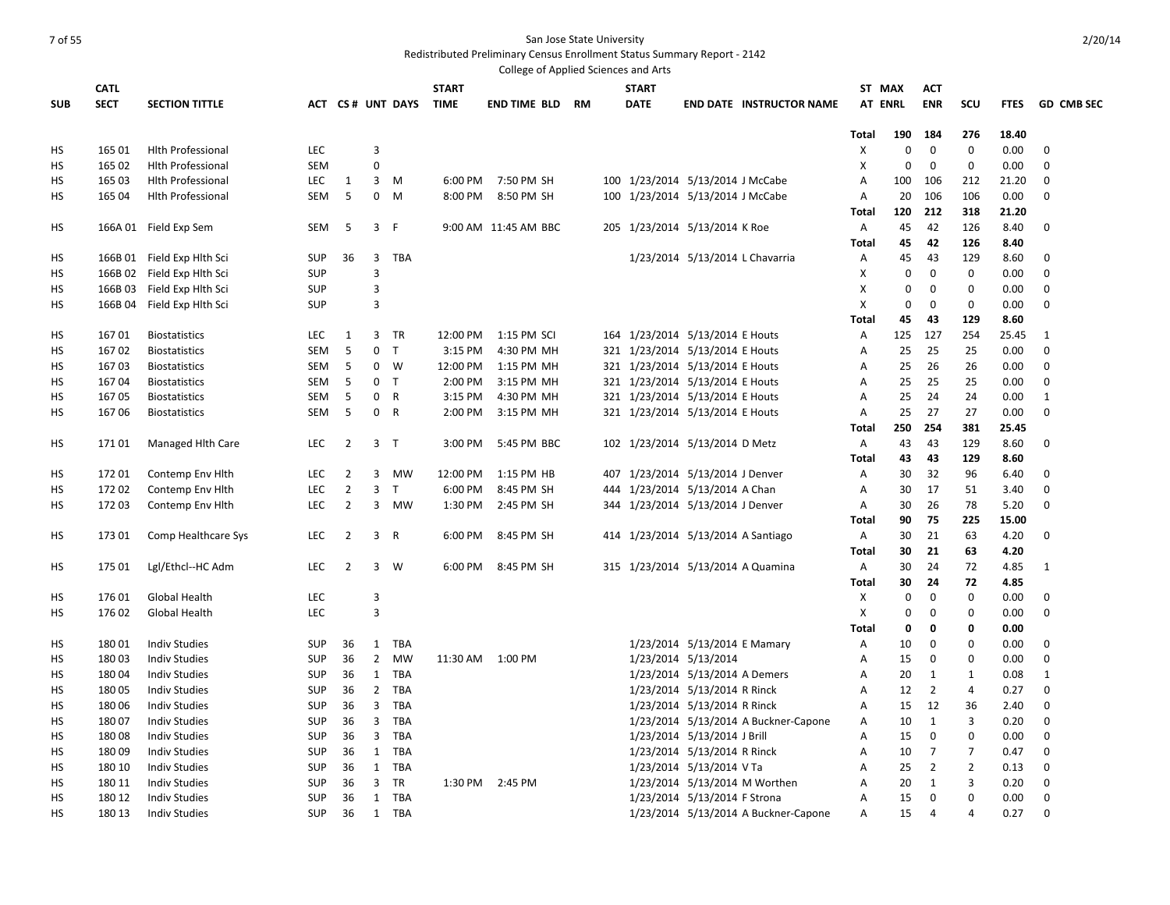|            |             |                            |            |                |                |                       |              | College of Applied Sciences and Arts |  |                                    |                              |                                      |                |             |                |                |             |                   |
|------------|-------------|----------------------------|------------|----------------|----------------|-----------------------|--------------|--------------------------------------|--|------------------------------------|------------------------------|--------------------------------------|----------------|-------------|----------------|----------------|-------------|-------------------|
|            | <b>CATL</b> |                            |            |                |                |                       | <b>START</b> |                                      |  | <b>START</b>                       |                              |                                      | ST MAX         |             | <b>ACT</b>     |                |             |                   |
| <b>SUB</b> | <b>SECT</b> | <b>SECTION TITTLE</b>      |            |                |                | ACT CS# UNT DAYS TIME |              | <b>END TIME BLD RM</b>               |  | <b>DATE</b>                        |                              | <b>END DATE INSTRUCTOR NAME</b>      | <b>AT ENRL</b> |             | <b>ENR</b>     | SCU            | <b>FTES</b> | <b>GD CMB SEC</b> |
|            |             |                            |            |                |                |                       |              |                                      |  |                                    |                              |                                      |                |             |                |                |             |                   |
|            |             |                            |            |                |                |                       |              |                                      |  |                                    |                              |                                      | Total          | 190         | 184            | 276            | 18.40       |                   |
| HS         | 165 01      | <b>Hith Professional</b>   | <b>LEC</b> |                | $\overline{3}$ |                       |              |                                      |  |                                    |                              |                                      | X              | 0           | $\mathbf 0$    | $\mathbf{0}$   | 0.00        | $\mathbf 0$       |
| HS         | 165 02      | <b>Hith Professional</b>   | <b>SEM</b> |                | $\Omega$       |                       |              |                                      |  |                                    |                              |                                      | X              | 0           | $\mathbf 0$    | $\Omega$       | 0.00        | $\Omega$          |
| HS         | 165 03      | <b>Hith Professional</b>   | <b>LEC</b> | 1              |                | $3 \, M$              | 6:00 PM      | 7:50 PM SH                           |  | 100 1/23/2014 5/13/2014 J McCabe   |                              |                                      | Α              | 100         | 106            | 212            | 21.20       | $\mathbf 0$       |
| HS         | 165 04      | <b>Hlth Professional</b>   | <b>SEM</b> | 5              | $\mathbf 0$    | M                     | 8:00 PM      | 8:50 PM SH                           |  | 100 1/23/2014 5/13/2014 J McCabe   |                              |                                      | Α              | 20          | 106            | 106            | 0.00        | $\mathbf 0$       |
|            |             |                            |            |                |                |                       |              |                                      |  |                                    |                              |                                      | Total          | 120         | 212            | 318            | 21.20       |                   |
| HS         |             | 166A 01 Field Exp Sem      | SEM        | 5              | 3              | - F                   |              | 9:00 AM 11:45 AM BBC                 |  | 205 1/23/2014 5/13/2014 K Roe      |                              |                                      | Α              | 45          | 42             | 126            | 8.40        | $\mathbf 0$       |
|            |             |                            |            |                |                |                       |              |                                      |  |                                    |                              |                                      | Total          | 45          | 42             | 126            | 8.40        |                   |
| НS         |             | 166B 01 Field Exp Hlth Sci | <b>SUP</b> | 36             | 3              | <b>TBA</b>            |              |                                      |  |                                    |                              | 1/23/2014 5/13/2014 L Chavarria      | A              | 45          | 43             | 129            | 8.60        | $\mathbf{0}$      |
| HS         |             | 166B 02 Field Exp Hlth Sci | <b>SUP</b> |                | 3              |                       |              |                                      |  |                                    |                              |                                      | X              | 0           | 0              | 0              | 0.00        | 0                 |
| HS         |             | 166B 03 Field Exp Hlth Sci | <b>SUP</b> |                | 3              |                       |              |                                      |  |                                    |                              |                                      | X              | $\mathbf 0$ | $\mathbf 0$    | $\mathbf 0$    | 0.00        | $\mathbf 0$       |
| HS         |             | 166B 04 Field Exp Hlth Sci | <b>SUP</b> |                | $\overline{3}$ |                       |              |                                      |  |                                    |                              |                                      | X              | 0           | $\mathbf 0$    | $\Omega$       | 0.00        | $\mathbf 0$       |
|            |             |                            |            |                |                |                       |              |                                      |  |                                    |                              |                                      | Total          | 45          | 43             | 129            | 8.60        |                   |
| HS         | 16701       | <b>Biostatistics</b>       | <b>LEC</b> | 1              | 3              | TR                    | 12:00 PM     | 1:15 PM SCI                          |  | 164 1/23/2014 5/13/2014 E Houts    |                              |                                      | Α              | 125         | 127            | 254            | 25.45       | 1                 |
| HS         | 16702       | <b>Biostatistics</b>       | SEM        | 5              |                | 0 <sub>T</sub>        | 3:15 PM      | 4:30 PM MH                           |  | 321 1/23/2014 5/13/2014 E Houts    |                              |                                      | Α              | 25          | 25             | 25             | 0.00        | 0                 |
| HS         | 16703       | <b>Biostatistics</b>       | SEM        | 5              | $\mathbf 0$    | W                     | 12:00 PM     | 1:15 PM MH                           |  | 321 1/23/2014 5/13/2014 E Houts    |                              |                                      | Α              | 25          | 26             | 26             | 0.00        | 0                 |
| НS         | 16704       | <b>Biostatistics</b>       | SEM        | 5              | 0 <sub>T</sub> |                       | 2:00 PM      | 3:15 PM MH                           |  | 321 1/23/2014 5/13/2014 E Houts    |                              |                                      | A              | 25          | 25             | 25             | 0.00        | $\mathbf 0$       |
| нs         | 16705       | <b>Biostatistics</b>       | SEM        | 5              | 0              | R                     | 3:15 PM      | 4:30 PM MH                           |  | 321 1/23/2014 5/13/2014 E Houts    |                              |                                      | A              | 25          | 24             | 24             | 0.00        | $\mathbf{1}$      |
| HS         | 16706       | <b>Biostatistics</b>       | <b>SEM</b> | 5              | 0 R            |                       | 2:00 PM      | 3:15 PM MH                           |  | 321 1/23/2014 5/13/2014 E Houts    |                              |                                      | A              | 25          | 27             | 27             | 0.00        | $\mathbf 0$       |
|            |             |                            |            |                |                |                       |              |                                      |  |                                    |                              |                                      | <b>Total</b>   | 250         | 254            | 381            | 25.45       |                   |
| HS         | 17101       | Managed Hith Care          | <b>LEC</b> | $\overline{2}$ | 3 <sub>T</sub> |                       | 3:00 PM      | 5:45 PM BBC                          |  | 102 1/23/2014 5/13/2014 D Metz     |                              |                                      | Α              | 43          | 43             | 129            | 8.60        | 0                 |
|            |             |                            |            |                |                |                       |              |                                      |  |                                    |                              |                                      | Total          | 43          | 43             | 129            | 8.60        |                   |
| HS         | 17201       | Contemp Env Hith           | <b>LEC</b> | 2              | 3              | <b>MW</b>             | 12:00 PM     | 1:15 PM HB                           |  | 407 1/23/2014 5/13/2014 J Denver   |                              |                                      | Α              | 30          | 32             | 96             | 6.40        | 0                 |
| HS         | 172 02      | Contemp Env Hith           | <b>LEC</b> | $\overline{2}$ | 3              | T                     | 6:00 PM      | 8:45 PM SH                           |  | 444 1/23/2014 5/13/2014 A Chan     |                              |                                      | А              | 30          | 17             | 51             | 3.40        | 0                 |
|            |             |                            |            |                | $\overline{3}$ |                       |              |                                      |  |                                    |                              |                                      |                |             |                |                |             |                   |
| HS         | 172 03      | Contemp Env Hith           | <b>LEC</b> | $\overline{2}$ |                | MW                    | 1:30 PM      | 2:45 PM SH                           |  | 344 1/23/2014 5/13/2014 J Denver   |                              |                                      | А              | 30          | 26             | 78             | 5.20        | 0                 |
|            |             |                            |            |                |                |                       |              |                                      |  |                                    |                              |                                      | Total          | 90          | 75             | 225            | 15.00       |                   |
| HS         | 17301       | Comp Healthcare Sys        | <b>LEC</b> | $\overline{2}$ | 3 R            |                       | 6:00 PM      | 8:45 PM SH                           |  | 414 1/23/2014 5/13/2014 A Santiago |                              |                                      | Α              | 30          | 21             | 63             | 4.20        | 0                 |
|            |             |                            |            |                |                |                       |              |                                      |  |                                    |                              |                                      | Total          | 30          | 21             | 63             | 4.20        |                   |
| HS         | 17501       | Lgl/Ethcl--HC Adm          | <b>LEC</b> | 2              | $\mathbf{3}$   | <b>W</b>              | 6:00 PM      | 8:45 PM SH                           |  |                                    |                              | 315 1/23/2014 5/13/2014 A Quamina    | Α              | 30          | 24             | 72             | 4.85        | 1                 |
|            |             |                            |            |                |                |                       |              |                                      |  |                                    |                              |                                      | Total          | 30          | 24             | 72             | 4.85        |                   |
| HS         | 17601       | Global Health              | <b>LEC</b> |                | 3              |                       |              |                                      |  |                                    |                              |                                      | X              | 0           | 0              | $\mathbf{0}$   | 0.00        | $\mathbf 0$       |
| HS         | 17602       | Global Health              | <b>LEC</b> |                | 3              |                       |              |                                      |  |                                    |                              |                                      | X              | 0           | $\mathbf 0$    | $\mathbf 0$    | 0.00        | $\mathbf 0$       |
|            |             |                            |            |                |                |                       |              |                                      |  |                                    |                              |                                      | <b>Total</b>   | 0           | 0              | 0              | 0.00        |                   |
| HS         | 18001       | <b>Indiv Studies</b>       | <b>SUP</b> | 36             | 1              | <b>TBA</b>            |              |                                      |  |                                    | 1/23/2014 5/13/2014 E Mamary |                                      | А              | 10          | 0              | $\mathbf 0$    | 0.00        | $\mathbf 0$       |
| <b>HS</b>  | 18003       | <b>Indiv Studies</b>       | <b>SUP</b> | 36             | 2              | <b>MW</b>             |              | 11:30 AM 1:00 PM                     |  |                                    | 1/23/2014 5/13/2014          |                                      | Α              | 15          | 0              | $\Omega$       | 0.00        | $\mathbf 0$       |
| HS         | 18004       | <b>Indiv Studies</b>       | <b>SUP</b> | 36             | $\mathbf{1}$   | TBA                   |              |                                      |  |                                    | 1/23/2014 5/13/2014 A Demers |                                      | Α              | 20          | 1              | 1              | 0.08        | 1                 |
| HS         | 18005       | <b>Indiv Studies</b>       | <b>SUP</b> | 36             | $\overline{2}$ | <b>TBA</b>            |              |                                      |  |                                    | 1/23/2014 5/13/2014 R Rinck  |                                      | Α              | 12          | $\overline{2}$ | $\overline{4}$ | 0.27        | $\mathbf 0$       |
| HS         | 18006       | <b>Indiv Studies</b>       | <b>SUP</b> | 36             | 3              | TBA                   |              |                                      |  |                                    | 1/23/2014 5/13/2014 R Rinck  |                                      | Α              | 15          | 12             | 36             | 2.40        | 0                 |
| HS         | 18007       | <b>Indiv Studies</b>       | <b>SUP</b> | 36             | 3              | TBA                   |              |                                      |  |                                    |                              | 1/23/2014 5/13/2014 A Buckner-Capone | Α              | 10          | 1              | 3              | 0.20        | 0                 |
| HS         | 18008       | <b>Indiv Studies</b>       | <b>SUP</b> | 36             | 3              | <b>TBA</b>            |              |                                      |  |                                    | 1/23/2014 5/13/2014 J Brill  |                                      | A              | 15          | $\mathbf 0$    | $\mathbf 0$    | 0.00        | 0                 |
| HS         | 18009       | <b>Indiv Studies</b>       | <b>SUP</b> | 36             | $\mathbf{1}$   | TBA                   |              |                                      |  |                                    | 1/23/2014 5/13/2014 R Rinck  |                                      | А              | 10          | $\overline{7}$ | $\overline{7}$ | 0.47        | 0                 |
| HS         | 180 10      | <b>Indiv Studies</b>       | <b>SUP</b> | 36             | $\mathbf{1}$   | <b>TBA</b>            |              |                                      |  |                                    | 1/23/2014 5/13/2014 V Ta     |                                      | A              | 25          | $\overline{2}$ | $\overline{2}$ | 0.13        | 0                 |
| HS         | 180 11      | <b>Indiv Studies</b>       | <b>SUP</b> | 36             | 3              | <b>TR</b>             |              | 1:30 PM 2:45 PM                      |  |                                    |                              | 1/23/2014 5/13/2014 M Worthen        | A              | 20          | 1              | $\overline{3}$ | 0.20        | $\mathbf 0$       |
| HS         | 180 12      | <b>Indiv Studies</b>       | <b>SUP</b> | 36             | 1              | TBA                   |              |                                      |  |                                    | 1/23/2014 5/13/2014 F Strona |                                      | Α              | 15          | 0              | $\Omega$       | 0.00        | 0                 |
| HS         | 180 13      |                            | <b>SUP</b> | 36             | 1              | <b>TBA</b>            |              |                                      |  |                                    |                              |                                      | A              | 15          | 4              | $\overline{a}$ | 0.27        | $\Omega$          |
|            |             | <b>Indiv Studies</b>       |            |                |                |                       |              |                                      |  |                                    |                              | 1/23/2014 5/13/2014 A Buckner-Capone |                |             |                |                |             |                   |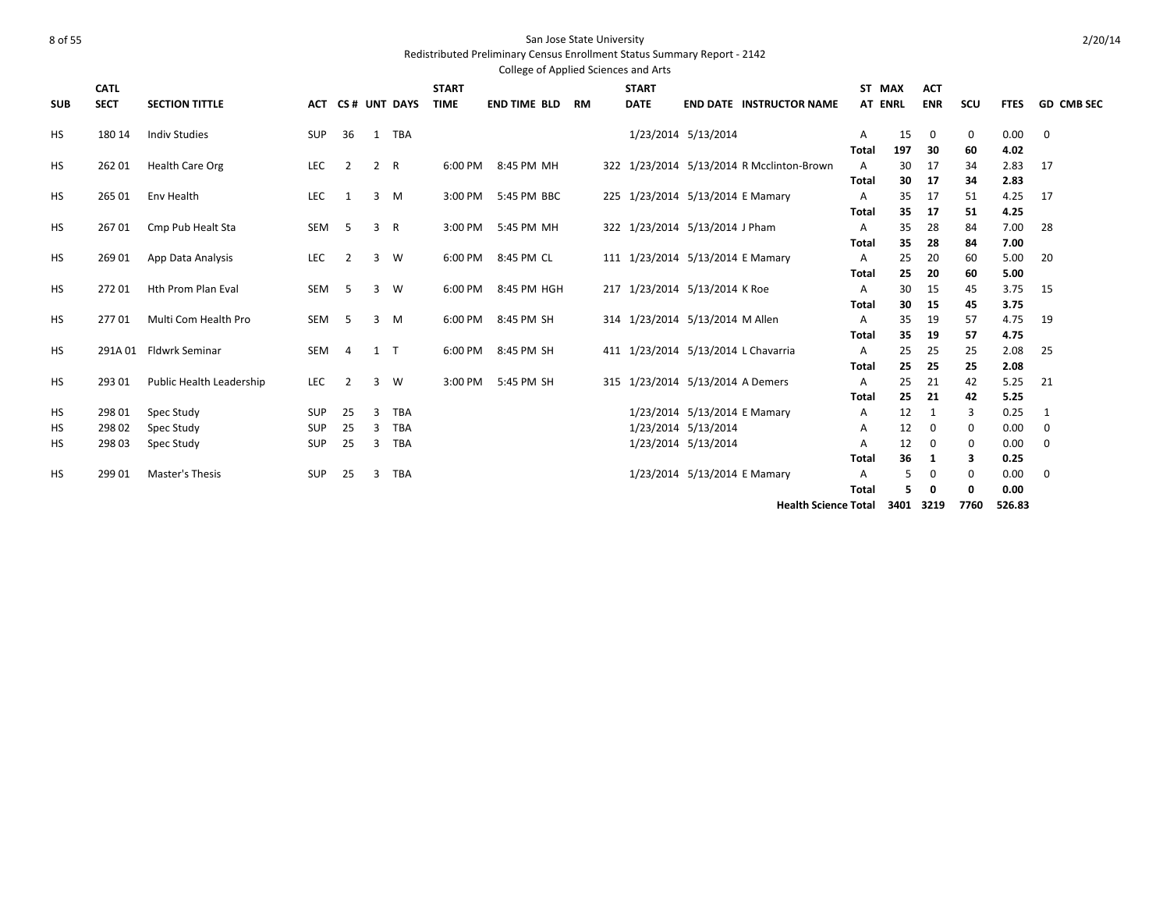### Redistributed Preliminary Census Enrollment Status Summary Report - 2142

|            |             |                           |            |                |                         |              |              | College of Applied Sciences and Arts |    |              |                                  |                                           |                   |           |             |         |              |                   |
|------------|-------------|---------------------------|------------|----------------|-------------------------|--------------|--------------|--------------------------------------|----|--------------|----------------------------------|-------------------------------------------|-------------------|-----------|-------------|---------|--------------|-------------------|
|            | <b>CATL</b> |                           |            |                |                         |              | <b>START</b> |                                      |    | <b>START</b> |                                  |                                           | ST MAX            |           | <b>ACT</b>  |         |              |                   |
| <b>SUB</b> | <b>SECT</b> | <b>SECTION TITTLE</b>     | <b>ACT</b> |                |                         | CS# UNT DAYS | <b>TIME</b>  | <b>END TIME BLD</b>                  | RM | <b>DATE</b>  |                                  | <b>END DATE INSTRUCTOR NAME</b>           | <b>AT ENRL</b>    |           | <b>ENR</b>  | SCU     | <b>FTES</b>  | <b>GD CMB SEC</b> |
|            | 180 14      |                           |            | 36             | 1                       | <b>TBA</b>   |              |                                      |    |              | 1/23/2014 5/13/2014              |                                           |                   |           |             |         |              |                   |
| HS         |             | <b>Indiv Studies</b>      | <b>SUP</b> |                |                         |              |              |                                      |    |              |                                  |                                           | Α<br><b>Total</b> | 15<br>197 | 0<br>30     | 0<br>60 | 0.00<br>4.02 | $\mathbf 0$       |
| HS         | 262 01      | <b>Health Care Org</b>    | LEC        | $\overline{2}$ | 2 R                     |              | 6:00 PM      | 8:45 PM MH                           |    |              |                                  | 322 1/23/2014 5/13/2014 R Mcclinton-Brown | $\overline{A}$    | 30        | 17          | 34      | 2.83         | 17                |
|            |             |                           |            |                |                         |              |              |                                      |    |              |                                  |                                           | <b>Total</b>      | 30        | 17          | 34      | 2.83         |                   |
| HS         | 265 01      | Env Health                | LEC        | 1              | $\overline{3}$          | M            | 3:00 PM      | 5:45 PM BBC                          |    |              | 225 1/23/2014 5/13/2014 E Mamary |                                           | A                 | 35        | 17          | 51      | 4.25         | 17                |
|            |             |                           |            |                |                         |              |              |                                      |    |              |                                  |                                           | <b>Total</b>      | 35        | -17         | 51      | 4.25         |                   |
| <b>HS</b>  | 26701       | Cmp Pub Healt Sta         | SEM        | 5              | 3                       | R            | 3:00 PM      | 5:45 PM MH                           |    |              | 322 1/23/2014 5/13/2014 J Pham   |                                           | A                 | 35        | 28          | 84      | 7.00         | 28                |
|            |             |                           |            |                |                         |              |              |                                      |    |              |                                  |                                           | <b>Total</b>      | 35        | 28          | 84      | 7.00         |                   |
| <b>HS</b>  | 269 01      | App Data Analysis         | LEC        | 2              |                         | $3 \quad W$  | 6:00 PM      | 8:45 PM CL                           |    |              | 111 1/23/2014 5/13/2014 E Mamary |                                           | Α                 | 25        | 20          | 60      | 5.00         | 20                |
|            |             |                           |            |                |                         |              |              |                                      |    |              |                                  |                                           | Total             | 25        | 20          | 60      | 5.00         |                   |
| <b>HS</b>  | 27201       | <b>Hth Prom Plan Eval</b> | <b>SEM</b> | 5              | $\overline{\mathbf{3}}$ | W            | 6:00 PM      | 8:45 PM HGH                          |    |              | 217 1/23/2014 5/13/2014 K Roe    |                                           | A                 | 30        | 15          | 45      | 3.75         | 15                |
|            |             |                           |            |                |                         |              |              |                                      |    |              |                                  |                                           | <b>Total</b>      | 30        | 15          | 45      | 3.75         |                   |
| <b>HS</b>  | 27701       | Multi Com Health Pro      | SEM        | 5              | $\overline{3}$          | M            | 6:00 PM      | 8:45 PM SH                           |    |              | 314 1/23/2014 5/13/2014 M Allen  |                                           | A                 | 35        | 19          | 57      | 4.75         | 19                |
|            |             |                           |            |                |                         |              |              |                                      |    |              |                                  |                                           | <b>Total</b>      | 35        | 19          | 57      | 4.75         |                   |
| <b>HS</b>  |             | 291A 01 Fldwrk Seminar    | <b>SEM</b> | $\overline{4}$ | $1 \quad T$             |              | 6:00 PM      | 8:45 PM SH                           |    |              |                                  | 411 1/23/2014 5/13/2014 L Chavarria       | $\overline{A}$    | 25        | 25          | 25      | 2.08         | 25                |
|            |             |                           |            |                |                         |              |              |                                      |    |              |                                  |                                           | <b>Total</b>      | 25        | 25          | 25      | 2.08         |                   |
| <b>HS</b>  | 293 01      | Public Health Leadership  | LEC        | $\overline{2}$ | $\overline{\mathbf{3}}$ | W            | 3:00 PM      | 5:45 PM SH                           |    |              | 315 1/23/2014 5/13/2014 A Demers |                                           | A                 | 25        | 21          | 42      | 5.25         | 21                |
|            |             |                           |            |                |                         | <b>TBA</b>   |              |                                      |    |              | 1/23/2014 5/13/2014 E Mamary     |                                           | <b>Total</b>      | 25<br>12  | 21          | 42      | 5.25         |                   |
| HS         | 298 01      | Spec Study                | <b>SUP</b> | 25             | 3                       |              |              |                                      |    |              |                                  |                                           | A                 |           | 1           | 3       | 0.25         | 1                 |
| HS         | 298 02      | Spec Study                | <b>SUP</b> | 25             | 3                       | <b>TBA</b>   |              |                                      |    |              | 1/23/2014 5/13/2014              |                                           | A                 | 12        | $\mathbf 0$ | 0       | 0.00         | 0                 |
| HS         | 298 03      | Spec Study                | <b>SUP</b> | 25             | 3                       | <b>TBA</b>   |              |                                      |    |              | 1/23/2014 5/13/2014              |                                           | Α                 | 12        | 0           | 0       | 0.00         | 0                 |
|            |             |                           |            |                |                         |              |              |                                      |    |              |                                  |                                           | <b>Total</b>      | 36        | 1           | 3       | 0.25         |                   |
| <b>HS</b>  | 299 01      | Master's Thesis           | <b>SUP</b> | 25             | 3                       | <b>TBA</b>   |              |                                      |    |              | 1/23/2014 5/13/2014 E Mamary     |                                           | A                 | .5        | 0           | 0       | 0.00         | $\mathbf 0$       |
|            |             |                           |            |                |                         |              |              |                                      |    |              |                                  |                                           | <b>Total</b>      | 5         | 0           | 0       | 0.00         |                   |

**Health Science Total 3401 3219 7760 526.83**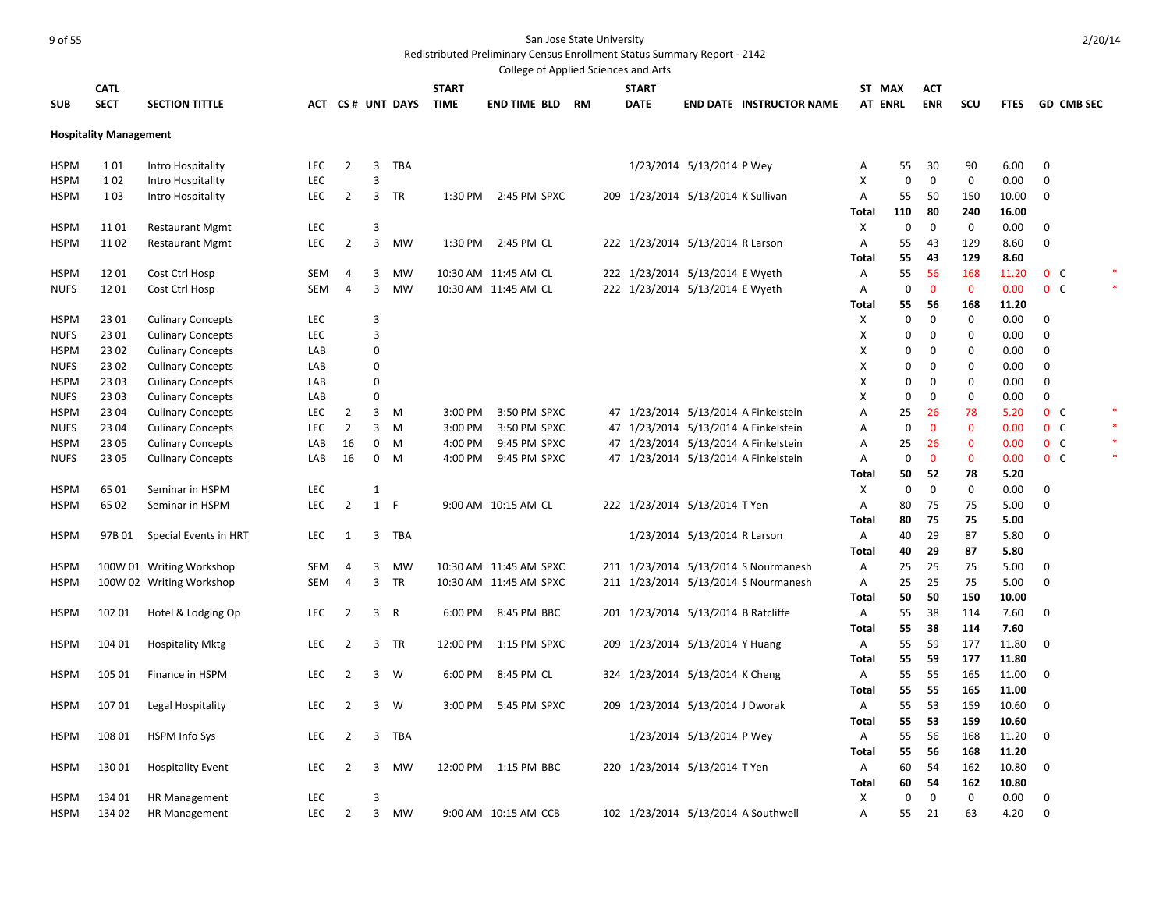### er of 55 San Jose State University and San Jose State University

### Redistributed Preliminary Census Enrollment Status Summary Report - 2142

|             |                               |                                                      |            |                |                |                  |              | College of Applied Sciences and Arts |    |     |              |                                     |                                      |                |             |              |             |              |                   |  |
|-------------|-------------------------------|------------------------------------------------------|------------|----------------|----------------|------------------|--------------|--------------------------------------|----|-----|--------------|-------------------------------------|--------------------------------------|----------------|-------------|--------------|-------------|--------------|-------------------|--|
|             | <b>CATL</b>                   |                                                      |            |                |                |                  | <b>START</b> |                                      |    |     | <b>START</b> |                                     |                                      | ST MAX         |             | <b>ACT</b>   |             |              |                   |  |
| <b>SUB</b>  | <b>SECT</b>                   | <b>SECTION TITTLE</b>                                |            |                |                | ACT CS# UNT DAYS | <b>TIME</b>  | <b>END TIME BLD</b>                  | RM |     | <b>DATE</b>  |                                     | <b>END DATE INSTRUCTOR NAME</b>      | <b>AT ENRL</b> |             | <b>ENR</b>   | scu         | <b>FTES</b>  | <b>GD CMB SEC</b> |  |
|             | <b>Hospitality Management</b> |                                                      |            |                |                |                  |              |                                      |    |     |              |                                     |                                      |                |             |              |             |              |                   |  |
|             |                               |                                                      |            |                |                |                  |              |                                      |    |     |              |                                     |                                      |                |             |              |             |              |                   |  |
| <b>HSPM</b> | 101                           | Intro Hospitality                                    | <b>LEC</b> | $\overline{2}$ | 3              | TBA              |              |                                      |    |     |              | 1/23/2014 5/13/2014 P Wey           |                                      | Α              | 55          | 30           | 90          | 6.00         | 0                 |  |
| <b>HSPM</b> | 102                           | Intro Hospitality                                    | LEC        |                | 3              |                  |              |                                      |    |     |              |                                     |                                      | X              | $\mathbf 0$ | $\mathbf 0$  | $\mathbf 0$ | 0.00         | $\mathbf 0$       |  |
| <b>HSPM</b> | 103                           | Intro Hospitality                                    | <b>LEC</b> | $\overline{2}$ |                | 3 TR             | 1:30 PM      | 2:45 PM SPXC                         |    |     |              | 209 1/23/2014 5/13/2014 K Sullivan  |                                      | Α              | 55          | 50           | 150         | 10.00        | 0                 |  |
|             |                               |                                                      |            |                |                |                  |              |                                      |    |     |              |                                     |                                      | <b>Total</b>   | 110         | 80           | 240         | 16.00        |                   |  |
| <b>HSPM</b> | 1101                          | <b>Restaurant Mgmt</b>                               | LEC        |                | 3              |                  |              |                                      |    |     |              |                                     |                                      | х              | 0           | $\mathbf 0$  | 0           | 0.00         | 0                 |  |
| <b>HSPM</b> | 1102                          | <b>Restaurant Mgmt</b>                               | <b>LEC</b> | $\overline{2}$ | 3              | <b>MW</b>        | 1:30 PM      | 2:45 PM CL                           |    |     |              | 222 1/23/2014 5/13/2014 R Larson    |                                      | Α              | 55          | 43           | 129         | 8.60         | $\mathbf 0$       |  |
|             |                               |                                                      |            |                |                |                  |              |                                      |    |     |              |                                     |                                      | <b>Total</b>   | 55          | 43           | 129         | 8.60         |                   |  |
| <b>HSPM</b> | 1201                          | Cost Ctrl Hosp                                       | SEM        | 4              | 3              | <b>MW</b>        |              | 10:30 AM 11:45 AM CL                 |    |     |              | 222 1/23/2014 5/13/2014 E Wyeth     |                                      | Α              | 55          | 56           | 168         | 11.20        | $0\quad C$        |  |
| <b>NUFS</b> | 12 01                         | Cost Ctrl Hosp                                       | SEM        | 4              | 3              | <b>MW</b>        |              | 10:30 AM 11:45 AM CL                 |    |     |              | 222 1/23/2014 5/13/2014 E Wyeth     |                                      | Α              | 0           | $\mathbf 0$  | $\mathbf 0$ | 0.00         | 0 <sup>o</sup>    |  |
|             |                               |                                                      |            |                |                |                  |              |                                      |    |     |              |                                     |                                      | <b>Total</b>   | 55          | 56           | 168         | 11.20        |                   |  |
| <b>HSPM</b> | 23 01                         | <b>Culinary Concepts</b>                             | <b>LEC</b> |                | 3              |                  |              |                                      |    |     |              |                                     |                                      | х              | 0           | $\mathbf 0$  | 0           | 0.00         | 0                 |  |
| <b>NUFS</b> | 23 01                         | <b>Culinary Concepts</b>                             | LEC        |                | 3              |                  |              |                                      |    |     |              |                                     |                                      | X              | 0           | $\mathbf{0}$ | 0           | 0.00         | $\mathbf 0$       |  |
| <b>HSPM</b> | 23 02                         | <b>Culinary Concepts</b>                             | LAB        |                | 0              |                  |              |                                      |    |     |              |                                     |                                      | X              | 0           | $\mathbf 0$  | $\mathbf 0$ | 0.00         | 0                 |  |
| <b>NUFS</b> | 23 02                         | <b>Culinary Concepts</b>                             | LAB        |                | $\Omega$       |                  |              |                                      |    |     |              |                                     |                                      | X              | $\Omega$    | $\mathbf{0}$ | $\mathbf 0$ | 0.00         | $\mathbf 0$       |  |
| <b>HSPM</b> | 2303                          | <b>Culinary Concepts</b>                             | LAB        |                | $\mathbf 0$    |                  |              |                                      |    |     |              |                                     |                                      | x              | $\mathbf 0$ | $\mathbf 0$  | $\mathbf 0$ | 0.00         | 0                 |  |
| <b>NUFS</b> | 23 03                         | <b>Culinary Concepts</b>                             | LAB        |                | $\Omega$       |                  |              |                                      |    |     |              |                                     |                                      | X              | $\mathbf 0$ | $\mathbf 0$  | $\mathbf 0$ | 0.00         | $\mathbf 0$       |  |
| <b>HSPM</b> | 23 04                         | <b>Culinary Concepts</b>                             | <b>LEC</b> | $\overline{2}$ | 3              | M                | 3:00 PM      | 3:50 PM SPXC                         |    |     |              |                                     | 47 1/23/2014 5/13/2014 A Finkelstein | Α              | 25          | 26           | 78          | 5.20         | 0 <sup>o</sup>    |  |
| <b>NUFS</b> | 23 04                         | <b>Culinary Concepts</b>                             | <b>LEC</b> | $\overline{2}$ | 3              | M                | 3:00 PM      | 3:50 PM SPXC                         |    |     |              |                                     | 47 1/23/2014 5/13/2014 A Finkelstein | A              | $\mathbf 0$ | $\mathbf 0$  | $\mathbf 0$ | 0.00         | $0\quad C$        |  |
| <b>HSPM</b> | 23 05                         | <b>Culinary Concepts</b>                             | LAB        | 16             | 0              | M                | 4:00 PM      | 9:45 PM SPXC                         |    |     |              |                                     | 47 1/23/2014 5/13/2014 A Finkelstein | Α              | 25          | 26           | $\mathbf 0$ | 0.00         | $0\quad C$        |  |
| <b>NUFS</b> | 23 05                         | <b>Culinary Concepts</b>                             | LAB        | 16             | $\mathbf 0$    | M                | 4:00 PM      | 9:45 PM SPXC                         |    |     |              |                                     | 47 1/23/2014 5/13/2014 A Finkelstein | Α              | 0           | $\mathbf{0}$ | $\mathbf 0$ | 0.00         | 0 <sup>o</sup>    |  |
|             |                               |                                                      |            |                |                |                  |              |                                      |    |     |              |                                     |                                      | Total          | 50          | 52           | 78          | 5.20         |                   |  |
| <b>HSPM</b> | 6501                          | Seminar in HSPM                                      | <b>LEC</b> |                | $\mathbf{1}$   |                  |              |                                      |    |     |              |                                     |                                      | X              | 0           | 0            | 0           | 0.00         | $\Omega$          |  |
| <b>HSPM</b> | 65 02                         | Seminar in HSPM                                      | <b>LEC</b> | $\overline{2}$ | 1              | F                |              | 9:00 AM 10:15 AM CL                  |    |     |              | 222 1/23/2014 5/13/2014 T Yen       |                                      | Α              | 80          | 75<br>75     | 75          | 5.00         | 0                 |  |
|             |                               |                                                      |            |                |                |                  |              |                                      |    |     |              |                                     |                                      | <b>Total</b>   | 80          |              | 75<br>87    | 5.00         |                   |  |
| <b>HSPM</b> | 97B 01                        | Special Events in HRT                                | <b>LEC</b> | 1              | 3              | TBA              |              |                                      |    |     |              | 1/23/2014 5/13/2014 R Larson        |                                      | Α<br>Total     | 40<br>40    | 29<br>29     | 87          | 5.80<br>5.80 | 0                 |  |
| <b>HSPM</b> |                               |                                                      | SEM        | 4              | 3              | MW               |              | 10:30 AM 11:45 AM SPXC               |    |     |              |                                     | 211 1/23/2014 5/13/2014 S Nourmanesh | Α              | 25          | 25           | 75          | 5.00         | $\mathbf 0$       |  |
| <b>HSPM</b> |                               | 100W 01 Writing Workshop<br>100W 02 Writing Workshop | SEM        | $\overline{4}$ | $\overline{3}$ | TR               |              | 10:30 AM 11:45 AM SPXC               |    |     |              |                                     | 211 1/23/2014 5/13/2014 S Nourmanesh | Α              | 25          | 25           | 75          | 5.00         | $\mathbf 0$       |  |
|             |                               |                                                      |            |                |                |                  |              |                                      |    |     |              |                                     |                                      | <b>Total</b>   | 50          | 50           | 150         | 10.00        |                   |  |
| <b>HSPM</b> | 102 01                        | Hotel & Lodging Op                                   | <b>LEC</b> | $\overline{2}$ | 3 <sup>1</sup> | $\mathsf{R}$     | 6:00 PM      | 8:45 PM BBC                          |    |     |              | 201 1/23/2014 5/13/2014 B Ratcliffe |                                      | Α              | 55          | 38           | 114         | 7.60         | $\Omega$          |  |
|             |                               |                                                      |            |                |                |                  |              |                                      |    |     |              |                                     |                                      | <b>Total</b>   | 55          | 38           | 114         | 7.60         |                   |  |
| <b>HSPM</b> | 104 01                        | <b>Hospitality Mktg</b>                              | <b>LEC</b> | $\overline{2}$ |                | 3 TR             | 12:00 PM     | 1:15 PM SPXC                         |    |     |              | 209 1/23/2014 5/13/2014 Y Huang     |                                      | Α              | 55          | 59           | 177         | 11.80        | $\mathbf{0}$      |  |
|             |                               |                                                      |            |                |                |                  |              |                                      |    |     |              |                                     |                                      | <b>Total</b>   | 55          | 59           | 177         | 11.80        |                   |  |
| <b>HSPM</b> | 105 01                        | Finance in HSPM                                      | <b>LEC</b> | $\overline{2}$ |                | $3 \quad W$      | 6:00 PM      | 8:45 PM CL                           |    |     |              | 324 1/23/2014 5/13/2014 K Cheng     |                                      | Α              | 55          | 55           | 165         | 11.00        | $\mathbf{0}$      |  |
|             |                               |                                                      |            |                |                |                  |              |                                      |    |     |              |                                     |                                      | <b>Total</b>   | 55          | 55           | 165         | 11.00        |                   |  |
| <b>HSPM</b> | 107 01                        | Legal Hospitality                                    | <b>LEC</b> | $\overline{2}$ |                | $3 \quad W$      | 3:00 PM      | 5:45 PM SPXC                         |    | 209 |              | 1/23/2014 5/13/2014 J Dworak        |                                      | Α              | 55          | 53           | 159         | 10.60        | $\mathbf{0}$      |  |
|             |                               |                                                      |            |                |                |                  |              |                                      |    |     |              |                                     |                                      | <b>Total</b>   | 55          | 53           | 159         | 10.60        |                   |  |
| <b>HSPM</b> | 108 01                        | <b>HSPM Info Sys</b>                                 | LEC.       | 2              | 3              | TBA              |              |                                      |    |     |              | 1/23/2014 5/13/2014 P Wey           |                                      | Α              | 55          | 56           | 168         | 11.20        | 0                 |  |
|             |                               |                                                      |            |                |                |                  |              |                                      |    |     |              |                                     |                                      | <b>Total</b>   | 55          | 56           | 168         | 11.20        |                   |  |
| <b>HSPM</b> | 13001                         | <b>Hospitality Event</b>                             | <b>LEC</b> | $\overline{2}$ | 3              | MW               | 12:00 PM     | 1:15 PM BBC                          |    | 220 |              | 1/23/2014 5/13/2014 T Yen           |                                      | Α              | 60          | 54           | 162         | 10.80        | 0                 |  |
|             |                               |                                                      |            |                |                |                  |              |                                      |    |     |              |                                     |                                      | <b>Total</b>   | 60          | 54           | 162         | 10.80        |                   |  |
| <b>HSPM</b> | 134 01                        | HR Management                                        | <b>LEC</b> |                | 3              |                  |              |                                      |    |     |              |                                     |                                      | X              | $\Omega$    | $\mathbf 0$  | $\mathbf 0$ | 0.00         | $\Omega$          |  |
| <b>HSPM</b> | 134 02                        | <b>HR Management</b>                                 | <b>LEC</b> | $\overline{2}$ | 3              | <b>MW</b>        |              | 9:00 AM 10:15 AM CCB                 |    |     |              |                                     | 102 1/23/2014 5/13/2014 A Southwell  | A              | 55          | 21           | 63          | 4.20         | $\Omega$          |  |

2/20/14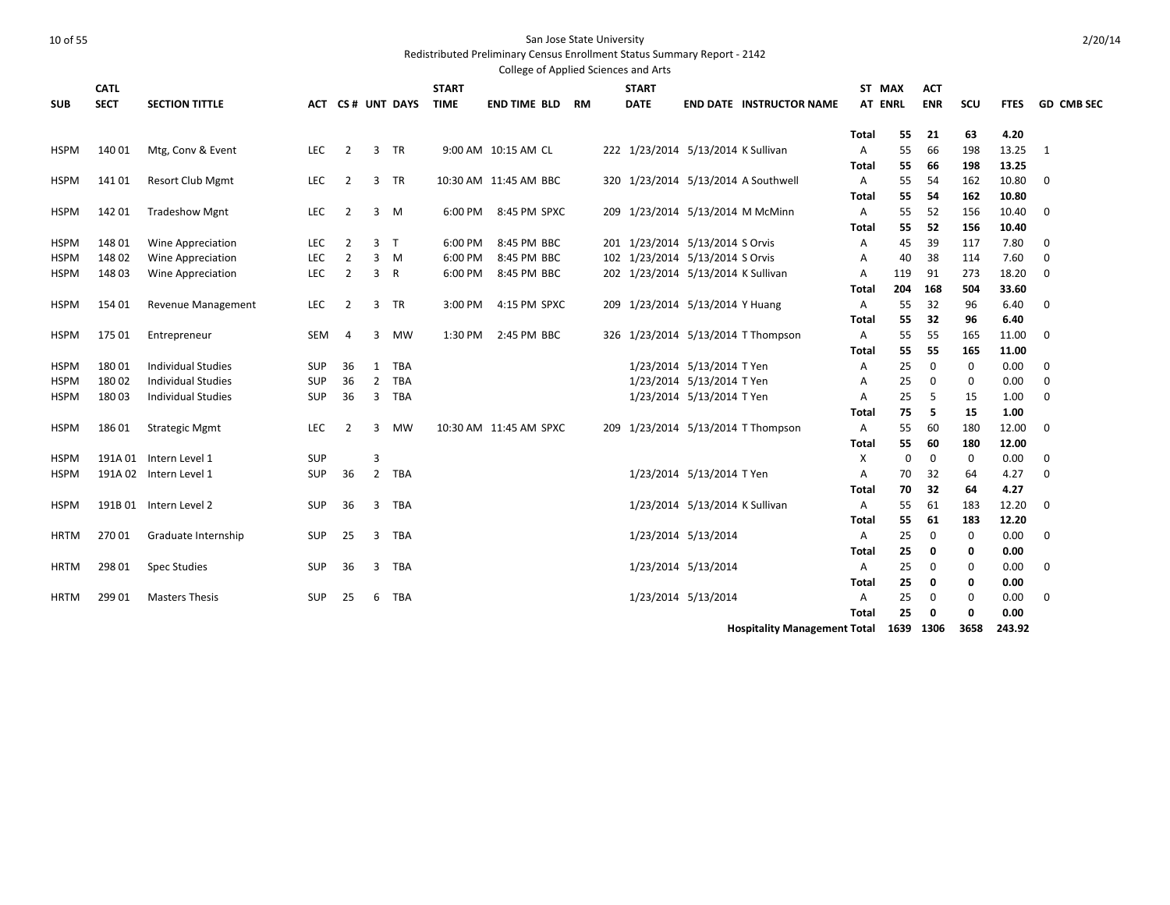Redistributed Preliminary Census Enrollment Status Summary Report - 2142

|                            |                |                                                        |                   |                |                                  |                   |              | College of Applied Sciences and Arts |    |                                    |                                                        |                                     |                |          |            |             |              |                   |
|----------------------------|----------------|--------------------------------------------------------|-------------------|----------------|----------------------------------|-------------------|--------------|--------------------------------------|----|------------------------------------|--------------------------------------------------------|-------------------------------------|----------------|----------|------------|-------------|--------------|-------------------|
|                            | <b>CATL</b>    |                                                        |                   |                |                                  |                   | <b>START</b> |                                      |    | <b>START</b>                       |                                                        |                                     | ST MAX         |          | <b>ACT</b> |             |              |                   |
| <b>SUB</b>                 | <b>SECT</b>    | <b>SECTION TITTLE</b>                                  |                   |                |                                  | ACT CS# UNT DAYS  | <b>TIME</b>  | <b>END TIME BLD</b>                  | RM | <b>DATE</b>                        |                                                        | <b>END DATE INSTRUCTOR NAME</b>     | <b>AT ENRL</b> |          | <b>ENR</b> | scu         | <b>FTES</b>  | <b>GD CMB SEC</b> |
|                            |                |                                                        |                   |                |                                  |                   |              |                                      |    |                                    |                                                        |                                     |                |          |            |             |              |                   |
|                            |                |                                                        |                   |                |                                  |                   |              |                                      |    |                                    |                                                        |                                     | <b>Total</b>   | 55       | 21         | 63          | 4.20         |                   |
| <b>HSPM</b>                | 140 01         | Mtg, Conv & Event                                      | LEC               | $\overline{2}$ |                                  | 3 TR              |              | 9:00 AM 10:15 AM CL                  |    | 222 1/23/2014 5/13/2014 K Sullivan |                                                        |                                     | Α              | 55       | 66         | 198         | 13.25        | 1                 |
|                            |                |                                                        |                   |                |                                  |                   |              |                                      |    |                                    |                                                        |                                     | <b>Total</b>   | 55       | 66         | 198         | 13.25        |                   |
| <b>HSPM</b>                | 14101          | <b>Resort Club Mgmt</b>                                | <b>LEC</b>        | 2              | 3                                | TR                |              | 10:30 AM 11:45 AM BBC                |    |                                    |                                                        | 320 1/23/2014 5/13/2014 A Southwell | Α              | 55       | 54         | 162         | 10.80        | $\mathbf 0$       |
|                            |                |                                                        |                   |                |                                  |                   |              |                                      |    |                                    |                                                        |                                     | Total          | 55       | 54         | 162         | 10.80        |                   |
| <b>HSPM</b>                | 142 01         | <b>Tradeshow Mgnt</b>                                  | <b>LEC</b>        | $\overline{2}$ | 3                                | - M               | 6:00 PM      | 8:45 PM SPXC                         |    |                                    |                                                        | 209 1/23/2014 5/13/2014 M McMinn    | Α              | 55       | 52         | 156         | 10.40        | $\mathbf 0$       |
|                            |                |                                                        |                   |                |                                  |                   |              |                                      |    |                                    |                                                        |                                     | <b>Total</b>   | 55       | 52         | 156         | 10.40        |                   |
| <b>HSPM</b>                | 148 01         | Wine Appreciation                                      | <b>LEC</b>        | $\overline{2}$ | 3 <sub>T</sub>                   |                   | 6:00 PM      | 8:45 PM BBC                          |    | 201 1/23/2014 5/13/2014 S Orvis    |                                                        |                                     | Α              | 45       | 39         | 117         | 7.80         | $\mathbf 0$       |
| <b>HSPM</b>                | 148 02         | Wine Appreciation                                      | <b>LEC</b>        | $\overline{2}$ |                                  | $3 \quad M$       | 6:00 PM      | 8:45 PM BBC                          |    | 102 1/23/2014 5/13/2014 S Orvis    |                                                        |                                     | Α              | 40       | 38         | 114         | 7.60         | $\mathbf 0$       |
| <b>HSPM</b>                | 148 03         | <b>Wine Appreciation</b>                               | <b>LEC</b>        | $\overline{2}$ | 3 R                              |                   | 6:00 PM      | 8:45 PM BBC                          |    | 202 1/23/2014 5/13/2014 K Sullivan |                                                        |                                     | A              | 119      | 91         | 273         | 18.20        | $\mathbf 0$       |
|                            |                |                                                        |                   |                |                                  |                   |              |                                      |    |                                    |                                                        |                                     | Total          | 204      | 168        | 504         | 33.60        |                   |
| <b>HSPM</b>                | 154 01         | Revenue Management                                     | LEC               | $\overline{2}$ | 3                                | TR                | 3:00 PM      | 4:15 PM SPXC                         |    | 209 1/23/2014 5/13/2014 Y Huang    |                                                        |                                     | Α              | 55       | 32         | 96          | 6.40         | $\mathbf 0$       |
|                            |                |                                                        |                   |                |                                  |                   |              |                                      |    |                                    |                                                        |                                     | Total          | 55       | 32         | 96          | 6.40         |                   |
| <b>HSPM</b>                | 175 01         | Entrepreneur                                           | SEM               | 4              | 3                                | <b>MW</b>         | 1:30 PM      | 2:45 PM BBC                          |    |                                    |                                                        | 326 1/23/2014 5/13/2014 T Thompson  | Α              | 55       | 55         | 165         | 11.00        | $\mathbf 0$       |
|                            |                |                                                        |                   |                |                                  |                   |              |                                      |    |                                    |                                                        |                                     | Total          | 55       | 55         | 165         | 11.00        |                   |
| <b>HSPM</b>                | 18001          | <b>Individual Studies</b>                              | SUP               | 36             | 1                                | <b>TBA</b>        |              |                                      |    |                                    | 1/23/2014 5/13/2014 T Yen                              |                                     | Α              | 25       | 0          | 0           | 0.00         | $\mathbf 0$       |
| <b>HSPM</b><br><b>HSPM</b> | 18002<br>18003 | <b>Individual Studies</b><br><b>Individual Studies</b> | <b>SUP</b><br>SUP | 36<br>36       | $\overline{2}$<br>$\overline{3}$ | <b>TBA</b><br>TBA |              |                                      |    |                                    | 1/23/2014 5/13/2014 T Yen<br>1/23/2014 5/13/2014 T Yen |                                     | Α<br>A         | 25<br>25 | 0<br>5     | 0<br>15     | 0.00<br>1.00 | 0<br>$\mathbf 0$  |
|                            |                |                                                        |                   |                |                                  |                   |              |                                      |    |                                    |                                                        |                                     | Total          | 75       | -5         | 15          | 1.00         |                   |
| <b>HSPM</b>                | 18601          | <b>Strategic Mgmt</b>                                  | <b>LEC</b>        | 2              | 3                                | MW                |              | 10:30 AM 11:45 AM SPXC               |    |                                    |                                                        | 209 1/23/2014 5/13/2014 T Thompson  | Α              | 55       | 60         | 180         | 12.00        | $\mathbf 0$       |
|                            |                |                                                        |                   |                |                                  |                   |              |                                      |    |                                    |                                                        |                                     | Total          | 55       | 60         | 180         | 12.00        |                   |
| HSPM                       |                | 191A 01 Intern Level 1                                 | <b>SUP</b>        |                | 3                                |                   |              |                                      |    |                                    |                                                        |                                     | Χ              | 0        | 0          | 0           | 0.00         | $\mathbf 0$       |
| <b>HSPM</b>                |                | 191A 02 Intern Level 1                                 | SUP               | 36             | 2                                | <b>TBA</b>        |              |                                      |    |                                    | 1/23/2014 5/13/2014 T Yen                              |                                     | A              | 70       | 32         | 64          | 4.27         | $\mathbf 0$       |
|                            |                |                                                        |                   |                |                                  |                   |              |                                      |    |                                    |                                                        |                                     | Total          | 70       | 32         | 64          | 4.27         |                   |
| <b>HSPM</b>                |                | 191B 01 Intern Level 2                                 | SUP               | 36             | 3                                | TBA               |              |                                      |    |                                    | 1/23/2014 5/13/2014 K Sullivan                         |                                     | Α              | 55       | 61         | 183         | 12.20        | $\mathbf 0$       |
|                            |                |                                                        |                   |                |                                  |                   |              |                                      |    |                                    |                                                        |                                     | Total          | 55       | 61         | 183         | 12.20        |                   |
| <b>HRTM</b>                | 270 01         | Graduate Internship                                    | <b>SUP</b>        | 25             | 3                                | TBA               |              |                                      |    |                                    | 1/23/2014 5/13/2014                                    |                                     | A              | 25       | 0          | $\mathbf 0$ | 0.00         | $\mathbf 0$       |
|                            |                |                                                        |                   |                |                                  |                   |              |                                      |    |                                    |                                                        |                                     | <b>Total</b>   | 25       | 0          | $\mathbf 0$ | 0.00         |                   |
| <b>HRTM</b>                | 298 01         | <b>Spec Studies</b>                                    | SUP               | 36             | $\overline{3}$                   | TBA               |              |                                      |    |                                    | 1/23/2014 5/13/2014                                    |                                     | A              | 25       | 0          | $\mathbf 0$ | 0.00         | $\mathbf 0$       |
|                            |                |                                                        |                   |                |                                  |                   |              |                                      |    |                                    |                                                        |                                     | Total          | 25       | 0          | 0           | 0.00         |                   |
| <b>HRTM</b>                | 299 01         | <b>Masters Thesis</b>                                  | SUP               | 25             | 6                                | <b>TBA</b>        |              |                                      |    |                                    | 1/23/2014 5/13/2014                                    |                                     | Α              | 25       | 0          | $\mathbf 0$ | 0.00         | $\mathbf 0$       |
|                            |                |                                                        |                   |                |                                  |                   |              |                                      |    |                                    |                                                        |                                     | Total          | 25       | 0          | 0           | 0.00         |                   |
|                            |                |                                                        |                   |                |                                  |                   |              |                                      |    |                                    |                                                        |                                     |                |          |            |             |              |                   |

**Hospitality Management Total 1639 1306 3658 243.92**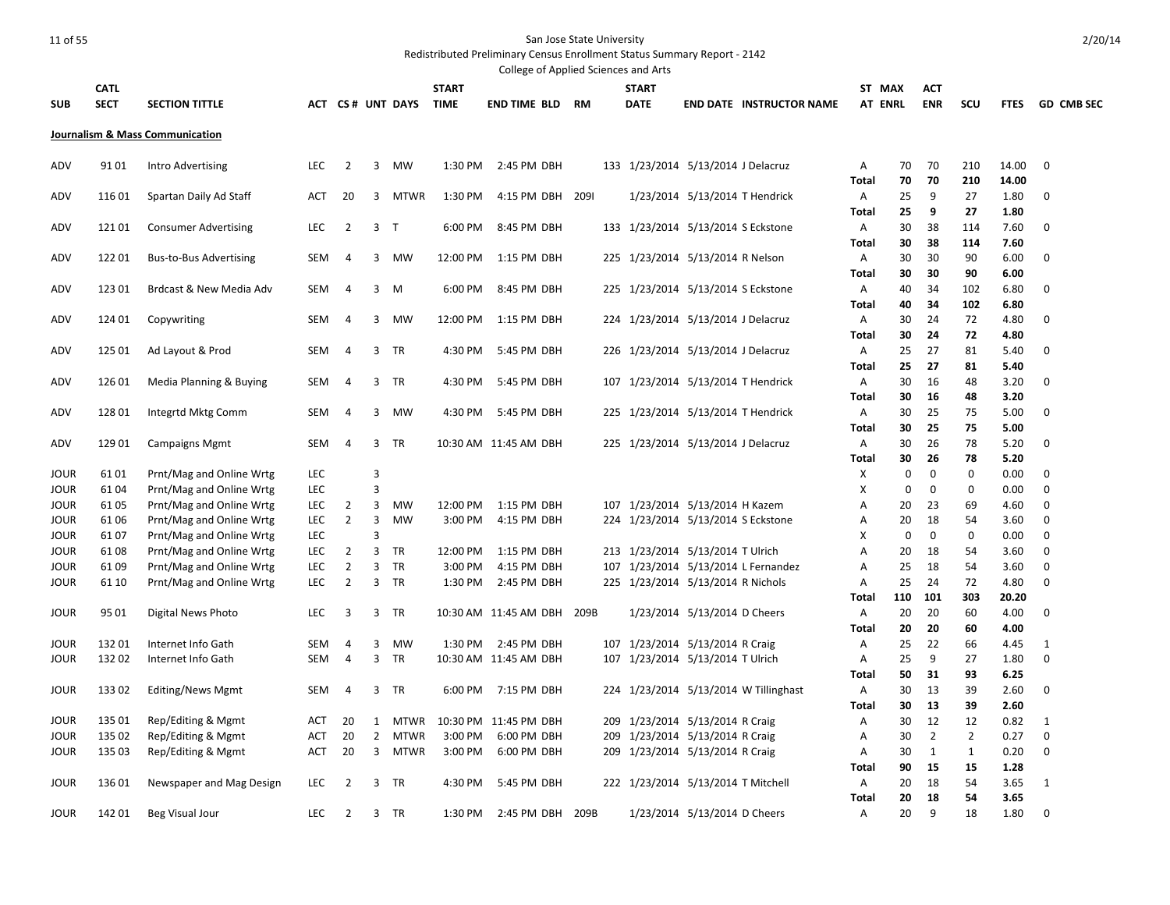|             |             |                                          |            |                |                |                  |              | College of Applied Sciences and Arts |           |            |                                    |                                |                                    |              |                |                |                |                |                 |
|-------------|-------------|------------------------------------------|------------|----------------|----------------|------------------|--------------|--------------------------------------|-----------|------------|------------------------------------|--------------------------------|------------------------------------|--------------|----------------|----------------|----------------|----------------|-----------------|
|             | <b>CATL</b> |                                          |            |                |                |                  | <b>START</b> |                                      |           |            | <b>START</b>                       |                                |                                    | ST MAX       |                | <b>ACT</b>     |                |                |                 |
| <b>SUB</b>  | <b>SECT</b> | <b>SECTION TITTLE</b>                    |            |                |                | ACT CS# UNT DAYS | <b>TIME</b>  | END TIME BLD                         | <b>RM</b> |            | <b>DATE</b>                        |                                | <b>END DATE INSTRUCTOR NAME</b>    |              | <b>AT ENRL</b> | <b>ENR</b>     | scu            |                | FTES GD CMB SEC |
|             |             |                                          |            |                |                |                  |              |                                      |           |            |                                    |                                |                                    |              |                |                |                |                |                 |
|             |             | Journalism & Mass Communication          |            |                |                |                  |              |                                      |           |            |                                    |                                |                                    |              |                |                |                |                |                 |
|             |             |                                          |            |                |                |                  |              |                                      |           |            |                                    |                                |                                    |              |                |                |                |                |                 |
| ADV         | 9101        | Intro Advertising                        | <b>LEC</b> | $\overline{2}$ | 3              | <b>MW</b>        | 1:30 PM      | 2:45 PM DBH                          |           |            | 133 1/23/2014 5/13/2014 J Delacruz |                                |                                    | Α            | 70<br>70       | 70<br>70       | 210<br>210     | 14.00<br>14.00 | $\mathbf 0$     |
| ADV         | 116 01      | Spartan Daily Ad Staff                   | ACT        | 20             | 3              | <b>MTWR</b>      | 1:30 PM      | 4:15 PM DBH 209I                     |           |            |                                    | 1/23/2014 5/13/2014 T Hendrick |                                    | Total<br>A   | 25             | 9              | 27             | 1.80           | 0               |
|             |             |                                          |            |                |                |                  |              |                                      |           |            |                                    |                                |                                    | Total        | 25             | 9              | 27             | 1.80           |                 |
| ADV         | 12101       | <b>Consumer Advertising</b>              | <b>LEC</b> | $\overline{2}$ | 3              | $\top$           | 6:00 PM      | 8:45 PM DBH                          |           |            | 133 1/23/2014 5/13/2014 S Eckstone |                                |                                    | Α            | 30             | 38             | 114            | 7.60           | $\mathbf 0$     |
|             |             |                                          |            |                |                |                  |              |                                      |           |            |                                    |                                |                                    | <b>Total</b> | 30             | 38             | 114            | 7.60           |                 |
| ADV         | 12201       | <b>Bus-to-Bus Advertising</b>            | <b>SEM</b> | 4              | 3              | <b>MW</b>        | 12:00 PM     | 1:15 PM DBH                          |           |            | 225 1/23/2014 5/13/2014 R Nelson   |                                |                                    | Α            | 30             | 30             | 90             | 6.00           | $\mathbf 0$     |
|             |             |                                          |            |                |                |                  |              |                                      |           |            |                                    |                                |                                    | <b>Total</b> | 30             | 30             | 90             | 6.00           |                 |
| ADV         | 123 01      | Brdcast & New Media Adv                  | <b>SEM</b> | 4              | 3              | M                | 6:00 PM      | 8:45 PM DBH                          |           |            | 225 1/23/2014 5/13/2014 S Eckstone |                                |                                    | Α            | 40             | 34             | 102            | 6.80           | 0               |
|             |             |                                          |            |                |                |                  |              |                                      |           |            |                                    |                                |                                    | <b>Total</b> | 40             | 34             | 102            | 6.80           |                 |
| ADV         | 124 01      | Copywriting                              | SEM        | 4              | 3              | <b>MW</b>        | 12:00 PM     | 1:15 PM DBH                          |           |            | 224 1/23/2014 5/13/2014 J Delacruz |                                |                                    | Α            | 30             | 24             | 72             | 4.80           | 0               |
|             |             |                                          |            |                |                |                  |              |                                      |           |            |                                    |                                |                                    | Total        | 30             | 24             | 72             | 4.80           |                 |
| ADV         | 125 01      | Ad Layout & Prod                         | <b>SEM</b> | 4              | 3              | TR               | 4:30 PM      | 5:45 PM DBH                          |           |            | 226 1/23/2014 5/13/2014 J Delacruz |                                |                                    | Α            | 25             | 27             | 81             | 5.40           | 0               |
|             |             |                                          |            |                |                |                  |              |                                      |           |            |                                    |                                |                                    | Total        | 25             | 27             | 81             | 5.40           |                 |
| ADV         | 126 01      | Media Planning & Buying                  | <b>SEM</b> | 4              |                | 3 TR             | 4:30 PM      | 5:45 PM DBH                          |           |            |                                    |                                | 107 1/23/2014 5/13/2014 T Hendrick | Α            | 30             | 16             | 48             | 3.20           | 0               |
|             |             |                                          |            |                |                |                  |              |                                      |           |            |                                    |                                |                                    | <b>Total</b> | 30             | 16             | 48             | 3.20           |                 |
| ADV         | 128 01      | Integrtd Mktg Comm                       | <b>SEM</b> | 4              | 3              | <b>MW</b>        | 4:30 PM      | 5:45 PM DBH                          |           |            |                                    |                                | 225 1/23/2014 5/13/2014 T Hendrick | Α            | 30             | 25             | 75             | 5.00           | 0               |
|             | 129 01      |                                          |            | 4              | 3              |                  |              |                                      |           |            |                                    |                                |                                    | <b>Total</b> | 30             | 25<br>26       | 75<br>78       | 5.00           |                 |
| ADV         |             | <b>Campaigns Mgmt</b>                    | SEM        |                |                | <b>TR</b>        |              | 10:30 AM 11:45 AM DBH                |           |            | 225 1/23/2014 5/13/2014 J Delacruz |                                |                                    | Α<br>Total   | 30<br>30       | 26             | 78             | 5.20<br>5.20   | 0               |
| JOUR        | 6101        | Prnt/Mag and Online Wrtg                 | <b>LEC</b> |                | 3              |                  |              |                                      |           |            |                                    |                                |                                    | X            | 0              | 0              | $\mathbf 0$    | 0.00           | 0               |
| <b>JOUR</b> | 6104        | Prnt/Mag and Online Wrtg                 | <b>LEC</b> |                | 3              |                  |              |                                      |           |            |                                    |                                |                                    | X            | $\mathbf 0$    | 0              | $\mathbf 0$    | 0.00           | 0               |
| JOUR        | 61 05       | Prnt/Mag and Online Wrtg                 | <b>LEC</b> | 2              | 3              | <b>MW</b>        | 12:00 PM     | 1:15 PM DBH                          |           |            | 107 1/23/2014 5/13/2014 H Kazem    |                                |                                    | A            | 20             | 23             | 69             | 4.60           | 0               |
| <b>JOUR</b> | 6106        | Prnt/Mag and Online Wrtg                 | <b>LEC</b> | $\overline{2}$ | 3              | <b>MW</b>        | 3:00 PM      | 4:15 PM DBH                          |           |            | 224 1/23/2014 5/13/2014 S Eckstone |                                |                                    | Α            | 20             | 18             | 54             | 3.60           | 0               |
| JOUR        | 6107        | Prnt/Mag and Online Wrtg                 | LEC        |                | 3              |                  |              |                                      |           |            |                                    |                                |                                    | X            | $\mathbf 0$    | $\mathbf 0$    | $\mathbf 0$    | 0.00           | $\mathbf 0$     |
| <b>JOUR</b> | 6108        | Prnt/Mag and Online Wrtg                 | <b>LEC</b> | 2              | 3              | <b>TR</b>        | 12:00 PM     | 1:15 PM DBH                          |           |            | 213 1/23/2014 5/13/2014 T Ulrich   |                                |                                    | A            | 20             | 18             | 54             | 3.60           | $\mathbf 0$     |
| JOUR        | 6109        | Prnt/Mag and Online Wrtg                 | <b>LEC</b> | $\overline{2}$ | 3              | <b>TR</b>        | 3:00 PM      | 4:15 PM DBH                          |           | 107        |                                    |                                | 1/23/2014 5/13/2014 L Fernandez    | A            | 25             | 18             | 54             | 3.60           | 0               |
| <b>JOUR</b> | 61 10       | Prnt/Mag and Online Wrtg                 | <b>LEC</b> | 2              | 3              | TR               | 1:30 PM      | 2:45 PM DBH                          |           |            | 225 1/23/2014 5/13/2014 R Nichols  |                                |                                    | Α            | 25             | 24             | 72             | 4.80           | $\mathbf 0$     |
|             |             |                                          |            |                |                |                  |              |                                      |           |            |                                    |                                |                                    | <b>Total</b> | 110            | 101            | 303            | 20.20          |                 |
| <b>JOUR</b> | 95 01       | Digital News Photo                       | <b>LEC</b> | 3              | 3              | TR               |              | 10:30 AM 11:45 AM DBH 209B           |           |            |                                    | 1/23/2014 5/13/2014 D Cheers   |                                    | Α            | 20             | 20             | 60             | 4.00           | 0               |
|             |             |                                          |            |                |                |                  |              |                                      |           |            |                                    |                                |                                    | <b>Total</b> | 20             | 20             | 60             | 4.00           |                 |
| <b>JOUR</b> | 13201       | Internet Info Gath                       | <b>SEM</b> | 4              | 3              | <b>MW</b>        |              | 1:30 PM 2:45 PM DBH                  |           |            | 107 1/23/2014 5/13/2014 R Craig    |                                |                                    | Α            | 25             | 22             | 66             | 4.45           | 1               |
| <b>JOUR</b> | 132 02      | Internet Info Gath                       | <b>SEM</b> | 4              | 3              | TR               |              | 10:30 AM 11:45 AM DBH                |           | 107        | 1/23/2014 5/13/2014 T Ulrich       |                                |                                    | Α            | 25             | 9              | 27             | 1.80           | 0               |
|             |             |                                          |            |                |                |                  |              |                                      |           |            |                                    |                                |                                    | <b>Total</b> | 50             | 31             | 93             | 6.25           |                 |
| <b>JOUR</b> | 133 02      | Editing/News Mgmt                        | <b>SEM</b> | 4              | 3              | TR               | 6:00 PM      | 7:15 PM DBH                          |           | 224        |                                    |                                | 1/23/2014 5/13/2014 W Tillinghast  | Α            | 30             | 13             | 39             | 2.60           | 0               |
| <b>JOUR</b> | 135 01      |                                          | <b>ACT</b> | 20             | 1              | <b>MTWR</b>      |              | 10:30 PM 11:45 PM DBH                |           |            | 1/23/2014 5/13/2014 R Craig        |                                |                                    | Total<br>Α   | 30<br>30       | 13<br>12       | 39<br>12       | 2.60<br>0.82   | 1               |
| JOUR        | 135 02      | Rep/Editing & Mgmt<br>Rep/Editing & Mgmt | ACT        | 20             | $\overline{2}$ | <b>MTWR</b>      | 3:00 PM      | 6:00 PM DBH                          |           | 209<br>209 | 1/23/2014 5/13/2014 R Craig        |                                |                                    | А            | 30             | $\overline{2}$ | $\overline{2}$ | 0.27           | $\mathbf 0$     |
| <b>JOUR</b> | 135 03      | Rep/Editing & Mgmt                       | ACT        | 20             | 3              | <b>MTWR</b>      | 3:00 PM      | 6:00 PM DBH                          |           |            | 209 1/23/2014 5/13/2014 R Craig    |                                |                                    | Α            | 30             | 1              | $\mathbf{1}$   | 0.20           | 0               |
|             |             |                                          |            |                |                |                  |              |                                      |           |            |                                    |                                |                                    | <b>Total</b> | 90             | 15             | 15             | 1.28           |                 |
| <b>JOUR</b> | 136 01      | Newspaper and Mag Design                 | <b>LEC</b> | 2              | 3              | TR               | 4:30 PM      | 5:45 PM DBH                          |           |            | 222 1/23/2014 5/13/2014 T Mitchell |                                |                                    | Α            | 20             | 18             | 54             | 3.65           | 1               |
|             |             |                                          |            |                |                |                  |              |                                      |           |            |                                    |                                |                                    | <b>Total</b> | 20             | 18             | 54             | 3.65           |                 |
| <b>JOUR</b> | 142 01      | Beg Visual Jour                          | <b>LEC</b> | 2              | 3              | TR               | 1:30 PM      | 2:45 PM DBH 209B                     |           |            |                                    | 1/23/2014 5/13/2014 D Cheers   |                                    | Α            | 20             | 9              | 18             | 1.80           | 0               |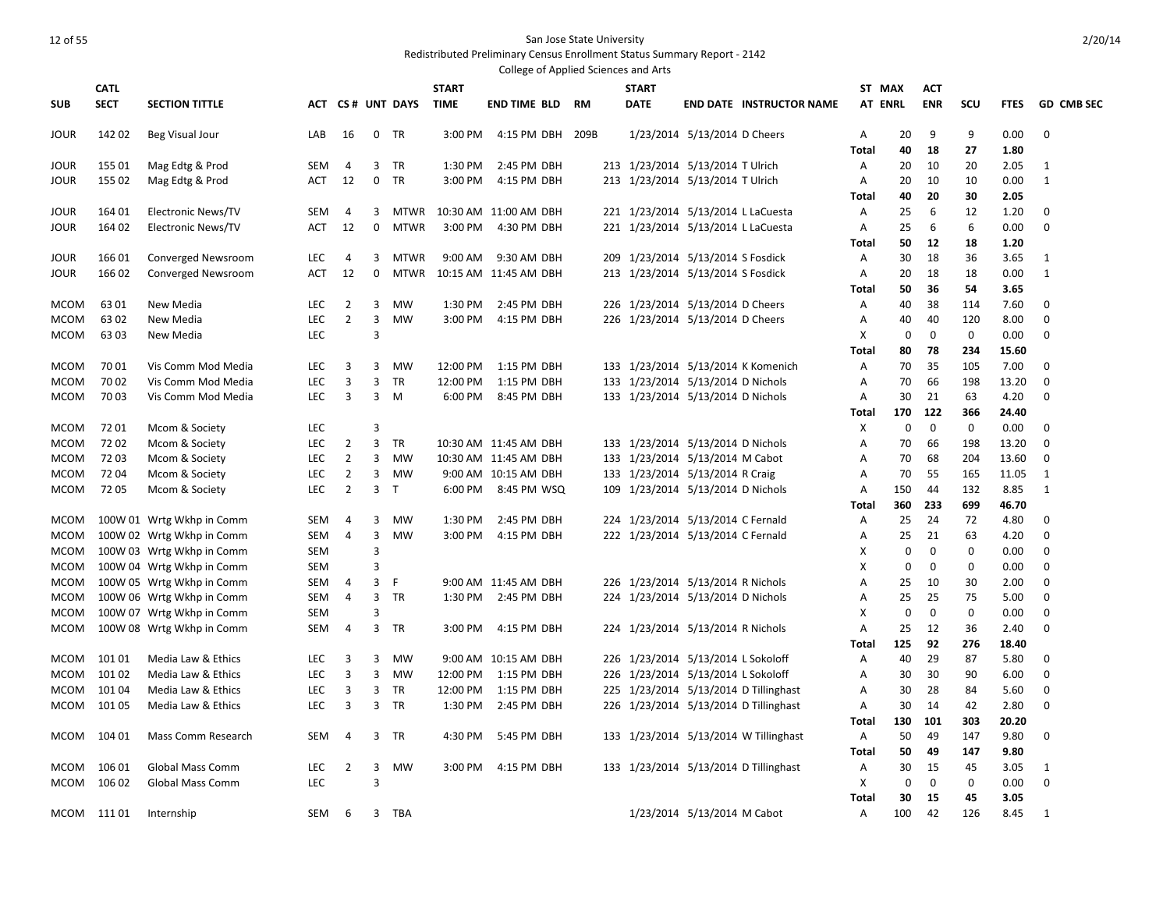|              |             |                                                        |            |                |        |                  |              | College of Applied Sciences and Arts |    |              |                                    |                                       |                |              |             |              |              |                   |
|--------------|-------------|--------------------------------------------------------|------------|----------------|--------|------------------|--------------|--------------------------------------|----|--------------|------------------------------------|---------------------------------------|----------------|--------------|-------------|--------------|--------------|-------------------|
|              | <b>CATL</b> |                                                        |            |                |        |                  | <b>START</b> |                                      |    | <b>START</b> |                                    |                                       | ST MAX         |              | <b>ACT</b>  |              |              |                   |
| <b>SUB</b>   | <b>SECT</b> | <b>SECTION TITTLE</b>                                  |            |                |        | ACT CS# UNT DAYS | <b>TIME</b>  | <b>END TIME BLD</b>                  | RM | <b>DATE</b>  |                                    | <b>END DATE INSTRUCTOR NAME</b>       | <b>AT ENRL</b> |              | <b>ENR</b>  | scu          | <b>FTES</b>  | <b>GD CMB SEC</b> |
| JOUR         | 142 02      | Beg Visual Jour                                        | LAB        | 16             | 0      | TR               | 3:00 PM      | 4:15 PM DBH 209B                     |    |              | 1/23/2014 5/13/2014 D Cheers       |                                       | Α              | 20           | 9           | 9            | 0.00         | $\mathbf{0}$      |
|              |             |                                                        |            |                |        |                  |              |                                      |    |              |                                    |                                       | Total          | 40           | 18          | 27           | 1.80         |                   |
| JOUR         | 155 01      | Mag Edtg & Prod                                        | SEM        | 4              | 3      | <b>TR</b>        | 1:30 PM      | 2:45 PM DBH                          |    |              | 213 1/23/2014 5/13/2014 T Ulrich   |                                       | Α              | 20           | 10          | 20           | 2.05         | 1                 |
| JOUR         | 155 02      | Mag Edtg & Prod                                        | <b>ACT</b> | 12             | 0      | <b>TR</b>        | 3:00 PM      | 4:15 PM DBH                          |    |              | 213 1/23/2014 5/13/2014 T Ulrich   |                                       | A              | 20           | 10          | 10           | 0.00         | 1                 |
|              |             |                                                        |            |                |        |                  |              |                                      |    |              |                                    |                                       | Total          | 40           | 20          | 30           | 2.05         |                   |
| JOUR         | 164 01      | <b>Electronic News/TV</b>                              | SEM        | 4              | 3      | MTWR             |              | 10:30 AM 11:00 AM DBH                |    |              |                                    | 221 1/23/2014 5/13/2014 L LaCuesta    | Α              | 25           | 6           | 12           | 1.20         | 0                 |
| JOUR         | 164 02      | <b>Electronic News/TV</b>                              | <b>ACT</b> | 12             | 0      | <b>MTWR</b>      | 3:00 PM      | 4:30 PM DBH                          |    |              | 221 1/23/2014 5/13/2014 L LaCuesta |                                       | Α              | 25           | 6           | 6            | 0.00         | 0                 |
|              |             |                                                        |            |                |        |                  |              |                                      |    |              |                                    |                                       | Total          | 50           | 12          | 18           | 1.20         |                   |
| <b>JOUR</b>  | 16601       | <b>Converged Newsroom</b>                              | LEC        | 4              | 3      | <b>MTWR</b>      | 9:00 AM      | 9:30 AM DBH                          |    |              | 209 1/23/2014 5/13/2014 S Fosdick  |                                       | Α              | 30           | 18          | 36           | 3.65         | 1                 |
| JOUR         | 166 02      | Converged Newsroom                                     | ACT        | 12             | 0      | <b>MTWR</b>      |              | 10:15 AM 11:45 AM DBH                |    |              | 213 1/23/2014 5/13/2014 S Fosdick  |                                       | A              | 20           | 18          | 18           | 0.00         | 1                 |
| MCOM         | 6301        | New Media                                              | <b>LEC</b> | $\overline{2}$ | 3      | <b>MW</b>        | 1:30 PM      | 2:45 PM DBH                          |    |              | 226 1/23/2014 5/13/2014 D Cheers   |                                       | Total<br>Α     | 50<br>40     | 36<br>38    | 54<br>114    | 3.65<br>7.60 | 0                 |
| <b>MCOM</b>  | 63 02       | New Media                                              | LEC        | $\overline{2}$ | 3      | <b>MW</b>        | 3:00 PM      | 4:15 PM DBH                          |    |              | 226 1/23/2014 5/13/2014 D Cheers   |                                       | Α              | 40           | 40          | 120          | 8.00         | 0                 |
| MCOM         | 6303        | New Media                                              | <b>LEC</b> |                | 3      |                  |              |                                      |    |              |                                    |                                       | X              | $\mathbf 0$  | $\mathbf 0$ | $\mathbf 0$  | 0.00         | $\mathbf 0$       |
|              |             |                                                        |            |                |        |                  |              |                                      |    |              |                                    |                                       | Total          | 80           | 78          | 234          | 15.60        |                   |
| <b>MCOM</b>  | 7001        | Vis Comm Mod Media                                     | LEC.       | 3              | 3      | MW               | 12:00 PM     | 1:15 PM DBH                          |    |              |                                    | 133 1/23/2014 5/13/2014 K Komenich    | A              | 70           | 35          | 105          | 7.00         | $\mathbf 0$       |
| <b>MCOM</b>  | 70 02       | Vis Comm Mod Media                                     | <b>LEC</b> | 3              | 3      | TR               | 12:00 PM     | 1:15 PM DBH                          |    |              | 133 1/23/2014 5/13/2014 D Nichols  |                                       | Α              | 70           | 66          | 198          | 13.20        | $\mathbf 0$       |
| MCOM         | 7003        | Vis Comm Mod Media                                     | <b>LEC</b> | 3              | 3      | M                | 6:00 PM      | 8:45 PM DBH                          |    |              | 133 1/23/2014 5/13/2014 D Nichols  |                                       | A              | 30           | 21          | 63           | 4.20         | 0                 |
|              |             |                                                        |            |                |        |                  |              |                                      |    |              |                                    |                                       | Total          | 170          | 122         | 366          | 24.40        |                   |
| MCOM         | 72 01       | Mcom & Society                                         | <b>LEC</b> |                | 3      |                  |              |                                      |    |              |                                    |                                       | х              | $\mathbf 0$  | $\mathbf 0$ | $\mathbf 0$  | 0.00         | $\mathbf{0}$      |
| MCOM         | 7202        | Mcom & Society                                         | LEC        | $\overline{2}$ | 3      | TR               |              | 10:30 AM 11:45 AM DBH                |    |              | 133 1/23/2014 5/13/2014 D Nichols  |                                       | Α              | 70           | 66          | 198          | 13.20        | $\mathbf 0$       |
| MCOM         | 7203        | Mcom & Society                                         | LEC.       | 2              | 3      | MW               |              | 10:30 AM 11:45 AM DBH                |    |              | 133 1/23/2014 5/13/2014 M Cabot    |                                       | A              | 70           | 68          | 204          | 13.60        | $\mathbf{0}$      |
| MCOM         | 7204        | Mcom & Society                                         | LEC        | $\overline{2}$ | 3      | MW               |              | 9:00 AM 10:15 AM DBH                 |    |              | 133 1/23/2014 5/13/2014 R Craig    |                                       | Α              | 70           | 55          | 165          | 11.05        | 1                 |
| <b>MCOM</b>  | 7205        | Mcom & Society                                         | <b>LEC</b> | $\overline{2}$ | 3      | $\mathsf{T}$     | 6:00 PM      | 8:45 PM WSQ                          |    |              | 109 1/23/2014 5/13/2014 D Nichols  |                                       | A              | 150          | 44          | 132          | 8.85         | 1                 |
|              |             |                                                        |            |                |        |                  |              |                                      |    |              |                                    |                                       | Total          | 360          | 233         | 699          | 46.70        |                   |
| <b>MCOM</b>  |             | 100W 01 Wrtg Wkhp in Comm                              | SEM        | 4              | 3      | MW               | 1:30 PM      | 2:45 PM DBH                          |    |              | 224 1/23/2014 5/13/2014 C Fernald  |                                       | Α              | 25           | 24          | 72           | 4.80         | $\mathbf 0$       |
| MCOM         |             | 100W 02 Wrtg Wkhp in Comm                              | SEM        | 4              | 3      | <b>MW</b>        | 3:00 PM      | 4:15 PM DBH                          |    |              | 222 1/23/2014 5/13/2014 C Fernald  |                                       | Α              | 25           | 21          | 63           | 4.20         | 0                 |
| MCOM         |             | 100W 03 Wrtg Wkhp in Comm                              | <b>SEM</b> |                | 3      |                  |              |                                      |    |              |                                    |                                       | X              | $\mathbf 0$  | $\mathbf 0$ | $\mathbf{0}$ | 0.00         | $\mathbf 0$       |
| MCOM         |             | 100W 04 Wrtg Wkhp in Comm                              | SEM        |                | з      |                  |              |                                      |    |              |                                    |                                       | X              | $\mathbf{0}$ | 0           | $\mathbf 0$  | 0.00         | 0                 |
| MCOM<br>MCOM |             | 100W 05 Wrtg Wkhp in Comm                              | SEM<br>SEM | 4<br>4         | 3      | F<br>TR          |              | 9:00 AM 11:45 AM DBH                 |    |              | 226 1/23/2014 5/13/2014 R Nichols  |                                       | A<br>Α         | 25           | 10<br>25    | 30<br>75     | 2.00         | 0<br>0            |
| MCOM         |             | 100W 06 Wrtg Wkhp in Comm<br>100W 07 Wrtg Wkhp in Comm | SEM        |                | 3<br>3 |                  |              | 1:30 PM 2:45 PM DBH                  |    |              | 224 1/23/2014 5/13/2014 D Nichols  |                                       | X              | 25<br>0      | $\mathbf 0$ | $\mathbf 0$  | 5.00<br>0.00 | 0                 |
| MCOM         |             | 100W 08 Wrtg Wkhp in Comm                              | SEM        | 4              | 3      | TR               | 3:00 PM      | 4:15 PM DBH                          |    |              | 224 1/23/2014 5/13/2014 R Nichols  |                                       | Α              | 25           | 12          | 36           | 2.40         | 0                 |
|              |             |                                                        |            |                |        |                  |              |                                      |    |              |                                    |                                       | Total          | 125          | 92          | 276          | 18.40        |                   |
| MCOM         | 10101       | Media Law & Ethics                                     | <b>LEC</b> | 3              | 3      | <b>MW</b>        |              | 9:00 AM 10:15 AM DBH                 |    |              | 226 1/23/2014 5/13/2014 L Sokoloff |                                       | Α              | 40           | 29          | 87           | 5.80         | 0                 |
| <b>MCOM</b>  | 101 02      | Media Law & Ethics                                     | <b>LEC</b> | 3              | 3      | <b>MW</b>        | 12:00 PM     | 1:15 PM DBH                          |    |              | 226 1/23/2014 5/13/2014 L Sokoloff |                                       | A              | 30           | 30          | 90           | 6.00         | $\mathbf 0$       |
| MCOM         | 10104       | Media Law & Ethics                                     | <b>LEC</b> | 3              | 3      | TR               | 12:00 PM     | 1:15 PM DBH                          |    |              |                                    | 225 1/23/2014 5/13/2014 D Tillinghast | Α              | 30           | 28          | 84           | 5.60         | 0                 |
| MCOM         | 101 05      | Media Law & Ethics                                     | <b>LEC</b> | 3              | 3      | TR               | 1:30 PM      | 2:45 PM DBH                          |    |              |                                    | 226 1/23/2014 5/13/2014 D Tillinghast | A              | 30           | 14          | 42           | 2.80         | $\mathbf 0$       |
|              |             |                                                        |            |                |        |                  |              |                                      |    |              |                                    |                                       | Total          | 130          | 101         | 303          | 20.20        |                   |
| MCOM         | 104 01      | Mass Comm Research                                     | SEM        | 4              | 3      | TR               | 4:30 PM      | 5:45 PM DBH                          |    |              |                                    | 133 1/23/2014 5/13/2014 W Tillinghast | Α              | 50           | 49          | 147          | 9.80         | 0                 |
|              |             |                                                        |            |                |        |                  |              |                                      |    |              |                                    |                                       | Total          | 50           | 49          | 147          | 9.80         |                   |
| MCOM         | 106 01      | <b>Global Mass Comm</b>                                | LEC        | $\overline{2}$ | 3      | <b>MW</b>        | 3:00 PM      | 4:15 PM DBH                          |    |              |                                    | 133 1/23/2014 5/13/2014 D Tillinghast | Α              | 30           | 15          | 45           | 3.05         | 1                 |
| <b>MCOM</b>  | 106 02      | Global Mass Comm                                       | <b>LEC</b> |                | 3      |                  |              |                                      |    |              |                                    |                                       | х              | $\mathbf 0$  | $\mathbf 0$ | $\mathbf 0$  | 0.00         | $\mathbf 0$       |
|              |             |                                                        |            |                |        |                  |              |                                      |    |              |                                    |                                       | Total          | 30           | 15          | 45           | 3.05         |                   |
|              | MCOM 11101  | Internship                                             | SEM        | 6              | 3      | <b>TBA</b>       |              |                                      |    |              | 1/23/2014 5/13/2014 M Cabot        |                                       | A              | 100          | 42          | 126          | 8.45         | 1                 |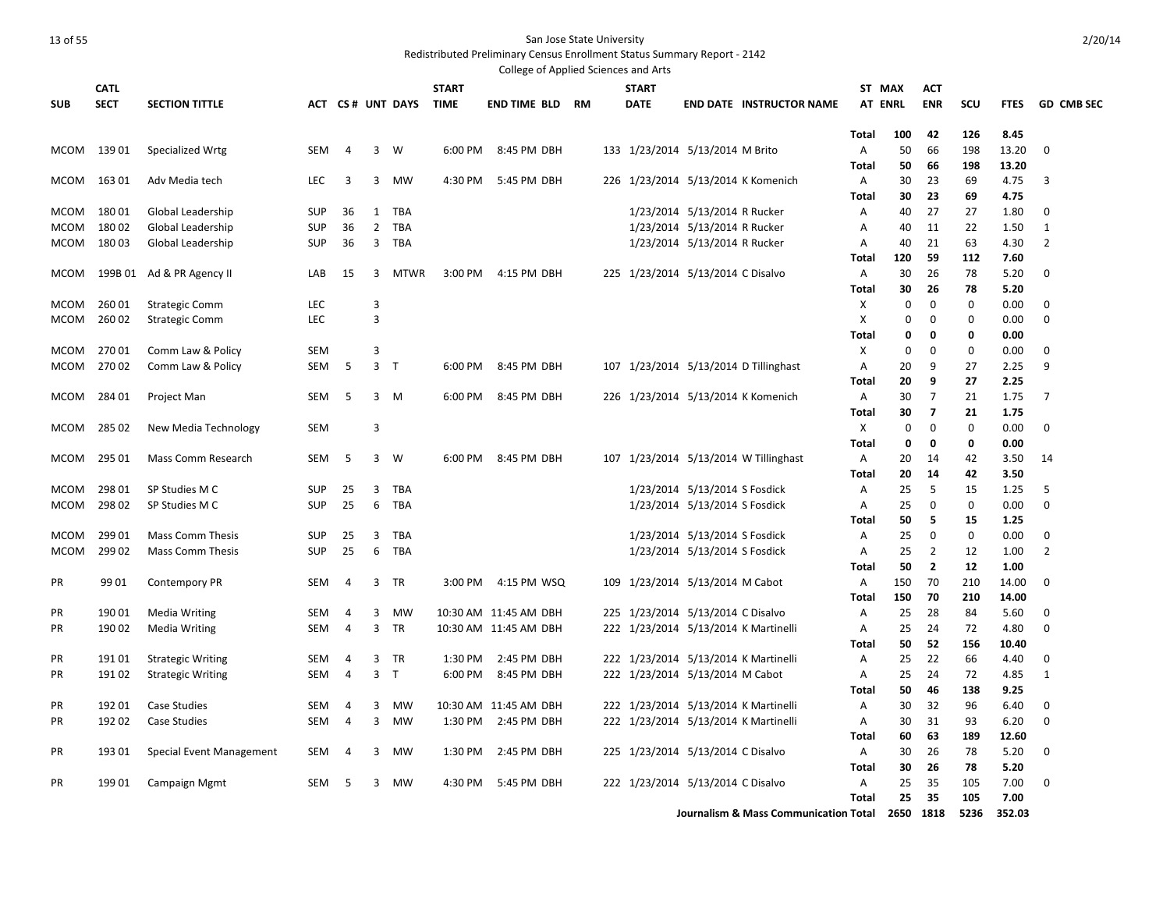### Redistributed Preliminary Census Enrollment Status Summary Report - 2142

|             |                            |                           |            |    |                |                  |                             | College of Applied Sciences and Arts |  |                             |                                   |                                       |                          |             |                                           |                   |               |                   |
|-------------|----------------------------|---------------------------|------------|----|----------------|------------------|-----------------------------|--------------------------------------|--|-----------------------------|-----------------------------------|---------------------------------------|--------------------------|-------------|-------------------------------------------|-------------------|---------------|-------------------|
| <b>SUB</b>  | <b>CATL</b><br><b>SECT</b> | <b>SECTION TITTLE</b>     |            |    |                | ACT CS# UNT DAYS | <b>START</b><br><b>TIME</b> | <b>END TIME BLD RM</b>               |  | <b>START</b><br><b>DATE</b> |                                   | <b>END DATE INSTRUCTOR NAME</b>       | ST MAX<br><b>AT ENRL</b> |             | <b>ACT</b><br><b>ENR</b>                  | scu               | <b>FTES</b>   | <b>GD CMB SEC</b> |
|             |                            |                           |            |    |                |                  |                             |                                      |  |                             |                                   |                                       | <b>Total</b>             | 100         | 42                                        | 126               | 8.45          |                   |
| MCOM        | 139 01                     | Specialized Wrtg          | <b>SEM</b> | 4  | 3              | W                | 6:00 PM                     | 8:45 PM DBH                          |  |                             | 133 1/23/2014 5/13/2014 M Brito   |                                       | Α                        | 50          | 66                                        | 198               | 13.20         | $\mathbf 0$       |
| мсом        | 163 01                     | Adv Media tech            | <b>LEC</b> | 3  | 3              | <b>MW</b>        | 4:30 PM                     | 5:45 PM DBH                          |  |                             |                                   | 226 1/23/2014 5/13/2014 K Komenich    | Total<br>Α               | 50<br>30    | 66<br>23                                  | 198<br>69         | 13.20<br>4.75 | 3                 |
|             |                            |                           |            |    |                |                  |                             |                                      |  |                             |                                   |                                       | Total                    | 30          | 23                                        | 69                | 4.75          |                   |
| MCOM        | 18001                      | Global Leadership         | <b>SUP</b> | 36 | 1              | <b>TBA</b>       |                             |                                      |  |                             | 1/23/2014 5/13/2014 R Rucker      |                                       | Α                        | 40          | 27                                        | 27                | 1.80          | 0                 |
| мсом        | 18002                      | Global Leadership         | <b>SUP</b> | 36 | $\overline{2}$ | <b>TBA</b>       |                             |                                      |  |                             | 1/23/2014 5/13/2014 R Rucker      |                                       | Α                        | 40          | 11                                        | 22                | 1.50          | 1                 |
| мсом        | 18003                      | Global Leadership         | <b>SUP</b> | 36 | 3              | <b>TBA</b>       |                             |                                      |  |                             | 1/23/2014 5/13/2014 R Rucker      |                                       | Α                        | 40          | 21                                        | 63                | 4.30          | $\overline{2}$    |
|             |                            |                           |            |    |                |                  |                             |                                      |  |                             |                                   |                                       | <b>Total</b>             | 120         | 59                                        | 112               | 7.60          |                   |
| MCOM        |                            | 199B 01 Ad & PR Agency II | LAB        | 15 | 3              | <b>MTWR</b>      | 3:00 PM                     | 4:15 PM DBH                          |  |                             | 225 1/23/2014 5/13/2014 C Disalvo |                                       | Α<br>Total               | 30<br>30    | 26<br>26                                  | 78<br>78          | 5.20<br>5.20  | $\mathbf 0$       |
| <b>MCOM</b> | 260 01                     | <b>Strategic Comm</b>     | <b>LEC</b> |    | 3              |                  |                             |                                      |  |                             |                                   |                                       | X                        | $\mathbf 0$ | $\pmb{0}$                                 | $\mathbf{0}$      | 0.00          | 0                 |
| MCOM        | 260 02                     | <b>Strategic Comm</b>     | LEC        |    | 3              |                  |                             |                                      |  |                             |                                   |                                       | X                        | 0           | 0                                         | $\mathbf 0$       | 0.00          | $\mathbf 0$       |
|             |                            |                           |            |    |                |                  |                             |                                      |  |                             |                                   |                                       | Total                    | 0           | 0                                         | 0                 | 0.00          |                   |
| MCOM        | 27001                      | Comm Law & Policy         | <b>SEM</b> |    | 3              |                  |                             |                                      |  |                             |                                   |                                       | X                        | 0           | $\mathbf 0$                               | $\mathbf{0}$      | 0.00          | $\mathbf{0}$      |
| MCOM        | 27002                      | Comm Law & Policy         | SEM        | 5  | 3              | $\top$           | 6:00 PM                     | 8:45 PM DBH                          |  |                             |                                   | 107 1/23/2014 5/13/2014 D Tillinghast | A                        | 20          | 9                                         | 27                | 2.25          | 9                 |
|             |                            |                           |            |    |                |                  |                             |                                      |  |                             |                                   |                                       | Total                    | 20          | 9                                         | 27                | 2.25          |                   |
| MCOM        | 284 01                     | Project Man               | SEM        | 5  |                | $3 \quad M$      | 6:00 PM                     | 8:45 PM DBH                          |  |                             |                                   | 226 1/23/2014 5/13/2014 K Komenich    | Α<br>Total               | 30<br>30    | $\overline{7}$<br>$\overline{\mathbf{z}}$ | 21<br>21          | 1.75<br>1.75  | $\overline{7}$    |
| MCOM        | 285 02                     | New Media Technology      | <b>SEM</b> |    | 3              |                  |                             |                                      |  |                             |                                   |                                       | X                        | 0           | $\pmb{0}$                                 | $\mathbf{0}$      | 0.00          | 0                 |
|             |                            |                           |            |    |                |                  |                             |                                      |  |                             |                                   |                                       | <b>Total</b>             | 0           | 0                                         | 0                 | 0.00          |                   |
| MCOM        | 295 01                     | Mass Comm Research        | <b>SEM</b> | 5  | 3              | W                | 6:00 PM                     | 8:45 PM DBH                          |  |                             |                                   | 107 1/23/2014 5/13/2014 W Tillinghast | Α                        | 20          | 14                                        | 42                | 3.50          | 14                |
|             |                            |                           |            |    |                |                  |                             |                                      |  |                             |                                   |                                       | Total                    | 20          | 14                                        | 42                | 3.50          |                   |
| <b>MCOM</b> | 298 01                     | SP Studies M C            | <b>SUP</b> | 25 | 3              | TBA              |                             |                                      |  |                             | 1/23/2014 5/13/2014 S Fosdick     |                                       | Α                        | 25          | 5                                         | 15                | 1.25          | 5                 |
| MCOM        | 298 02                     | SP Studies M C            | <b>SUP</b> | 25 | 6              | <b>TBA</b>       |                             |                                      |  |                             | 1/23/2014 5/13/2014 S Fosdick     |                                       | Α                        | 25          | $\mathbf 0$                               | $\mathbf{0}$      | 0.00          | 0                 |
| <b>MCOM</b> | 299 01                     | <b>Mass Comm Thesis</b>   | <b>SUP</b> | 25 | 3              | TBA              |                             |                                      |  |                             | 1/23/2014 5/13/2014 S Fosdick     |                                       | Total<br>Α               | 50<br>25    | -5<br>0                                   | 15<br>$\mathbf 0$ | 1.25<br>0.00  | 0                 |
| MCOM        | 299 02                     | <b>Mass Comm Thesis</b>   | <b>SUP</b> | 25 | 6              | TBA              |                             |                                      |  |                             | 1/23/2014 5/13/2014 S Fosdick     |                                       | Α                        | 25          | $\overline{2}$                            | 12                | 1.00          | $\overline{2}$    |
|             |                            |                           |            |    |                |                  |                             |                                      |  |                             |                                   |                                       | Total                    | 50          | $\overline{2}$                            | 12                | 1.00          |                   |
| PR          | 9901                       | <b>Contempory PR</b>      | <b>SEM</b> | 4  | 3              | TR               | 3:00 PM                     | 4:15 PM WSQ                          |  |                             | 109 1/23/2014 5/13/2014 M Cabot   |                                       | Α                        | 150         | 70                                        | 210               | 14.00         | 0                 |
|             |                            |                           |            |    |                |                  |                             |                                      |  |                             |                                   |                                       | Total                    | 150         | 70                                        | 210               | 14.00         |                   |
| PR          | 190 01                     | <b>Media Writing</b>      | SEM        | 4  | 3              | MW               |                             | 10:30 AM 11:45 AM DBH                |  |                             | 225 1/23/2014 5/13/2014 C Disalvo |                                       | Α                        | 25          | 28                                        | 84                | 5.60          | 0                 |
| PR          | 190 02                     | <b>Media Writing</b>      | SEM        | 4  | 3              | TR               |                             | 10:30 AM 11:45 AM DBH                |  |                             |                                   | 222 1/23/2014 5/13/2014 K Martinelli  | Α<br><b>Total</b>        | 25<br>50    | 24<br>52                                  | 72<br>156         | 4.80<br>10.40 | 0                 |
| PR          | 19101                      | <b>Strategic Writing</b>  | <b>SEM</b> | 4  | 3              | TR               | 1:30 PM                     | 2:45 PM DBH                          |  |                             |                                   | 222 1/23/2014 5/13/2014 K Martinelli  | Α                        | 25          | 22                                        | 66                | 4.40          | 0                 |
| PR          | 19102                      | <b>Strategic Writing</b>  | <b>SEM</b> | 4  | $\overline{3}$ | $\mathsf{T}$     | 6:00 PM                     | 8:45 PM DBH                          |  |                             | 222 1/23/2014 5/13/2014 M Cabot   |                                       | A                        | 25          | 24                                        | 72                | 4.85          | $\mathbf{1}$      |
|             |                            |                           |            |    |                |                  |                             |                                      |  |                             |                                   |                                       | Total                    | 50          | 46                                        | 138               | 9.25          |                   |
| PR          | 192 01                     | <b>Case Studies</b>       | SEM        | 4  | 3              | <b>MW</b>        |                             | 10:30 AM 11:45 AM DBH                |  |                             |                                   | 222 1/23/2014 5/13/2014 K Martinelli  | Α                        | 30          | 32                                        | 96                | 6.40          | 0                 |
| PR          | 192 02                     | Case Studies              | SEM        | 4  | 3              | МW               | 1:30 PM                     | 2:45 PM DBH                          |  |                             |                                   | 222 1/23/2014 5/13/2014 K Martinelli  | Α                        | 30          | 31                                        | 93                | 6.20          | $\mathbf 0$       |
|             |                            |                           |            |    |                |                  |                             |                                      |  |                             |                                   |                                       | Total                    | 60          | 63                                        | 189               | 12.60         |                   |
| <b>PR</b>   | 19301                      | Special Event Management  | SEM        | 4  | 3              | MW               | 1:30 PM                     | 2:45 PM DBH                          |  |                             | 225 1/23/2014 5/13/2014 C Disalvo |                                       | Α<br>Total               | 30<br>30    | 26<br>26                                  | 78<br>78          | 5.20<br>5.20  | $\mathbf 0$       |
| <b>PR</b>   | 19901                      | Campaign Mgmt             | SEM        | -5 | 3              | MW               | 4:30 PM                     | 5:45 PM DBH                          |  |                             | 222 1/23/2014 5/13/2014 C Disalvo |                                       | A                        | 25          | 35                                        | 105               | 7.00          | $\mathbf 0$       |
|             |                            |                           |            |    |                |                  |                             |                                      |  |                             |                                   |                                       | <b>Total</b>             | 25          | 35                                        | 105               | 7.00          |                   |

**Journalism & Mass Communication Total 2650 1818 5236 352.03**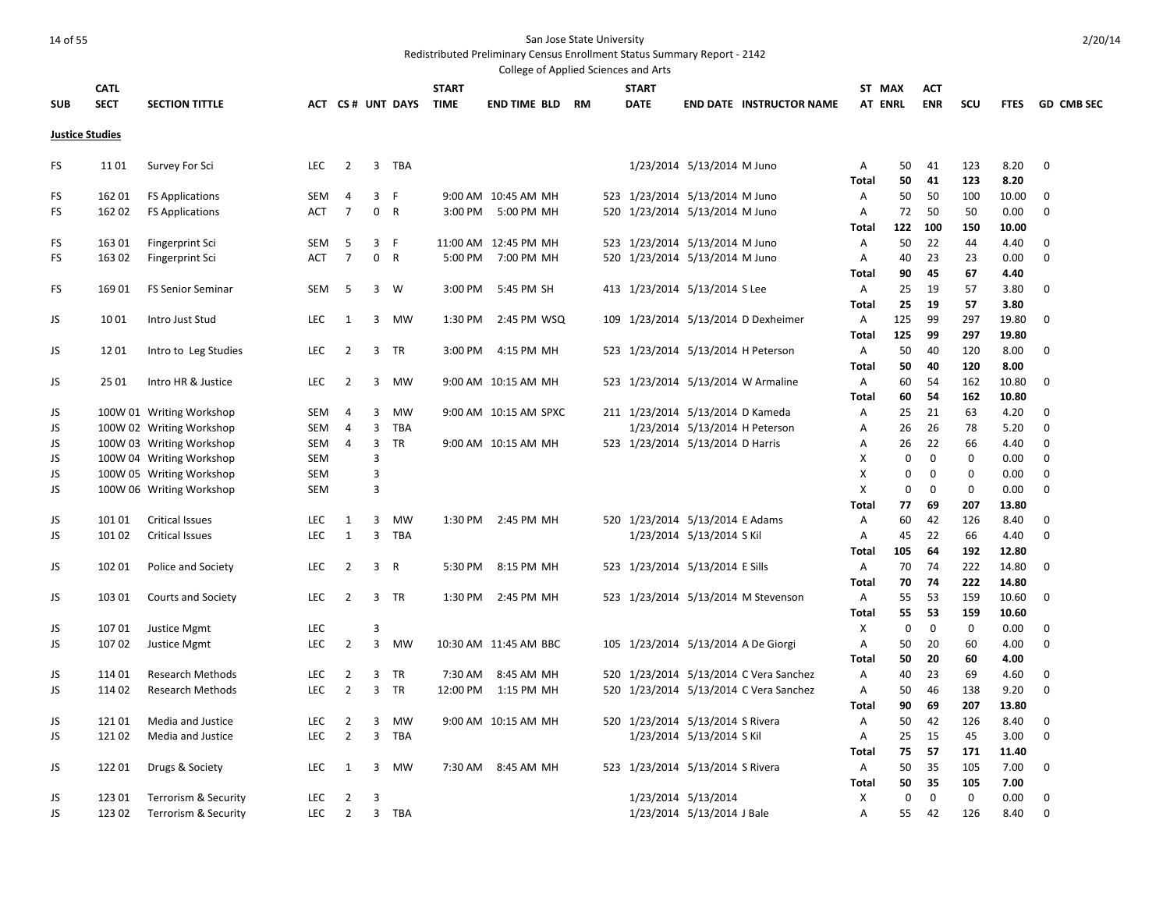|                        |             |                           |            |                |             |                  |              | College of Applied Sciences and Arts |  |              |                                  |                                        |                |             |             |     |             |                   |
|------------------------|-------------|---------------------------|------------|----------------|-------------|------------------|--------------|--------------------------------------|--|--------------|----------------------------------|----------------------------------------|----------------|-------------|-------------|-----|-------------|-------------------|
|                        | <b>CATL</b> |                           |            |                |             |                  | <b>START</b> |                                      |  | <b>START</b> |                                  |                                        | ST MAX         |             | <b>ACT</b>  |     |             |                   |
| <b>SUB</b>             | <b>SECT</b> | <b>SECTION TITTLE</b>     |            |                |             | ACT CS# UNT DAYS | <b>TIME</b>  | <b>END TIME BLD RM</b>               |  | <b>DATE</b>  |                                  | <b>END DATE INSTRUCTOR NAME</b>        | <b>AT ENRL</b> |             | <b>ENR</b>  | scu | <b>FTES</b> | <b>GD_CMB_SEC</b> |
| <b>Justice Studies</b> |             |                           |            |                |             |                  |              |                                      |  |              |                                  |                                        |                |             |             |     |             |                   |
|                        |             |                           |            |                |             |                  |              |                                      |  |              |                                  |                                        |                |             |             |     |             |                   |
| FS                     | 1101        | Survey For Sci            | <b>LEC</b> | $\overline{2}$ | 3           | TBA              |              |                                      |  |              | 1/23/2014 5/13/2014 M Juno       |                                        | A              | 50          | 41          | 123 | 8.20        | $\mathbf 0$       |
|                        |             |                           |            |                |             |                  |              |                                      |  |              |                                  |                                        | Total          | 50          | 41          | 123 | 8.20        |                   |
| FS                     | 162 01      | <b>FS Applications</b>    | <b>SEM</b> | 4              | 3           | F                |              | 9:00 AM 10:45 AM MH                  |  |              | 523 1/23/2014 5/13/2014 M Juno   |                                        | A              | 50          | 50          | 100 | 10.00       | 0                 |
| FS.                    | 162 02      | <b>FS Applications</b>    | ACT        | $\overline{7}$ | $\mathbf 0$ | $\mathsf{R}$     | 3:00 PM      | 5:00 PM MH                           |  |              | 520 1/23/2014 5/13/2014 M Juno   |                                        | $\mathsf{A}$   | 72          | 50          | 50  | 0.00        | $\mathbf 0$       |
|                        |             |                           |            |                |             |                  |              |                                      |  |              |                                  |                                        | <b>Total</b>   | 122         | 100         | 150 | 10.00       |                   |
| FS                     | 163 01      | Fingerprint Sci           | <b>SEM</b> | 5              | 3 F         |                  |              | 11:00 AM 12:45 PM MH                 |  |              | 523 1/23/2014 5/13/2014 M Juno   |                                        | $\overline{A}$ | 50          | 22          | 44  | 4.40        | 0                 |
| FS                     | 163 02      | Fingerprint Sci           | <b>ACT</b> | $\overline{7}$ | 0           | $\mathsf{R}$     | 5:00 PM      | 7:00 PM MH                           |  |              | 520 1/23/2014 5/13/2014 M Juno   |                                        | Α              | 40          | 23          | 23  | 0.00        | $\mathbf 0$       |
|                        |             |                           |            |                |             |                  |              |                                      |  |              |                                  |                                        | Total          | 90          | 45          | 67  | 4.40        |                   |
| FS                     | 169 01      | <b>FS Senior Seminar</b>  | SEM        | 5              | 3           | W                | 3:00 PM      | 5:45 PM SH                           |  |              | 413 1/23/2014 5/13/2014 S Lee    |                                        | Α              | 25          | 19          | 57  | 3.80        | 0                 |
|                        |             |                           |            |                |             |                  |              |                                      |  |              |                                  |                                        | <b>Total</b>   | 25          | 19          | 57  | 3.80        |                   |
| JS                     | 1001        | Intro Just Stud           | <b>LEC</b> | 1              | 3           | <b>MW</b>        | 1:30 PM      | 2:45 PM WSQ                          |  |              |                                  | 109 1/23/2014 5/13/2014 D Dexheimer    | Α              | 125         | 99          | 297 | 19.80       | $\mathbf 0$       |
|                        |             |                           |            |                |             |                  |              |                                      |  |              |                                  |                                        | Total          | 125         | 99          | 297 | 19.80       |                   |
| JS                     | 12 01       | Intro to Leg Studies      | <b>LEC</b> | $\overline{2}$ | 3           | <b>TR</b>        | 3:00 PM      | 4:15 PM MH                           |  |              |                                  | 523 1/23/2014 5/13/2014 H Peterson     | $\overline{A}$ | 50          | 40          | 120 | 8.00        | $\mathbf 0$       |
|                        |             |                           |            |                |             |                  |              |                                      |  |              |                                  |                                        | <b>Total</b>   | 50          | 40          | 120 | 8.00        |                   |
| JS                     | 25 01       | Intro HR & Justice        | <b>LEC</b> | $\overline{2}$ | 3           | <b>MW</b>        |              | 9:00 AM 10:15 AM MH                  |  |              |                                  | 523 1/23/2014 5/13/2014 W Armaline     | A              | 60          | 54          | 162 | 10.80       | $\mathbf 0$       |
|                        |             |                           |            |                |             |                  |              |                                      |  |              |                                  |                                        | <b>Total</b>   | 60          | 54          | 162 | 10.80       |                   |
| JS                     |             | 100W 01 Writing Workshop  | SEM        | $\overline{4}$ | 3           | <b>MW</b>        |              | 9:00 AM 10:15 AM SPXC                |  |              | 211 1/23/2014 5/13/2014 D Kameda |                                        | Α              | 25          | 21          | 63  | 4.20        | 0                 |
| JS                     |             | 100W 02 Writing Workshop  | <b>SEM</b> | $\overline{4}$ | 3           | <b>TBA</b>       |              |                                      |  |              |                                  | 1/23/2014 5/13/2014 H Peterson         | Α              | 26          | 26          | 78  | 5.20        | $\mathbf 0$       |
| JS                     |             | 100W 03 Writing Workshop  | SEM        | $\overline{4}$ | 3           | <b>TR</b>        |              | 9:00 AM 10:15 AM MH                  |  |              | 523 1/23/2014 5/13/2014 D Harris |                                        | Α              | 26          | 22          | 66  | 4.40        | 0                 |
| JS                     |             | 100W 04 Writing Workshop  | SEM        |                | 3           |                  |              |                                      |  |              |                                  |                                        | Χ              | $\mathbf 0$ | $\mathbf 0$ | 0   | 0.00        | $\mathbf 0$       |
| JS                     |             | 100W 05 Writing Workshop  | SEM        |                | 3           |                  |              |                                      |  |              |                                  |                                        | X              | 0           | $\Omega$    | 0   | 0.00        | 0                 |
| JS                     |             | 100W 06 Writing Workshop  | SEM        |                | 3           |                  |              |                                      |  |              |                                  |                                        | X              | $\mathbf 0$ | $\mathbf 0$ | 0   | 0.00        | $\mathbf 0$       |
|                        |             |                           |            |                |             |                  |              |                                      |  |              |                                  |                                        | Total          | 77          | 69          | 207 | 13.80       |                   |
| JS                     | 101 01      | <b>Critical Issues</b>    | <b>LEC</b> | 1              | 3           | <b>MW</b>        | 1:30 PM      | 2:45 PM MH                           |  |              | 520 1/23/2014 5/13/2014 E Adams  |                                        | A              | 60          | 42          | 126 | 8.40        | 0                 |
| JS                     | 101 02      | <b>Critical Issues</b>    | <b>LEC</b> | $\mathbf{1}$   | 3           | <b>TBA</b>       |              |                                      |  |              | 1/23/2014 5/13/2014 S Kil        |                                        | $\overline{A}$ | 45          | 22          | 66  | 4.40        | 0                 |
|                        |             |                           |            |                |             |                  |              |                                      |  |              |                                  |                                        | Total          | 105         | 64          | 192 | 12.80       |                   |
| JS                     | 102 01      | Police and Society        | <b>LEC</b> | $\overline{2}$ | 3           | $\mathsf{R}$     | 5:30 PM      | 8:15 PM MH                           |  |              | 523 1/23/2014 5/13/2014 E Sills  |                                        | Α              | 70          | 74          | 222 | 14.80       | 0                 |
|                        |             |                           |            |                |             |                  |              |                                      |  |              |                                  |                                        | <b>Total</b>   | 70          | 74          | 222 | 14.80       |                   |
| JS                     | 103 01      | <b>Courts and Society</b> | <b>LEC</b> | $\overline{2}$ | 3           | TR               | 1:30 PM      | 2:45 PM MH                           |  |              |                                  | 523 1/23/2014 5/13/2014 M Stevenson    | Α              | 55          | 53          | 159 | 10.60       | 0                 |
|                        |             |                           |            |                |             |                  |              |                                      |  |              |                                  |                                        | <b>Total</b>   | 55          | 53          | 159 | 10.60       |                   |
| JS                     | 107 01      | Justice Mgmt              | <b>LEC</b> |                | 3           |                  |              |                                      |  |              |                                  |                                        | Χ              | 0           | 0           | 0   | 0.00        | 0                 |
| JS                     | 107 02      | Justice Mgmt              | <b>LEC</b> | $\overline{2}$ | 3           | <b>MW</b>        |              | 10:30 AM 11:45 AM BBC                |  |              |                                  | 105 1/23/2014 5/13/2014 A De Giorgi    | $\overline{A}$ | 50          | 20          | 60  | 4.00        | $\mathbf 0$       |
|                        |             |                           |            |                |             |                  |              |                                      |  |              |                                  |                                        | Total          | 50          | 20          | 60  | 4.00        |                   |
| JS                     | 114 01      | <b>Research Methods</b>   | <b>LEC</b> | $\overline{2}$ | 3           | TR               | 7:30 AM      | 8:45 AM MH                           |  |              |                                  | 520 1/23/2014 5/13/2014 C Vera Sanchez | Α              | 40          | 23          | 69  | 4.60        | 0                 |
| JS                     | 114 02      | <b>Research Methods</b>   | <b>LEC</b> | $\overline{2}$ | 3           | <b>TR</b>        | 12:00 PM     | 1:15 PM MH                           |  |              |                                  | 520 1/23/2014 5/13/2014 C Vera Sanchez | $\mathsf{A}$   | 50          | 46          | 138 | 9.20        | $\mathbf 0$       |
|                        |             |                           |            |                |             |                  |              |                                      |  |              |                                  |                                        | <b>Total</b>   | 90          | 69          | 207 | 13.80       |                   |
| JS                     | 12101       | Media and Justice         | <b>LEC</b> | $\overline{2}$ | 3           | <b>MW</b>        |              | 9:00 AM 10:15 AM MH                  |  |              | 520 1/23/2014 5/13/2014 S Rivera |                                        | $\overline{A}$ | 50          | 42          | 126 | 8.40        | 0                 |
| JS                     | 12102       | Media and Justice         | <b>LEC</b> | $\overline{2}$ | 3           | TBA              |              |                                      |  |              | 1/23/2014 5/13/2014 S Kil        |                                        | Α              | 25          | 15          | 45  | 3.00        | 0                 |
|                        |             |                           |            |                |             |                  |              |                                      |  |              |                                  |                                        | Total          | 75          | 57          | 171 | 11.40       |                   |
| JS                     | 12201       | Drugs & Society           | <b>LEC</b> | 1              | 3           | MW               | 7:30 AM      | 8:45 AM MH                           |  |              | 523 1/23/2014 5/13/2014 S Rivera |                                        | A              | 50          | 35          | 105 | 7.00        | 0                 |
|                        |             |                           |            |                |             |                  |              |                                      |  |              |                                  |                                        | <b>Total</b>   | 50          | 35          | 105 | 7.00        |                   |
| JS                     | 123 01      | Terrorism & Security      | <b>LEC</b> | $\overline{2}$ | 3           |                  |              |                                      |  |              | 1/23/2014 5/13/2014              |                                        | X              | $\Omega$    | $\mathbf 0$ | 0   | 0.00        | $\mathbf 0$       |
| JS.                    | 123 02      | Terrorism & Security      | <b>LEC</b> | $\overline{2}$ | 3           | <b>TBA</b>       |              |                                      |  |              | 1/23/2014 5/13/2014 J Bale       |                                        | $\overline{A}$ | 55          | 42          | 126 | 8.40        | $\mathbf 0$       |
|                        |             |                           |            |                |             |                  |              |                                      |  |              |                                  |                                        |                |             |             |     |             |                   |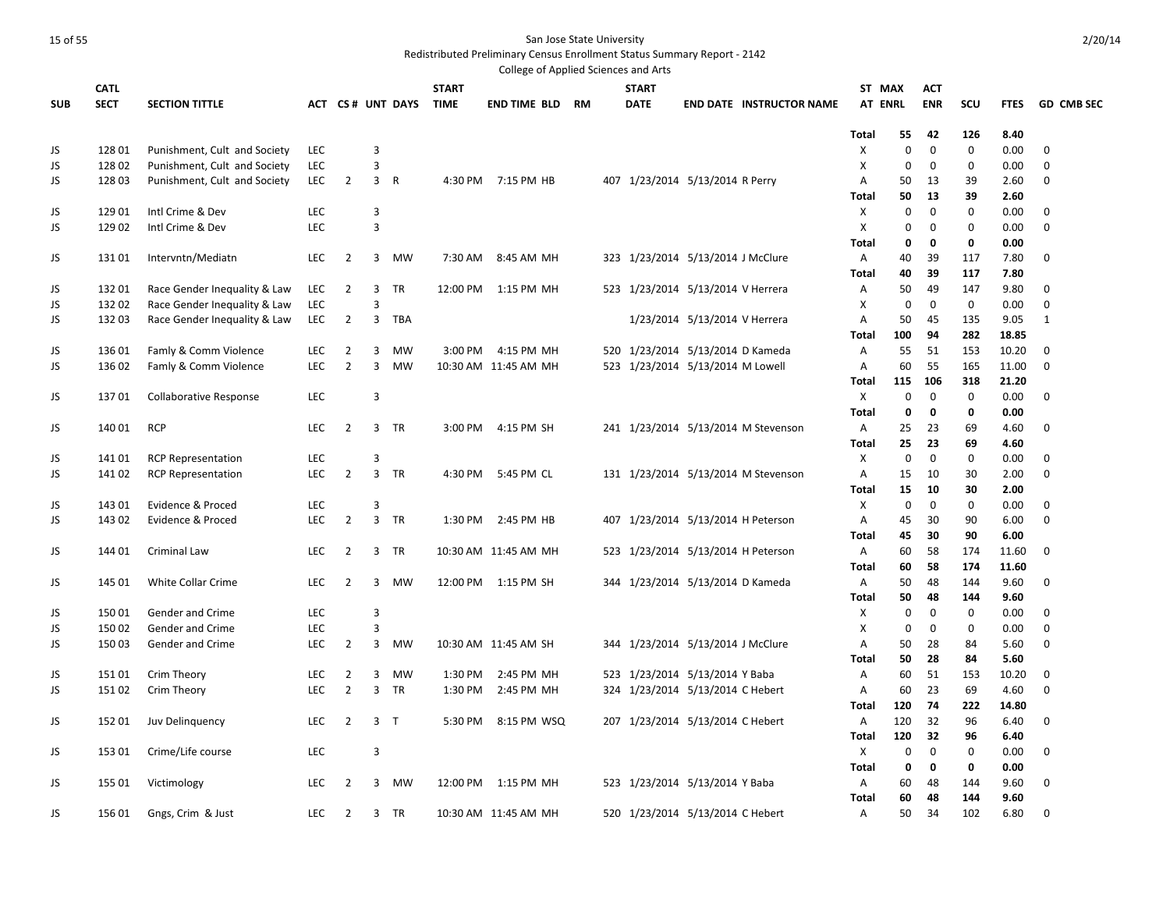|            |             |                              |            |                |                |                  |              | College of Applied Sciences and Arts |           |              |                                    |                                     |                   |             |                    |              |              |                   |
|------------|-------------|------------------------------|------------|----------------|----------------|------------------|--------------|--------------------------------------|-----------|--------------|------------------------------------|-------------------------------------|-------------------|-------------|--------------------|--------------|--------------|-------------------|
|            | <b>CATL</b> |                              |            |                |                |                  | <b>START</b> |                                      |           | <b>START</b> |                                    |                                     | ST MAX            |             | <b>ACT</b>         |              |              |                   |
| <b>SUB</b> | <b>SECT</b> | <b>SECTION TITTLE</b>        |            |                |                | ACT CS# UNT DAYS | <b>TIME</b>  | <b>END TIME BLD</b>                  | <b>RM</b> | <b>DATE</b>  |                                    | <b>END DATE INSTRUCTOR NAME</b>     | <b>AT ENRL</b>    |             | <b>ENR</b>         | scu          | <b>FTES</b>  | <b>GD CMB SEC</b> |
|            |             |                              |            |                |                |                  |              |                                      |           |              |                                    |                                     |                   |             |                    |              |              |                   |
|            |             |                              |            |                |                |                  |              |                                      |           |              |                                    |                                     | <b>Total</b>      | 55          | 42                 | 126          | 8.40         |                   |
| JS         | 12801       | Punishment, Cult and Society | <b>LEC</b> |                | 3              |                  |              |                                      |           |              |                                    |                                     | X                 | 0           | 0                  | $\mathbf 0$  | 0.00         | 0                 |
| JS         | 128 02      | Punishment, Cult and Society | <b>LEC</b> |                | 3              |                  |              |                                      |           |              |                                    |                                     | X                 | 0           | 0                  | $\mathbf 0$  | 0.00         | 0                 |
| JS         | 12803       | Punishment, Cult and Society | <b>LEC</b> | $\overline{2}$ | $\overline{3}$ | R                | 4:30 PM      | 7:15 PM HB                           |           |              | 407 1/23/2014 5/13/2014 R Perry    |                                     | A                 | 50          | 13                 | 39           | 2.60         | 0                 |
|            |             |                              |            |                |                |                  |              |                                      |           |              |                                    |                                     | Total             | 50          | 13                 | 39           | 2.60         |                   |
| JS         | 129 01      | Intl Crime & Dev             | <b>LEC</b> |                | 3              |                  |              |                                      |           |              |                                    |                                     | Χ                 | $\mathbf 0$ | $\mathbf 0$        | $\mathbf{0}$ | 0.00         | 0                 |
| JS         | 129 02      | Intl Crime & Dev             | <b>LEC</b> |                | $\mathsf 3$    |                  |              |                                      |           |              |                                    |                                     | X                 | 0           | $\mathbf 0$        | $\mathbf 0$  | 0.00         | $\mathbf 0$       |
|            |             |                              |            |                |                |                  |              |                                      |           |              |                                    |                                     | <b>Total</b>      | 0           | 0                  | 0            | 0.00         |                   |
| JS         | 13101       | Intervntn/Mediatn            | <b>LEC</b> | $\overline{2}$ | 3              | <b>MW</b>        |              | 7:30 AM 8:45 AM MH                   |           |              | 323 1/23/2014 5/13/2014 J McClure  |                                     | А                 | 40          | 39                 | 117          | 7.80         | $\mathbf 0$       |
|            |             |                              |            |                |                |                  |              |                                      |           |              |                                    |                                     | Total             | 40          | 39                 | 117          | 7.80         |                   |
| JS         | 13201       | Race Gender Inequality & Law | <b>LEC</b> | $\overline{2}$ | 3              | TR               | 12:00 PM     | 1:15 PM MH                           |           |              | 523 1/23/2014 5/13/2014 V Herrera  |                                     | Α                 | 50          | 49                 | 147          | 9.80         | 0                 |
| JS         | 13202       | Race Gender Inequality & Law | <b>LEC</b> |                | 3              |                  |              |                                      |           |              |                                    |                                     | X                 | $\mathbf 0$ | $\mathbf 0$        | $\mathbf 0$  | 0.00         | $\mathbf 0$       |
| JS         | 13203       | Race Gender Inequality & Law | <b>LEC</b> | $\overline{2}$ | 3              | TBA              |              |                                      |           |              | 1/23/2014 5/13/2014 V Herrera      |                                     | А                 | 50          | 45                 | 135          | 9.05         | 1                 |
|            |             |                              |            |                |                |                  |              |                                      |           |              |                                    |                                     | <b>Total</b>      | 100         | 94                 | 282          | 18.85        |                   |
| JS         | 13601       | Famly & Comm Violence        | <b>LEC</b> | 2              | 3              | MW               | 3:00 PM      | 4:15 PM MH                           |           |              | 520 1/23/2014 5/13/2014 D Kameda   |                                     | Α                 | 55          | 51                 | 153          | 10.20        | 0                 |
| JS         | 136 02      | Famly & Comm Violence        | <b>LEC</b> | $\overline{2}$ | 3              | <b>MW</b>        |              | 10:30 AM 11:45 AM MH                 |           |              | 523 1/23/2014 5/13/2014 M Lowell   |                                     | Α                 | 60          | 55                 | 165          | 11.00        | $\mathbf 0$       |
|            | 13701       |                              | <b>LEC</b> |                | 3              |                  |              |                                      |           |              |                                    |                                     | <b>Total</b>      | 115<br>0    | 106<br>$\mathbf 0$ | 318          | 21.20        | 0                 |
| JS         |             | Collaborative Response       |            |                |                |                  |              |                                      |           |              |                                    |                                     | X<br><b>Total</b> | 0           | $\mathbf 0$        | 0<br>0       | 0.00<br>0.00 |                   |
|            | 140 01      | <b>RCP</b>                   | <b>LEC</b> | $\overline{2}$ | 3              | <b>TR</b>        | 3:00 PM      | 4:15 PM SH                           |           |              |                                    | 241 1/23/2014 5/13/2014 M Stevenson | Α                 | 25          | 23                 | 69           | 4.60         | 0                 |
| JS         |             |                              |            |                |                |                  |              |                                      |           |              |                                    |                                     | <b>Total</b>      | 25          | 23                 | 69           | 4.60         |                   |
| JS         | 14101       | <b>RCP Representation</b>    | <b>LEC</b> |                | $\overline{3}$ |                  |              |                                      |           |              |                                    |                                     | X                 | $\mathbf 0$ | $\mathbf 0$        | $\mathbf 0$  | 0.00         | $\mathbf 0$       |
| JS         | 141 02      | <b>RCP Representation</b>    | <b>LEC</b> | $\overline{2}$ | 3              | TR               | 4:30 PM      | 5:45 PM CL                           |           |              |                                    | 131 1/23/2014 5/13/2014 M Stevenson | А                 | 15          | 10                 | 30           | 2.00         | 0                 |
|            |             |                              |            |                |                |                  |              |                                      |           |              |                                    |                                     | <b>Total</b>      | 15          | 10                 | 30           | 2.00         |                   |
| JS         | 14301       | Evidence & Proced            | <b>LEC</b> |                | 3              |                  |              |                                      |           |              |                                    |                                     | Χ                 | $\mathbf 0$ | $\mathbf 0$        | $\mathbf 0$  | 0.00         | 0                 |
| JS         | 143 02      | Evidence & Proced            | <b>LEC</b> | $\overline{2}$ | 3 TR           |                  |              | 1:30 PM 2:45 PM HB                   |           |              |                                    | 407 1/23/2014 5/13/2014 H Peterson  | А                 | 45          | 30                 | 90           | 6.00         | 0                 |
|            |             |                              |            |                |                |                  |              |                                      |           |              |                                    |                                     | <b>Total</b>      | 45          | 30                 | 90           | 6.00         |                   |
| JS         | 144 01      | Criminal Law                 | <b>LEC</b> | $\overline{2}$ | 3              | TR               |              | 10:30 AM 11:45 AM MH                 |           |              | 523 1/23/2014 5/13/2014 H Peterson |                                     | Α                 | 60          | 58                 | 174          | 11.60        | 0                 |
|            |             |                              |            |                |                |                  |              |                                      |           |              |                                    |                                     | <b>Total</b>      | 60          | 58                 | 174          | 11.60        |                   |
| JS         | 145 01      | White Collar Crime           | <b>LEC</b> | $\overline{2}$ | $\overline{3}$ | <b>MW</b>        |              | 12:00 PM 1:15 PM SH                  |           |              | 344 1/23/2014 5/13/2014 D Kameda   |                                     | Α                 | 50          | 48                 | 144          | 9.60         | $\mathbf 0$       |
|            |             |                              |            |                |                |                  |              |                                      |           |              |                                    |                                     | Total             | 50          | 48                 | 144          | 9.60         |                   |
| JS         | 15001       | Gender and Crime             | <b>LEC</b> |                | 3              |                  |              |                                      |           |              |                                    |                                     | X                 | 0           | $\mathbf 0$        | $\mathbf 0$  | 0.00         | 0                 |
| JS         | 15002       | <b>Gender and Crime</b>      | <b>LEC</b> |                | 3              |                  |              |                                      |           |              |                                    |                                     | X                 | $\mathbf 0$ | $\mathbf 0$        | $\mathbf 0$  | 0.00         | $\mathbf 0$       |
| JS         | 15003       | Gender and Crime             | <b>LEC</b> | $\overline{2}$ | 3              | <b>MW</b>        |              | 10:30 AM 11:45 AM SH                 |           |              | 344 1/23/2014 5/13/2014 J McClure  |                                     | Α                 | 50          | 28                 | 84           | 5.60         | $\mathbf 0$       |
|            |             |                              |            |                |                |                  |              |                                      |           |              |                                    |                                     | <b>Total</b>      | 50          | 28                 | 84           | 5.60         |                   |
| JS         | 15101       | Crim Theory                  | <b>LEC</b> | $\overline{2}$ | 3              | <b>MW</b>        | 1:30 PM      | 2:45 PM MH                           |           |              | 523 1/23/2014 5/13/2014 Y Baba     |                                     | Α                 | 60          | 51                 | 153          | 10.20        | $\mathbf 0$       |
| JS         | 15102       | Crim Theory                  | <b>LEC</b> | $\overline{2}$ | 3              | TR               | 1:30 PM      | 2:45 PM MH                           |           |              | 324 1/23/2014 5/13/2014 C Hebert   |                                     | Α                 | 60          | 23                 | 69           | 4.60         | 0                 |
|            |             |                              |            |                |                |                  |              |                                      |           |              |                                    |                                     | Total             | 120         | 74                 | 222          | 14.80        |                   |
| JS         | 152 01      | Juv Delinguency              | <b>LEC</b> | $\overline{2}$ | 3 <sub>7</sub> |                  | 5:30 PM      | 8:15 PM WSQ                          |           |              | 207 1/23/2014 5/13/2014 C Hebert   |                                     | A                 | 120         | 32                 | 96           | 6.40         | 0                 |
|            |             |                              |            |                |                |                  |              |                                      |           |              |                                    |                                     | <b>Total</b>      | 120         | 32                 | 96           | 6.40         |                   |
| JS         | 153 01      | Crime/Life course            | LEC        |                | $\mathsf 3$    |                  |              |                                      |           |              |                                    |                                     | X                 | $\mathbf 0$ | 0                  | 0            | 0.00         | 0                 |
|            |             |                              |            |                |                |                  |              |                                      |           |              |                                    |                                     | <b>Total</b>      | 0           | 0                  | 0            | 0.00         |                   |
| JS         | 155 01      | Victimology                  | <b>LEC</b> | $\overline{2}$ | 3              | <b>MW</b>        |              | 12:00 PM 1:15 PM MH                  |           |              | 523 1/23/2014 5/13/2014 Y Baba     |                                     | A                 | 60          | 48                 | 144          | 9.60         | $\mathbf 0$       |
|            |             |                              |            |                |                |                  |              |                                      |           |              |                                    |                                     | <b>Total</b>      | 60          | 48                 | 144          | 9.60         |                   |
| JS         | 15601       | Gngs, Crim & Just            | <b>LEC</b> | $\overline{2}$ | 3              | <b>TR</b>        |              | 10:30 AM 11:45 AM MH                 |           |              | 520 1/23/2014 5/13/2014 C Hebert   |                                     | А                 | 50          | 34                 | 102          | 6.80         | $\Omega$          |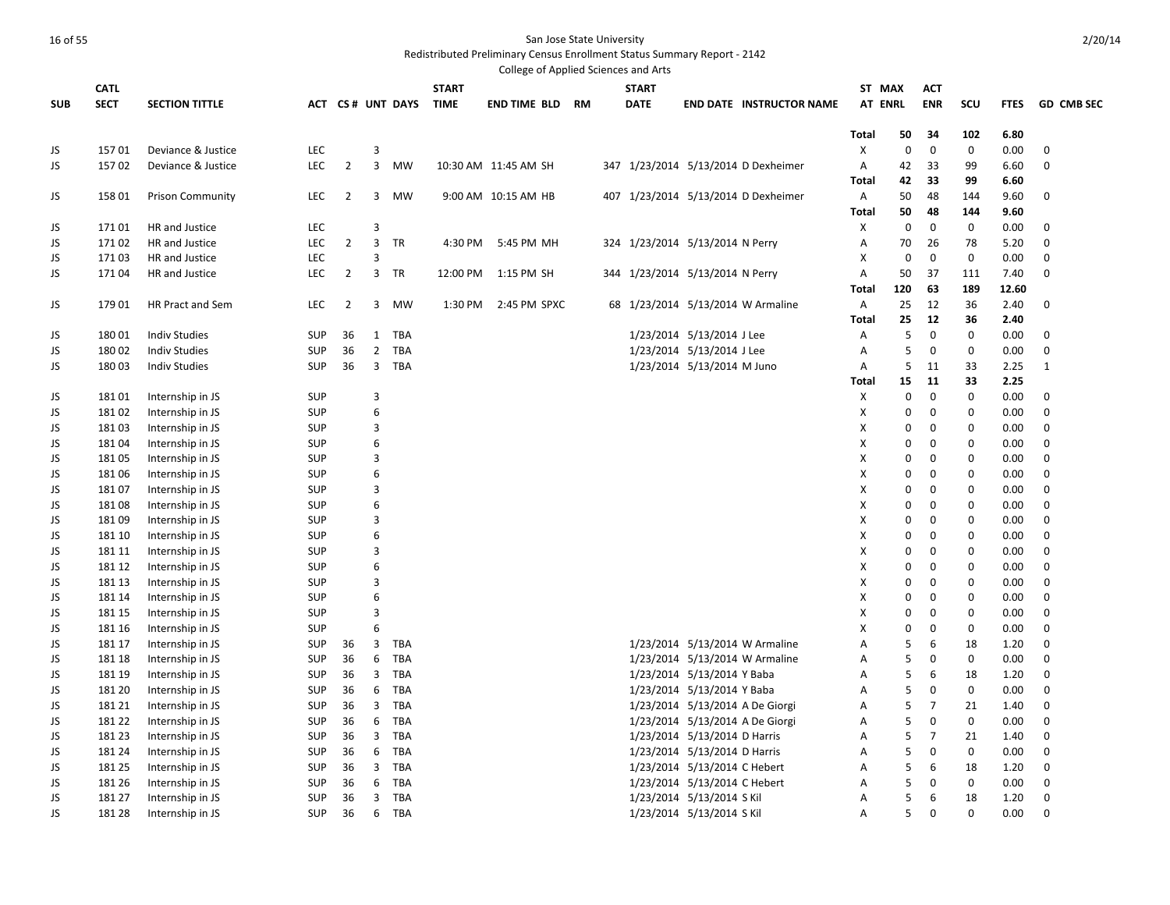|            |             |                         |            |                |                |                       |              | College of Applied Sciences and Arts |  |                                 |                              |                                     |                |             |                |             |             |                   |
|------------|-------------|-------------------------|------------|----------------|----------------|-----------------------|--------------|--------------------------------------|--|---------------------------------|------------------------------|-------------------------------------|----------------|-------------|----------------|-------------|-------------|-------------------|
|            | <b>CATL</b> |                         |            |                |                |                       | <b>START</b> |                                      |  | <b>START</b>                    |                              |                                     | ST MAX         |             | АСТ            |             |             |                   |
| <b>SUB</b> | <b>SECT</b> | <b>SECTION TITTLE</b>   |            |                |                | ACT CS# UNT DAYS TIME |              | <b>END TIME BLD RM</b>               |  | <b>DATE</b>                     |                              | <b>END DATE INSTRUCTOR NAME</b>     | <b>AT ENRL</b> |             | <b>ENR</b>     | <b>SCU</b>  | <b>FTES</b> | <b>GD CMB SEC</b> |
|            |             |                         |            |                |                |                       |              |                                      |  |                                 |                              |                                     |                |             |                |             |             |                   |
|            |             |                         |            |                |                |                       |              |                                      |  |                                 |                              |                                     | Total          | 50          | 34             | 102         | 6.80        |                   |
| JS         | 15701       | Deviance & Justice      | <b>LEC</b> |                | 3              |                       |              |                                      |  |                                 |                              |                                     | X              | $\mathbf 0$ | 0              | $\mathbf 0$ | 0.00        | 0                 |
| JS         | 15702       | Deviance & Justice      | <b>LEC</b> | $\overline{2}$ | $\overline{3}$ | <b>MW</b>             |              | 10:30 AM 11:45 AM SH                 |  |                                 |                              | 347 1/23/2014 5/13/2014 D Dexheimer | A              | 42          | 33             | 99          | 6.60        | $\mathbf 0$       |
|            |             |                         |            |                |                |                       |              |                                      |  |                                 |                              |                                     | <b>Total</b>   | 42          | 33             | 99          | 6.60        |                   |
| JS         | 158 01      | <b>Prison Community</b> | <b>LEC</b> | $\overline{2}$ | 3              | <b>MW</b>             |              | 9:00 AM 10:15 AM HB                  |  |                                 |                              | 407 1/23/2014 5/13/2014 D Dexheimer | $\mathsf{A}$   | 50          | 48             | 144         | 9.60        | $\mathbf 0$       |
|            |             |                         |            |                |                |                       |              |                                      |  |                                 |                              |                                     | <b>Total</b>   | 50          | 48             | 144         | 9.60        |                   |
| JS         | 17101       | HR and Justice          | <b>LEC</b> |                | 3              |                       |              |                                      |  |                                 |                              |                                     | X              | 0           | 0              | 0           | 0.00        | 0                 |
| JS         | 17102       | HR and Justice          | <b>LEC</b> | $\overline{2}$ | $\overline{3}$ | <b>TR</b>             |              | 4:30 PM 5:45 PM MH                   |  | 324 1/23/2014 5/13/2014 N Perry |                              |                                     | А              | 70          | 26             | 78          | 5.20        | 0                 |
| JS         | 17103       | HR and Justice          | <b>LEC</b> |                | з              |                       |              |                                      |  |                                 |                              |                                     | X              | 0           | 0              | 0           | 0.00        | 0                 |
| JS         | 17104       | HR and Justice          | <b>LEC</b> | $\overline{2}$ | 3              | TR                    | 12:00 PM     | 1:15 PM SH                           |  | 344 1/23/2014 5/13/2014 N Perry |                              |                                     | Α              | 50          | 37             | 111         | 7.40        | $\mathbf 0$       |
|            |             |                         |            |                |                |                       |              |                                      |  |                                 |                              |                                     | Total          | 120         | 63             | 189         | 12.60       |                   |
| JS         | 17901       | HR Pract and Sem        | <b>LEC</b> | 2              | 3              | <b>MW</b>             | 1:30 PM      | 2:45 PM SPXC                         |  |                                 |                              | 68 1/23/2014 5/13/2014 W Armaline   | A              | 25          | 12             | 36          | 2.40        | 0                 |
|            |             |                         |            |                |                |                       |              |                                      |  |                                 |                              |                                     | Total          | 25          | 12             | 36          | 2.40        |                   |
| JS         | 18001       | <b>Indiv Studies</b>    | <b>SUP</b> | 36             | 1              | <b>TBA</b>            |              |                                      |  |                                 | 1/23/2014 5/13/2014 J Lee    |                                     | Α              | 5           | $\mathbf 0$    | $\mathbf 0$ | 0.00        | 0                 |
| JS         | 18002       | <b>Indiv Studies</b>    | <b>SUP</b> | 36             | $\overline{2}$ | <b>TBA</b>            |              |                                      |  |                                 | 1/23/2014 5/13/2014 J Lee    |                                     | А              | 5           | 0              | 0           | 0.00        | $\mathbf 0$       |
| JS         | 18003       | <b>Indiv Studies</b>    | <b>SUP</b> | 36             | $\overline{3}$ | TBA                   |              |                                      |  |                                 | 1/23/2014 5/13/2014 M Juno   |                                     | Α              | 5           | 11             | 33          | 2.25        | $\mathbf{1}$      |
|            |             |                         |            |                |                |                       |              |                                      |  |                                 |                              |                                     | Total          | 15          | 11             | 33          | 2.25        |                   |
| JS         | 18101       | Internship in JS        | <b>SUP</b> |                | 3              |                       |              |                                      |  |                                 |                              |                                     | X              | $\mathbf 0$ | 0              | $\mathbf 0$ | 0.00        | $\mathbf 0$       |
| JS         | 18102       | Internship in JS        | <b>SUP</b> |                | 6              |                       |              |                                      |  |                                 |                              |                                     | X              | $\mathbf 0$ | $\mathbf 0$    | $\Omega$    | 0.00        | $\mathbf{0}$      |
| JS         | 18103       | Internship in JS        | <b>SUP</b> |                | 3              |                       |              |                                      |  |                                 |                              |                                     | X              | $\mathbf 0$ | $\mathbf 0$    | $\Omega$    | 0.00        | $\mathbf 0$       |
| JS         | 18104       | Internship in JS        | <b>SUP</b> |                | 6              |                       |              |                                      |  |                                 |                              |                                     | X              | $\mathbf 0$ | $\mathbf 0$    | $\Omega$    | 0.00        | $\mathbf 0$       |
| JS         | 18105       | Internship in JS        | SUP        |                | 3              |                       |              |                                      |  |                                 |                              |                                     | Χ              | 0           | 0              | $\mathbf 0$ | 0.00        | 0                 |
| JS         | 18106       | Internship in JS        | <b>SUP</b> |                | 6              |                       |              |                                      |  |                                 |                              |                                     | X              | $\mathbf 0$ | $\mathbf 0$    | 0           | 0.00        | $\mathbf 0$       |
| JS         | 18107       | Internship in JS        | <b>SUP</b> |                | 3              |                       |              |                                      |  |                                 |                              |                                     | X              | $\mathbf 0$ | $\mathbf 0$    | $\mathbf 0$ | 0.00        | $\mathbf 0$       |
| JS         | 18108       | Internship in JS        | <b>SUP</b> |                | 6              |                       |              |                                      |  |                                 |                              |                                     | X              | 0           | $\mathbf 0$    | 0           | 0.00        | 0                 |
| JS         | 18109       | Internship in JS        | <b>SUP</b> |                | 3              |                       |              |                                      |  |                                 |                              |                                     | Χ              | $\mathbf 0$ | 0              | $\pmb{0}$   | 0.00        | 0                 |
| JS         | 181 10      | Internship in JS        | <b>SUP</b> |                | 6              |                       |              |                                      |  |                                 |                              |                                     | X              | $\mathbf 0$ | $\mathbf 0$    | $\Omega$    | 0.00        | $\mathbf{0}$      |
| JS         | 181 11      | Internship in JS        | <b>SUP</b> |                | 3              |                       |              |                                      |  |                                 |                              |                                     | X              | $\mathbf 0$ | $\mathbf 0$    | $\Omega$    | 0.00        | $\mathbf 0$       |
| JS         | 181 12      | Internship in JS        | <b>SUP</b> |                | 6              |                       |              |                                      |  |                                 |                              |                                     | X              | $\mathbf 0$ | $\mathbf 0$    | $\mathbf 0$ | 0.00        | $\mathbf 0$       |
| JS         | 181 13      | Internship in JS        | <b>SUP</b> |                | 3              |                       |              |                                      |  |                                 |                              |                                     | X              | $\mathbf 0$ | $\mathbf 0$    | $\pmb{0}$   | 0.00        | $\mathbf 0$       |
| JS         | 181 14      | Internship in JS        | <b>SUP</b> |                | 6              |                       |              |                                      |  |                                 |                              |                                     | x              | $\mathbf 0$ | $\mathbf 0$    | $\mathbf 0$ | 0.00        | $\mathbf 0$       |
| JS         | 181 15      | Internship in JS        | <b>SUP</b> |                | 3              |                       |              |                                      |  |                                 |                              |                                     | Χ              | $\mathbf 0$ | $\mathbf 0$    | $\mathbf 0$ | 0.00        | $\mathbf 0$       |
| JS         | 181 16      | Internship in JS        | <b>SUP</b> |                | 6              |                       |              |                                      |  |                                 |                              |                                     | Χ              | $\mathbf 0$ | 0              | $\mathbf 0$ | 0.00        | $\pmb{0}$         |
| JS         | 181 17      | Internship in JS        | <b>SUP</b> | 36             | 3              | <b>TBA</b>            |              |                                      |  |                                 |                              | 1/23/2014 5/13/2014 W Armaline      | Α              | 5           | 6              | 18          | 1.20        | $\mathbf 0$       |
| JS         | 181 18      | Internship in JS        | <b>SUP</b> | 36             | 6              | TBA                   |              |                                      |  |                                 |                              | 1/23/2014 5/13/2014 W Armaline      | A              | 5           | $\mathbf 0$    | $\Omega$    | 0.00        | $\mathbf 0$       |
| JS         | 181 19      | Internship in JS        | SUP        | 36             | 3              | <b>TBA</b>            |              |                                      |  |                                 | 1/23/2014 5/13/2014 Y Baba   |                                     | Α              | 5           | 6              | 18          | 1.20        | 0                 |
| JS         | 181 20      | Internship in JS        | <b>SUP</b> | 36             | 6              | <b>TBA</b>            |              |                                      |  |                                 | 1/23/2014 5/13/2014 Y Baba   |                                     | Α              | 5           | $\mathbf 0$    | $\mathbf 0$ | 0.00        | $\mathbf 0$       |
| JS         | 181 21      | Internship in JS        | <b>SUP</b> | 36             | 3              | TBA                   |              |                                      |  |                                 |                              | 1/23/2014 5/13/2014 A De Giorgi     | A              | 5           | $\overline{7}$ | 21          | 1.40        | $\mathbf 0$       |
| JS         | 181 22      | Internship in JS        | <b>SUP</b> | 36             | 6              | TBA                   |              |                                      |  |                                 |                              | 1/23/2014 5/13/2014 A De Giorgi     | Α              | 5           | $\Omega$       | $\Omega$    | 0.00        | $\mathbf 0$       |
| JS         | 181 23      | Internship in JS        | <b>SUP</b> | 36             | 3              | <b>TBA</b>            |              |                                      |  |                                 | 1/23/2014 5/13/2014 D Harris |                                     | А              | 5           | $\overline{7}$ | 21          | 1.40        | $\mathbf 0$       |
| JS         | 181 24      | Internship in JS        | <b>SUP</b> | 36             | 6              | <b>TBA</b>            |              |                                      |  |                                 | 1/23/2014 5/13/2014 D Harris |                                     | Α              | 5           | 0              | $\mathbf 0$ | 0.00        | 0                 |
| JS         | 181 25      | Internship in JS        | <b>SUP</b> | 36             | 3              | <b>TBA</b>            |              |                                      |  |                                 | 1/23/2014 5/13/2014 C Hebert |                                     | Α              | 5           | 6              | 18          | 1.20        | $\mathbf 0$       |
| JS         | 181 26      | Internship in JS        | <b>SUP</b> | 36             | 6              | <b>TBA</b>            |              |                                      |  |                                 | 1/23/2014 5/13/2014 C Hebert |                                     | Α              | 5           | 0              | 0           | 0.00        | $\mathbf 0$       |
| JS.        | 181 27      | Internship in JS        | <b>SUP</b> | 36             | $\overline{3}$ | TBA                   |              |                                      |  |                                 | 1/23/2014 5/13/2014 S Kil    |                                     | Α              | 5           | 6              | 18          | 1.20        | 0                 |
| JS.        | 181 28      | Internship in JS        | <b>SUP</b> | 36             | 6              | <b>TBA</b>            |              |                                      |  |                                 | 1/23/2014 5/13/2014 S Kil    |                                     | A              | 5           | $\Omega$       | $\Omega$    | 0.00        | $\Omega$          |
|            |             |                         |            |                |                |                       |              |                                      |  |                                 |                              |                                     |                |             |                |             |             |                   |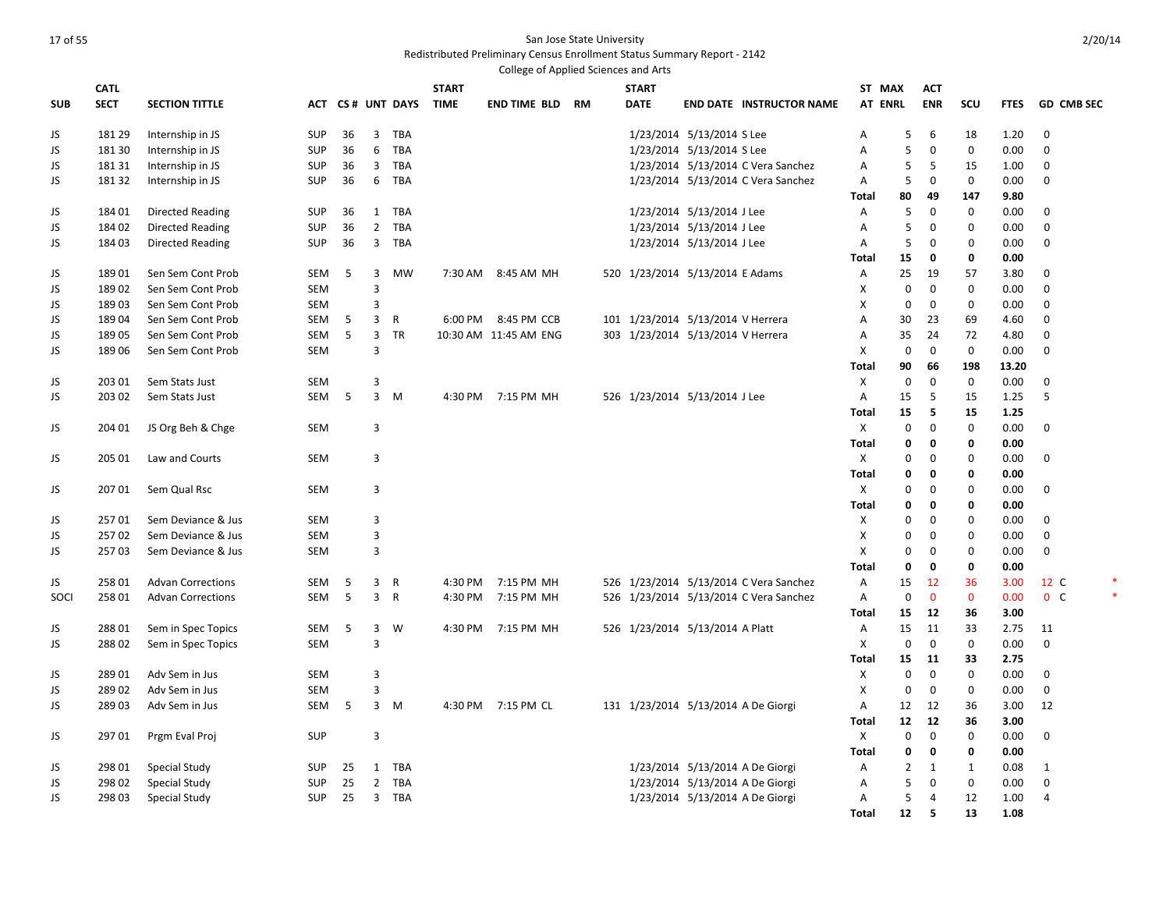|            |             |                          |            |    |                |                  |              | College of Applied Sciences and Arts |           |              |                                     |                                        |                |                |              |              |             |                   |  |
|------------|-------------|--------------------------|------------|----|----------------|------------------|--------------|--------------------------------------|-----------|--------------|-------------------------------------|----------------------------------------|----------------|----------------|--------------|--------------|-------------|-------------------|--|
|            | <b>CATL</b> |                          |            |    |                |                  | <b>START</b> |                                      |           | <b>START</b> |                                     |                                        | ST MAX         |                | <b>ACT</b>   |              |             |                   |  |
| <b>SUB</b> | <b>SECT</b> | <b>SECTION TITTLE</b>    |            |    |                | ACT CS# UNT DAYS | <b>TIME</b>  | <b>END TIME BLD</b>                  | <b>RM</b> | <b>DATE</b>  |                                     | <b>END DATE INSTRUCTOR NAME</b>        | <b>AT ENRL</b> |                | <b>ENR</b>   | SCU          | <b>FTES</b> | <b>GD CMB SEC</b> |  |
| JS         | 181 29      | Internship in JS         | <b>SUP</b> | 36 | $\overline{3}$ | <b>TBA</b>       |              |                                      |           |              | 1/23/2014 5/13/2014 S Lee           |                                        | Α              | 5              | 6            | 18           | 1.20        | $\mathbf 0$       |  |
| JS         | 181 30      | Internship in JS         | <b>SUP</b> | 36 | 6              | <b>TBA</b>       |              |                                      |           |              | 1/23/2014 5/13/2014 S Lee           |                                        | Α              | 5              | 0            | $\mathbf 0$  | 0.00        | $\mathbf 0$       |  |
| JS         | 181 31      | Internship in JS         | <b>SUP</b> | 36 | $\mathbf{3}$   | TBA              |              |                                      |           |              |                                     | 1/23/2014 5/13/2014 C Vera Sanchez     | Α              | 5              | 5            | 15           | 1.00        | $\mathbf 0$       |  |
| JS         | 181 32      | Internship in JS         | <b>SUP</b> | 36 | 6              | <b>TBA</b>       |              |                                      |           |              |                                     | 1/23/2014 5/13/2014 C Vera Sanchez     | Α              | 5              | $\mathbf 0$  | $\mathbf 0$  | 0.00        | $\mathbf 0$       |  |
|            |             |                          |            |    |                |                  |              |                                      |           |              |                                     |                                        | Total          | 80             | 49           | 147          | 9.80        |                   |  |
| JS         | 184 01      | <b>Directed Reading</b>  | <b>SUP</b> | 36 | $\mathbf{1}$   | <b>TBA</b>       |              |                                      |           |              | 1/23/2014 5/13/2014 J Lee           |                                        | Α              | 5              | 0            | $\mathbf 0$  | 0.00        | $\mathbf 0$       |  |
| JS         | 184 02      | <b>Directed Reading</b>  | <b>SUP</b> | 36 | $\overline{2}$ | <b>TBA</b>       |              |                                      |           |              | 1/23/2014 5/13/2014 J Lee           |                                        | A              | 5              | $\mathbf 0$  | $\mathbf 0$  | 0.00        | $\mathbf 0$       |  |
| JS         | 184 03      | <b>Directed Reading</b>  | <b>SUP</b> | 36 | $\overline{3}$ | TBA              |              |                                      |           |              | 1/23/2014 5/13/2014 J Lee           |                                        | Α              | 5              | $\mathbf 0$  | 0            | 0.00        | $\mathbf 0$       |  |
|            |             |                          |            |    |                |                  |              |                                      |           |              |                                     |                                        | Total          | 15             | 0            | 0            | 0.00        |                   |  |
| JS         | 18901       | Sen Sem Cont Prob        | SEM        | 5  | 3              | <b>MW</b>        |              | 7:30 AM 8:45 AM MH                   |           |              | 520 1/23/2014 5/13/2014 E Adams     |                                        | Α              | 25             | 19           | 57           | 3.80        | $\mathbf 0$       |  |
| JS         | 18902       | Sen Sem Cont Prob        | SEM        |    | $\overline{3}$ |                  |              |                                      |           |              |                                     |                                        | X              | $\mathbf 0$    | $\mathbf 0$  | $\mathbf 0$  | 0.00        | $\mathbf 0$       |  |
| JS         | 18903       | Sen Sem Cont Prob        | <b>SEM</b> |    | 3              |                  |              |                                      |           |              |                                     |                                        | X              | 0              | 0            | $\mathbf 0$  | 0.00        | $\mathbf 0$       |  |
| JS         | 18904       | Sen Sem Cont Prob        | SEM        | 5  | $\overline{3}$ | $\mathsf{R}$     |              | 6:00 PM 8:45 PM CCB                  |           |              | 101 1/23/2014 5/13/2014 V Herrera   |                                        | А              | 30             | 23           | 69           | 4.60        | $\mathbf 0$       |  |
| JS         | 18905       | Sen Sem Cont Prob        | <b>SEM</b> | 5  | 3              | <b>TR</b>        |              | 10:30 AM 11:45 AM ENG                |           |              | 303 1/23/2014 5/13/2014 V Herrera   |                                        | Α              | 35             | 24           | 72           | 4.80        | 0                 |  |
| JS         | 18906       | Sen Sem Cont Prob        | <b>SEM</b> |    | $\overline{3}$ |                  |              |                                      |           |              |                                     |                                        | X              | $\mathbf 0$    | $\mathbf 0$  | $\mathbf 0$  | 0.00        | $\mathbf 0$       |  |
|            |             |                          |            |    |                |                  |              |                                      |           |              |                                     |                                        | <b>Total</b>   | 90             | 66           | 198          | 13.20       |                   |  |
| JS         | 203 01      | Sem Stats Just           | <b>SEM</b> |    | 3              |                  |              |                                      |           |              |                                     |                                        | X              | $\mathbf 0$    | $\mathbf 0$  | $\mathbf 0$  | 0.00        | $\mathbf 0$       |  |
| JS         | 203 02      | Sem Stats Just           | <b>SEM</b> | 5  | 3              | M                |              | 4:30 PM 7:15 PM MH                   |           |              | 526 1/23/2014 5/13/2014 J Lee       |                                        | Α              | 15             | 5            | 15           | 1.25        | 5                 |  |
|            |             |                          |            |    |                |                  |              |                                      |           |              |                                     |                                        | <b>Total</b>   | 15             | 5            | 15           | 1.25        |                   |  |
| JS         | 204 01      | JS Org Beh & Chge        | <b>SEM</b> |    | 3              |                  |              |                                      |           |              |                                     |                                        | X              | 0              | $\mathbf 0$  | $\mathbf 0$  | 0.00        | $\mathbf 0$       |  |
|            |             |                          |            |    |                |                  |              |                                      |           |              |                                     |                                        | Total          | 0              | $\mathbf 0$  | 0            | 0.00        |                   |  |
| JS         | 205 01      | Law and Courts           | <b>SEM</b> |    | 3              |                  |              |                                      |           |              |                                     |                                        | X              | 0              | $\mathbf 0$  | $\mathbf 0$  | 0.00        | 0                 |  |
|            |             |                          |            |    |                |                  |              |                                      |           |              |                                     |                                        | Total          | 0              | $\mathbf 0$  | 0            | 0.00        |                   |  |
| JS         | 207 01      | Sem Qual Rsc             | <b>SEM</b> |    | 3              |                  |              |                                      |           |              |                                     |                                        | X              | 0              | $\mathbf 0$  | $\mathbf 0$  | 0.00        | 0                 |  |
|            |             |                          |            |    |                |                  |              |                                      |           |              |                                     |                                        | Total          | 0              | $\mathbf 0$  | 0            | 0.00        |                   |  |
| JS         | 25701       | Sem Deviance & Jus       | <b>SEM</b> |    | 3              |                  |              |                                      |           |              |                                     |                                        | X              | 0              | 0            | $\mathbf 0$  | 0.00        | $\mathbf 0$       |  |
| JS         | 25702       | Sem Deviance & Jus       | <b>SEM</b> |    | $\overline{3}$ |                  |              |                                      |           |              |                                     |                                        | X              | $\mathbf 0$    | $\mathbf 0$  | $\Omega$     | 0.00        | $\mathbf 0$       |  |
| JS         | 25703       | Sem Deviance & Jus       | <b>SEM</b> |    | 3              |                  |              |                                      |           |              |                                     |                                        | X              | 0              | $\mathbf 0$  | $\mathbf 0$  | 0.00        | $\mathbf 0$       |  |
|            |             |                          |            |    |                |                  |              |                                      |           |              |                                     |                                        | <b>Total</b>   | 0              | $\mathbf{0}$ | $\mathbf 0$  | 0.00        |                   |  |
| JS         | 258 01      | <b>Advan Corrections</b> | SEM        | 5  | 3              | R                |              | 4:30 PM 7:15 PM MH                   |           |              |                                     | 526 1/23/2014 5/13/2014 C Vera Sanchez | Α              | 15             | 12           | 36           | 3.00        | 12 C              |  |
| SOCI       | 25801       | <b>Advan Corrections</b> | <b>SEM</b> | 5  | 3              | $\mathsf{R}$     | 4:30 PM      | 7:15 PM MH                           |           |              |                                     | 526 1/23/2014 5/13/2014 C Vera Sanchez | $\overline{A}$ | 0              | $\mathbf{0}$ | $\mathbf{0}$ | 0.00        | 0 <sup>o</sup>    |  |
|            |             |                          |            |    |                |                  |              |                                      |           |              |                                     |                                        | <b>Total</b>   | 15             | 12           | 36           | 3.00        |                   |  |
| JS         | 28801       | Sem in Spec Topics       | SEM        | 5  | 3              | W                |              | 4:30 PM 7:15 PM MH                   |           |              | 526 1/23/2014 5/13/2014 A Platt     |                                        | А              | 15             | 11           | 33           | 2.75        | 11                |  |
| JS         | 28802       | Sem in Spec Topics       | <b>SEM</b> |    | 3              |                  |              |                                      |           |              |                                     |                                        | X              | 0              | 0            | $\mathbf 0$  | 0.00        | 0                 |  |
|            |             |                          |            |    |                |                  |              |                                      |           |              |                                     |                                        | Total          | 15             | 11           | 33           | 2.75        |                   |  |
| JS         | 28901       | Adv Sem in Jus           | <b>SEM</b> |    | 3              |                  |              |                                      |           |              |                                     |                                        | X              | $\mathbf 0$    | 0            | $\mathbf 0$  | 0.00        | 0                 |  |
| JS         | 28902       | Adv Sem in Jus           | <b>SEM</b> |    | 3              |                  |              |                                      |           |              |                                     |                                        | X              | $\mathbf 0$    | $\mathbf{0}$ | $\mathbf 0$  | 0.00        | $\mathbf 0$       |  |
| JS         | 28903       | Adv Sem in Jus           | <b>SEM</b> | 5  | $\overline{3}$ | M                |              | 4:30 PM 7:15 PM CL                   |           |              | 131 1/23/2014 5/13/2014 A De Giorgi |                                        | Α              | 12             | 12           | 36           | 3.00        | 12                |  |
|            |             |                          |            |    |                |                  |              |                                      |           |              |                                     |                                        | <b>Total</b>   | 12             | 12           | 36           | 3.00        |                   |  |
| JS         | 29701       | Prgm Eval Proj           | <b>SUP</b> |    | 3              |                  |              |                                      |           |              |                                     |                                        | X              | $\mathbf 0$    | 0            | $\mathbf 0$  | 0.00        | 0                 |  |
|            |             |                          |            |    |                |                  |              |                                      |           |              |                                     |                                        | <b>Total</b>   | 0              | $\mathbf 0$  | 0            | 0.00        |                   |  |
| JS         | 298 01      | <b>Special Study</b>     | SUP        | 25 | 1              | TBA              |              |                                      |           |              | 1/23/2014 5/13/2014 A De Giorgi     |                                        | Α              | $\overline{2}$ | 1            | 1            | 0.08        | 1                 |  |
| JS         | 298 02      | Special Study            | <b>SUP</b> | 25 | $\overline{2}$ | <b>TBA</b>       |              |                                      |           |              | 1/23/2014 5/13/2014 A De Giorgi     |                                        | Α              | 5              | $\mathbf 0$  | $\mathbf 0$  | 0.00        | 0                 |  |
| JS         | 298 03      | <b>Special Study</b>     | <b>SUP</b> | 25 | $\overline{3}$ | <b>TBA</b>       |              |                                      |           |              | 1/23/2014 5/13/2014 A De Giorgi     |                                        | Α              | 5              | 4            | 12           | 1.00        | 4                 |  |
|            |             |                          |            |    |                |                  |              |                                      |           |              |                                     |                                        | <b>Total</b>   | 12             | 5            | 13           | 1.08        |                   |  |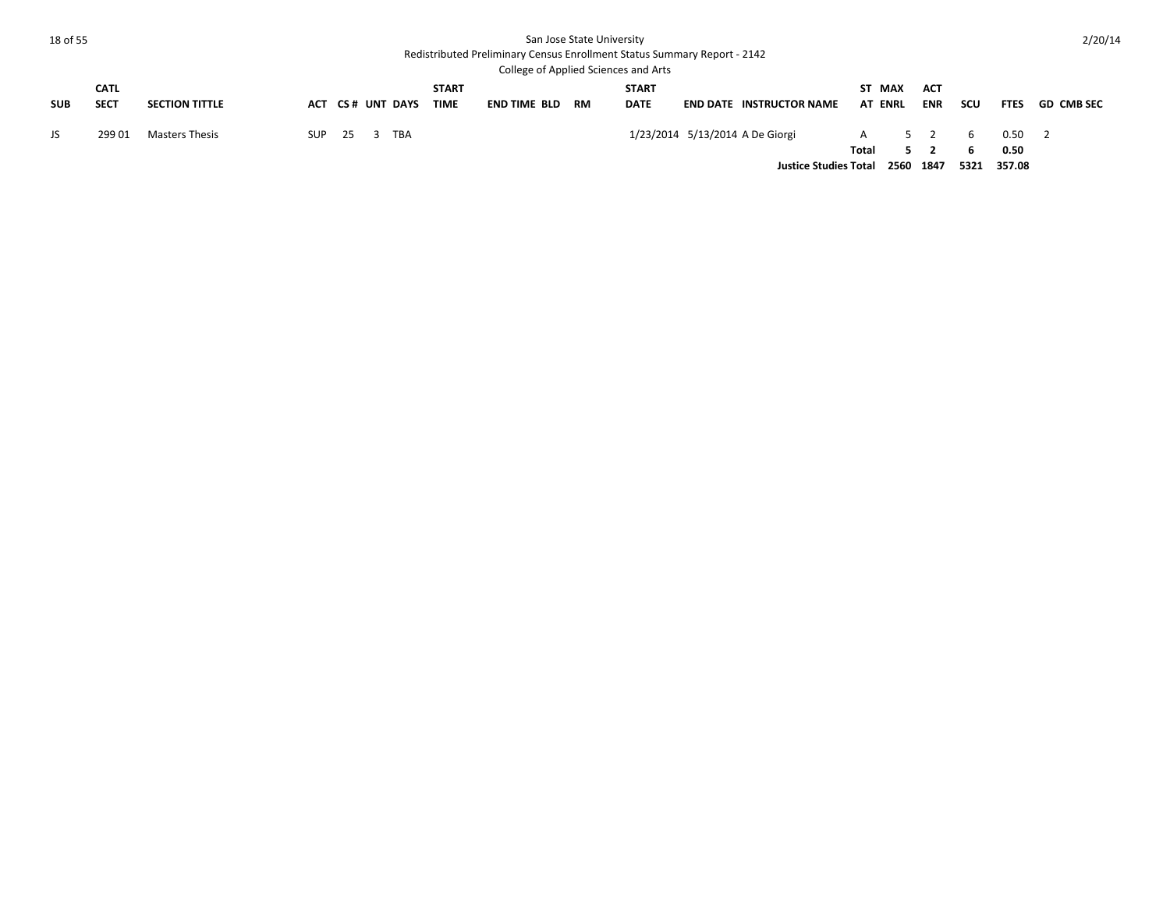| 18 of 55   |                            |                       |     |      |                  |                             |                     | San Jose State University | Redistributed Preliminary Census Enrollment Status Summary Report - 2142<br>College of Applied Sciences and Arts |                                                                 |            |                          |                            |                  |                        | 2/20/14           |
|------------|----------------------------|-----------------------|-----|------|------------------|-----------------------------|---------------------|---------------------------|------------------------------------------------------------------------------------------------------------------|-----------------------------------------------------------------|------------|--------------------------|----------------------------|------------------|------------------------|-------------------|
| <b>SUB</b> | <b>CATL</b><br><b>SECT</b> | <b>SECTION TITTLE</b> |     |      | ACT CS# UNT DAYS | <b>START</b><br><b>TIME</b> | <b>END TIME BLD</b> | <b>RM</b>                 | <b>START</b><br><b>DATE</b>                                                                                      | <b>END DATE INSTRUCTOR NAME</b>                                 |            | ST MAX<br><b>AT ENRL</b> | <b>ACT</b><br><b>ENR</b>   | scu              | <b>FTES</b>            | <b>GD CMB SEC</b> |
| JS         | 29901                      | Masters Thesis        | SUP | - 25 | TBA              |                             |                     |                           |                                                                                                                  | 1/23/2014 5/13/2014 A De Giorgi<br><b>Justice Studies Total</b> | A<br>Total | 2560                     | $5 \quad 2$<br>5 2<br>1847 | - 6<br>6<br>5321 | 0.50<br>0.50<br>357.08 |                   |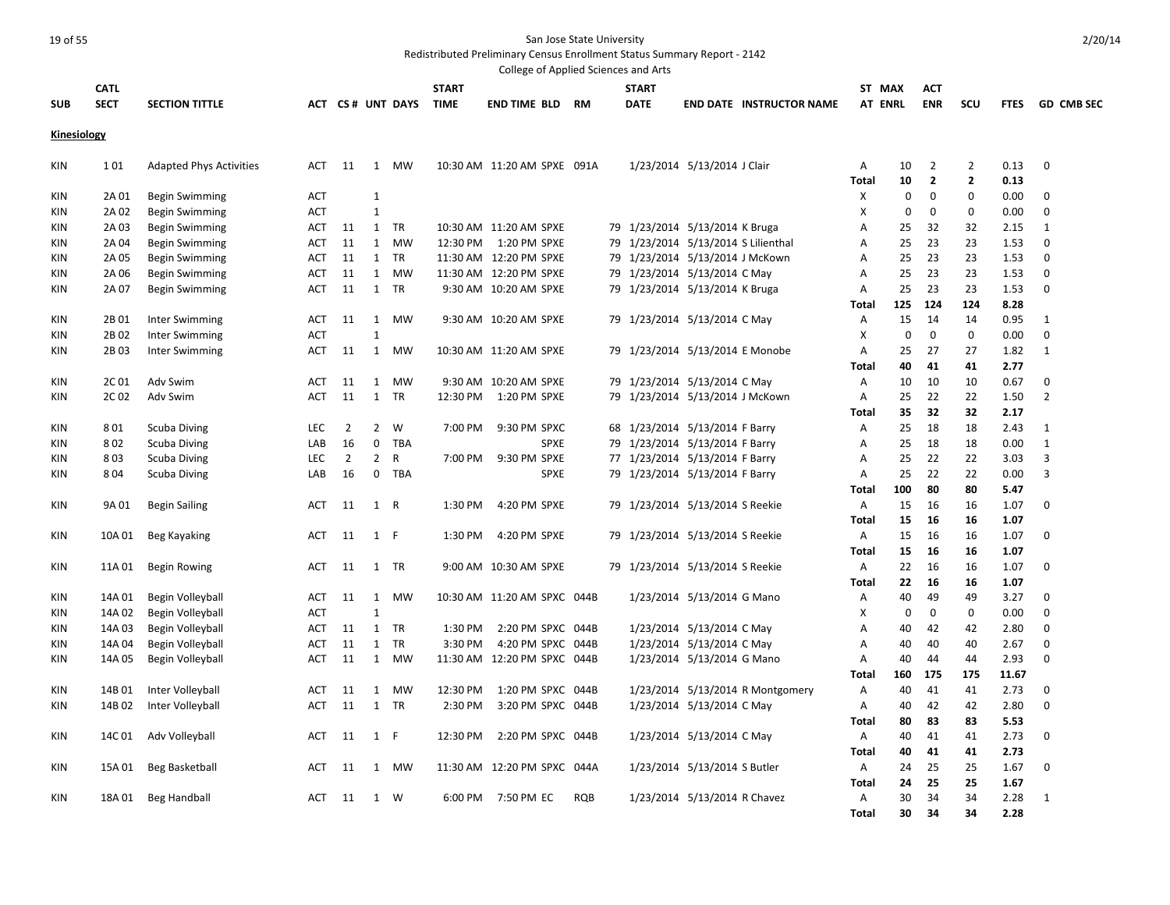Redistributed Preliminary Census Enrollment Status Summary Report - 2142

|             |             |                                |            |                |                |                  |              | College of Applied Sciences and Arts |            |                                     |                              |                                  |                |             |              |              |             |                   |
|-------------|-------------|--------------------------------|------------|----------------|----------------|------------------|--------------|--------------------------------------|------------|-------------------------------------|------------------------------|----------------------------------|----------------|-------------|--------------|--------------|-------------|-------------------|
|             | <b>CATL</b> |                                |            |                |                |                  | <b>START</b> |                                      |            | <b>START</b>                        |                              |                                  | ST MAX         |             | <b>ACT</b>   |              |             |                   |
| <b>SUB</b>  | <b>SECT</b> | <b>SECTION TITTLE</b>          |            |                |                | ACT CS# UNT DAYS | <b>TIME</b>  | <b>END TIME BLD RM</b>               |            | <b>DATE</b>                         |                              | <b>END DATE INSTRUCTOR NAME</b>  | <b>AT ENRL</b> |             | <b>ENR</b>   | scu          | <b>FTES</b> | <b>GD CMB SEC</b> |
|             |             |                                |            |                |                |                  |              |                                      |            |                                     |                              |                                  |                |             |              |              |             |                   |
| Kinesiology |             |                                |            |                |                |                  |              |                                      |            |                                     |                              |                                  |                |             |              |              |             |                   |
|             |             |                                |            |                |                |                  |              |                                      |            |                                     |                              |                                  |                |             |              |              |             |                   |
| KIN         | 101         | <b>Adapted Phys Activities</b> | ACT        | 11             | 1              | MW               |              | 10:30 AM  11:20 AM SPXE  091A        |            |                                     | 1/23/2014 5/13/2014 J Clair  |                                  | A              | 10          | 2            | 2            | 0.13        | 0                 |
|             |             |                                |            |                |                |                  |              |                                      |            |                                     |                              |                                  | <b>Total</b>   | 10          | $\mathbf{2}$ | $\mathbf{2}$ | 0.13        |                   |
| KIN         | 2A 01       | Begin Swimming                 | <b>ACT</b> |                | $\mathbf{1}$   |                  |              |                                      |            |                                     |                              |                                  | Χ              | 0           | $\mathbf{0}$ | $\mathbf{0}$ | 0.00        | 0                 |
| KIN         | 2A 02       | <b>Begin Swimming</b>          | <b>ACT</b> |                | $\mathbf{1}$   |                  |              |                                      |            |                                     |                              |                                  | X              | $\mathbf 0$ | 0            | $\mathbf 0$  | 0.00        | 0                 |
| KIN         | 2A03        | <b>Begin Swimming</b>          | ACT        | 11             | 1              | <b>TR</b>        |              | 10:30 AM 11:20 AM SPXE               |            | 79 1/23/2014 5/13/2014 K Bruga      |                              |                                  | Α              | 25          | 32           | 32           | 2.15        | $\mathbf{1}$      |
| KIN         | 2A 04       | <b>Begin Swimming</b>          | ACT        | 11             | 1              | MW               |              | 12:30 PM   1:20 PM SPXE              |            | 79 1/23/2014 5/13/2014 S Lilienthal |                              |                                  | Α              | 25          | 23           | 23           | 1.53        | 0                 |
| KIN         | 2A 05       | <b>Begin Swimming</b>          | ACT        | 11             | 1              | TR               |              | 11:30 AM 12:20 PM SPXE               |            | 79 1/23/2014 5/13/2014 J McKown     |                              |                                  | Α              | 25          | 23           | 23           | 1.53        | $\mathbf 0$       |
| KIN         | 2A 06       | Begin Swimming                 | ACT        | 11             | 1              | MW               |              | 11:30 AM 12:20 PM SPXE               |            | 79 1/23/2014 5/13/2014 C May        |                              |                                  | Α              | 25          | 23           | 23           | 1.53        | 0                 |
| KIN         | 2A 07       | <b>Begin Swimming</b>          | ACT        | 11             | 1              | TR               |              | 9:30 AM 10:20 AM SPXE                |            | 79 1/23/2014 5/13/2014 K Bruga      |                              |                                  | Α              | 25          | 23           | 23           | 1.53        | 0                 |
|             |             |                                |            |                |                |                  |              |                                      |            |                                     |                              |                                  | Total          | 125         | 124          | 124          | 8.28        |                   |
| KIN         | 2B 01       | Inter Swimming                 | ACT        | 11             | 1              | MW               |              | 9:30 AM 10:20 AM SPXE                |            | 79 1/23/2014 5/13/2014 C May        |                              |                                  | Α              | 15          | 14           | 14           | 0.95        | 1                 |
| <b>KIN</b>  | 2B02        | <b>Inter Swimming</b>          | <b>ACT</b> |                | $\mathbf{1}$   |                  |              |                                      |            |                                     |                              |                                  | X              | $\mathbf 0$ | $\mathbf 0$  | $\mathbf 0$  | 0.00        | $\mathbf 0$       |
| KIN         | 2B03        | Inter Swimming                 | ACT        | 11             | 1              | MW               |              | 10:30 AM 11:20 AM SPXE               |            | 79 1/23/2014 5/13/2014 E Monobe     |                              |                                  | Α              | 25          | 27           | 27           | 1.82        | 1                 |
|             |             |                                |            |                |                |                  |              |                                      |            |                                     |                              |                                  | <b>Total</b>   | 40          | 41           | 41           | 2.77        |                   |
| KIN         | 2C 01       | Adv Swim                       | <b>ACT</b> | 11             | 1              | MW               |              | 9:30 AM 10:20 AM SPXE                |            | 79 1/23/2014 5/13/2014 C May        |                              |                                  | Α              | 10          | 10           | 10           | 0.67        | $\mathbf 0$       |
| KIN         | 2C02        | Adv Swim                       | <b>ACT</b> | 11             | 1              | <b>TR</b>        | 12:30 PM     | 1:20 PM SPXE                         |            | 79 1/23/2014 5/13/2014 J McKown     |                              |                                  | Α              | 25          | 22           | 22           | 1.50        | $\overline{2}$    |
|             |             |                                |            |                |                |                  |              |                                      |            |                                     |                              |                                  | Total          | 35          | 32           | 32           | 2.17        |                   |
| KIN         | 801         | <b>Scuba Diving</b>            | <b>LEC</b> | $\overline{2}$ | $\overline{2}$ | W                | 7:00 PM      | 9:30 PM SPXC                         |            | 68 1/23/2014 5/13/2014 F Barry      |                              |                                  | Α              | 25          | 18           | 18           | 2.43        | 1                 |
| KIN         | 802         | <b>Scuba Diving</b>            | LAB        | 16             | $\mathbf 0$    | <b>TBA</b>       |              | <b>SPXE</b>                          |            | 79 1/23/2014 5/13/2014 F Barry      |                              |                                  | А              | 25          | 18           | 18           | 0.00        | $\mathbf{1}$      |
| KIN         | 803         | <b>Scuba Diving</b>            | <b>LEC</b> | $\overline{2}$ | $\overline{2}$ | R                | 7:00 PM      | 9:30 PM SPXE                         |            | 77 1/23/2014 5/13/2014 F Barry      |                              |                                  | Α              | 25          | 22           | 22           | 3.03        | 3                 |
| <b>KIN</b>  | 804         | <b>Scuba Diving</b>            | LAB        | 16             | $\mathbf 0$    | <b>TBA</b>       |              | <b>SPXE</b>                          |            | 79 1/23/2014 5/13/2014 F Barry      |                              |                                  | A              | 25          | 22           | 22           | 0.00        | 3                 |
|             |             |                                |            |                |                |                  |              |                                      |            |                                     |                              |                                  | Total          | 100         | 80           | 80           | 5.47        |                   |
| KIN         | 9A 01       | <b>Begin Sailing</b>           | ACT        | 11             | 1 R            |                  | 1:30 PM      | 4:20 PM SPXE                         |            | 79 1/23/2014 5/13/2014 S Reekie     |                              |                                  | Α              | 15          | 16           | 16           | 1.07        | 0                 |
|             |             |                                |            |                |                |                  |              |                                      |            |                                     |                              |                                  | <b>Total</b>   | 15          | 16           | 16           | 1.07        |                   |
| KIN         | 10A 01      | Beg Kayaking                   | ACT        | 11             | 1 F            |                  | 1:30 PM      | 4:20 PM SPXE                         |            | 79 1/23/2014 5/13/2014 S Reekie     |                              |                                  | Α              | 15          | 16           | 16           | 1.07        | 0                 |
|             |             |                                |            |                |                |                  |              |                                      |            |                                     |                              |                                  | <b>Total</b>   | 15          | 16           | 16           | 1.07        |                   |
| KIN         | 11A 01      | Begin Rowing                   | ACT        | 11             |                | 1 TR             |              | 9:00 AM 10:30 AM SPXE                |            | 79 1/23/2014 5/13/2014 S Reekie     |                              |                                  | Α              | 22          | 16           | 16           | 1.07        | 0                 |
|             |             |                                |            |                |                |                  |              |                                      |            |                                     |                              |                                  | Total          | 22          | 16           | 16           | 1.07        |                   |
| KIN         | 14A 01      | Begin Volleyball               | ACT        | 11             | 1              | MW               |              | 10:30 AM 11:20 AM SPXC 044B          |            |                                     | 1/23/2014 5/13/2014 G Mano   |                                  | Α              | 40          | 49           | 49           | 3.27        | 0                 |
| KIN         | 14A 02      | Begin Volleyball               | <b>ACT</b> |                | $\mathbf{1}$   |                  |              |                                      |            |                                     |                              |                                  | X              | 0           | 0            | $\mathbf{0}$ | 0.00        | 0                 |
| KIN         | 14A 03      | Begin Volleyball               | ACT        | 11             | 1              | TR               | 1:30 PM      | 2:20 PM SPXC 044B                    |            |                                     | 1/23/2014 5/13/2014 C May    |                                  | Α              | 40          | 42           | 42           | 2.80        | 0                 |
| KIN         | 14A 04      | Begin Volleyball               | <b>ACT</b> | 11             | 1              | TR               | 3:30 PM      | 4:20 PM SPXC 044B                    |            |                                     | 1/23/2014 5/13/2014 C May    |                                  | A              | 40          | 40           | 40           | 2.67        | $\mathbf 0$       |
| KIN         | 14A 05      | Begin Volleyball               | <b>ACT</b> | 11             | 1              | MW               |              | 11:30 AM 12:20 PM SPXC 044B          |            |                                     | 1/23/2014 5/13/2014 G Mano   |                                  | A              | 40          | 44           | 44           | 2.93        | $\Omega$          |
|             |             |                                |            |                |                |                  |              |                                      |            |                                     |                              |                                  | <b>Total</b>   | 160         | 175          | 175          | 11.67       |                   |
| KIN         | 14B 01      | Inter Volleyball               | ACT        | 11             | 1              | <b>MW</b>        | 12:30 PM     | 1:20 PM SPXC 044B                    |            |                                     |                              | 1/23/2014 5/13/2014 R Montgomery | Α              | 40          | 41           | 41           | 2.73        | $\mathbf 0$       |
| KIN         | 14B 02      | Inter Volleyball               | ACT        | 11             |                | 1 TR             | 2:30 PM      | 3:20 PM SPXC 044B                    |            |                                     | 1/23/2014 5/13/2014 C May    |                                  | Α              | 40          | 42           | 42           | 2.80        | $\mathbf 0$       |
|             |             |                                |            |                |                |                  |              |                                      |            |                                     |                              |                                  | <b>Total</b>   | 80          | 83           | 83           | 5.53        |                   |
| KIN         | 14C 01      | Adv Volleyball                 | ACT        | 11             | 1 F            |                  | 12:30 PM     | 2:20 PM SPXC 044B                    |            |                                     | 1/23/2014 5/13/2014 C May    |                                  | Α              | 40          | 41           | 41           | 2.73        | 0                 |
|             |             |                                |            |                |                |                  |              |                                      |            |                                     |                              |                                  | <b>Total</b>   | 40          | 41           | 41           | 2.73        |                   |
| KIN         | 15A 01      | Beg Basketball                 | ACT        | 11             | 1              | MW               |              | 11:30 AM 12:20 PM SPXC 044A          |            |                                     | 1/23/2014 5/13/2014 S Butler |                                  | Α              | 24          | 25           | 25           | 1.67        | 0                 |
|             |             |                                |            |                |                |                  |              |                                      |            |                                     |                              |                                  | Total          | 24          | 25           | 25           | 1.67        |                   |
| KIN         | 18A 01      | <b>Beg Handball</b>            | ACT        | -11            |                | 1 W              |              | 6:00 PM 7:50 PM EC                   | <b>ROB</b> |                                     | 1/23/2014 5/13/2014 R Chavez |                                  | A              | 30          | 34           | 34           | 2.28        | 1                 |
|             |             |                                |            |                |                |                  |              |                                      |            |                                     |                              |                                  | <b>Total</b>   | 30          | 34           | 34           | 2.28        |                   |
|             |             |                                |            |                |                |                  |              |                                      |            |                                     |                              |                                  |                |             |              |              |             |                   |

2/20/14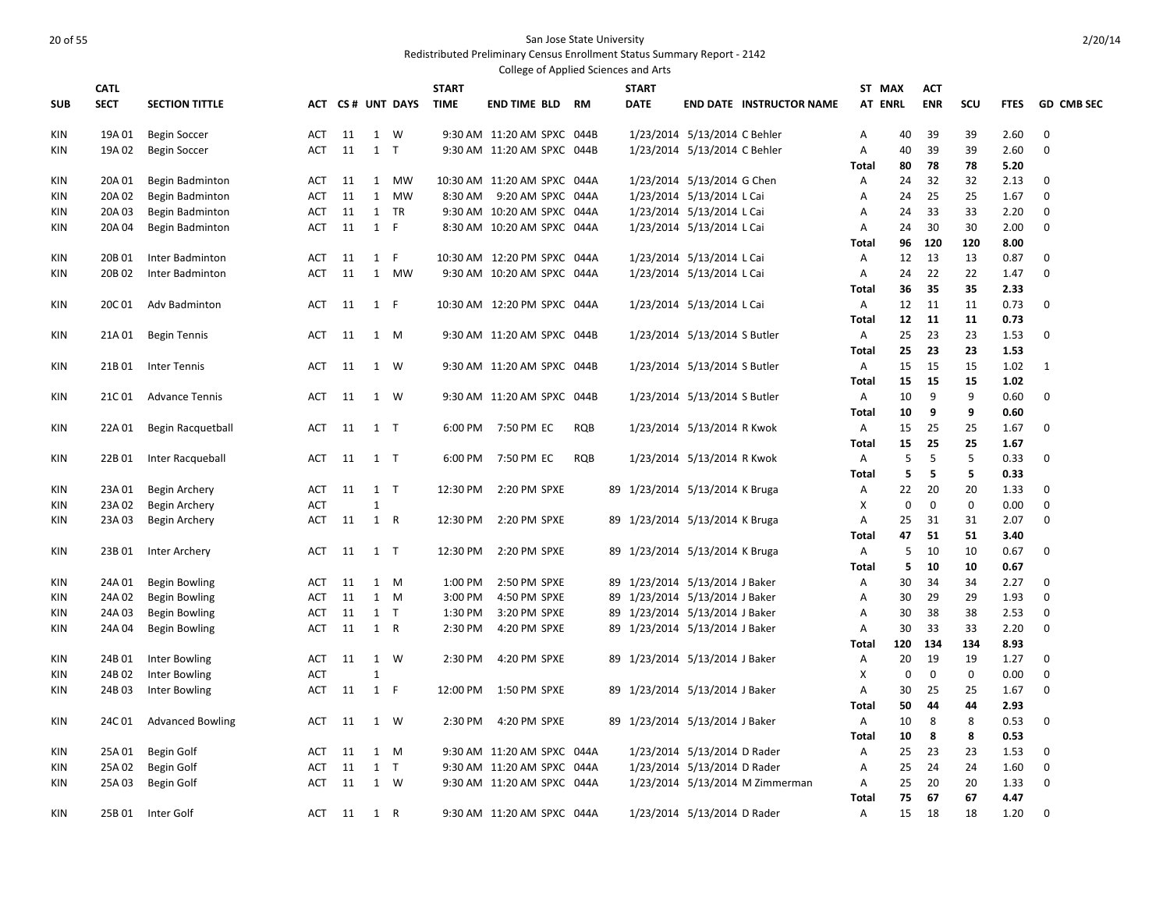|            |             |                         |            |      |                       |                  |              | College of Applied Sciences and Arts |            |                                |                                 |                |          |            |                   |              |                   |
|------------|-------------|-------------------------|------------|------|-----------------------|------------------|--------------|--------------------------------------|------------|--------------------------------|---------------------------------|----------------|----------|------------|-------------------|--------------|-------------------|
|            | <b>CATL</b> |                         |            |      |                       |                  | <b>START</b> |                                      |            | <b>START</b>                   |                                 | ST MAX         |          | <b>ACT</b> |                   |              |                   |
| <b>SUB</b> | <b>SECT</b> | <b>SECTION TITTLE</b>   |            |      |                       | ACT CS# UNT DAYS | <b>TIME</b>  | <b>END TIME BLD RM</b>               |            | <b>DATE</b>                    | <b>END DATE INSTRUCTOR NAME</b> | <b>AT ENRL</b> |          | <b>ENR</b> | SCU               | <b>FTES</b>  | <b>GD CMB SEC</b> |
| <b>KIN</b> | 19A 01      | <b>Begin Soccer</b>     | ACT        | 11   | 1 W                   |                  |              | 9:30 AM 11:20 AM SPXC 044B           |            | 1/23/2014 5/13/2014 C Behler   |                                 | Α              | 40       | 39         | 39                | 2.60         | $\mathbf 0$       |
| KIN        | 19A 02      | <b>Begin Soccer</b>     | ACT        | 11   | $1$ T                 |                  |              | 9:30 AM 11:20 AM SPXC 044B           |            | 1/23/2014 5/13/2014 C Behler   |                                 | Α              | 40       | 39         | 39                | 2.60         | $\mathbf 0$       |
|            |             |                         |            |      |                       |                  |              |                                      |            |                                |                                 | Total          | 80       | 78         | 78                | 5.20         |                   |
| <b>KIN</b> | 20A 01      | Begin Badminton         | ACT        | 11   | 1                     | MW               |              | 10:30 AM 11:20 AM SPXC 044A          |            | 1/23/2014 5/13/2014 G Chen     |                                 | Α              | 24       | 32         | 32                | 2.13         | $\mathbf 0$       |
| <b>KIN</b> | 20A 02      | Begin Badminton         | ACT        | 11   | 1                     | MW               |              | 8:30 AM 9:20 AM SPXC 044A            |            | 1/23/2014 5/13/2014 L Cai      |                                 | Α              | 24       | 25         | 25                | 1.67         | $\mathbf 0$       |
| KIN        | 20A 03      | Begin Badminton         | ACT        | 11   |                       | 1 TR             |              | 9:30 AM 10:20 AM SPXC 044A           |            | 1/23/2014 5/13/2014 L Cai      |                                 | Α              | 24       | 33         | 33                | 2.20         | 0                 |
| KIN        | 20A 04      | Begin Badminton         | ACT        | 11   | 1 F                   |                  |              | 8:30 AM 10:20 AM SPXC 044A           |            | 1/23/2014 5/13/2014 L Cai      |                                 | Α              | 24       | 30         | 30                | 2.00         | $\mathbf 0$       |
|            |             |                         |            |      |                       |                  |              |                                      |            |                                |                                 | Total          | 96       | 120        | 120               | 8.00         |                   |
| <b>KIN</b> | 20B 01      | Inter Badminton         | ACT        | 11   | 1 F                   |                  |              | 10:30 AM 12:20 PM SPXC 044A          |            | 1/23/2014 5/13/2014 L Cai      |                                 | A              | 12       | 13         | 13                | 0.87         | 0                 |
| KIN        | 20B 02      | Inter Badminton         | ACT        | 11   |                       | 1 MW             |              | 9:30 AM 10:20 AM SPXC 044A           |            | 1/23/2014 5/13/2014 L Cai      |                                 | Α              | 24       | 22         | 22                | 1.47         | 0                 |
|            |             |                         |            |      |                       |                  |              |                                      |            |                                |                                 | <b>Total</b>   | 36       | 35         | 35                | 2.33         |                   |
| KIN        | 20C 01      | Adv Badminton           | ACT        | 11   | 1 F                   |                  |              | 10:30 AM 12:20 PM SPXC 044A          |            | 1/23/2014 5/13/2014 L Cai      |                                 | $\mathsf{A}$   | 12       | 11         | 11                | 0.73         | $\mathbf 0$       |
|            |             |                         |            |      |                       |                  |              |                                      |            |                                |                                 | <b>Total</b>   | 12       | 11         | 11                | 0.73         |                   |
| <b>KIN</b> | 21A 01      | <b>Begin Tennis</b>     | ACT        | - 11 | 1 M                   |                  |              | 9:30 AM 11:20 AM SPXC 044B           |            | 1/23/2014 5/13/2014 S Butler   |                                 | A              | 25       | 23         | 23                | 1.53         | $\mathbf 0$       |
|            |             |                         |            |      |                       |                  |              |                                      |            |                                |                                 | Total          | 25       | 23         | 23                | 1.53         |                   |
| KIN        | 21B 01      | <b>Inter Tennis</b>     | ACT        | 11   | 1 W                   |                  |              | 9:30 AM 11:20 AM SPXC 044B           |            | 1/23/2014 5/13/2014 S Butler   |                                 | A              | 15       | 15         | 15                | 1.02         | 1                 |
|            |             |                         |            |      |                       |                  |              |                                      |            |                                |                                 | <b>Total</b>   | 15       | 15         | 15                | 1.02         |                   |
| KIN        | 21C 01      | Advance Tennis          | ACT        | 11   |                       | 1 W              |              | 9:30 AM 11:20 AM SPXC 044B           |            | 1/23/2014 5/13/2014 S Butler   |                                 | Α              | 10       | 9          | 9                 | 0.60         | $\mathbf 0$       |
|            |             |                         |            |      |                       |                  |              |                                      |            |                                |                                 | <b>Total</b>   | 10       | 9          | 9                 | 0.60         |                   |
| <b>KIN</b> | 22A 01      | Begin Racquetball       | ACT        | 11   | $1$ T                 |                  |              | 6:00 PM 7:50 PM EC                   | <b>RQB</b> | 1/23/2014 5/13/2014 R Kwok     |                                 | A              | 15       | 25         | 25                | 1.67         | 0                 |
|            |             |                         |            |      |                       |                  |              |                                      |            |                                |                                 | <b>Total</b>   | 15       | 25         | 25                | 1.67         |                   |
| <b>KIN</b> | 22B 01      | Inter Racqueball        | ACT        | 11   | $1$ T                 |                  |              | 6:00 PM 7:50 PM EC                   | RQB        | 1/23/2014 5/13/2014 R Kwok     |                                 | A              | 5        | 5          | 5                 | 0.33         | $\mathbf 0$       |
|            |             |                         |            |      |                       |                  |              |                                      |            |                                |                                 | <b>Total</b>   | 5        | 5          | 5                 | 0.33         |                   |
| KIN        | 23A 01      | Begin Archery           | ACT        | 11   | $1$ T<br>$\mathbf{1}$ |                  | 12:30 PM     | 2:20 PM SPXE                         |            | 89 1/23/2014 5/13/2014 K Bruga |                                 | Α              | 22       | 20         | 20<br>$\mathbf 0$ | 1.33         | $\mathbf 0$       |
| KIN        | 23A 02      | Begin Archery           | ACT<br>ACT |      |                       |                  | 12:30 PM     |                                      |            |                                |                                 | Χ<br>A         | 0        | 0<br>31    | 31                | 0.00         | 0<br>$\mathbf 0$  |
| KIN        | 23A 03      | Begin Archery           |            | 11   | 1 R                   |                  |              | 2:20 PM SPXE                         |            | 89 1/23/2014 5/13/2014 K Bruga |                                 | <b>Total</b>   | 25<br>47 | 51         | 51                | 2.07<br>3.40 |                   |
| <b>KIN</b> | 23B 01      |                         | ACT        | 11   | $1$ T                 |                  | 12:30 PM     | 2:20 PM SPXE                         |            | 89 1/23/2014 5/13/2014 K Bruga |                                 | Α              | 5        | 10         | 10                | 0.67         | 0                 |
|            |             | Inter Archery           |            |      |                       |                  |              |                                      |            |                                |                                 | <b>Total</b>   | 5        | 10         | 10                | 0.67         |                   |
| KIN        | 24A 01      | Begin Bowling           | ACT        | 11   |                       | 1 M              | 1:00 PM      | 2:50 PM SPXE                         |            | 89 1/23/2014 5/13/2014 J Baker |                                 | Α              | 30       | 34         | 34                | 2.27         | 0                 |
| KIN        | 24A 02      | <b>Begin Bowling</b>    | ACT        | 11   | $1 \quad M$           |                  | 3:00 PM      | 4:50 PM SPXE                         |            | 89 1/23/2014 5/13/2014 J Baker |                                 | Α              | 30       | 29         | 29                | 1.93         | $\mathbf 0$       |
| <b>KIN</b> | 24A 03      | Begin Bowling           | ACT        | 11   | $1$ T                 |                  | 1:30 PM      | 3:20 PM SPXE                         |            | 89 1/23/2014 5/13/2014 J Baker |                                 | Α              | 30       | 38         | 38                | 2.53         | $\mathbf 0$       |
| KIN        | 24A 04      | <b>Begin Bowling</b>    | ACT        | 11   | 1 R                   |                  | 2:30 PM      | 4:20 PM SPXE                         |            | 89 1/23/2014 5/13/2014 J Baker |                                 | Α              | 30       | 33         | 33                | 2.20         | $\mathbf 0$       |
|            |             |                         |            |      |                       |                  |              |                                      |            |                                |                                 | Total          | 120      | 134        | 134               | 8.93         |                   |
| KIN        | 24B 01      | Inter Bowling           | ACT        | 11   | 1 W                   |                  | 2:30 PM      | 4:20 PM SPXE                         |            | 89 1/23/2014 5/13/2014 J Baker |                                 | Α              | 20       | 19         | 19                | 1.27         | $\mathbf 0$       |
| KIN        | 24B 02      | Inter Bowling           | ACT        |      | $\mathbf{1}$          |                  |              |                                      |            |                                |                                 | X              | 0        | 0          | $\mathbf 0$       | 0.00         | 0                 |
| KIN        | 24B03       | Inter Bowling           | ACT        | 11   | 1 F                   |                  | 12:00 PM     | 1:50 PM SPXE                         |            | 89 1/23/2014 5/13/2014 J Baker |                                 | Α              | 30       | 25         | 25                | 1.67         | $\mathbf 0$       |
|            |             |                         |            |      |                       |                  |              |                                      |            |                                |                                 | Total          | 50       | 44         | 44                | 2.93         |                   |
| <b>KIN</b> | 24C 01      | <b>Advanced Bowling</b> | ACT        | 11   | 1 W                   |                  | 2:30 PM      | 4:20 PM SPXE                         |            | 89 1/23/2014 5/13/2014 J Baker |                                 | Α              | 10       | 8          | 8                 | 0.53         | $\mathbf 0$       |
|            |             |                         |            |      |                       |                  |              |                                      |            |                                |                                 | Total          | 10       | 8          | 8                 | 0.53         |                   |
| KIN        | 25A 01      | Begin Golf              | ACT        | 11   |                       | 1 M              |              | 9:30 AM 11:20 AM SPXC 044A           |            | 1/23/2014 5/13/2014 D Rader    |                                 | Α              | 25       | 23         | 23                | 1.53         | 0                 |
| <b>KIN</b> | 25A 02      | Begin Golf              | ACT        | 11   | $1$ T                 |                  |              | 9:30 AM 11:20 AM SPXC 044A           |            | 1/23/2014 5/13/2014 D Rader    |                                 | A              | 25       | 24         | 24                | 1.60         | $\mathbf 0$       |
| KIN        | 25A 03      | Begin Golf              | ACT        | 11   | 1 W                   |                  |              | 9:30 AM 11:20 AM SPXC 044A           |            |                                | 1/23/2014 5/13/2014 M Zimmerman | Α              | 25       | 20         | 20                | 1.33         | 0                 |
|            |             |                         |            |      |                       |                  |              |                                      |            |                                |                                 | Total          | 75       | 67         | 67                | 4.47         |                   |
| KIN        |             | 25B 01 Inter Golf       | ACT        | 11   | 1 R                   |                  |              | 9:30 AM 11:20 AM SPXC 044A           |            | 1/23/2014 5/13/2014 D Rader    |                                 | A              | 15       | 18         | 18                | 1.20         | $\mathbf 0$       |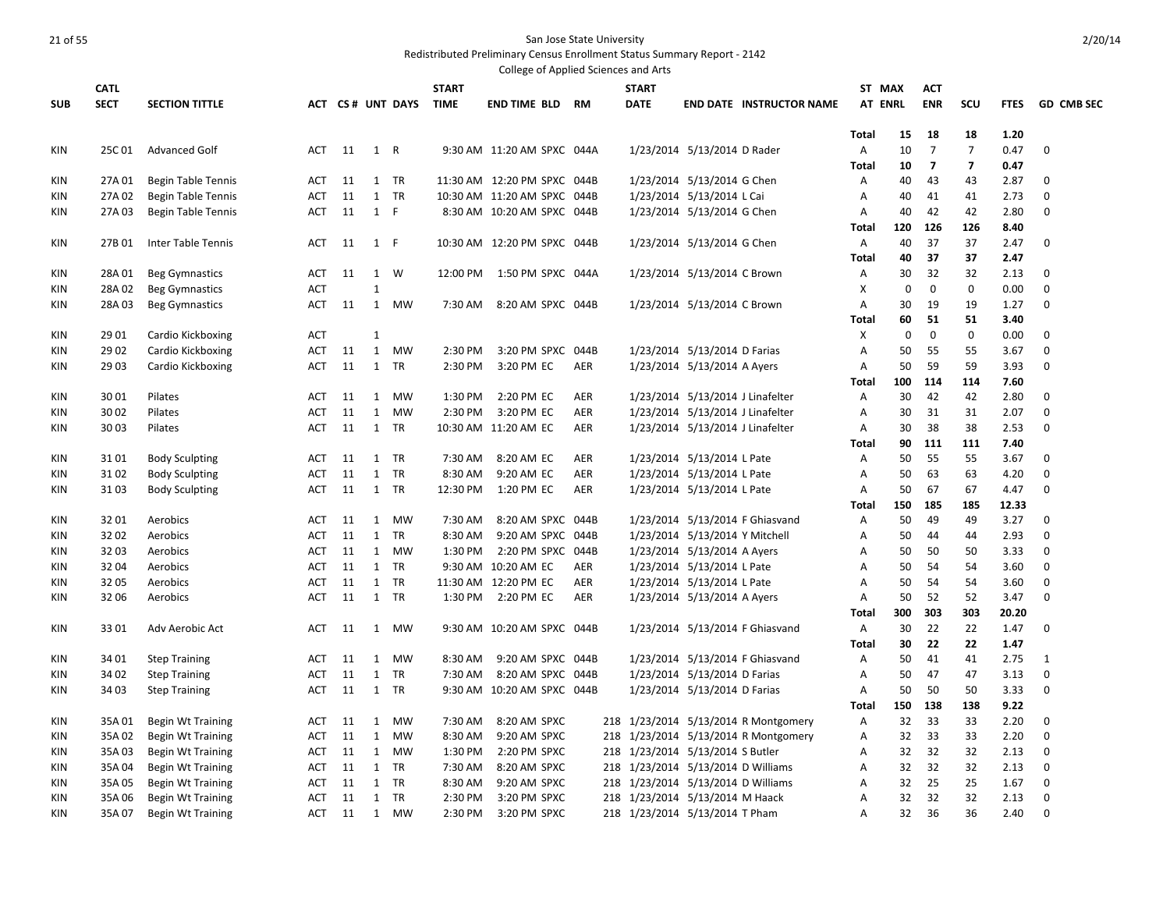|            |             |                           |            |      |              |                  |              | College of Applied Sciences and Arts |            |                                    |                                |                                      |                |             |                         |                |             |                   |
|------------|-------------|---------------------------|------------|------|--------------|------------------|--------------|--------------------------------------|------------|------------------------------------|--------------------------------|--------------------------------------|----------------|-------------|-------------------------|----------------|-------------|-------------------|
|            | <b>CATL</b> |                           |            |      |              |                  | <b>START</b> |                                      |            | <b>START</b>                       |                                |                                      | ST MAX         |             | <b>ACT</b>              |                |             |                   |
| <b>SUB</b> | <b>SECT</b> | <b>SECTION TITTLE</b>     |            |      |              | ACT CS# UNT DAYS | <b>TIME</b>  | <b>END TIME BLD RM</b>               |            | <b>DATE</b>                        |                                | <b>END DATE INSTRUCTOR NAME</b>      | <b>AT ENRL</b> |             | <b>ENR</b>              | SCU            | <b>FTES</b> | <b>GD CMB SEC</b> |
|            |             |                           |            |      |              |                  |              |                                      |            |                                    |                                |                                      |                |             |                         |                |             |                   |
|            |             |                           |            |      |              |                  |              |                                      |            |                                    |                                |                                      | <b>Total</b>   | 15          | 18                      | 18             | 1.20        |                   |
| KIN        | 25C 01      | <b>Advanced Golf</b>      | ACT        | - 11 | 1 R          |                  |              | 9:30 AM 11:20 AM SPXC 044A           |            |                                    | 1/23/2014 5/13/2014 D Rader    |                                      | Α              | 10          | $\overline{7}$          | $\overline{7}$ | 0.47        | $\mathbf 0$       |
|            |             |                           |            |      |              |                  |              |                                      |            |                                    |                                |                                      | <b>Total</b>   | 10          | $\overline{\mathbf{z}}$ | $\overline{7}$ | 0.47        |                   |
| KIN        | 27A 01      | <b>Begin Table Tennis</b> | ACT        | 11   |              | 1 TR             |              | 11:30 AM 12:20 PM SPXC 044B          |            |                                    | 1/23/2014 5/13/2014 G Chen     |                                      | Α              | 40          | 43                      | 43             | 2.87        | $\mathbf 0$       |
| KIN        | 27A 02      | Begin Table Tennis        | ACT        | 11   |              | 1 TR             |              | 10:30 AM 11:20 AM SPXC 044B          |            |                                    | 1/23/2014 5/13/2014 L Cai      |                                      | Α              | 40          | 41                      | 41             | 2.73        | 0                 |
| KIN        | 27A 03      | Begin Table Tennis        | ACT        | 11   | 1 F          |                  |              | 8:30 AM 10:20 AM SPXC 044B           |            |                                    | 1/23/2014 5/13/2014 G Chen     |                                      | Α              | 40          | 42                      | 42             | 2.80        | $\mathbf 0$       |
|            |             |                           |            |      |              |                  |              |                                      |            |                                    |                                |                                      | <b>Total</b>   | 120         | 126                     | 126            | 8.40        |                   |
| KIN        | 27B 01      | Inter Table Tennis        | ACT        | 11   | 1 F          |                  |              | 10:30 AM 12:20 PM SPXC 044B          |            |                                    | 1/23/2014 5/13/2014 G Chen     |                                      | Α              | 40          | 37                      | 37             | 2.47        | 0                 |
|            |             |                           |            |      |              |                  |              |                                      |            |                                    |                                |                                      | Total          | 40          | 37                      | 37             | 2.47        |                   |
| KIN        | 28A01       | <b>Beg Gymnastics</b>     | <b>ACT</b> | 11   |              | 1 W              | 12:00 PM     | 1:50 PM SPXC 044A                    |            |                                    | 1/23/2014 5/13/2014 C Brown    |                                      | Α              | 30          | 32                      | 32             | 2.13        | 0                 |
| KIN        | 28A 02      | <b>Beg Gymnastics</b>     | <b>ACT</b> |      | $\mathbf{1}$ |                  |              |                                      |            |                                    |                                |                                      | X              | $\mathbf 0$ | $\mathbf 0$             | $\mathbf 0$    | 0.00        | $\mathbf 0$       |
| KIN        | 28A 03      | <b>Beg Gymnastics</b>     | ACT        | 11   | 1            | MW               | 7:30 AM      | 8:20 AM SPXC 044B                    |            |                                    | 1/23/2014 5/13/2014 C Brown    |                                      | Α              | 30          | 19                      | 19             | 1.27        | 0                 |
|            |             |                           |            |      |              |                  |              |                                      |            |                                    |                                |                                      | Total          | 60          | 51                      | 51             | 3.40        |                   |
| KIN        | 29 01       | Cardio Kickboxing         | <b>ACT</b> |      | 1            |                  |              |                                      |            |                                    |                                |                                      | Х              | 0           | $\mathbf 0$             | $\mathbf 0$    | 0.00        | $\mathbf 0$       |
| KIN        | 29 02       | Cardio Kickboxing         | ACT        | 11   | $\mathbf{1}$ | MW               | 2:30 PM      | 3:20 PM SPXC 044B                    |            |                                    | 1/23/2014 5/13/2014 D Farias   |                                      | Α              | 50          | 55                      | 55             | 3.67        | 0                 |
| KIN        | 29 03       | Cardio Kickboxing         | ACT        | 11   | 1            | TR               | 2:30 PM      | 3:20 PM EC                           | AER        |                                    | 1/23/2014 5/13/2014 A Ayers    |                                      | Α              | 50          | 59                      | 59             | 3.93        | $\boldsymbol{0}$  |
|            |             |                           |            |      |              |                  |              |                                      |            |                                    |                                |                                      | Total          | 100         | 114                     | 114            | 7.60        |                   |
| KIN        | 3001        | Pilates                   | ACT        | 11   | $\mathbf{1}$ | <b>MW</b>        | 1:30 PM      | 2:20 PM EC                           | AER        |                                    |                                | 1/23/2014 5/13/2014 J Linafelter     | Α              | 30          | 42                      | 42             | 2.80        | 0                 |
| KIN        | 30 02       | Pilates                   | <b>ACT</b> | 11   | 1            | <b>MW</b>        | 2:30 PM      | 3:20 PM EC                           | AER        |                                    |                                | 1/23/2014 5/13/2014 J Linafelter     | A              | 30          | 31                      | 31             | 2.07        | $\mathbf 0$       |
| KIN        | 3003        | Pilates                   | ACT        | 11   | 1            | TR               |              | 10:30 AM 11:20 AM EC                 | <b>AER</b> |                                    |                                | 1/23/2014 5/13/2014 J Linafelter     | Α              | 30          | 38                      | 38             | 2.53        | $\boldsymbol{0}$  |
|            |             |                           |            |      |              |                  |              |                                      |            |                                    |                                |                                      | Total          | 90          | 111                     | 111            | 7.40        |                   |
| KIN        | 3101        | <b>Body Sculpting</b>     | ACT        | 11   | 1            | <b>TR</b>        | 7:30 AM      | 8:20 AM EC                           | AER        |                                    | 1/23/2014 5/13/2014 L Pate     |                                      | Α              | 50          | 55                      | 55             | 3.67        | $\mathbf 0$       |
| KIN        | 3102        | <b>Body Sculpting</b>     | <b>ACT</b> | 11   |              | 1 TR             | 8:30 AM      | 9:20 AM EC                           | <b>AER</b> |                                    | 1/23/2014 5/13/2014 L Pate     |                                      | $\overline{A}$ | 50          | 63                      | 63             | 4.20        | $\mathbf 0$       |
| KIN        | 3103        | <b>Body Sculpting</b>     | ACT        | 11   |              | 1 TR             | 12:30 PM     | 1:20 PM EC                           | AER        |                                    | 1/23/2014 5/13/2014 L Pate     |                                      | Α              | 50          | 67                      | 67             | 4.47        | $\Omega$          |
|            |             |                           |            |      |              |                  |              |                                      |            |                                    |                                |                                      | Total          | 150         | 185                     | 185            | 12.33       |                   |
| KIN        | 3201        | Aerobics                  | ACT        | 11   | 1            | <b>MW</b>        | 7:30 AM      | 8:20 AM SPXC 044B                    |            |                                    |                                | 1/23/2014 5/13/2014 F Ghiasvand      | Α              | 50          | 49                      | 49             | 3.27        | $\mathbf 0$       |
| KIN        | 32 02       | Aerobics                  | ACT        | 11   | 1            | TR               | 8:30 AM      | 9:20 AM SPXC 044B                    |            |                                    | 1/23/2014 5/13/2014 Y Mitchell |                                      | Α              | 50          | 44                      | 44             | 2.93        | 0                 |
| KIN        | 3203        | Aerobics                  | <b>ACT</b> | 11   | 1            | <b>MW</b>        | 1:30 PM      | 2:20 PM SPXC 044B                    |            |                                    | 1/23/2014 5/13/2014 A Ayers    |                                      | Α              | 50          | 50                      | 50             | 3.33        | $\mathbf 0$       |
| KIN        | 32 04       | Aerobics                  | <b>ACT</b> | 11   | 1            | TR               |              | 9:30 AM 10:20 AM EC                  | <b>AER</b> |                                    | 1/23/2014 5/13/2014 L Pate     |                                      | Α              | 50          | 54                      | 54             | 3.60        | 0                 |
| KIN        | 32 05       | Aerobics                  | ACT        | 11   | $\mathbf{1}$ | <b>TR</b>        |              | 11:30 AM 12:20 PM EC                 | AER        |                                    | 1/23/2014 5/13/2014 L Pate     |                                      | Α              | 50          | 54                      | 54             | 3.60        | $\boldsymbol{0}$  |
| KIN        | 3206        | Aerobics                  | ACT        | 11   |              | 1 TR             |              | 1:30 PM 2:20 PM EC                   | AER        |                                    | 1/23/2014 5/13/2014 A Ayers    |                                      | A              | 50          | 52                      | 52             | 3.47        | $\mathbf 0$       |
|            |             |                           |            |      |              |                  |              |                                      |            |                                    |                                |                                      | Total          | 300         | 303                     | 303            | 20.20       |                   |
| KIN        | 3301        | Adv Aerobic Act           | ACT        | 11   | 1            | <b>MW</b>        |              | 9:30 AM 10:20 AM SPXC 044B           |            |                                    |                                | 1/23/2014 5/13/2014 F Ghiasvand      | Α              | 30          | 22                      | 22             | 1.47        | 0                 |
|            |             |                           |            |      |              |                  |              |                                      |            |                                    |                                |                                      | Total          | 30          | 22                      | 22             | 1.47        |                   |
| KIN        | 34 01       | <b>Step Training</b>      | ACT        | 11   | 1            | <b>MW</b>        | 8:30 AM      | 9:20 AM SPXC 044B                    |            |                                    |                                | 1/23/2014 5/13/2014 F Ghiasvand      | Α              | 50          | 41                      | 41             | 2.75        | 1                 |
| KIN        | 34 02       | <b>Step Training</b>      | ACT        | 11   | 1            | TR               | 7:30 AM      | 8:20 AM SPXC 044B                    |            |                                    | 1/23/2014 5/13/2014 D Farias   |                                      | Α              | 50          | 47                      | 47             | 3.13        | 0                 |
| KIN        | 34 03       | <b>Step Training</b>      | ACT        | 11   | 1            | TR               |              | 9:30 AM 10:20 AM SPXC 044B           |            |                                    | 1/23/2014 5/13/2014 D Farias   |                                      | Α              | 50          | 50                      | 50             | 3.33        | 0                 |
|            |             |                           |            |      |              |                  |              |                                      |            |                                    |                                |                                      | Total          | 150         | 138                     | 138            | 9.22        |                   |
| KIN        | 35A01       | <b>Begin Wt Training</b>  | ACT        | 11   | 1            | MW               | 7:30 AM      | 8:20 AM SPXC                         |            |                                    |                                | 218 1/23/2014 5/13/2014 R Montgomery | Α              | 32          | 33                      | 33             | 2.20        | 0                 |
| KIN        | 35A 02      | Begin Wt Training         | ACT        | 11   | 1            | MW               | 8:30 AM      | 9:20 AM SPXC                         |            |                                    |                                | 218 1/23/2014 5/13/2014 R Montgomery | A              | 32          | 33                      | 33             | 2.20        | $\mathbf 0$       |
| KIN        | 35A 03      | <b>Begin Wt Training</b>  | ACT        | 11   | $\mathbf{1}$ | <b>MW</b>        | 1:30 PM      | 2:20 PM SPXC                         |            | 218 1/23/2014 5/13/2014 S Butler   |                                |                                      | Α              | 32          | 32                      | 32             | 2.13        | 0                 |
| KIN        | 35A 04      | <b>Begin Wt Training</b>  | <b>ACT</b> | 11   |              | 1 TR             | 7:30 AM      | 8:20 AM SPXC                         |            | 218 1/23/2014 5/13/2014 D Williams |                                |                                      | A              | 32          | 32                      | 32             | 2.13        | $\mathbf 0$       |
| KIN        | 35A 05      | <b>Begin Wt Training</b>  | ACT        | 11   | 1            | TR               | 8:30 AM      | 9:20 AM SPXC                         |            | 218 1/23/2014 5/13/2014 D Williams |                                |                                      | Α              | 32          | 25                      | 25             | 1.67        | 0                 |
| <b>KIN</b> | 35A 06      | <b>Begin Wt Training</b>  | <b>ACT</b> | 11   | 1            | TR               | 2:30 PM      | 3:20 PM SPXC                         |            | 218 1/23/2014 5/13/2014 M Haack    |                                |                                      | $\overline{A}$ | 32          | 32                      | 32             | 2.13        | $\mathbf 0$       |
| KIN        | 35A 07      | <b>Begin Wt Training</b>  | ACT        | 11   | 1            | <b>MW</b>        | 2:30 PM      | 3:20 PM SPXC                         |            | 218 1/23/2014 5/13/2014 T Pham     |                                |                                      | A              | 32          | 36                      | 36             | 2.40        | $\Omega$          |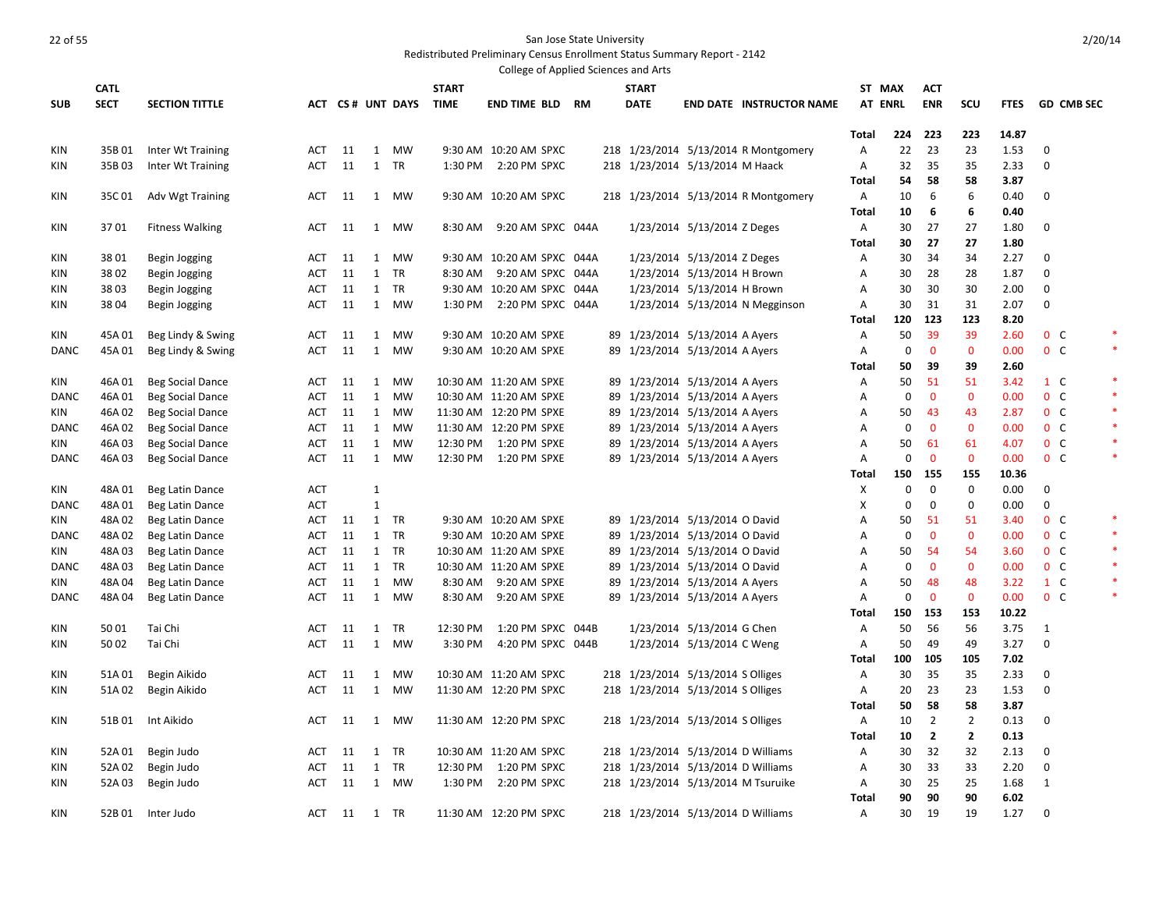|             |             |                                       |            |    |              |                  |              | College of Applied Sciences and Arts |  |              |                                    |                                      |                   |                  |                |                |              |                   |        |
|-------------|-------------|---------------------------------------|------------|----|--------------|------------------|--------------|--------------------------------------|--|--------------|------------------------------------|--------------------------------------|-------------------|------------------|----------------|----------------|--------------|-------------------|--------|
|             | <b>CATL</b> |                                       |            |    |              |                  | <b>START</b> |                                      |  | <b>START</b> |                                    |                                      | ST MAX            |                  | <b>ACT</b>     |                |              |                   |        |
| <b>SUB</b>  | <b>SECT</b> | <b>SECTION TITTLE</b>                 |            |    |              | ACT CS# UNT DAYS | TIME         | <b>END TIME BLD RM</b>               |  | <b>DATE</b>  |                                    | <b>END DATE INSTRUCTOR NAME</b>      | AT ENRL           |                  | <b>ENR</b>     | SCU            | <b>FTES</b>  | <b>GD CMB SEC</b> |        |
|             |             |                                       |            |    |              |                  |              |                                      |  |              |                                    |                                      |                   |                  |                |                |              |                   |        |
|             |             |                                       |            |    |              |                  |              |                                      |  |              |                                    |                                      | <b>Total</b>      | 224              | 223            | 223            | 14.87        |                   |        |
| KIN         | 35B01       | Inter Wt Training                     | ACT        | 11 | 1            | MW               |              | 9:30 AM 10:20 AM SPXC                |  |              |                                    | 218 1/23/2014 5/13/2014 R Montgomery | Α                 | 22               | 23             | 23             | 1.53         | 0                 |        |
| KIN         | 35B03       | Inter Wt Training                     | <b>ACT</b> | 11 |              | 1 TR             |              | 1:30 PM 2:20 PM SPXC                 |  |              | 218 1/23/2014 5/13/2014 M Haack    |                                      | Α                 | 32               | 35             | 35             | 2.33         | $\mathbf 0$       |        |
|             |             |                                       |            |    |              |                  |              |                                      |  |              |                                    |                                      | Total             | 54               | 58             | 58             | 3.87         | $\mathbf 0$       |        |
| KIN         | 35C01       | Adv Wgt Training                      | <b>ACT</b> | 11 |              | 1 MW             |              | 9:30 AM 10:20 AM SPXC                |  |              |                                    | 218 1/23/2014 5/13/2014 R Montgomery | Α                 | 10               | 6              | 6<br>6         | 0.40<br>0.40 |                   |        |
|             | 3701        |                                       |            | 11 |              | MW               | 8:30 AM      | 9:20 AM SPXC 044A                    |  |              |                                    |                                      | Total             | 10<br>30         | 6<br>27        | 27             | 1.80         | $\Omega$          |        |
| KIN         |             | <b>Fitness Walking</b>                | ACT        |    | 1            |                  |              |                                      |  |              | 1/23/2014 5/13/2014 Z Deges        |                                      | Α<br><b>Total</b> | 30               | 27             | 27             | 1.80         |                   |        |
| KIN         | 3801        |                                       | ACT        | 11 |              | 1 MW             |              | 9:30 AM 10:20 AM SPXC 044A           |  |              | 1/23/2014 5/13/2014 Z Deges        |                                      | Α                 | 30               | 34             | 34             | 2.27         | $\Omega$          |        |
| KIN         | 3802        | Begin Jogging                         | <b>ACT</b> | 11 |              | 1 TR             | 8:30 AM      | 9:20 AM SPXC 044A                    |  |              | 1/23/2014 5/13/2014 H Brown        |                                      | Α                 | 30               | 28             | 28             | 1.87         | $\mathbf 0$       |        |
| KIN         | 3803        | Begin Jogging<br><b>Begin Jogging</b> | <b>ACT</b> | 11 |              | 1 TR             |              | 9:30 AM 10:20 AM SPXC 044A           |  |              | 1/23/2014 5/13/2014 H Brown        |                                      | Α                 | 30               | 30             | 30             | 2.00         | 0                 |        |
| KIN         | 38 04       | Begin Jogging                         | <b>ACT</b> | 11 |              | 1 MW             | 1:30 PM      | 2:20 PM SPXC 044A                    |  |              |                                    | 1/23/2014 5/13/2014 N Megginson      | A                 | 30               | 31             | 31             | 2.07         | $\mathbf 0$       |        |
|             |             |                                       |            |    |              |                  |              |                                      |  |              |                                    |                                      | <b>Total</b>      | 120              | 123            | 123            | 8.20         |                   |        |
| KIN         | 45A01       | Beg Lindy & Swing                     | ACT        | 11 | 1            | <b>MW</b>        |              | 9:30 AM 10:20 AM SPXE                |  |              | 89 1/23/2014 5/13/2014 A Ayers     |                                      | Α                 | 50               | 39             | 39             | 2.60         | 0 <sup>o</sup>    |        |
| <b>DANC</b> | 45A 01      | Beg Lindy & Swing                     | <b>ACT</b> | 11 | 1            | MW               |              | 9:30 AM 10:20 AM SPXE                |  |              | 89 1/23/2014 5/13/2014 A Ayers     |                                      | Α                 | 0                | $\mathbf 0$    | $\mathbf 0$    | 0.00         | $0\quad C$        | $\ast$ |
|             |             |                                       |            |    |              |                  |              |                                      |  |              |                                    |                                      | Total             | 50               | 39             | 39             | 2.60         |                   |        |
| KIN         | 46A01       | Beg Social Dance                      | <b>ACT</b> | 11 |              | 1 MW             |              | 10:30 AM 11:20 AM SPXE               |  |              | 89 1/23/2014 5/13/2014 A Ayers     |                                      | Α                 | 50               | 51             | 51             | 3.42         | $1\quad C$        |        |
| <b>DANC</b> | 46A01       | <b>Beg Social Dance</b>               | <b>ACT</b> | 11 | 1            | MW               |              | 10:30 AM 11:20 AM SPXE               |  |              | 89 1/23/2014 5/13/2014 A Ayers     |                                      | Α                 | $\mathbf 0$      | $\mathbf 0$    | $\mathbf 0$    | 0.00         | $0\quad C$        |        |
| KIN         | 46A02       | <b>Beg Social Dance</b>               | <b>ACT</b> | 11 | 1            | MW               |              | 11:30 AM 12:20 PM SPXE               |  |              | 89 1/23/2014 5/13/2014 A Ayers     |                                      | Α                 | 50               | 43             | 43             | 2.87         | $0\quad C$        |        |
| <b>DANC</b> | 46A02       | <b>Beg Social Dance</b>               | <b>ACT</b> | 11 | 1            | MW               |              | 11:30 AM 12:20 PM SPXE               |  |              | 89 1/23/2014 5/13/2014 A Ayers     |                                      | Α                 | $\boldsymbol{0}$ | $\mathbf 0$    | $\mathbf 0$    | 0.00         | $0\quad C$        |        |
| KIN         | 46A03       | Beg Social Dance                      | ACT        | 11 | $\mathbf{1}$ | <b>MW</b>        | 12:30 PM     | 1:20 PM SPXE                         |  |              | 89 1/23/2014 5/13/2014 A Ayers     |                                      | A                 | 50               | 61             | 61             | 4.07         | 0 <sup>o</sup>    |        |
| DANC        | 46A 03      | <b>Beg Social Dance</b>               | <b>ACT</b> | 11 | 1            | <b>MW</b>        |              | 12:30 PM   1:20 PM SPXE              |  |              | 89 1/23/2014 5/13/2014 A Ayers     |                                      | Α                 | $\mathbf 0$      | $\mathbf{0}$   | $\mathbf{0}$   | 0.00         | 0 <sup>o</sup>    |        |
|             |             |                                       |            |    |              |                  |              |                                      |  |              |                                    |                                      | Total             | 150              | 155            | 155            | 10.36        |                   |        |
| KIN         | 48A01       | Beg Latin Dance                       | <b>ACT</b> |    | $\mathbf{1}$ |                  |              |                                      |  |              |                                    |                                      | Χ                 | $\mathbf 0$      | $\mathbf 0$    | 0              | 0.00         | $\mathbf 0$       |        |
| <b>DANC</b> | 48A 01      | Beg Latin Dance                       | <b>ACT</b> |    | $\mathbf{1}$ |                  |              |                                      |  |              |                                    |                                      | x                 | $\pmb{0}$        | 0              | $\mathbf 0$    | 0.00         | $\mathbf 0$       |        |
| KIN         | 48A02       | Beg Latin Dance                       | ACT        | 11 |              | 1 TR             |              | 9:30 AM 10:20 AM SPXE                |  |              | 89 1/23/2014 5/13/2014 O David     |                                      | A                 | 50               | 51             | 51             | 3.40         | 0 <sup>o</sup>    |        |
| <b>DANC</b> | 48A 02      | Beg Latin Dance                       | <b>ACT</b> | 11 |              | 1 TR             |              | 9:30 AM 10:20 AM SPXE                |  |              | 89 1/23/2014 5/13/2014 O David     |                                      | Α                 | 0                | $\mathbf 0$    | $\mathbf 0$    | 0.00         | $0\quad C$        |        |
| KIN         | 48A03       | Beg Latin Dance                       | ACT        | 11 |              | 1 TR             |              | 10:30 AM 11:20 AM SPXE               |  |              | 89 1/23/2014 5/13/2014 O David     |                                      | Α                 | 50               | 54             | 54             | 3.60         | $0\quad C$        |        |
| <b>DANC</b> | 48A03       | Beg Latin Dance                       | <b>ACT</b> | 11 |              | 1 TR             |              | 10:30 AM 11:20 AM SPXE               |  |              | 89 1/23/2014 5/13/2014 O David     |                                      | Α                 | 0                | $\mathbf 0$    | $\mathbf{0}$   | 0.00         | $0\quad C$        |        |
| KIN         | 48A 04      | Beg Latin Dance                       | <b>ACT</b> | 11 | 1            | MW               | 8:30 AM      | 9:20 AM SPXE                         |  |              | 89 1/23/2014 5/13/2014 A Ayers     |                                      | Α                 | 50               | 48             | 48             | 3.22         | $1\,c$            |        |
| <b>DANC</b> | 48A04       | Beg Latin Dance                       | <b>ACT</b> | 11 | 1            | <b>MW</b>        | 8:30 AM      | 9:20 AM SPXE                         |  |              | 89 1/23/2014 5/13/2014 A Ayers     |                                      | Α                 | $\mathbf 0$      | $\mathbf{0}$   | $\mathbf{0}$   | 0.00         | 0 <sup>o</sup>    |        |
|             |             |                                       |            |    |              |                  |              |                                      |  |              |                                    |                                      | Total             | 150              | 153            | 153            | 10.22        |                   |        |
| KIN         | 5001        | Tai Chi                               | ACT        | 11 | 1            | <b>TR</b>        | 12:30 PM     | 1:20 PM SPXC 044B                    |  |              | 1/23/2014 5/13/2014 G Chen         |                                      | Α                 | 50               | 56             | 56             | 3.75         | $\mathbf{1}$      |        |
| <b>KIN</b>  | 50 02       | Tai Chi                               | <b>ACT</b> | 11 |              | 1 MW             | 3:30 PM      | 4:20 PM SPXC 044B                    |  |              | 1/23/2014 5/13/2014 C Weng         |                                      | Α                 | 50               | 49             | 49             | 3.27         | $\mathbf 0$       |        |
|             |             |                                       |            |    |              |                  |              |                                      |  |              |                                    |                                      | Total             | 100              | 105            | 105            | 7.02         |                   |        |
| KIN         | 51A01       | Begin Aikido                          | <b>ACT</b> | 11 | 1            | <b>MW</b>        |              | 10:30 AM 11:20 AM SPXC               |  |              | 218 1/23/2014 5/13/2014 S Olliges  |                                      | Α                 | 30               | 35             | 35             | 2.33         | $\mathbf 0$       |        |
| KIN         | 51A02       | Begin Aikido                          | ACT        | 11 | 1            | MW               |              | 11:30 AM 12:20 PM SPXC               |  |              | 218 1/23/2014 5/13/2014 S Olliges  |                                      | Α                 | 20               | 23             | 23             | 1.53         | 0                 |        |
|             |             |                                       |            |    |              |                  |              |                                      |  |              |                                    |                                      | <b>Total</b>      | 50               | 58             | 58             | 3.87         |                   |        |
| KIN         | 51B 01      | Int Aikido                            | <b>ACT</b> | 11 | 1            | <b>MW</b>        |              | 11:30 AM  12:20 PM SPXC              |  |              | 218 1/23/2014 5/13/2014 S Olliges  |                                      | Α                 | 10               | $\overline{2}$ | $\overline{2}$ | 0.13         | 0                 |        |
|             |             |                                       |            |    |              |                  |              |                                      |  |              |                                    |                                      | Total             | 10               | $\overline{2}$ | $\overline{2}$ | 0.13         |                   |        |
| KIN         | 52A01       | Begin Judo                            | <b>ACT</b> | 11 |              | 1 TR             |              | 10:30 AM 11:20 AM SPXC               |  |              | 218 1/23/2014 5/13/2014 D Williams |                                      | Α                 | 30               | 32             | 32             | 2.13         | $\mathbf 0$       |        |
| KIN         | 52A 02      | Begin Judo                            | <b>ACT</b> | 11 |              | 1 TR             | 12:30 PM     | 1:20 PM SPXC                         |  |              | 218 1/23/2014 5/13/2014 D Williams |                                      | Α                 | 30               | 33             | 33             | 2.20         | 0                 |        |
| KIN         | 52A 03      | Begin Judo                            | <b>ACT</b> | 11 |              | 1 MW             | 1:30 PM      | 2:20 PM SPXC                         |  |              |                                    | 218 1/23/2014 5/13/2014 M Tsuruike   | Α                 | 30               | 25             | 25             | 1.68         | 1                 |        |
|             |             |                                       |            |    |              |                  |              |                                      |  |              |                                    |                                      | <b>Total</b>      | 90               | 90             | 90             | 6.02         |                   |        |
| KIN         | 52B 01      | Inter Judo                            | <b>ACT</b> | 11 |              | 1 TR             |              | 11:30 AM 12:20 PM SPXC               |  |              | 218 1/23/2014 5/13/2014 D Williams |                                      | Α                 | 30               | 19             | 19             | 1.27         | $\Omega$          |        |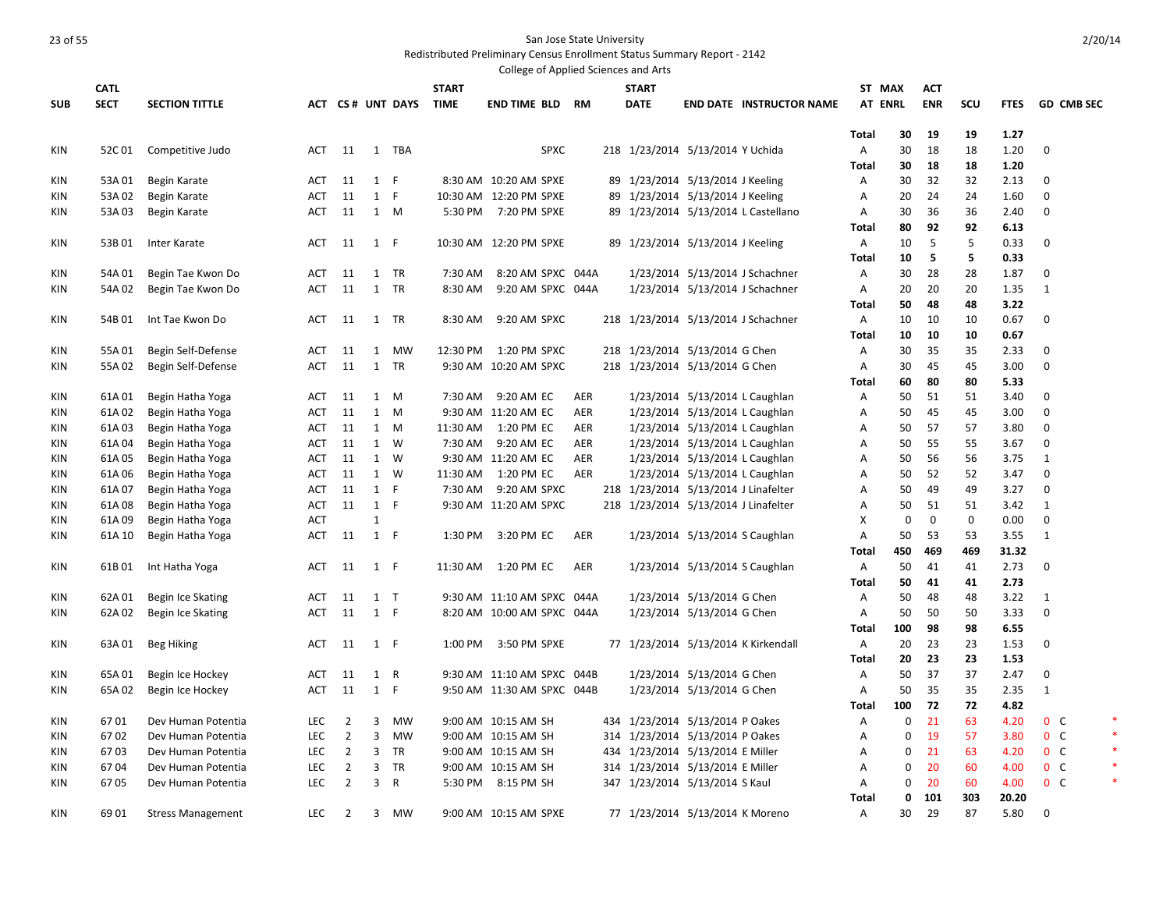|            |             |                          |            |                |                |                  |              | College of Applied Sciences and Arts |            |     |              |                                      |                                     |                   |             |             |             |              |                   |   |
|------------|-------------|--------------------------|------------|----------------|----------------|------------------|--------------|--------------------------------------|------------|-----|--------------|--------------------------------------|-------------------------------------|-------------------|-------------|-------------|-------------|--------------|-------------------|---|
|            | <b>CATL</b> |                          |            |                |                |                  | <b>START</b> |                                      |            |     | <b>START</b> |                                      |                                     | ST MAX            |             | <b>ACT</b>  |             |              |                   |   |
| <b>SUB</b> | <b>SECT</b> | <b>SECTION TITTLE</b>    |            |                |                | ACT CS# UNT DAYS | <b>TIME</b>  | <b>END TIME BLD</b>                  | RM         |     | <b>DATE</b>  |                                      | <b>END DATE INSTRUCTOR NAME</b>     | <b>AT ENRL</b>    |             | <b>ENR</b>  | <b>SCU</b>  | <b>FTES</b>  | <b>GD CMB SEC</b> |   |
|            |             |                          |            |                |                |                  |              |                                      |            |     |              |                                      |                                     |                   |             |             |             |              |                   |   |
|            |             |                          |            |                |                |                  |              |                                      |            |     |              |                                      |                                     | <b>Total</b>      | 30          | 19          | 19          | 1.27         |                   |   |
| <b>KIN</b> | 52C 01      | Competitive Judo         | ACT        | - 11           |                | 1 TBA            |              | <b>SPXC</b>                          |            |     |              | 218 1/23/2014 5/13/2014 Y Uchida     |                                     | Α                 | 30          | 18          | 18          | 1.20         | $\Omega$          |   |
|            |             |                          |            |                |                |                  |              |                                      |            |     |              |                                      |                                     | <b>Total</b>      | 30          | 18          | 18          | 1.20         |                   |   |
| KIN        | 53A 01      | Begin Karate             | ACT        | 11             | 1 F            |                  |              | 8:30 AM 10:20 AM SPXE                |            |     |              | 89 1/23/2014 5/13/2014 J Keeling     |                                     | A                 | 30          | 32          | 32          | 2.13         | $\Omega$          |   |
| KIN        | 53A 02      | Begin Karate             | ACT        | 11             | $\mathbf{1}$   | F                |              | 10:30 AM 12:20 PM SPXE               |            |     |              | 89 1/23/2014 5/13/2014 J Keeling     |                                     | Α                 | 20          | 24          | 24          | 1.60         | $\mathbf 0$       |   |
| KIN        | 53A 03      | Begin Karate             | ACT        | 11             | 1 M            |                  |              | 5:30 PM 7:20 PM SPXE                 |            |     |              |                                      | 89 1/23/2014 5/13/2014 L Castellano | Α                 | 30          | 36          | 36          | 2.40         | $\Omega$          |   |
|            |             |                          |            |                |                |                  |              |                                      |            |     |              |                                      |                                     | <b>Total</b>      | 80          | 92          | 92          | 6.13         |                   |   |
| <b>KIN</b> | 53B01       | Inter Karate             | <b>ACT</b> | 11             | 1 F            |                  |              | 10:30 AM 12:20 PM SPXE               |            |     |              | 89 1/23/2014 5/13/2014 J Keeling     |                                     | A                 | 10          | 5           | 5           | 0.33         | $\mathbf 0$       |   |
|            |             |                          |            |                |                |                  |              |                                      |            |     |              |                                      |                                     | <b>Total</b>      | 10          | 5           | 5           | 0.33         |                   |   |
| <b>KIN</b> | 54A01       | Begin Tae Kwon Do        | <b>ACT</b> | 11             |                | 1 TR             | 7:30 AM      | 8:20 AM SPXC 044A                    |            |     |              |                                      | 1/23/2014 5/13/2014 J Schachner     | Α                 | 30          | 28          | 28          | 1.87         | 0                 |   |
| KIN        | 54A 02      | Begin Tae Kwon Do        | ACT        | 11             |                | 1 TR             | 8:30 AM      | 9:20 AM SPXC 044A                    |            |     |              |                                      | 1/23/2014 5/13/2014 J Schachner     | A                 | 20          | 20          | 20          | 1.35         | 1                 |   |
|            |             |                          |            |                |                |                  | 8:30 AM      | 9:20 AM SPXC                         |            |     |              |                                      |                                     | Total             | 50          | 48<br>10    | 48          | 3.22<br>0.67 | $\mathbf 0$       |   |
| KIN        | 54B 01      | Int Tae Kwon Do          | ACT        | 11             |                | 1 TR             |              |                                      |            |     |              |                                      | 218 1/23/2014 5/13/2014 J Schachner | A<br><b>Total</b> | 10<br>10    |             | 10<br>10    | 0.67         |                   |   |
| KIN        | 55A01       | Begin Self-Defense       | <b>ACT</b> | 11             | 1              | <b>MW</b>        | 12:30 PM     | 1:20 PM SPXC                         |            |     |              | 218 1/23/2014 5/13/2014 G Chen       |                                     | Α                 | 30          | 10<br>35    | 35          | 2.33         | $\Omega$          |   |
| KIN        | 55A 02      | Begin Self-Defense       | ACT        | 11             | 1              | TR               |              | 9:30 AM 10:20 AM SPXC                |            |     |              | 218 1/23/2014 5/13/2014 G Chen       |                                     | Α                 | 30          | 45          | 45          | 3.00         | 0                 |   |
|            |             |                          |            |                |                |                  |              |                                      |            |     |              |                                      |                                     | <b>Total</b>      | 60          | 80          | 80          | 5.33         |                   |   |
| KIN        | 61A01       | Begin Hatha Yoga         | <b>ACT</b> | 11             |                | 1 M              | 7:30 AM      | 9:20 AM EC                           | AER        |     |              | 1/23/2014 5/13/2014 L Caughlan       |                                     | Α                 | 50          | 51          | 51          | 3.40         | $\mathbf 0$       |   |
| KIN        | 61A02       | Begin Hatha Yoga         | ACT        | 11             |                | $1 \quad M$      |              | 9:30 AM 11:20 AM EC                  | AER        |     |              | 1/23/2014 5/13/2014 L Caughlan       |                                     | Α                 | 50          | 45          | 45          | 3.00         | $\mathbf 0$       |   |
| KIN        | 61A03       | Begin Hatha Yoga         | ACT        | 11             | 1              | M                | 11:30 AM     | 1:20 PM EC                           | <b>AER</b> |     |              | 1/23/2014 5/13/2014 L Caughlan       |                                     | А                 | 50          | 57          | 57          | 3.80         | $\mathbf 0$       |   |
| KIN        | 61A04       | Begin Hatha Yoga         | ACT        | 11             |                | 1 W              | 7:30 AM      | 9:20 AM EC                           | AER        |     |              | 1/23/2014 5/13/2014 L Caughlan       |                                     | Α                 | 50          | 55          | 55          | 3.67         | $\mathbf 0$       |   |
| KIN        | 61A05       | Begin Hatha Yoga         | ACT        | 11             | 1              | W                |              | 9:30 AM 11:20 AM EC                  | <b>AER</b> |     |              | 1/23/2014 5/13/2014 L Caughlan       |                                     | Α                 | 50          | 56          | 56          | 3.75         | 1                 |   |
| KIN        | 61A 06      | Begin Hatha Yoga         | <b>ACT</b> | 11             |                | 1 W              | 11:30 AM     | 1:20 PM EC                           | <b>AER</b> |     |              | 1/23/2014 5/13/2014 L Caughlan       |                                     | Α                 | 50          | 52          | 52          | 3.47         | $\Omega$          |   |
| KIN        | 61A07       | Begin Hatha Yoga         | <b>ACT</b> | 11             | $\mathbf{1}$   | F                | 7:30 AM      | 9:20 AM SPXC                         |            |     |              | 218 1/23/2014 5/13/2014 J Linafelter |                                     | A                 | 50          | 49          | 49          | 3.27         | $\mathbf 0$       |   |
| KIN        | 61A08       | Begin Hatha Yoga         | <b>ACT</b> | 11             | 1 F            |                  |              | 9:30 AM 11:20 AM SPXC                |            |     |              | 218 1/23/2014 5/13/2014 J Linafelter |                                     | Α                 | 50          | 51          | 51          | 3.42         | 1                 |   |
| <b>KIN</b> | 61A09       | Begin Hatha Yoga         | ACT        |                | $\mathbf{1}$   |                  |              |                                      |            |     |              |                                      |                                     | X                 | $\mathbf 0$ | $\mathbf 0$ | $\mathbf 0$ | 0.00         | $\mathbf 0$       |   |
| KIN        | 61A 10      | Begin Hatha Yoga         | ACT        | 11             | $1$ F          |                  | 1:30 PM      | 3:20 PM EC                           | AER        |     |              | 1/23/2014 5/13/2014 S Caughlan       |                                     | Α                 | 50          | 53          | 53          | 3.55         | 1                 |   |
|            |             |                          |            |                |                |                  |              |                                      |            |     |              |                                      |                                     | <b>Total</b>      | 450         | 469         | 469         | 31.32        |                   |   |
| <b>KIN</b> | 61B01       | Int Hatha Yoga           | ACT        | 11             | $1$ F          |                  | 11:30 AM     | 1:20 PM EC                           | AER        |     |              | 1/23/2014 5/13/2014 S Caughlan       |                                     | Α                 | 50          | 41          | 41          | 2.73         | $\mathbf{0}$      |   |
|            |             |                          |            |                |                |                  |              |                                      |            |     |              |                                      |                                     | <b>Total</b>      | 50          | 41          | 41          | 2.73         |                   |   |
| KIN        | 62A01       | Begin Ice Skating        | ACT        | 11             | $1$ T          |                  |              | 9:30 AM 11:10 AM SPXC 044A           |            |     |              | 1/23/2014 5/13/2014 G Chen           |                                     | Α                 | 50          | 48          | 48          | 3.22         | 1                 |   |
| KIN        | 62A 02      | Begin Ice Skating        | ACT        | 11             | 1 F            |                  |              | 8:20 AM 10:00 AM SPXC 044A           |            |     |              | 1/23/2014 5/13/2014 G Chen           |                                     | Α                 | 50          | 50          | 50          | 3.33         | 0                 |   |
|            |             |                          |            |                |                |                  |              |                                      |            |     |              |                                      |                                     | <b>Total</b>      | 100         | 98          | 98          | 6.55         |                   |   |
| KIN        | 63A 01      | <b>Beg Hiking</b>        | ACT        | 11             | 1 F            |                  | 1:00 PM      | 3:50 PM SPXE                         |            |     |              |                                      | 77 1/23/2014 5/13/2014 K Kirkendall | Α                 | 20          | 23          | 23          | 1.53         | $\mathbf 0$       |   |
|            |             |                          |            |                |                |                  |              |                                      |            |     |              |                                      |                                     | <b>Total</b>      | 20          | 23          | 23          | 1.53         |                   |   |
| KIN        | 65A01       | Begin Ice Hockey         | ACT        | 11             | $\mathbf{1}$   | R                |              | 9:30 AM 11:10 AM SPXC 044B           |            |     |              | 1/23/2014 5/13/2014 G Chen           |                                     | Α                 | 50          | 37          | 37          | 2.47         | 0                 |   |
| KIN        | 65A 02      | Begin Ice Hockey         | ACT        | 11             | 1 F            |                  |              | 9:50 AM 11:30 AM SPXC 044B           |            |     |              | 1/23/2014 5/13/2014 G Chen           |                                     | Α                 | 50          | 35          | 35          | 2.35         | 1                 |   |
|            |             |                          |            |                |                |                  |              |                                      |            |     |              |                                      |                                     | <b>Total</b>      | 100         | 72          | 72          | 4.82         |                   |   |
| KIN        | 6701        | Dev Human Potentia       | <b>LEC</b> | $\overline{2}$ | 3              | MW               |              | 9:00 AM 10:15 AM SH                  |            |     |              | 434 1/23/2014 5/13/2014 P Oakes      |                                     | Α                 | 0           | 21          | 63          | 4.20         | $0\quad C$        | ∗ |
| KIN        | 6702        | Dev Human Potentia       | <b>LEC</b> | $\overline{2}$ | 3              | MW               |              | 9:00 AM 10:15 AM SH                  |            |     |              | 314 1/23/2014 5/13/2014 P Oakes      |                                     | Α                 | 0           | 19          | 57          | 3.80         | $0\quad C$        |   |
| KIN        | 6703        | Dev Human Potentia       | <b>LEC</b> | $\overline{2}$ | 3              | TR               |              | 9:00 AM 10:15 AM SH                  |            | 434 |              | 1/23/2014 5/13/2014 E Miller         |                                     | Α                 | 0           | 21          | 63          | 4.20         | $0\quad C$        |   |
| KIN        | 6704        | Dev Human Potentia       | <b>LEC</b> | $\overline{2}$ | 3              | <b>TR</b>        |              | 9:00 AM 10:15 AM SH                  |            | 314 |              | 1/23/2014 5/13/2014 E Miller         |                                     | Α                 | 0           | 20          | 60          | 4.00         | $0\quad C$        |   |
| KIN        | 6705        | Dev Human Potentia       | <b>LEC</b> | $\overline{2}$ | $\overline{3}$ | R                | 5:30 PM      | 8:15 PM SH                           |            |     |              | 347 1/23/2014 5/13/2014 S Kaul       |                                     | A                 | 0           | 20          | 60          | 4.00         | 0 <sup>o</sup>    |   |
|            |             |                          |            |                |                |                  |              |                                      |            |     |              |                                      |                                     | <b>Total</b>      | 0           | 101         | 303         | 20.20        |                   |   |
| <b>KIN</b> | 69 01       | <b>Stress Management</b> | <b>LEC</b> | $\overline{2}$ | $\overline{3}$ | <b>MW</b>        |              | 9:00 AM 10:15 AM SPXE                |            |     |              | 77 1/23/2014 5/13/2014 K Moreno      |                                     | $\overline{A}$    | 30          | 29          | 87          | 5.80         | $\Omega$          |   |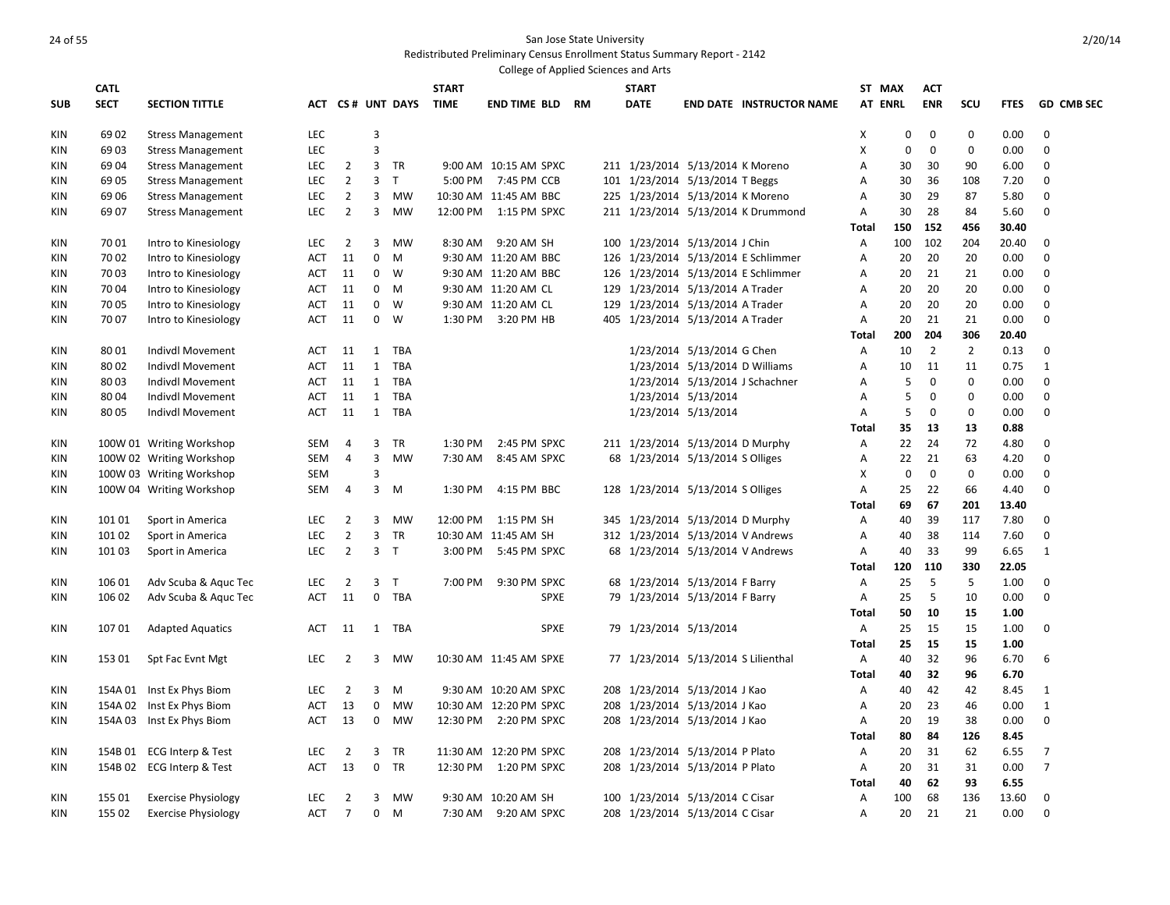|            |             |                              |            |                |                     |                  |              | College of Applied Sciences and Arts |  |                                     |                            |                                     |              |                |                |                |               |                            |
|------------|-------------|------------------------------|------------|----------------|---------------------|------------------|--------------|--------------------------------------|--|-------------------------------------|----------------------------|-------------------------------------|--------------|----------------|----------------|----------------|---------------|----------------------------|
|            | <b>CATL</b> |                              |            |                |                     |                  | <b>START</b> |                                      |  | <b>START</b>                        |                            |                                     |              | ST MAX         | <b>ACT</b>     |                |               |                            |
| <b>SUB</b> | <b>SECT</b> | <b>SECTION TITTLE</b>        |            |                |                     | ACT CS# UNT DAYS | <b>TIME</b>  | <b>END TIME BLD RM</b>               |  | <b>DATE</b>                         |                            | <b>END DATE INSTRUCTOR NAME</b>     |              | <b>AT ENRL</b> | <b>ENR</b>     | SCU            | <b>FTES</b>   | <b>GD CMB SEC</b>          |
| <b>KIN</b> | 69 02       | <b>Stress Management</b>     | LEC        |                | 3                   |                  |              |                                      |  |                                     |                            |                                     | X            | 0              | 0              | $\mathbf 0$    | 0.00          | $\mathbf 0$                |
| KIN        | 6903        | <b>Stress Management</b>     | LEC        |                | $\overline{3}$      |                  |              |                                      |  |                                     |                            |                                     | X            | 0              | 0              | $\mathbf 0$    | 0.00          | $\boldsymbol{0}$           |
| KIN        | 69 04       | <b>Stress Management</b>     | <b>LEC</b> | $\overline{2}$ | 3                   | TR               |              | 9:00 AM 10:15 AM SPXC                |  | 211 1/23/2014 5/13/2014 K Moreno    |                            |                                     | Α            | 30             | 30             | 90             | 6.00          | $\mathbf 0$                |
| KIN        | 69 05       | <b>Stress Management</b>     | <b>LEC</b> | $\overline{2}$ | $\overline{3}$      | $\top$           |              | 5:00 PM 7:45 PM CCB                  |  | 101 1/23/2014 5/13/2014 T Beggs     |                            |                                     | Α            | 30             | 36             | 108            | 7.20          | 0                          |
| KIN        | 69 06       | <b>Stress Management</b>     | <b>LEC</b> | $\overline{2}$ | 3                   | MW               |              | 10:30 AM 11:45 AM BBC                |  | 225 1/23/2014 5/13/2014 K Moreno    |                            |                                     | A            | 30             | 29             | 87             | 5.80          | $\mathbf 0$                |
| <b>KIN</b> | 69 07       | <b>Stress Management</b>     | <b>LEC</b> | $\overline{2}$ | 3                   | <b>MW</b>        |              | 12:00 PM   1:15 PM SPXC              |  |                                     |                            | 211 1/23/2014 5/13/2014 K Drummond  | A            | 30             | 28             | 84             | 5.60          | $\mathbf 0$                |
|            |             |                              |            |                |                     |                  |              |                                      |  |                                     |                            |                                     | Total        | 150            | 152            | 456            | 30.40         |                            |
| <b>KIN</b> | 7001        | Intro to Kinesiology         | <b>LEC</b> | $\overline{2}$ | 3                   | <b>MW</b>        |              | 8:30 AM 9:20 AM SH                   |  | 100 1/23/2014 5/13/2014 J Chin      |                            |                                     | Α            | 100            | 102            | 204            | 20.40         | $\mathbf 0$                |
| KIN        | 70 02       | Intro to Kinesiology         | ACT        | 11             | $\mathbf 0$         | M                |              | 9:30 AM 11:20 AM BBC                 |  |                                     |                            | 126 1/23/2014 5/13/2014 E Schlimmer | Α            | 20             | 20             | 20             | 0.00          | $\mathbf 0$                |
| KIN        | 70 03       | Intro to Kinesiology         | ACT        | 11             | $\mathbf{0}$        | W                |              | 9:30 AM 11:20 AM BBC                 |  |                                     |                            | 126 1/23/2014 5/13/2014 E Schlimmer | А            | 20             | 21             | 21             | 0.00          | $\mathbf 0$                |
| KIN        | 7004        | Intro to Kinesiology         | <b>ACT</b> | 11             | $\mathbf 0$         | M                |              | 9:30 AM 11:20 AM CL                  |  | 129 1/23/2014 5/13/2014 A Trader    |                            |                                     | Α            | 20             | 20             | 20             | 0.00          | $\mathbf 0$                |
| KIN        | 70 05       | Intro to Kinesiology         | <b>ACT</b> | 11             | $\mathbf{0}$        | <b>W</b>         |              | 9:30 AM 11:20 AM CL                  |  | 129 1/23/2014 5/13/2014 A Trader    |                            |                                     | А            | 20             | 20             | 20             | 0.00          | $\mathbf 0$                |
| KIN        | 7007        | Intro to Kinesiology         | <b>ACT</b> | 11             | 0                   | W                |              | 1:30 PM 3:20 PM HB                   |  | 405 1/23/2014 5/13/2014 A Trader    |                            |                                     | Α            | 20             | 21             | 21             | 0.00          | $\mathbf 0$                |
|            |             |                              |            |                |                     |                  |              |                                      |  |                                     |                            |                                     | <b>Total</b> | 200            | 204            | 306            | 20.40         |                            |
| KIN        | 8001        | Indivdl Movement             | ACT        | 11             | $\mathbf{1}$        | TBA              |              |                                      |  |                                     | 1/23/2014 5/13/2014 G Chen |                                     | Α            | 10             | $\overline{2}$ | $\overline{2}$ | 0.13          | 0                          |
| KIN        | 8002        | Indivdl Movement             | <b>ACT</b> | 11             | $\mathbf{1}$        | TBA              |              |                                      |  |                                     |                            | 1/23/2014 5/13/2014 D Williams      | Α            | 10             | 11             | 11             | 0.75          | $\mathbf{1}$               |
| <b>KIN</b> | 80 03       | <b>Indivdl Movement</b>      | ACT        | 11             | $\mathbf{1}$        | <b>TBA</b>       |              |                                      |  |                                     |                            | 1/23/2014 5/13/2014 J Schachner     | Α            | 5              | $\mathbf 0$    | $\mathbf 0$    | 0.00          | $\mathbf 0$                |
| KIN        | 80 04       | <b>Indivdl Movement</b>      | ACT        | 11             | $\mathbf{1}$        | TBA              |              |                                      |  |                                     | 1/23/2014 5/13/2014        |                                     | А            | 5              | 0              | $\mathbf 0$    | 0.00          | 0                          |
| <b>KIN</b> | 8005        | <b>Indivdl Movement</b>      | ACT        | 11             |                     | 1 TBA            |              |                                      |  |                                     | 1/23/2014 5/13/2014        |                                     | Α            | 5              | $\mathbf 0$    | $\mathbf 0$    | 0.00          | $\mathbf 0$                |
|            |             |                              |            |                |                     |                  |              |                                      |  |                                     |                            |                                     | Total        | 35             | 13             | 13             | 0.88          |                            |
| <b>KIN</b> |             | 100W 01 Writing Workshop     | SEM        | $\overline{4}$ | $\overline{3}$      | TR               | 1:30 PM      | 2:45 PM SPXC                         |  | 211 1/23/2014 5/13/2014 D Murphy    |                            |                                     | Α            | 22             | 24             | 72             | 4.80          | $\mathbf 0$                |
| KIN        |             | 100W 02 Writing Workshop     | SEM        | $\overline{4}$ | 3                   | MW               | 7:30 AM      | 8:45 AM SPXC                         |  | 68 1/23/2014 5/13/2014 S Olliges    |                            |                                     | Α            | 22             | 21             | 63             | 4.20          | $\mathbf 0$                |
| KIN        |             | 100W 03 Writing Workshop     | <b>SEM</b> |                | $\overline{3}$      |                  |              |                                      |  |                                     |                            |                                     | X            | $\mathbf 0$    | $\mathbf 0$    | $\mathbf 0$    | 0.00          | $\mathbf 0$                |
| <b>KIN</b> |             | 100W 04 Writing Workshop     | SEM        | 4              | 3                   | M                | 1:30 PM      | 4:15 PM BBC                          |  | 128 1/23/2014 5/13/2014 S Olliges   |                            |                                     | Α            | 25             | 22             | 66             | 4.40          | $\boldsymbol{0}$           |
|            |             |                              |            |                |                     |                  |              |                                      |  |                                     |                            |                                     | Total        | 69             | 67             | 201            | 13.40         |                            |
| <b>KIN</b> | 101 01      | Sport in America             | <b>LEC</b> | 2              | 3<br>$\overline{3}$ | <b>MW</b>        | 12:00 PM     | 1:15 PM SH                           |  | 345 1/23/2014 5/13/2014 D Murphy    |                            |                                     | A            | 40             | 39             | 117            | 7.80          | $\mathbf 0$<br>$\mathbf 0$ |
| <b>KIN</b> | 101 02      | Sport in America             | LEC        | $\overline{2}$ |                     | TR               |              | 10:30 AM 11:45 AM SH                 |  | 312 1/23/2014 5/13/2014 V Andrews   |                            |                                     | Α            | 40             | 38             | 114<br>99      | 7.60          |                            |
| <b>KIN</b> | 101 03      | Sport in America             | <b>LEC</b> | $\overline{2}$ |                     | 3 <sub>T</sub>   |              | 3:00 PM 5:45 PM SPXC                 |  | 68 1/23/2014 5/13/2014 V Andrews    |                            |                                     | Α            | 40<br>120      | 33<br>110      | 330            | 6.65<br>22.05 | 1                          |
| <b>KIN</b> | 106 01      | Adv Scuba & Aquc Tec         | <b>LEC</b> | $\overline{2}$ | 3                   | $\mathsf{T}$     | 7:00 PM      | 9:30 PM SPXC                         |  | 68 1/23/2014 5/13/2014 F Barry      |                            |                                     | Total<br>Α   | 25             | -5             | 5              | 1.00          | $\mathbf{0}$               |
| <b>KIN</b> | 106 02      | Adv Scuba & Aquc Tec         | <b>ACT</b> | 11             | $\mathbf 0$         | TBA              |              | <b>SPXE</b>                          |  | 79 1/23/2014 5/13/2014 F Barry      |                            |                                     | Α            | 25             | 5              | 10             | 0.00          | 0                          |
|            |             |                              |            |                |                     |                  |              |                                      |  |                                     |                            |                                     | Total        | 50             | 10             | 15             | 1.00          |                            |
| <b>KIN</b> | 10701       | <b>Adapted Aquatics</b>      | ACT        | 11             |                     | 1 TBA            |              | <b>SPXE</b>                          |  | 79 1/23/2014 5/13/2014              |                            |                                     | Α            | 25             | 15             | 15             | 1.00          | $\mathbf 0$                |
|            |             |                              |            |                |                     |                  |              |                                      |  |                                     |                            |                                     | <b>Total</b> | 25             | 15             | 15             | 1.00          |                            |
| KIN        | 153 01      | Spt Fac Evnt Mgt             | LEC        | 2              | 3                   | MW               |              | 10:30 AM 11:45 AM SPXE               |  | 77 1/23/2014 5/13/2014 S Lilienthal |                            |                                     | Α            | 40             | 32             | 96             | 6.70          | 6                          |
|            |             |                              |            |                |                     |                  |              |                                      |  |                                     |                            |                                     | <b>Total</b> | 40             | 32             | 96             | 6.70          |                            |
| KIN        |             | 154A 01 Inst Ex Phys Biom    | <b>LEC</b> | $\overline{2}$ | 3                   | M                |              | 9:30 AM 10:20 AM SPXC                |  | 208 1/23/2014 5/13/2014 J Kao       |                            |                                     | Α            | 40             | 42             | 42             | 8.45          | $\mathbf{1}$               |
| KIN        | 154A 02     | Inst Ex Phys Biom            | <b>ACT</b> | 13             | 0                   | MW               |              | 10:30 AM 12:20 PM SPXC               |  | 208 1/23/2014 5/13/2014 J Kao       |                            |                                     | Α            | 20             | 23             | 46             | 0.00          | $\mathbf{1}$               |
| KIN        |             | 154A 03 Inst Ex Phys Biom    | ACT        | 13             | $\mathbf 0$         | MW               |              | 12:30 PM 2:20 PM SPXC                |  | 208 1/23/2014 5/13/2014 J Kao       |                            |                                     | Α            | 20             | 19             | 38             | 0.00          | $\mathbf 0$                |
|            |             |                              |            |                |                     |                  |              |                                      |  |                                     |                            |                                     | Total        | 80             | 84             | 126            | 8.45          |                            |
| <b>KIN</b> | 154B 01     | <b>ECG Interp &amp; Test</b> | <b>LEC</b> | $\overline{2}$ | 3                   | TR               |              | 11:30 AM 12:20 PM SPXC               |  | 208 1/23/2014 5/13/2014 P Plato     |                            |                                     | Α            | 20             | 31             | 62             | 6.55          | $\overline{7}$             |
| <b>KIN</b> |             | 154B 02 ECG Interp & Test    | <b>ACT</b> | 13             | $\mathbf 0$         | TR               |              | 12:30 PM  1:20 PM SPXC               |  | 208 1/23/2014 5/13/2014 P Plato     |                            |                                     | Α            | 20             | 31             | 31             | 0.00          | $\overline{7}$             |
|            |             |                              |            |                |                     |                  |              |                                      |  |                                     |                            |                                     | Total        | 40             | 62             | 93             | 6.55          |                            |
| <b>KIN</b> | 155 01      | <b>Exercise Physiology</b>   | <b>LEC</b> | $\overline{2}$ | 3                   | MW               |              | 9:30 AM 10:20 AM SH                  |  | 100 1/23/2014 5/13/2014 C Cisar     |                            |                                     | Α            | 100            | 68             | 136            | 13.60         | $\mathbf 0$                |
| <b>KIN</b> | 155 02      | <b>Exercise Physiology</b>   | <b>ACT</b> | $\overline{7}$ | $\mathbf{0}$        | M                |              | 7:30 AM 9:20 AM SPXC                 |  | 208 1/23/2014 5/13/2014 C Cisar     |                            |                                     | Α            | 20             | 21             | 21             | 0.00          | $\mathbf 0$                |
|            |             |                              |            |                |                     |                  |              |                                      |  |                                     |                            |                                     |              |                |                |                |               |                            |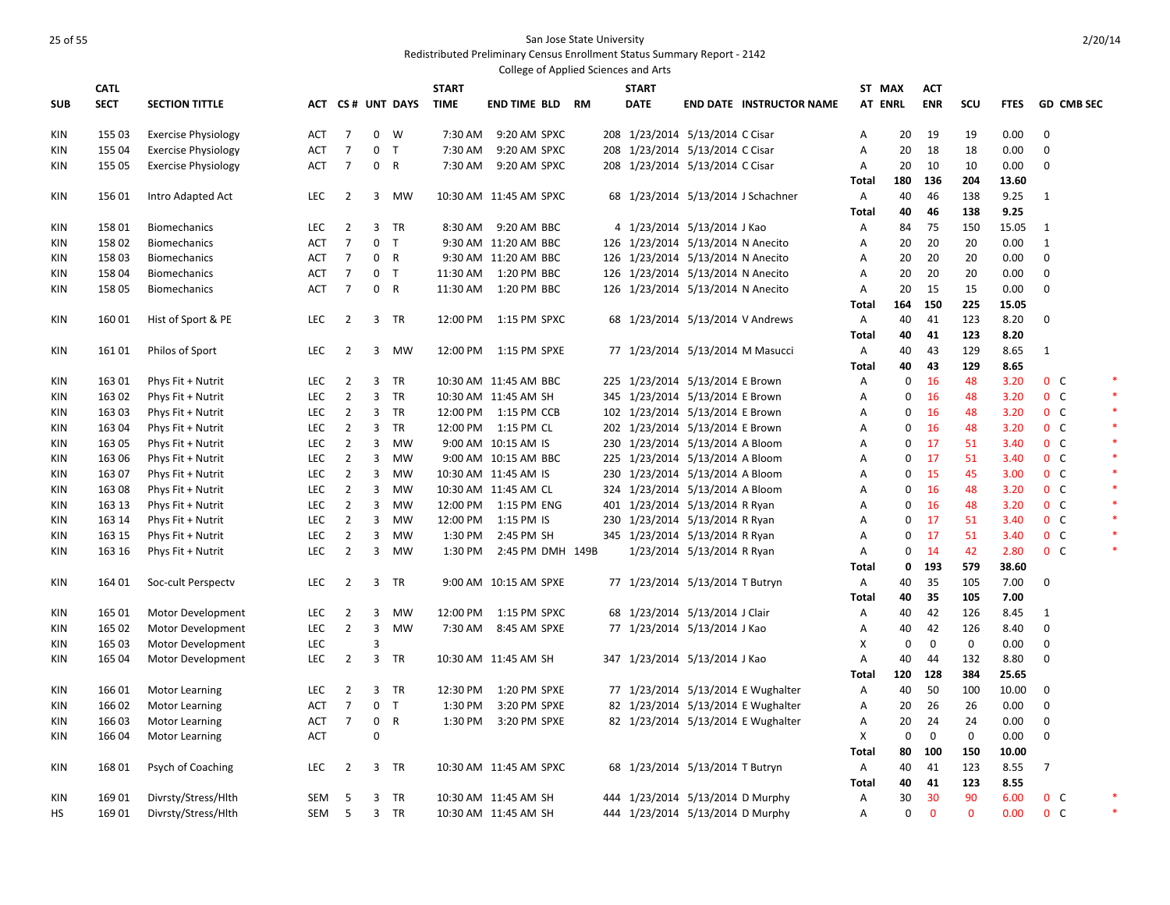|            |             |                            |            |                                  |                |                  |              | College of Applied Sciences and Arts |  |              |                                   |                                    |                   |             |              |              |              |                |                                  |        |
|------------|-------------|----------------------------|------------|----------------------------------|----------------|------------------|--------------|--------------------------------------|--|--------------|-----------------------------------|------------------------------------|-------------------|-------------|--------------|--------------|--------------|----------------|----------------------------------|--------|
|            | <b>CATL</b> |                            |            |                                  |                |                  | <b>START</b> |                                      |  | <b>START</b> |                                   |                                    | ST MAX            |             | <b>ACT</b>   |              |              |                |                                  |        |
| <b>SUB</b> | <b>SECT</b> | <b>SECTION TITTLE</b>      |            |                                  |                | ACT CS# UNT DAYS | <b>TIME</b>  | <b>END TIME BLD RM</b>               |  | <b>DATE</b>  |                                   | <b>END DATE INSTRUCTOR NAME</b>    | <b>AT ENRL</b>    |             | <b>ENR</b>   | SCU          | <b>FTES</b>  |                | <b>GD CMB SEC</b>                |        |
| KIN        | 155 03      | <b>Exercise Physiology</b> | <b>ACT</b> | $\overline{7}$                   | $\mathbf 0$    | W                | 7:30 AM      | 9:20 AM SPXC                         |  |              | 208 1/23/2014 5/13/2014 C Cisar   |                                    | Α                 | 20          | 19           | 19           | 0.00         | $\mathbf{0}$   |                                  |        |
| KIN        | 155 04      | <b>Exercise Physiology</b> | ACT        | $\overline{7}$                   | 0              | $\top$           | 7:30 AM      | 9:20 AM SPXC                         |  |              | 208 1/23/2014 5/13/2014 C Cisar   |                                    | Α                 | 20          | 18           | 18           | 0.00         | 0              |                                  |        |
| KIN        | 155 05      | <b>Exercise Physiology</b> | ACT        | $\overline{7}$                   |                | 0 R              | 7:30 AM      | 9:20 AM SPXC                         |  |              | 208 1/23/2014 5/13/2014 C Cisar   |                                    | Α                 | 20          | 10           | 10           | 0.00         | $\mathbf 0$    |                                  |        |
|            |             |                            |            |                                  |                |                  |              |                                      |  |              |                                   |                                    | <b>Total</b>      | 180         | 136          | 204          | 13.60        |                |                                  |        |
| KIN        | 156 01      | Intro Adapted Act          | <b>LEC</b> | $\overline{2}$                   |                | 3 MW             |              | 10:30 AM 11:45 AM SPXC               |  |              |                                   | 68 1/23/2014 5/13/2014 J Schachner | Α                 | 40          | 46           | 138          | 9.25         | 1              |                                  |        |
|            |             |                            |            |                                  |                |                  |              |                                      |  |              |                                   |                                    | <b>Total</b>      | 40          | 46           | 138          | 9.25         |                |                                  |        |
| <b>KIN</b> | 15801       | <b>Biomechanics</b>        | <b>LEC</b> | $\overline{2}$                   |                | 3 TR             | 8:30 AM      | 9:20 AM BBC                          |  |              | 4 1/23/2014 5/13/2014 J Kao       |                                    | Α                 | 84          | 75           | 150          | 15.05        | $\mathbf{1}$   |                                  |        |
| KIN        | 15802       | <b>Biomechanics</b>        | <b>ACT</b> | $\overline{7}$                   | $\mathbf 0$    | $\top$           |              | 9:30 AM 11:20 AM BBC                 |  |              | 126 1/23/2014 5/13/2014 N Anecito |                                    | Α                 | 20          | 20           | 20           | 0.00         | $\mathbf{1}$   |                                  |        |
| <b>KIN</b> | 15803       | <b>Biomechanics</b>        | <b>ACT</b> | $\overline{7}$                   |                | 0 R              |              | 9:30 AM 11:20 AM BBC                 |  |              | 126 1/23/2014 5/13/2014 N Anecito |                                    | Α                 | 20          | 20           | 20           | 0.00         | $\mathbf 0$    |                                  |        |
| <b>KIN</b> | 158 04      | <b>Biomechanics</b>        | <b>ACT</b> | $\overline{7}$                   | 0              | $\top$           | 11:30 AM     | 1:20 PM BBC                          |  |              | 126 1/23/2014 5/13/2014 N Anecito |                                    | A                 | 20          | 20           | 20           | 0.00         | 0              |                                  |        |
| KIN        | 158 05      | <b>Biomechanics</b>        | <b>ACT</b> | $\overline{7}$                   |                | 0 R              |              | 11:30 AM  1:20 PM BBC                |  |              | 126 1/23/2014 5/13/2014 N Anecito |                                    | Α                 | 20          | 15           | 15           | 0.00         | $\Omega$       |                                  |        |
|            |             |                            |            |                                  |                |                  |              |                                      |  |              |                                   |                                    | <b>Total</b>      | 164         | 150          | 225          | 15.05        |                |                                  |        |
| KIN        | 16001       | Hist of Sport & PE         | LEC        | 2                                |                | 3 TR             | 12:00 PM     | 1:15 PM SPXC                         |  |              | 68 1/23/2014 5/13/2014 V Andrews  |                                    | Α                 | 40          | 41           | 123          | 8.20         | $\mathbf 0$    |                                  |        |
|            |             |                            |            |                                  |                |                  |              |                                      |  |              |                                   |                                    | <b>Total</b>      | 40          | 41           | 123          | 8.20         |                |                                  |        |
| KIN        | 16101       | Philos of Sport            | <b>LEC</b> | $\overline{2}$                   |                | 3 MW             | 12:00 PM     | 1:15 PM SPXE                         |  |              | 77 1/23/2014 5/13/2014 M Masucci  |                                    | Α                 | 40          | 43           | 129          | 8.65         | 1              |                                  |        |
|            |             |                            |            |                                  |                |                  |              |                                      |  |              |                                   |                                    | <b>Total</b>      | 40          | 43           | 129          | 8.65         |                |                                  |        |
| KIN        | 163 01      | Phys Fit + Nutrit          | <b>LEC</b> | $\overline{2}$                   |                | 3 TR             |              | 10:30 AM 11:45 AM BBC                |  |              | 225 1/23/2014 5/13/2014 E Brown   |                                    | Α                 | $\mathbf 0$ | 16           | 48           | 3.20         |                | 0 <sup>o</sup>                   |        |
| KIN        | 163 02      | Phys Fit + Nutrit          | <b>LEC</b> | $\overline{2}$                   | 3              | TR               |              | 10:30 AM 11:45 AM SH                 |  |              | 345 1/23/2014 5/13/2014 E Brown   |                                    | Α                 | 0           | 16           | 48           | 3.20         |                | $0\quad C$                       |        |
| KIN        | 16303       | Phys Fit + Nutrit          | <b>LEC</b> | $\overline{2}$                   |                | 3 TR             |              | 12:00 PM 1:15 PM CCB                 |  |              | 102 1/23/2014 5/13/2014 E Brown   |                                    | Α                 | 0           | 16           | 48           | 3.20         |                | $0\quad C$                       | ×      |
| <b>KIN</b> | 163 04      | Phys Fit + Nutrit          | <b>LEC</b> | $\overline{2}$                   |                | 3 TR             |              | 12:00 PM 1:15 PM CL                  |  |              | 202 1/23/2014 5/13/2014 E Brown   |                                    | Α                 | 0           | 16           | 48           | 3.20         |                | $0\quad C$                       |        |
| <b>KIN</b> | 163 05      | Phys Fit + Nutrit          | <b>LEC</b> | $\overline{2}$                   | $\overline{3}$ | MW               |              | 9:00 AM 10:15 AM IS                  |  |              | 230 1/23/2014 5/13/2014 A Bloom   |                                    | Α                 | 0           | 17           | 51           | 3.40         |                | $0\quad C$                       |        |
| KIN        | 163 06      | Phys Fit + Nutrit          | <b>LEC</b> | $\overline{2}$                   | $\overline{3}$ | <b>MW</b>        |              | 9:00 AM 10:15 AM BBC                 |  |              | 225 1/23/2014 5/13/2014 A Bloom   |                                    | Α                 | $\mathbf 0$ | 17           | 51           | 3.40         |                | 0 <sup>o</sup>                   |        |
| <b>KIN</b> | 163 07      | Phys Fit + Nutrit          | <b>LEC</b> | $\overline{2}$                   | $\overline{3}$ | <b>MW</b>        |              | 10:30 AM 11:45 AM IS                 |  |              | 230 1/23/2014 5/13/2014 A Bloom   |                                    | Α                 | 0           | 15           | 45           | 3.00         |                | 0 <sup>C</sup>                   |        |
| KIN        | 16308       | Phys Fit + Nutrit          | <b>LEC</b> | $\overline{2}$                   | 3              | MW               |              | 10:30 AM 11:45 AM CL                 |  |              | 324 1/23/2014 5/13/2014 A Bloom   |                                    | Α                 | 0           | 16           | 48           | 3.20         |                | $0\quad C$                       |        |
| <b>KIN</b> | 163 13      | Phys Fit + Nutrit          | <b>LEC</b> | $\overline{2}$                   | $\overline{3}$ | <b>MW</b>        |              | 12:00 PM  1:15 PM ENG                |  |              | 401 1/23/2014 5/13/2014 R Ryan    |                                    | Α                 | 0           | 16           | 48           | 3.20         |                | 0 <sup>C</sup>                   |        |
| <b>KIN</b> | 163 14      | Phys Fit + Nutrit          | <b>LEC</b> | $\overline{2}$                   | $\overline{3}$ | <b>MW</b>        | 12:00 PM     | 1:15 PM IS                           |  |              | 230 1/23/2014 5/13/2014 R Ryan    |                                    | Α                 | 0           | 17           | 51           | 3.40         |                | $0\quad C$                       |        |
| KIN        | 163 15      | Phys Fit + Nutrit          | LEC        | $\overline{2}$<br>$\overline{2}$ | 3<br>3         | MW<br><b>MW</b>  | 1:30 PM      | 2:45 PM SH                           |  |              | 345 1/23/2014 5/13/2014 R Ryan    |                                    | Α                 | 0<br>0      | 17<br>14     | 51<br>42     | 3.40<br>2.80 |                | 0 <sup>C</sup><br>0 <sup>o</sup> |        |
| KIN        | 163 16      | Phys Fit + Nutrit          | <b>LEC</b> |                                  |                |                  | 1:30 PM      | 2:45 PM DMH 149B                     |  |              | 1/23/2014 5/13/2014 R Ryan        |                                    | A<br><b>Total</b> | 0           | 193          | 579          | 38.60        |                |                                  |        |
| KIN        | 164 01      | Soc-cult Perspectv         | <b>LEC</b> | $\overline{2}$                   |                | 3 TR             |              | 9:00 AM 10:15 AM SPXE                |  |              | 77 1/23/2014 5/13/2014 T Butryn   |                                    | Α                 | 40          | 35           | 105          | 7.00         | $\mathbf 0$    |                                  |        |
|            |             |                            |            |                                  |                |                  |              |                                      |  |              |                                   |                                    | <b>Total</b>      | 40          | 35           | 105          | 7.00         |                |                                  |        |
| KIN        | 165 01      | Motor Development          | LEC        | 2                                | 3              | MW               | 12:00 PM     | 1:15 PM SPXC                         |  |              | 68 1/23/2014 5/13/2014 J Clair    |                                    | Α                 | 40          | 42           | 126          | 8.45         | 1              |                                  |        |
| KIN        | 165 02      | Motor Development          | LEC        | $\overline{2}$                   | 3              | <b>MW</b>        | 7:30 AM      | 8:45 AM SPXE                         |  |              | 77 1/23/2014 5/13/2014 J Kao      |                                    | Α                 | 40          | 42           | 126          | 8.40         | $\mathbf 0$    |                                  |        |
| KIN        | 165 03      | Motor Development          | <b>LEC</b> |                                  | 3              |                  |              |                                      |  |              |                                   |                                    | X                 | $\mathbf 0$ | $\mathbf{0}$ | $\mathbf 0$  | 0.00         | $\mathbf 0$    |                                  |        |
| KIN        | 165 04      | Motor Development          | <b>LEC</b> | $\overline{2}$                   |                | 3 TR             |              | 10:30 AM 11:45 AM SH                 |  |              | 347 1/23/2014 5/13/2014 J Kao     |                                    | Α                 | 40          | 44           | 132          | 8.80         | 0              |                                  |        |
|            |             |                            |            |                                  |                |                  |              |                                      |  |              |                                   |                                    | <b>Total</b>      | 120         | 128          | 384          | 25.65        |                |                                  |        |
| KIN        | 166 01      | Motor Learning             | <b>LEC</b> | $\overline{2}$                   |                | 3 TR             | 12:30 PM     | 1:20 PM SPXE                         |  |              |                                   | 77 1/23/2014 5/13/2014 E Wughalter | Α                 | 40          | 50           | 100          | 10.00        | 0              |                                  |        |
| KIN        | 166 02      | <b>Motor Learning</b>      | ACT        | $\overline{7}$                   |                | 0 <sub>T</sub>   | 1:30 PM      | 3:20 PM SPXE                         |  |              |                                   | 82 1/23/2014 5/13/2014 E Wughalter | Α                 | 20          | 26           | 26           | 0.00         | $\mathbf 0$    |                                  |        |
| <b>KIN</b> | 166 03      | <b>Motor Learning</b>      | ACT        | $\overline{7}$                   | 0              | $\mathsf{R}$     | 1:30 PM      | 3:20 PM SPXE                         |  |              |                                   | 82 1/23/2014 5/13/2014 E Wughalter | Α                 | 20          | 24           | 24           | 0.00         | 0              |                                  |        |
| KIN        | 166 04      | Motor Learning             | <b>ACT</b> |                                  | 0              |                  |              |                                      |  |              |                                   |                                    | X                 | $\mathbf 0$ | $\mathbf 0$  | 0            | 0.00         | $\mathbf 0$    |                                  |        |
|            |             |                            |            |                                  |                |                  |              |                                      |  |              |                                   |                                    | <b>Total</b>      | 80          | 100          | 150          | 10.00        |                |                                  |        |
| KIN        | 168 01      | Psych of Coaching          | <b>LEC</b> | $\overline{2}$                   |                | 3 TR             |              | 10:30 AM 11:45 AM SPXC               |  |              | 68 1/23/2014 5/13/2014 T Butryn   |                                    | Α                 | 40          | 41           | 123          | 8.55         | $\overline{7}$ |                                  |        |
|            |             |                            |            |                                  |                |                  |              |                                      |  |              |                                   |                                    | <b>Total</b>      | 40          | 41           | 123          | 8.55         |                |                                  |        |
| <b>KIN</b> | 16901       | Divrsty/Stress/Hlth        | SEM        | 5                                |                | 3 TR             |              | 10:30 AM 11:45 AM SH                 |  |              | 444 1/23/2014 5/13/2014 D Murphy  |                                    | Α                 | 30          | 30           | 90           | 6.00         |                | $0\quad C$                       |        |
| HS         | 169 01      | Divrsty/Stress/Hlth        | SEM        | 5                                |                | 3 TR             |              | 10:30 AM 11:45 AM SH                 |  |              | 444 1/23/2014 5/13/2014 D Murphy  |                                    | Α                 | 0           | $\mathbf{0}$ | $\mathbf{0}$ | 0.00         |                | $0\quad C$                       | $\ast$ |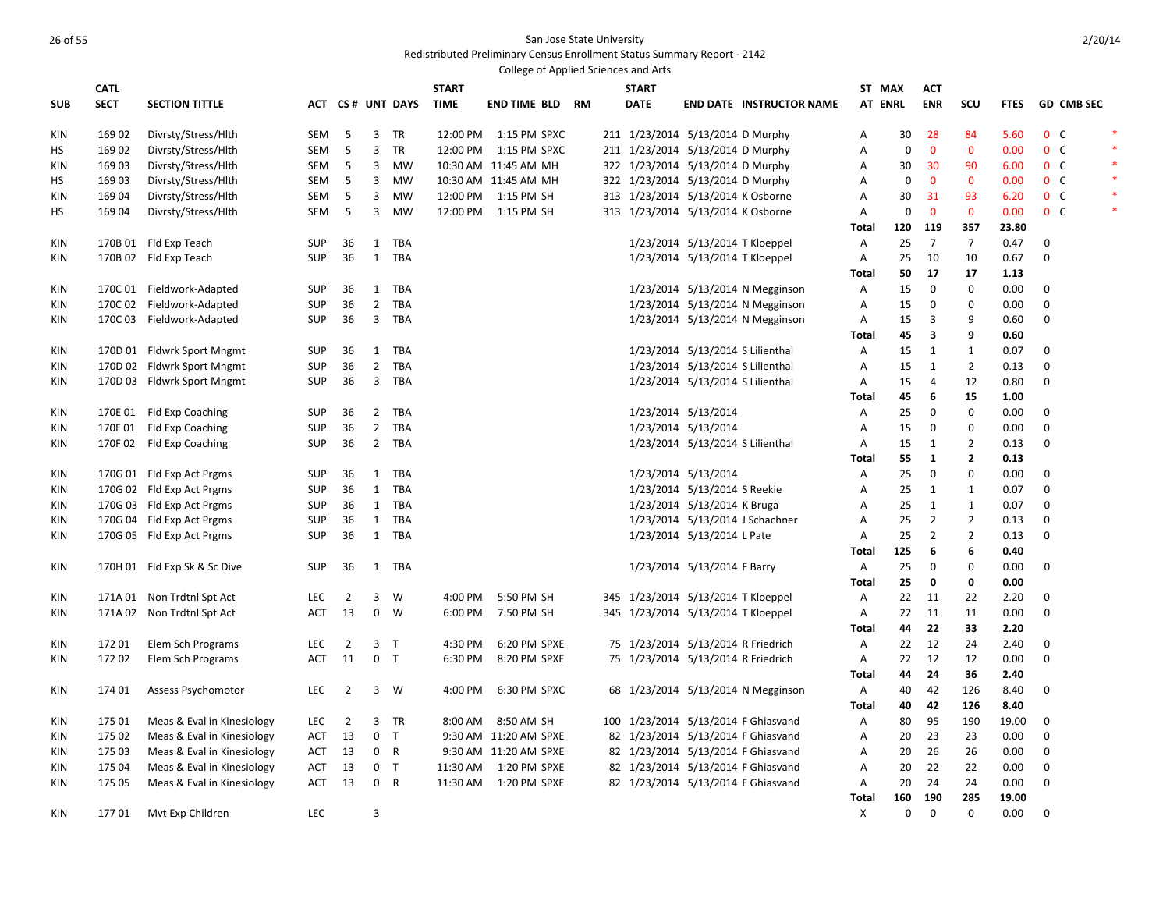|            |             |                              |            |                |                |                  |              | College of Applied Sciences and Arts |  |                                    |                                  |                                     |                |             |                |                |             |                  |                   |  |
|------------|-------------|------------------------------|------------|----------------|----------------|------------------|--------------|--------------------------------------|--|------------------------------------|----------------------------------|-------------------------------------|----------------|-------------|----------------|----------------|-------------|------------------|-------------------|--|
|            | <b>CATL</b> |                              |            |                |                |                  | <b>START</b> |                                      |  | <b>START</b>                       |                                  |                                     | ST MAX         |             | <b>ACT</b>     |                |             |                  |                   |  |
| <b>SUB</b> | <b>SECT</b> | <b>SECTION TITTLE</b>        |            |                |                | ACT CS# UNT DAYS | <b>TIME</b>  | <b>END TIME BLD RM</b>               |  | <b>DATE</b>                        |                                  | <b>END DATE INSTRUCTOR NAME</b>     | <b>AT ENRL</b> |             | <b>ENR</b>     | SCU            | <b>FTES</b> |                  | <b>GD CMB SEC</b> |  |
| KIN        | 16902       | Divrsty/Stress/Hlth          | SEM        | 5              | $\overline{3}$ | <b>TR</b>        |              | 12:00 PM   1:15 PM SPXC              |  | 211 1/23/2014 5/13/2014 D Murphy   |                                  |                                     | Α              | 30          | 28             | 84             | 5.60        |                  | 0 <sup>o</sup>    |  |
| HS         | 169 02      | Divrsty/Stress/Hlth          | SEM        | 5              | 3              | TR               | 12:00 PM     | 1:15 PM SPXC                         |  | 211 1/23/2014 5/13/2014 D Murphy   |                                  |                                     | А              | $\mathbf 0$ | $\mathbf 0$    | $\mathbf 0$    | 0.00        |                  | $0\quad C$        |  |
| KIN        | 16903       | Divrsty/Stress/Hlth          | SEM        | 5              | $\overline{3}$ | MW               |              | 10:30 AM 11:45 AM MH                 |  | 322 1/23/2014 5/13/2014 D Murphy   |                                  |                                     | Α              | 30          | 30             | 90             | 6.00        |                  | 0 <sup>o</sup>    |  |
| HS         | 16903       | Divrsty/Stress/Hlth          | SEM        | 5              | $\overline{3}$ | <b>MW</b>        |              | 10:30 AM 11:45 AM MH                 |  | 322 1/23/2014 5/13/2014 D Murphy   |                                  |                                     | А              | $\mathbf 0$ | $\mathbf{0}$   | $\mathbf{0}$   | 0.00        |                  | $0\quad C$        |  |
| KIN        | 16904       | Divrsty/Stress/Hlth          | SEM        | 5              | 3              | <b>MW</b>        | 12:00 PM     | 1:15 PM SH                           |  | 313 1/23/2014 5/13/2014 K Osborne  |                                  |                                     | Α              | 30          | 31             | 93             | 6.20        |                  | $0\quad C$        |  |
| HS         | 16904       | Divrsty/Stress/Hlth          | SEM        | 5              | $\overline{3}$ | <b>MW</b>        |              | 12:00 PM 1:15 PM SH                  |  | 313 1/23/2014 5/13/2014 K Osborne  |                                  |                                     | A              | $\pmb{0}$   | $\mathbf{0}$   | $\mathbf{0}$   | 0.00        |                  | 0 <sup>o</sup>    |  |
|            |             |                              |            |                |                |                  |              |                                      |  |                                    |                                  |                                     | Total          | 120         | 119            | 357            | 23.80       |                  |                   |  |
| KIN        |             | 170B 01 Fld Exp Teach        | <b>SUP</b> | 36             | 1              | TBA              |              |                                      |  |                                    | 1/23/2014 5/13/2014 T Kloeppel   |                                     | Α              | 25          | $\overline{7}$ | $\overline{7}$ | 0.47        | $\Omega$         |                   |  |
| KIN        |             | 170B 02 Fld Exp Teach        | <b>SUP</b> | 36             |                | 1 TBA            |              |                                      |  |                                    | 1/23/2014 5/13/2014 T Kloeppel   |                                     | Α              | 25          | 10             | 10             | 0.67        | $\Omega$         |                   |  |
|            |             |                              |            |                |                |                  |              |                                      |  |                                    |                                  |                                     | <b>Total</b>   | 50          | 17             | 17             | 1.13        |                  |                   |  |
| KIN        |             | 170C 01 Fieldwork-Adapted    | SUP        | 36             |                | 1 TBA            |              |                                      |  |                                    |                                  | 1/23/2014 5/13/2014 N Megginson     | Α              | 15          | $\mathbf 0$    | $\mathbf 0$    | 0.00        | 0                |                   |  |
| KIN        | 170C 02     | Fieldwork-Adapted            | <b>SUP</b> | 36             | $\overline{2}$ | <b>TBA</b>       |              |                                      |  |                                    |                                  | 1/23/2014 5/13/2014 N Megginson     | A              | 15          | $\mathbf 0$    | $\mathbf 0$    | 0.00        | $\Omega$         |                   |  |
| KIN        | 170C 03     | Fieldwork-Adapted            | <b>SUP</b> | 36             |                | 3 TBA            |              |                                      |  |                                    |                                  | 1/23/2014 5/13/2014 N Megginson     | Α              | 15          | 3              | 9              | 0.60        | $\Omega$         |                   |  |
|            |             |                              |            |                |                |                  |              |                                      |  |                                    |                                  |                                     | <b>Total</b>   | 45          | 3              | 9              | 0.60        |                  |                   |  |
| KIN        |             | 170D 01 Fldwrk Sport Mngmt   | <b>SUP</b> | 36             |                | 1 TBA            |              |                                      |  |                                    | 1/23/2014 5/13/2014 S Lilienthal |                                     | А              | 15          | 1              | $\mathbf{1}$   | 0.07        | $\mathbf 0$      |                   |  |
| KIN        |             | 170D 02 Fldwrk Sport Mngmt   | <b>SUP</b> | 36             |                | 2 TBA            |              |                                      |  |                                    | 1/23/2014 5/13/2014 S Lilienthal |                                     | Α              | 15          | 1              | $\overline{2}$ | 0.13        | $\Omega$         |                   |  |
| KIN        |             | 170D 03 Fldwrk Sport Mngmt   | <b>SUP</b> | 36             |                | 3 TBA            |              |                                      |  |                                    | 1/23/2014 5/13/2014 S Lilienthal |                                     | Α              | 15          | $\overline{4}$ | 12             | 0.80        | 0                |                   |  |
|            |             |                              |            |                |                |                  |              |                                      |  |                                    |                                  |                                     | <b>Total</b>   | 45          | 6              | 15             | 1.00        |                  |                   |  |
| KIN        |             | 170E 01 Fld Exp Coaching     | <b>SUP</b> | 36             |                | 2 TBA            |              |                                      |  |                                    | 1/23/2014 5/13/2014              |                                     | Α              | 25          | $\mathbf 0$    | $\mathbf 0$    | 0.00        | $\mathbf 0$      |                   |  |
| KIN        |             | 170F 01 Fld Exp Coaching     | <b>SUP</b> | 36             |                | 2 TBA            |              |                                      |  |                                    | 1/23/2014 5/13/2014              |                                     | А              | 15          | $\Omega$       | $\pmb{0}$      | 0.00        | $\boldsymbol{0}$ |                   |  |
| KIN        |             | 170F 02 Fld Exp Coaching     | <b>SUP</b> | 36             |                | 2 TBA            |              |                                      |  |                                    | 1/23/2014 5/13/2014 S Lilienthal |                                     | А              | 15          | 1              | $\overline{2}$ | 0.13        | $\mathbf 0$      |                   |  |
|            |             |                              |            |                |                |                  |              |                                      |  |                                    |                                  |                                     | <b>Total</b>   | 55          | $\mathbf{1}$   | $\mathbf{2}$   | 0.13        |                  |                   |  |
| KIN        |             | 170G 01 Fld Exp Act Prgms    | SUP        | 36             |                | 1 TBA            |              |                                      |  |                                    | 1/23/2014 5/13/2014              |                                     | А              | 25          | $\mathbf 0$    | 0              | 0.00        | $\mathbf 0$      |                   |  |
| KIN        |             | 170G 02 Fld Exp Act Prgms    | <b>SUP</b> | 36             |                | 1 TBA            |              |                                      |  |                                    | 1/23/2014 5/13/2014 S Reekie     |                                     | Α              | 25          | 1              | $\mathbf{1}$   | 0.07        | $\mathbf 0$      |                   |  |
| KIN        |             | 170G 03 Fld Exp Act Prgms    | <b>SUP</b> | 36             |                | 1 TBA            |              |                                      |  |                                    | 1/23/2014 5/13/2014 K Bruga      |                                     | Α              | 25          | $\mathbf{1}$   | $\mathbf{1}$   | 0.07        | $\mathbf 0$      |                   |  |
| KIN        |             | 170G 04 Fld Exp Act Prgms    | <b>SUP</b> | 36             | $\mathbf{1}$   | <b>TBA</b>       |              |                                      |  |                                    |                                  | 1/23/2014 5/13/2014 J Schachner     | A              | 25          | $\overline{2}$ | $\overline{2}$ | 0.13        | $\mathbf 0$      |                   |  |
| KIN        |             | 170G 05 Fld Exp Act Prgms    | <b>SUP</b> | 36             |                | 1 TBA            |              |                                      |  |                                    | 1/23/2014 5/13/2014 L Pate       |                                     | А              | 25          | $\overline{2}$ | $\overline{2}$ | 0.13        | $\mathbf 0$      |                   |  |
|            |             |                              |            |                |                |                  |              |                                      |  |                                    |                                  |                                     | <b>Total</b>   | 125         | 6              | 6              | 0.40        |                  |                   |  |
| KIN        |             | 170H 01 Fld Exp Sk & Sc Dive | SUP        | 36             |                | 1 TBA            |              |                                      |  |                                    | 1/23/2014 5/13/2014 F Barry      |                                     | А              | 25          | $\mathbf 0$    | $\mathbf{0}$   | 0.00        | 0                |                   |  |
|            |             |                              |            |                |                |                  |              |                                      |  |                                    |                                  |                                     | <b>Total</b>   | 25          | 0              | 0              | 0.00        |                  |                   |  |
| KIN        |             | 171A 01 Non Trdtnl Spt Act   | <b>LEC</b> | $\overline{2}$ | 3              | W                | 4:00 PM      | 5:50 PM SH                           |  | 345 1/23/2014 5/13/2014 T Kloeppel |                                  |                                     | А              | 22          | 11             | 22             | 2.20        | $\mathbf 0$      |                   |  |
| KIN        |             | 171A 02 Non Trdtnl Spt Act   | <b>ACT</b> | 13             | $\mathbf 0$    | W                | 6:00 PM      | 7:50 PM SH                           |  | 345 1/23/2014 5/13/2014 T Kloeppel |                                  |                                     | A              | 22          | 11             | 11             | 0.00        | $\Omega$         |                   |  |
|            |             |                              |            |                |                |                  |              |                                      |  |                                    |                                  |                                     | <b>Total</b>   | 44          | 22             | 33             | 2.20        |                  |                   |  |
| KIN        | 17201       | Elem Sch Programs            | <b>LEC</b> | $\overline{2}$ | 3              | $\top$           | 4:30 PM      | 6:20 PM SPXE                         |  | 75 1/23/2014 5/13/2014 R Friedrich |                                  |                                     | А              | 22          | 12             | 24             | 2.40        | 0                |                   |  |
| KIN        | 17202       | Elem Sch Programs            | <b>ACT</b> | 11             | $\mathbf{0}$   | $\mathsf{T}$     | 6:30 PM      | 8:20 PM SPXE                         |  | 75 1/23/2014 5/13/2014 R Friedrich |                                  |                                     | Α              | 22          | 12             | 12             | 0.00        | $\Omega$         |                   |  |
|            |             |                              |            |                |                |                  |              |                                      |  |                                    |                                  |                                     | <b>Total</b>   | 44          | 24             | 36             | 2.40        |                  |                   |  |
| KIN        | 174 01      | Assess Psychomotor           | <b>LEC</b> | $\overline{2}$ |                | 3 W              | 4:00 PM      | 6:30 PM SPXC                         |  |                                    |                                  | 68 1/23/2014 5/13/2014 N Megginson  | Α              | 40          | 42             | 126            | 8.40        | 0                |                   |  |
|            |             |                              |            |                |                |                  |              |                                      |  |                                    |                                  |                                     | <b>Total</b>   | 40          | 42             | 126            | 8.40        |                  |                   |  |
| KIN        | 175 01      | Meas & Eval in Kinesiology   | <b>LEC</b> | $\overline{2}$ | 3              | <b>TR</b>        | 8:00 AM      | 8:50 AM SH                           |  |                                    |                                  | 100 1/23/2014 5/13/2014 F Ghiasvand | А              | 80          | 95             | 190            | 19.00       | 0                |                   |  |
| KIN        | 175 02      | Meas & Eval in Kinesiology   | ACT        | 13             | $\mathbf 0$    | $\top$           |              | 9:30 AM 11:20 AM SPXE                |  |                                    |                                  | 82 1/23/2014 5/13/2014 F Ghiasvand  | А              | 20          | 23             | 23             | 0.00        | $\boldsymbol{0}$ |                   |  |
| <b>KIN</b> | 175 03      | Meas & Eval in Kinesiology   | ACT        | 13             | $\mathbf{0}$   | $\mathsf{R}$     |              | 9:30 AM 11:20 AM SPXE                |  |                                    |                                  | 82 1/23/2014 5/13/2014 F Ghiasvand  | А              | 20          | 26             | 26             | 0.00        | 0                |                   |  |
| KIN        | 175 04      | Meas & Eval in Kinesiology   | ACT        | 13             | $\mathbf 0$    | T                | 11:30 AM     | 1:20 PM SPXE                         |  |                                    |                                  | 82 1/23/2014 5/13/2014 F Ghiasvand  | А              | 20          | 22             | 22             | 0.00        | 0                |                   |  |
| KIN        | 175 05      | Meas & Eval in Kinesiology   | ACT        | 13             | $\mathbf 0$    | $\mathsf{R}$     | 11:30 AM     | 1:20 PM SPXE                         |  |                                    |                                  | 82 1/23/2014 5/13/2014 F Ghiasvand  | А              | 20          | 24             | 24             | 0.00        | $\mathbf 0$      |                   |  |
|            |             |                              |            |                |                |                  |              |                                      |  |                                    |                                  |                                     | <b>Total</b>   | 160         | 190            | 285            | 19.00       |                  |                   |  |
| <b>KIN</b> | 17701       | Mvt Exp Children             | LEC        |                | 3              |                  |              |                                      |  |                                    |                                  |                                     | Χ              | $\mathbf 0$ | $\mathbf 0$    | 0              | 0.00        | $\mathbf 0$      |                   |  |
|            |             |                              |            |                |                |                  |              |                                      |  |                                    |                                  |                                     |                |             |                |                |             |                  |                   |  |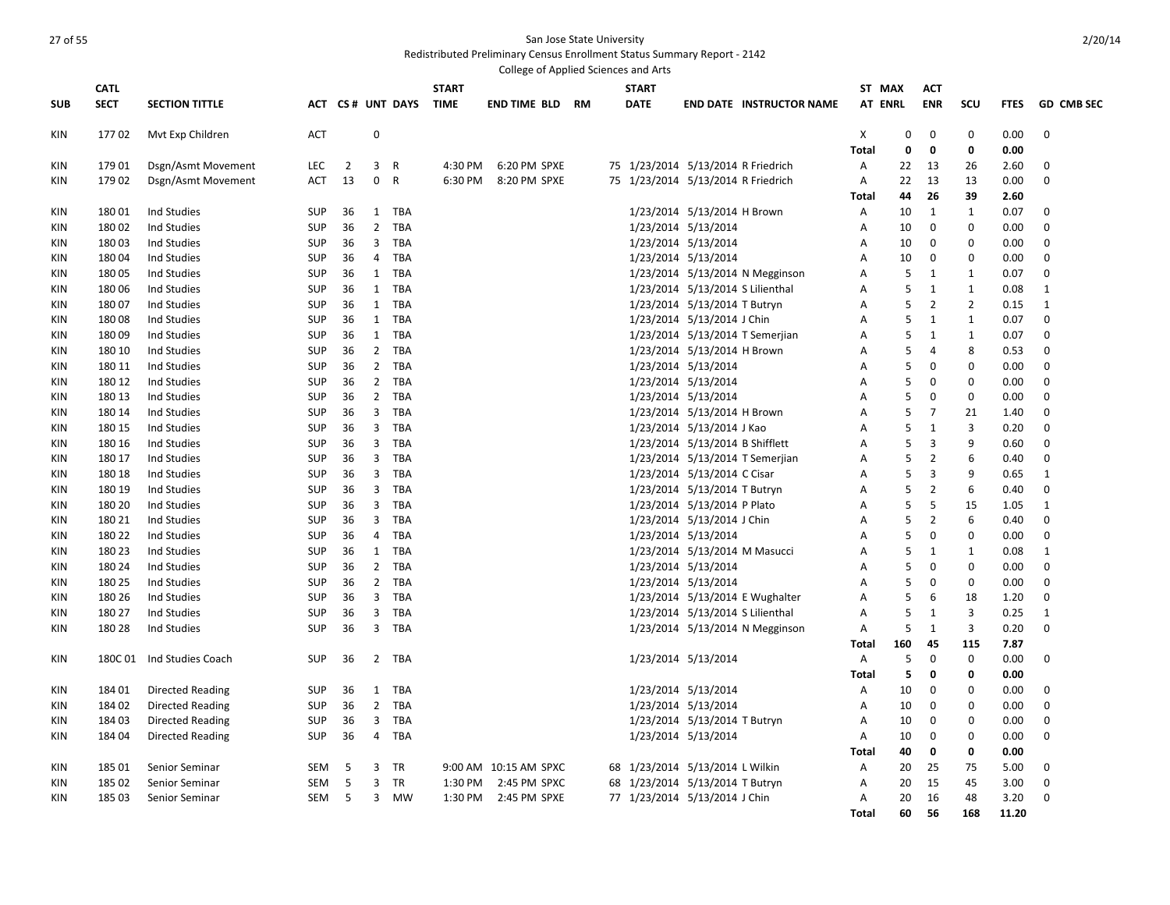|            |             |                         |            |                |                |                  |              | College of Applied Sciences and Arts |                                    |                                 |                                  |                |             |                |                |             |                   |
|------------|-------------|-------------------------|------------|----------------|----------------|------------------|--------------|--------------------------------------|------------------------------------|---------------------------------|----------------------------------|----------------|-------------|----------------|----------------|-------------|-------------------|
|            | <b>CATL</b> |                         |            |                |                |                  | <b>START</b> |                                      | <b>START</b>                       |                                 |                                  | ST MAX         |             | <b>ACT</b>     |                |             |                   |
| <b>SUB</b> | <b>SECT</b> | <b>SECTION TITTLE</b>   |            |                |                | ACT CS# UNT DAYS | <b>TIME</b>  | <b>END TIME BLD RM</b>               | <b>DATE</b>                        |                                 | <b>END DATE INSTRUCTOR NAME</b>  | <b>AT ENRL</b> |             | <b>ENR</b>     | scu            | <b>FTES</b> | <b>GD CMB SEC</b> |
| KIN        | 17702       | Myt Exp Children        | <b>ACT</b> |                | $\mathbf 0$    |                  |              |                                      |                                    |                                 |                                  | X              | $\mathbf 0$ | $\mathbf 0$    | 0              | 0.00        | $\mathbf 0$       |
|            |             |                         |            |                |                |                  |              |                                      |                                    |                                 |                                  | <b>Total</b>   | 0           | $\mathbf 0$    | 0              | 0.00        |                   |
| KIN        | 179 01      | Dsgn/Asmt Movement      | <b>LEC</b> | $\overline{2}$ | 3              | $\overline{R}$   | 4:30 PM      | 6:20 PM SPXE                         | 75 1/23/2014 5/13/2014 R Friedrich |                                 |                                  | A              | 22          | 13             | 26             | 2.60        | 0                 |
| <b>KIN</b> | 179 02      | Dsgn/Asmt Movement      | ACT        | 13             | $\mathbf 0$    | $\overline{R}$   | 6:30 PM      | 8:20 PM SPXE                         | 75 1/23/2014 5/13/2014 R Friedrich |                                 |                                  | Α              | 22          | 13             | 13             | 0.00        | $\mathbf 0$       |
|            |             |                         |            |                |                |                  |              |                                      |                                    |                                 |                                  | <b>Total</b>   | 44          | 26             | 39             | 2.60        |                   |
| KIN        | 18001       | Ind Studies             | <b>SUP</b> | 36             | 1              | TBA              |              |                                      |                                    | 1/23/2014 5/13/2014 H Brown     |                                  | Α              | 10          | 1              | 1              | 0.07        | $\Omega$          |
| KIN        | 18002       | Ind Studies             | <b>SUP</b> | 36             | $\overline{2}$ | TBA              |              |                                      |                                    | 1/23/2014 5/13/2014             |                                  | Α              | 10          | $\mathbf 0$    | $\mathbf 0$    | 0.00        | $\mathbf 0$       |
| KIN        | 18003       | Ind Studies             | <b>SUP</b> | 36             | 3              | TBA              |              |                                      |                                    | 1/23/2014 5/13/2014             |                                  | Α              | 10          | $\mathbf 0$    | $\mathbf 0$    | 0.00        | $\mathbf 0$       |
| KIN        | 18004       | Ind Studies             | <b>SUP</b> | 36             | 4              | TBA              |              |                                      |                                    | 1/23/2014 5/13/2014             |                                  | Α              | 10          | $\mathbf 0$    | 0              | 0.00        | $\mathbf 0$       |
| KIN        | 18005       | Ind Studies             | <b>SUP</b> | 36             | $\mathbf{1}$   | <b>TBA</b>       |              |                                      |                                    |                                 | 1/23/2014 5/13/2014 N Megginson  | A              | 5           | $\mathbf{1}$   | $\mathbf{1}$   | 0.07        | $\mathbf 0$       |
| KIN        | 18006       | Ind Studies             | <b>SUP</b> | 36             | 1              | TBA              |              |                                      |                                    |                                 | 1/23/2014 5/13/2014 S Lilienthal | A              | 5           | 1              | 1              | 0.08        | 1                 |
| KIN        | 18007       | Ind Studies             | <b>SUP</b> | 36             | 1              | <b>TBA</b>       |              |                                      |                                    | 1/23/2014 5/13/2014 T Butryn    |                                  | Α              | 5           | $\overline{2}$ | $\overline{2}$ | 0.15        | 1                 |
| KIN        | 18008       | Ind Studies             | <b>SUP</b> | 36             | $\mathbf{1}$   | <b>TBA</b>       |              |                                      |                                    | 1/23/2014 5/13/2014 J Chin      |                                  | A              | 5           | $\mathbf{1}$   | $\mathbf{1}$   | 0.07        | $\mathbf 0$       |
| KIN        | 18009       | Ind Studies             | <b>SUP</b> | 36             | $\mathbf{1}$   | TBA              |              |                                      |                                    |                                 | 1/23/2014 5/13/2014 T Semerjian  | A              | 5           | $\mathbf{1}$   | $\mathbf{1}$   | 0.07        | $\mathbf 0$       |
| KIN        | 180 10      | Ind Studies             | <b>SUP</b> | 36             | $\overline{2}$ | TBA              |              |                                      |                                    | 1/23/2014 5/13/2014 H Brown     |                                  | Α              | 5           | 4              | 8              | 0.53        | $\mathbf 0$       |
| KIN        | 180 11      | Ind Studies             | <b>SUP</b> | 36             | $\overline{2}$ | <b>TBA</b>       |              |                                      |                                    | 1/23/2014 5/13/2014             |                                  | A              | 5           | $\Omega$       | $\mathbf 0$    | 0.00        | $\mathbf 0$       |
| KIN        | 180 12      | Ind Studies             | <b>SUP</b> | 36             | $\overline{2}$ | TBA              |              |                                      |                                    | 1/23/2014 5/13/2014             |                                  | Α              | 5           | $\Omega$       | 0              | 0.00        | $\mathbf 0$       |
| KIN        | 180 13      | Ind Studies             | <b>SUP</b> | 36             | $\overline{2}$ | <b>TBA</b>       |              |                                      |                                    | 1/23/2014 5/13/2014             |                                  | A              | 5           | $\Omega$       | 0              | 0.00        | $\mathbf 0$       |
| KIN        | 180 14      | Ind Studies             | <b>SUP</b> | 36             | $\overline{3}$ | <b>TBA</b>       |              |                                      |                                    | 1/23/2014 5/13/2014 H Brown     |                                  | A              | 5           | $\overline{7}$ | 21             | 1.40        | $\mathbf 0$       |
| KIN        | 180 15      | Ind Studies             | <b>SUP</b> | 36             | 3              | <b>TBA</b>       |              |                                      |                                    | 1/23/2014 5/13/2014 J Kao       |                                  | A              | 5           | 1              | 3              | 0.20        | $\mathbf 0$       |
| <b>KIN</b> | 180 16      | Ind Studies             | <b>SUP</b> | 36             | 3              | TBA              |              |                                      |                                    | 1/23/2014 5/13/2014 B Shifflett |                                  | A              | 5           | 3              | 9              | 0.60        | $\mathbf 0$       |
| KIN        | 180 17      | Ind Studies             | <b>SUP</b> | 36             | 3              | <b>TBA</b>       |              |                                      |                                    |                                 | 1/23/2014 5/13/2014 T Semerjian  | A              | 5           | $\overline{2}$ | 6              | 0.40        | $\mathbf 0$       |
| KIN        | 180 18      | Ind Studies             | <b>SUP</b> | 36             | 3              | TBA              |              |                                      |                                    | 1/23/2014 5/13/2014 C Cisar     |                                  | Α              | 5           | 3              | 9              | 0.65        | 1                 |
| KIN        | 180 19      | Ind Studies             | <b>SUP</b> | 36             | 3              | <b>TBA</b>       |              |                                      |                                    | 1/23/2014 5/13/2014 T Butryn    |                                  | Α              | 5           | $\overline{2}$ | 6              | 0.40        | $\mathbf 0$       |
| KIN        | 180 20      | Ind Studies             | <b>SUP</b> | 36             | 3              | <b>TBA</b>       |              |                                      |                                    | 1/23/2014 5/13/2014 P Plato     |                                  | A              | 5           | -5             | 15             | 1.05        | 1                 |
| KIN        | 180 21      | Ind Studies             | <b>SUP</b> | 36             | 3              | TBA              |              |                                      |                                    | 1/23/2014 5/13/2014 J Chin      |                                  | Α              | 5           | $\overline{2}$ | 6              | 0.40        | $\mathbf 0$       |
| KIN        | 180 22      | Ind Studies             | <b>SUP</b> | 36             | $\overline{4}$ | TBA              |              |                                      |                                    | 1/23/2014 5/13/2014             |                                  | A              | 5           | $\Omega$       | $\mathbf 0$    | 0.00        | $\mathbf 0$       |
| KIN        | 180 23      | Ind Studies             | <b>SUP</b> | 36             | $\mathbf{1}$   | TBA              |              |                                      |                                    |                                 | 1/23/2014 5/13/2014 M Masucci    | A              | 5           | 1              | 1              | 0.08        | 1                 |
| KIN        | 180 24      | Ind Studies             | <b>SUP</b> | 36             | $\overline{2}$ | <b>TBA</b>       |              |                                      |                                    | 1/23/2014 5/13/2014             |                                  | Α              | 5           | $\mathbf 0$    | $\mathbf 0$    | 0.00        | $\mathbf 0$       |
| KIN        | 180 25      | Ind Studies             | <b>SUP</b> | 36             | $\overline{2}$ | <b>TBA</b>       |              |                                      |                                    | 1/23/2014 5/13/2014             |                                  | $\overline{A}$ | 5           | $\mathbf 0$    | $\mathbf 0$    | 0.00        | $\mathbf 0$       |
| KIN        | 180 26      | Ind Studies             | <b>SUP</b> | 36             | 3              | TBA              |              |                                      |                                    |                                 | 1/23/2014 5/13/2014 E Wughalter  | Α              | 5           | 6              | 18             | 1.20        | $\mathbf 0$       |
| KIN        | 180 27      | Ind Studies             | <b>SUP</b> | 36             | 3              | <b>TBA</b>       |              |                                      |                                    |                                 | 1/23/2014 5/13/2014 S Lilienthal | Α              | 5           | $\mathbf{1}$   | 3              | 0.25        | 1                 |
| <b>KIN</b> | 180 28      | Ind Studies             | <b>SUP</b> | 36             | $\overline{3}$ | <b>TBA</b>       |              |                                      |                                    |                                 | 1/23/2014 5/13/2014 N Megginson  | A              | 5           | 1              | 3              | 0.20        | $\mathbf 0$       |
|            |             |                         |            |                |                |                  |              |                                      |                                    |                                 |                                  | Total          | 160         | 45             | 115            | 7.87        |                   |
| KIN        | 180C 01     | Ind Studies Coach       | <b>SUP</b> | 36             | $\overline{2}$ | <b>TBA</b>       |              |                                      |                                    | 1/23/2014 5/13/2014             |                                  | $\overline{A}$ | 5           | $\mathbf 0$    | $\mathbf 0$    | 0.00        | $\mathbf 0$       |
|            |             |                         |            |                |                |                  |              |                                      |                                    |                                 |                                  | Total          | 5           | 0              | 0              | 0.00        |                   |
| KIN        | 184 01      | Directed Reading        | <b>SUP</b> | 36             | 1              | TBA              |              |                                      |                                    | 1/23/2014 5/13/2014             |                                  | A              | 10          | 0              | $\Omega$       | 0.00        | 0                 |
| KIN        | 184 02      | <b>Directed Reading</b> | <b>SUP</b> | 36             | $\overline{2}$ | TBA              |              |                                      |                                    | 1/23/2014 5/13/2014             |                                  | Α              | 10          | $\mathbf 0$    | $\Omega$       | 0.00        | $\mathbf 0$       |
| KIN        | 18403       | Directed Reading        | <b>SUP</b> | 36             | 3              | <b>TBA</b>       |              |                                      |                                    | 1/23/2014 5/13/2014 T Butryn    |                                  | Α              | 10          | 0              | $\Omega$       | 0.00        | 0                 |
| KIN        | 184 04      | Directed Reading        | <b>SUP</b> | 36             | 4              | <b>TBA</b>       |              |                                      |                                    | 1/23/2014 5/13/2014             |                                  | Α              | 10          | $\mathbf 0$    | 0              | 0.00        | $\mathbf 0$       |
|            |             |                         |            |                |                |                  |              |                                      |                                    |                                 |                                  | Total          | 40          | 0              | 0              | 0.00        |                   |
| KIN        | 185 01      | Senior Seminar          | SEM        | 5              | 3              | TR               |              | 9:00 AM 10:15 AM SPXC                | 68 1/23/2014 5/13/2014 L Wilkin    |                                 |                                  | Α              | 20          | 25             | 75             | 5.00        | 0                 |
| KIN        | 185 02      | Senior Seminar          | <b>SEM</b> | 5              | 3              | TR               | 1:30 PM      | 2:45 PM SPXC                         | 68 1/23/2014 5/13/2014 T Butryn    |                                 |                                  | Α              | 20          | 15             | 45             | 3.00        | $\mathbf 0$       |
| KIN        | 18503       | Senior Seminar          | SEM        | 5              | $\overline{3}$ | MW               | 1:30 PM      | 2:45 PM SPXE                         | 77 1/23/2014 5/13/2014 J Chin      |                                 |                                  | A              | 20          | 16             | 48             | 3.20        | 0                 |
|            |             |                         |            |                |                |                  |              |                                      |                                    |                                 |                                  | <b>Total</b>   | 60          | 56             | 168            | 11.20       |                   |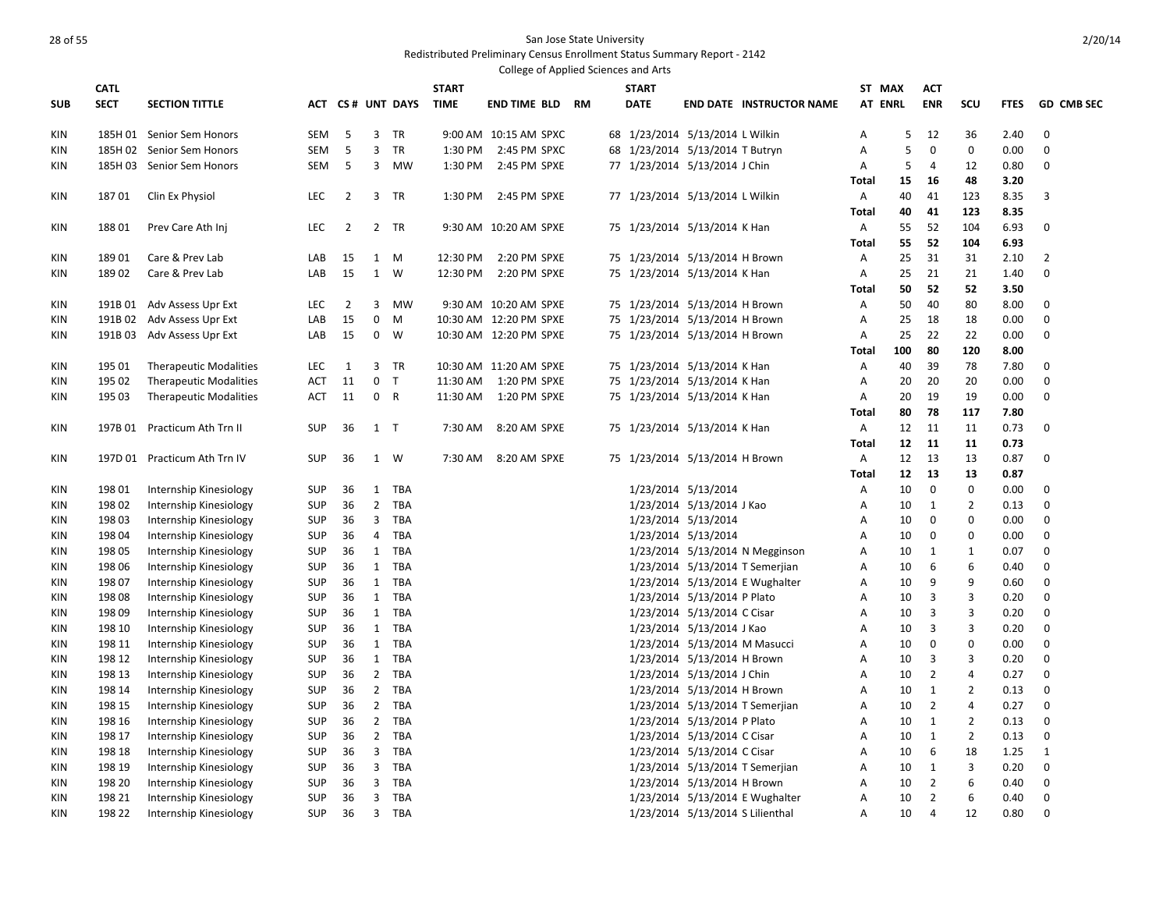|            |             |                                                        |            |                |                |                  |              | College of Applied Sciences and Arts |  |                                                                  |                             |                                  |                |        |                |                |              |                   |
|------------|-------------|--------------------------------------------------------|------------|----------------|----------------|------------------|--------------|--------------------------------------|--|------------------------------------------------------------------|-----------------------------|----------------------------------|----------------|--------|----------------|----------------|--------------|-------------------|
|            | <b>CATL</b> |                                                        |            |                |                |                  | <b>START</b> |                                      |  | <b>START</b>                                                     |                             |                                  | ST MAX         |        | <b>ACT</b>     |                |              |                   |
| <b>SUB</b> | <b>SECT</b> | <b>SECTION TITTLE</b>                                  |            |                |                | ACT CS# UNT DAYS | TIME         | <b>END TIME BLD RM</b>               |  | <b>DATE</b>                                                      |                             | <b>END DATE INSTRUCTOR NAME</b>  | <b>AT ENRL</b> |        | <b>ENR</b>     | SCU            | <b>FTES</b>  | <b>GD CMB SEC</b> |
|            |             |                                                        |            |                |                |                  |              |                                      |  |                                                                  |                             |                                  |                |        |                |                |              |                   |
| <b>KIN</b> |             | 185H 01 Senior Sem Honors                              | SEM        | 5<br>5         | 3<br>3         | TR               | 1:30 PM      | 9:00 AM 10:15 AM SPXC                |  | 68 1/23/2014 5/13/2014 L Wilkin                                  |                             |                                  | Α              | 5<br>5 | 12<br>0        | 36<br>0        | 2.40         | $\mathbf 0$       |
| <b>KIN</b> |             | 185H 02 Senior Sem Honors<br>185H 03 Senior Sem Honors | SEM<br>SEM | 5              | 3              | TR<br>MW         | 1:30 PM      | 2:45 PM SPXC<br>2:45 PM SPXE         |  | 68 1/23/2014 5/13/2014 T Butryn<br>77 1/23/2014 5/13/2014 J Chin |                             |                                  | A<br>Α         | 5      | 4              | 12             | 0.00<br>0.80 | 0<br>$\mathbf 0$  |
| KIN        |             |                                                        |            |                |                |                  |              |                                      |  |                                                                  |                             |                                  | Total          | 15     | 16             | 48             | 3.20         |                   |
| KIN        | 18701       | Clin Ex Physiol                                        | <b>LEC</b> | $\overline{2}$ |                | 3 TR             |              | 1:30 PM 2:45 PM SPXE                 |  | 77 1/23/2014 5/13/2014 L Wilkin                                  |                             |                                  | $\mathsf{A}$   | 40     | 41             | 123            | 8.35         | 3                 |
|            |             |                                                        |            |                |                |                  |              |                                      |  |                                                                  |                             |                                  | Total          | 40     | 41             | 123            | 8.35         |                   |
| KIN        | 18801       | Prev Care Ath Inj                                      | LEC.       | $\overline{2}$ |                | 2 TR             |              | 9:30 AM 10:20 AM SPXE                |  | 75 1/23/2014 5/13/2014 K Han                                     |                             |                                  | Α              | 55     | 52             | 104            | 6.93         | 0                 |
|            |             |                                                        |            |                |                |                  |              |                                      |  |                                                                  |                             |                                  | <b>Total</b>   | 55     | 52             | 104            | 6.93         |                   |
| KIN        | 18901       | Care & Prev Lab                                        | LAB        | 15             | 1 M            |                  | 12:30 PM     | 2:20 PM SPXE                         |  | 75 1/23/2014 5/13/2014 H Brown                                   |                             |                                  | Α              | 25     | 31             | 31             | 2.10         | $\overline{2}$    |
| KIN        | 18902       | Care & Prev Lab                                        | LAB        | 15             | $\mathbf{1}$   | W                | 12:30 PM     | 2:20 PM SPXE                         |  | 75 1/23/2014 5/13/2014 K Han                                     |                             |                                  | Α              | 25     | 21             | 21             | 1.40         | $\mathbf 0$       |
|            |             |                                                        |            |                |                |                  |              |                                      |  |                                                                  |                             |                                  | <b>Total</b>   | 50     | 52             | 52             | 3.50         |                   |
| <b>KIN</b> |             | 191B 01 Adv Assess Upr Ext                             | <b>LEC</b> | $\overline{2}$ | 3              | <b>MW</b>        |              | 9:30 AM 10:20 AM SPXE                |  | 75 1/23/2014 5/13/2014 H Brown                                   |                             |                                  | A              | 50     | 40             | 80             | 8.00         | 0                 |
| KIN        |             | 191B 02 Adv Assess Upr Ext                             | LAB        | 15             | $\mathbf 0$    | M                |              | 10:30 AM 12:20 PM SPXE               |  | 75 1/23/2014 5/13/2014 H Brown                                   |                             |                                  | Α              | 25     | 18             | 18             | 0.00         | $\mathbf 0$       |
| KIN        |             | 191B 03 Adv Assess Upr Ext                             | LAB        | 15             |                | $0 \quad W$      |              | 10:30 AM 12:20 PM SPXE               |  | 75 1/23/2014 5/13/2014 H Brown                                   |                             |                                  | Α              | 25     | 22             | 22             | 0.00         | $\mathbf{0}$      |
|            |             |                                                        |            |                |                |                  |              |                                      |  |                                                                  |                             |                                  | <b>Total</b>   | 100    | 80             | 120            | 8.00         |                   |
| KIN        | 195 01      | <b>Therapeutic Modalities</b>                          | <b>LEC</b> | 1              | 3              | TR               |              | 10:30 AM 11:20 AM SPXE               |  | 75 1/23/2014 5/13/2014 K Han                                     |                             |                                  | Α              | 40     | 39             | 78             | 7.80         | 0                 |
| KIN        | 195 02      | <b>Therapeutic Modalities</b>                          | ACT        | 11             | 0 <sub>T</sub> |                  | 11:30 AM     | 1:20 PM SPXE                         |  | 75 1/23/2014 5/13/2014 K Han                                     |                             |                                  | А              | 20     | 20             | 20             | 0.00         | $\mathbf 0$       |
| KIN        | 195 03      | <b>Therapeutic Modalities</b>                          | ACT        | 11             | 0 R            |                  | 11:30 AM     | 1:20 PM SPXE                         |  | 75 1/23/2014 5/13/2014 K Han                                     |                             |                                  | Α              | 20     | 19             | 19             | 0.00         | 0                 |
|            |             |                                                        |            |                |                |                  |              |                                      |  |                                                                  |                             |                                  | Total          | 80     | 78             | 117            | 7.80         |                   |
| KIN        | 197B 01     | Practicum Ath Trn II                                   | <b>SUP</b> | 36             | $1$ T          |                  | 7:30 AM      | 8:20 AM SPXE                         |  | 75 1/23/2014 5/13/2014 K Han                                     |                             |                                  | A              | 12     | 11             | 11             | 0.73         | 0                 |
|            |             |                                                        |            |                |                |                  |              |                                      |  |                                                                  |                             |                                  | Total          | 12     | 11             | 11             | 0.73         |                   |
| KIN        |             | 197D 01 Practicum Ath Trn IV                           | <b>SUP</b> | 36             | 1 W            |                  | 7:30 AM      | 8:20 AM SPXE                         |  | 75 1/23/2014 5/13/2014 H Brown                                   |                             |                                  | A              | 12     | 13             | 13             | 0.87         | 0                 |
|            |             |                                                        |            |                |                |                  |              |                                      |  |                                                                  |                             |                                  | <b>Total</b>   | 12     | 13             | 13             | 0.87         |                   |
| KIN        | 198 01      | Internship Kinesiology                                 | <b>SUP</b> | 36             | $\mathbf{1}$   | TBA              |              |                                      |  |                                                                  | 1/23/2014 5/13/2014         |                                  | Α              | 10     | $\mathbf 0$    | $\mathbf 0$    | 0.00         | $\mathbf 0$       |
| KIN        | 198 02      | Internship Kinesiology                                 | SUP        | 36             | $\overline{2}$ | TBA              |              |                                      |  |                                                                  | 1/23/2014 5/13/2014 J Kao   |                                  | Α              | 10     | 1              | $\overline{2}$ | 0.13         | 0                 |
| KIN        | 198 03      | Internship Kinesiology                                 | <b>SUP</b> | 36             | 3              | TBA              |              |                                      |  |                                                                  | 1/23/2014 5/13/2014         |                                  | Α              | 10     | $\mathbf 0$    | $\mathbf 0$    | 0.00         | $\mathbf{0}$      |
| KIN        | 198 04      | Internship Kinesiology                                 | SUP        | 36             | $\overline{4}$ | TBA              |              |                                      |  |                                                                  | 1/23/2014 5/13/2014         |                                  | Α              | 10     | 0              | 0              | 0.00         | $\mathbf 0$       |
| KIN        | 198 05      | Internship Kinesiology                                 | SUP        | 36             | 1              | TBA              |              |                                      |  |                                                                  |                             | 1/23/2014 5/13/2014 N Megginson  | Α              | 10     | 1              | 1              | 0.07         | 0                 |
| <b>KIN</b> | 198 06      | Internship Kinesiology                                 | <b>SUP</b> | 36             | $\mathbf{1}$   | TBA              |              |                                      |  |                                                                  |                             | 1/23/2014 5/13/2014 T Semerjian  | Α              | 10     | 6              | 6              | 0.40         | $\mathbf 0$       |
| KIN        | 19807       | Internship Kinesiology                                 | SUP        | 36             | 1              | TBA              |              |                                      |  |                                                                  |                             | 1/23/2014 5/13/2014 E Wughalter  | Α              | 10     | 9              | 9              | 0.60         | 0                 |
| <b>KIN</b> | 198 08      | Internship Kinesiology                                 | <b>SUP</b> | 36             | $\mathbf{1}$   | TBA              |              |                                      |  |                                                                  | 1/23/2014 5/13/2014 P Plato |                                  | Α              | 10     | 3              | 3              | 0.20         | 0                 |
| KIN        | 198 09      | Internship Kinesiology                                 | SUP        | 36             | 1              | TBA              |              |                                      |  |                                                                  | 1/23/2014 5/13/2014 C Cisar |                                  | Α              | 10     | 3              | 3              | 0.20         | 0                 |
| KIN        | 198 10      | Internship Kinesiology                                 | <b>SUP</b> | 36             | $\mathbf{1}$   | TBA              |              |                                      |  |                                                                  | 1/23/2014 5/13/2014 J Kao   |                                  | Α              | 10     | $\overline{3}$ | 3              | 0.20         | 0                 |
| KIN        | 198 11      | Internship Kinesiology                                 | <b>SUP</b> | 36             | $\mathbf{1}$   | TBA              |              |                                      |  |                                                                  |                             | 1/23/2014 5/13/2014 M Masucci    | Α              | 10     | 0              | $\mathbf 0$    | 0.00         | 0                 |
| KIN        | 198 12      | Internship Kinesiology                                 | SUP        | 36             | 1              | TBA              |              |                                      |  |                                                                  | 1/23/2014 5/13/2014 H Brown |                                  | Α              | 10     | 3              | 3              | 0.20         | 0                 |
| <b>KIN</b> | 198 13      | Internship Kinesiology                                 | <b>SUP</b> | 36             | $\overline{2}$ | TBA              |              |                                      |  |                                                                  | 1/23/2014 5/13/2014 J Chin  |                                  | A              | 10     | $\overline{2}$ | 4              | 0.27         | $\mathbf 0$       |
| KIN        | 198 14      | Internship Kinesiology                                 | <b>SUP</b> | 36             | $\overline{2}$ | TBA              |              |                                      |  |                                                                  | 1/23/2014 5/13/2014 H Brown |                                  | Α              | 10     | 1              | $\overline{2}$ | 0.13         | 0                 |
| <b>KIN</b> | 198 15      | Internship Kinesiology                                 | <b>SUP</b> | 36             | $2^{\circ}$    | <b>TBA</b>       |              |                                      |  |                                                                  |                             | 1/23/2014 5/13/2014 T Semerjian  | A              | 10     | $\overline{2}$ | 4              | 0.27         | $\mathbf 0$       |
| KIN        | 198 16      | Internship Kinesiology                                 | SUP        | 36             | $\overline{2}$ | TBA              |              |                                      |  |                                                                  | 1/23/2014 5/13/2014 P Plato |                                  | Α              | 10     | 1              | $\overline{2}$ | 0.13         | 0                 |
| KIN        | 198 17      | Internship Kinesiology                                 | SUP        | 36             | $2^{\circ}$    | TBA              |              |                                      |  |                                                                  | 1/23/2014 5/13/2014 C Cisar |                                  | Α              | 10     | 1              | $\overline{2}$ | 0.13         | 0                 |
| KIN        | 198 18      | Internship Kinesiology                                 | <b>SUP</b> | 36             | 3              | <b>TBA</b>       |              |                                      |  |                                                                  | 1/23/2014 5/13/2014 C Cisar |                                  | Α              | 10     | 6              | 18             | 1.25         | 1                 |
| KIN        | 198 19      | Internship Kinesiology                                 | <b>SUP</b> | 36             | 3              | TBA              |              |                                      |  |                                                                  |                             | 1/23/2014 5/13/2014 T Semerjian  | Α              | 10     | 1              | 3              | 0.20         | 0                 |
| <b>KIN</b> | 198 20      | Internship Kinesiology                                 | <b>SUP</b> | 36             | 3              | TBA              |              |                                      |  |                                                                  | 1/23/2014 5/13/2014 H Brown |                                  | Α              | 10     | $\overline{2}$ | 6              | 0.40         | $\mathbf{0}$      |
| KIN        | 198 21      | Internship Kinesiology                                 | <b>SUP</b> | 36             | 3              | TBA              |              |                                      |  |                                                                  |                             | 1/23/2014 5/13/2014 E Wughalter  | Α              | 10     | $\overline{2}$ | 6              | 0.40         | $\mathbf 0$       |
| <b>KIN</b> | 198 22      | Internship Kinesiology                                 | <b>SUP</b> | 36             | $\overline{3}$ | <b>TBA</b>       |              |                                      |  |                                                                  |                             | 1/23/2014 5/13/2014 S Lilienthal | A              | 10     | $\overline{4}$ | 12             | 0.80         | $\Omega$          |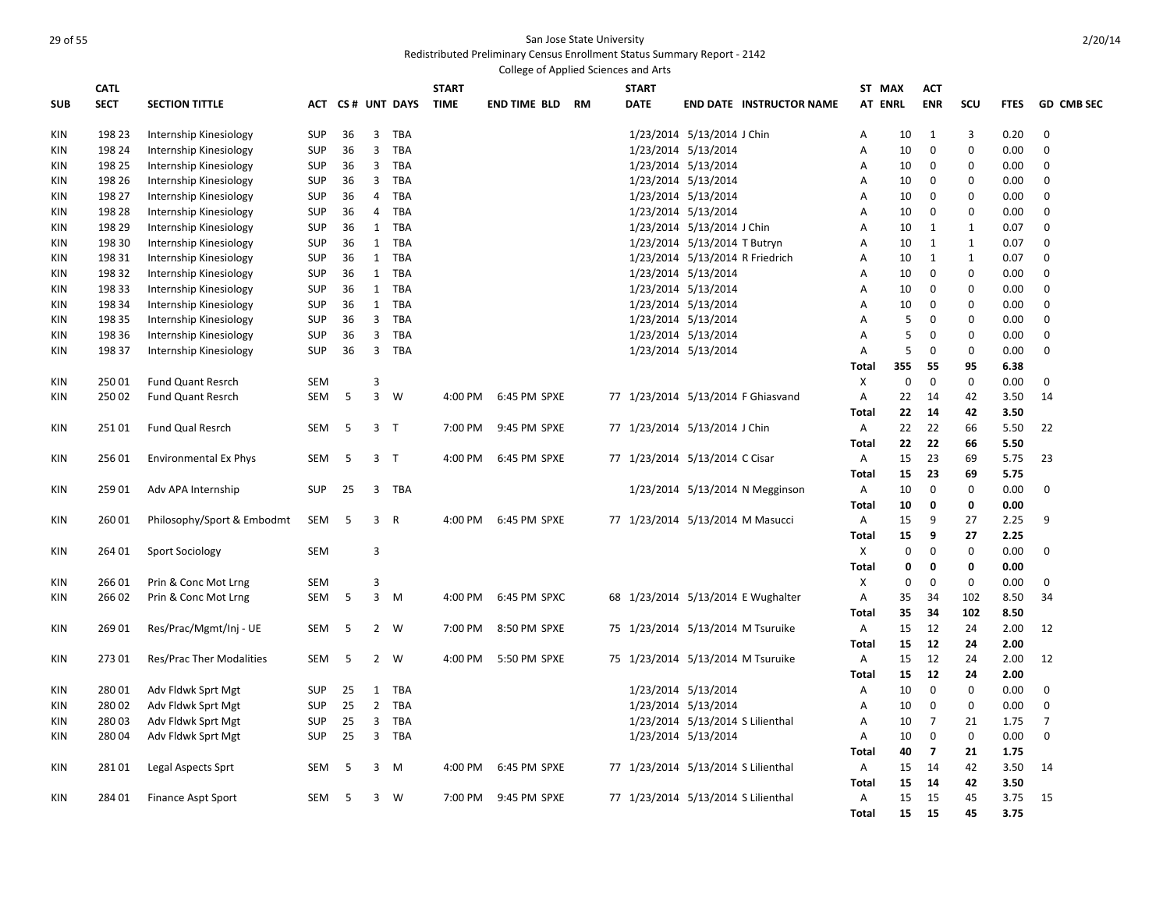|     |                            |                              |            |    |                |                  |                             | College of Applied Sciences and Arts |           |                                     |                              |                                  |                   |             |                          |             |             |                   |
|-----|----------------------------|------------------------------|------------|----|----------------|------------------|-----------------------------|--------------------------------------|-----------|-------------------------------------|------------------------------|----------------------------------|-------------------|-------------|--------------------------|-------------|-------------|-------------------|
| SUB | <b>CATL</b><br><b>SECT</b> | <b>SECTION TITTLE</b>        |            |    |                | ACT CS# UNT DAYS | <b>START</b><br><b>TIME</b> | <b>END TIME BLD</b>                  | <b>RM</b> | <b>START</b><br><b>DATE</b>         |                              | <b>END DATE INSTRUCTOR NAME</b>  | ST MAX<br>AT ENRL |             | <b>ACT</b><br><b>ENR</b> | scu         | <b>FTES</b> | <b>GD CMB SEC</b> |
|     |                            |                              |            |    |                |                  |                             |                                      |           |                                     |                              |                                  |                   |             |                          |             |             |                   |
| KIN | 198 23                     | Internship Kinesiology       | SUP        | 36 | $\overline{3}$ | TBA              |                             |                                      |           |                                     | 1/23/2014 5/13/2014 J Chin   |                                  | Α                 | 10          | 1                        | 3           | 0.20        | $\mathbf 0$       |
| KIN | 198 24                     | Internship Kinesiology       | <b>SUP</b> | 36 | $\overline{3}$ | TBA              |                             |                                      |           |                                     | 1/23/2014 5/13/2014          |                                  | Α                 | 10          | $\mathbf 0$              | $\mathbf 0$ | 0.00        | $\mathbf 0$       |
| KIN | 198 25                     | Internship Kinesiology       | <b>SUP</b> | 36 | 3              | TBA              |                             |                                      |           |                                     | 1/23/2014 5/13/2014          |                                  | Α                 | 10          | 0                        | 0           | 0.00        | 0                 |
| KIN | 198 26                     | Internship Kinesiology       | <b>SUP</b> | 36 | 3              | TBA              |                             |                                      |           |                                     | 1/23/2014 5/13/2014          |                                  | $\overline{A}$    | 10          | 0                        | $\mathbf 0$ | 0.00        | $\mathbf 0$       |
| KIN | 198 27                     | Internship Kinesiology       | <b>SUP</b> | 36 | 4              | TBA              |                             |                                      |           |                                     | 1/23/2014 5/13/2014          |                                  | Α                 | 10          | 0                        | 0           | 0.00        | 0                 |
| KIN | 198 28                     | Internship Kinesiology       | <b>SUP</b> | 36 | $\overline{4}$ | TBA              |                             |                                      |           |                                     | 1/23/2014 5/13/2014          |                                  | $\overline{A}$    | 10          | 0                        | $\mathbf 0$ | 0.00        | $\mathbf 0$       |
| KIN | 198 29                     | Internship Kinesiology       | <b>SUP</b> | 36 | $\mathbf{1}$   | TBA              |                             |                                      |           |                                     | 1/23/2014 5/13/2014 J Chin   |                                  | A                 | 10          | $\mathbf{1}$             | 1           | 0.07        | 0                 |
| KIN | 198 30                     | Internship Kinesiology       | <b>SUP</b> | 36 | $\mathbf{1}$   | <b>TBA</b>       |                             |                                      |           |                                     | 1/23/2014 5/13/2014 T Butryn |                                  | A                 | 10          | 1                        | 1           | 0.07        | $\mathbf 0$       |
| KIN | 198 31                     | Internship Kinesiology       | <b>SUP</b> | 36 | 1              | TBA              |                             |                                      |           |                                     |                              | 1/23/2014 5/13/2014 R Friedrich  | Α                 | 10          | 1                        | 1           | 0.07        | $\Omega$          |
| KIN | 198 32                     | Internship Kinesiology       | <b>SUP</b> | 36 | 1              | <b>TBA</b>       |                             |                                      |           |                                     | 1/23/2014 5/13/2014          |                                  | A                 | 10          | $\mathbf{0}$             | $\mathbf 0$ | 0.00        | $\mathbf 0$       |
| KIN | 198 33                     | Internship Kinesiology       | <b>SUP</b> | 36 | 1              | TBA              |                             |                                      |           |                                     | 1/23/2014 5/13/2014          |                                  | Α                 | 10          | 0                        | 0           | 0.00        | 0                 |
| KIN | 198 34                     | Internship Kinesiology       | <b>SUP</b> | 36 | $\mathbf{1}$   | TBA              |                             |                                      |           |                                     | 1/23/2014 5/13/2014          |                                  | A                 | 10          | $\mathbf{0}$             | 0           | 0.00        | $\mathbf 0$       |
| KIN | 198 35                     | Internship Kinesiology       | <b>SUP</b> | 36 | $\mathbf{3}$   | TBA              |                             |                                      |           |                                     | 1/23/2014 5/13/2014          |                                  | A                 | 5           | $\mathbf 0$              | 0           | 0.00        | 0                 |
| KIN | 198 36                     | Internship Kinesiology       | <b>SUP</b> | 36 | $\overline{3}$ | TBA              |                             |                                      |           |                                     | 1/23/2014 5/13/2014          |                                  | $\overline{A}$    | 5           | $\mathbf 0$              | $\mathbf 0$ | 0.00        | $\mathbf 0$       |
| KIN | 198 37                     | Internship Kinesiology       | <b>SUP</b> | 36 | $\overline{3}$ | TBA              |                             |                                      |           |                                     | 1/23/2014 5/13/2014          |                                  | A                 | 5           | $\mathbf 0$              | $\mathbf 0$ | 0.00        | 0                 |
|     |                            |                              |            |    |                |                  |                             |                                      |           |                                     |                              |                                  | Total             | 355         | 55                       | 95          | 6.38        |                   |
| KIN | 25001                      | <b>Fund Quant Resrch</b>     | SEM        |    | 3              |                  |                             |                                      |           |                                     |                              |                                  | X                 | $\mathbf 0$ | $\mathbf 0$              | $\mathbf 0$ | 0.00        | 0                 |
| KIN | 25002                      | <b>Fund Quant Resrch</b>     | <b>SEM</b> | 5  | $\overline{3}$ | W                | 4:00 PM                     | 6:45 PM SPXE                         |           | 77 1/23/2014 5/13/2014 F Ghiasvand  |                              |                                  | $\overline{A}$    | 22          | 14                       | 42          | 3.50        | 14                |
|     |                            |                              |            |    |                |                  |                             |                                      |           |                                     |                              |                                  | <b>Total</b>      | 22          | 14                       | 42          | 3.50        |                   |
| KIN | 25101                      | Fund Qual Resrch             | <b>SEM</b> | 5  |                | 3 <sub>7</sub>   | 7:00 PM                     | 9:45 PM SPXE                         |           | 77 1/23/2014 5/13/2014 J Chin       |                              |                                  | Α                 | 22          | 22                       | 66          | 5.50        | 22                |
|     |                            |                              |            |    |                |                  |                             |                                      |           |                                     |                              |                                  |                   |             |                          |             |             |                   |
|     |                            |                              |            |    |                |                  |                             |                                      |           |                                     |                              |                                  | <b>Total</b>      | 22          | 22                       | 66          | 5.50        |                   |
| KIN | 25601                      | <b>Environmental Ex Phys</b> | <b>SEM</b> | 5  |                | 3 <sub>T</sub>   | 4:00 PM                     | 6:45 PM SPXE                         |           | 77 1/23/2014 5/13/2014 C Cisar      |                              |                                  | A                 | 15          | 23                       | 69          | 5.75        | 23                |
|     |                            |                              |            |    |                |                  |                             |                                      |           |                                     |                              |                                  | Total             | 15          | 23                       | 69          | 5.75        |                   |
| KIN | 259 01                     | Adv APA Internship           | <b>SUP</b> | 25 | 3              | TBA              |                             |                                      |           |                                     |                              | 1/23/2014 5/13/2014 N Megginson  | Α                 | 10          | $\mathbf 0$              | $\mathbf 0$ | 0.00        | $\mathbf 0$       |
|     |                            |                              |            |    |                |                  |                             |                                      |           |                                     |                              |                                  | Total             | 10          | 0                        | 0           | 0.00        |                   |
| KIN | 26001                      | Philosophy/Sport & Embodmt   | SEM        | 5  |                | 3 R              | 4:00 PM                     | 6:45 PM SPXE                         |           | 77 1/23/2014 5/13/2014 M Masucci    |                              |                                  | Α                 | 15          | 9                        | 27          | 2.25        | 9                 |
|     |                            |                              |            |    |                |                  |                             |                                      |           |                                     |                              |                                  | Total             | 15          | 9                        | 27          | 2.25        |                   |
| KIN | 264 01                     | Sport Sociology              | <b>SEM</b> |    | 3              |                  |                             |                                      |           |                                     |                              |                                  | Χ                 | $\Omega$    | $\mathbf 0$              | $\mathbf 0$ | 0.00        | $\Omega$          |
|     |                            |                              |            |    |                |                  |                             |                                      |           |                                     |                              |                                  | <b>Total</b>      | 0           | 0                        | 0           | 0.00        |                   |
| KIN | 26601                      | Prin & Conc Mot Lrng         | <b>SEM</b> |    | 3              |                  |                             |                                      |           |                                     |                              |                                  | X                 | $\mathbf 0$ | $\mathbf 0$              | $\mathbf 0$ | 0.00        | 0                 |
| KIN | 26602                      | Prin & Conc Mot Lrng         | SEM        | -5 | 3              | M                | 4:00 PM                     | 6:45 PM SPXC                         |           | 68 1/23/2014 5/13/2014 E Wughalter  |                              |                                  | Α                 | 35          | 34                       | 102         | 8.50        | 34                |
|     |                            |                              |            |    |                |                  |                             |                                      |           |                                     |                              |                                  | <b>Total</b>      | 35          | 34                       | 102         | 8.50        |                   |
| KIN | 269 01                     | Res/Prac/Mgmt/Inj - UE       | SEM        | 5  | $\overline{2}$ | W                | 7:00 PM                     | 8:50 PM SPXE                         |           | 75 1/23/2014 5/13/2014 M Tsuruike   |                              |                                  | Α                 | 15          | 12                       | 24          | 2.00        | 12                |
|     |                            |                              |            |    |                |                  |                             |                                      |           |                                     |                              |                                  | Total             | 15          | 12                       | 24          | 2.00        |                   |
| KIN | 27301                      | Res/Prac Ther Modalities     | SEM        | 5  | $\overline{2}$ | W                | 4:00 PM                     | 5:50 PM SPXE                         |           | 75 1/23/2014 5/13/2014 M Tsuruike   |                              |                                  | Α                 | 15          | 12                       | 24          | 2.00        | 12                |
|     |                            |                              |            |    |                |                  |                             |                                      |           |                                     |                              |                                  | Total             | 15          | 12                       | 24          | 2.00        |                   |
| KIN | 28001                      | Adv Fldwk Sprt Mgt           | <b>SUP</b> | 25 | 1              | TBA              |                             |                                      |           |                                     | 1/23/2014 5/13/2014          |                                  | Α                 | 10          | 0                        | 0           | 0.00        | 0                 |
| KIN | 28002                      | Adv Fldwk Sprt Mgt           | <b>SUP</b> | 25 | $2^{\circ}$    | TBA              |                             |                                      |           |                                     | 1/23/2014 5/13/2014          |                                  | Α                 | 10          | $\mathbf 0$              | $\mathbf 0$ | 0.00        | $\mathbf 0$       |
| KIN | 28003                      | Adv Fldwk Sprt Mgt           | <b>SUP</b> | 25 | 3              | TBA              |                             |                                      |           |                                     |                              | 1/23/2014 5/13/2014 S Lilienthal | Α                 | 10          | $\overline{7}$           | 21          | 1.75        | $\overline{7}$    |
|     | 28004                      |                              | <b>SUP</b> | 25 | $\overline{3}$ | TBA              |                             |                                      |           |                                     |                              |                                  | $\overline{A}$    | 10          | $\mathbf 0$              | $\mathbf 0$ | 0.00        | $\mathbf 0$       |
| KIN |                            | Adv Fldwk Sprt Mgt           |            |    |                |                  |                             |                                      |           |                                     | 1/23/2014 5/13/2014          |                                  |                   |             |                          |             |             |                   |
|     |                            |                              |            |    |                |                  |                             |                                      |           |                                     |                              |                                  | Total             | 40          | $\overline{7}$           | 21          | 1.75        |                   |
| KIN | 28101                      | Legal Aspects Sprt           | <b>SEM</b> | 5  | 3              | <b>M</b>         | 4:00 PM                     | 6:45 PM SPXE                         |           | 77 1/23/2014 5/13/2014 S Lilienthal |                              |                                  | Α                 | 15          | 14                       | 42          | 3.50        | 14                |
|     |                            |                              |            |    |                |                  |                             |                                      |           |                                     |                              |                                  | Total             | 15          | 14                       | 42          | 3.50        |                   |
| KIN | 284 01                     | Finance Aspt Sport           | <b>SEM</b> | 5  |                | $3 \quad W$      | 7:00 PM                     | 9:45 PM SPXE                         |           | 77 1/23/2014 5/13/2014 S Lilienthal |                              |                                  | Α                 | 15          | 15                       | 45          | 3.75        | 15                |
|     |                            |                              |            |    |                |                  |                             |                                      |           |                                     |                              |                                  | Total             | 15          | 15                       | 45          | 3.75        |                   |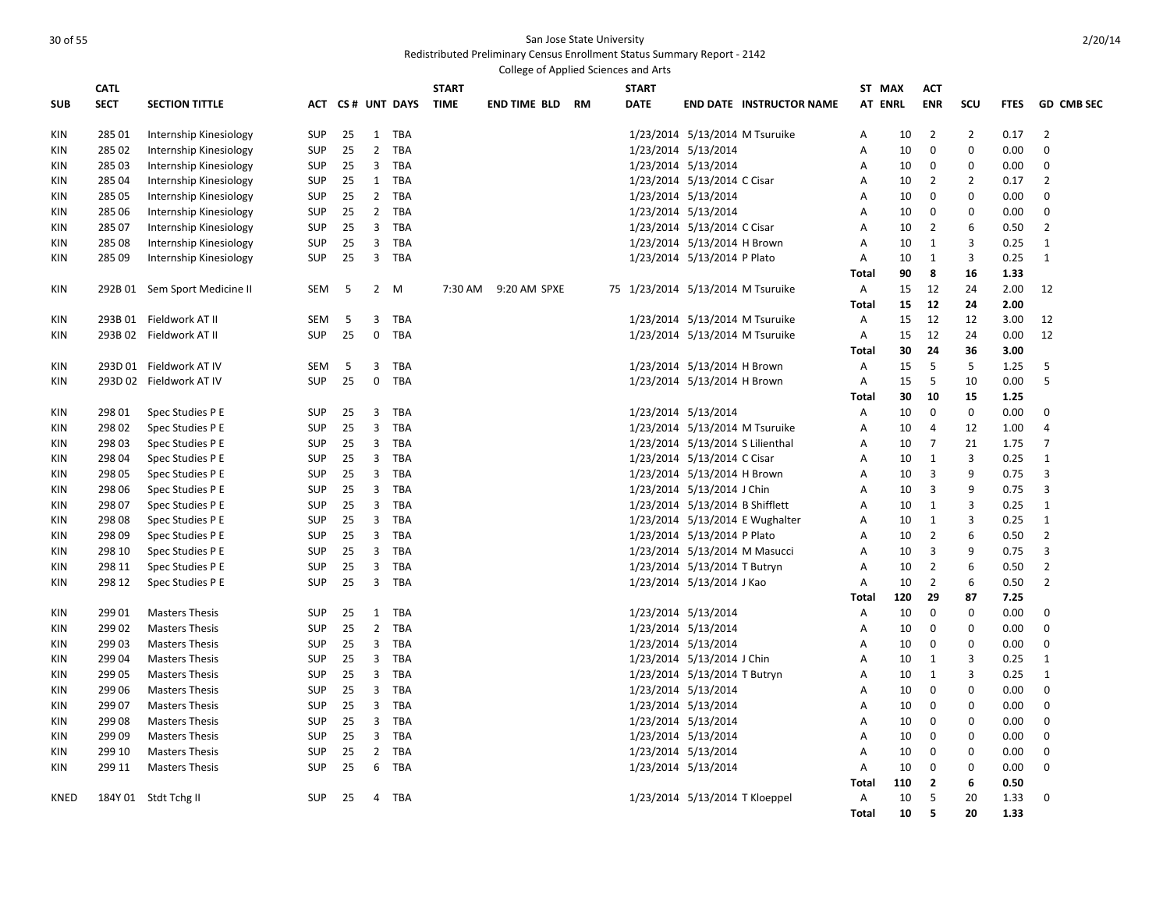|             |                            |                               |            |    |                |                  |                             | College of Applied Sciences and Arts |  |                             |                                   |                                 |                   |           |                          |                |              |                   |
|-------------|----------------------------|-------------------------------|------------|----|----------------|------------------|-----------------------------|--------------------------------------|--|-----------------------------|-----------------------------------|---------------------------------|-------------------|-----------|--------------------------|----------------|--------------|-------------------|
| <b>SUB</b>  | <b>CATL</b><br><b>SECT</b> | <b>SECTION TITTLE</b>         |            |    |                | ACT CS# UNT DAYS | <b>START</b><br><b>TIME</b> | <b>END TIME BLD RM</b>               |  | <b>START</b><br><b>DATE</b> |                                   | <b>END DATE INSTRUCTOR NAME</b> | ST MAX<br>AT ENRL |           | <b>ACT</b><br><b>ENR</b> | SCU            | <b>FTES</b>  | <b>GD CMB SEC</b> |
| KIN         | 285 01                     | Internship Kinesiology        | <b>SUP</b> | 25 |                | 1 TBA            |                             |                                      |  |                             | 1/23/2014 5/13/2014 M Tsuruike    |                                 | Α                 | 10        | $\overline{2}$           | $\overline{2}$ | 0.17         | $\overline{2}$    |
| <b>KIN</b>  | 285 02                     | Internship Kinesiology        | <b>SUP</b> | 25 | $\overline{2}$ | <b>TBA</b>       |                             |                                      |  |                             | 1/23/2014 5/13/2014               |                                 | Α                 | 10        | $\mathbf 0$              | $\mathbf 0$    | 0.00         | $\mathbf 0$       |
| KIN         | 285 03                     | Internship Kinesiology        | <b>SUP</b> | 25 | 3              | <b>TBA</b>       |                             |                                      |  |                             | 1/23/2014 5/13/2014               |                                 | Α                 | 10        | 0                        | 0              | 0.00         | 0                 |
| KIN         | 285 04                     | Internship Kinesiology        | <b>SUP</b> | 25 | 1              | TBA              |                             |                                      |  |                             | 1/23/2014 5/13/2014 C Cisar       |                                 | Α                 | 10        | 2                        | $\overline{2}$ | 0.17         | 2                 |
| <b>KIN</b>  | 285 05                     | Internship Kinesiology        | <b>SUP</b> | 25 | $\overline{2}$ | TBA              |                             |                                      |  |                             | 1/23/2014 5/13/2014               |                                 | Α                 | 10        | $\mathbf 0$              | 0              | 0.00         | $\mathbf 0$       |
| KIN         | 285 06                     | Internship Kinesiology        | SUP        | 25 | $\overline{2}$ | TBA              |                             |                                      |  |                             | 1/23/2014 5/13/2014               |                                 | Α                 | 10        | 0                        | $\Omega$       | 0.00         | 0                 |
| <b>KIN</b>  | 285 07                     | Internship Kinesiology        | SUP        | 25 | 3              | <b>TBA</b>       |                             |                                      |  |                             | 1/23/2014 5/13/2014 C Cisar       |                                 | A                 | 10        | 2                        | 6              | 0.50         | $\overline{2}$    |
| KIN         | 285 08                     | Internship Kinesiology        | SUP        | 25 | 3              | <b>TBA</b>       |                             |                                      |  |                             | 1/23/2014 5/13/2014 H Brown       |                                 | A                 | 10        | 1                        | 3              | 0.25         | 1                 |
| KIN         | 285 09                     | Internship Kinesiology        | <b>SUP</b> | 25 | $\overline{3}$ | TBA              |                             |                                      |  |                             | 1/23/2014 5/13/2014 P Plato       |                                 | A                 | 10        | 1                        | 3              | 0.25         | 1                 |
|             |                            |                               |            |    |                |                  |                             |                                      |  |                             |                                   |                                 | <b>Total</b>      | 90        | 8                        | 16             | 1.33         |                   |
| KIN         |                            | 292B 01 Sem Sport Medicine II | SEM        | -5 |                | 2 M              | 7:30 AM                     | 9:20 AM SPXE                         |  |                             | 75 1/23/2014 5/13/2014 M Tsuruike |                                 | $\mathsf{A}$      | 15        | 12                       | 24             | 2.00         | 12                |
|             |                            |                               |            |    |                |                  |                             |                                      |  |                             |                                   |                                 | <b>Total</b>      | 15        | 12                       | 24             | 2.00         |                   |
| KIN         |                            | 293B 01 Fieldwork AT II       | SEM        | 5  | 3              | TBA              |                             |                                      |  |                             | 1/23/2014 5/13/2014 M Tsuruike    |                                 | Α                 | 15        | 12                       | 12             | 3.00         | 12                |
| <b>KIN</b>  |                            | 293B 02 Fieldwork AT II       | <b>SUP</b> | 25 | $\mathbf 0$    | <b>TBA</b>       |                             |                                      |  |                             | 1/23/2014 5/13/2014 M Tsuruike    |                                 | Α                 | 15        | 12                       | 24             | 0.00         | 12                |
|             |                            |                               |            |    |                |                  |                             |                                      |  |                             |                                   |                                 | Total             | 30        | 24                       | 36             | 3.00         |                   |
| KIN         |                            | 293D 01 Fieldwork AT IV       | <b>SEM</b> | 5  | 3              | <b>TBA</b>       |                             |                                      |  |                             | 1/23/2014 5/13/2014 H Brown       |                                 | $\mathsf{A}$      | 15        | 5                        | 5              | 1.25         | 5                 |
| KIN         |                            | 293D 02 Fieldwork AT IV       | <b>SUP</b> | 25 | $\mathbf 0$    | TBA              |                             |                                      |  |                             | 1/23/2014 5/13/2014 H Brown       |                                 | A                 | 15        | 5                        | 10             | 0.00         | 5                 |
|             |                            |                               |            |    |                |                  |                             |                                      |  |                             |                                   |                                 | Total             | 30        | 10                       | 15             | 1.25         |                   |
| KIN         | 298 01                     | Spec Studies P E              | <b>SUP</b> | 25 | 3              | TBA              |                             |                                      |  |                             | 1/23/2014 5/13/2014               |                                 | A                 | 10        | 0                        | $\mathbf 0$    | 0.00         | $\mathbf 0$       |
| KIN         | 298 02                     | Spec Studies P E              | <b>SUP</b> | 25 | 3              | <b>TBA</b>       |                             |                                      |  |                             | 1/23/2014 5/13/2014 M Tsuruike    |                                 | Α                 | 10        | $\overline{4}$           | 12             | 1.00         | $\overline{4}$    |
| <b>KIN</b>  | 298 03                     | Spec Studies P E              | <b>SUP</b> | 25 | 3              | TBA              |                             |                                      |  |                             | 1/23/2014 5/13/2014 S Lilienthal  |                                 | Α                 | 10        | $\overline{7}$           | 21             | 1.75         | 7                 |
| KIN         | 298 04                     | Spec Studies P E              | <b>SUP</b> | 25 | 3              | TBA              |                             |                                      |  |                             | 1/23/2014 5/13/2014 C Cisar       |                                 | Α                 | 10        | 1                        | 3              | 0.25         | 1                 |
| <b>KIN</b>  | 298 05                     | Spec Studies P E              | SUP        | 25 | 3              | TBA              |                             |                                      |  |                             | 1/23/2014 5/13/2014 H Brown       |                                 | Α                 | 10        | 3                        | 9              | 0.75         | 3                 |
| KIN         | 298 06                     | Spec Studies P E              | SUP        | 25 | 3              | TBA              |                             |                                      |  |                             | 1/23/2014 5/13/2014 J Chin        |                                 | Α                 | 10        | 3                        | 9              | 0.75         | 3                 |
| KIN         | 298 07                     | Spec Studies P E              | SUP        | 25 | 3              | TBA              |                             |                                      |  |                             | 1/23/2014 5/13/2014 B Shifflett   |                                 | A                 | 10        | 1                        | 3              | 0.25         | $\mathbf{1}$      |
| <b>KIN</b>  | 298 08                     | Spec Studies P E              | SUP        | 25 | 3              | <b>TBA</b>       |                             |                                      |  |                             |                                   | 1/23/2014 5/13/2014 E Wughalter | Α                 | 10        | 1                        | 3              | 0.25         | 1                 |
| KIN         | 298 09                     | Spec Studies P E              | <b>SUP</b> | 25 | 3              | <b>TBA</b>       |                             |                                      |  |                             | 1/23/2014 5/13/2014 P Plato       |                                 | Α                 | 10        | $\overline{2}$           | 6              | 0.50         | $\overline{2}$    |
| KIN         | 298 10                     | Spec Studies P E              | <b>SUP</b> | 25 | 3              | <b>TBA</b>       |                             |                                      |  |                             | 1/23/2014 5/13/2014 M Masucci     |                                 | Α                 | 10        | 3                        | 9              | 0.75         | 3                 |
| <b>KIN</b>  | 298 11                     | Spec Studies P E              | SUP        | 25 | 3              | TBA              |                             |                                      |  |                             | 1/23/2014 5/13/2014 T Butryn      |                                 | Α                 | 10        | 2                        | 6              | 0.50         | $\overline{2}$    |
| <b>KIN</b>  | 298 12                     | Spec Studies P E              | <b>SUP</b> | 25 | 3              | TBA              |                             |                                      |  |                             | 1/23/2014 5/13/2014 J Kao         |                                 | Α                 | 10        | $\overline{2}$           | 6              | 0.50         | $\overline{2}$    |
|             |                            |                               |            |    |                |                  |                             |                                      |  |                             |                                   |                                 | Total             | 120       | 29                       | 87             | 7.25         |                   |
| <b>KIN</b>  | 299 01                     | <b>Masters Thesis</b>         | SUP        | 25 | $\mathbf{1}$   | TBA              |                             |                                      |  |                             | 1/23/2014 5/13/2014               |                                 | Α                 | 10        | $\mathbf 0$              | 0              | 0.00         | 0                 |
| KIN         | 299 02                     | <b>Masters Thesis</b>         | SUP        | 25 | $\overline{2}$ | <b>TBA</b>       |                             |                                      |  |                             | 1/23/2014 5/13/2014               |                                 | Α                 | 10        | 0                        | 0              | 0.00         | 0                 |
| KIN         | 29903                      | <b>Masters Thesis</b>         | <b>SUP</b> | 25 | 3              | <b>TBA</b>       |                             |                                      |  |                             | 1/23/2014 5/13/2014               |                                 | A                 | 10        | $\mathbf 0$              | $\mathbf 0$    | 0.00         | $\mathbf 0$       |
| <b>KIN</b>  | 299 04                     | <b>Masters Thesis</b>         | <b>SUP</b> | 25 | 3              | <b>TBA</b>       |                             |                                      |  |                             | 1/23/2014 5/13/2014 J Chin        |                                 | A                 | 10        | 1                        | 3              | 0.25         | $\mathbf{1}$      |
| KIN         | 299 05                     | <b>Masters Thesis</b>         | <b>SUP</b> | 25 | 3              | TBA              |                             |                                      |  |                             | 1/23/2014 5/13/2014 T Butryn      |                                 | Α                 | 10        | 1                        | 3              | 0.25         | 1                 |
| <b>KIN</b>  | 299 06                     | <b>Masters Thesis</b>         | SUP        | 25 | 3              | <b>TBA</b>       |                             |                                      |  |                             | 1/23/2014 5/13/2014               |                                 | A                 | 10        | 0                        | $\Omega$       | 0.00         | $\mathbf 0$       |
| KIN         | 299 07                     | <b>Masters Thesis</b>         | SUP        | 25 | 3              | TBA              |                             |                                      |  |                             | 1/23/2014 5/13/2014               |                                 | Α                 | 10        | 0                        | $\Omega$       | 0.00         | 0                 |
| KIN         | 299 08                     | <b>Masters Thesis</b>         | SUP        | 25 | 3              | <b>TBA</b>       |                             |                                      |  |                             | 1/23/2014 5/13/2014               |                                 | A                 | 10        | 0                        | $\Omega$       | 0.00         | $\mathbf 0$       |
| KIN         | 299 09                     | <b>Masters Thesis</b>         | SUP        | 25 | 3              | <b>TBA</b>       |                             |                                      |  |                             | 1/23/2014 5/13/2014               |                                 | Α                 | 10        | 0                        | $\Omega$       | 0.00         | $\mathbf 0$       |
| <b>KIN</b>  | 299 10                     | <b>Masters Thesis</b>         | <b>SUP</b> | 25 | $\overline{2}$ | <b>TBA</b>       |                             |                                      |  |                             | 1/23/2014 5/13/2014               |                                 | Α                 | 10        | $\mathbf{0}$             | $\mathbf 0$    | 0.00         | $\mathbf 0$       |
| KIN         | 299 11                     | <b>Masters Thesis</b>         | <b>SUP</b> | 25 | 6              | <b>TBA</b>       |                             |                                      |  |                             | 1/23/2014 5/13/2014               |                                 | Α<br>Total        | 10<br>110 | 0<br>$\overline{2}$      | 0<br>6         | 0.00<br>0.50 | $\mathbf 0$       |
| <b>KNED</b> |                            | 184Y 01 Stdt Tchg II          | <b>SUP</b> | 25 | 4              | TBA              |                             |                                      |  |                             | 1/23/2014 5/13/2014 T Kloeppel    |                                 | Α                 | 10        | 5                        | 20             | 1.33         | $\mathbf 0$       |
|             |                            |                               |            |    |                |                  |                             |                                      |  |                             |                                   |                                 |                   | 10        | 5                        | 20             | 1.33         |                   |
|             |                            |                               |            |    |                |                  |                             |                                      |  |                             |                                   |                                 | Total             |           |                          |                |              |                   |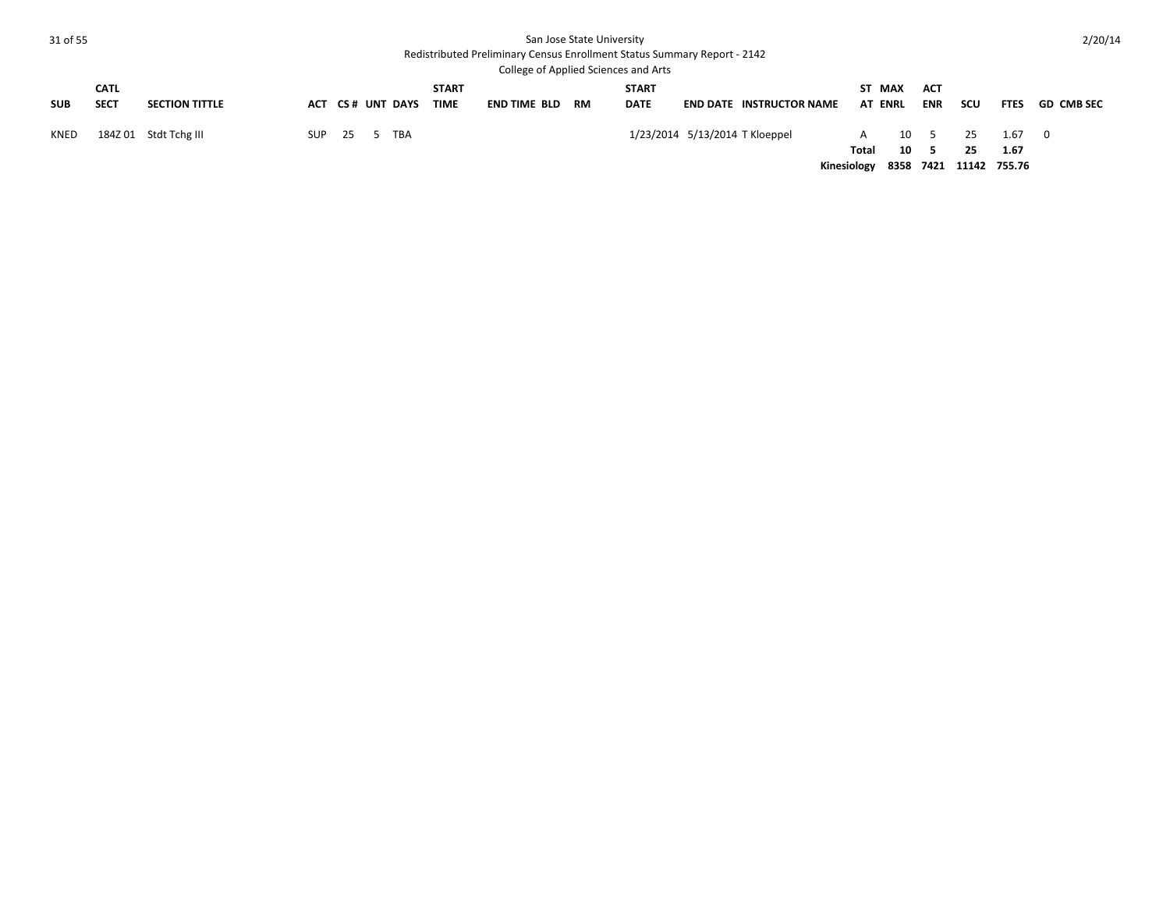| 31 of 55    |                            |                       |            |      |                  |                             |                     | San Jose State University | <b>Redistributed Preliminary Census Enrollment Status Summary Report - 2142</b><br>College of Applied Sciences and Arts |                                 |                           |                          |                          |                                    |              | 2/20/14           |
|-------------|----------------------------|-----------------------|------------|------|------------------|-----------------------------|---------------------|---------------------------|-------------------------------------------------------------------------------------------------------------------------|---------------------------------|---------------------------|--------------------------|--------------------------|------------------------------------|--------------|-------------------|
| <b>SUB</b>  | <b>CATL</b><br><b>SECT</b> | <b>SECTION TITTLE</b> |            |      | ACT CS# UNT DAYS | <b>START</b><br><b>TIME</b> | <b>END TIME BLD</b> | RM                        | <b>START</b><br><b>DATE</b>                                                                                             | <b>END DATE INSTRUCTOR NAME</b> |                           | ST MAX<br><b>AT ENRL</b> | <b>ACT</b><br><b>ENR</b> | scu                                | <b>FTES</b>  | <b>GD CMB SEC</b> |
| <b>KNED</b> |                            | 184Z 01 Stdt Tchg III | <b>SUP</b> | - 25 | 5 TBA            |                             |                     |                           |                                                                                                                         | 1/23/2014 5/13/2014 T Kloeppel  | A<br>Total<br>Kinesiology | 10<br>10                 | -5                       | 25<br>25<br>8358 7421 11142 755.76 | 1.67<br>1.67 | 0                 |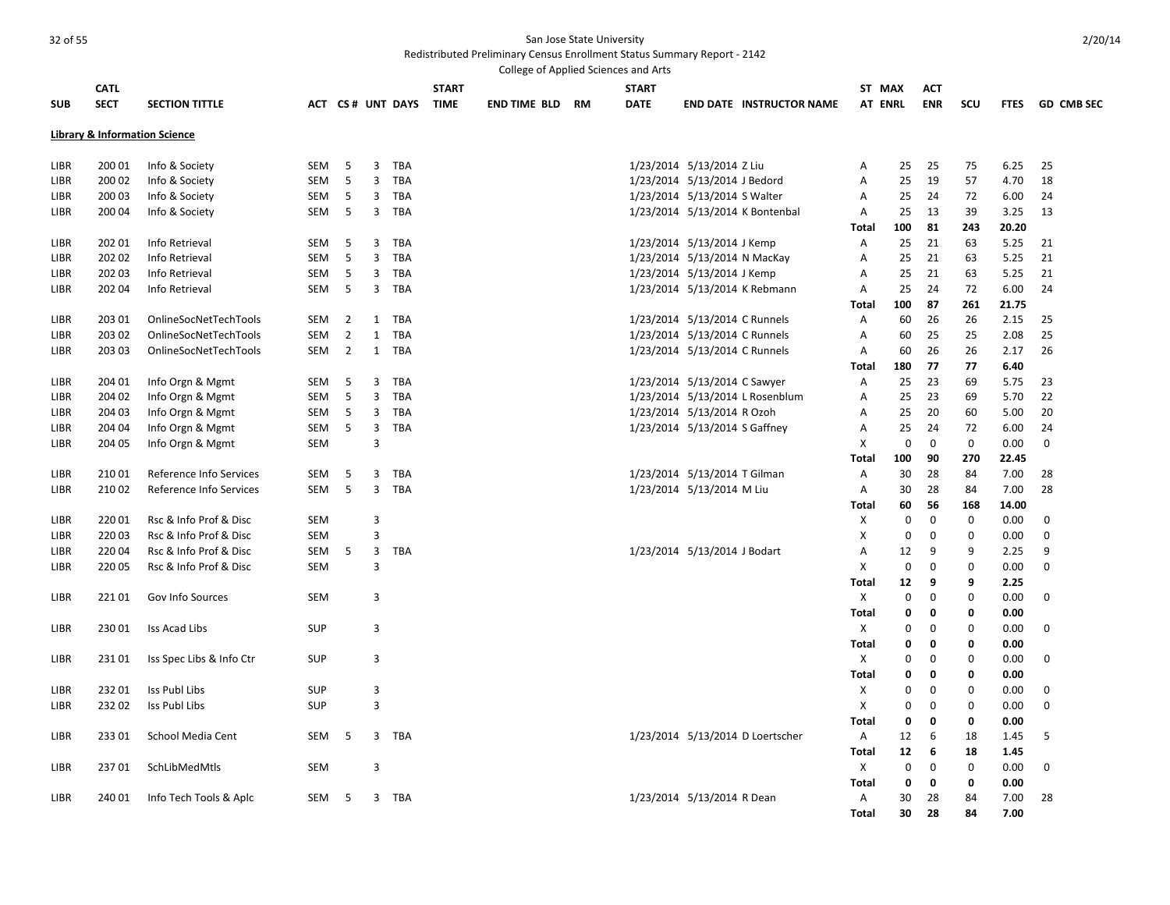|             |             |                                          |            |                |              |                  |              | College of Applied Sciences and Arts |           |              |                               |                                  |                           |                |             |             |             |                   |
|-------------|-------------|------------------------------------------|------------|----------------|--------------|------------------|--------------|--------------------------------------|-----------|--------------|-------------------------------|----------------------------------|---------------------------|----------------|-------------|-------------|-------------|-------------------|
|             | <b>CATL</b> |                                          |            |                |              |                  | <b>START</b> |                                      |           | <b>START</b> |                               |                                  |                           | ST MAX         | <b>ACT</b>  |             |             |                   |
| <b>SUB</b>  | <b>SECT</b> | <b>SECTION TITTLE</b>                    |            |                |              | ACT CS# UNT DAYS | <b>TIME</b>  | <b>END TIME BLD</b>                  | <b>RM</b> | <b>DATE</b>  |                               | <b>END DATE INSTRUCTOR NAME</b>  |                           | <b>AT ENRL</b> | <b>ENR</b>  | <b>SCU</b>  | <b>FTES</b> | <b>GD CMB SEC</b> |
|             |             |                                          |            |                |              |                  |              |                                      |           |              |                               |                                  |                           |                |             |             |             |                   |
|             |             | <b>Library &amp; Information Science</b> |            |                |              |                  |              |                                      |           |              |                               |                                  |                           |                |             |             |             |                   |
|             |             |                                          |            |                |              |                  |              |                                      |           |              |                               |                                  |                           |                |             |             |             |                   |
| LIBR        | 200 01      | Info & Society                           | SEM        | 5              | 3            | <b>TBA</b>       |              |                                      |           |              | 1/23/2014 5/13/2014 Z Liu     |                                  | Α                         | 25             | 25          | 75          | 6.25        | 25                |
| LIBR        | 200 02      | Info & Society                           | <b>SEM</b> | 5              | 3            | <b>TBA</b>       |              |                                      |           |              | 1/23/2014 5/13/2014 J Bedord  |                                  | Α                         | 25             | 19          | 57          | 4.70        | 18                |
| LIBR        | 200 03      | Info & Society                           | SEM        | 5              | 3            | TBA              |              |                                      |           |              | 1/23/2014 5/13/2014 S Walter  |                                  | Α                         | 25             | 24          | 72          | 6.00        | 24                |
| LIBR        | 200 04      | Info & Society                           | SEM        | 5              | 3            | <b>TBA</b>       |              |                                      |           |              |                               | 1/23/2014 5/13/2014 K Bontenbal  | Α                         | 25             | 13          | 39          | 3.25        | 13                |
|             |             |                                          |            |                |              |                  |              |                                      |           |              |                               |                                  | <b>Total</b>              | 100            | 81          | 243         | 20.20       |                   |
| LIBR        | 202 01      | Info Retrieval                           | <b>SEM</b> | 5              | 3            | <b>TBA</b>       |              |                                      |           |              | 1/23/2014 5/13/2014 J Kemp    |                                  | Α                         | 25             | 21          | 63          | 5.25        | 21                |
| LIBR        | 202 02      | Info Retrieval                           | <b>SEM</b> | 5              | 3            | <b>TBA</b>       |              |                                      |           |              | 1/23/2014 5/13/2014 N MacKay  |                                  | Α                         | 25             | 21          | 63          | 5.25        | 21                |
| LIBR        | 202 03      | Info Retrieval                           | <b>SEM</b> | 5              | 3            | <b>TBA</b>       |              |                                      |           |              | 1/23/2014 5/13/2014 J Kemp    |                                  | A                         | 25             | 21          | 63          | 5.25        | 21                |
| LIBR        | 202 04      | Info Retrieval                           | SEM        | 5              | 3            | <b>TBA</b>       |              |                                      |           |              |                               | 1/23/2014 5/13/2014 K Rebmann    | A                         | 25             | 24          | 72          | 6.00        | 24                |
|             |             |                                          |            |                |              |                  |              |                                      |           |              |                               |                                  | Total                     | 100            | 87          | 261         | 21.75       |                   |
| LIBR        | 203 01      | OnlineSocNetTechTools                    | <b>SEM</b> | $\overline{2}$ | 1            | <b>TBA</b>       |              |                                      |           |              | 1/23/2014 5/13/2014 C Runnels |                                  | Α                         | 60             | 26          | 26          | 2.15        | 25                |
| LIBR        | 203 02      | OnlineSocNetTechTools                    | SEM        | $\overline{2}$ | 1            | <b>TBA</b>       |              |                                      |           |              | 1/23/2014 5/13/2014 C Runnels |                                  | Α                         | 60             | 25          | 25          | 2.08        | 25                |
| LIBR        | 203 03      | OnlineSocNetTechTools                    | <b>SEM</b> | $\overline{2}$ | $\mathbf{1}$ | <b>TBA</b>       |              |                                      |           |              | 1/23/2014 5/13/2014 C Runnels |                                  | Α                         | 60             | 26          | 26          | 2.17        | 26                |
|             |             |                                          |            |                |              |                  |              |                                      |           |              |                               |                                  | <b>Total</b>              | 180            | 77          | 77          | 6.40        |                   |
| LIBR        | 204 01      | Info Orgn & Mgmt                         | SEM        | 5              | 3            | <b>TBA</b>       |              |                                      |           |              | 1/23/2014 5/13/2014 C Sawyer  |                                  | Α                         | 25             | 23          | 69          | 5.75        | 23                |
| <b>LIBR</b> | 204 02      | Info Orgn & Mgmt                         | <b>SEM</b> | 5              | 3            | <b>TBA</b>       |              |                                      |           |              |                               | 1/23/2014 5/13/2014 L Rosenblum  | Α                         | 25             | 23          | 69          | 5.70        | 22                |
| LIBR        | 204 03      | Info Orgn & Mgmt                         | SEM        | 5              | 3            | <b>TBA</b>       |              |                                      |           |              | 1/23/2014 5/13/2014 R Ozoh    |                                  | Α                         | 25             | 20          | 60          | 5.00        | 20                |
| LIBR        | 204 04      | Info Orgn & Mgmt                         | SEM        | 5              | 3            | <b>TBA</b>       |              |                                      |           |              | 1/23/2014 5/13/2014 S Gaffney |                                  | A                         | 25             | 24          | 72          | 6.00        | 24                |
| LIBR        | 204 05      | Info Orgn & Mgmt                         | <b>SEM</b> |                | 3            |                  |              |                                      |           |              |                               |                                  | X                         | $\mathbf 0$    | $\mathbf 0$ | $\mathbf 0$ | 0.00        | $\mathbf 0$       |
|             |             |                                          |            |                |              |                  |              |                                      |           |              |                               |                                  | Total                     | 100            | 90          | 270         | 22.45       |                   |
| LIBR        | 210 01      | Reference Info Services                  | SEM        | 5              | 3            | <b>TBA</b>       |              |                                      |           |              | 1/23/2014 5/13/2014 T Gilman  |                                  | Α                         | 30             | 28          | 84          | 7.00        | 28                |
| LIBR        | 21002       | Reference Info Services                  | <b>SEM</b> | 5              | 3            | <b>TBA</b>       |              |                                      |           |              | 1/23/2014 5/13/2014 M Liu     |                                  | Α                         | 30             | 28          | 84          | 7.00        | 28                |
|             |             |                                          |            |                |              |                  |              |                                      |           |              |                               |                                  | Total                     | 60             | 56          | 168         | 14.00       |                   |
| LIBR        | 22001       | Rsc & Info Prof & Disc                   | <b>SEM</b> |                | 3            |                  |              |                                      |           |              |                               |                                  | X                         | $\mathbf 0$    | 0           | $\mathbf 0$ | 0.00        | 0                 |
| LIBR        | 22003       | Rsc & Info Prof & Disc                   | <b>SEM</b> |                | 3            |                  |              |                                      |           |              |                               |                                  | X                         | 0              | $\mathbf 0$ | $\mathbf 0$ | 0.00        | 0                 |
| LIBR        | 22004       | Rsc & Info Prof & Disc                   | SEM        | 5              | 3            | <b>TBA</b>       |              |                                      |           |              | 1/23/2014 5/13/2014 J Bodart  |                                  | Α                         | 12             | 9           | 9           | 2.25        | 9                 |
| LIBR        | 220 05      | Rsc & Info Prof & Disc                   | <b>SEM</b> |                | 3            |                  |              |                                      |           |              |                               |                                  | X                         | $\mathbf 0$    | $\mathbf 0$ | $\mathbf 0$ | 0.00        | $\mathbf 0$       |
|             |             |                                          |            |                |              |                  |              |                                      |           |              |                               |                                  | <b>Total</b>              | 12             | 9           | 9           | 2.25        |                   |
| LIBR        | 22101       | Gov Info Sources                         | <b>SEM</b> |                | 3            |                  |              |                                      |           |              |                               |                                  | X                         | 0              | $\mathbf 0$ | $\mathbf 0$ | 0.00        | 0                 |
|             |             |                                          |            |                |              |                  |              |                                      |           |              |                               |                                  | <b>Total</b>              | 0              | 0           | $\mathbf 0$ | 0.00        |                   |
| LIBR        | 23001       | Iss Acad Libs                            | SUP        |                | 3            |                  |              |                                      |           |              |                               |                                  | X                         | 0              | 0           | $\mathbf 0$ | 0.00        | 0                 |
|             |             |                                          |            |                |              |                  |              |                                      |           |              |                               |                                  | <b>Total</b>              | 0              | $\mathbf 0$ | $\mathbf 0$ | 0.00        |                   |
| LIBR        | 23101       | Iss Spec Libs & Info Ctr                 | <b>SUP</b> |                | 3            |                  |              |                                      |           |              |                               |                                  | $\boldsymbol{\mathsf{X}}$ | 0              | 0           | $\mathbf 0$ | 0.00        | $\mathbf 0$       |
|             |             |                                          |            |                |              |                  |              |                                      |           |              |                               |                                  | Total                     | 0              | $\mathbf 0$ | $\mathbf 0$ | 0.00        |                   |
| LIBR        | 23201       | Iss Publ Libs                            | SUP        |                | 3            |                  |              |                                      |           |              |                               |                                  | X                         | 0              | 0           | $\mathbf 0$ | 0.00        | 0                 |
| LIBR        | 23202       | Iss Publ Libs                            | <b>SUP</b> |                | 3            |                  |              |                                      |           |              |                               |                                  | X                         | 0              | $\mathbf 0$ | $\mathbf 0$ | 0.00        | 0                 |
|             |             |                                          |            |                |              |                  |              |                                      |           |              |                               |                                  | Total                     | 0              | $\mathbf 0$ | 0           | 0.00        |                   |
| LIBR        | 23301       | School Media Cent                        | <b>SEM</b> | 5              | 3            | <b>TBA</b>       |              |                                      |           |              |                               | 1/23/2014 5/13/2014 D Loertscher | Α                         | 12             | 6           | 18          | 1.45        | 5                 |
|             |             |                                          |            |                |              |                  |              |                                      |           |              |                               |                                  | Total                     | 12             | 6           | 18          | 1.45        |                   |
| LIBR        | 23701       | SchLibMedMtls                            | <b>SEM</b> |                | 3            |                  |              |                                      |           |              |                               |                                  | Χ                         | $\mathbf 0$    | 0           | $\mathbf 0$ | 0.00        | 0                 |
|             |             |                                          |            |                |              |                  |              |                                      |           |              |                               |                                  | <b>Total</b>              | $\mathbf 0$    | $\mathbf 0$ | $\mathbf 0$ | 0.00        |                   |
| LIBR        | 240 01      | Info Tech Tools & Aplc                   | SEM        | 5              | 3            | TBA              |              |                                      |           |              | 1/23/2014 5/13/2014 R Dean    |                                  | Α                         | 30             | 28          | 84          | 7.00        | 28                |
|             |             |                                          |            |                |              |                  |              |                                      |           |              |                               |                                  | Total                     | 30             | 28          | 84          | 7.00        |                   |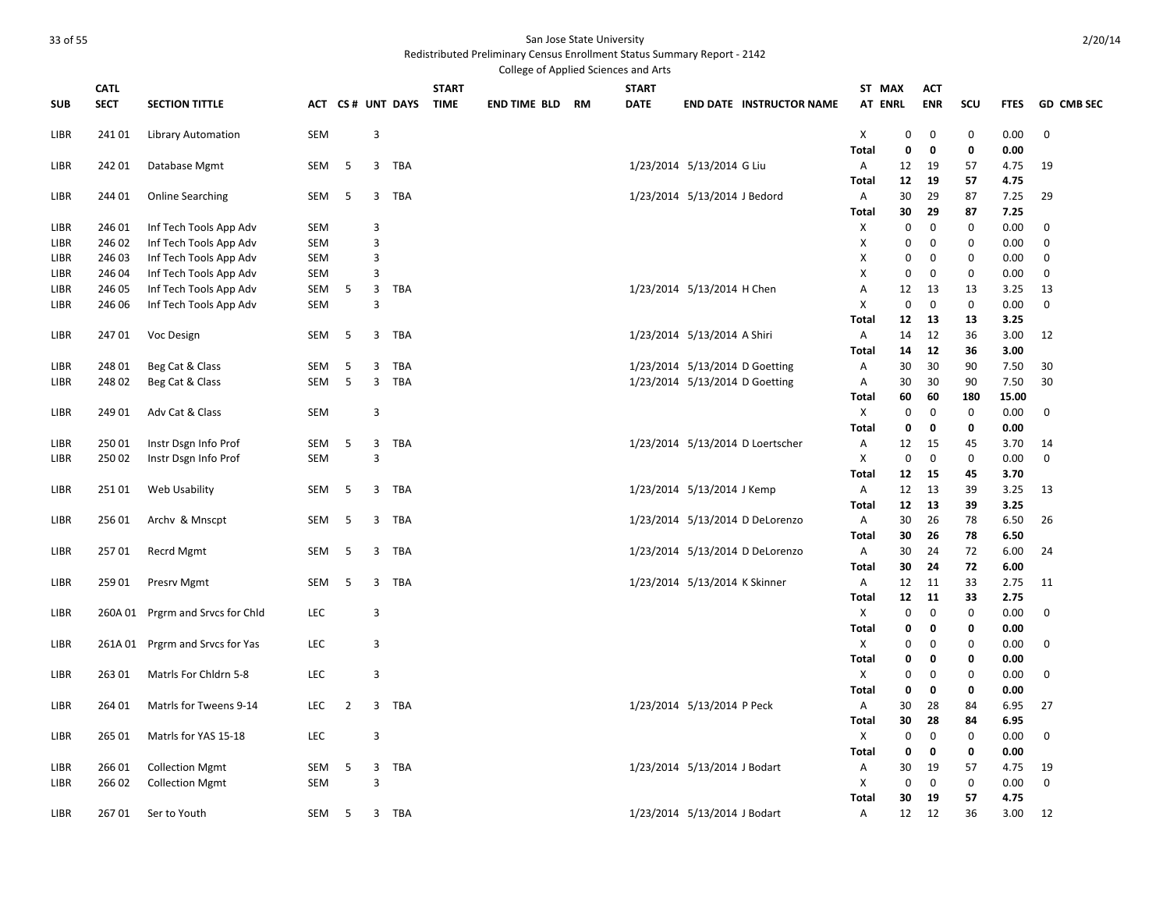|            |             |                                  |            |                |                |                  |              | College of Applied Sciences and Arts |              |                               |                                  |                   |             |             |             |              |                   |
|------------|-------------|----------------------------------|------------|----------------|----------------|------------------|--------------|--------------------------------------|--------------|-------------------------------|----------------------------------|-------------------|-------------|-------------|-------------|--------------|-------------------|
|            | <b>CATL</b> |                                  |            |                |                |                  | <b>START</b> |                                      | <b>START</b> |                               |                                  | ST MAX            |             | АСТ         |             |              |                   |
| <b>SUB</b> | <b>SECT</b> | <b>SECTION TITTLE</b>            |            |                |                | ACT CS# UNT DAYS | <b>TIME</b>  | <b>END TIME BLD RM</b>               | <b>DATE</b>  |                               | <b>END DATE INSTRUCTOR NAME</b>  | <b>AT ENRL</b>    |             | <b>ENR</b>  | scu         | <b>FTES</b>  | <b>GD CMB SEC</b> |
|            |             |                                  | <b>SEM</b> |                | 3              |                  |              |                                      |              |                               |                                  | X                 | 0           | $\mathbf 0$ | 0           | 0.00         | $\mathbf 0$       |
| LIBR       | 241 01      | <b>Library Automation</b>        |            |                |                |                  |              |                                      |              |                               |                                  | <b>Total</b>      | $\mathbf 0$ | 0           | 0           | 0.00         |                   |
| LIBR       | 242 01      | Database Mgmt                    | <b>SEM</b> | -5             | 3              | TBA              |              |                                      |              | 1/23/2014 5/13/2014 G Liu     |                                  | A                 | 12          | 19          | 57          | 4.75         | 19                |
|            |             |                                  |            |                |                |                  |              |                                      |              |                               |                                  | Total             | 12          | 19          | 57          | 4.75         |                   |
| LIBR       | 244 01      | <b>Online Searching</b>          | <b>SEM</b> | 5              | 3              | <b>TBA</b>       |              |                                      |              | 1/23/2014 5/13/2014 J Bedord  |                                  | Α                 | 30          | 29          | 87          | 7.25         | 29                |
|            |             |                                  |            |                |                |                  |              |                                      |              |                               |                                  | Total             | 30          | 29          | 87          | 7.25         |                   |
| LIBR       | 246 01      | Inf Tech Tools App Adv           | <b>SEM</b> |                | 3              |                  |              |                                      |              |                               |                                  | X                 | 0           | 0           | 0           | 0.00         | 0                 |
| LIBR       | 246 02      | Inf Tech Tools App Adv           | <b>SEM</b> |                | 3              |                  |              |                                      |              |                               |                                  | X                 | $\mathbf 0$ | $\mathbf 0$ | $\mathbf 0$ | 0.00         | $\mathbf 0$       |
| LIBR       | 246 03      | Inf Tech Tools App Adv           | <b>SEM</b> |                | 3              |                  |              |                                      |              |                               |                                  | X                 | 0           | 0           | $\mathbf 0$ | 0.00         | $\mathbf 0$       |
| LIBR       | 246 04      | Inf Tech Tools App Adv           | <b>SEM</b> |                | $\overline{3}$ |                  |              |                                      |              |                               |                                  | X                 | $\mathbf 0$ | 0           | $\mathbf 0$ | 0.00         | $\mathbf 0$       |
| LIBR       | 246 05      | Inf Tech Tools App Adv           | SEM        | 5              | 3              | TBA              |              |                                      |              | 1/23/2014 5/13/2014 H Chen    |                                  | Α                 | 12          | 13          | 13          | 3.25         | 13                |
| LIBR       | 246 06      | Inf Tech Tools App Adv           | SEM        |                | 3              |                  |              |                                      |              |                               |                                  | X                 | $\mathbf 0$ | $\mathbf 0$ | $\mathbf 0$ | 0.00         | $\mathbf 0$       |
|            |             |                                  |            |                |                |                  |              |                                      |              |                               |                                  | Total             | 12          | 13          | 13          | 3.25         |                   |
| LIBR       | 24701       | Voc Design                       | <b>SEM</b> | 5              | 3              | TBA              |              |                                      |              | 1/23/2014 5/13/2014 A Shiri   |                                  | Α                 | 14          | 12          | 36          | 3.00         | 12                |
|            |             |                                  |            |                |                |                  |              |                                      |              |                               |                                  | Total             | 14          | 12          | 36          | 3.00         |                   |
| LIBR       | 248 01      | Beg Cat & Class                  | SEM        | 5              | 3              | <b>TBA</b>       |              |                                      |              |                               | 1/23/2014 5/13/2014 D Goetting   | Α                 | 30          | 30          | 90          | 7.50         | 30                |
| LIBR       | 24802       | Beg Cat & Class                  | SEM        | 5              | $\overline{3}$ | <b>TBA</b>       |              |                                      |              |                               | 1/23/2014 5/13/2014 D Goetting   | Α                 | 30          | 30          | 90          | 7.50         | 30                |
|            |             |                                  |            |                |                |                  |              |                                      |              |                               |                                  | Total             | 60          | 60          | 180         | 15.00        |                   |
| LIBR       | 249 01      | Adv Cat & Class                  | <b>SEM</b> |                | 3              |                  |              |                                      |              |                               |                                  | X                 | $\mathbf 0$ | $\mathbf 0$ | $\mathbf 0$ | 0.00         | 0                 |
|            |             |                                  |            |                |                |                  |              |                                      |              |                               |                                  | Total             | 0           | 0           | 0           | 0.00         |                   |
| LIBR       | 250 01      | Instr Dsgn Info Prof             | SEM        | 5              | 3              | <b>TBA</b>       |              |                                      |              |                               | 1/23/2014 5/13/2014 D Loertscher | Α                 | 12          | 15          | 45          | 3.70         | 14                |
| LIBR       | 25002       | Instr Dsgn Info Prof             | <b>SEM</b> |                | $\overline{3}$ |                  |              |                                      |              |                               |                                  | X                 | $\mathbf 0$ | $\mathbf 0$ | $\mathbf 0$ | 0.00         | $\mathbf 0$       |
|            |             |                                  |            |                |                |                  |              |                                      |              |                               |                                  | Total             | 12          | 15          | 45          | 3.70         |                   |
| LIBR       | 25101       | Web Usability                    | SEM        | 5              | 3              | <b>TBA</b>       |              |                                      |              | 1/23/2014 5/13/2014 J Kemp    |                                  | Α                 | 12          | 13          | 39          | 3.25         | 13                |
|            |             |                                  |            |                |                |                  |              |                                      |              |                               |                                  | Total             | 12          | 13          | 39          | 3.25         |                   |
| LIBR       | 256 01      | Archy & Mnscpt                   | <b>SEM</b> | 5              | 3              | TBA              |              |                                      |              |                               | 1/23/2014 5/13/2014 D DeLorenzo  | Α                 | 30          | 26          | 78          | 6.50         | 26                |
|            |             |                                  |            |                |                |                  |              |                                      |              |                               |                                  | Total             | 30          | 26          | 78          | 6.50         |                   |
| LIBR       | 25701       | Recrd Mgmt                       | SEM        | 5              | 3              | TBA              |              |                                      |              |                               | 1/23/2014 5/13/2014 D DeLorenzo  | Α<br><b>Total</b> | 30<br>30    | 24<br>24    | 72<br>72    | 6.00<br>6.00 | 24                |
| LIBR       | 259 01      | Presry Mgmt                      | <b>SEM</b> | 5              | 3              | TBA              |              |                                      |              | 1/23/2014 5/13/2014 K Skinner |                                  | Α                 | 12          | 11          | 33          | 2.75         | 11                |
|            |             |                                  |            |                |                |                  |              |                                      |              |                               |                                  | Total             | 12          | 11          | 33          | 2.75         |                   |
| LIBR       |             | 260A 01 Prgrm and Srvcs for Chld | <b>LEC</b> |                | 3              |                  |              |                                      |              |                               |                                  | X                 | $\mathbf 0$ | $\mathbf 0$ | 0           | 0.00         | 0                 |
|            |             |                                  |            |                |                |                  |              |                                      |              |                               |                                  | <b>Total</b>      | 0           | 0           | $\mathbf 0$ | 0.00         |                   |
| LIBR       |             | 261A 01 Prgrm and Srvcs for Yas  | <b>LEC</b> |                | 3              |                  |              |                                      |              |                               |                                  | X                 | 0           | 0           | $\mathbf 0$ | 0.00         | $\mathbf 0$       |
|            |             |                                  |            |                |                |                  |              |                                      |              |                               |                                  | <b>Total</b>      | 0           | 0           | $\mathbf 0$ | 0.00         |                   |
| LIBR       | 26301       | Matris For Chidrn 5-8            | <b>LEC</b> |                | 3              |                  |              |                                      |              |                               |                                  | X                 | 0           | 0           | $\mathbf 0$ | 0.00         | 0                 |
|            |             |                                  |            |                |                |                  |              |                                      |              |                               |                                  | <b>Total</b>      | 0           | 0           | 0           | 0.00         |                   |
| LIBR       | 264 01      | Matrls for Tweens 9-14           | <b>LEC</b> | $\overline{2}$ |                | 3 TBA            |              |                                      |              | 1/23/2014 5/13/2014 P Peck    |                                  | Α                 | 30          | 28          | 84          | 6.95         | 27                |
|            |             |                                  |            |                |                |                  |              |                                      |              |                               |                                  | Total             | 30          | 28          | 84          | 6.95         |                   |
| LIBR       | 265 01      | Matrls for YAS 15-18             | <b>LEC</b> |                | $\overline{3}$ |                  |              |                                      |              |                               |                                  | X                 | $\mathbf 0$ | 0           | 0           | 0.00         | $\mathbf 0$       |
|            |             |                                  |            |                |                |                  |              |                                      |              |                               |                                  | <b>Total</b>      | 0           | $\mathbf 0$ | $\mathbf 0$ | 0.00         |                   |
| LIBR       | 266 01      | <b>Collection Mgmt</b>           | SEM        | 5              | 3              | <b>TBA</b>       |              |                                      |              | 1/23/2014 5/13/2014 J Bodart  |                                  | Α                 | 30          | 19          | 57          | 4.75         | 19                |
| LIBR       | 266 02      | <b>Collection Mgmt</b>           | <b>SEM</b> |                | 3              |                  |              |                                      |              |                               |                                  | Χ                 | $\mathbf 0$ | $\mathbf 0$ | $\mathbf 0$ | 0.00         | $\mathbf 0$       |
|            |             |                                  |            |                |                |                  |              |                                      |              |                               |                                  | Total             | 30          | 19          | 57          | 4.75         |                   |
| LIBR       | 26701       | Ser to Youth                     | <b>SEM</b> | -5             | 3              | <b>TBA</b>       |              |                                      |              | 1/23/2014 5/13/2014 J Bodart  |                                  | Α                 | 12          | 12          | 36          | 3.00         | 12                |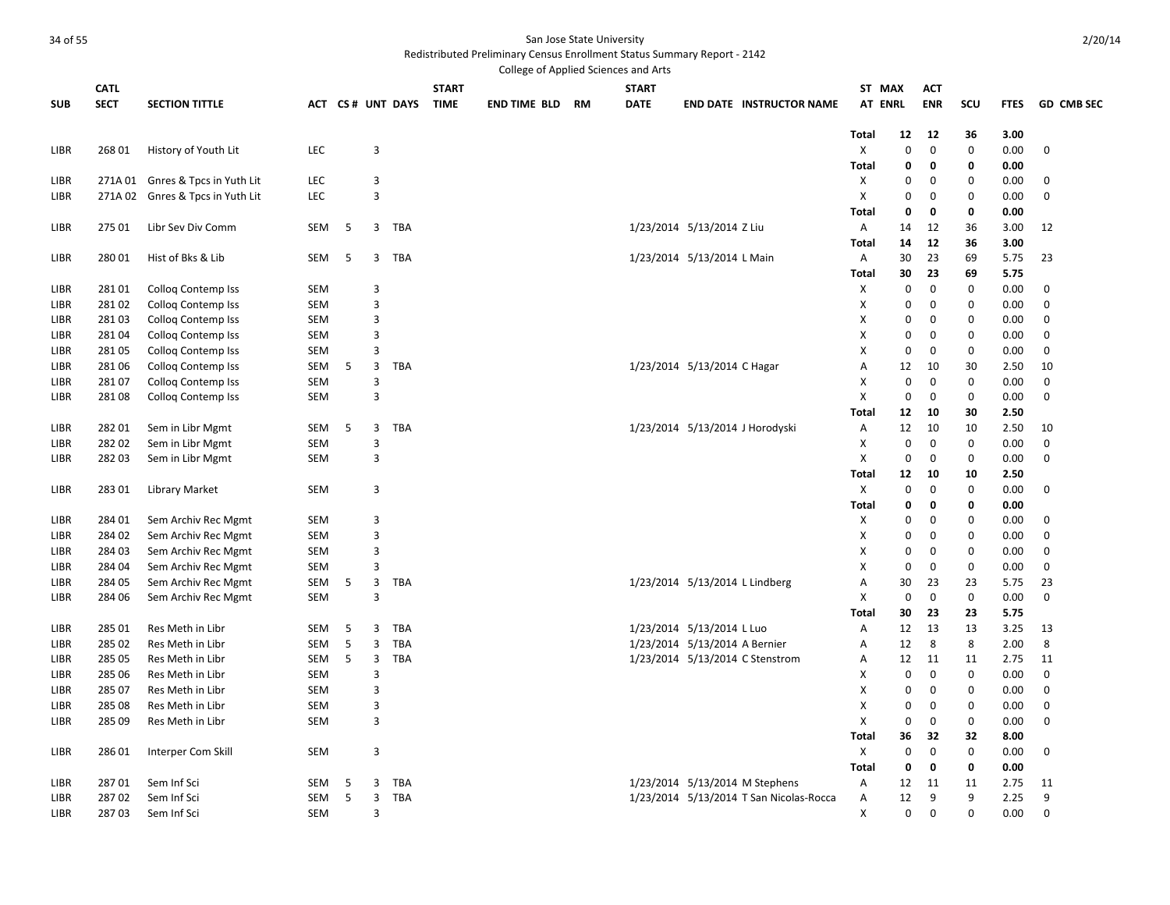|            |             |                                  |            |    |                |                  |              | College of Applied Sciences and Arts |              |                                |                                         |                |             |             |              |             |                   |
|------------|-------------|----------------------------------|------------|----|----------------|------------------|--------------|--------------------------------------|--------------|--------------------------------|-----------------------------------------|----------------|-------------|-------------|--------------|-------------|-------------------|
|            | <b>CATL</b> |                                  |            |    |                |                  | <b>START</b> |                                      | <b>START</b> |                                |                                         | ST MAX         |             | АСТ         |              |             |                   |
| <b>SUB</b> | <b>SECT</b> | <b>SECTION TITTLE</b>            |            |    |                | ACT CS# UNT DAYS | <b>TIME</b>  | <b>END TIME BLD RM</b>               | <b>DATE</b>  |                                | <b>END DATE INSTRUCTOR NAME</b>         | <b>AT ENRL</b> |             | <b>ENR</b>  | scu          | <b>FTES</b> | <b>GD CMB SEC</b> |
|            |             |                                  |            |    |                |                  |              |                                      |              |                                |                                         | Total          | 12          | 12          | 36           | 3.00        |                   |
| LIBR       | 268 01      | History of Youth Lit             | <b>LEC</b> |    | 3              |                  |              |                                      |              |                                |                                         | X              | 0           | $\mathbf 0$ | $\mathbf 0$  | 0.00        | $\mathbf 0$       |
|            |             |                                  |            |    |                |                  |              |                                      |              |                                |                                         | <b>Total</b>   | 0           | 0           | 0            | 0.00        |                   |
| LIBR       |             | 271A 01 Gnres & Tpcs in Yuth Lit | <b>LEC</b> |    | 3              |                  |              |                                      |              |                                |                                         | X              | 0           | 0           | $\mathbf 0$  | 0.00        | 0                 |
| LIBR       |             | 271A 02 Gnres & Tpcs in Yuth Lit | LEC        |    | $\overline{3}$ |                  |              |                                      |              |                                |                                         | X              | 0           | 0           | $\mathbf 0$  | 0.00        | $\boldsymbol{0}$  |
|            |             |                                  |            |    |                |                  |              |                                      |              |                                |                                         | Total          | 0           | 0           | 0            | 0.00        |                   |
| LIBR       | 275 01      | Libr Sev Div Comm                | SEM        | 5  | 3              | <b>TBA</b>       |              |                                      |              | 1/23/2014 5/13/2014 Z Liu      |                                         | Α              | 14          | 12          | 36           | 3.00        | 12                |
|            |             |                                  |            |    |                |                  |              |                                      |              |                                |                                         | Total          | 14          | 12          | 36           | 3.00        |                   |
| LIBR       | 28001       | Hist of Bks & Lib                | <b>SEM</b> | -5 | 3              | TBA              |              |                                      |              | 1/23/2014 5/13/2014 L Main     |                                         | Α              | 30          | 23          | 69           | 5.75        | 23                |
|            |             |                                  |            |    |                |                  |              |                                      |              |                                |                                         | Total          | 30          | 23          | 69           | 5.75        |                   |
| LIBR       | 28101       | <b>Collog Contemp Iss</b>        | <b>SEM</b> |    | 3              |                  |              |                                      |              |                                |                                         | X              | 0           | 0           | $\mathbf 0$  | 0.00        | 0                 |
| LIBR       | 28102       | Colloq Contemp Iss               | <b>SEM</b> |    | $\mathsf 3$    |                  |              |                                      |              |                                |                                         | Χ              | 0           | $\pmb{0}$   | $\mathbf 0$  | 0.00        | $\pmb{0}$         |
| LIBR       | 28103       | Colloq Contemp Iss               | SEM        |    | 3              |                  |              |                                      |              |                                |                                         | Χ              | 0           | 0           | $\mathbf 0$  | 0.00        | 0                 |
| LIBR       | 28104       | <b>Collog Contemp Iss</b>        | <b>SEM</b> |    | $\overline{3}$ |                  |              |                                      |              |                                |                                         | X              | 0           | 0           | $\mathbf 0$  | 0.00        | $\mathbf 0$       |
| LIBR       | 281 05      | Colloq Contemp Iss               | <b>SEM</b> |    | 3              |                  |              |                                      |              |                                |                                         | Χ              | 0           | 0           | $\mathbf 0$  | 0.00        | 0                 |
| LIBR       | 281 06      | Collog Contemp Iss               | SEM        | 5  | 3              | <b>TBA</b>       |              |                                      |              | 1/23/2014 5/13/2014 C Hagar    |                                         | Α              | 12          | 10          | 30           | 2.50        | 10                |
| LIBR       | 28107       | <b>Collog Contemp Iss</b>        | <b>SEM</b> |    | $\overline{3}$ |                  |              |                                      |              |                                |                                         | X              | $\mathbf 0$ | $\mathbf 0$ | $\mathbf 0$  | 0.00        | $\mathbf 0$       |
| LIBR       | 28108       | Colloq Contemp Iss               | <b>SEM</b> |    | $\overline{3}$ |                  |              |                                      |              |                                |                                         | $\mathsf{x}$   | $\mathbf 0$ | 0           | $\mathbf{0}$ | 0.00        | $\mathbf 0$       |
|            |             |                                  |            |    |                |                  |              |                                      |              |                                |                                         | Total          | 12          | 10          | 30           | 2.50        |                   |
| LIBR       | 28201       | Sem in Libr Mgmt                 | <b>SEM</b> | 5  | 3              | <b>TBA</b>       |              |                                      |              |                                | 1/23/2014 5/13/2014 J Horodyski         | Α              | 12          | 10          | 10           | 2.50        | 10                |
| LIBR       | 28202       | Sem in Libr Mgmt                 | <b>SEM</b> |    | 3              |                  |              |                                      |              |                                |                                         | X              | 0           | 0           | $\mathbf 0$  | 0.00        | 0                 |
| LIBR       | 28203       | Sem in Libr Mgmt                 | <b>SEM</b> |    | 3              |                  |              |                                      |              |                                |                                         | X              | 0           | $\mathbf 0$ | $\mathbf 0$  | 0.00        | $\mathbf 0$       |
|            |             |                                  |            |    |                |                  |              |                                      |              |                                |                                         | Total          | 12          | 10          | 10           | 2.50        |                   |
| LIBR       | 28301       | <b>Library Market</b>            | <b>SEM</b> |    | 3              |                  |              |                                      |              |                                |                                         | X              | 0           | 0           | $\mathbf 0$  | 0.00        | 0                 |
|            |             |                                  |            |    |                |                  |              |                                      |              |                                |                                         | Total          | 0           | $\mathbf 0$ | 0            | 0.00        |                   |
| LIBR       | 284 01      | Sem Archiv Rec Mgmt              | <b>SEM</b> |    | 3              |                  |              |                                      |              |                                |                                         | X              | 0           | 0           | $\mathbf 0$  | 0.00        | $\mathbf 0$       |
| LIBR       | 284 02      | Sem Archiv Rec Mgmt              | <b>SEM</b> |    | $\overline{3}$ |                  |              |                                      |              |                                |                                         | Χ              | 0           | 0           | $\mathbf 0$  | 0.00        | 0                 |
| LIBR       | 284 03      | Sem Archiv Rec Mgmt              | <b>SEM</b> |    | 3              |                  |              |                                      |              |                                |                                         | Χ              | 0           | 0           | $\mathbf 0$  | 0.00        | $\boldsymbol{0}$  |
| LIBR       | 284 04      | Sem Archiv Rec Mgmt              | <b>SEM</b> |    | 3              |                  |              |                                      |              |                                |                                         | Χ              | $\mathbf 0$ | $\pmb{0}$   | $\mathbf 0$  | 0.00        | $\pmb{0}$         |
| LIBR       | 284 05      | Sem Archiv Rec Mgmt              | SEM        | 5  | 3              | TBA              |              |                                      |              | 1/23/2014 5/13/2014 L Lindberg |                                         | A              | 30          | 23          | 23           | 5.75        | 23                |
| LIBR       | 284 06      | Sem Archiv Rec Mgmt              | <b>SEM</b> |    | 3              |                  |              |                                      |              |                                |                                         | X              | $\mathbf 0$ | $\mathbf 0$ | $\mathbf 0$  | 0.00        | $\mathbf 0$       |
|            |             |                                  |            |    |                |                  |              |                                      |              |                                |                                         | Total          | 30          | 23          | 23           | 5.75        |                   |
| LIBR       | 285 01      | Res Meth in Libr                 | SEM        | 5  | 3              | <b>TBA</b>       |              |                                      |              | 1/23/2014 5/13/2014 L Luo      |                                         | Α              | 12          | 13          | 13           | 3.25        | 13                |
| LIBR       | 285 02      | Res Meth in Libr                 | <b>SEM</b> | 5  | 3              | TBA              |              |                                      |              | 1/23/2014 5/13/2014 A Bernier  |                                         | Α              | 12          | 8           | 8            | 2.00        | 8                 |
| LIBR.      | 285 05      | Res Meth in Libr                 | <b>SEM</b> | -5 | 3              | <b>TBA</b>       |              |                                      |              |                                | 1/23/2014 5/13/2014 C Stenstrom         | Α              | 12          | 11          | 11           | 2.75        | 11                |
| LIBR       | 285 06      | Res Meth in Libr                 | <b>SEM</b> |    | 3              |                  |              |                                      |              |                                |                                         | X              | 0           | $\mathbf 0$ | $\mathbf 0$  | 0.00        | $\boldsymbol{0}$  |
| LIBR       | 285 07      | Res Meth in Libr                 | <b>SEM</b> |    | $\overline{3}$ |                  |              |                                      |              |                                |                                         | X              | 0           | $\mathbf 0$ | $\mathbf 0$  | 0.00        | $\mathbf 0$       |
| LIBR       | 285 08      | Res Meth in Libr                 | <b>SEM</b> |    | 3              |                  |              |                                      |              |                                |                                         | X              | 0           | 0           | $\mathbf 0$  | 0.00        | 0                 |
| LIBR       | 285 09      | Res Meth in Libr                 | <b>SEM</b> |    | 3              |                  |              |                                      |              |                                |                                         | X              | $\mathbf 0$ | $\mathbf 0$ | $\mathbf 0$  | 0.00        | 0                 |
|            |             |                                  |            |    |                |                  |              |                                      |              |                                |                                         | Total          | 36          | 32          | 32           | 8.00        |                   |
| LIBR       | 286 01      | Interper Com Skill               | <b>SEM</b> |    | 3              |                  |              |                                      |              |                                |                                         | X              | 0           | 0           | $\mathbf 0$  | 0.00        | 0                 |
|            |             |                                  |            |    |                |                  |              |                                      |              |                                |                                         | Total          | $\mathbf 0$ | 0           | $\mathbf 0$  | 0.00        |                   |
| LIBR       | 28701       | Sem Inf Sci                      | SEM        | 5  | 3              | <b>TBA</b>       |              |                                      |              |                                | 1/23/2014 5/13/2014 M Stephens          | Α              | 12          | 11          | 11           | 2.75        | 11                |
| LIBR       | 28702       | Sem Inf Sci                      | SEM        | 5  | $\overline{3}$ | <b>TBA</b>       |              |                                      |              |                                | 1/23/2014 5/13/2014 T San Nicolas-Rocca | Α              | 12          | 9           | 9            | 2.25        | 9                 |
| LIBR       | 28703       | Sem Inf Sci                      | <b>SEM</b> |    | 3              |                  |              |                                      |              |                                |                                         | X              | $\Omega$    | $\Omega$    | $\Omega$     | 0.00        | $\Omega$          |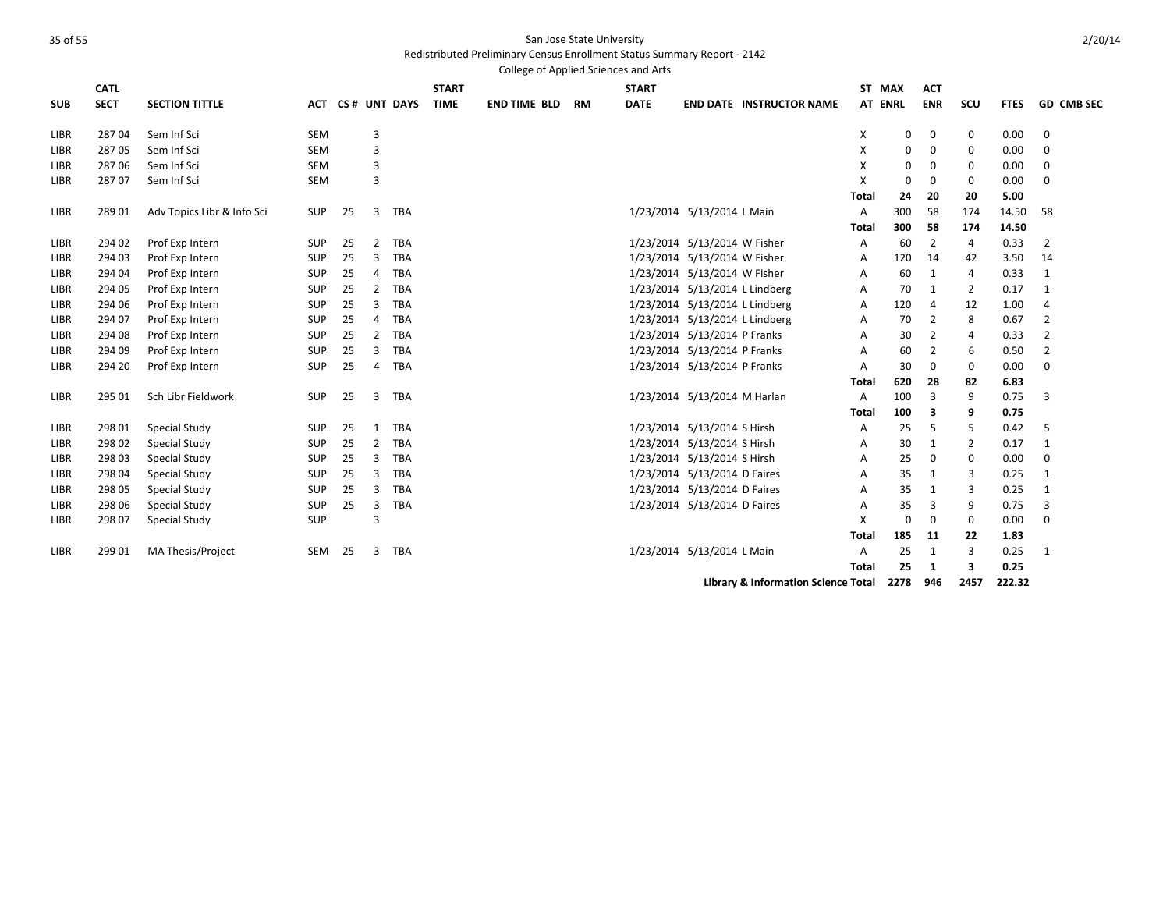Redistributed Preliminary Census Enrollment Status Summary Report - 2142

|             |             |                            |            |    |                |              |              | College of Applied Sciences and Arts |    |              |                              |                                     |              |                |              |                |             |                   |
|-------------|-------------|----------------------------|------------|----|----------------|--------------|--------------|--------------------------------------|----|--------------|------------------------------|-------------------------------------|--------------|----------------|--------------|----------------|-------------|-------------------|
|             | <b>CATL</b> |                            |            |    |                |              | <b>START</b> |                                      |    | <b>START</b> |                              |                                     | ST MAX       |                | <b>ACT</b>   |                |             |                   |
| <b>SUB</b>  | <b>SECT</b> | <b>SECTION TITTLE</b>      | <b>ACT</b> |    |                | CS# UNT DAYS | <b>TIME</b>  | <b>END TIME BLD</b>                  | RM | <b>DATE</b>  |                              | <b>END DATE INSTRUCTOR NAME</b>     |              | <b>AT ENRL</b> | <b>ENR</b>   | scu            | <b>FTES</b> | <b>GD CMB SEC</b> |
| LIBR        | 28704       | Sem Inf Sci                | <b>SEM</b> |    | 3              |              |              |                                      |    |              |                              |                                     | х            | 0              | 0            | 0              | 0.00        | 0                 |
| LIBR        | 28705       | Sem Inf Sci                | <b>SEM</b> |    | 3              |              |              |                                      |    |              |                              |                                     | X            | $\Omega$       | 0            | 0              | 0.00        | 0                 |
| LIBR        | 28706       | Sem Inf Sci                | <b>SEM</b> |    | $\overline{3}$ |              |              |                                      |    |              |                              |                                     | X            | $\Omega$       | 0            | $\mathbf 0$    | 0.00        | 0                 |
| LIBR        | 28707       | Sem Inf Sci                | <b>SEM</b> |    | 3              |              |              |                                      |    |              |                              |                                     | X            | 0              | 0            | $\mathbf 0$    | 0.00        | $\mathbf 0$       |
|             |             |                            |            |    |                |              |              |                                      |    |              |                              |                                     | Total        | 24             | 20           | 20             | 5.00        |                   |
| LIBR        | 28901       | Adv Topics Libr & Info Sci | <b>SUP</b> | 25 | 3              | <b>TBA</b>   |              |                                      |    |              | 1/23/2014 5/13/2014 L Main   |                                     | A            | 300            | 58           | 174            | 14.50       | 58                |
|             |             |                            |            |    |                |              |              |                                      |    |              |                              |                                     | Total        | 300            | 58           | 174            | 14.50       |                   |
| LIBR        | 294 02      | Prof Exp Intern            | SUP        | 25 | $\overline{2}$ | <b>TBA</b>   |              |                                      |    |              | 1/23/2014 5/13/2014 W Fisher |                                     | Α            | 60             | 2            | 4              | 0.33        | 2                 |
| LIBR        | 294 03      | Prof Exp Intern            | SUP        | 25 | 3              | <b>TBA</b>   |              |                                      |    |              | 1/23/2014 5/13/2014 W Fisher |                                     | A            | 120            | 14           | 42             | 3.50        | 14                |
| LIBR        | 294 04      | Prof Exp Intern            | <b>SUP</b> | 25 | 4              | <b>TBA</b>   |              |                                      |    |              | 1/23/2014 5/13/2014 W Fisher |                                     | A            | 60             | 1            | 4              | 0.33        | 1                 |
| LIBR        | 294 05      | Prof Exp Intern            | SUP        | 25 | $\overline{2}$ | <b>TBA</b>   |              |                                      |    |              |                              | 1/23/2014 5/13/2014 L Lindberg      | A            | 70             | $\mathbf{1}$ | $\overline{2}$ | 0.17        | $\mathbf{1}$      |
| <b>LIBR</b> | 294 06      | Prof Exp Intern            | SUP        | 25 | 3              | <b>TBA</b>   |              |                                      |    |              |                              | 1/23/2014 5/13/2014 L Lindberg      | A            | 120            | 4            | 12             | 1.00        | 4                 |
| <b>LIBR</b> | 294 07      | Prof Exp Intern            | SUP        | 25 | 4              | <b>TBA</b>   |              |                                      |    |              |                              | 1/23/2014 5/13/2014 L Lindberg      | A            | 70             | 2            | 8              | 0.67        | 2                 |
| LIBR        | 294 08      | Prof Exp Intern            | SUP        | 25 | 2              | <b>TBA</b>   |              |                                      |    |              | 1/23/2014 5/13/2014 P Franks |                                     | A            | 30             | 2            | 4              | 0.33        | 2                 |
| LIBR        | 294 09      | Prof Exp Intern            | <b>SUP</b> | 25 | 3              | <b>TBA</b>   |              |                                      |    |              | 1/23/2014 5/13/2014 P Franks |                                     | A            | 60             | 2            | 6              | 0.50        | $\overline{2}$    |
| LIBR        | 294 20      | Prof Exp Intern            | SUP        | 25 | 4              | TBA          |              |                                      |    |              | 1/23/2014 5/13/2014 P Franks |                                     | A            | 30             | $\mathbf 0$  | $\mathbf 0$    | 0.00        | $\mathbf 0$       |
|             |             |                            |            |    |                |              |              |                                      |    |              |                              |                                     | Total        | 620            | 28           | 82             | 6.83        |                   |
| <b>LIBR</b> | 295 01      | Sch Libr Fieldwork         | <b>SUP</b> | 25 | 3              | <b>TBA</b>   |              |                                      |    |              | 1/23/2014 5/13/2014 M Harlan |                                     | A            | 100            | 3            | 9              | 0.75        | 3                 |
|             |             |                            |            |    |                |              |              |                                      |    |              |                              |                                     | Total        | 100            | 3            | 9              | 0.75        |                   |
| LIBR        | 298 01      | Special Study              | SUP        | 25 | 1              | <b>TBA</b>   |              |                                      |    |              | 1/23/2014 5/13/2014 S Hirsh  |                                     | Α            | 25             | 5            | 5              | 0.42        | 5                 |
| LIBR        | 298 02      | Special Study              | SUP        | 25 | $\overline{2}$ | <b>TBA</b>   |              |                                      |    |              | 1/23/2014 5/13/2014 S Hirsh  |                                     | A            | 30             | 1            | 2              | 0.17        | $\mathbf{1}$      |
| LIBR        | 298 03      | Special Study              | SUP        | 25 | 3              | <b>TBA</b>   |              |                                      |    |              | 1/23/2014 5/13/2014 S Hirsh  |                                     | A            | 25             | 0            | $\mathbf 0$    | 0.00        | 0                 |
| LIBR        | 298 04      | Special Study              | <b>SUP</b> | 25 | 3              | <b>TBA</b>   |              |                                      |    |              | 1/23/2014 5/13/2014 D Faires |                                     | A            | 35             | 1            | 3              | 0.25        | 1                 |
| LIBR        | 298 05      | Special Study              | <b>SUP</b> | 25 | 3              | <b>TBA</b>   |              |                                      |    |              | 1/23/2014 5/13/2014 D Faires |                                     | A            | 35             | 1            | 3              | 0.25        | 1                 |
| LIBR        | 298 06      | Special Study              | SUP        | 25 | 3              | <b>TBA</b>   |              |                                      |    |              | 1/23/2014 5/13/2014 D Faires |                                     | A            | 35             | 3            | 9              | 0.75        | 3                 |
| LIBR        | 298 07      | Special Study              | SUP        |    | 3              |              |              |                                      |    |              |                              |                                     | X            | $\Omega$       | 0            | $\mathbf 0$    | 0.00        | 0                 |
|             |             |                            |            |    |                |              |              |                                      |    |              |                              |                                     | Total        | 185            | 11           | 22             | 1.83        |                   |
| LIBR        | 299 01      | MA Thesis/Project          | SEM        | 25 | 3              | <b>TBA</b>   |              |                                      |    |              | 1/23/2014 5/13/2014 L Main   |                                     | A            | 25             | 1            | 3              | 0.25        | 1                 |
|             |             |                            |            |    |                |              |              |                                      |    |              |                              |                                     | <b>Total</b> | 25             | 1            | 3              | 0.25        |                   |
|             |             |                            |            |    |                |              |              |                                      |    |              |                              | Library & Information Science Total |              | 2278           | 946          | 2457           | 222.32      |                   |

2/20/14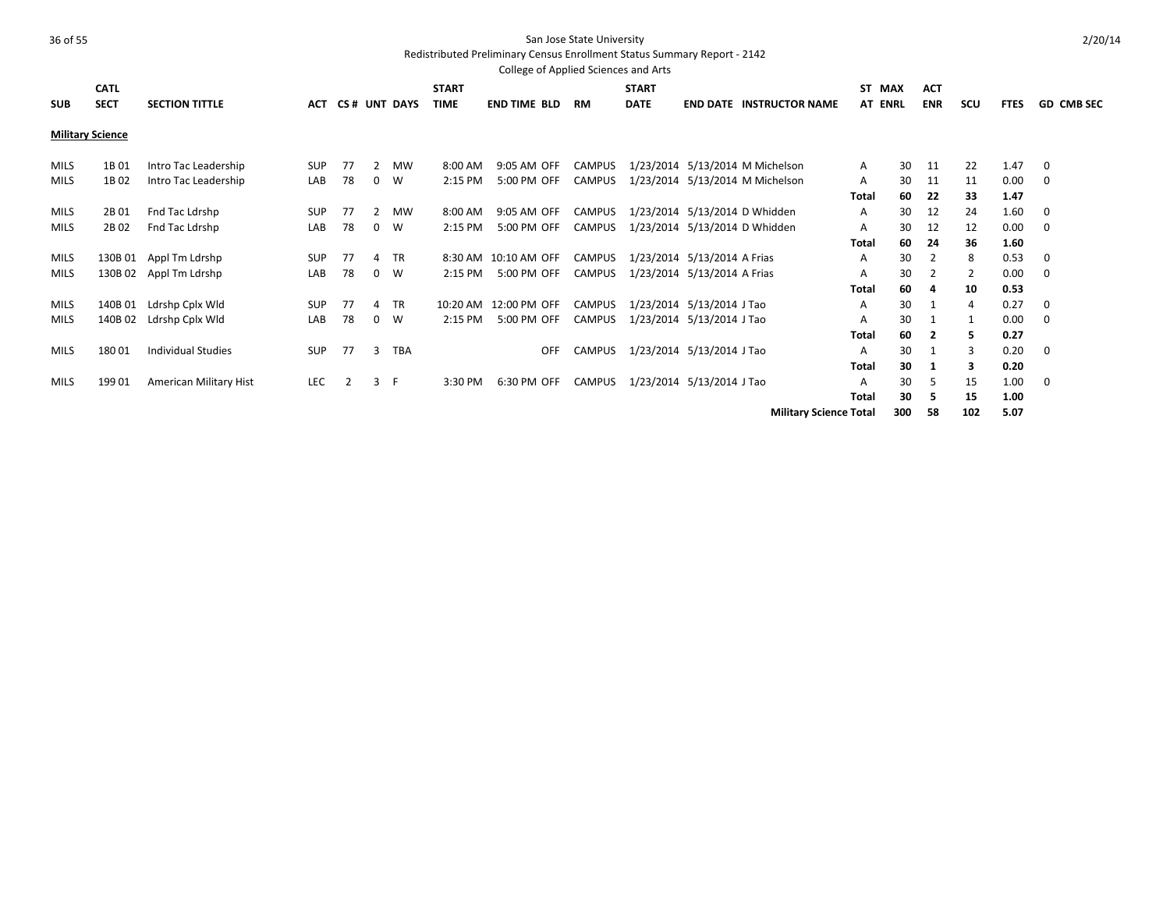|             | <b>CATL</b>             |                           |            |                |                |              | <b>START</b> |                      |        | <b>START</b> |                                 |                               | ST.<br>MAX     |     | <b>ACT</b> |     |             |                   |
|-------------|-------------------------|---------------------------|------------|----------------|----------------|--------------|--------------|----------------------|--------|--------------|---------------------------------|-------------------------------|----------------|-----|------------|-----|-------------|-------------------|
| <b>SUB</b>  | <b>SECT</b>             | <b>SECTION TITTLE</b>     | <b>ACT</b> |                |                | CS# UNT DAYS | <b>TIME</b>  | <b>END TIME BLD</b>  | RM     | <b>DATE</b>  | <b>END DATE INSTRUCTOR NAME</b> |                               | <b>AT ENRL</b> |     | <b>ENR</b> | scu | <b>FTES</b> | <b>GD CMB SEC</b> |
|             | <b>Military Science</b> |                           |            |                |                |              |              |                      |        |              |                                 |                               |                |     |            |     |             |                   |
| <b>MILS</b> | 1B01                    | Intro Tac Leadership      | SUP        | 77             | $\overline{2}$ | <b>MW</b>    | 8:00 AM      | 9:05 AM OFF          | CAMPUS |              | 1/23/2014 5/13/2014 M Michelson |                               | Α              | 30  | 11         | 22  | 1.47        | 0                 |
| MILS        | 1B02                    | Intro Tac Leadership      | LAB        | 78             | $\mathbf{0}$   | W            | 2:15 PM      | 5:00 PM OFF          | CAMPUS |              | 1/23/2014 5/13/2014 M Michelson |                               | Α              | 30  | 11         | 11  | 0.00        | 0                 |
|             |                         |                           |            |                |                |              |              |                      |        |              |                                 |                               | <b>Total</b>   | 60  | 22         | 33  | 1.47        |                   |
| MILS        | 2B01                    | Fnd Tac Ldrshp            | <b>SUP</b> | 77             | $\mathbf{2}$   | <b>MW</b>    | 8:00 AM      | 9:05 AM OFF          | CAMPUS |              | 1/23/2014 5/13/2014 D Whidden   |                               | A              | 30  | 12         | 24  | 1.60        | 0                 |
| MILS        | 2B <sub>02</sub>        | Fnd Tac Ldrshp            | LAB        | 78             | $\mathbf{0}$   | W            | 2:15 PM      | 5:00 PM OFF          | CAMPUS |              | 1/23/2014 5/13/2014 D Whidden   |                               | Α              | 30  | 12         | 12  | 0.00        | 0                 |
|             |                         |                           |            |                |                |              |              |                      |        |              |                                 |                               | <b>Total</b>   | 60  | 24         | 36  | 1.60        |                   |
| MILS        | 130B 01                 | Appl Tm Ldrshp            | SUP        | 77             | 4              | <b>TR</b>    |              | 8:30 AM 10:10 AM OFF | CAMPUS |              | 1/23/2014 5/13/2014 A Frias     |                               | Α              | 30  | 2          | 8   | 0.53        | 0                 |
| <b>MILS</b> |                         | 130B 02 Appl Tm Ldrshp    | LAB        | 78             | $\mathbf{0}$   | W            | 2:15 PM      | 5:00 PM OFF          | CAMPUS |              | 1/23/2014 5/13/2014 A Frias     |                               | A              | 30  | 2          | 2   | 0.00        | $\mathbf 0$       |
|             |                         |                           |            |                |                |              |              |                      |        |              |                                 |                               | <b>Total</b>   | 60  | 4          | 10  | 0.53        |                   |
| <b>MILS</b> | 140B 01                 | Ldrshp Cplx Wld           | <b>SUP</b> | 77             | 4              | <b>TR</b>    | 10:20 AM     | 12:00 PM OFF         | CAMPUS |              | 1/23/2014 5/13/2014 J Tao       |                               | A              | 30  |            | 4   | 0.27        | 0                 |
| <b>MILS</b> | 140B 02                 | Ldrshp Cplx Wld           | LAB        | 78             | $\mathbf{0}$   | W            | 2:15 PM      | 5:00 PM OFF          | CAMPUS |              | 1/23/2014 5/13/2014 J Tao       |                               | Α              | 30  |            | 1   | 0.00        | 0                 |
|             |                         |                           |            |                |                |              |              |                      |        |              |                                 |                               | <b>Total</b>   | 60  | 2          | 5   | 0.27        |                   |
| <b>MILS</b> | 18001                   | <b>Individual Studies</b> | <b>SUP</b> | 77             | 3              | <b>TBA</b>   |              | <b>OFF</b>           | CAMPUS |              | 1/23/2014 5/13/2014 J Tao       |                               | A              | 30  |            | 3   | 0.20        | $\mathbf 0$       |
|             |                         |                           |            |                |                |              |              |                      |        |              |                                 |                               | <b>Total</b>   | 30  | 1          | 3   | 0.20        |                   |
| MILS        | 19901                   | American Military Hist    | LEC        | $\overline{2}$ | 3 F            |              | 3:30 PM      | 6:30 PM OFF          | CAMPUS |              | 1/23/2014 5/13/2014 J Tao       |                               | Α              | 30  | .5         | 15  | 1.00        | 0                 |
|             |                         |                           |            |                |                |              |              |                      |        |              |                                 |                               | <b>Total</b>   | 30  | -5         | 15  | 1.00        |                   |
|             |                         |                           |            |                |                |              |              |                      |        |              |                                 | <b>Military Science Total</b> |                | 300 | 58         | 102 | 5.07        |                   |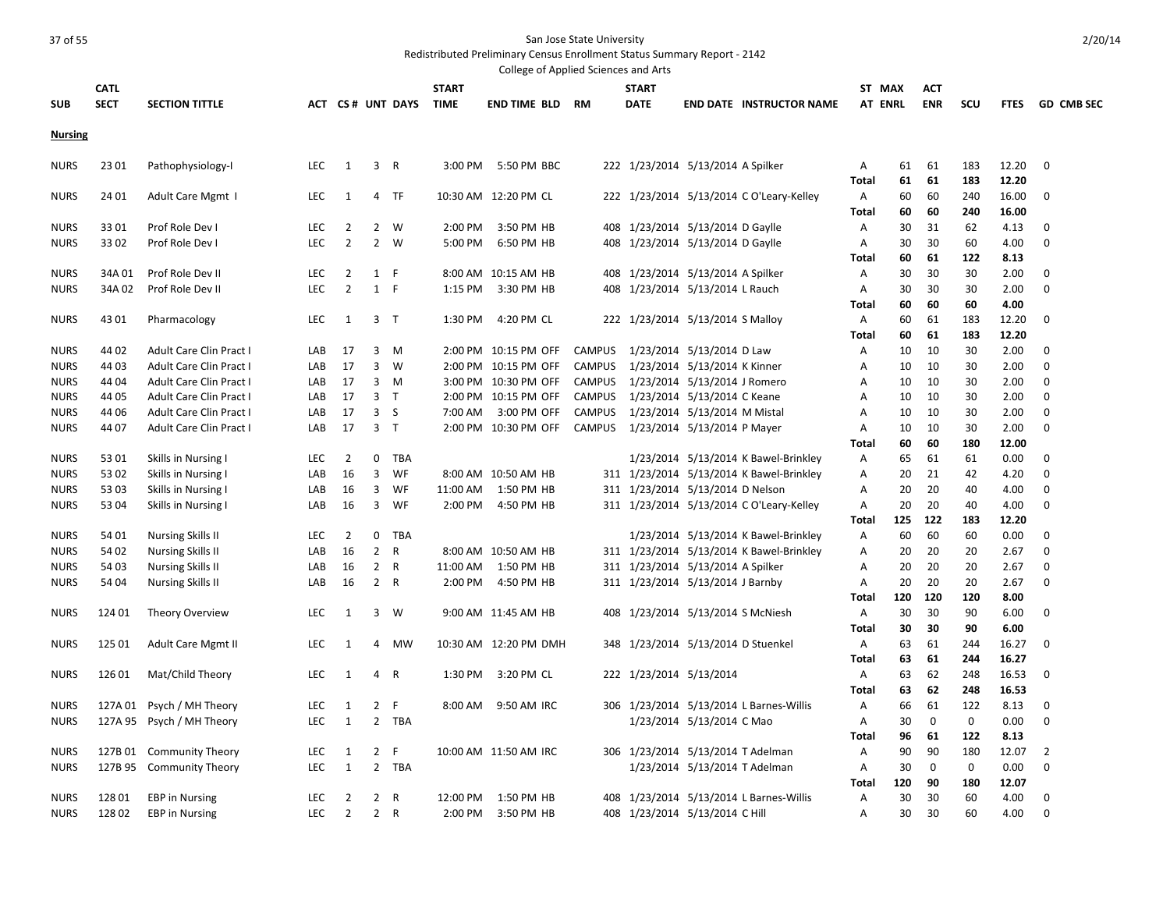| College of Applied Sciences and Arts |             |                                                        |                          |                   |                |                  |              |                        |               |              |                                    |                                          |                   |          |                   |                    |               |                 |
|--------------------------------------|-------------|--------------------------------------------------------|--------------------------|-------------------|----------------|------------------|--------------|------------------------|---------------|--------------|------------------------------------|------------------------------------------|-------------------|----------|-------------------|--------------------|---------------|-----------------|
|                                      | <b>CATL</b> |                                                        |                          |                   |                |                  | <b>START</b> |                        |               | <b>START</b> |                                    |                                          | ST MAX            |          | <b>ACT</b>        |                    |               |                 |
| <b>SUB</b>                           | <b>SECT</b> | <b>SECTION TITTLE</b>                                  |                          |                   |                | ACT CS# UNT DAYS | <b>TIME</b>  | <b>END TIME BLD RM</b> |               | <b>DATE</b>  |                                    | <b>END DATE INSTRUCTOR NAME</b>          | <b>AT ENRL</b>    |          | <b>ENR</b>        | scu                |               | FTES GD CMB SEC |
| <b>Nursing</b>                       |             |                                                        |                          |                   |                |                  |              |                        |               |              |                                    |                                          |                   |          |                   |                    |               |                 |
|                                      |             |                                                        |                          |                   |                |                  |              |                        |               |              |                                    |                                          |                   |          |                   |                    |               |                 |
| <b>NURS</b>                          | 23 01       | Pathophysiology-I                                      | <b>LEC</b>               | 1                 |                | 3 R              | 3:00 PM      | 5:50 PM BBC            |               |              | 222 1/23/2014 5/13/2014 A Spilker  |                                          | A                 | 61       | 61                | 183                | 12.20         | 0               |
|                                      |             |                                                        |                          |                   |                |                  |              |                        |               |              |                                    |                                          | <b>Total</b>      | 61       | 61                | 183                | 12.20         |                 |
| <b>NURS</b>                          | 24 01       | Adult Care Mgmt I                                      | <b>LEC</b>               | 1                 | 4              | TF               |              | 10:30 AM 12:20 PM CL   |               |              |                                    | 222 1/23/2014 5/13/2014 C O'Leary-Kelley | $\overline{A}$    | 60       | 60                | 240                | 16.00         | 0               |
|                                      |             |                                                        |                          |                   |                |                  |              |                        |               |              |                                    |                                          | <b>Total</b>      | 60       | 60                | 240                | 16.00         |                 |
| <b>NURS</b>                          | 3301        | Prof Role Dev I                                        | <b>LEC</b>               | $\overline{2}$    | $\overline{2}$ | - W              | 2:00 PM      | 3:50 PM HB             |               |              | 408 1/23/2014 5/13/2014 D Gaylle   |                                          | A                 | 30       | 31                | 62                 | 4.13          | $\Omega$        |
| <b>NURS</b>                          | 3302        | Prof Role Dev I                                        | LEC                      | $\overline{2}$    |                | 2 W              | 5:00 PM      | 6:50 PM HB             |               |              | 408 1/23/2014 5/13/2014 D Gaylle   |                                          | Α                 | 30       | 30                | 60                 | 4.00          | 0               |
|                                      |             |                                                        |                          |                   |                |                  |              |                        |               |              |                                    |                                          | Total             | 60       | 61                | 122                | 8.13          |                 |
| <b>NURS</b>                          | 34A 01      | Prof Role Dev II                                       | LEC                      | 2                 | 1 F            |                  |              | 8:00 AM 10:15 AM HB    |               |              | 408 1/23/2014 5/13/2014 A Spilker  |                                          | Α                 | 30       | 30                | 30                 | 2.00          | $\Omega$        |
| <b>NURS</b>                          | 34A 02      | Prof Role Dev II                                       | <b>LEC</b>               | $\overline{2}$    | $\mathbf{1}$   | - F              | 1:15 PM      | 3:30 PM HB             |               |              | 408 1/23/2014 5/13/2014 L Rauch    |                                          | Α                 | 30       | 30                | 30                 | 2.00          | $\Omega$        |
|                                      |             |                                                        |                          |                   |                |                  |              |                        |               |              |                                    |                                          | Total             | 60       | 60                | 60                 | 4.00          |                 |
| <b>NURS</b>                          | 43 01       | Pharmacology                                           | <b>LEC</b>               | 1                 | 3 <sub>T</sub> |                  | 1:30 PM      | 4:20 PM CL             |               |              | 222 1/23/2014 5/13/2014 S Malloy   |                                          | A                 | 60       | 61                | 183                | 12.20         | 0               |
|                                      |             |                                                        |                          |                   |                |                  |              |                        |               |              |                                    |                                          | <b>Total</b>      | 60       | 61                | 183                | 12.20         |                 |
| <b>NURS</b>                          | 44 02       | Adult Care Clin Pract I                                | LAB                      | 17                | 3              | M                |              | 2:00 PM 10:15 PM OFF   | <b>CAMPUS</b> |              | 1/23/2014 5/13/2014 D Law          |                                          | Α                 | 10       | 10                | 30                 | 2.00          | $\Omega$        |
| <b>NURS</b>                          | 44 03       | Adult Care Clin Pract I                                | LAB                      | 17                | 3              | W                | 2:00 PM      | 10:15 PM OFF           | <b>CAMPUS</b> |              | 1/23/2014 5/13/2014 K Kinner       |                                          | Α                 | 10       | 10                | 30                 | 2.00          | $\mathbf 0$     |
| <b>NURS</b>                          | 44 04       | Adult Care Clin Pract I                                | LAB                      | 17                |                | 3 M              |              | 3:00 PM 10:30 PM OFF   | <b>CAMPUS</b> |              | 1/23/2014 5/13/2014 J Romero       |                                          | Α                 | 10       | 10                | 30                 | 2.00          | $\Omega$        |
| <b>NURS</b>                          | 44 05       | Adult Care Clin Pract I                                | LAB                      | 17                |                | 3 <sub>T</sub>   | 2:00 PM      | 10:15 PM OFF           | <b>CAMPUS</b> |              | 1/23/2014 5/13/2014 C Keane        |                                          | Α                 | 10       | 10                | 30                 | 2.00          | 0               |
| <b>NURS</b>                          | 44 06       | Adult Care Clin Pract I                                | LAB                      | 17                |                | 3 <sub>5</sub>   | 7:00 AM      | 3:00 PM OFF            | <b>CAMPUS</b> |              | 1/23/2014 5/13/2014 M Mistal       |                                          | Α                 | 10       | 10                | 30                 | 2.00          | $\mathbf 0$     |
| <b>NURS</b>                          | 44 07       | Adult Care Clin Pract I                                | LAB                      | 17                | $\overline{3}$ | $\top$           | $2:00$ PM    | 10:30 PM OFF           | <b>CAMPUS</b> |              | 1/23/2014 5/13/2014 P Mayer        |                                          | A                 | 10       | 10                | 30                 | 2.00          | $\Omega$        |
|                                      |             |                                                        |                          |                   |                |                  |              |                        |               |              |                                    |                                          | Total             | 60       | 60                | 180                | 12.00         |                 |
| <b>NURS</b>                          | 53 01       | Skills in Nursing I                                    | <b>LEC</b>               | 2                 | 0              | <b>TBA</b>       |              |                        |               |              |                                    | 1/23/2014 5/13/2014 K Bawel-Brinkley     | A                 | 65       | 61                | 61                 | 0.00          | $\Omega$        |
| <b>NURS</b>                          | 53 02       | Skills in Nursing I                                    | LAB                      | 16                | 3              | WF               |              | 8:00 AM 10:50 AM HB    |               |              |                                    | 311 1/23/2014 5/13/2014 K Bawel-Brinkley | Α                 | 20       | 21                | 42                 | 4.20          | 0               |
| <b>NURS</b>                          | 5303        | Skills in Nursing I                                    | LAB                      | 16                | 3              | WF               | 11:00 AM     | 1:50 PM HB             |               |              | 311 1/23/2014 5/13/2014 D Nelson   |                                          | A                 | 20       | 20                | 40                 | 4.00          | $\Omega$        |
| <b>NURS</b>                          | 53 04       | Skills in Nursing I                                    | LAB                      | 16                | $\overline{3}$ | WF               | $2:00$ PM    | 4:50 PM HB             |               |              |                                    | 311 1/23/2014 5/13/2014 C O'Leary-Kelley | A                 | 20       | 20                | 40                 | 4.00          | $\Omega$        |
|                                      |             |                                                        |                          |                   |                |                  |              |                        |               |              |                                    |                                          | <b>Total</b>      | 125      | 122               | 183                | 12.20         |                 |
| <b>NURS</b>                          | 54 01       | <b>Nursing Skills II</b>                               | LEC.                     | $\overline{2}$    | $\mathbf 0$    | TBA              |              |                        |               |              |                                    | 1/23/2014 5/13/2014 K Bawel-Brinkley     | A                 | 60       | 60                | 60                 | 0.00          | $\mathbf 0$     |
| <b>NURS</b>                          | 54 02       | <b>Nursing Skills II</b>                               | LAB                      | 16                | $2^{\circ}$    | $\mathsf{R}$     |              | 8:00 AM 10:50 AM HB    |               |              |                                    | 311 1/23/2014 5/13/2014 K Bawel-Brinkley | Α                 | 20       | 20                | 20                 | 2.67          | $\Omega$        |
| <b>NURS</b>                          | 54 03       | <b>Nursing Skills II</b>                               | LAB                      | 16                | $\overline{2}$ | R                | 11:00 AM     | 1:50 PM HB             |               |              | 311 1/23/2014 5/13/2014 A Spilker  |                                          | A                 | 20       | 20                | 20                 | 2.67          | $\Omega$        |
| <b>NURS</b>                          | 54 04       | <b>Nursing Skills II</b>                               | LAB                      | 16                |                | 2 R              | $2:00$ PM    | 4:50 PM HB             |               |              | 311 1/23/2014 5/13/2014 J Barnby   |                                          | A                 | 20       | 20                | 20                 | 2.67          | $\Omega$        |
|                                      |             |                                                        |                          |                   |                |                  |              |                        |               |              |                                    |                                          | <b>Total</b>      | 120      | 120               | 120                | 8.00          | $\Omega$        |
| <b>NURS</b>                          | 124 01      | Theory Overview                                        | LEC.                     | 1                 | 3              | w                |              | 9:00 AM 11:45 AM HB    |               |              | 408 1/23/2014 5/13/2014 S McNiesh  |                                          | A                 | 30       | 30                | 90                 | 6.00          |                 |
|                                      |             |                                                        |                          |                   |                |                  |              |                        |               |              |                                    |                                          | <b>Total</b>      | 30       | 30                | 90                 | 6.00          | $\Omega$        |
| <b>NURS</b>                          | 125 01      | Adult Care Mgmt II                                     | <b>LEC</b>               | $\mathbf{1}$      | 4              | <b>MW</b>        |              | 10:30 AM 12:20 PM DMH  |               |              | 348 1/23/2014 5/13/2014 D Stuenkel |                                          | A                 | 63       | 61                | 244                | 16.27         |                 |
|                                      |             |                                                        |                          |                   |                |                  |              |                        |               |              |                                    |                                          | Total             | 63       | 61                | 244                | 16.27         |                 |
| <b>NURS</b>                          | 126 01      | Mat/Child Theory                                       | <b>LEC</b>               | 1                 | 4              | $\overline{R}$   | 1:30 PM      | 3:20 PM CL             |               |              | 222 1/23/2014 5/13/2014            |                                          | A                 | 63       | 62                | 248                | 16.53         | $\Omega$        |
|                                      |             |                                                        |                          |                   | $\overline{2}$ |                  |              |                        |               |              |                                    |                                          | Total             | 63       | 62                | 248                | 16.53         | 0               |
| <b>NURS</b><br><b>NURS</b>           |             | 127A 01 Psych / MH Theory<br>127A 95 Psych / MH Theory | <b>LEC</b><br><b>LEC</b> | 1<br>$\mathbf{1}$ | $\overline{2}$ | F<br><b>TBA</b>  | 8:00 AM      | 9:50 AM IRC            |               |              | 1/23/2014 5/13/2014 C Mao          | 306 1/23/2014 5/13/2014 L Barnes-Willis  | Α<br>A            | 66<br>30 | 61<br>$\mathbf 0$ | 122<br>$\mathbf 0$ | 8.13<br>0.00  | $\Omega$        |
|                                      |             |                                                        |                          |                   |                |                  |              |                        |               |              |                                    |                                          |                   |          |                   |                    |               |                 |
| <b>NURS</b>                          | 127B 01     |                                                        | <b>LEC</b>               | 1                 | $\overline{2}$ | F                |              | 10:00 AM 11:50 AM IRC  | 306           |              | 1/23/2014 5/13/2014 T Adelman      |                                          | <b>Total</b><br>A | 96<br>90 | 61<br>90          | 122<br>180         | 8.13<br>12.07 | $\overline{2}$  |
|                                      |             | <b>Community Theory</b>                                |                          | 1                 |                | 2 TBA            |              |                        |               |              |                                    |                                          |                   | 30       | 0                 | 0                  |               | $\Omega$        |
| <b>NURS</b>                          |             | 127B 95 Community Theory                               | <b>LEC</b>               |                   |                |                  |              |                        |               |              | 1/23/2014 5/13/2014 T Adelman      |                                          | Α<br><b>Total</b> | 120      | 90                | 180                | 0.00<br>12.07 |                 |
| <b>NURS</b>                          | 128 01      | <b>EBP</b> in Nursing                                  | <b>LEC</b>               | $\overline{2}$    |                | 2 R              | 12:00 PM     | 1:50 PM HB             |               |              |                                    | 408 1/23/2014 5/13/2014 L Barnes-Willis  | Α                 | 30       | 30                | 60                 | 4.00          | $\Omega$        |
| <b>NURS</b>                          | 12802       | <b>EBP</b> in Nursing                                  | <b>LEC</b>               | $\overline{2}$    |                | 2 R              | 2:00 PM      | 3:50 PM HB             |               |              | 408 1/23/2014 5/13/2014 C Hill     |                                          | Α                 | 30       | 30                | 60                 | 4.00          | $\Omega$        |
|                                      |             |                                                        |                          |                   |                |                  |              |                        |               |              |                                    |                                          |                   |          |                   |                    |               |                 |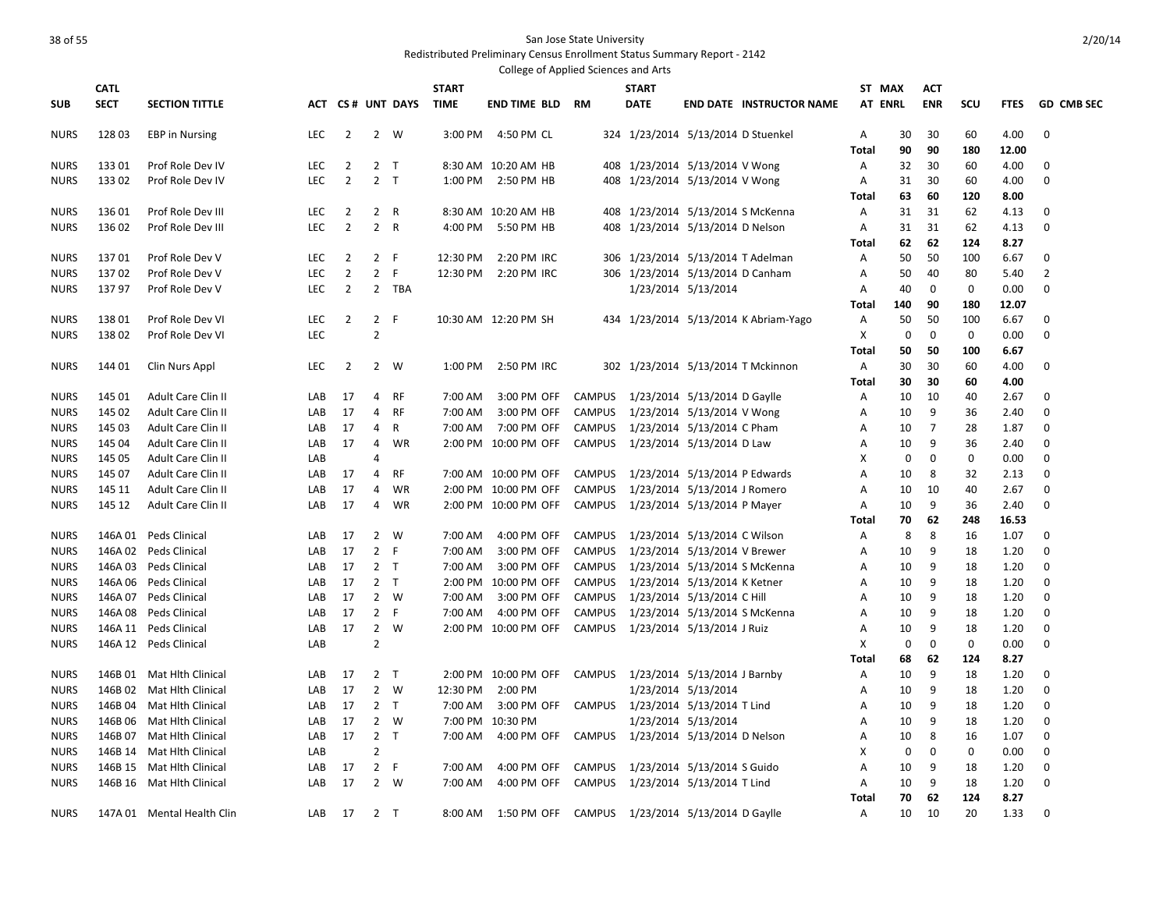| College of Applied Sciences and Arts |             |                                          |            |                |                |                  |              |                            |               |                                                                   |                             |                                       |                |             |                |             |              |                   |
|--------------------------------------|-------------|------------------------------------------|------------|----------------|----------------|------------------|--------------|----------------------------|---------------|-------------------------------------------------------------------|-----------------------------|---------------------------------------|----------------|-------------|----------------|-------------|--------------|-------------------|
|                                      | <b>CATL</b> |                                          |            |                |                |                  | <b>START</b> |                            |               | <b>START</b>                                                      |                             |                                       | ST MAX         |             | <b>ACT</b>     |             |              |                   |
| <b>SUB</b>                           | <b>SECT</b> | <b>SECTION TITTLE</b>                    |            |                |                | ACT CS# UNT DAYS | <b>TIME</b>  | <b>END TIME BLD RM</b>     |               | <b>DATE</b>                                                       |                             | <b>END DATE INSTRUCTOR NAME</b>       | <b>AT ENRL</b> |             | <b>ENR</b>     | SCU         | <b>FTES</b>  | <b>GD CMB SEC</b> |
| <b>NURS</b>                          | 128 03      | <b>EBP</b> in Nursing                    | <b>LEC</b> | 2              |                | 2 W              |              | 3:00 PM 4:50 PM CL         |               | 324 1/23/2014 5/13/2014 D Stuenkel                                |                             |                                       | Α              | 30          | 30             | 60          | 4.00         | $\mathbf 0$       |
|                                      |             |                                          |            |                |                |                  |              |                            |               |                                                                   |                             |                                       | Total          | 90          | 90             | 180         | 12.00        |                   |
| <b>NURS</b>                          | 13301       | Prof Role Dev IV                         | <b>LEC</b> | 2              | 2 <sub>T</sub> |                  |              | 8:30 AM 10:20 AM HB        |               | 408 1/23/2014 5/13/2014 V Wong                                    |                             |                                       | Α              | 32          | 30             | 60          | 4.00         | 0                 |
| <b>NURS</b>                          | 13302       | Prof Role Dev IV                         | <b>LEC</b> | $\overline{2}$ | 2 <sub>T</sub> |                  | 1:00 PM      | 2:50 PM HB                 |               | 408 1/23/2014 5/13/2014 V Wong                                    |                             |                                       | Α              | 31          | 30             | 60          | 4.00         | $\mathbf 0$       |
|                                      |             |                                          |            |                |                |                  |              |                            |               |                                                                   |                             |                                       | Total          | 63          | 60             | 120         | 8.00         |                   |
| <b>NURS</b>                          | 136 01      | Prof Role Dev III                        | <b>LEC</b> | $\overline{2}$ | 2 R            |                  |              | 8:30 AM 10:20 AM HB        |               | 408 1/23/2014 5/13/2014 S McKenna                                 |                             |                                       | A              | 31          | 31             | 62          | 4.13         | 0                 |
| <b>NURS</b>                          | 136 02      | Prof Role Dev III                        | <b>LEC</b> | $\overline{2}$ | 2 R            |                  | 4:00 PM      | 5:50 PM HB                 |               | 408 1/23/2014 5/13/2014 D Nelson                                  |                             |                                       | Α              | 31          | 31             | 62          | 4.13         | 0                 |
|                                      |             |                                          |            |                |                |                  |              |                            |               |                                                                   |                             |                                       | <b>Total</b>   | 62          | 62             | 124         | 8.27         |                   |
| <b>NURS</b>                          | 13701       | Prof Role Dev V                          | <b>LEC</b> | $\overline{2}$ | 2 F            |                  | 12:30 PM     | 2:20 PM IRC                |               | 306 1/23/2014 5/13/2014 T Adelman                                 |                             |                                       | Α              | 50          | 50             | 100         | 6.67         | 0                 |
| <b>NURS</b>                          | 13702       | Prof Role Dev V                          | <b>LEC</b> | $\overline{2}$ | $\overline{2}$ | E                | 12:30 PM     | 2:20 PM IRC                |               | 306 1/23/2014 5/13/2014 D Canham                                  |                             |                                       | Α              | 50          | 40             | 80          | 5.40         | $\overline{2}$    |
| <b>NURS</b>                          | 13797       | Prof Role Dev V                          | <b>LEC</b> | $\overline{2}$ |                | 2 TBA            |              |                            |               |                                                                   | 1/23/2014 5/13/2014         |                                       | Α              | 40          | $\mathbf 0$    | $\mathbf 0$ | 0.00         | 0                 |
|                                      |             |                                          |            |                |                |                  |              |                            |               |                                                                   |                             |                                       | Total          | 140         | 90             | 180         | 12.07        |                   |
| <b>NURS</b>                          | 13801       | Prof Role Dev VI                         | <b>LEC</b> | $\overline{2}$ | 2 F            |                  |              | 10:30 AM 12:20 PM SH       |               |                                                                   |                             | 434 1/23/2014 5/13/2014 K Abriam-Yago | Α              | 50          | 50             | 100         | 6.67         | 0                 |
| <b>NURS</b>                          | 13802       | Prof Role Dev VI                         | <b>LEC</b> |                | $\overline{2}$ |                  |              |                            |               |                                                                   |                             |                                       | X              | $\mathbf 0$ | $\mathbf 0$    | $\mathbf 0$ | 0.00         | $\mathbf 0$       |
|                                      |             |                                          |            |                |                |                  |              |                            |               |                                                                   |                             |                                       | Total          | 50          | 50             | 100         | 6.67         |                   |
| <b>NURS</b>                          | 144 01      | Clin Nurs Appl                           | <b>LEC</b> | 2              | $2^{\circ}$    | W                | 1:00 PM      | 2:50 PM IRC                |               |                                                                   |                             | 302 1/23/2014 5/13/2014 T Mckinnon    | Α              | 30          | 30             | 60          | 4.00         | 0                 |
| <b>NURS</b>                          | 145 01      |                                          | LAB        | 17             | 4              | <b>RF</b>        | 7:00 AM      |                            |               |                                                                   |                             |                                       | <b>Total</b>   | 30          | 30<br>10       | 60<br>40    | 4.00         | 0                 |
| <b>NURS</b>                          | 145 02      | Adult Care Clin II<br>Adult Care Clin II | LAB        | 17             | 4              | RF               | 7:00 AM      | 3:00 PM OFF<br>3:00 PM OFF | CAMPUS        | CAMPUS 1/23/2014 5/13/2014 D Gaylle<br>1/23/2014 5/13/2014 V Wong |                             |                                       | Α              | 10<br>10    | 9              | 36          | 2.67<br>2.40 | 0                 |
| <b>NURS</b>                          | 145 03      | Adult Care Clin II                       | LAB        | 17             | 4              | R                | 7:00 AM      | 7:00 PM OFF                | CAMPUS        | 1/23/2014 5/13/2014 C Pham                                        |                             |                                       | Α<br>Α         | 10          | $\overline{7}$ | 28          | 1.87         | $\mathbf 0$       |
| <b>NURS</b>                          | 145 04      | Adult Care Clin II                       | LAB        | 17             | 4              | WR               |              | 2:00 PM 10:00 PM OFF       |               | CAMPUS 1/23/2014 5/13/2014 D Law                                  |                             |                                       | Α              | 10          | 9              | 36          | 2.40         | 0                 |
| <b>NURS</b>                          | 145 05      | Adult Care Clin II                       | LAB        |                | 4              |                  |              |                            |               |                                                                   |                             |                                       | X              | $\mathbf 0$ | $\mathbf 0$    | $\mathbf 0$ | 0.00         | $\mathbf 0$       |
| <b>NURS</b>                          | 145 07      | Adult Care Clin II                       | LAB        | 17             | 4              | <b>RF</b>        |              | 7:00 AM 10:00 PM OFF       | CAMPUS        | 1/23/2014 5/13/2014 P Edwards                                     |                             |                                       | A              | 10          | 8              | 32          | 2.13         | 0                 |
| <b>NURS</b>                          | 145 11      | Adult Care Clin II                       | LAB        | 17             | 4              | WR               |              | 2:00 PM 10:00 PM OFF       | CAMPUS        | 1/23/2014 5/13/2014 J Romero                                      |                             |                                       | A              | 10          | 10             | 40          | 2.67         | 0                 |
| <b>NURS</b>                          | 145 12      | Adult Care Clin II                       | LAB        | 17             | 4              | WR               |              | 2:00 PM 10:00 PM OFF       | CAMPUS        | 1/23/2014 5/13/2014 P Mayer                                       |                             |                                       | Α              | 10          | 9              | 36          | 2.40         | 0                 |
|                                      |             |                                          |            |                |                |                  |              |                            |               |                                                                   |                             |                                       | Total          | 70          | 62             | 248         | 16.53        |                   |
| <b>NURS</b>                          | 146A 01     | Peds Clinical                            | LAB        | 17             | $\overline{2}$ | W                | 7:00 AM      | 4:00 PM OFF                | <b>CAMPUS</b> | 1/23/2014 5/13/2014 C Wilson                                      |                             |                                       | Α              | 8           | 8              | 16          | 1.07         | 0                 |
| <b>NURS</b>                          |             | 146A 02 Peds Clinical                    | LAB        | 17             | 2 F            |                  | 7:00 AM      | 3:00 PM OFF                | <b>CAMPUS</b> | 1/23/2014 5/13/2014 V Brewer                                      |                             |                                       | A              | 10          | 9              | 18          | 1.20         | $\mathbf 0$       |
| <b>NURS</b>                          | 146A 03     | Peds Clinical                            | LAB        | 17             | 2 <sub>T</sub> |                  | 7:00 AM      | 3:00 PM OFF                | CAMPUS        |                                                                   |                             | 1/23/2014 5/13/2014 S McKenna         | Α              | 10          | 9              | 18          | 1.20         | 0                 |
| <b>NURS</b>                          |             | 146A 06 Peds Clinical                    | LAB        | 17             | 2 <sub>T</sub> |                  | 2:00 PM      | 10:00 PM OFF               | CAMPUS        | 1/23/2014 5/13/2014 K Ketner                                      |                             |                                       | A              | 10          | 9              | 18          | 1.20         | $\mathbf 0$       |
| <b>NURS</b>                          | 146A 07     | Peds Clinical                            | LAB        | 17             |                | $2 \quad W$      | 7:00 AM      | 3:00 PM OFF                | CAMPUS        | 1/23/2014 5/13/2014 C Hill                                        |                             |                                       | Α              | 10          | 9              | 18          | 1.20         | 0                 |
| <b>NURS</b>                          | 146A 08     | Peds Clinical                            | LAB        | 17             | 2 F            |                  | 7:00 AM      | 4:00 PM OFF                | CAMPUS        | 1/23/2014 5/13/2014 S McKenna                                     |                             |                                       | A              | 10          | 9              | 18          | 1.20         | $\mathbf 0$       |
| <b>NURS</b>                          |             | 146A 11 Peds Clinical                    | LAB        | 17             | $\overline{2}$ | W                |              | 2:00 PM 10:00 PM OFF       | CAMPUS        | 1/23/2014 5/13/2014 J Ruiz                                        |                             |                                       | A              | 10          | 9              | 18          | 1.20         | $\mathbf 0$       |
| <b>NURS</b>                          |             | 146A 12 Peds Clinical                    | LAB        |                | $\overline{2}$ |                  |              |                            |               |                                                                   |                             |                                       | X              | 0           | $\mathbf 0$    | $\mathbf 0$ | 0.00         | $\mathbf 0$       |
|                                      |             |                                          |            |                |                |                  |              |                            |               |                                                                   |                             |                                       | Total          | 68          | 62             | 124         | 8.27         |                   |
| <b>NURS</b>                          |             | 146B 01 Mat Hlth Clinical                | LAB        | 17             | 2 <sub>T</sub> |                  | 2:00 PM      | 10:00 PM OFF               | <b>CAMPUS</b> | 1/23/2014 5/13/2014 J Barnby                                      |                             |                                       | Α              | 10          | 9              | 18          | 1.20         | $\mathbf 0$       |
| <b>NURS</b>                          |             | 146B 02 Mat Hith Clinical                | LAB        | 17             |                | 2 W              | 12:30 PM     | 2:00 PM                    |               |                                                                   | 1/23/2014 5/13/2014         |                                       | Α              | 10          | 9              | 18          | 1.20         | 0                 |
| <b>NURS</b>                          | 146B 04     | Mat Hlth Clinical                        | LAB        | 17             | 2 <sub>T</sub> |                  | 7:00 AM      | 3:00 PM OFF                | CAMPUS        | 1/23/2014 5/13/2014 T Lind                                        |                             |                                       | Α              | 10          | 9              | 18          | 1.20         | 0                 |
| <b>NURS</b>                          |             | 146B 06 Mat Hith Clinical                | LAB        | 17             |                | 2 W              | 7:00 PM      | 10:30 PM                   |               |                                                                   | 1/23/2014 5/13/2014         |                                       | Α              | 10          | 9              | 18          | 1.20         | 0                 |
| <b>NURS</b>                          | 146B 07     | Mat Hlth Clinical                        | LAB        | 17             | 2 <sub>T</sub> |                  | 7:00 AM      | 4:00 PM OFF                | CAMPUS        | 1/23/2014 5/13/2014 D Nelson                                      |                             |                                       | Α              | 10          | 8              | 16          | 1.07         | 0                 |
| <b>NURS</b>                          |             | 146B 14 Mat Hith Clinical                | LAB        |                | $\overline{2}$ |                  |              |                            |               |                                                                   |                             |                                       | X              | $\mathbf 0$ | 0              | $\mathbf 0$ | 0.00         | 0                 |
| <b>NURS</b>                          |             | 146B 15 Mat Hlth Clinical                | LAB        | 17             | 2 F            |                  | 7:00 AM      | 4:00 PM OFF                | <b>CAMPUS</b> |                                                                   | 1/23/2014 5/13/2014 S Guido |                                       | Α              | 10          | 9<br>9         | 18          | 1.20         | 0                 |
| <b>NURS</b>                          |             | 146B 16 Mat Hith Clinical                | LAB        | 17             |                | 2 W              | 7:00 AM      | 4:00 PM OFF                |               | CAMPUS 1/23/2014 5/13/2014 T Lind                                 |                             |                                       | Α<br>Total     | 10<br>70    | 62             | 18<br>124   | 1.20<br>8.27 | 0                 |
| <b>NURS</b>                          |             | 147A 01 Mental Health Clin               | LAB        | 17             | 2 <sub>T</sub> |                  | 8:00 AM      | 1:50 PM OFF                |               | CAMPUS 1/23/2014 5/13/2014 D Gaylle                               |                             |                                       | Α              | 10          | 10             | 20          | 1.33         | $\Omega$          |
|                                      |             |                                          |            |                |                |                  |              |                            |               |                                                                   |                             |                                       |                |             |                |             |              |                   |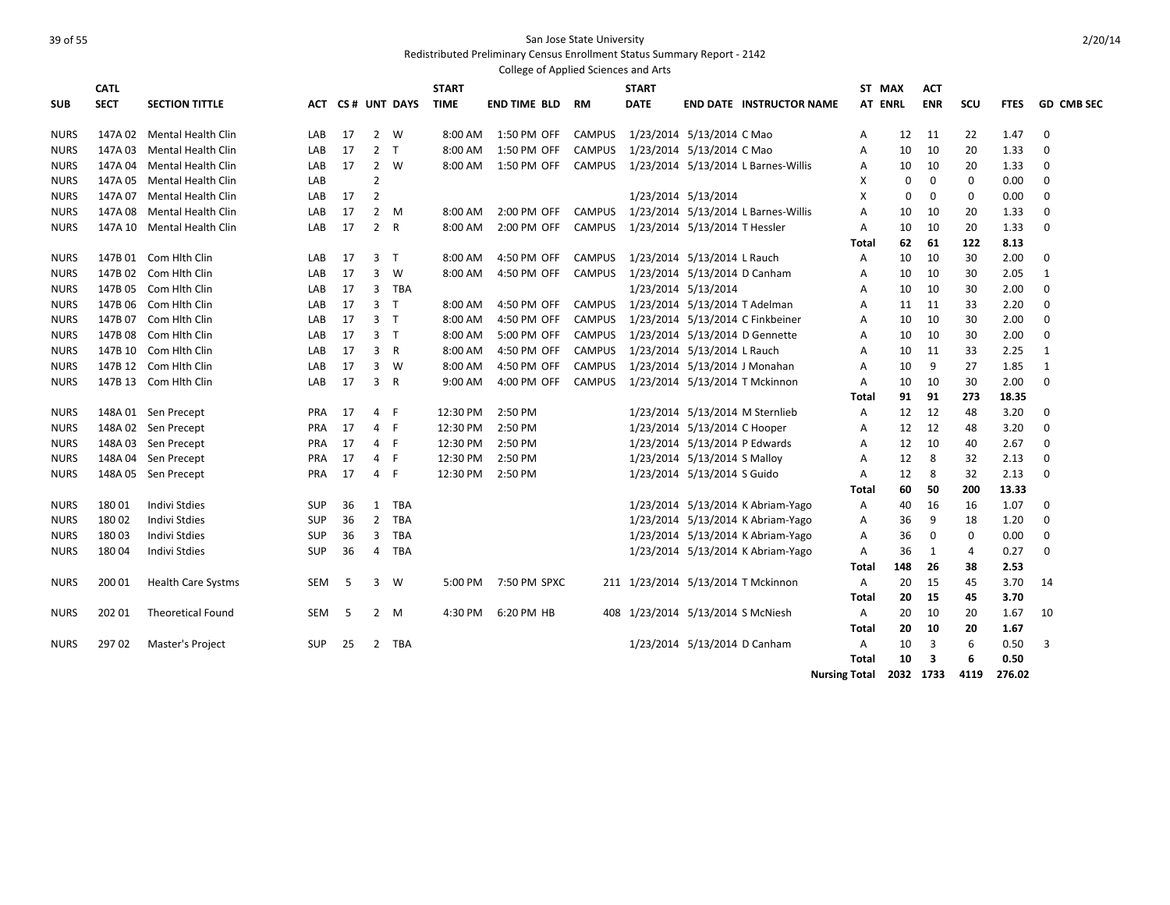|             |             |                           |            |    |                |                  |              | College of Applied Sciences and Arts |               |                                   |                               |                                     |                      |                |             |                |             |                   |
|-------------|-------------|---------------------------|------------|----|----------------|------------------|--------------|--------------------------------------|---------------|-----------------------------------|-------------------------------|-------------------------------------|----------------------|----------------|-------------|----------------|-------------|-------------------|
|             | <b>CATL</b> |                           |            |    |                |                  | <b>START</b> |                                      |               | <b>START</b>                      |                               |                                     |                      | ST MAX         | <b>ACT</b>  |                |             |                   |
| <b>SUB</b>  | <b>SECT</b> | <b>SECTION TITTLE</b>     |            |    |                | ACT CS# UNT DAYS | <b>TIME</b>  | <b>END TIME BLD</b>                  | RM            | <b>DATE</b>                       |                               | <b>END DATE INSTRUCTOR NAME</b>     |                      | <b>AT ENRL</b> | <b>ENR</b>  | SCU            | <b>FTES</b> | <b>GD CMB SEC</b> |
| <b>NURS</b> | 147A 02     | <b>Mental Health Clin</b> | LAB        | 17 | $\overline{2}$ | W                | 8:00 AM      | 1:50 PM OFF                          | <b>CAMPUS</b> |                                   | 1/23/2014 5/13/2014 C Mao     |                                     | Α                    | 12             | 11          | 22             | 1.47        | $\mathbf 0$       |
| <b>NURS</b> | 147A 03     | Mental Health Clin        | LAB        | 17 | 2 <sub>T</sub> |                  | 8:00 AM      | 1:50 PM OFF                          | <b>CAMPUS</b> |                                   | 1/23/2014 5/13/2014 C Mao     |                                     | A                    | 10             | 10          | 20             | 1.33        | 0                 |
| <b>NURS</b> | 147A 04     | Mental Health Clin        | LAB        | 17 |                | 2 W              | 8:00 AM      | 1:50 PM OFF                          | <b>CAMPUS</b> |                                   |                               | 1/23/2014 5/13/2014 L Barnes-Willis | Α                    | 10             | 10          | 20             | 1.33        | 0                 |
| <b>NURS</b> | 147A 05     | Mental Health Clin        | LAB        |    | $\overline{2}$ |                  |              |                                      |               |                                   |                               |                                     | х                    | 0              | $\mathbf 0$ | $\mathbf 0$    | 0.00        | $\Omega$          |
| <b>NURS</b> | 147A 07     | Mental Health Clin        | LAB        | 17 | $\overline{2}$ |                  |              |                                      |               |                                   | 1/23/2014 5/13/2014           |                                     | X                    | 0              | $\mathbf 0$ | $\mathbf 0$    | 0.00        | $\mathbf 0$       |
| <b>NURS</b> | 147A 08     | Mental Health Clin        | LAB        | 17 | $\overline{2}$ | M                | 8:00 AM      | 2:00 PM OFF                          | <b>CAMPUS</b> |                                   |                               | 1/23/2014 5/13/2014 L Barnes-Willis | $\overline{A}$       | 10             | 10          | 20             | 1.33        | $\mathbf 0$       |
| <b>NURS</b> | 147A 10     | Mental Health Clin        | LAB        | 17 | $\overline{2}$ | R                | 8:00 AM      | 2:00 PM OFF                          | <b>CAMPUS</b> |                                   | 1/23/2014 5/13/2014 T Hessler |                                     | A                    | 10             | 10          | 20             | 1.33        | 0                 |
|             |             |                           |            |    |                |                  |              |                                      |               |                                   |                               |                                     | Total                | 62             | 61          | 122            | 8.13        |                   |
| <b>NURS</b> | 147B 01     | Com Hith Clin             | LAB        | 17 | 3 <sub>T</sub> |                  | 8:00 AM      | 4:50 PM OFF                          | <b>CAMPUS</b> |                                   | 1/23/2014 5/13/2014 L Rauch   |                                     | A                    | 10             | 10          | 30             | 2.00        | $\mathbf 0$       |
| <b>NURS</b> | 147B 02     | Com Hith Clin             | LAB        | 17 | $\overline{3}$ | W                | 8:00 AM      | 4:50 PM OFF                          | <b>CAMPUS</b> |                                   | 1/23/2014 5/13/2014 D Canham  |                                     | A                    | 10             | 10          | 30             | 2.05        | 1                 |
| <b>NURS</b> | 147B 05     | Com Hith Clin             | LAB        | 17 | 3              | TBA              |              |                                      |               |                                   | 1/23/2014 5/13/2014           |                                     | A                    | 10             | 10          | 30             | 2.00        | $\mathbf 0$       |
| <b>NURS</b> | 147B 06     | Com Hith Clin             | LAB        | 17 | 3 <sub>T</sub> |                  | 8:00 AM      | 4:50 PM OFF                          | <b>CAMPUS</b> |                                   | 1/23/2014 5/13/2014 T Adelman |                                     | A                    | 11             | 11          | 33             | 2.20        | $\Omega$          |
| <b>NURS</b> | 147B 07     | Com Hith Clin             | LAB        | 17 | 3 <sub>1</sub> |                  | 8:00 AM      | 4:50 PM OFF                          | <b>CAMPUS</b> |                                   |                               | 1/23/2014 5/13/2014 C Finkbeiner    | A                    | 10             | 10          | 30             | 2.00        | $\mathbf 0$       |
| <b>NURS</b> | 147B 08     | Com Hith Clin             | LAB        | 17 | 3 <sub>T</sub> |                  | 8:00 AM      | 5:00 PM OFF                          | <b>CAMPUS</b> |                                   |                               | 1/23/2014 5/13/2014 D Gennette      | A                    | 10             | 10          | 30             | 2.00        | $\mathbf 0$       |
| <b>NURS</b> |             | 147B 10 Com Hith Clin     | LAB        | 17 | $\overline{3}$ | $\mathsf R$      | 8:00 AM      | 4:50 PM OFF                          | <b>CAMPUS</b> |                                   | 1/23/2014 5/13/2014 L Rauch   |                                     | Α                    | 10             | 11          | 33             | 2.25        | 1                 |
| <b>NURS</b> | 147B 12     | Com Hith Clin             | LAB        | 17 | 3              | W                | 8:00 AM      | 4:50 PM OFF                          | <b>CAMPUS</b> |                                   |                               | 1/23/2014 5/13/2014 J Monahan       | A                    | 10             | 9           | 27             | 1.85        | 1                 |
| <b>NURS</b> |             | 147B 13 Com Hith Clin     | LAB        | 17 | 3              | $\mathsf{R}$     | $9:00$ AM    | 4:00 PM OFF                          | <b>CAMPUS</b> |                                   |                               | 1/23/2014 5/13/2014 T Mckinnon      | A                    | 10             | 10          | 30             | 2.00        | $\mathbf 0$       |
|             |             |                           |            |    |                |                  |              |                                      |               |                                   |                               |                                     | Total                | 91             | 91          | 273            | 18.35       |                   |
| <b>NURS</b> |             | 148A 01 Sen Precept       | <b>PRA</b> | 17 | $\overline{4}$ | -F               | 12:30 PM     | 2:50 PM                              |               |                                   |                               | 1/23/2014 5/13/2014 M Sternlieb     | Α                    | 12             | 12          | 48             | 3.20        | $\Omega$          |
| <b>NURS</b> | 148A 02     | Sen Precept               | <b>PRA</b> | 17 | $\overline{4}$ | F                | 12:30 PM     | 2:50 PM                              |               |                                   | 1/23/2014 5/13/2014 C Hooper  |                                     | A                    | 12             | 12          | 48             | 3.20        | $\Omega$          |
| <b>NURS</b> | 148A03      | Sen Precept               | PRA        | 17 | 4              | F                | 12:30 PM     | 2:50 PM                              |               |                                   | 1/23/2014 5/13/2014 P Edwards |                                     | A                    | 12             | 10          | 40             | 2.67        | $\mathbf 0$       |
| <b>NURS</b> | 148A04      | Sen Precept               | <b>PRA</b> | 17 | $\overline{4}$ | F                | 12:30 PM     | 2:50 PM                              |               |                                   | 1/23/2014 5/13/2014 S Malloy  |                                     | A                    | 12             | 8           | 32             | 2.13        | $\mathbf 0$       |
| <b>NURS</b> | 148A 05     | Sen Precept               | PRA        | 17 | $\overline{4}$ | F.               | 12:30 PM     | 2:50 PM                              |               |                                   | 1/23/2014 5/13/2014 S Guido   |                                     | Α                    | 12             | 8           | 32             | 2.13        | $\Omega$          |
|             |             |                           |            |    |                |                  |              |                                      |               |                                   |                               |                                     | <b>Total</b>         | 60             | 50          | 200            | 13.33       |                   |
| <b>NURS</b> | 18001       | <b>Indivi Stdies</b>      | <b>SUP</b> | 36 | $\mathbf{1}$   | TBA              |              |                                      |               |                                   |                               | 1/23/2014 5/13/2014 K Abriam-Yago   | A                    | 40             | 16          | 16             | 1.07        | 0                 |
| <b>NURS</b> | 18002       | <b>Indivi Stdies</b>      | <b>SUP</b> | 36 | $\overline{2}$ | TBA              |              |                                      |               |                                   |                               | 1/23/2014 5/13/2014 K Abriam-Yago   | A                    | 36             | 9           | 18             | 1.20        | 0                 |
| <b>NURS</b> | 18003       | Indivi Stdies             | <b>SUP</b> | 36 | 3              | TBA              |              |                                      |               |                                   |                               | 1/23/2014 5/13/2014 K Abriam-Yago   | A                    | 36             | $\mathbf 0$ | $\mathbf 0$    | 0.00        | 0                 |
| <b>NURS</b> | 18004       | <b>Indivi Stdies</b>      | <b>SUP</b> | 36 | $\overline{4}$ | TBA              |              |                                      |               |                                   |                               | 1/23/2014 5/13/2014 K Abriam-Yago   | A                    | 36             | 1           | $\overline{4}$ | 0.27        | $\Omega$          |
|             |             |                           |            |    |                |                  |              |                                      |               |                                   |                               |                                     | Total                | 148            | 26          | 38             | 2.53        |                   |
| <b>NURS</b> | 200 01      | <b>Health Care Systms</b> | <b>SEM</b> | 5  | 3              | W                | 5:00 PM      | 7:50 PM SPXC                         |               |                                   |                               | 211 1/23/2014 5/13/2014 T Mckinnon  | Α                    | 20             | 15          | 45             | 3.70        | 14                |
|             |             |                           |            |    |                |                  |              |                                      |               |                                   |                               |                                     | <b>Total</b>         | 20             | 15          | 45             | 3.70        |                   |
| <b>NURS</b> | 202 01      | <b>Theoretical Found</b>  | <b>SEM</b> | 5  |                | $2 \quad M$      | 4:30 PM      | 6:20 PM HB                           |               | 408 1/23/2014 5/13/2014 S McNiesh |                               |                                     | Α                    | 20             | 10          | 20             | 1.67        | 10                |
|             |             |                           |            |    |                |                  |              |                                      |               |                                   |                               |                                     | Total                | 20             | 10          | 20             | 1.67        |                   |
| <b>NURS</b> | 29702       | Master's Project          | <b>SUP</b> | 25 | 2              | TBA              |              |                                      |               |                                   | 1/23/2014 5/13/2014 D Canham  |                                     | Α                    | 10             | 3           | 6              | 0.50        | 3                 |
|             |             |                           |            |    |                |                  |              |                                      |               |                                   |                               |                                     | Total                | 10             | 3           | 6              | 0.50        |                   |
|             |             |                           |            |    |                |                  |              |                                      |               |                                   |                               |                                     | <b>Nursing Total</b> |                | 2032 1733   | 4119           | 276.02      |                   |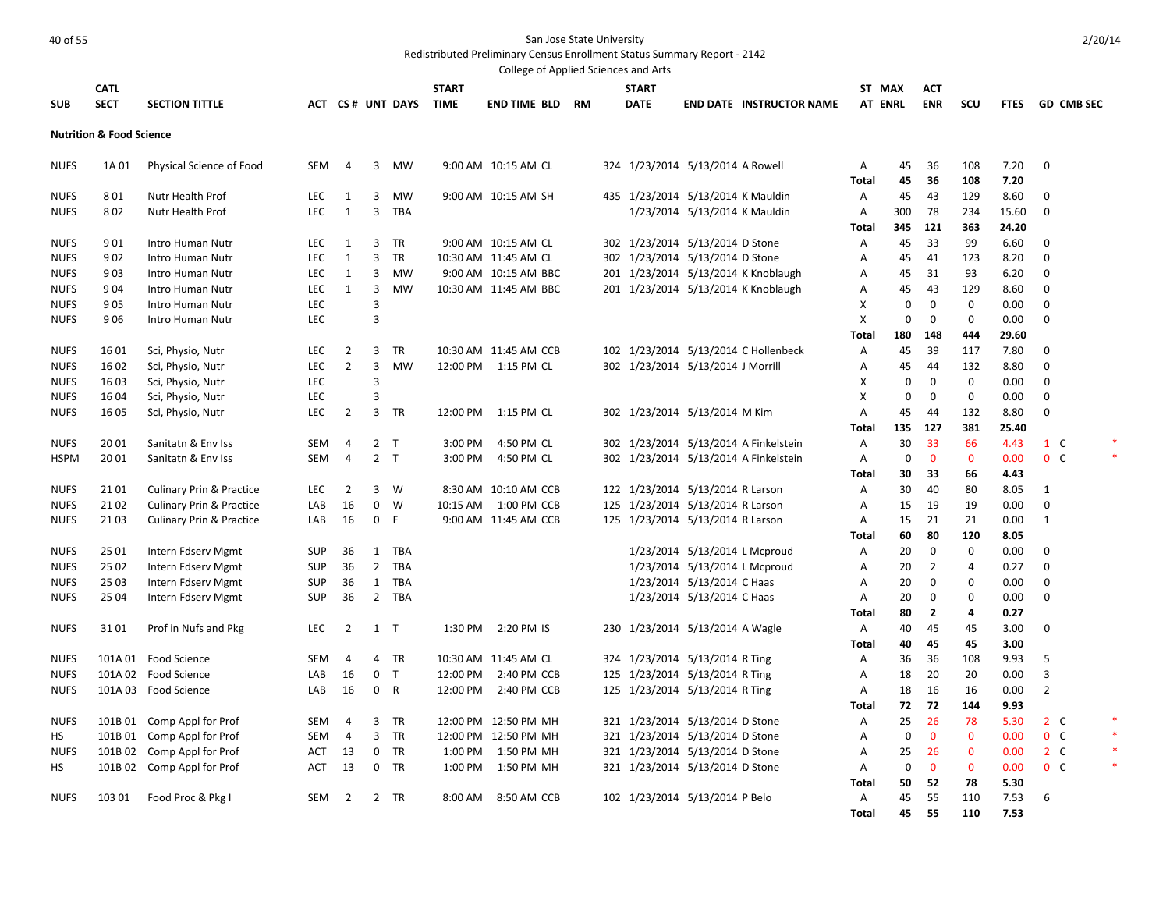|             |                                     |                                     |            |                |                |                       |              | College of Applied Sciences and Arts |  |              |                                   |                                       |              |                |                |              |       |                 |  |
|-------------|-------------------------------------|-------------------------------------|------------|----------------|----------------|-----------------------|--------------|--------------------------------------|--|--------------|-----------------------------------|---------------------------------------|--------------|----------------|----------------|--------------|-------|-----------------|--|
|             | <b>CATL</b>                         |                                     |            |                |                |                       | <b>START</b> |                                      |  | <b>START</b> |                                   |                                       | ST MAX       |                | <b>ACT</b>     |              |       |                 |  |
| <b>SUB</b>  | <b>SECT</b>                         | <b>SECTION TITTLE</b>               |            |                |                | ACT CS# UNT DAYS TIME |              | <b>END TIME BLD RM</b>               |  | <b>DATE</b>  |                                   | <b>END DATE INSTRUCTOR NAME</b>       |              | <b>AT ENRL</b> | <b>ENR</b>     | <b>SCU</b>   |       | FTES GD CMB SEC |  |
|             |                                     |                                     |            |                |                |                       |              |                                      |  |              |                                   |                                       |              |                |                |              |       |                 |  |
|             | <b>Nutrition &amp; Food Science</b> |                                     |            |                |                |                       |              |                                      |  |              |                                   |                                       |              |                |                |              |       |                 |  |
|             |                                     |                                     |            |                |                |                       |              |                                      |  |              |                                   |                                       |              |                |                |              |       |                 |  |
| <b>NUFS</b> | 1A 01                               | Physical Science of Food            | SEM        | $\overline{4}$ | 3              | MW                    |              | 9:00 AM 10:15 AM CL                  |  |              | 324 1/23/2014 5/13/2014 A Rowell  |                                       | Α            | 45             | 36             | 108          | 7.20  | $\mathbf 0$     |  |
|             |                                     |                                     |            |                |                |                       |              |                                      |  |              |                                   |                                       | <b>Total</b> | 45             | 36             | 108          | 7.20  |                 |  |
| <b>NUFS</b> | 801                                 | Nutr Health Prof                    | LEC.       | 1              | 3              | <b>MW</b>             |              | 9:00 AM 10:15 AM SH                  |  |              | 435 1/23/2014 5/13/2014 K Mauldin |                                       | $\mathsf{A}$ | 45             | 43             | 129          | 8.60  | 0               |  |
| <b>NUFS</b> | 802                                 | Nutr Health Prof                    | <b>LEC</b> | $\mathbf{1}$   | 3              | TBA                   |              |                                      |  |              | 1/23/2014 5/13/2014 K Mauldin     |                                       | Α            | 300            | 78             | 234          | 15.60 | $\mathbf 0$     |  |
|             |                                     |                                     |            |                |                |                       |              |                                      |  |              |                                   |                                       | <b>Total</b> | 345            | 121            | 363          | 24.20 |                 |  |
| <b>NUFS</b> | 901                                 | Intro Human Nutr                    | <b>LEC</b> | 1              | $\overline{3}$ | TR                    |              | 9:00 AM 10:15 AM CL                  |  |              | 302 1/23/2014 5/13/2014 D Stone   |                                       | Α            | 45             | 33             | 99           | 6.60  | $\mathbf 0$     |  |
| <b>NUFS</b> | 902                                 | <b>Intro Human Nutr</b>             | <b>LEC</b> | 1              | 3              | <b>TR</b>             |              | 10:30 AM 11:45 AM CL                 |  |              | 302 1/23/2014 5/13/2014 D Stone   |                                       | A            | 45             | 41             | 123          | 8.20  | $\mathbf 0$     |  |
| <b>NUFS</b> | 903                                 | <b>Intro Human Nutr</b>             | <b>LEC</b> | 1              | 3              | <b>MW</b>             |              | 9:00 AM 10:15 AM BBC                 |  |              |                                   | 201 1/23/2014 5/13/2014 K Knoblaugh   | A            | 45             | 31             | 93           | 6.20  | 0               |  |
| <b>NUFS</b> | 904                                 | Intro Human Nutr                    | <b>LEC</b> | $\mathbf{1}$   | 3              | <b>MW</b>             |              | 10:30 AM 11:45 AM BBC                |  |              |                                   | 201 1/23/2014 5/13/2014 K Knoblaugh   | A            | 45             | 43             | 129          | 8.60  | $\mathbf 0$     |  |
| <b>NUFS</b> | 905                                 | Intro Human Nutr                    | <b>LEC</b> |                | 3              |                       |              |                                      |  |              |                                   |                                       | X            | 0              | $\mathbf 0$    | $\mathbf 0$  | 0.00  | $\mathbf 0$     |  |
| <b>NUFS</b> | 906                                 | Intro Human Nutr                    | <b>LEC</b> |                | 3              |                       |              |                                      |  |              |                                   |                                       | X            | 0              | $\mathbf 0$    | $\mathbf 0$  | 0.00  | $\Omega$        |  |
|             |                                     |                                     |            |                |                |                       |              |                                      |  |              |                                   |                                       | <b>Total</b> | 180            | 148            | 444          | 29.60 |                 |  |
| <b>NUFS</b> | 16 01                               | Sci, Physio, Nutr                   | <b>LEC</b> | $\overline{2}$ | $\overline{3}$ | <b>TR</b>             |              | 10:30 AM 11:45 AM CCB                |  |              |                                   | 102 1/23/2014 5/13/2014 C Hollenbeck  | Α            | 45             | 39             | 117          | 7.80  | $\mathbf 0$     |  |
| <b>NUFS</b> | 16 02                               | Sci, Physio, Nutr                   | <b>LEC</b> | $\overline{2}$ | 3              | MW                    |              | 12:00 PM 1:15 PM CL                  |  |              | 302 1/23/2014 5/13/2014 J Morrill |                                       | Α            | 45             | 44             | 132          | 8.80  | $\mathbf 0$     |  |
| <b>NUFS</b> | 16 03                               | Sci, Physio, Nutr                   | <b>LEC</b> |                | 3              |                       |              |                                      |  |              |                                   |                                       | X            | 0              | $\mathbf 0$    | $\mathbf 0$  | 0.00  | $\mathbf 0$     |  |
| <b>NUFS</b> | 1604                                | Sci, Physio, Nutr                   | <b>LEC</b> |                | 3              |                       |              |                                      |  |              |                                   |                                       | X            | 0              | $\mathbf 0$    | $\mathbf 0$  | 0.00  | $\mathbf 0$     |  |
| <b>NUFS</b> | 16 05                               | Sci, Physio, Nutr                   | <b>LEC</b> | $\overline{2}$ | 3              | TR                    | 12:00 PM     | 1:15 PM CL                           |  |              | 302 1/23/2014 5/13/2014 M Kim     |                                       | Α            | 45             | 44             | 132          | 8.80  | $\mathbf 0$     |  |
|             |                                     |                                     |            |                |                |                       |              |                                      |  |              |                                   |                                       | <b>Total</b> | 135            | 127            | 381          | 25.40 |                 |  |
| <b>NUFS</b> | 2001                                | Sanitatn & Env Iss                  | SEM        | $\overline{a}$ |                | 2 <sub>T</sub>        | 3:00 PM      | 4:50 PM CL                           |  |              |                                   | 302 1/23/2014 5/13/2014 A Finkelstein | Α            | 30             | 33             | 66           | 4.43  | $1\quad C$      |  |
| <b>HSPM</b> | 2001                                | Sanitatn & Env Iss                  | SEM        | $\overline{4}$ |                | 2 <sub>T</sub>        | 3:00 PM      | 4:50 PM CL                           |  |              |                                   | 302 1/23/2014 5/13/2014 A Finkelstein | Α            | 0              | $\mathbf{0}$   | $\mathbf{0}$ | 0.00  | 0 <sup>o</sup>  |  |
|             |                                     |                                     |            |                |                |                       |              |                                      |  |              |                                   |                                       | Total        | 30             | 33             | 66           | 4.43  |                 |  |
| <b>NUFS</b> | 21 01                               | <b>Culinary Prin &amp; Practice</b> | <b>LEC</b> | $\overline{2}$ | $\overline{3}$ | <b>W</b>              |              | 8:30 AM 10:10 AM CCB                 |  |              | 122 1/23/2014 5/13/2014 R Larson  |                                       | Α            | 30             | 40             | 80           | 8.05  | 1               |  |
| <b>NUFS</b> | 21 02                               | <b>Culinary Prin &amp; Practice</b> | LAB        | 16             | $\mathbf 0$    | <b>W</b>              | 10:15 AM     | 1:00 PM CCB                          |  |              | 125 1/23/2014 5/13/2014 R Larson  |                                       | Α            | 15             | 19             | 19           | 0.00  | $\mathbf 0$     |  |
| <b>NUFS</b> | 21 03                               | <b>Culinary Prin &amp; Practice</b> | LAB        | 16             | $\mathbf{0}$   | $-F$                  |              | 9:00 AM 11:45 AM CCB                 |  |              | 125 1/23/2014 5/13/2014 R Larson  |                                       | A            | 15             | 21             | 21           | 0.00  | 1               |  |
|             |                                     |                                     |            |                |                |                       |              |                                      |  |              |                                   |                                       | <b>Total</b> | 60             | 80             | 120          | 8.05  |                 |  |
| <b>NUFS</b> | 25 01                               | Intern Fdserv Mgmt                  | SUP        | 36             | 1              | <b>TBA</b>            |              |                                      |  |              | 1/23/2014 5/13/2014 L Mcproud     |                                       | Α            | 20             | $\mathbf 0$    | $\mathbf 0$  | 0.00  | $\mathbf 0$     |  |
| <b>NUFS</b> | 25 02                               | Intern Fdserv Mgmt                  | SUP        | 36             | $\overline{2}$ | <b>TBA</b>            |              |                                      |  |              | 1/23/2014 5/13/2014 L Mcproud     |                                       | Α            | 20             | $\overline{2}$ | 4            | 0.27  | $\mathbf 0$     |  |
| <b>NUFS</b> | 25 03                               | Intern Fdserv Mgmt                  | <b>SUP</b> | 36             | 1              | <b>TBA</b>            |              |                                      |  |              | 1/23/2014 5/13/2014 C Haas        |                                       | Α            | 20             | $\mathbf 0$    | $\mathbf 0$  | 0.00  | $\mathbf 0$     |  |
| <b>NUFS</b> | 25 04                               | Intern Fdserv Mgmt                  | SUP        | 36             |                | 2 TBA                 |              |                                      |  |              | 1/23/2014 5/13/2014 C Haas        |                                       | A            | 20             | 0              | $\mathbf 0$  | 0.00  | 0               |  |
|             |                                     |                                     |            |                |                |                       |              |                                      |  |              |                                   |                                       | Total        | 80             | $\overline{2}$ | 4            | 0.27  |                 |  |
| <b>NUFS</b> | 3101                                | Prof in Nufs and Pkg                | <b>LEC</b> | $\overline{2}$ |                | $1$ T                 | 1:30 PM      | 2:20 PM IS                           |  |              | 230 1/23/2014 5/13/2014 A Wagle   |                                       | А            | 40             | 45             | 45           | 3.00  | $\mathbf 0$     |  |
|             |                                     |                                     |            |                |                |                       |              |                                      |  |              |                                   |                                       | Total        | 40             | 45             | 45           | 3.00  |                 |  |
| <b>NUFS</b> |                                     | 101A 01 Food Science                | SEM        | 4              | 4              | <b>TR</b>             |              | 10:30 AM 11:45 AM CL                 |  |              | 324 1/23/2014 5/13/2014 R Ting    |                                       | A            | 36             | 36             | 108          | 9.93  | 5               |  |
| <b>NUFS</b> |                                     | 101A 02 Food Science                | LAB        | 16             | $\mathbf{0}$   | $\mathsf{T}$          | 12:00 PM     | 2:40 PM CCB                          |  |              | 125 1/23/2014 5/13/2014 R Ting    |                                       | Α            | 18             | 20             | 20           | 0.00  | 3               |  |
| <b>NUFS</b> | 101A 03                             | Food Science                        | LAB        | 16             | $\mathbf 0$    | $\overline{R}$        | 12:00 PM     | 2:40 PM CCB                          |  |              | 125 1/23/2014 5/13/2014 R Ting    |                                       | Α            | 18             | 16             | 16           | 0.00  | $\overline{2}$  |  |
|             |                                     |                                     |            |                |                |                       |              |                                      |  |              |                                   |                                       | <b>Total</b> | 72             | 72             | 144          | 9.93  |                 |  |
| <b>NUFS</b> |                                     | 101B 01 Comp Appl for Prof          | SEM        | $\overline{4}$ | 3              | TR                    |              | 12:00 PM 12:50 PM MH                 |  |              | 321 1/23/2014 5/13/2014 D Stone   |                                       | A            | 25             | 26             | 78           | 5.30  | $2\degree$ C    |  |
| HS.         |                                     | 101B 01 Comp Appl for Prof          | SEM        | 4              | $\overline{3}$ | <b>TR</b>             |              | 12:00 PM 12:50 PM MH                 |  |              | 321 1/23/2014 5/13/2014 D Stone   |                                       | Α            | 0              | $\mathbf 0$    | $\mathbf{0}$ | 0.00  | $0\quad C$      |  |
| <b>NUFS</b> | 101B02                              | Comp Appl for Prof                  | <b>ACT</b> | 13             | $\mathbf 0$    | <b>TR</b>             | 1:00 PM      | 1:50 PM MH                           |  |              | 321 1/23/2014 5/13/2014 D Stone   |                                       | Α            | 25             | -26            | $\mathbf{0}$ | 0.00  | $2\degree$ C    |  |
| HS.         |                                     | 101B 02 Comp Appl for Prof          | ACT        | 13             | $\mathbf 0$    | TR                    | 1:00 PM      | 1:50 PM MH                           |  |              | 321 1/23/2014 5/13/2014 D Stone   |                                       | Α            | 0              | $\mathbf 0$    | $\mathbf 0$  | 0.00  | 0 <sup>o</sup>  |  |
|             |                                     |                                     |            |                |                |                       |              |                                      |  |              |                                   |                                       | <b>Total</b> | 50             | 52             | 78           | 5.30  |                 |  |
| <b>NUFS</b> | 103 01                              | Food Proc & Pkg I                   | SEM        | 2              |                | 2 TR                  | 8:00 AM      | 8:50 AM CCB                          |  |              | 102 1/23/2014 5/13/2014 P Belo    |                                       | A            | 45             | 55             | 110          | 7.53  | 6               |  |
|             |                                     |                                     |            |                |                |                       |              |                                      |  |              |                                   |                                       | <b>Total</b> | 45             | 55             | 110          | 7.53  |                 |  |
|             |                                     |                                     |            |                |                |                       |              |                                      |  |              |                                   |                                       |              |                |                |              |       |                 |  |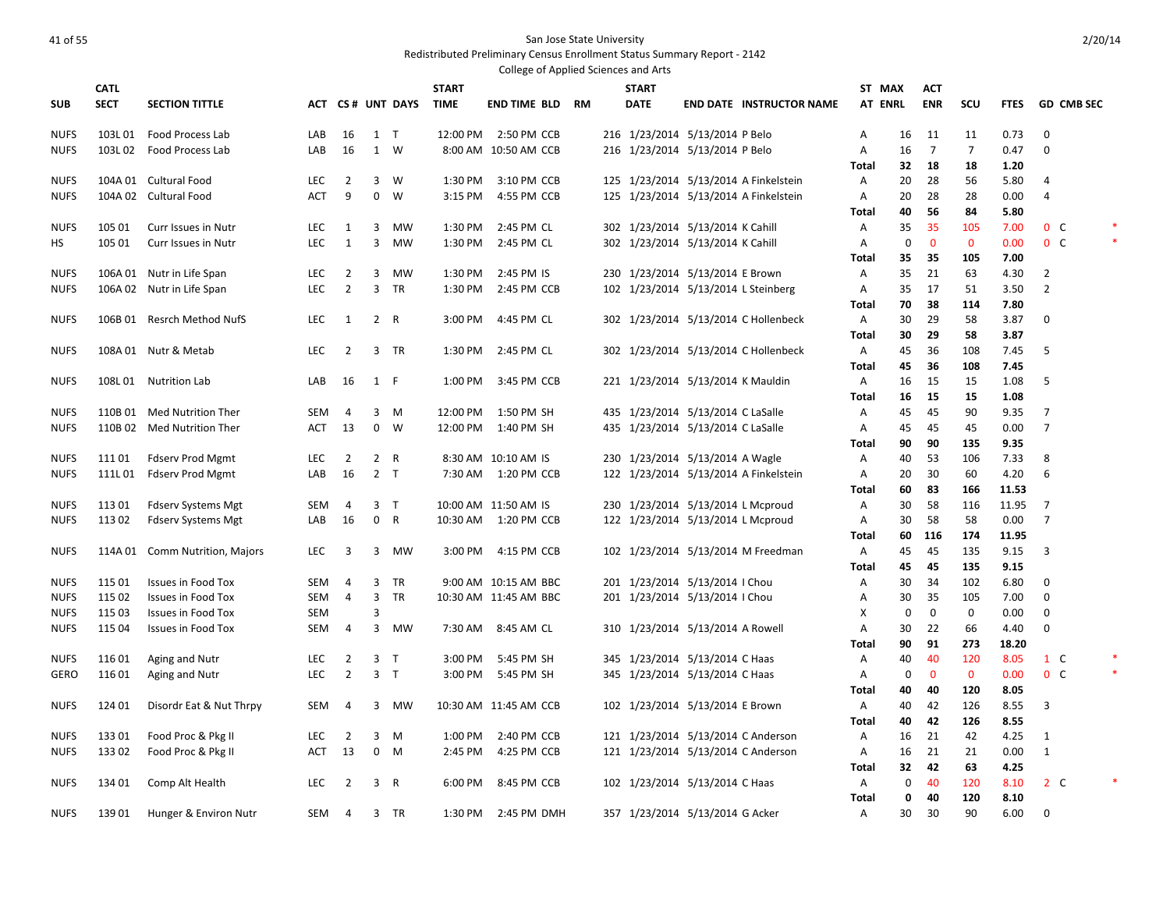|                            |             |                                                          |                   |                                  |                |                                  |              | College of Applied Sciences and Arts |           |              |                                     |                                       |                |           |                    |                    |              |                |                               |  |
|----------------------------|-------------|----------------------------------------------------------|-------------------|----------------------------------|----------------|----------------------------------|--------------|--------------------------------------|-----------|--------------|-------------------------------------|---------------------------------------|----------------|-----------|--------------------|--------------------|--------------|----------------|-------------------------------|--|
|                            | <b>CATL</b> |                                                          |                   |                                  |                |                                  | <b>START</b> |                                      |           | <b>START</b> |                                     |                                       | ST MAX         |           | <b>ACT</b>         |                    |              |                |                               |  |
| <b>SUB</b>                 | <b>SECT</b> | <b>SECTION TITTLE</b>                                    |                   |                                  |                | ACT CS# UNT DAYS                 | <b>TIME</b>  | END TIME BLD                         | <b>RM</b> | <b>DATE</b>  |                                     | <b>END DATE INSTRUCTOR NAME</b>       | <b>AT ENRL</b> |           | <b>ENR</b>         | SCU                | <b>FTES</b>  |                | <b>GD CMB SEC</b>             |  |
| <b>NUFS</b>                |             | 103L 01 Food Process Lab                                 | LAB               | 16                               |                | $1$ T                            | 12:00 PM     | 2:50 PM CCB                          |           |              | 216 1/23/2014 5/13/2014 P Belo      |                                       | Α              | 16        | 11                 | 11                 | 0.73         | $\mathbf 0$    |                               |  |
| <b>NUFS</b>                | 103L 02     | Food Process Lab                                         | LAB               | 16                               | 1              | W                                |              | 8:00 AM 10:50 AM CCB                 |           |              | 216 1/23/2014 5/13/2014 P Belo      |                                       | Α              | 16        | $\overline{7}$     | $\overline{7}$     | 0.47         | 0              |                               |  |
|                            |             |                                                          |                   |                                  |                |                                  |              |                                      |           |              |                                     |                                       | Total          | 32        | 18                 | 18                 | 1.20         |                |                               |  |
| <b>NUFS</b>                |             | 104A 01 Cultural Food                                    | LEC               | $\overline{2}$                   | 3              | W                                | 1:30 PM      | 3:10 PM CCB                          |           |              |                                     | 125 1/23/2014 5/13/2014 A Finkelstein | Α              | 20        | 28                 | 56                 | 5.80         | 4              |                               |  |
| <b>NUFS</b>                |             | 104A 02 Cultural Food                                    | <b>ACT</b>        | 9                                | $\mathbf 0$    | W                                | 3:15 PM      | 4:55 PM CCB                          |           |              |                                     | 125 1/23/2014 5/13/2014 A Finkelstein | Α              | 20        | 28                 | 28                 | 0.00         | 4              |                               |  |
|                            |             |                                                          |                   |                                  |                |                                  |              |                                      |           |              |                                     |                                       | Total          | 40        | 56                 | 84                 | 5.80         |                |                               |  |
| <b>NUFS</b>                | 105 01      | Curr Issues in Nutr                                      | LEC               | 1                                | 3              | MW                               | 1:30 PM      | 2:45 PM CL                           |           |              | 302 1/23/2014 5/13/2014 K Cahill    |                                       | Α              | 35        | 35                 | 105                | 7.00         |                | $0\quad C$                    |  |
| НS                         | 105 01      | Curr Issues in Nutr                                      | <b>LEC</b>        | 1                                | 3              | MW                               | 1:30 PM      | 2:45 PM CL                           |           |              | 302 1/23/2014 5/13/2014 K Cahill    |                                       | Α              | 0         | $\mathbf 0$        | $\mathbf 0$        | 0.00         |                | $0\quad C$                    |  |
|                            |             |                                                          |                   |                                  |                |                                  |              |                                      |           |              |                                     |                                       | <b>Total</b>   | 35        | 35                 | 105                | 7.00         |                |                               |  |
| <b>NUFS</b>                |             | 106A 01 Nutr in Life Span                                | LEC               | 2                                | 3              | MW                               | 1:30 PM      | 2:45 PM IS                           |           |              | 230 1/23/2014 5/13/2014 E Brown     |                                       | A              | 35        | 21                 | 63                 | 4.30         | 2              |                               |  |
| <b>NUFS</b>                |             | 106A 02 Nutr in Life Span                                | <b>LEC</b>        | $\overline{2}$                   | 3 <sup>7</sup> | TR                               | 1:30 PM      | 2:45 PM CCB                          |           |              | 102 1/23/2014 5/13/2014 L Steinberg |                                       | Α              | 35        | 17                 | 51                 | 3.50         | $\overline{2}$ |                               |  |
|                            |             |                                                          |                   |                                  |                |                                  |              |                                      |           |              |                                     |                                       | <b>Total</b>   | 70        | 38                 | 114                | 7.80         |                |                               |  |
| <b>NUFS</b>                |             | 106B 01 Resrch Method NufS                               | <b>LEC</b>        | 1                                |                | 2 R                              | 3:00 PM      | 4:45 PM CL                           |           |              |                                     | 302 1/23/2014 5/13/2014 C Hollenbeck  | Α              | 30        | 29                 | 58                 | 3.87         | 0              |                               |  |
|                            |             |                                                          |                   |                                  |                |                                  |              |                                      |           |              |                                     |                                       | <b>Total</b>   | 30        | 29                 | 58                 | 3.87         |                |                               |  |
| <b>NUFS</b>                |             | 108A 01 Nutr & Metab                                     | <b>LEC</b>        | $\overline{2}$                   |                | 3 TR                             | 1:30 PM      | 2:45 PM CL                           |           |              |                                     | 302 1/23/2014 5/13/2014 C Hollenbeck  | Α              | 45        | 36                 | 108                | 7.45         | 5              |                               |  |
|                            |             |                                                          |                   |                                  |                |                                  |              |                                      |           |              |                                     |                                       | <b>Total</b>   | 45        | 36                 | 108                | 7.45         |                |                               |  |
| <b>NUFS</b>                |             | 108L 01 Nutrition Lab                                    | LAB               | 16                               | 1 F            |                                  | 1:00 PM      | 3:45 PM CCB                          |           |              | 221 1/23/2014 5/13/2014 K Mauldin   |                                       | A              | 16        | 15                 | 15                 | 1.08         | 5              |                               |  |
|                            |             |                                                          | SEM               | 4                                |                | 3 M                              | 12:00 PM     | 1:50 PM SH                           |           |              | 435 1/23/2014 5/13/2014 C LaSalle   |                                       | <b>Total</b>   | 16        | 15<br>45           | 15<br>90           | 1.08<br>9.35 | 7              |                               |  |
| <b>NUFS</b><br><b>NUFS</b> |             | 110B 01 Med Nutrition Ther<br>110B 02 Med Nutrition Ther | ACT               | 13                               | $\mathbf{0}$   | W                                | 12:00 PM     | 1:40 PM SH                           |           |              | 435 1/23/2014 5/13/2014 C LaSalle   |                                       | Α<br>Α         | 45<br>45  | 45                 | 45                 | 0.00         | $\overline{7}$ |                               |  |
|                            |             |                                                          |                   |                                  |                |                                  |              |                                      |           |              |                                     |                                       | Total          | 90        | 90                 | 135                | 9.35         |                |                               |  |
| <b>NUFS</b>                | 111 01      | <b>Fdserv Prod Mgmt</b>                                  | <b>LEC</b>        | $\overline{2}$                   |                | 2 R                              |              | 8:30 AM 10:10 AM IS                  |           |              | 230 1/23/2014 5/13/2014 A Wagle     |                                       | Α              | 40        | 53                 | 106                | 7.33         | 8              |                               |  |
| <b>NUFS</b>                | 111L01      | <b>Fdserv Prod Mgmt</b>                                  | LAB               | 16                               |                | 2 <sub>T</sub>                   | 7:30 AM      | 1:20 PM CCB                          |           |              |                                     | 122 1/23/2014 5/13/2014 A Finkelstein | Α              | 20        | 30                 | 60                 | 4.20         | 6              |                               |  |
|                            |             |                                                          |                   |                                  |                |                                  |              |                                      |           |              |                                     |                                       | <b>Total</b>   | 60        | 83                 | 166                | 11.53        |                |                               |  |
| <b>NUFS</b>                | 113 01      | <b>Fdserv Systems Mgt</b>                                | <b>SEM</b>        | 4                                |                | 3 <sub>T</sub>                   |              | 10:00 AM 11:50 AM IS                 |           |              | 230 1/23/2014 5/13/2014 L Mcproud   |                                       | Α              | 30        | 58                 | 116                | 11.95        | $\overline{7}$ |                               |  |
| <b>NUFS</b>                | 113 02      | <b>Fdserv Systems Mgt</b>                                | LAB               | 16                               | $\mathbf{0}$   | $\mathsf{R}$                     | 10:30 AM     | 1:20 PM CCB                          |           |              | 122 1/23/2014 5/13/2014 L Mcproud   |                                       | Α              | 30        | 58                 | 58                 | 0.00         | $\overline{7}$ |                               |  |
|                            |             |                                                          |                   |                                  |                |                                  |              |                                      |           |              |                                     |                                       | Total          | 60        | 116                | 174                | 11.95        |                |                               |  |
| <b>NUFS</b>                |             | 114A 01 Comm Nutrition, Majors                           | <b>LEC</b>        | 3                                | 3              | MW                               | 3:00 PM      | 4:15 PM CCB                          |           |              |                                     | 102 1/23/2014 5/13/2014 M Freedman    | Α              | 45        | 45                 | 135                | 9.15         | 3              |                               |  |
|                            |             |                                                          |                   |                                  |                |                                  |              |                                      |           |              |                                     |                                       | <b>Total</b>   | 45        | 45                 | 135                | 9.15         |                |                               |  |
| <b>NUFS</b>                | 115 01      | <b>Issues in Food Tox</b>                                | <b>SEM</b>        | 4                                | $\mathbf{3}$   | <b>TR</b>                        |              | 9:00 AM 10:15 AM BBC                 |           |              | 201 1/23/2014 5/13/2014   Chou      |                                       | Α              | 30        | 34                 | 102                | 6.80         | $\mathbf 0$    |                               |  |
| <b>NUFS</b>                | 115 02      | <b>Issues in Food Tox</b>                                | SEM               | $\overline{4}$                   | 3              | <b>TR</b>                        |              | 10:30 AM 11:45 AM BBC                |           |              | 201 1/23/2014 5/13/2014   Chou      |                                       | Α              | 30        | 35                 | 105                | 7.00         | $\mathbf 0$    |                               |  |
| <b>NUFS</b>                | 115 03      | Issues in Food Tox                                       | SEM               |                                  | 3              |                                  |              |                                      |           |              |                                     |                                       | X              | $\pmb{0}$ | $\mathbf 0$        | 0                  | 0.00         | 0              |                               |  |
| <b>NUFS</b>                | 115 04      | Issues in Food Tox                                       | SEM               | $\overline{4}$                   | 3              | <b>MW</b>                        | 7:30 AM      | 8:45 AM CL                           |           |              | 310 1/23/2014 5/13/2014 A Rowell    |                                       | A              | 30        | 22                 | 66                 | 4.40         | $\mathbf 0$    |                               |  |
|                            |             |                                                          |                   |                                  |                |                                  |              |                                      |           |              |                                     |                                       | <b>Total</b>   | 90        | 91                 | 273                | 18.20        |                |                               |  |
| <b>NUFS</b>                | 116 01      | Aging and Nutr                                           | LEC<br><b>LEC</b> | $\overline{2}$<br>$\overline{2}$ |                | 3 <sub>T</sub><br>3 <sub>T</sub> | 3:00 PM      | 5:45 PM SH                           |           |              | 345 1/23/2014 5/13/2014 C Haas      |                                       | Α              | 40        | 40<br>$\mathbf{0}$ | 120                | 8.05<br>0.00 |                | $1 \quad C$<br>0 <sup>o</sup> |  |
| GERO                       | 116 01      | Aging and Nutr                                           |                   |                                  |                |                                  | 3:00 PM      | 5:45 PM SH                           |           |              | 345 1/23/2014 5/13/2014 C Haas      |                                       | Α<br>Total     | 0<br>40   | 40                 | $\mathbf 0$<br>120 | 8.05         |                |                               |  |
| <b>NUFS</b>                | 124 01      | Disordr Eat & Nut Thrpy                                  | SEM               | 4                                | 3              | MW                               |              | 10:30 AM 11:45 AM CCB                |           |              | 102 1/23/2014 5/13/2014 E Brown     |                                       | Α              | 40        | 42                 | 126                | 8.55         | 3              |                               |  |
|                            |             |                                                          |                   |                                  |                |                                  |              |                                      |           |              |                                     |                                       | Total          | 40        | 42                 | 126                | 8.55         |                |                               |  |
| <b>NUFS</b>                | 13301       | Food Proc & Pkg II                                       | LEC               | 2                                | 3              | M                                | 1:00 PM      | 2:40 PM CCB                          |           |              |                                     | 121 1/23/2014 5/13/2014 C Anderson    | Α              | 16        | 21                 | 42                 | 4.25         | 1              |                               |  |
| <b>NUFS</b>                | 13302       | Food Proc & Pkg II                                       | ACT               | 13                               | $\mathbf 0$    | M                                | 2:45 PM      | 4:25 PM CCB                          |           |              |                                     | 121 1/23/2014 5/13/2014 C Anderson    | Α              | 16        | 21                 | 21                 | 0.00         | 1              |                               |  |
|                            |             |                                                          |                   |                                  |                |                                  |              |                                      |           |              |                                     |                                       | <b>Total</b>   | 32        | 42                 | 63                 | 4.25         |                |                               |  |
| <b>NUFS</b>                | 134 01      | Comp Alt Health                                          | <b>LEC</b>        | 2                                | 3              | R                                | 6:00 PM      | 8:45 PM CCB                          |           |              | 102 1/23/2014 5/13/2014 C Haas      |                                       | Α              | 0         | 40                 | 120                | 8.10         |                | $2\degree$ C                  |  |
|                            |             |                                                          |                   |                                  |                |                                  |              |                                      |           |              |                                     |                                       | Total          | 0         | 40                 | 120                | 8.10         |                |                               |  |
| <b>NUFS</b>                | 13901       | Hunger & Environ Nutr                                    | SEM               | 4                                |                | 3 TR                             | 1:30 PM      | 2:45 PM DMH                          |           |              | 357 1/23/2014 5/13/2014 G Acker     |                                       | Α              | 30        | 30                 | 90                 | 6.00         | $\mathbf 0$    |                               |  |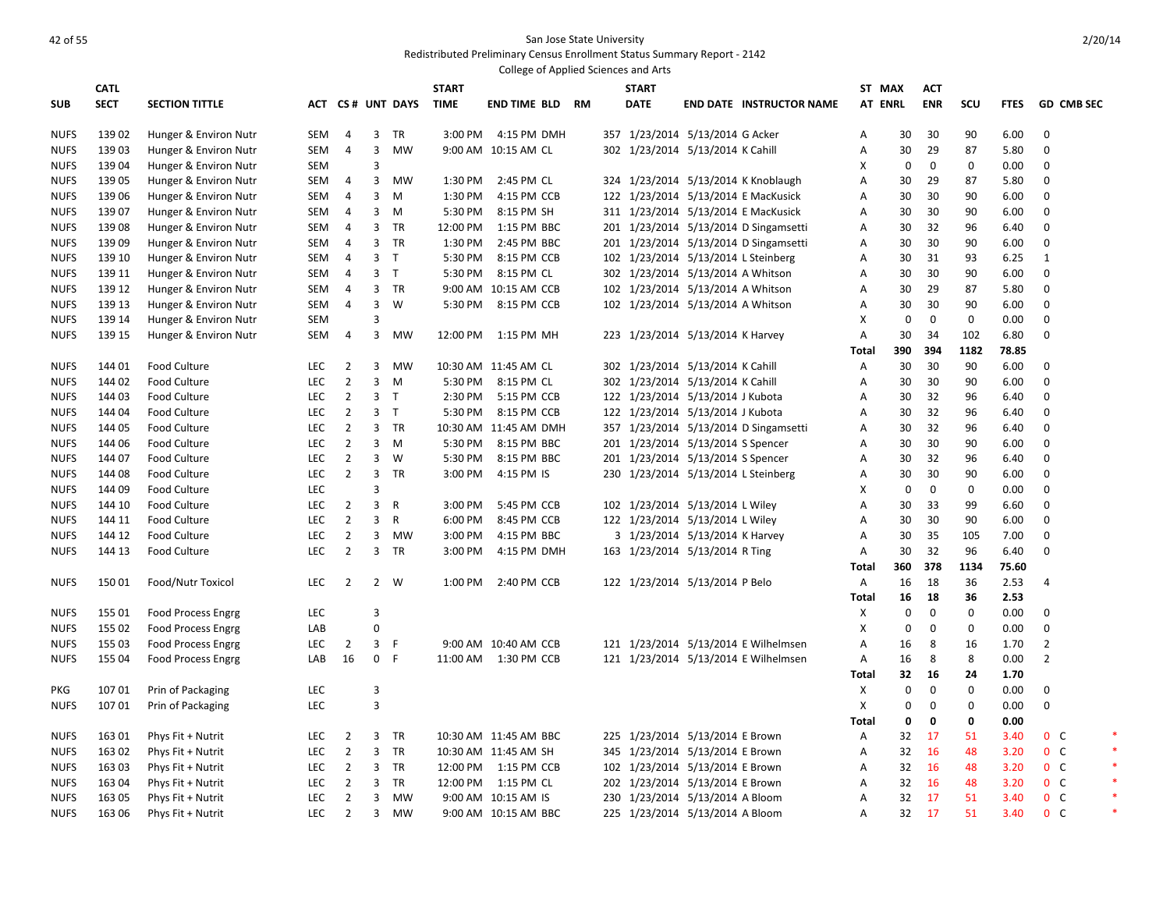# According to the State University of the State University of the State University of the State University of the State University of the State University of the State University of the State University of the State Univers

|             |             |                           |            |                |                         |                  |              | College of Applied Sciences and Arts |           |                                   |                                       |                |                  |              |             |             |                |                   |  |
|-------------|-------------|---------------------------|------------|----------------|-------------------------|------------------|--------------|--------------------------------------|-----------|-----------------------------------|---------------------------------------|----------------|------------------|--------------|-------------|-------------|----------------|-------------------|--|
|             | <b>CATL</b> |                           |            |                |                         |                  | <b>START</b> |                                      |           | <b>START</b>                      |                                       | ST MAX         |                  | <b>ACT</b>   |             |             |                |                   |  |
| <b>SUB</b>  | <b>SECT</b> | <b>SECTION TITTLE</b>     |            |                |                         | ACT CS# UNT DAYS | <b>TIME</b>  | END TIME BLD                         | <b>RM</b> | <b>DATE</b>                       | <b>END DATE INSTRUCTOR NAME</b>       | <b>AT ENRL</b> |                  | <b>ENR</b>   | SCU         | <b>FTES</b> |                | <b>GD CMB SEC</b> |  |
|             |             |                           |            |                |                         |                  |              |                                      |           |                                   |                                       |                |                  |              |             |             |                |                   |  |
| <b>NUFS</b> | 139 02      | Hunger & Environ Nutr     | SEM        | 4              | 3                       | TR               | 3:00 PM      | 4:15 PM DMH                          |           | 357 1/23/2014 5/13/2014 G Acker   |                                       | A              | 30               | 30           | 90          | 6.00        | $\mathbf 0$    |                   |  |
| <b>NUFS</b> | 13903       | Hunger & Environ Nutr     | SEM        | 4              | 3                       | <b>MW</b>        |              | 9:00 AM 10:15 AM CL                  |           | 302 1/23/2014 5/13/2014 K Cahill  |                                       | Α              | 30               | 29           | 87          | 5.80        | $\Omega$       |                   |  |
| <b>NUFS</b> | 139 04      | Hunger & Environ Nutr     | SEM        |                | 3                       |                  |              |                                      |           |                                   |                                       | X              | $\mathbf 0$      | 0            | 0           | 0.00        | $\Omega$       |                   |  |
| <b>NUFS</b> | 139 05      | Hunger & Environ Nutr     | SEM        | $\overline{4}$ | 3                       | <b>MW</b>        | 1:30 PM      | 2:45 PM CL                           |           |                                   | 324 1/23/2014 5/13/2014 K Knoblaugh   | Α              | 30               | 29           | 87          | 5.80        | $\Omega$       |                   |  |
| <b>NUFS</b> | 139 06      | Hunger & Environ Nutr     | SEM        | 4              | 3                       | M                | 1:30 PM      | 4:15 PM CCB                          |           |                                   | 122 1/23/2014 5/13/2014 E MacKusick   | Α              | 30               | 30           | 90          | 6.00        | $\Omega$       |                   |  |
| <b>NUFS</b> | 139 07      | Hunger & Environ Nutr     | SEM        | 4              | 3                       | M                | 5:30 PM      | 8:15 PM SH                           |           |                                   | 311 1/23/2014 5/13/2014 E MacKusick   | A              | 30               | 30           | 90          | 6.00        | $\Omega$       |                   |  |
| <b>NUFS</b> | 13908       | Hunger & Environ Nutr     | SEM        | 4              | 3                       | <b>TR</b>        | 12:00 PM     | 1:15 PM BBC                          |           |                                   | 201 1/23/2014 5/13/2014 D Singamsetti | А              | 30               | 32           | 96          | 6.40        | $\mathbf 0$    |                   |  |
| <b>NUFS</b> | 13909       | Hunger & Environ Nutr     | SEM        | $\overline{4}$ | $\mathbf{3}$            | <b>TR</b>        | 1:30 PM      | 2:45 PM BBC                          |           |                                   | 201 1/23/2014 5/13/2014 D Singamsetti | Α              | 30               | 30           | 90          | 6.00        | 0              |                   |  |
| <b>NUFS</b> | 139 10      | Hunger & Environ Nutr     | SEM        | 4              | $\overline{3}$          | $\top$           | 5:30 PM      | 8:15 PM CCB                          |           |                                   | 102 1/23/2014 5/13/2014 L Steinberg   | Α              | 30               | 31           | 93          | 6.25        | $\mathbf{1}$   |                   |  |
| <b>NUFS</b> | 139 11      | Hunger & Environ Nutr     | SEM        | 4              | $\mathbf{3}$            | $\top$           | 5:30 PM      | 8:15 PM CL                           |           | 302 1/23/2014 5/13/2014 A Whitson |                                       | Α              | 30               | 30           | 90          | 6.00        | $\mathbf 0$    |                   |  |
| <b>NUFS</b> | 139 12      | Hunger & Environ Nutr     | <b>SEM</b> | 4              | $\overline{3}$          | <b>TR</b>        |              | 9:00 AM 10:15 AM CCB                 |           | 102 1/23/2014 5/13/2014 A Whitson |                                       | A              | 30               | 29           | 87          | 5.80        | $\Omega$       |                   |  |
| <b>NUFS</b> | 139 13      | Hunger & Environ Nutr     | SEM        | 4              | $\overline{\mathbf{3}}$ | W                | 5:30 PM      | 8:15 PM CCB                          |           | 102 1/23/2014 5/13/2014 A Whitson |                                       | Α              | 30               | 30           | 90          | 6.00        | 0              |                   |  |
| <b>NUFS</b> | 139 14      | Hunger & Environ Nutr     | SEM        |                | 3                       |                  |              |                                      |           |                                   |                                       | X              | $\mathbf 0$      | $\mathbf{0}$ | $\mathbf 0$ | 0.00        | $\Omega$       |                   |  |
| <b>NUFS</b> | 139 15      | Hunger & Environ Nutr     | SEM        | 4              | 3                       | MW               | 12:00 PM     | 1:15 PM MH                           |           | 223 1/23/2014 5/13/2014 K Harvey  |                                       | Α              | 30               | 34           | 102         | 6.80        | $\Omega$       |                   |  |
|             |             |                           |            |                |                         |                  |              |                                      |           |                                   |                                       | <b>Total</b>   | 390              | 394          | 1182        | 78.85       |                |                   |  |
| <b>NUFS</b> | 144 01      | Food Culture              | <b>LEC</b> | $\overline{2}$ | 3                       | <b>MW</b>        |              | 10:30 AM 11:45 AM CL                 |           | 302 1/23/2014 5/13/2014 K Cahill  |                                       | Α              | 30               | 30           | 90          | 6.00        | $\mathbf 0$    |                   |  |
| <b>NUFS</b> | 144 02      | <b>Food Culture</b>       | <b>LEC</b> | $\overline{2}$ | 3                       | M                | 5:30 PM      | 8:15 PM CL                           |           | 302 1/23/2014 5/13/2014 K Cahill  |                                       | Α              | 30               | 30           | 90          | 6.00        | $\mathbf 0$    |                   |  |
| <b>NUFS</b> | 144 03      | <b>Food Culture</b>       | <b>LEC</b> | $\overline{2}$ | 3                       | $\mathsf{T}$     | 2:30 PM      | 5:15 PM CCB                          |           | 122 1/23/2014 5/13/2014 J Kubota  |                                       | Α              | 30               | 32           | 96          | 6.40        | 0              |                   |  |
| <b>NUFS</b> | 144 04      | Food Culture              | LEC        | $\overline{2}$ | 3                       | $\top$           | 5:30 PM      | 8:15 PM CCB                          |           | 122 1/23/2014 5/13/2014 J Kubota  |                                       | Α              | 30               | 32           | 96          | 6.40        | $\Omega$       |                   |  |
| <b>NUFS</b> | 144 05      | <b>Food Culture</b>       | LEC        | $\overline{2}$ | 3                       | TR               |              | 10:30 AM 11:45 AM DMH                |           |                                   | 357 1/23/2014 5/13/2014 D Singamsetti | A              | 30               | 32           | 96          | 6.40        | $\mathbf 0$    |                   |  |
| <b>NUFS</b> | 144 06      | <b>Food Culture</b>       | <b>LEC</b> | $\overline{2}$ | 3                       | M                | 5:30 PM      | 8:15 PM BBC                          |           | 201 1/23/2014 5/13/2014 S Spencer |                                       | A              | 30               | 30           | 90          | 6.00        | $\Omega$       |                   |  |
| <b>NUFS</b> | 144 07      | <b>Food Culture</b>       | LEC        | $\overline{2}$ | 3                       | W                | 5:30 PM      | 8:15 PM BBC                          |           | 201 1/23/2014 5/13/2014 S Spencer |                                       | A              | 30               | 32           | 96          | 6.40        | $\Omega$       |                   |  |
| <b>NUFS</b> | 144 08      | <b>Food Culture</b>       | <b>LEC</b> | $\overline{2}$ | 3                       | <b>TR</b>        | 3:00 PM      | 4:15 PM IS                           |           |                                   | 230 1/23/2014 5/13/2014 L Steinberg   | Α              | 30               | 30           | 90          | 6.00        | $\Omega$       |                   |  |
| <b>NUFS</b> | 144 09      | <b>Food Culture</b>       | LEC        |                | 3                       |                  |              |                                      |           |                                   |                                       | х              | 0                | 0            | 0           | 0.00        | $\Omega$       |                   |  |
| <b>NUFS</b> | 144 10      | <b>Food Culture</b>       | <b>LEC</b> | $\overline{2}$ | 3                       | $\mathsf{R}$     | 3:00 PM      | 5:45 PM CCB                          |           | 102 1/23/2014 5/13/2014 L Wiley   |                                       | A              | 30               | 33           | 99          | 6.60        | $\Omega$       |                   |  |
| <b>NUFS</b> | 144 11      | <b>Food Culture</b>       | <b>LEC</b> | $\overline{2}$ | 3                       | R                | 6:00 PM      | 8:45 PM CCB                          |           | 122 1/23/2014 5/13/2014 L Wiley   |                                       | Α              | 30               | 30           | 90          | 6.00        | $\mathbf 0$    |                   |  |
| <b>NUFS</b> | 144 12      | <b>Food Culture</b>       | LEC        | $\overline{2}$ | 3                       | <b>MW</b>        | 3:00 PM      | 4:15 PM BBC                          |           | 3 1/23/2014 5/13/2014 K Harvey    |                                       | Α              | 30               | 35           | 105         | 7.00        | 0              |                   |  |
| <b>NUFS</b> | 144 13      | <b>Food Culture</b>       | <b>LEC</b> | $\overline{2}$ | $\overline{3}$          | <b>TR</b>        | 3:00 PM      | 4:15 PM DMH                          |           | 163 1/23/2014 5/13/2014 R Ting    |                                       | Α              | 30               | 32           | 96          | 6.40        | $\mathbf 0$    |                   |  |
|             |             |                           |            |                |                         |                  |              |                                      |           |                                   |                                       | Total          | 360              | 378          | 1134        | 75.60       |                |                   |  |
| <b>NUFS</b> | 15001       | Food/Nutr Toxicol         | <b>LEC</b> | $\overline{2}$ |                         | 2 W              | 1:00 PM      | 2:40 PM CCB                          |           | 122 1/23/2014 5/13/2014 P Belo    |                                       | Α              | 16               | 18           | 36          | 2.53        | 4              |                   |  |
|             |             |                           |            |                |                         |                  |              |                                      |           |                                   |                                       | Total          | 16               | 18           | 36          | 2.53        |                |                   |  |
| <b>NUFS</b> | 155 01      | <b>Food Process Engrg</b> | LEC        |                | 3                       |                  |              |                                      |           |                                   |                                       | x              | $\mathbf 0$      | $\mathbf 0$  | 0           | 0.00        | $\Omega$       |                   |  |
| <b>NUFS</b> | 155 02      | <b>Food Process Engrg</b> | LAB        |                | $\Omega$                |                  |              |                                      |           |                                   |                                       | X              | $\mathbf 0$      | 0            | $\pmb{0}$   | 0.00        | $\mathbf 0$    |                   |  |
| <b>NUFS</b> | 155 03      | <b>Food Process Engrg</b> | <b>LEC</b> | 2              | $\mathbf{3}$            | -F               |              | 9:00 AM 10:40 AM CCB                 |           |                                   | 121 1/23/2014 5/13/2014 E Wilhelmsen  | А              | 16               | 8            | 16          | 1.70        | $\overline{2}$ |                   |  |
| <b>NUFS</b> | 155 04      | <b>Food Process Engrg</b> | LAB        | 16             | $\mathbf 0$             | $\mathsf{F}$     |              | 11:00 AM  1:30 PM CCB                |           |                                   | 121 1/23/2014 5/13/2014 E Wilhelmsen  | Α              | 16               | 8            | 8           | 0.00        | $\overline{2}$ |                   |  |
|             |             |                           |            |                |                         |                  |              |                                      |           |                                   |                                       | Total          | 32               | 16           | 24          | 1.70        |                |                   |  |
| <b>PKG</b>  | 10701       | Prin of Packaging         | LEC        |                | 3                       |                  |              |                                      |           |                                   |                                       | X              | $\mathbf 0$      | 0            | 0           | 0.00        | 0              |                   |  |
| <b>NUFS</b> | 10701       | Prin of Packaging         | <b>LEC</b> |                | 3                       |                  |              |                                      |           |                                   |                                       | X              | $\boldsymbol{0}$ | 0            | $\pmb{0}$   | 0.00        | $\mathbf 0$    |                   |  |
|             |             |                           |            |                |                         |                  |              |                                      |           |                                   |                                       | Total          | 0                | 0            | 0           | 0.00        |                |                   |  |
| <b>NUFS</b> | 163 01      | Phys Fit + Nutrit         | <b>LEC</b> | $\overline{2}$ | $\overline{3}$          | <b>TR</b>        |              | 10:30 AM 11:45 AM BBC                |           | 225 1/23/2014 5/13/2014 E Brown   |                                       | Α              | 32               | 17           | 51          | 3.40        | 0 <sup>o</sup> |                   |  |
| <b>NUFS</b> | 163 02      | Phys Fit + Nutrit         | LEC        | $\overline{2}$ | 3                       | <b>TR</b>        |              | 10:30 AM 11:45 AM SH                 |           | 345 1/23/2014 5/13/2014 E Brown   |                                       | Α              | 32               | 16           | 48          | 3.20        | $0\quad C$     |                   |  |
| <b>NUFS</b> | 163 03      | Phys Fit + Nutrit         | <b>LEC</b> | $\overline{2}$ | $\overline{3}$          | TR               | 12:00 PM     | 1:15 PM CCB                          |           | 102 1/23/2014 5/13/2014 E Brown   |                                       | Α              | 32               | 16           | 48          | 3.20        | $0\quad C$     |                   |  |
| <b>NUFS</b> | 163 04      | Phys Fit + Nutrit         | <b>LEC</b> | $\overline{2}$ | 3                       | TR               | 12:00 PM     | 1:15 PM CL                           |           | 202 1/23/2014 5/13/2014 E Brown   |                                       | Α              | 32               | 16           | 48          | 3.20        | 0 <sup>o</sup> |                   |  |
| <b>NUFS</b> | 163 05      | Phys Fit + Nutrit         | <b>LEC</b> | $\overline{2}$ | 3                       | <b>MW</b>        |              | 9:00 AM 10:15 AM IS                  |           | 230 1/23/2014 5/13/2014 A Bloom   |                                       | Α              | 32               | 17           | 51          | 3.40        | 0 <sup>o</sup> |                   |  |
| <b>NUFS</b> | 163 06      | Phys Fit + Nutrit         | <b>LEC</b> | $\overline{2}$ | $\overline{3}$          | <b>MW</b>        |              | 9:00 AM 10:15 AM BBC                 |           | 225 1/23/2014 5/13/2014 A Bloom   |                                       | A              | 32               | 17           | 51          | 3.40        | 0 <sup>o</sup> |                   |  |
|             |             |                           |            |                |                         |                  |              |                                      |           |                                   |                                       |                |                  |              |             |             |                |                   |  |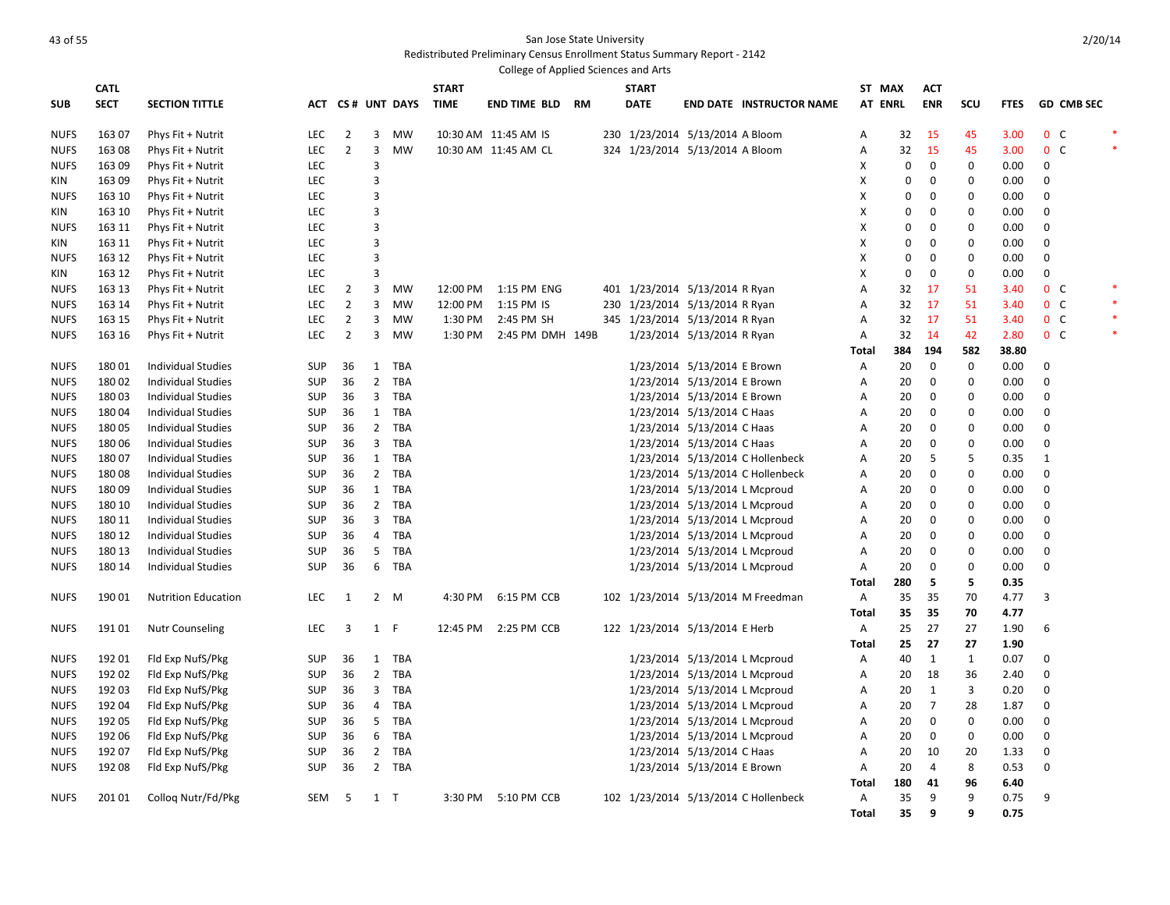# As the state University of the State University of the State University of the State University of the State University

|             |             |                            |            |                |                |                  |              | College of Applied Sciences and Arts |    |     |                                 |                             |                                      |              |                  |                |              |             |                |                   |        |
|-------------|-------------|----------------------------|------------|----------------|----------------|------------------|--------------|--------------------------------------|----|-----|---------------------------------|-----------------------------|--------------------------------------|--------------|------------------|----------------|--------------|-------------|----------------|-------------------|--------|
|             | <b>CATL</b> |                            |            |                |                |                  | <b>START</b> |                                      |    |     | <b>START</b>                    |                             |                                      |              | ST MAX           | <b>ACT</b>     |              |             |                |                   |        |
| <b>SUB</b>  | <b>SECT</b> | <b>SECTION TITTLE</b>      |            |                |                | ACT CS# UNT DAYS | <b>TIME</b>  | <b>END TIME BLD</b>                  | RM |     | <b>DATE</b>                     |                             | <b>END DATE INSTRUCTOR NAME</b>      |              | <b>AT ENRL</b>   | <b>ENR</b>     | SCU          | <b>FTES</b> |                | <b>GD CMB SEC</b> |        |
| <b>NUFS</b> | 163 07      | Phys Fit + Nutrit          | LEC        | $\overline{2}$ | 3              | MW               |              | 10:30 AM 11:45 AM IS                 |    |     | 230 1/23/2014 5/13/2014 A Bloom |                             |                                      | Α            | 32               | 15             | 45           | 3.00        | 0 <sup>o</sup> |                   |        |
| <b>NUFS</b> | 16308       | Phys Fit + Nutrit          | LEC        | $\overline{2}$ | 3              | <b>MW</b>        |              | 10:30 AM 11:45 AM CL                 |    |     | 324 1/23/2014 5/13/2014 A Bloom |                             |                                      | A            | 32               | 15             | 45           | 3.00        | 0 <sup>o</sup> |                   |        |
| <b>NUFS</b> | 163 09      | Phys Fit + Nutrit          | LEC        |                | 3              |                  |              |                                      |    |     |                                 |                             |                                      | х            | 0                | 0              | 0            | 0.00        | 0              |                   |        |
| KIN         | 163 09      | Phys Fit + Nutrit          | <b>LEC</b> |                | 3              |                  |              |                                      |    |     |                                 |                             |                                      | X            | $\mathbf 0$      | $\mathbf 0$    | $\mathbf 0$  | 0.00        | $\mathbf{0}$   |                   |        |
| <b>NUFS</b> | 163 10      | Phys Fit + Nutrit          | <b>LEC</b> |                | 3              |                  |              |                                      |    |     |                                 |                             |                                      | х            | 0                | $\Omega$       | 0            | 0.00        | 0              |                   |        |
| KIN         | 163 10      | Phys Fit + Nutrit          | LEC        |                | 3              |                  |              |                                      |    |     |                                 |                             |                                      | X            | 0                | 0              | 0            | 0.00        | 0              |                   |        |
| <b>NUFS</b> | 163 11      | Phys Fit + Nutrit          | <b>LEC</b> |                | 3              |                  |              |                                      |    |     |                                 |                             |                                      | X            | $\Omega$         | 0              | 0            | 0.00        | 0              |                   |        |
| KIN         | 163 11      | Phys Fit + Nutrit          | LEC        |                | 3              |                  |              |                                      |    |     |                                 |                             |                                      | X            | 0                | 0              | 0            | 0.00        | 0              |                   |        |
| <b>NUFS</b> | 163 12      | Phys Fit + Nutrit          | LEC        |                | 3              |                  |              |                                      |    |     |                                 |                             |                                      | х            | $\Omega$         | 0              | 0            | 0.00        | 0              |                   |        |
| KIN         | 163 12      | Phys Fit + Nutrit          | LEC        |                | 3              |                  |              |                                      |    |     |                                 |                             |                                      | X            | $\boldsymbol{0}$ | $\mathbf 0$    | 0            | 0.00        | 0              |                   |        |
| <b>NUFS</b> | 163 13      | Phys Fit + Nutrit          | LEC        | $\overline{2}$ | 3              | MW               | 12:00 PM     | 1:15 PM ENG                          |    |     | 401 1/23/2014 5/13/2014 R Ryan  |                             |                                      | A            | 32               | 17             | 51           | 3.40        | 0 <sup>o</sup> |                   |        |
| <b>NUFS</b> | 163 14      | Phys Fit + Nutrit          | LEC        | $\overline{2}$ | 3              | MW               | 12:00 PM     | 1:15 PM IS                           |    | 230 | 1/23/2014 5/13/2014 R Ryan      |                             |                                      | Α            | 32               | 17             | 51           | 3.40        | 0 <sup>o</sup> |                   | *      |
| <b>NUFS</b> | 163 15      | Phys Fit + Nutrit          | LEC        | $\overline{2}$ | 3              | MW               | 1:30 PM      | 2:45 PM SH                           |    |     | 345 1/23/2014 5/13/2014 R Ryan  |                             |                                      | A            | 32               | 17             | 51           | 3.40        | 0 <sup>o</sup> |                   |        |
| <b>NUFS</b> | 163 16      | Phys Fit + Nutrit          | LEC        | $\overline{2}$ | 3              | MW               | 1:30 PM      | 2:45 PM DMH 149B                     |    |     |                                 | 1/23/2014 5/13/2014 R Ryan  |                                      | A            | 32               | -14            | 42           | 2.80        | 0 <sup>o</sup> |                   | $\ast$ |
|             |             |                            |            |                |                |                  |              |                                      |    |     |                                 |                             |                                      | Total        | 384              | 194            | 582          | 38.80       |                |                   |        |
| <b>NUFS</b> | 18001       | <b>Individual Studies</b>  | <b>SUP</b> | 36             | 1              | TBA              |              |                                      |    |     |                                 | 1/23/2014 5/13/2014 E Brown |                                      | Α            | 20               | $\mathbf 0$    | $\mathbf 0$  | 0.00        | $\Omega$       |                   |        |
| <b>NUFS</b> | 18002       | <b>Individual Studies</b>  | SUP        | 36             | $\overline{2}$ | TBA              |              |                                      |    |     |                                 | 1/23/2014 5/13/2014 E Brown |                                      | Α            | 20               | $\mathbf 0$    | $\mathbf 0$  | 0.00        | $\mathbf 0$    |                   |        |
| <b>NUFS</b> | 18003       | <b>Individual Studies</b>  | <b>SUP</b> | 36             | $\overline{3}$ | TBA              |              |                                      |    |     |                                 | 1/23/2014 5/13/2014 E Brown |                                      | A            | 20               | $\mathbf 0$    | 0            | 0.00        | 0              |                   |        |
| <b>NUFS</b> | 18004       | <b>Individual Studies</b>  | <b>SUP</b> | 36             | $\mathbf{1}$   | TBA              |              |                                      |    |     |                                 | 1/23/2014 5/13/2014 C Haas  |                                      | Α            | 20               | 0              | 0            | 0.00        | 0              |                   |        |
| <b>NUFS</b> | 18005       | <b>Individual Studies</b>  | <b>SUP</b> | 36             | $\overline{2}$ | TBA              |              |                                      |    |     |                                 | 1/23/2014 5/13/2014 C Haas  |                                      | A            | 20               | $\mathbf 0$    | 0            | 0.00        | 0              |                   |        |
| <b>NUFS</b> | 180 06      | <b>Individual Studies</b>  | <b>SUP</b> | 36             | $\overline{3}$ | <b>TBA</b>       |              |                                      |    |     |                                 | 1/23/2014 5/13/2014 C Haas  |                                      | A            | 20               | $\mathbf 0$    | 0            | 0.00        | 0              |                   |        |
| <b>NUFS</b> | 18007       | <b>Individual Studies</b>  | <b>SUP</b> | 36             | 1              | <b>TBA</b>       |              |                                      |    |     |                                 |                             | 1/23/2014 5/13/2014 C Hollenbeck     | A            | 20               | 5              | 5            | 0.35        | 1              |                   |        |
| <b>NUFS</b> | 18008       | <b>Individual Studies</b>  | SUP        | 36             | $\overline{2}$ | TBA              |              |                                      |    |     |                                 |                             | 1/23/2014 5/13/2014 C Hollenbeck     | Α            | 20               | 0              | 0            | 0.00        | 0              |                   |        |
| <b>NUFS</b> | 18009       | <b>Individual Studies</b>  | SUP        | 36             | $\mathbf{1}$   | <b>TBA</b>       |              |                                      |    |     |                                 |                             | 1/23/2014 5/13/2014 L Mcproud        | A            | 20               | $\mathbf 0$    | 0            | 0.00        | $\mathbf{0}$   |                   |        |
| <b>NUFS</b> | 180 10      | <b>Individual Studies</b>  | <b>SUP</b> | 36             | $\overline{2}$ | TBA              |              |                                      |    |     |                                 |                             | 1/23/2014 5/13/2014 L Mcproud        | Α            | 20               | 0              | 0            | 0.00        | 0              |                   |        |
| <b>NUFS</b> | 180 11      | <b>Individual Studies</b>  | SUP        | 36             | 3              | <b>TBA</b>       |              |                                      |    |     |                                 |                             | 1/23/2014 5/13/2014 L Mcproud        | Α            | 20               | $\mathbf 0$    | 0            | 0.00        | $\mathbf 0$    |                   |        |
| <b>NUFS</b> | 180 12      | <b>Individual Studies</b>  | <b>SUP</b> | 36             | 4              | TBA              |              |                                      |    |     |                                 |                             | 1/23/2014 5/13/2014 L Mcproud        | Α            | 20               | 0              | 0            | 0.00        | 0              |                   |        |
| <b>NUFS</b> | 180 13      | <b>Individual Studies</b>  | <b>SUP</b> | 36             | 5              | <b>TBA</b>       |              |                                      |    |     |                                 |                             | 1/23/2014 5/13/2014 L Mcproud        | Α            | 20               | $\mathbf 0$    | 0            | 0.00        | 0              |                   |        |
| <b>NUFS</b> | 180 14      | <b>Individual Studies</b>  | <b>SUP</b> | 36             | 6              | TBA              |              |                                      |    |     |                                 |                             | 1/23/2014 5/13/2014 L Mcproud        | Α            | 20               | 0              | 0            | 0.00        | 0              |                   |        |
|             |             |                            |            |                |                |                  |              |                                      |    |     |                                 |                             |                                      | Total        | 280              | -5             | 5            | 0.35        |                |                   |        |
| <b>NUFS</b> | 190 01      | <b>Nutrition Education</b> | LEC        | 1              | $2^{\circ}$    | M                | 4:30 PM      | 6:15 PM CCB                          |    |     |                                 |                             | 102 1/23/2014 5/13/2014 M Freedman   | A            | 35               | 35             | 70           | 4.77        | $\overline{3}$ |                   |        |
|             |             |                            |            |                |                |                  |              |                                      |    |     |                                 |                             |                                      | Total        | 35               | 35             | 70           | 4.77        |                |                   |        |
| <b>NUFS</b> | 19101       | <b>Nutr Counseling</b>     | <b>LEC</b> | 3              | 1              | $\mathsf{F}$     | 12:45 PM     | 2:25 PM CCB                          |    |     | 122 1/23/2014 5/13/2014 E Herb  |                             |                                      | $\mathsf{A}$ | 25               | 27             | 27           | 1.90        | 6              |                   |        |
|             |             |                            |            |                |                |                  |              |                                      |    |     |                                 |                             |                                      | Total        | 25               | 27             | 27           | 1.90        |                |                   |        |
| <b>NUFS</b> | 192 01      | Fld Exp NufS/Pkg           | <b>SUP</b> | 36             | $\mathbf{1}$   | <b>TBA</b>       |              |                                      |    |     |                                 |                             | 1/23/2014 5/13/2014 L Mcproud        | A            | 40               | 1              | $\mathbf{1}$ | 0.07        | $\mathbf{0}$   |                   |        |
| <b>NUFS</b> | 192 02      | Fld Exp NufS/Pkg           | SUP        | 36             | $\overline{2}$ | TBA              |              |                                      |    |     |                                 |                             | 1/23/2014 5/13/2014 L Mcproud        | Α            | 20               | 18             | 36           | 2.40        | 0              |                   |        |
| <b>NUFS</b> | 192 03      | Fld Exp NufS/Pkg           | SUP        | 36             | 3              | <b>TBA</b>       |              |                                      |    |     |                                 |                             | 1/23/2014 5/13/2014 L Mcproud        | Α            | 20               | 1              | 3            | 0.20        | $\mathbf 0$    |                   |        |
| <b>NUFS</b> | 192 04      | Fld Exp NufS/Pkg           | <b>SUP</b> | 36             | 4              | <b>TBA</b>       |              |                                      |    |     |                                 |                             | 1/23/2014 5/13/2014 L Mcproud        | Α            | 20               | $\overline{7}$ | 28           | 1.87        | 0              |                   |        |
| <b>NUFS</b> | 192 05      | Fld Exp NufS/Pkg           | SUP        | 36             | 5              | <b>TBA</b>       |              |                                      |    |     |                                 |                             | 1/23/2014 5/13/2014 L Mcproud        | Α            | 20               | $\overline{0}$ | $\mathbf 0$  | 0.00        | $\mathbf 0$    |                   |        |
| <b>NUFS</b> | 192 06      | Fld Exp NufS/Pkg           | <b>SUP</b> | 36             | 6              | <b>TBA</b>       |              |                                      |    |     |                                 |                             | 1/23/2014 5/13/2014 L Mcproud        | Α            | 20               | 0              | $\mathbf 0$  | 0.00        | 0              |                   |        |
| <b>NUFS</b> | 192 07      | Fld Exp NufS/Pkg           | SUP        | 36             | $\overline{2}$ | TBA              |              |                                      |    |     |                                 | 1/23/2014 5/13/2014 C Haas  |                                      | Α            | 20               | 10             | 20           | 1.33        | $\mathbf 0$    |                   |        |
|             | 192 08      | Fld Exp NufS/Pkg           | <b>SUP</b> | 36             | $2^{\circ}$    | TBA              |              |                                      |    |     |                                 | 1/23/2014 5/13/2014 E Brown |                                      | A            | 20               | $\overline{4}$ | 8            | 0.53        | 0              |                   |        |
| <b>NUFS</b> |             |                            |            |                |                |                  |              |                                      |    |     |                                 |                             |                                      | Total        | 180              | 41             | 96           | 6.40        |                |                   |        |
| <b>NUFS</b> | 20101       | Collog Nutr/Fd/Pkg         | SEM        | -5             | 1 T            |                  | 3:30 PM      | 5:10 PM CCB                          |    |     |                                 |                             | 102 1/23/2014 5/13/2014 C Hollenbeck | A            | 35               | 9              | 9            | 0.75        | 9              |                   |        |
|             |             |                            |            |                |                |                  |              |                                      |    |     |                                 |                             |                                      | <b>Total</b> | 35               | 9              | q            | 0.75        |                |                   |        |
|             |             |                            |            |                |                |                  |              |                                      |    |     |                                 |                             |                                      |              |                  |                |              |             |                |                   |        |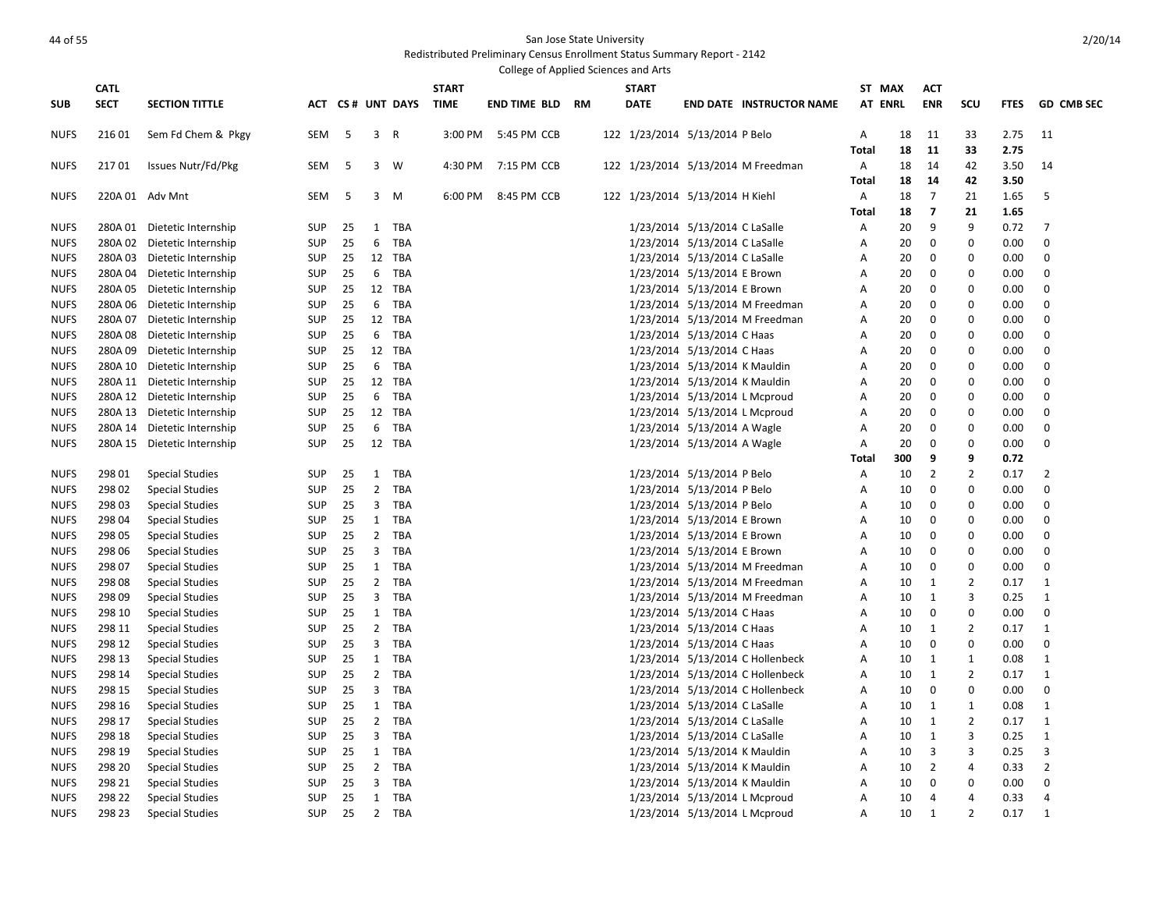### And the San Jose State University and the San Jose State University

| <b>CATL</b><br><b>START</b><br><b>START</b><br>ST MAX<br>ACT<br><b>SECT</b><br>ACT CS# UNT DAYS<br><b>TIME</b><br><b>DATE</b><br><b>AT ENRL</b><br><b>ENR</b><br>SCU<br><b>GD CMB SEC</b><br><b>SECTION TITTLE</b><br><b>END TIME BLD RM</b><br><b>END DATE INSTRUCTOR NAME</b><br><b>FTES</b><br>216 01<br>Sem Fd Chem & Pkgy<br>SEM<br>5<br>3 R<br>3:00 PM<br>5:45 PM CCB<br>122 1/23/2014 5/13/2014 P Belo<br>18<br>11<br>33<br>2.75<br>11<br><b>NUFS</b><br>Α<br>18<br>11<br>33<br><b>Total</b><br>2.75<br>21701<br>Issues Nutr/Fd/Pkg<br>SEM<br>3<br>W<br>4:30 PM<br>7:15 PM CCB<br>122 1/23/2014 5/13/2014 M Freedman<br>Α<br>18<br>14<br>42<br>3.50<br><b>NUFS</b><br>-5<br>14<br>18<br>14<br>42<br>3.50<br><b>Total</b><br>220A 01 Adv Mnt<br>SEM<br>3<br>8:45 PM CCB<br>122 1/23/2014 5/13/2014 H Kiehl<br>18<br>7<br>21<br>1.65<br>5<br><b>NUFS</b><br>-5<br>M<br>6:00 PM<br>Α<br>$\overline{\mathbf{z}}$<br><b>Total</b><br>18<br>21<br>1.65<br><b>SUP</b><br>25<br>1<br><b>TBA</b><br>1/23/2014 5/13/2014 C LaSalle<br>20<br>9<br>9<br>0.72<br>$\overline{7}$<br><b>NUFS</b><br>280A 01 Dietetic Internship<br>Α<br>25<br><b>TBA</b><br>1/23/2014 5/13/2014 C LaSalle<br>20<br>0<br>0.00<br>0<br><b>NUFS</b><br>280A 02 Dietetic Internship<br><b>SUP</b><br>6<br>Α<br>0<br>280A 03 Dietetic Internship<br><b>SUP</b><br>25<br>12 TBA<br>1/23/2014 5/13/2014 C LaSalle<br>20<br>$\mathbf 0$<br>$\mathbf 0$<br>0.00<br>0<br><b>NUFS</b><br>Α<br>25<br>TBA<br>1/23/2014 5/13/2014 E Brown<br>0<br>280A 04 Dietetic Internship<br><b>SUP</b><br>6<br>20<br>0<br>0<br>0.00<br>NUFS<br>Α<br>280A 05 Dietetic Internship<br>25<br>12 TBA<br>1/23/2014 5/13/2014 E Brown<br>20<br>$\mathbf 0$<br>$\mathbf 0$<br>$\mathbf 0$<br><b>NUFS</b><br><b>SUP</b><br>Α<br>0.00<br>25<br>$\mathbf 0$<br><b>NUFS</b><br>280A 06 Dietetic Internship<br><b>SUP</b><br>6<br><b>TBA</b><br>1/23/2014 5/13/2014 M Freedman<br>20<br>0<br>0<br>0.00<br>A<br>25<br>$\mathbf 0$<br>$\mathbf 0$<br>$\mathbf 0$<br><b>NUFS</b><br>280A 07 Dietetic Internship<br><b>SUP</b><br>12 TBA<br>1/23/2014 5/13/2014 M Freedman<br>Α<br>20<br>0.00<br><b>NUFS</b><br>280A 08 Dietetic Internship<br><b>SUP</b><br>25<br>6<br><b>TBA</b><br>1/23/2014 5/13/2014 C Haas<br>20<br>$\mathbf 0$<br>$\mathbf 0$<br>0.00<br>$\mathbf 0$<br>Α<br>280A 09 Dietetic Internship<br>25<br>12 TBA<br>1/23/2014 5/13/2014 C Haas<br>$\mathbf 0$<br><b>NUFS</b><br>SUP<br>Α<br>20<br>0<br>0.00<br>0<br><b>NUFS</b><br>280A 10 Dietetic Internship<br><b>SUP</b><br>25<br>6<br>TBA<br>1/23/2014 5/13/2014 K Mauldin<br>20<br>$\mathbf 0$<br>$\mathbf 0$<br>0.00<br>$\mathbf 0$<br>Α<br>280A 11 Dietetic Internship<br>25<br>12 TBA<br>1/23/2014 5/13/2014 K Mauldin<br>20<br>0<br><b>SUP</b><br>Α<br>0<br>0.00<br>0<br>280A 12 Dietetic Internship<br><b>SUP</b><br>25<br>6<br><b>TBA</b><br>1/23/2014 5/13/2014 L Mcproud<br>20<br>$\mathbf 0$<br>$\mathbf 0$<br>0.00<br>0<br>Α<br>12 TBA<br>0<br>280A 13 Dietetic Internship<br><b>SUP</b><br>25<br>1/23/2014 5/13/2014 L Mcproud<br>A<br>20<br>0<br>0.00<br>0<br>280A 14 Dietetic Internship<br><b>SUP</b><br>25<br>6<br><b>TBA</b><br>20<br>$\mathbf 0$<br>$\mathbf 0$<br>0.00<br>$\mathbf 0$<br>1/23/2014 5/13/2014 A Wagle<br>A<br>25<br>12 TBA<br>$\mathbf 0$<br>$\mathbf 0$<br>280A 15 Dietetic Internship<br><b>SUP</b><br>1/23/2014 5/13/2014 A Wagle<br>20<br>0<br>0.00<br>A<br>9<br>9<br>Total<br>300<br>0.72<br>298 01<br><b>Special Studies</b><br>25<br>1<br>TBA<br>1/23/2014 5/13/2014 P Belo<br>10<br>$\overline{2}$<br>$\overline{2}$<br>0.17<br>$\overline{2}$<br><b>SUP</b><br>Α<br>$\overline{2}$<br>0<br>298 02<br><b>Special Studies</b><br><b>SUP</b><br>25<br>TBA<br>1/23/2014 5/13/2014 P Belo<br>Α<br>10<br>0<br>0<br>0.00<br>298 03<br>25<br>3<br><b>TBA</b><br>1/23/2014 5/13/2014 P Belo<br>10<br>0<br>$\mathbf 0$<br>0.00<br>0<br><b>Special Studies</b><br><b>SUP</b><br>Α<br>0<br>298 04<br><b>Special Studies</b><br><b>SUP</b><br>25<br>1<br>TBA<br>1/23/2014 5/13/2014 E Brown<br>Α<br>10<br>0<br>0<br>0.00<br>298 05<br><b>SUP</b><br>25<br>$\overline{2}$<br><b>TBA</b><br>1/23/2014 5/13/2014 E Brown<br>10<br>0<br>$\mathbf 0$<br>0.00<br>0<br><b>Special Studies</b><br>Α<br>3<br>$\mathbf 0$<br>298 06<br><b>SUP</b><br>25<br>TBA<br>1/23/2014 5/13/2014 E Brown<br>10<br>0<br>0<br>0.00<br><b>Special Studies</b><br>A<br>298 07<br>25<br>$\mathbf{1}$<br><b>TBA</b><br>1/23/2014 5/13/2014 M Freedman<br>10<br>0<br>$\mathbf 0$<br>0.00<br>0<br><b>Special Studies</b><br><b>SUP</b><br>Α<br>$\overline{2}$<br>$\overline{2}$<br>298 08<br><b>SUP</b><br>25<br>TBA<br>1/23/2014 5/13/2014 M Freedman<br>10<br>1<br>0.17<br>$\mathbf{1}$<br><b>Special Studies</b><br>Α<br>298 09<br>25<br>3<br>TBA<br>3<br><b>Special Studies</b><br><b>SUP</b><br>1/23/2014 5/13/2014 M Freedman<br>10<br>1<br>0.25<br>1<br>Α<br>298 10<br>25<br>1<br>TBA<br>1/23/2014 5/13/2014 C Haas<br>$\mathbf 0$<br>$\mathbf 0$<br>0.00<br>$\mathbf 0$<br><b>Special Studies</b><br><b>SUP</b><br>A<br>10<br>$\overline{2}$<br>$\overline{2}$<br>298 11<br><b>Special Studies</b><br><b>SUP</b><br>25<br>TBA<br>1/23/2014 5/13/2014 C Haas<br>10<br>1<br>0.17<br>1<br>Α<br>298 12<br><b>SUP</b><br>25<br>$\overline{3}$<br>TBA<br>1/23/2014 5/13/2014 C Haas<br>$\mathbf 0$<br>$\mathbf 0$<br>0.00<br>$\mathbf 0$<br><b>Special Studies</b><br>Α<br>10<br>25<br>298 13<br><b>Special Studies</b><br><b>SUP</b><br>1<br>TBA<br>1/23/2014 5/13/2014 C Hollenbeck<br>10<br>1<br>0.08<br>1<br>Α<br>1<br>298 14<br><b>SUP</b><br>25<br>$2^{\circ}$<br>TBA<br>1/23/2014 5/13/2014 C Hollenbeck<br>1<br>$\overline{2}$<br>0.17<br><b>Special Studies</b><br>Α<br>10<br>1<br>298 15<br><b>SUP</b><br>25<br>3<br><b>TBA</b><br>1/23/2014 5/13/2014 C Hollenbeck<br>10<br>$\mathbf 0$<br>0<br>0.00<br>0<br><b>Special Studies</b><br>Α<br>298 16<br>25<br>$\mathbf{1}$<br>TBA<br>1/23/2014 5/13/2014 C LaSalle<br>0.08<br><b>Special Studies</b><br><b>SUP</b><br>Α<br>10<br>1<br>1<br>1<br>$\overline{2}$<br>$\overline{2}$<br>298 17<br><b>SUP</b><br>25<br><b>TBA</b><br>1/23/2014 5/13/2014 C LaSalle<br>10<br>1<br>0.17<br>$\mathbf{1}$<br><b>Special Studies</b><br>Α<br>298 18<br>25<br>3<br><b>TBA</b><br>$\mathbf{1}$<br>3<br><b>Special Studies</b><br><b>SUP</b><br>1/23/2014 5/13/2014 C LaSalle<br>Α<br>10<br>0.25<br>1<br>$\overline{3}$<br>298 19<br><b>SUP</b><br>25<br>1<br><b>TBA</b><br>1/23/2014 5/13/2014 K Mauldin<br>10<br>3<br>3<br><b>Special Studies</b><br>Α<br>0.25<br>$\overline{2}$<br>298 20<br><b>Special Studies</b><br><b>SUP</b><br>25<br>$\overline{2}$<br>TBA<br>1/23/2014 5/13/2014 K Mauldin<br>Α<br>10<br>2<br>4<br>0.33<br>25<br>3<br><b>TBA</b><br>$\mathbf 0$<br>298 21<br><b>Special Studies</b><br><b>SUP</b><br>1/23/2014 5/13/2014 K Mauldin<br>A<br>10<br>$\mathbf 0$<br>0<br>0.00<br><b>NUFS</b><br>298 22<br>SUP<br>25<br>1<br>TBA<br>1/23/2014 5/13/2014 L Mcproud<br>A<br>10<br>4<br>$\overline{4}$<br>0.33<br>4<br><b>Special Studies</b> | College of Applied Sciences and Arts |  |  |  |  |  |  |  |  |  |  |  |  |  |  |  |  |
|------------------------------------------------------------------------------------------------------------------------------------------------------------------------------------------------------------------------------------------------------------------------------------------------------------------------------------------------------------------------------------------------------------------------------------------------------------------------------------------------------------------------------------------------------------------------------------------------------------------------------------------------------------------------------------------------------------------------------------------------------------------------------------------------------------------------------------------------------------------------------------------------------------------------------------------------------------------------------------------------------------------------------------------------------------------------------------------------------------------------------------------------------------------------------------------------------------------------------------------------------------------------------------------------------------------------------------------------------------------------------------------------------------------------------------------------------------------------------------------------------------------------------------------------------------------------------------------------------------------------------------------------------------------------------------------------------------------------------------------------------------------------------------------------------------------------------------------------------------------------------------------------------------------------------------------------------------------------------------------------------------------------------------------------------------------------------------------------------------------------------------------------------------------------------------------------------------------------------------------------------------------------------------------------------------------------------------------------------------------------------------------------------------------------------------------------------------------------------------------------------------------------------------------------------------------------------------------------------------------------------------------------------------------------------------------------------------------------------------------------------------------------------------------------------------------------------------------------------------------------------------------------------------------------------------------------------------------------------------------------------------------------------------------------------------------------------------------------------------------------------------------------------------------------------------------------------------------------------------------------------------------------------------------------------------------------------------------------------------------------------------------------------------------------------------------------------------------------------------------------------------------------------------------------------------------------------------------------------------------------------------------------------------------------------------------------------------------------------------------------------------------------------------------------------------------------------------------------------------------------------------------------------------------------------------------------------------------------------------------------------------------------------------------------------------------------------------------------------------------------------------------------------------------------------------------------------------------------------------------------------------------------------------------------------------------------------------------------------------------------------------------------------------------------------------------------------------------------------------------------------------------------------------------------------------------------------------------------------------------------------------------------------------------------------------------------------------------------------------------------------------------------------------------------------------------------------------------------------------------------------------------------------------------------------------------------------------------------------------------------------------------------------------------------------------------------------------------------------------------------------------------------------------------------------------------------------------------------------------------------------------------------------------------------------------------------------------------------------------------------------------------------------------------------------------------------------------------------------------------------------------------------------------------------------------------------------------------------------------------------------------------------------------------------------------------------------------------------------------------------------------------------------------------------------------------------------------------------------------------------------------------------------------------------------------------------------------------------------------------------------------------------------------------------------------------------------------------------------------------------------------------------------------------------------------------------------------------------------------------------------------------------------------------------------------------------------------------------------------------------------------------------------------------------------------------------------------------------------------------------------------------------------------------------------------------------------------------------------------------------------------------------------------------------------------------------------------------------------------------------------------------------------------------------------------------------------------------------------------------------------------------------------------------------------------------------------------------------------------------------------------------|--------------------------------------|--|--|--|--|--|--|--|--|--|--|--|--|--|--|--|--|
|                                                                                                                                                                                                                                                                                                                                                                                                                                                                                                                                                                                                                                                                                                                                                                                                                                                                                                                                                                                                                                                                                                                                                                                                                                                                                                                                                                                                                                                                                                                                                                                                                                                                                                                                                                                                                                                                                                                                                                                                                                                                                                                                                                                                                                                                                                                                                                                                                                                                                                                                                                                                                                                                                                                                                                                                                                                                                                                                                                                                                                                                                                                                                                                                                                                                                                                                                                                                                                                                                                                                                                                                                                                                                                                                                                                                                                                                                                                                                                                                                                                                                                                                                                                                                                                                                                                                                                                                                                                                                                                                                                                                                                                                                                                                                                                                                                                                                                                                                                                                                                                                                                                                                                                                                                                                                                                                                                                                                                                                                                                                                                                                                                                                                                                                                                                                                                                                                                                                                                                                                                                                                                                                                                                                                                                                                                                                                                                                                                                                                                                                                                                                                                                                                                                                                                                                                                                                                                                                                                                                                  |                                      |  |  |  |  |  |  |  |  |  |  |  |  |  |  |  |  |
|                                                                                                                                                                                                                                                                                                                                                                                                                                                                                                                                                                                                                                                                                                                                                                                                                                                                                                                                                                                                                                                                                                                                                                                                                                                                                                                                                                                                                                                                                                                                                                                                                                                                                                                                                                                                                                                                                                                                                                                                                                                                                                                                                                                                                                                                                                                                                                                                                                                                                                                                                                                                                                                                                                                                                                                                                                                                                                                                                                                                                                                                                                                                                                                                                                                                                                                                                                                                                                                                                                                                                                                                                                                                                                                                                                                                                                                                                                                                                                                                                                                                                                                                                                                                                                                                                                                                                                                                                                                                                                                                                                                                                                                                                                                                                                                                                                                                                                                                                                                                                                                                                                                                                                                                                                                                                                                                                                                                                                                                                                                                                                                                                                                                                                                                                                                                                                                                                                                                                                                                                                                                                                                                                                                                                                                                                                                                                                                                                                                                                                                                                                                                                                                                                                                                                                                                                                                                                                                                                                                                                  | <b>SUB</b>                           |  |  |  |  |  |  |  |  |  |  |  |  |  |  |  |  |
|                                                                                                                                                                                                                                                                                                                                                                                                                                                                                                                                                                                                                                                                                                                                                                                                                                                                                                                                                                                                                                                                                                                                                                                                                                                                                                                                                                                                                                                                                                                                                                                                                                                                                                                                                                                                                                                                                                                                                                                                                                                                                                                                                                                                                                                                                                                                                                                                                                                                                                                                                                                                                                                                                                                                                                                                                                                                                                                                                                                                                                                                                                                                                                                                                                                                                                                                                                                                                                                                                                                                                                                                                                                                                                                                                                                                                                                                                                                                                                                                                                                                                                                                                                                                                                                                                                                                                                                                                                                                                                                                                                                                                                                                                                                                                                                                                                                                                                                                                                                                                                                                                                                                                                                                                                                                                                                                                                                                                                                                                                                                                                                                                                                                                                                                                                                                                                                                                                                                                                                                                                                                                                                                                                                                                                                                                                                                                                                                                                                                                                                                                                                                                                                                                                                                                                                                                                                                                                                                                                                                                  |                                      |  |  |  |  |  |  |  |  |  |  |  |  |  |  |  |  |
|                                                                                                                                                                                                                                                                                                                                                                                                                                                                                                                                                                                                                                                                                                                                                                                                                                                                                                                                                                                                                                                                                                                                                                                                                                                                                                                                                                                                                                                                                                                                                                                                                                                                                                                                                                                                                                                                                                                                                                                                                                                                                                                                                                                                                                                                                                                                                                                                                                                                                                                                                                                                                                                                                                                                                                                                                                                                                                                                                                                                                                                                                                                                                                                                                                                                                                                                                                                                                                                                                                                                                                                                                                                                                                                                                                                                                                                                                                                                                                                                                                                                                                                                                                                                                                                                                                                                                                                                                                                                                                                                                                                                                                                                                                                                                                                                                                                                                                                                                                                                                                                                                                                                                                                                                                                                                                                                                                                                                                                                                                                                                                                                                                                                                                                                                                                                                                                                                                                                                                                                                                                                                                                                                                                                                                                                                                                                                                                                                                                                                                                                                                                                                                                                                                                                                                                                                                                                                                                                                                                                                  |                                      |  |  |  |  |  |  |  |  |  |  |  |  |  |  |  |  |
|                                                                                                                                                                                                                                                                                                                                                                                                                                                                                                                                                                                                                                                                                                                                                                                                                                                                                                                                                                                                                                                                                                                                                                                                                                                                                                                                                                                                                                                                                                                                                                                                                                                                                                                                                                                                                                                                                                                                                                                                                                                                                                                                                                                                                                                                                                                                                                                                                                                                                                                                                                                                                                                                                                                                                                                                                                                                                                                                                                                                                                                                                                                                                                                                                                                                                                                                                                                                                                                                                                                                                                                                                                                                                                                                                                                                                                                                                                                                                                                                                                                                                                                                                                                                                                                                                                                                                                                                                                                                                                                                                                                                                                                                                                                                                                                                                                                                                                                                                                                                                                                                                                                                                                                                                                                                                                                                                                                                                                                                                                                                                                                                                                                                                                                                                                                                                                                                                                                                                                                                                                                                                                                                                                                                                                                                                                                                                                                                                                                                                                                                                                                                                                                                                                                                                                                                                                                                                                                                                                                                                  |                                      |  |  |  |  |  |  |  |  |  |  |  |  |  |  |  |  |
|                                                                                                                                                                                                                                                                                                                                                                                                                                                                                                                                                                                                                                                                                                                                                                                                                                                                                                                                                                                                                                                                                                                                                                                                                                                                                                                                                                                                                                                                                                                                                                                                                                                                                                                                                                                                                                                                                                                                                                                                                                                                                                                                                                                                                                                                                                                                                                                                                                                                                                                                                                                                                                                                                                                                                                                                                                                                                                                                                                                                                                                                                                                                                                                                                                                                                                                                                                                                                                                                                                                                                                                                                                                                                                                                                                                                                                                                                                                                                                                                                                                                                                                                                                                                                                                                                                                                                                                                                                                                                                                                                                                                                                                                                                                                                                                                                                                                                                                                                                                                                                                                                                                                                                                                                                                                                                                                                                                                                                                                                                                                                                                                                                                                                                                                                                                                                                                                                                                                                                                                                                                                                                                                                                                                                                                                                                                                                                                                                                                                                                                                                                                                                                                                                                                                                                                                                                                                                                                                                                                                                  |                                      |  |  |  |  |  |  |  |  |  |  |  |  |  |  |  |  |
|                                                                                                                                                                                                                                                                                                                                                                                                                                                                                                                                                                                                                                                                                                                                                                                                                                                                                                                                                                                                                                                                                                                                                                                                                                                                                                                                                                                                                                                                                                                                                                                                                                                                                                                                                                                                                                                                                                                                                                                                                                                                                                                                                                                                                                                                                                                                                                                                                                                                                                                                                                                                                                                                                                                                                                                                                                                                                                                                                                                                                                                                                                                                                                                                                                                                                                                                                                                                                                                                                                                                                                                                                                                                                                                                                                                                                                                                                                                                                                                                                                                                                                                                                                                                                                                                                                                                                                                                                                                                                                                                                                                                                                                                                                                                                                                                                                                                                                                                                                                                                                                                                                                                                                                                                                                                                                                                                                                                                                                                                                                                                                                                                                                                                                                                                                                                                                                                                                                                                                                                                                                                                                                                                                                                                                                                                                                                                                                                                                                                                                                                                                                                                                                                                                                                                                                                                                                                                                                                                                                                                  |                                      |  |  |  |  |  |  |  |  |  |  |  |  |  |  |  |  |
|                                                                                                                                                                                                                                                                                                                                                                                                                                                                                                                                                                                                                                                                                                                                                                                                                                                                                                                                                                                                                                                                                                                                                                                                                                                                                                                                                                                                                                                                                                                                                                                                                                                                                                                                                                                                                                                                                                                                                                                                                                                                                                                                                                                                                                                                                                                                                                                                                                                                                                                                                                                                                                                                                                                                                                                                                                                                                                                                                                                                                                                                                                                                                                                                                                                                                                                                                                                                                                                                                                                                                                                                                                                                                                                                                                                                                                                                                                                                                                                                                                                                                                                                                                                                                                                                                                                                                                                                                                                                                                                                                                                                                                                                                                                                                                                                                                                                                                                                                                                                                                                                                                                                                                                                                                                                                                                                                                                                                                                                                                                                                                                                                                                                                                                                                                                                                                                                                                                                                                                                                                                                                                                                                                                                                                                                                                                                                                                                                                                                                                                                                                                                                                                                                                                                                                                                                                                                                                                                                                                                                  |                                      |  |  |  |  |  |  |  |  |  |  |  |  |  |  |  |  |
|                                                                                                                                                                                                                                                                                                                                                                                                                                                                                                                                                                                                                                                                                                                                                                                                                                                                                                                                                                                                                                                                                                                                                                                                                                                                                                                                                                                                                                                                                                                                                                                                                                                                                                                                                                                                                                                                                                                                                                                                                                                                                                                                                                                                                                                                                                                                                                                                                                                                                                                                                                                                                                                                                                                                                                                                                                                                                                                                                                                                                                                                                                                                                                                                                                                                                                                                                                                                                                                                                                                                                                                                                                                                                                                                                                                                                                                                                                                                                                                                                                                                                                                                                                                                                                                                                                                                                                                                                                                                                                                                                                                                                                                                                                                                                                                                                                                                                                                                                                                                                                                                                                                                                                                                                                                                                                                                                                                                                                                                                                                                                                                                                                                                                                                                                                                                                                                                                                                                                                                                                                                                                                                                                                                                                                                                                                                                                                                                                                                                                                                                                                                                                                                                                                                                                                                                                                                                                                                                                                                                                  |                                      |  |  |  |  |  |  |  |  |  |  |  |  |  |  |  |  |
|                                                                                                                                                                                                                                                                                                                                                                                                                                                                                                                                                                                                                                                                                                                                                                                                                                                                                                                                                                                                                                                                                                                                                                                                                                                                                                                                                                                                                                                                                                                                                                                                                                                                                                                                                                                                                                                                                                                                                                                                                                                                                                                                                                                                                                                                                                                                                                                                                                                                                                                                                                                                                                                                                                                                                                                                                                                                                                                                                                                                                                                                                                                                                                                                                                                                                                                                                                                                                                                                                                                                                                                                                                                                                                                                                                                                                                                                                                                                                                                                                                                                                                                                                                                                                                                                                                                                                                                                                                                                                                                                                                                                                                                                                                                                                                                                                                                                                                                                                                                                                                                                                                                                                                                                                                                                                                                                                                                                                                                                                                                                                                                                                                                                                                                                                                                                                                                                                                                                                                                                                                                                                                                                                                                                                                                                                                                                                                                                                                                                                                                                                                                                                                                                                                                                                                                                                                                                                                                                                                                                                  |                                      |  |  |  |  |  |  |  |  |  |  |  |  |  |  |  |  |
|                                                                                                                                                                                                                                                                                                                                                                                                                                                                                                                                                                                                                                                                                                                                                                                                                                                                                                                                                                                                                                                                                                                                                                                                                                                                                                                                                                                                                                                                                                                                                                                                                                                                                                                                                                                                                                                                                                                                                                                                                                                                                                                                                                                                                                                                                                                                                                                                                                                                                                                                                                                                                                                                                                                                                                                                                                                                                                                                                                                                                                                                                                                                                                                                                                                                                                                                                                                                                                                                                                                                                                                                                                                                                                                                                                                                                                                                                                                                                                                                                                                                                                                                                                                                                                                                                                                                                                                                                                                                                                                                                                                                                                                                                                                                                                                                                                                                                                                                                                                                                                                                                                                                                                                                                                                                                                                                                                                                                                                                                                                                                                                                                                                                                                                                                                                                                                                                                                                                                                                                                                                                                                                                                                                                                                                                                                                                                                                                                                                                                                                                                                                                                                                                                                                                                                                                                                                                                                                                                                                                                  |                                      |  |  |  |  |  |  |  |  |  |  |  |  |  |  |  |  |
|                                                                                                                                                                                                                                                                                                                                                                                                                                                                                                                                                                                                                                                                                                                                                                                                                                                                                                                                                                                                                                                                                                                                                                                                                                                                                                                                                                                                                                                                                                                                                                                                                                                                                                                                                                                                                                                                                                                                                                                                                                                                                                                                                                                                                                                                                                                                                                                                                                                                                                                                                                                                                                                                                                                                                                                                                                                                                                                                                                                                                                                                                                                                                                                                                                                                                                                                                                                                                                                                                                                                                                                                                                                                                                                                                                                                                                                                                                                                                                                                                                                                                                                                                                                                                                                                                                                                                                                                                                                                                                                                                                                                                                                                                                                                                                                                                                                                                                                                                                                                                                                                                                                                                                                                                                                                                                                                                                                                                                                                                                                                                                                                                                                                                                                                                                                                                                                                                                                                                                                                                                                                                                                                                                                                                                                                                                                                                                                                                                                                                                                                                                                                                                                                                                                                                                                                                                                                                                                                                                                                                  |                                      |  |  |  |  |  |  |  |  |  |  |  |  |  |  |  |  |
|                                                                                                                                                                                                                                                                                                                                                                                                                                                                                                                                                                                                                                                                                                                                                                                                                                                                                                                                                                                                                                                                                                                                                                                                                                                                                                                                                                                                                                                                                                                                                                                                                                                                                                                                                                                                                                                                                                                                                                                                                                                                                                                                                                                                                                                                                                                                                                                                                                                                                                                                                                                                                                                                                                                                                                                                                                                                                                                                                                                                                                                                                                                                                                                                                                                                                                                                                                                                                                                                                                                                                                                                                                                                                                                                                                                                                                                                                                                                                                                                                                                                                                                                                                                                                                                                                                                                                                                                                                                                                                                                                                                                                                                                                                                                                                                                                                                                                                                                                                                                                                                                                                                                                                                                                                                                                                                                                                                                                                                                                                                                                                                                                                                                                                                                                                                                                                                                                                                                                                                                                                                                                                                                                                                                                                                                                                                                                                                                                                                                                                                                                                                                                                                                                                                                                                                                                                                                                                                                                                                                                  |                                      |  |  |  |  |  |  |  |  |  |  |  |  |  |  |  |  |
|                                                                                                                                                                                                                                                                                                                                                                                                                                                                                                                                                                                                                                                                                                                                                                                                                                                                                                                                                                                                                                                                                                                                                                                                                                                                                                                                                                                                                                                                                                                                                                                                                                                                                                                                                                                                                                                                                                                                                                                                                                                                                                                                                                                                                                                                                                                                                                                                                                                                                                                                                                                                                                                                                                                                                                                                                                                                                                                                                                                                                                                                                                                                                                                                                                                                                                                                                                                                                                                                                                                                                                                                                                                                                                                                                                                                                                                                                                                                                                                                                                                                                                                                                                                                                                                                                                                                                                                                                                                                                                                                                                                                                                                                                                                                                                                                                                                                                                                                                                                                                                                                                                                                                                                                                                                                                                                                                                                                                                                                                                                                                                                                                                                                                                                                                                                                                                                                                                                                                                                                                                                                                                                                                                                                                                                                                                                                                                                                                                                                                                                                                                                                                                                                                                                                                                                                                                                                                                                                                                                                                  |                                      |  |  |  |  |  |  |  |  |  |  |  |  |  |  |  |  |
|                                                                                                                                                                                                                                                                                                                                                                                                                                                                                                                                                                                                                                                                                                                                                                                                                                                                                                                                                                                                                                                                                                                                                                                                                                                                                                                                                                                                                                                                                                                                                                                                                                                                                                                                                                                                                                                                                                                                                                                                                                                                                                                                                                                                                                                                                                                                                                                                                                                                                                                                                                                                                                                                                                                                                                                                                                                                                                                                                                                                                                                                                                                                                                                                                                                                                                                                                                                                                                                                                                                                                                                                                                                                                                                                                                                                                                                                                                                                                                                                                                                                                                                                                                                                                                                                                                                                                                                                                                                                                                                                                                                                                                                                                                                                                                                                                                                                                                                                                                                                                                                                                                                                                                                                                                                                                                                                                                                                                                                                                                                                                                                                                                                                                                                                                                                                                                                                                                                                                                                                                                                                                                                                                                                                                                                                                                                                                                                                                                                                                                                                                                                                                                                                                                                                                                                                                                                                                                                                                                                                                  |                                      |  |  |  |  |  |  |  |  |  |  |  |  |  |  |  |  |
|                                                                                                                                                                                                                                                                                                                                                                                                                                                                                                                                                                                                                                                                                                                                                                                                                                                                                                                                                                                                                                                                                                                                                                                                                                                                                                                                                                                                                                                                                                                                                                                                                                                                                                                                                                                                                                                                                                                                                                                                                                                                                                                                                                                                                                                                                                                                                                                                                                                                                                                                                                                                                                                                                                                                                                                                                                                                                                                                                                                                                                                                                                                                                                                                                                                                                                                                                                                                                                                                                                                                                                                                                                                                                                                                                                                                                                                                                                                                                                                                                                                                                                                                                                                                                                                                                                                                                                                                                                                                                                                                                                                                                                                                                                                                                                                                                                                                                                                                                                                                                                                                                                                                                                                                                                                                                                                                                                                                                                                                                                                                                                                                                                                                                                                                                                                                                                                                                                                                                                                                                                                                                                                                                                                                                                                                                                                                                                                                                                                                                                                                                                                                                                                                                                                                                                                                                                                                                                                                                                                                                  |                                      |  |  |  |  |  |  |  |  |  |  |  |  |  |  |  |  |
|                                                                                                                                                                                                                                                                                                                                                                                                                                                                                                                                                                                                                                                                                                                                                                                                                                                                                                                                                                                                                                                                                                                                                                                                                                                                                                                                                                                                                                                                                                                                                                                                                                                                                                                                                                                                                                                                                                                                                                                                                                                                                                                                                                                                                                                                                                                                                                                                                                                                                                                                                                                                                                                                                                                                                                                                                                                                                                                                                                                                                                                                                                                                                                                                                                                                                                                                                                                                                                                                                                                                                                                                                                                                                                                                                                                                                                                                                                                                                                                                                                                                                                                                                                                                                                                                                                                                                                                                                                                                                                                                                                                                                                                                                                                                                                                                                                                                                                                                                                                                                                                                                                                                                                                                                                                                                                                                                                                                                                                                                                                                                                                                                                                                                                                                                                                                                                                                                                                                                                                                                                                                                                                                                                                                                                                                                                                                                                                                                                                                                                                                                                                                                                                                                                                                                                                                                                                                                                                                                                                                                  |                                      |  |  |  |  |  |  |  |  |  |  |  |  |  |  |  |  |
|                                                                                                                                                                                                                                                                                                                                                                                                                                                                                                                                                                                                                                                                                                                                                                                                                                                                                                                                                                                                                                                                                                                                                                                                                                                                                                                                                                                                                                                                                                                                                                                                                                                                                                                                                                                                                                                                                                                                                                                                                                                                                                                                                                                                                                                                                                                                                                                                                                                                                                                                                                                                                                                                                                                                                                                                                                                                                                                                                                                                                                                                                                                                                                                                                                                                                                                                                                                                                                                                                                                                                                                                                                                                                                                                                                                                                                                                                                                                                                                                                                                                                                                                                                                                                                                                                                                                                                                                                                                                                                                                                                                                                                                                                                                                                                                                                                                                                                                                                                                                                                                                                                                                                                                                                                                                                                                                                                                                                                                                                                                                                                                                                                                                                                                                                                                                                                                                                                                                                                                                                                                                                                                                                                                                                                                                                                                                                                                                                                                                                                                                                                                                                                                                                                                                                                                                                                                                                                                                                                                                                  |                                      |  |  |  |  |  |  |  |  |  |  |  |  |  |  |  |  |
|                                                                                                                                                                                                                                                                                                                                                                                                                                                                                                                                                                                                                                                                                                                                                                                                                                                                                                                                                                                                                                                                                                                                                                                                                                                                                                                                                                                                                                                                                                                                                                                                                                                                                                                                                                                                                                                                                                                                                                                                                                                                                                                                                                                                                                                                                                                                                                                                                                                                                                                                                                                                                                                                                                                                                                                                                                                                                                                                                                                                                                                                                                                                                                                                                                                                                                                                                                                                                                                                                                                                                                                                                                                                                                                                                                                                                                                                                                                                                                                                                                                                                                                                                                                                                                                                                                                                                                                                                                                                                                                                                                                                                                                                                                                                                                                                                                                                                                                                                                                                                                                                                                                                                                                                                                                                                                                                                                                                                                                                                                                                                                                                                                                                                                                                                                                                                                                                                                                                                                                                                                                                                                                                                                                                                                                                                                                                                                                                                                                                                                                                                                                                                                                                                                                                                                                                                                                                                                                                                                                                                  |                                      |  |  |  |  |  |  |  |  |  |  |  |  |  |  |  |  |
|                                                                                                                                                                                                                                                                                                                                                                                                                                                                                                                                                                                                                                                                                                                                                                                                                                                                                                                                                                                                                                                                                                                                                                                                                                                                                                                                                                                                                                                                                                                                                                                                                                                                                                                                                                                                                                                                                                                                                                                                                                                                                                                                                                                                                                                                                                                                                                                                                                                                                                                                                                                                                                                                                                                                                                                                                                                                                                                                                                                                                                                                                                                                                                                                                                                                                                                                                                                                                                                                                                                                                                                                                                                                                                                                                                                                                                                                                                                                                                                                                                                                                                                                                                                                                                                                                                                                                                                                                                                                                                                                                                                                                                                                                                                                                                                                                                                                                                                                                                                                                                                                                                                                                                                                                                                                                                                                                                                                                                                                                                                                                                                                                                                                                                                                                                                                                                                                                                                                                                                                                                                                                                                                                                                                                                                                                                                                                                                                                                                                                                                                                                                                                                                                                                                                                                                                                                                                                                                                                                                                                  | <b>NUFS</b>                          |  |  |  |  |  |  |  |  |  |  |  |  |  |  |  |  |
|                                                                                                                                                                                                                                                                                                                                                                                                                                                                                                                                                                                                                                                                                                                                                                                                                                                                                                                                                                                                                                                                                                                                                                                                                                                                                                                                                                                                                                                                                                                                                                                                                                                                                                                                                                                                                                                                                                                                                                                                                                                                                                                                                                                                                                                                                                                                                                                                                                                                                                                                                                                                                                                                                                                                                                                                                                                                                                                                                                                                                                                                                                                                                                                                                                                                                                                                                                                                                                                                                                                                                                                                                                                                                                                                                                                                                                                                                                                                                                                                                                                                                                                                                                                                                                                                                                                                                                                                                                                                                                                                                                                                                                                                                                                                                                                                                                                                                                                                                                                                                                                                                                                                                                                                                                                                                                                                                                                                                                                                                                                                                                                                                                                                                                                                                                                                                                                                                                                                                                                                                                                                                                                                                                                                                                                                                                                                                                                                                                                                                                                                                                                                                                                                                                                                                                                                                                                                                                                                                                                                                  | <b>NUFS</b>                          |  |  |  |  |  |  |  |  |  |  |  |  |  |  |  |  |
|                                                                                                                                                                                                                                                                                                                                                                                                                                                                                                                                                                                                                                                                                                                                                                                                                                                                                                                                                                                                                                                                                                                                                                                                                                                                                                                                                                                                                                                                                                                                                                                                                                                                                                                                                                                                                                                                                                                                                                                                                                                                                                                                                                                                                                                                                                                                                                                                                                                                                                                                                                                                                                                                                                                                                                                                                                                                                                                                                                                                                                                                                                                                                                                                                                                                                                                                                                                                                                                                                                                                                                                                                                                                                                                                                                                                                                                                                                                                                                                                                                                                                                                                                                                                                                                                                                                                                                                                                                                                                                                                                                                                                                                                                                                                                                                                                                                                                                                                                                                                                                                                                                                                                                                                                                                                                                                                                                                                                                                                                                                                                                                                                                                                                                                                                                                                                                                                                                                                                                                                                                                                                                                                                                                                                                                                                                                                                                                                                                                                                                                                                                                                                                                                                                                                                                                                                                                                                                                                                                                                                  | NUFS                                 |  |  |  |  |  |  |  |  |  |  |  |  |  |  |  |  |
|                                                                                                                                                                                                                                                                                                                                                                                                                                                                                                                                                                                                                                                                                                                                                                                                                                                                                                                                                                                                                                                                                                                                                                                                                                                                                                                                                                                                                                                                                                                                                                                                                                                                                                                                                                                                                                                                                                                                                                                                                                                                                                                                                                                                                                                                                                                                                                                                                                                                                                                                                                                                                                                                                                                                                                                                                                                                                                                                                                                                                                                                                                                                                                                                                                                                                                                                                                                                                                                                                                                                                                                                                                                                                                                                                                                                                                                                                                                                                                                                                                                                                                                                                                                                                                                                                                                                                                                                                                                                                                                                                                                                                                                                                                                                                                                                                                                                                                                                                                                                                                                                                                                                                                                                                                                                                                                                                                                                                                                                                                                                                                                                                                                                                                                                                                                                                                                                                                                                                                                                                                                                                                                                                                                                                                                                                                                                                                                                                                                                                                                                                                                                                                                                                                                                                                                                                                                                                                                                                                                                                  | <b>NUFS</b>                          |  |  |  |  |  |  |  |  |  |  |  |  |  |  |  |  |
|                                                                                                                                                                                                                                                                                                                                                                                                                                                                                                                                                                                                                                                                                                                                                                                                                                                                                                                                                                                                                                                                                                                                                                                                                                                                                                                                                                                                                                                                                                                                                                                                                                                                                                                                                                                                                                                                                                                                                                                                                                                                                                                                                                                                                                                                                                                                                                                                                                                                                                                                                                                                                                                                                                                                                                                                                                                                                                                                                                                                                                                                                                                                                                                                                                                                                                                                                                                                                                                                                                                                                                                                                                                                                                                                                                                                                                                                                                                                                                                                                                                                                                                                                                                                                                                                                                                                                                                                                                                                                                                                                                                                                                                                                                                                                                                                                                                                                                                                                                                                                                                                                                                                                                                                                                                                                                                                                                                                                                                                                                                                                                                                                                                                                                                                                                                                                                                                                                                                                                                                                                                                                                                                                                                                                                                                                                                                                                                                                                                                                                                                                                                                                                                                                                                                                                                                                                                                                                                                                                                                                  | <b>NUFS</b>                          |  |  |  |  |  |  |  |  |  |  |  |  |  |  |  |  |
|                                                                                                                                                                                                                                                                                                                                                                                                                                                                                                                                                                                                                                                                                                                                                                                                                                                                                                                                                                                                                                                                                                                                                                                                                                                                                                                                                                                                                                                                                                                                                                                                                                                                                                                                                                                                                                                                                                                                                                                                                                                                                                                                                                                                                                                                                                                                                                                                                                                                                                                                                                                                                                                                                                                                                                                                                                                                                                                                                                                                                                                                                                                                                                                                                                                                                                                                                                                                                                                                                                                                                                                                                                                                                                                                                                                                                                                                                                                                                                                                                                                                                                                                                                                                                                                                                                                                                                                                                                                                                                                                                                                                                                                                                                                                                                                                                                                                                                                                                                                                                                                                                                                                                                                                                                                                                                                                                                                                                                                                                                                                                                                                                                                                                                                                                                                                                                                                                                                                                                                                                                                                                                                                                                                                                                                                                                                                                                                                                                                                                                                                                                                                                                                                                                                                                                                                                                                                                                                                                                                                                  |                                      |  |  |  |  |  |  |  |  |  |  |  |  |  |  |  |  |
|                                                                                                                                                                                                                                                                                                                                                                                                                                                                                                                                                                                                                                                                                                                                                                                                                                                                                                                                                                                                                                                                                                                                                                                                                                                                                                                                                                                                                                                                                                                                                                                                                                                                                                                                                                                                                                                                                                                                                                                                                                                                                                                                                                                                                                                                                                                                                                                                                                                                                                                                                                                                                                                                                                                                                                                                                                                                                                                                                                                                                                                                                                                                                                                                                                                                                                                                                                                                                                                                                                                                                                                                                                                                                                                                                                                                                                                                                                                                                                                                                                                                                                                                                                                                                                                                                                                                                                                                                                                                                                                                                                                                                                                                                                                                                                                                                                                                                                                                                                                                                                                                                                                                                                                                                                                                                                                                                                                                                                                                                                                                                                                                                                                                                                                                                                                                                                                                                                                                                                                                                                                                                                                                                                                                                                                                                                                                                                                                                                                                                                                                                                                                                                                                                                                                                                                                                                                                                                                                                                                                                  | <b>NUFS</b>                          |  |  |  |  |  |  |  |  |  |  |  |  |  |  |  |  |
|                                                                                                                                                                                                                                                                                                                                                                                                                                                                                                                                                                                                                                                                                                                                                                                                                                                                                                                                                                                                                                                                                                                                                                                                                                                                                                                                                                                                                                                                                                                                                                                                                                                                                                                                                                                                                                                                                                                                                                                                                                                                                                                                                                                                                                                                                                                                                                                                                                                                                                                                                                                                                                                                                                                                                                                                                                                                                                                                                                                                                                                                                                                                                                                                                                                                                                                                                                                                                                                                                                                                                                                                                                                                                                                                                                                                                                                                                                                                                                                                                                                                                                                                                                                                                                                                                                                                                                                                                                                                                                                                                                                                                                                                                                                                                                                                                                                                                                                                                                                                                                                                                                                                                                                                                                                                                                                                                                                                                                                                                                                                                                                                                                                                                                                                                                                                                                                                                                                                                                                                                                                                                                                                                                                                                                                                                                                                                                                                                                                                                                                                                                                                                                                                                                                                                                                                                                                                                                                                                                                                                  | <b>NUFS</b>                          |  |  |  |  |  |  |  |  |  |  |  |  |  |  |  |  |
|                                                                                                                                                                                                                                                                                                                                                                                                                                                                                                                                                                                                                                                                                                                                                                                                                                                                                                                                                                                                                                                                                                                                                                                                                                                                                                                                                                                                                                                                                                                                                                                                                                                                                                                                                                                                                                                                                                                                                                                                                                                                                                                                                                                                                                                                                                                                                                                                                                                                                                                                                                                                                                                                                                                                                                                                                                                                                                                                                                                                                                                                                                                                                                                                                                                                                                                                                                                                                                                                                                                                                                                                                                                                                                                                                                                                                                                                                                                                                                                                                                                                                                                                                                                                                                                                                                                                                                                                                                                                                                                                                                                                                                                                                                                                                                                                                                                                                                                                                                                                                                                                                                                                                                                                                                                                                                                                                                                                                                                                                                                                                                                                                                                                                                                                                                                                                                                                                                                                                                                                                                                                                                                                                                                                                                                                                                                                                                                                                                                                                                                                                                                                                                                                                                                                                                                                                                                                                                                                                                                                                  | <b>NUFS</b>                          |  |  |  |  |  |  |  |  |  |  |  |  |  |  |  |  |
|                                                                                                                                                                                                                                                                                                                                                                                                                                                                                                                                                                                                                                                                                                                                                                                                                                                                                                                                                                                                                                                                                                                                                                                                                                                                                                                                                                                                                                                                                                                                                                                                                                                                                                                                                                                                                                                                                                                                                                                                                                                                                                                                                                                                                                                                                                                                                                                                                                                                                                                                                                                                                                                                                                                                                                                                                                                                                                                                                                                                                                                                                                                                                                                                                                                                                                                                                                                                                                                                                                                                                                                                                                                                                                                                                                                                                                                                                                                                                                                                                                                                                                                                                                                                                                                                                                                                                                                                                                                                                                                                                                                                                                                                                                                                                                                                                                                                                                                                                                                                                                                                                                                                                                                                                                                                                                                                                                                                                                                                                                                                                                                                                                                                                                                                                                                                                                                                                                                                                                                                                                                                                                                                                                                                                                                                                                                                                                                                                                                                                                                                                                                                                                                                                                                                                                                                                                                                                                                                                                                                                  | <b>NUFS</b>                          |  |  |  |  |  |  |  |  |  |  |  |  |  |  |  |  |
|                                                                                                                                                                                                                                                                                                                                                                                                                                                                                                                                                                                                                                                                                                                                                                                                                                                                                                                                                                                                                                                                                                                                                                                                                                                                                                                                                                                                                                                                                                                                                                                                                                                                                                                                                                                                                                                                                                                                                                                                                                                                                                                                                                                                                                                                                                                                                                                                                                                                                                                                                                                                                                                                                                                                                                                                                                                                                                                                                                                                                                                                                                                                                                                                                                                                                                                                                                                                                                                                                                                                                                                                                                                                                                                                                                                                                                                                                                                                                                                                                                                                                                                                                                                                                                                                                                                                                                                                                                                                                                                                                                                                                                                                                                                                                                                                                                                                                                                                                                                                                                                                                                                                                                                                                                                                                                                                                                                                                                                                                                                                                                                                                                                                                                                                                                                                                                                                                                                                                                                                                                                                                                                                                                                                                                                                                                                                                                                                                                                                                                                                                                                                                                                                                                                                                                                                                                                                                                                                                                                                                  | <b>NUFS</b>                          |  |  |  |  |  |  |  |  |  |  |  |  |  |  |  |  |
|                                                                                                                                                                                                                                                                                                                                                                                                                                                                                                                                                                                                                                                                                                                                                                                                                                                                                                                                                                                                                                                                                                                                                                                                                                                                                                                                                                                                                                                                                                                                                                                                                                                                                                                                                                                                                                                                                                                                                                                                                                                                                                                                                                                                                                                                                                                                                                                                                                                                                                                                                                                                                                                                                                                                                                                                                                                                                                                                                                                                                                                                                                                                                                                                                                                                                                                                                                                                                                                                                                                                                                                                                                                                                                                                                                                                                                                                                                                                                                                                                                                                                                                                                                                                                                                                                                                                                                                                                                                                                                                                                                                                                                                                                                                                                                                                                                                                                                                                                                                                                                                                                                                                                                                                                                                                                                                                                                                                                                                                                                                                                                                                                                                                                                                                                                                                                                                                                                                                                                                                                                                                                                                                                                                                                                                                                                                                                                                                                                                                                                                                                                                                                                                                                                                                                                                                                                                                                                                                                                                                                  | <b>NUFS</b>                          |  |  |  |  |  |  |  |  |  |  |  |  |  |  |  |  |
|                                                                                                                                                                                                                                                                                                                                                                                                                                                                                                                                                                                                                                                                                                                                                                                                                                                                                                                                                                                                                                                                                                                                                                                                                                                                                                                                                                                                                                                                                                                                                                                                                                                                                                                                                                                                                                                                                                                                                                                                                                                                                                                                                                                                                                                                                                                                                                                                                                                                                                                                                                                                                                                                                                                                                                                                                                                                                                                                                                                                                                                                                                                                                                                                                                                                                                                                                                                                                                                                                                                                                                                                                                                                                                                                                                                                                                                                                                                                                                                                                                                                                                                                                                                                                                                                                                                                                                                                                                                                                                                                                                                                                                                                                                                                                                                                                                                                                                                                                                                                                                                                                                                                                                                                                                                                                                                                                                                                                                                                                                                                                                                                                                                                                                                                                                                                                                                                                                                                                                                                                                                                                                                                                                                                                                                                                                                                                                                                                                                                                                                                                                                                                                                                                                                                                                                                                                                                                                                                                                                                                  | <b>NUFS</b>                          |  |  |  |  |  |  |  |  |  |  |  |  |  |  |  |  |
|                                                                                                                                                                                                                                                                                                                                                                                                                                                                                                                                                                                                                                                                                                                                                                                                                                                                                                                                                                                                                                                                                                                                                                                                                                                                                                                                                                                                                                                                                                                                                                                                                                                                                                                                                                                                                                                                                                                                                                                                                                                                                                                                                                                                                                                                                                                                                                                                                                                                                                                                                                                                                                                                                                                                                                                                                                                                                                                                                                                                                                                                                                                                                                                                                                                                                                                                                                                                                                                                                                                                                                                                                                                                                                                                                                                                                                                                                                                                                                                                                                                                                                                                                                                                                                                                                                                                                                                                                                                                                                                                                                                                                                                                                                                                                                                                                                                                                                                                                                                                                                                                                                                                                                                                                                                                                                                                                                                                                                                                                                                                                                                                                                                                                                                                                                                                                                                                                                                                                                                                                                                                                                                                                                                                                                                                                                                                                                                                                                                                                                                                                                                                                                                                                                                                                                                                                                                                                                                                                                                                                  | <b>NUFS</b>                          |  |  |  |  |  |  |  |  |  |  |  |  |  |  |  |  |
|                                                                                                                                                                                                                                                                                                                                                                                                                                                                                                                                                                                                                                                                                                                                                                                                                                                                                                                                                                                                                                                                                                                                                                                                                                                                                                                                                                                                                                                                                                                                                                                                                                                                                                                                                                                                                                                                                                                                                                                                                                                                                                                                                                                                                                                                                                                                                                                                                                                                                                                                                                                                                                                                                                                                                                                                                                                                                                                                                                                                                                                                                                                                                                                                                                                                                                                                                                                                                                                                                                                                                                                                                                                                                                                                                                                                                                                                                                                                                                                                                                                                                                                                                                                                                                                                                                                                                                                                                                                                                                                                                                                                                                                                                                                                                                                                                                                                                                                                                                                                                                                                                                                                                                                                                                                                                                                                                                                                                                                                                                                                                                                                                                                                                                                                                                                                                                                                                                                                                                                                                                                                                                                                                                                                                                                                                                                                                                                                                                                                                                                                                                                                                                                                                                                                                                                                                                                                                                                                                                                                                  | <b>NUFS</b>                          |  |  |  |  |  |  |  |  |  |  |  |  |  |  |  |  |
|                                                                                                                                                                                                                                                                                                                                                                                                                                                                                                                                                                                                                                                                                                                                                                                                                                                                                                                                                                                                                                                                                                                                                                                                                                                                                                                                                                                                                                                                                                                                                                                                                                                                                                                                                                                                                                                                                                                                                                                                                                                                                                                                                                                                                                                                                                                                                                                                                                                                                                                                                                                                                                                                                                                                                                                                                                                                                                                                                                                                                                                                                                                                                                                                                                                                                                                                                                                                                                                                                                                                                                                                                                                                                                                                                                                                                                                                                                                                                                                                                                                                                                                                                                                                                                                                                                                                                                                                                                                                                                                                                                                                                                                                                                                                                                                                                                                                                                                                                                                                                                                                                                                                                                                                                                                                                                                                                                                                                                                                                                                                                                                                                                                                                                                                                                                                                                                                                                                                                                                                                                                                                                                                                                                                                                                                                                                                                                                                                                                                                                                                                                                                                                                                                                                                                                                                                                                                                                                                                                                                                  | <b>NUFS</b>                          |  |  |  |  |  |  |  |  |  |  |  |  |  |  |  |  |
|                                                                                                                                                                                                                                                                                                                                                                                                                                                                                                                                                                                                                                                                                                                                                                                                                                                                                                                                                                                                                                                                                                                                                                                                                                                                                                                                                                                                                                                                                                                                                                                                                                                                                                                                                                                                                                                                                                                                                                                                                                                                                                                                                                                                                                                                                                                                                                                                                                                                                                                                                                                                                                                                                                                                                                                                                                                                                                                                                                                                                                                                                                                                                                                                                                                                                                                                                                                                                                                                                                                                                                                                                                                                                                                                                                                                                                                                                                                                                                                                                                                                                                                                                                                                                                                                                                                                                                                                                                                                                                                                                                                                                                                                                                                                                                                                                                                                                                                                                                                                                                                                                                                                                                                                                                                                                                                                                                                                                                                                                                                                                                                                                                                                                                                                                                                                                                                                                                                                                                                                                                                                                                                                                                                                                                                                                                                                                                                                                                                                                                                                                                                                                                                                                                                                                                                                                                                                                                                                                                                                                  | <b>NUFS</b>                          |  |  |  |  |  |  |  |  |  |  |  |  |  |  |  |  |
|                                                                                                                                                                                                                                                                                                                                                                                                                                                                                                                                                                                                                                                                                                                                                                                                                                                                                                                                                                                                                                                                                                                                                                                                                                                                                                                                                                                                                                                                                                                                                                                                                                                                                                                                                                                                                                                                                                                                                                                                                                                                                                                                                                                                                                                                                                                                                                                                                                                                                                                                                                                                                                                                                                                                                                                                                                                                                                                                                                                                                                                                                                                                                                                                                                                                                                                                                                                                                                                                                                                                                                                                                                                                                                                                                                                                                                                                                                                                                                                                                                                                                                                                                                                                                                                                                                                                                                                                                                                                                                                                                                                                                                                                                                                                                                                                                                                                                                                                                                                                                                                                                                                                                                                                                                                                                                                                                                                                                                                                                                                                                                                                                                                                                                                                                                                                                                                                                                                                                                                                                                                                                                                                                                                                                                                                                                                                                                                                                                                                                                                                                                                                                                                                                                                                                                                                                                                                                                                                                                                                                  | <b>NUFS</b>                          |  |  |  |  |  |  |  |  |  |  |  |  |  |  |  |  |
|                                                                                                                                                                                                                                                                                                                                                                                                                                                                                                                                                                                                                                                                                                                                                                                                                                                                                                                                                                                                                                                                                                                                                                                                                                                                                                                                                                                                                                                                                                                                                                                                                                                                                                                                                                                                                                                                                                                                                                                                                                                                                                                                                                                                                                                                                                                                                                                                                                                                                                                                                                                                                                                                                                                                                                                                                                                                                                                                                                                                                                                                                                                                                                                                                                                                                                                                                                                                                                                                                                                                                                                                                                                                                                                                                                                                                                                                                                                                                                                                                                                                                                                                                                                                                                                                                                                                                                                                                                                                                                                                                                                                                                                                                                                                                                                                                                                                                                                                                                                                                                                                                                                                                                                                                                                                                                                                                                                                                                                                                                                                                                                                                                                                                                                                                                                                                                                                                                                                                                                                                                                                                                                                                                                                                                                                                                                                                                                                                                                                                                                                                                                                                                                                                                                                                                                                                                                                                                                                                                                                                  | <b>NUFS</b>                          |  |  |  |  |  |  |  |  |  |  |  |  |  |  |  |  |
|                                                                                                                                                                                                                                                                                                                                                                                                                                                                                                                                                                                                                                                                                                                                                                                                                                                                                                                                                                                                                                                                                                                                                                                                                                                                                                                                                                                                                                                                                                                                                                                                                                                                                                                                                                                                                                                                                                                                                                                                                                                                                                                                                                                                                                                                                                                                                                                                                                                                                                                                                                                                                                                                                                                                                                                                                                                                                                                                                                                                                                                                                                                                                                                                                                                                                                                                                                                                                                                                                                                                                                                                                                                                                                                                                                                                                                                                                                                                                                                                                                                                                                                                                                                                                                                                                                                                                                                                                                                                                                                                                                                                                                                                                                                                                                                                                                                                                                                                                                                                                                                                                                                                                                                                                                                                                                                                                                                                                                                                                                                                                                                                                                                                                                                                                                                                                                                                                                                                                                                                                                                                                                                                                                                                                                                                                                                                                                                                                                                                                                                                                                                                                                                                                                                                                                                                                                                                                                                                                                                                                  | <b>NUFS</b>                          |  |  |  |  |  |  |  |  |  |  |  |  |  |  |  |  |
|                                                                                                                                                                                                                                                                                                                                                                                                                                                                                                                                                                                                                                                                                                                                                                                                                                                                                                                                                                                                                                                                                                                                                                                                                                                                                                                                                                                                                                                                                                                                                                                                                                                                                                                                                                                                                                                                                                                                                                                                                                                                                                                                                                                                                                                                                                                                                                                                                                                                                                                                                                                                                                                                                                                                                                                                                                                                                                                                                                                                                                                                                                                                                                                                                                                                                                                                                                                                                                                                                                                                                                                                                                                                                                                                                                                                                                                                                                                                                                                                                                                                                                                                                                                                                                                                                                                                                                                                                                                                                                                                                                                                                                                                                                                                                                                                                                                                                                                                                                                                                                                                                                                                                                                                                                                                                                                                                                                                                                                                                                                                                                                                                                                                                                                                                                                                                                                                                                                                                                                                                                                                                                                                                                                                                                                                                                                                                                                                                                                                                                                                                                                                                                                                                                                                                                                                                                                                                                                                                                                                                  | <b>NUFS</b>                          |  |  |  |  |  |  |  |  |  |  |  |  |  |  |  |  |
|                                                                                                                                                                                                                                                                                                                                                                                                                                                                                                                                                                                                                                                                                                                                                                                                                                                                                                                                                                                                                                                                                                                                                                                                                                                                                                                                                                                                                                                                                                                                                                                                                                                                                                                                                                                                                                                                                                                                                                                                                                                                                                                                                                                                                                                                                                                                                                                                                                                                                                                                                                                                                                                                                                                                                                                                                                                                                                                                                                                                                                                                                                                                                                                                                                                                                                                                                                                                                                                                                                                                                                                                                                                                                                                                                                                                                                                                                                                                                                                                                                                                                                                                                                                                                                                                                                                                                                                                                                                                                                                                                                                                                                                                                                                                                                                                                                                                                                                                                                                                                                                                                                                                                                                                                                                                                                                                                                                                                                                                                                                                                                                                                                                                                                                                                                                                                                                                                                                                                                                                                                                                                                                                                                                                                                                                                                                                                                                                                                                                                                                                                                                                                                                                                                                                                                                                                                                                                                                                                                                                                  | <b>NUFS</b>                          |  |  |  |  |  |  |  |  |  |  |  |  |  |  |  |  |
|                                                                                                                                                                                                                                                                                                                                                                                                                                                                                                                                                                                                                                                                                                                                                                                                                                                                                                                                                                                                                                                                                                                                                                                                                                                                                                                                                                                                                                                                                                                                                                                                                                                                                                                                                                                                                                                                                                                                                                                                                                                                                                                                                                                                                                                                                                                                                                                                                                                                                                                                                                                                                                                                                                                                                                                                                                                                                                                                                                                                                                                                                                                                                                                                                                                                                                                                                                                                                                                                                                                                                                                                                                                                                                                                                                                                                                                                                                                                                                                                                                                                                                                                                                                                                                                                                                                                                                                                                                                                                                                                                                                                                                                                                                                                                                                                                                                                                                                                                                                                                                                                                                                                                                                                                                                                                                                                                                                                                                                                                                                                                                                                                                                                                                                                                                                                                                                                                                                                                                                                                                                                                                                                                                                                                                                                                                                                                                                                                                                                                                                                                                                                                                                                                                                                                                                                                                                                                                                                                                                                                  | <b>NUFS</b>                          |  |  |  |  |  |  |  |  |  |  |  |  |  |  |  |  |
|                                                                                                                                                                                                                                                                                                                                                                                                                                                                                                                                                                                                                                                                                                                                                                                                                                                                                                                                                                                                                                                                                                                                                                                                                                                                                                                                                                                                                                                                                                                                                                                                                                                                                                                                                                                                                                                                                                                                                                                                                                                                                                                                                                                                                                                                                                                                                                                                                                                                                                                                                                                                                                                                                                                                                                                                                                                                                                                                                                                                                                                                                                                                                                                                                                                                                                                                                                                                                                                                                                                                                                                                                                                                                                                                                                                                                                                                                                                                                                                                                                                                                                                                                                                                                                                                                                                                                                                                                                                                                                                                                                                                                                                                                                                                                                                                                                                                                                                                                                                                                                                                                                                                                                                                                                                                                                                                                                                                                                                                                                                                                                                                                                                                                                                                                                                                                                                                                                                                                                                                                                                                                                                                                                                                                                                                                                                                                                                                                                                                                                                                                                                                                                                                                                                                                                                                                                                                                                                                                                                                                  | <b>NUFS</b>                          |  |  |  |  |  |  |  |  |  |  |  |  |  |  |  |  |
|                                                                                                                                                                                                                                                                                                                                                                                                                                                                                                                                                                                                                                                                                                                                                                                                                                                                                                                                                                                                                                                                                                                                                                                                                                                                                                                                                                                                                                                                                                                                                                                                                                                                                                                                                                                                                                                                                                                                                                                                                                                                                                                                                                                                                                                                                                                                                                                                                                                                                                                                                                                                                                                                                                                                                                                                                                                                                                                                                                                                                                                                                                                                                                                                                                                                                                                                                                                                                                                                                                                                                                                                                                                                                                                                                                                                                                                                                                                                                                                                                                                                                                                                                                                                                                                                                                                                                                                                                                                                                                                                                                                                                                                                                                                                                                                                                                                                                                                                                                                                                                                                                                                                                                                                                                                                                                                                                                                                                                                                                                                                                                                                                                                                                                                                                                                                                                                                                                                                                                                                                                                                                                                                                                                                                                                                                                                                                                                                                                                                                                                                                                                                                                                                                                                                                                                                                                                                                                                                                                                                                  | <b>NUFS</b>                          |  |  |  |  |  |  |  |  |  |  |  |  |  |  |  |  |
|                                                                                                                                                                                                                                                                                                                                                                                                                                                                                                                                                                                                                                                                                                                                                                                                                                                                                                                                                                                                                                                                                                                                                                                                                                                                                                                                                                                                                                                                                                                                                                                                                                                                                                                                                                                                                                                                                                                                                                                                                                                                                                                                                                                                                                                                                                                                                                                                                                                                                                                                                                                                                                                                                                                                                                                                                                                                                                                                                                                                                                                                                                                                                                                                                                                                                                                                                                                                                                                                                                                                                                                                                                                                                                                                                                                                                                                                                                                                                                                                                                                                                                                                                                                                                                                                                                                                                                                                                                                                                                                                                                                                                                                                                                                                                                                                                                                                                                                                                                                                                                                                                                                                                                                                                                                                                                                                                                                                                                                                                                                                                                                                                                                                                                                                                                                                                                                                                                                                                                                                                                                                                                                                                                                                                                                                                                                                                                                                                                                                                                                                                                                                                                                                                                                                                                                                                                                                                                                                                                                                                  | <b>NUFS</b>                          |  |  |  |  |  |  |  |  |  |  |  |  |  |  |  |  |
|                                                                                                                                                                                                                                                                                                                                                                                                                                                                                                                                                                                                                                                                                                                                                                                                                                                                                                                                                                                                                                                                                                                                                                                                                                                                                                                                                                                                                                                                                                                                                                                                                                                                                                                                                                                                                                                                                                                                                                                                                                                                                                                                                                                                                                                                                                                                                                                                                                                                                                                                                                                                                                                                                                                                                                                                                                                                                                                                                                                                                                                                                                                                                                                                                                                                                                                                                                                                                                                                                                                                                                                                                                                                                                                                                                                                                                                                                                                                                                                                                                                                                                                                                                                                                                                                                                                                                                                                                                                                                                                                                                                                                                                                                                                                                                                                                                                                                                                                                                                                                                                                                                                                                                                                                                                                                                                                                                                                                                                                                                                                                                                                                                                                                                                                                                                                                                                                                                                                                                                                                                                                                                                                                                                                                                                                                                                                                                                                                                                                                                                                                                                                                                                                                                                                                                                                                                                                                                                                                                                                                  | <b>NUFS</b>                          |  |  |  |  |  |  |  |  |  |  |  |  |  |  |  |  |
|                                                                                                                                                                                                                                                                                                                                                                                                                                                                                                                                                                                                                                                                                                                                                                                                                                                                                                                                                                                                                                                                                                                                                                                                                                                                                                                                                                                                                                                                                                                                                                                                                                                                                                                                                                                                                                                                                                                                                                                                                                                                                                                                                                                                                                                                                                                                                                                                                                                                                                                                                                                                                                                                                                                                                                                                                                                                                                                                                                                                                                                                                                                                                                                                                                                                                                                                                                                                                                                                                                                                                                                                                                                                                                                                                                                                                                                                                                                                                                                                                                                                                                                                                                                                                                                                                                                                                                                                                                                                                                                                                                                                                                                                                                                                                                                                                                                                                                                                                                                                                                                                                                                                                                                                                                                                                                                                                                                                                                                                                                                                                                                                                                                                                                                                                                                                                                                                                                                                                                                                                                                                                                                                                                                                                                                                                                                                                                                                                                                                                                                                                                                                                                                                                                                                                                                                                                                                                                                                                                                                                  |                                      |  |  |  |  |  |  |  |  |  |  |  |  |  |  |  |  |
| 298 23<br><b>SUP</b><br>25<br>2<br><b>TBA</b><br>1/23/2014 5/13/2014 L Mcproud<br>$\overline{A}$<br>10<br>1<br>$\overline{2}$<br>0.17<br>$\mathbf{1}$<br><b>Special Studies</b>                                                                                                                                                                                                                                                                                                                                                                                                                                                                                                                                                                                                                                                                                                                                                                                                                                                                                                                                                                                                                                                                                                                                                                                                                                                                                                                                                                                                                                                                                                                                                                                                                                                                                                                                                                                                                                                                                                                                                                                                                                                                                                                                                                                                                                                                                                                                                                                                                                                                                                                                                                                                                                                                                                                                                                                                                                                                                                                                                                                                                                                                                                                                                                                                                                                                                                                                                                                                                                                                                                                                                                                                                                                                                                                                                                                                                                                                                                                                                                                                                                                                                                                                                                                                                                                                                                                                                                                                                                                                                                                                                                                                                                                                                                                                                                                                                                                                                                                                                                                                                                                                                                                                                                                                                                                                                                                                                                                                                                                                                                                                                                                                                                                                                                                                                                                                                                                                                                                                                                                                                                                                                                                                                                                                                                                                                                                                                                                                                                                                                                                                                                                                                                                                                                                                                                                                                                  | <b>NUFS</b>                          |  |  |  |  |  |  |  |  |  |  |  |  |  |  |  |  |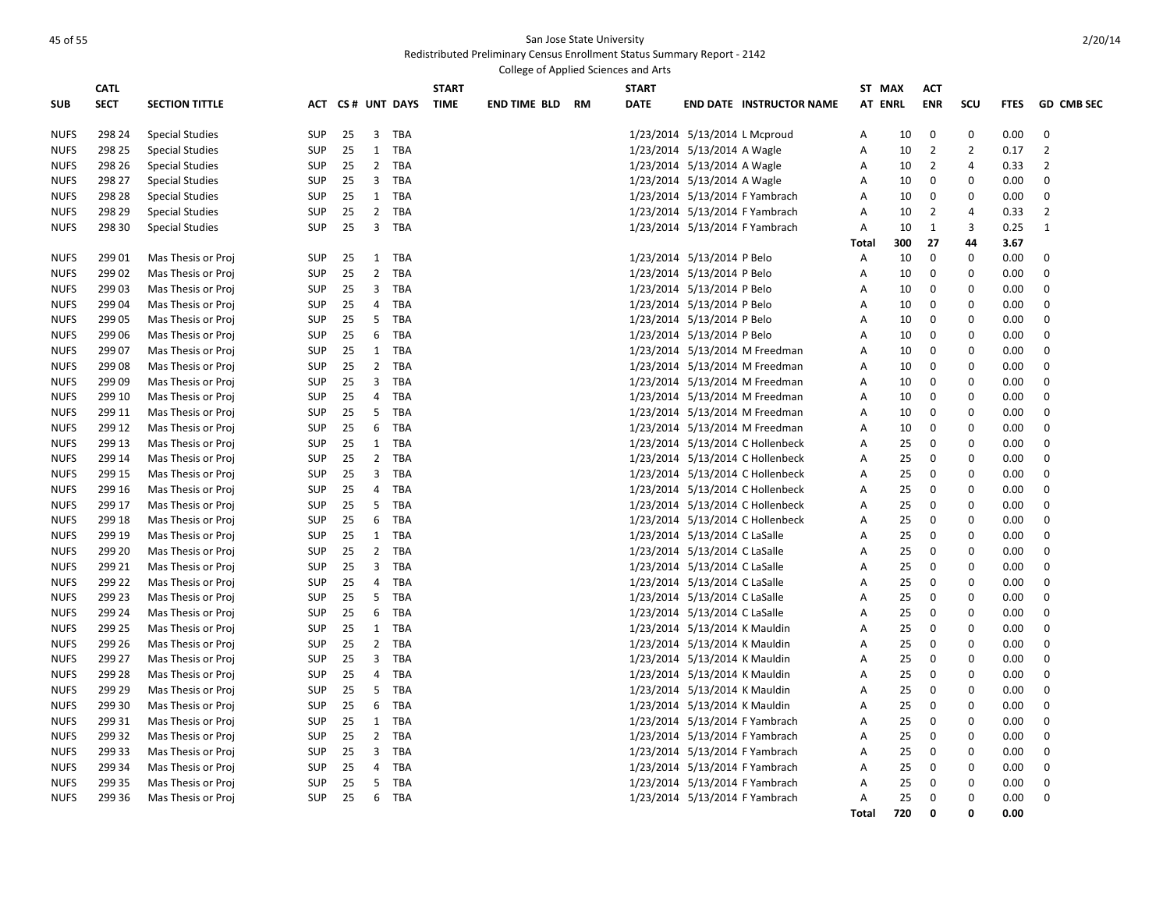| College of Applied Sciences and Arts |             |                        |            |    |                |                  |              |                        |  |              |                               |                                  |              |     |                |                |             |                   |
|--------------------------------------|-------------|------------------------|------------|----|----------------|------------------|--------------|------------------------|--|--------------|-------------------------------|----------------------------------|--------------|-----|----------------|----------------|-------------|-------------------|
|                                      | <b>CATL</b> |                        |            |    |                |                  | <b>START</b> |                        |  | <b>START</b> |                               |                                  | ST MAX       |     | <b>ACT</b>     |                |             |                   |
| <b>SUB</b>                           | <b>SECT</b> | <b>SECTION TITTLE</b>  |            |    |                | ACT CS# UNT DAYS | <b>TIME</b>  | <b>END TIME BLD RM</b> |  | <b>DATE</b>  |                               | <b>END DATE INSTRUCTOR NAME</b>  | AT ENRL      |     | <b>ENR</b>     | SCU            | <b>FTES</b> | <b>GD CMB SEC</b> |
|                                      |             |                        |            |    |                |                  |              |                        |  |              |                               |                                  |              |     |                |                |             |                   |
| <b>NUFS</b>                          | 298 24      | <b>Special Studies</b> | <b>SUP</b> | 25 | $\overline{3}$ | TBA              |              |                        |  |              | 1/23/2014 5/13/2014 L Mcproud |                                  | A            | 10  | $\mathbf 0$    | 0              | 0.00        | $\mathbf 0$       |
| <b>NUFS</b>                          | 298 25      | <b>Special Studies</b> | <b>SUP</b> | 25 | 1              | TBA              |              |                        |  |              | 1/23/2014 5/13/2014 A Wagle   |                                  | A            | 10  | $\overline{2}$ | $\overline{2}$ | 0.17        | $\overline{2}$    |
| <b>NUFS</b>                          | 298 26      | <b>Special Studies</b> | <b>SUP</b> | 25 |                | 2 TBA            |              |                        |  |              | 1/23/2014 5/13/2014 A Wagle   |                                  | A            | 10  | $\overline{2}$ | 4              | 0.33        | 2                 |
| <b>NUFS</b>                          | 298 27      | <b>Special Studies</b> | <b>SUP</b> | 25 | 3              | TBA              |              |                        |  |              | 1/23/2014 5/13/2014 A Wagle   |                                  | A            | 10  | $\mathbf{0}$   | $\Omega$       | 0.00        | $\mathbf 0$       |
| <b>NUFS</b>                          | 298 28      | Special Studies        | <b>SUP</b> | 25 |                | 1 TBA            |              |                        |  |              |                               | 1/23/2014 5/13/2014 F Yambrach   | A            | 10  | $\mathbf{0}$   | $\Omega$       | 0.00        | $\mathbf 0$       |
| <b>NUFS</b>                          | 298 29      | <b>Special Studies</b> | <b>SUP</b> | 25 | $\overline{2}$ | TBA              |              |                        |  |              |                               | 1/23/2014 5/13/2014 F Yambrach   | Α            | 10  | 2              | $\overline{4}$ | 0.33        | $\overline{2}$    |
| <b>NUFS</b>                          | 298 30      | <b>Special Studies</b> | <b>SUP</b> | 25 | $\overline{3}$ | TBA              |              |                        |  |              |                               | 1/23/2014 5/13/2014 F Yambrach   | A            | 10  | $\mathbf{1}$   | 3              | 0.25        | $\mathbf{1}$      |
|                                      |             |                        |            |    |                |                  |              |                        |  |              |                               |                                  | Total        | 300 | 27             | 44             | 3.67        |                   |
| <b>NUFS</b>                          | 299 01      | Mas Thesis or Proj     | SUP        | 25 |                | 1 TBA            |              |                        |  |              | 1/23/2014 5/13/2014 P Belo    |                                  | Α            | 10  | $\Omega$       | $\Omega$       | 0.00        | 0                 |
| <b>NUFS</b>                          | 299 02      | Mas Thesis or Proj     | <b>SUP</b> | 25 | $\overline{2}$ | TBA              |              |                        |  |              | 1/23/2014 5/13/2014 P Belo    |                                  | Α            | 10  | 0              | 0              | 0.00        | 0                 |
| <b>NUFS</b>                          | 299 03      | Mas Thesis or Proj     | SUP        | 25 |                | 3 TBA            |              |                        |  |              | 1/23/2014 5/13/2014 P Belo    |                                  | Α            | 10  | 0              | $\Omega$       | 0.00        | 0                 |
| <b>NUFS</b>                          | 299 04      | Mas Thesis or Proj     | <b>SUP</b> | 25 | 4              | TBA              |              |                        |  |              | 1/23/2014 5/13/2014 P Belo    |                                  | Α            | 10  | 0              | $\mathbf 0$    | 0.00        | 0                 |
| <b>NUFS</b>                          | 299 05      | Mas Thesis or Proj     | <b>SUP</b> | 25 |                | 5 TBA            |              |                        |  |              | 1/23/2014 5/13/2014 P Belo    |                                  | Α            | 10  | $\mathbf 0$    | $\Omega$       | 0.00        | $\mathbf 0$       |
| <b>NUFS</b>                          | 299 06      | Mas Thesis or Proj     | <b>SUP</b> | 25 | 6              | TBA              |              |                        |  |              | 1/23/2014 5/13/2014 P Belo    |                                  | Α            | 10  | 0              | 0              | 0.00        | $\mathbf 0$       |
| <b>NUFS</b>                          | 299 07      | Mas Thesis or Proj     | <b>SUP</b> | 25 | 1              | TBA              |              |                        |  |              |                               | 1/23/2014 5/13/2014 M Freedman   | A            | 10  | $\mathbf 0$    | $\Omega$       | 0.00        | $\mathbf 0$       |
| <b>NUFS</b>                          | 299 08      | Mas Thesis or Proj     | <b>SUP</b> | 25 | $\overline{2}$ | TBA              |              |                        |  |              |                               | 1/23/2014 5/13/2014 M Freedman   | Α            | 10  | 0              | $\mathbf 0$    | 0.00        | 0                 |
| <b>NUFS</b>                          | 299 09      | Mas Thesis or Proj     | <b>SUP</b> | 25 | 3              | TBA              |              |                        |  |              |                               | 1/23/2014 5/13/2014 M Freedman   | A            | 10  | $\mathbf 0$    | $\Omega$       | 0.00        | $\mathbf 0$       |
| <b>NUFS</b>                          | 299 10      | Mas Thesis or Proj     | SUP        | 25 | 4              | TBA              |              |                        |  |              |                               | 1/23/2014 5/13/2014 M Freedman   | Α            | 10  | 0              | $\mathbf 0$    | 0.00        | 0                 |
| <b>NUFS</b>                          | 299 11      | Mas Thesis or Proj     | <b>SUP</b> | 25 | 5              | TBA              |              |                        |  |              |                               | 1/23/2014 5/13/2014 M Freedman   | Α            | 10  | 0              | $\mathbf 0$    | 0.00        | $\mathbf 0$       |
| <b>NUFS</b>                          | 299 12      | Mas Thesis or Proj     | SUP        | 25 | 6              | TBA              |              |                        |  |              |                               | 1/23/2014 5/13/2014 M Freedman   | Α            | 10  | 0              | $\mathbf 0$    | 0.00        | 0                 |
| <b>NUFS</b>                          | 299 13      | Mas Thesis or Proj     | <b>SUP</b> | 25 | $\mathbf{1}$   | TBA              |              |                        |  |              |                               | 1/23/2014 5/13/2014 C Hollenbeck | А            | 25  | $\mathbf 0$    | $\Omega$       | 0.00        | $\mathbf 0$       |
| <b>NUFS</b>                          | 299 14      | Mas Thesis or Proj     | SUP        | 25 |                | 2 TBA            |              |                        |  |              |                               | 1/23/2014 5/13/2014 C Hollenbeck | А            | 25  | 0              | $\mathbf 0$    | 0.00        | 0                 |
| <b>NUFS</b>                          | 299 15      | Mas Thesis or Proj     | <b>SUP</b> | 25 | 3              | TBA              |              |                        |  |              |                               | 1/23/2014 5/13/2014 C Hollenbeck | А            | 25  | $\mathbf 0$    | $\Omega$       | 0.00        | $\mathbf 0$       |
| <b>NUFS</b>                          | 299 16      | Mas Thesis or Proj     | SUP        | 25 | 4              | TBA              |              |                        |  |              |                               | 1/23/2014 5/13/2014 C Hollenbeck | Α            | 25  | 0              | $\mathbf 0$    | 0.00        | 0                 |
| <b>NUFS</b>                          | 299 17      | Mas Thesis or Proj     | <b>SUP</b> | 25 | 5              | TBA              |              |                        |  |              |                               | 1/23/2014 5/13/2014 C Hollenbeck | A            | 25  | $\mathbf 0$    | $\Omega$       | 0.00        | $\mathbf 0$       |
| <b>NUFS</b>                          | 299 18      | Mas Thesis or Proj     | <b>SUP</b> | 25 | 6              | TBA              |              |                        |  |              |                               | 1/23/2014 5/13/2014 C Hollenbeck | А            | 25  | 0              | $\mathbf 0$    | 0.00        | 0                 |
| <b>NUFS</b>                          | 299 19      | Mas Thesis or Proj     | <b>SUP</b> | 25 | $\mathbf{1}$   | TBA              |              |                        |  |              | 1/23/2014 5/13/2014 C LaSalle |                                  | A            | 25  | $\mathbf 0$    | $\Omega$       | 0.00        | $\mathbf 0$       |
| <b>NUFS</b>                          | 299 20      | Mas Thesis or Proj     | <b>SUP</b> | 25 | $2^{\circ}$    | TBA              |              |                        |  |              | 1/23/2014 5/13/2014 C LaSalle |                                  | Α            | 25  | 0              | $\mathbf 0$    | 0.00        | 0                 |
| <b>NUFS</b>                          | 299 21      | Mas Thesis or Proj     | <b>SUP</b> | 25 | $\overline{3}$ | TBA              |              |                        |  |              | 1/23/2014 5/13/2014 C LaSalle |                                  | Α            | 25  | $\Omega$       | $\Omega$       | 0.00        | $\mathbf 0$       |
| <b>NUFS</b>                          | 299 22      | Mas Thesis or Proj     | SUP        | 25 | $\overline{4}$ | TBA              |              |                        |  |              | 1/23/2014 5/13/2014 C LaSalle |                                  | А            | 25  | $\Omega$       | $\Omega$       | 0.00        | 0                 |
| <b>NUFS</b>                          | 299 23      | Mas Thesis or Proj     | <b>SUP</b> | 25 | 5              | <b>TBA</b>       |              |                        |  |              | 1/23/2014 5/13/2014 C LaSalle |                                  | Α            | 25  | 0              | $\Omega$       | 0.00        | $\mathbf 0$       |
| <b>NUFS</b>                          | 299 24      | Mas Thesis or Proj     | <b>SUP</b> | 25 | 6              | TBA              |              |                        |  |              | 1/23/2014 5/13/2014 C LaSalle |                                  | Α            | 25  | $\Omega$       | $\Omega$       | 0.00        | $\Omega$          |
| <b>NUFS</b>                          | 299 25      | Mas Thesis or Proj     | <b>SUP</b> | 25 | 1              | TBA              |              |                        |  |              | 1/23/2014 5/13/2014 K Mauldin |                                  | Α            | 25  | $\Omega$       | $\Omega$       | 0.00        | $\mathbf 0$       |
| <b>NUFS</b>                          | 299 26      | Mas Thesis or Proj     | <b>SUP</b> | 25 |                | 2 TBA            |              |                        |  |              | 1/23/2014 5/13/2014 K Mauldin |                                  | А            | 25  | 0              | 0              | 0.00        | 0                 |
| <b>NUFS</b>                          | 299 27      | Mas Thesis or Proj     | <b>SUP</b> | 25 | 3              | TBA              |              |                        |  |              | 1/23/2014 5/13/2014 K Mauldin |                                  | A            | 25  | 0              | $\mathbf 0$    | 0.00        | $\mathbf 0$       |
| <b>NUFS</b>                          | 299 28      | Mas Thesis or Proj     | <b>SUP</b> | 25 | 4              | TBA              |              |                        |  |              | 1/23/2014 5/13/2014 K Mauldin |                                  | А            | 25  | 0              | $\mathbf 0$    | 0.00        | 0                 |
| <b>NUFS</b>                          | 299 29      | Mas Thesis or Proj     | <b>SUP</b> | 25 | 5              | TBA              |              |                        |  |              | 1/23/2014 5/13/2014 K Mauldin |                                  | Α            | 25  | 0              | 0              | 0.00        | $\mathbf 0$       |
| <b>NUFS</b>                          | 299 30      | Mas Thesis or Proj     | <b>SUP</b> | 25 | 6              | TBA              |              |                        |  |              | 1/23/2014 5/13/2014 K Mauldin |                                  | Α            | 25  | $\Omega$       | $\Omega$       | 0.00        | 0                 |
| <b>NUFS</b>                          | 299 31      | Mas Thesis or Proj     | <b>SUP</b> | 25 | $\mathbf{1}$   | TBA              |              |                        |  |              |                               | 1/23/2014 5/13/2014 F Yambrach   | Α            | 25  | 0              | $\mathbf 0$    | 0.00        | 0                 |
| <b>NUFS</b>                          | 299 32      | Mas Thesis or Proj     | <b>SUP</b> | 25 |                | 2 TBA            |              |                        |  |              |                               | 1/23/2014 5/13/2014 F Yambrach   | А            | 25  | $\Omega$       | $\Omega$       | 0.00        | 0                 |
| <b>NUFS</b>                          | 299 33      | Mas Thesis or Proj     | <b>SUP</b> | 25 | 3              | TBA              |              |                        |  |              |                               | 1/23/2014 5/13/2014 F Yambrach   | Α            | 25  | 0              | 0              | 0.00        | 0                 |
| <b>NUFS</b>                          | 299 34      | Mas Thesis or Proj     | <b>SUP</b> | 25 | $\overline{4}$ | TBA              |              |                        |  |              |                               | 1/23/2014 5/13/2014 F Yambrach   | А            | 25  | 0              | $\Omega$       | 0.00        | 0                 |
| <b>NUFS</b>                          | 299 35      | Mas Thesis or Proj     | <b>SUP</b> | 25 | 5              | TBA              |              |                        |  |              |                               | 1/23/2014 5/13/2014 F Yambrach   | Α            | 25  | 0              | $\mathbf 0$    | 0.00        | 0                 |
| <b>NUFS</b>                          | 299 36      | Mas Thesis or Proj     | <b>SUP</b> | 25 | 6              | TBA              |              |                        |  |              |                               | 1/23/2014 5/13/2014 F Yambrach   | A            | 25  | 0              | $\Omega$       | 0.00        | 0                 |
|                                      |             |                        |            |    |                |                  |              |                        |  |              |                               |                                  | <b>Total</b> | 720 | $\Omega$       | O              | 0.00        |                   |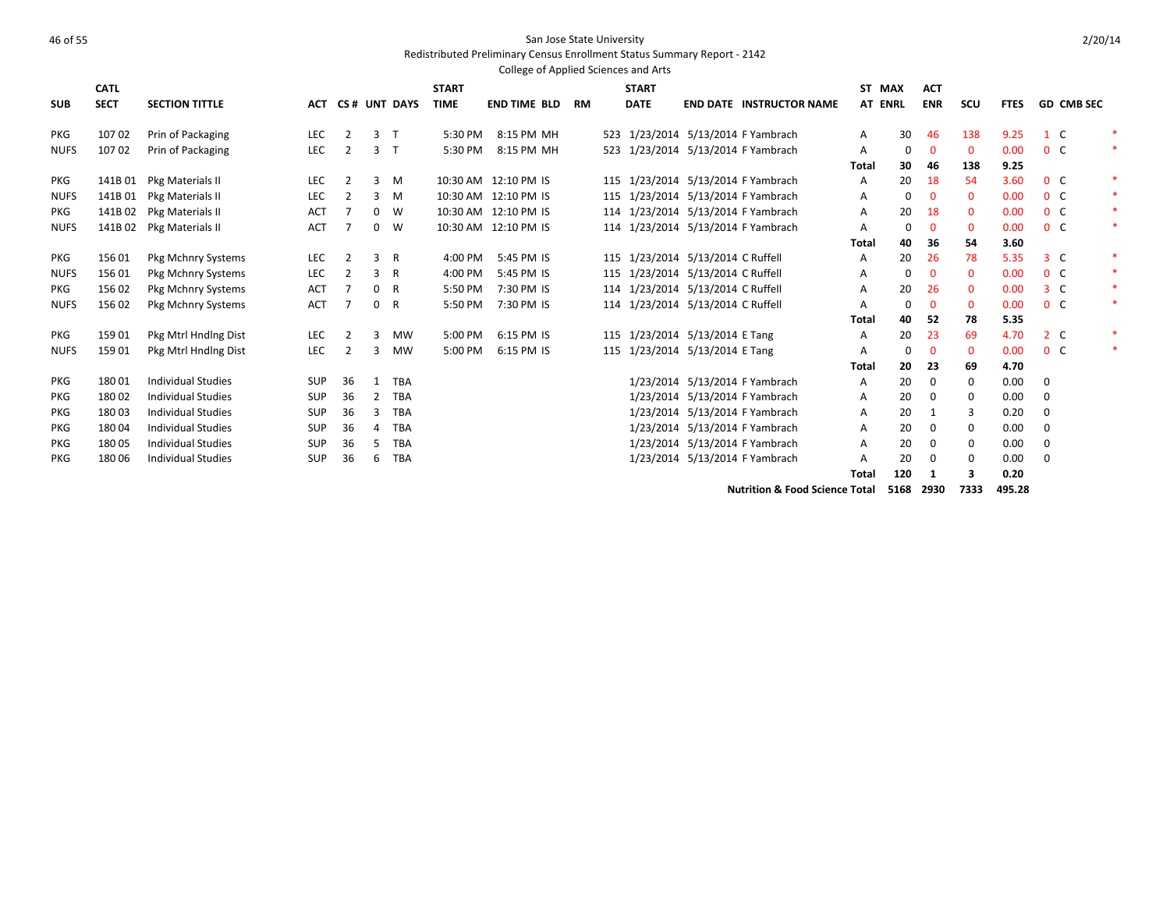## As the state University of the State University of the State University of the State University of the State University

### Redistributed Preliminary Census Enrollment Status Summary Report - 2142

|             |             |                           |            |                |              |              |              | College of Applied Sciences and Arts |    |                                   |                     |                                    |              |         |             |              |             |                |                   |        |
|-------------|-------------|---------------------------|------------|----------------|--------------|--------------|--------------|--------------------------------------|----|-----------------------------------|---------------------|------------------------------------|--------------|---------|-------------|--------------|-------------|----------------|-------------------|--------|
|             | <b>CATL</b> |                           |            |                |              |              | <b>START</b> |                                      |    | <b>START</b>                      |                     |                                    |              | ST MAX  | <b>ACT</b>  |              |             |                |                   |        |
| <b>SUB</b>  | <b>SECT</b> | <b>SECTION TITTLE</b>     | <b>ACT</b> |                |              | CS# UNT DAYS | <b>TIME</b>  | <b>END TIME BLD</b>                  | RM | <b>DATE</b>                       |                     | <b>END DATE INSTRUCTOR NAME</b>    |              | AT ENRL | <b>ENR</b>  | scu          | <b>FTES</b> |                | <b>GD CMB SEC</b> |        |
| <b>PKG</b>  | 10702       | Prin of Packaging         | <b>LEC</b> | 2              | 3            | $\mathsf{T}$ | 5:30 PM      | 8:15 PM MH                           |    | 523 1/23/2014                     |                     | 5/13/2014 F Yambrach               | Α            | 30      | 46          | 138          | 9.25        | 1 C            |                   |        |
| <b>NUFS</b> | 10702       | Prin of Packaging         | LEC        | 2              | 3            | $\top$       | 5:30 PM      | 8:15 PM MH                           |    |                                   |                     | 523 1/23/2014 5/13/2014 F Yambrach | A            | 0       | $\mathbf 0$ | $\mathbf{0}$ | 0.00        | 0 <sup>o</sup> |                   | $\ast$ |
|             |             |                           |            |                |              |              |              |                                      |    |                                   |                     |                                    | <b>Total</b> | 30      | 46          | 138          | 9.25        |                |                   |        |
| <b>PKG</b>  | 141B01      | Pkg Materials II          | <b>LEC</b> | 2              | 3            | M            |              | 10:30 AM 12:10 PM IS                 |    | 115 1/23/2014                     |                     | 5/13/2014 F Yambrach               | A            | 20      | 18          | 54           | 3.60        | 0 <sup>o</sup> |                   | $\ast$ |
| <b>NUFS</b> | 141B01      | Pkg Materials II          | LEC        | $\overline{2}$ | 3            | M            |              | 10:30 AM 12:10 PM IS                 |    |                                   |                     | 115 1/23/2014 5/13/2014 F Yambrach | Α            | 0       |             | $\mathbf{0}$ | 0.00        | 0 <sup>o</sup> |                   | $\ast$ |
| <b>PKG</b>  | 141B02      | Pkg Materials II          | ACT        |                | $\mathbf 0$  | W            |              | 10:30 AM 12:10 PM IS                 |    |                                   |                     | 114 1/23/2014 5/13/2014 F Yambrach | A            | 20      | 18          | $\mathbf{0}$ | 0.00        | 0 <sup>o</sup> |                   | $\ast$ |
| <b>NUFS</b> | 141B02      | Pkg Materials II          | <b>ACT</b> |                | 0            | W            |              | 10:30 AM 12:10 PM IS                 |    |                                   |                     | 114 1/23/2014 5/13/2014 F Yambrach | Α            | 0       |             | 0            | 0.00        | 0 <sup>o</sup> |                   | $\ast$ |
|             |             |                           |            |                |              |              |              |                                      |    |                                   |                     |                                    | <b>Total</b> | 40      | 36          | 54           | 3.60        |                |                   |        |
| <b>PKG</b>  | 15601       | Pkg Mchnry Systems        | LEC        | 2              | 3            | R            | 4:00 PM      | 5:45 PM IS                           |    | 115 1/23/2014                     | 5/13/2014 C Ruffell |                                    | A            | 20      | 26          | 78           | 5.35        | 3 <sup>c</sup> |                   | ∗      |
| <b>NUFS</b> | 15601       | Pkg Mchnry Systems        | LEC        | 2              | 3            | R            | 4:00 PM      | 5:45 PM IS                           |    | 115 1/23/2014 5/13/2014 C Ruffell |                     |                                    | A            | 0       | $\mathbf 0$ | $\mathbf 0$  | 0.00        | 0 <sup>o</sup> |                   | $\ast$ |
| <b>PKG</b>  | 15602       | <b>Pkg Mchnry Systems</b> | <b>ACT</b> |                | $\mathbf{0}$ | R            | 5:50 PM      | 7:30 PM IS                           |    | 114 1/23/2014 5/13/2014 C Ruffell |                     |                                    | A            | 20      | 26          | $\mathbf{0}$ | 0.00        | 3 <sup>c</sup> |                   | $\ast$ |
| <b>NUFS</b> | 156 02      | Pkg Mchnry Systems        | <b>ACT</b> |                | $\mathbf 0$  | R            | 5:50 PM      | 7:30 PM IS                           |    | 114 1/23/2014 5/13/2014 C Ruffell |                     |                                    | A            | 0       | $\mathbf 0$ | 0            | 0.00        | 0 <sup>o</sup> |                   | $\ast$ |
|             |             |                           |            |                |              |              |              |                                      |    |                                   |                     |                                    | Total        | 40      | 52          | 78           | 5.35        |                |                   |        |
| PKG         | 15901       | Pkg Mtrl Hndlng Dist      | <b>LEC</b> | $\overline{2}$ | 3            | <b>MW</b>    | 5:00 PM      | 6:15 PM IS                           |    | 115 1/23/2014 5/13/2014 E Tang    |                     |                                    | A            | 20      | 23          | 69           | 4.70        | 2 <sub>c</sub> |                   | $\ast$ |
| <b>NUFS</b> | 159 01      | Pkg Mtrl Hndlng Dist      | LEC        | 2              | 3            | <b>MW</b>    | 5:00 PM      | 6:15 PM IS                           |    | 115 1/23/2014 5/13/2014 E Tang    |                     |                                    | Α            | 0       | $\mathbf 0$ | 0            | 0.00        | 0 <sup>o</sup> |                   | $\ast$ |
|             |             |                           |            |                |              |              |              |                                      |    |                                   |                     |                                    | Total        | 20      | 23          | 69           | 4.70        |                |                   |        |
| <b>PKG</b>  | 18001       | <b>Individual Studies</b> | <b>SUP</b> | 36             | 1            | <b>TBA</b>   |              |                                      |    | 1/23/2014                         |                     | 5/13/2014 F Yambrach               | A            | 20      | 0           | 0            | 0.00        | $\mathbf{0}$   |                   |        |
| <b>PKG</b>  | 18002       | <b>Individual Studies</b> | <b>SUP</b> | 36             | 2            | <b>TBA</b>   |              |                                      |    | 1/23/2014                         |                     | 5/13/2014 F Yambrach               | Α            | 20      | 0           | 0            | 0.00        | 0              |                   |        |
| PKG         | 18003       | <b>Individual Studies</b> | <b>SUP</b> | 36             | 3            | <b>TBA</b>   |              |                                      |    | 1/23/2014                         |                     | 5/13/2014 F Yambrach               | Α            | 20      | -1          | 3            | 0.20        | 0              |                   |        |
| <b>PKG</b>  | 18004       | <b>Individual Studies</b> | <b>SUP</b> | 36             | 4            | <b>TBA</b>   |              |                                      |    | 1/23/2014                         |                     | 5/13/2014 F Yambrach               | A            | 20      | $\mathbf 0$ | 0            | 0.00        | 0              |                   |        |
| PKG         | 18005       | <b>Individual Studies</b> | <b>SUP</b> | 36             | 5.           | <b>TBA</b>   |              |                                      |    | 1/23/2014                         |                     | 5/13/2014 F Yambrach               | A            | 20      | $\Omega$    | 0            | 0.00        | 0              |                   |        |
| <b>PKG</b>  | 180 06      | <b>Individual Studies</b> | <b>SUP</b> | 36             | 6            | <b>TBA</b>   |              |                                      |    |                                   |                     | 1/23/2014 5/13/2014 F Yambrach     | A            | 20      |             | 0            | 0.00        | $\mathbf 0$    |                   |        |
|             |             |                           |            |                |              |              |              |                                      |    |                                   |                     |                                    | <b>Total</b> | 120     | -1          | 3            | 0.20        |                |                   |        |

**Nutrition & Food Science Total 5168 2930 7333 495.28**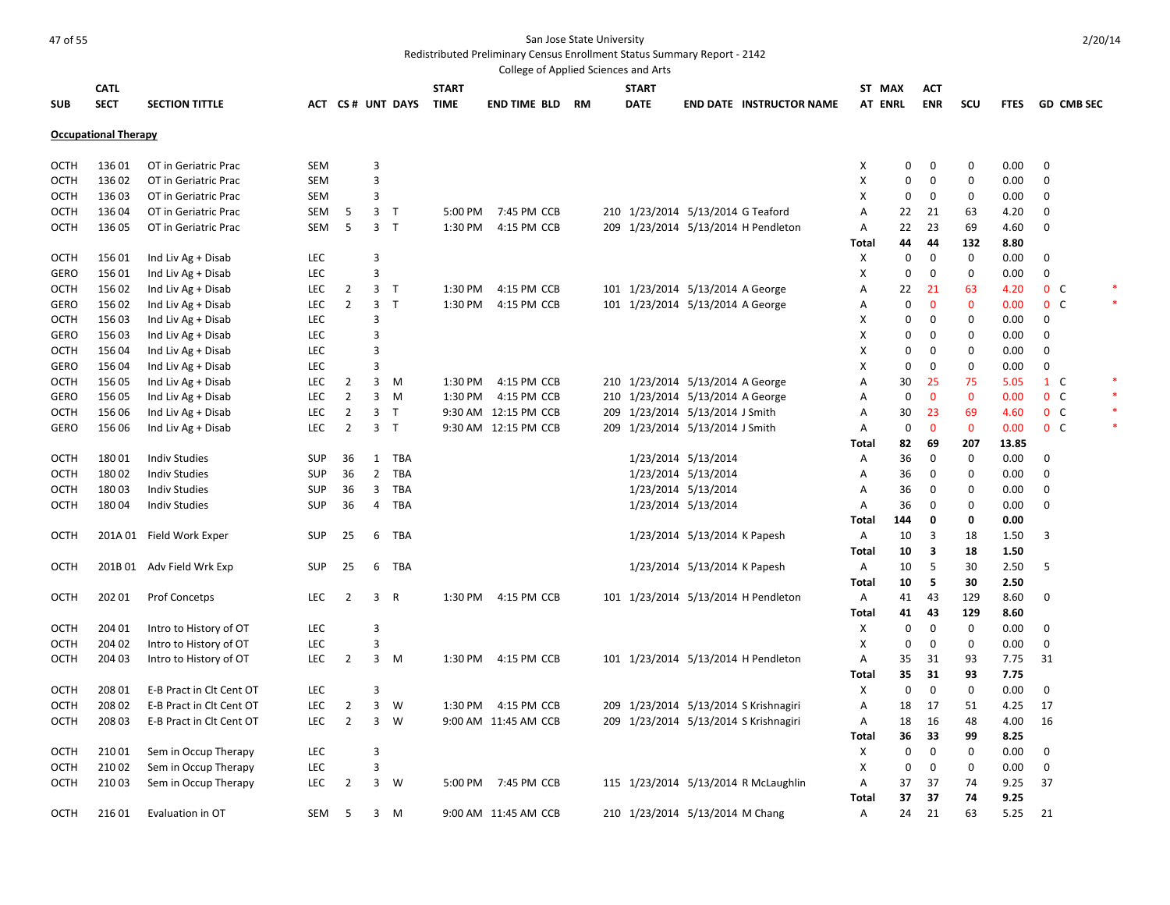### And the State University of 55 San Jose State University

Redistributed Preliminary Census Enrollment Status Summary Report - 2142

|             |                             |                                              |                   |                |                |                  |              | College of Applied Sciences and Arts |    |              |                                   |                                       |                     |             |                   |              |              |                |                   |  |
|-------------|-----------------------------|----------------------------------------------|-------------------|----------------|----------------|------------------|--------------|--------------------------------------|----|--------------|-----------------------------------|---------------------------------------|---------------------|-------------|-------------------|--------------|--------------|----------------|-------------------|--|
|             | <b>CATL</b>                 |                                              |                   |                |                |                  | <b>START</b> |                                      |    | <b>START</b> |                                   |                                       | ST MAX              |             | <b>ACT</b>        |              |              |                |                   |  |
| <b>SUB</b>  | <b>SECT</b>                 | <b>SECTION TITTLE</b>                        |                   |                |                | ACT CS# UNT DAYS | <b>TIME</b>  | <b>END TIME BLD</b>                  | RM | <b>DATE</b>  |                                   | <b>END DATE INSTRUCTOR NAME</b>       | AT ENRL             |             | <b>ENR</b>        | <b>SCU</b>   | <b>FTES</b>  |                | <b>GD CMB SEC</b> |  |
|             |                             |                                              |                   |                |                |                  |              |                                      |    |              |                                   |                                       |                     |             |                   |              |              |                |                   |  |
|             | <b>Occupational Therapy</b> |                                              |                   |                |                |                  |              |                                      |    |              |                                   |                                       |                     |             |                   |              |              |                |                   |  |
|             |                             |                                              |                   |                |                |                  |              |                                      |    |              |                                   |                                       |                     |             |                   |              |              |                |                   |  |
| OCTH        | 136 01                      | OT in Geriatric Prac                         | SEM               |                | 3              |                  |              |                                      |    |              |                                   |                                       | х                   | 0           | 0                 | 0            | 0.00         | $\mathbf 0$    |                   |  |
| <b>OCTH</b> | 136 02                      | OT in Geriatric Prac                         | <b>SEM</b>        |                | 3              |                  |              |                                      |    |              |                                   |                                       | X                   | $\mathbf 0$ | 0                 | $\mathbf 0$  | 0.00         | $\mathbf 0$    |                   |  |
| OCTH        | 13603                       | OT in Geriatric Prac                         | <b>SEM</b>        |                | 3              |                  |              |                                      |    |              |                                   |                                       | X                   | $\mathbf 0$ | $\mathbf 0$       | $\mathbf 0$  | 0.00         | $\mathbf 0$    |                   |  |
| OCTH        | 136 04                      | OT in Geriatric Prac                         | SEM               | 5              |                | 3 <sub>7</sub>   | 5:00 PM      | 7:45 PM CCB                          |    |              | 210 1/23/2014 5/13/2014 G Teaford |                                       | Α                   | 22          | 21                | 63           | 4.20         | 0              |                   |  |
| <b>OCTH</b> | 13605                       | OT in Geriatric Prac                         | <b>SEM</b>        | 5              |                | 3 <sub>T</sub>   | 1:30 PM      | 4:15 PM CCB                          |    |              |                                   | 209 1/23/2014 5/13/2014 H Pendleton   | Α                   | 22          | 23                | 69           | 4.60         | $\mathbf 0$    |                   |  |
|             |                             |                                              |                   |                |                |                  |              |                                      |    |              |                                   |                                       | Total               | 44          | 44                | 132          | 8.80         |                |                   |  |
| <b>OCTH</b> | 15601                       | Ind Liv Ag + Disab                           | <b>LEC</b>        |                | 3              |                  |              |                                      |    |              |                                   |                                       | х                   | 0           | $\mathbf 0$       | 0            | 0.00         | $\mathbf 0$    |                   |  |
| <b>GERO</b> | 15601                       | Ind Liv Ag + Disab                           | <b>LEC</b>        |                | $\overline{3}$ |                  |              |                                      |    |              |                                   |                                       | X                   | 0           | $\mathbf 0$       | $\mathbf 0$  | 0.00         | $\mathbf 0$    |                   |  |
| <b>OCTH</b> | 156 02                      | Ind Liv Ag + Disab                           | <b>LEC</b>        | $\overline{2}$ | $\mathbf{3}$   | $\top$           | 1:30 PM      | 4:15 PM CCB                          |    |              | 101 1/23/2014 5/13/2014 A George  |                                       | Α                   | 22          | 21                | 63           | 4.20         | 0 <sup>o</sup> |                   |  |
| <b>GERO</b> | 156 02                      | Ind Liv Ag + Disab                           | LEC               | $\overline{2}$ | $\mathbf{3}$   | T                | 1:30 PM      | 4:15 PM CCB                          |    |              | 101 1/23/2014 5/13/2014 A George  |                                       | A                   | $\mathbf 0$ | $\mathbf 0$       | $\mathbf 0$  | 0.00         | $0\quad C$     |                   |  |
| OCTH        | 15603                       | Ind Liv Ag + Disab                           | LEC               |                | 3              |                  |              |                                      |    |              |                                   |                                       | X                   | 0           | $\mathbf 0$       | $\mathbf 0$  | 0.00         | $\mathbf 0$    |                   |  |
| GERO        | 15603                       | Ind Liv Ag + Disab                           | LEC               |                | 3              |                  |              |                                      |    |              |                                   |                                       | X                   | 0           | 0                 | $\mathbf 0$  | 0.00         | 0              |                   |  |
| OCTH        | 156 04                      | Ind Liv Ag + Disab                           | <b>LEC</b>        |                | $\overline{3}$ |                  |              |                                      |    |              |                                   |                                       | X                   | $\Omega$    | $\mathbf 0$       | $\Omega$     | 0.00         | $\mathbf 0$    |                   |  |
| <b>GERO</b> | 15604                       | Ind Liv Ag + Disab                           | <b>LEC</b>        |                | $\overline{3}$ |                  |              |                                      |    |              |                                   |                                       | x                   | $\Omega$    | $\Omega$          | $\Omega$     | 0.00         | $\Omega$       |                   |  |
| OCTH        | 156 05                      | Ind Liv Ag + Disab                           | <b>LEC</b>        | $\overline{2}$ | $\mathbf{3}$   | M                | 1:30 PM      | 4:15 PM CCB                          |    |              | 210 1/23/2014 5/13/2014 A George  |                                       | Α                   | 30          | 25                | 75           | 5.05         | $1\,c$         |                   |  |
| GERO        | 156 05                      | Ind Liv Ag + Disab                           | <b>LEC</b>        | $\overline{2}$ | 3              | M                | 1:30 PM      | 4:15 PM CCB                          |    |              | 210 1/23/2014 5/13/2014 A George  |                                       | Α                   | 0           | $\mathbf{0}$      | $\mathbf{0}$ | 0.00         | $0\quad C$     |                   |  |
| OCTH        | 156 06                      | Ind Liv Ag + Disab                           | <b>LEC</b>        | $\overline{2}$ |                | 3 <sub>7</sub>   |              | 9:30 AM 12:15 PM CCB                 |    |              | 209 1/23/2014 5/13/2014 J Smith   |                                       | Α                   | 30          | 23                | 69           | 4.60         | $0\quad C$     |                   |  |
| <b>GERO</b> | 156 06                      | Ind Liv Ag + Disab                           | LEC               | $\overline{2}$ | $\overline{3}$ | T                |              | 9:30 AM 12:15 PM CCB                 |    |              | 209 1/23/2014 5/13/2014 J Smith   |                                       | Α                   | 0           | $\mathbf{0}$      | $\mathbf{0}$ | 0.00         | $0\quad C$     |                   |  |
|             |                             |                                              |                   |                |                |                  |              |                                      |    |              |                                   |                                       | Total               | 82          | 69                | 207          | 13.85        |                |                   |  |
| OCTH        | 18001                       | <b>Indiv Studies</b>                         | <b>SUP</b>        | 36             | $\mathbf{1}$   | TBA              |              |                                      |    |              | 1/23/2014 5/13/2014               |                                       | Α                   | 36          | 0                 | 0            | 0.00         | $\mathbf 0$    |                   |  |
| OCTH        | 18002                       | <b>Indiv Studies</b>                         | <b>SUP</b>        | 36             | $\overline{2}$ | <b>TBA</b>       |              |                                      |    |              | 1/23/2014 5/13/2014               |                                       | Α                   | 36          | 0                 | $\mathbf 0$  | 0.00         | $\mathbf 0$    |                   |  |
| OCTH        | 18003                       | <b>Indiv Studies</b>                         | SUP               | 36             | 3              | <b>TBA</b>       |              |                                      |    |              | 1/23/2014 5/13/2014               |                                       | Α                   | 36          | $\mathbf 0$       | $\mathbf 0$  | 0.00         | $\mathbf 0$    |                   |  |
| OCTH        | 18004                       | <b>Indiv Studies</b>                         | <b>SUP</b>        | 36             | 4              | <b>TBA</b>       |              |                                      |    |              | 1/23/2014 5/13/2014               |                                       | Α                   | 36          | 0                 | $\mathbf 0$  | 0.00         | 0              |                   |  |
|             |                             |                                              |                   |                |                |                  |              |                                      |    |              |                                   |                                       | <b>Total</b>        | 144         | $\mathbf 0$       | 0            | 0.00         |                |                   |  |
| OCTH        |                             | 201A 01 Field Work Exper                     | <b>SUP</b>        | 25             | 6              | TBA              |              |                                      |    |              | 1/23/2014 5/13/2014 K Papesh      |                                       | Α                   | 10          | 3                 | 18           | 1.50         | 3              |                   |  |
|             |                             |                                              |                   |                |                |                  |              |                                      |    |              |                                   |                                       | Total               | 10          | 3                 | 18           | 1.50         |                |                   |  |
| OCTH        |                             | 201B 01 Adv Field Wrk Exp                    | <b>SUP</b>        | 25             | 6              | <b>TBA</b>       |              |                                      |    |              | 1/23/2014 5/13/2014 K Papesh      |                                       | Α                   | 10          | 5                 | 30           | 2.50         | 5              |                   |  |
|             |                             |                                              |                   |                |                |                  |              |                                      |    |              |                                   |                                       | Total               | 10          | 5                 | 30           | 2.50         |                |                   |  |
| OCTH        | 202 01                      | <b>Prof Concetps</b>                         | <b>LEC</b>        | $\overline{2}$ | $\mathbf{3}$   | R                | 1:30 PM      | 4:15 PM CCB                          |    |              |                                   | 101 1/23/2014 5/13/2014 H Pendleton   | Α                   | 41          | 43                | 129          | 8.60         | $\mathbf 0$    |                   |  |
|             |                             |                                              |                   |                |                |                  |              |                                      |    |              |                                   |                                       | Total               | 41          | 43                | 129          | 8.60         |                |                   |  |
| OCTH        | 204 01                      | Intro to History of OT                       | LEC               |                | $\overline{3}$ |                  |              |                                      |    |              |                                   |                                       | Χ                   | 0           | $\mathbf 0$       | $\mathbf 0$  | 0.00         | $\mathbf 0$    |                   |  |
| <b>OCTH</b> | 204 02                      | Intro to History of OT                       | <b>LEC</b>        |                | $\overline{3}$ |                  |              |                                      |    |              |                                   |                                       | X                   | 0           | $\mathbf 0$       | $\mathbf 0$  | 0.00         | $\mathbf 0$    |                   |  |
| OCTH        | 204 03                      | Intro to History of OT                       | <b>LEC</b>        | $\overline{2}$ | $\overline{3}$ | M                | 1:30 PM      | 4:15 PM CCB                          |    |              |                                   | 101 1/23/2014 5/13/2014 H Pendleton   | Α                   | 35          | 31                | 93           | 7.75         | 31             |                   |  |
|             |                             |                                              |                   |                |                |                  |              |                                      |    |              |                                   |                                       | Total               | 35          | 31                | 93           | 7.75         |                |                   |  |
| <b>OCTH</b> | 208 01                      | E-B Pract in Clt Cent OT                     | <b>LEC</b>        |                | 3              |                  |              |                                      |    |              |                                   |                                       | X                   | $\mathbf 0$ | $\mathbf 0$       | 0            | 0.00         | $\mathbf 0$    |                   |  |
| OCTH        | 208 02                      | E-B Pract in Clt Cent OT                     | <b>LEC</b>        | $\overline{2}$ | 3              | W                | 1:30 PM      | 4:15 PM CCB                          |    |              |                                   | 209 1/23/2014 5/13/2014 S Krishnagiri | Α                   | 18          | 17                | 51           | 4.25         | 17             |                   |  |
| OCTH        | 208 03                      | E-B Pract in Clt Cent OT                     | <b>LEC</b>        | $\overline{2}$ | $\overline{3}$ | W                |              | 9:00 AM 11:45 AM CCB                 |    |              |                                   | 209 1/23/2014 5/13/2014 S Krishnagiri | Α                   | 18          | 16                | 48           | 4.00         | 16             |                   |  |
|             |                             |                                              |                   |                |                |                  |              |                                      |    |              |                                   |                                       | Total               | 36          | 33                | 99           | 8.25         |                |                   |  |
|             |                             |                                              |                   |                |                |                  |              |                                      |    |              |                                   |                                       |                     |             |                   |              |              |                |                   |  |
| OCTH        | 21001                       | Sem in Occup Therapy                         | LEC               |                | 3<br>3         |                  |              |                                      |    |              |                                   |                                       | х                   | 0           | 0                 | 0            | 0.00         | 0              |                   |  |
| OCTH        | 210 02<br>21003             | Sem in Occup Therapy<br>Sem in Occup Therapy | LEC<br><b>LEC</b> | $\overline{2}$ | 3              | w                |              | 5:00 PM 7:45 PM CCB                  |    |              |                                   | 115 1/23/2014 5/13/2014 R McLaughlin  | X<br>$\overline{A}$ | 0<br>37     | $\mathbf 0$<br>37 | 0<br>74      | 0.00<br>9.25 | 0<br>37        |                   |  |
| OCTH        |                             |                                              |                   |                |                |                  |              |                                      |    |              |                                   |                                       |                     |             |                   |              |              |                |                   |  |
|             |                             |                                              |                   |                |                |                  |              |                                      |    |              |                                   |                                       | <b>Total</b>        | 37          | 37                | 74           | 9.25         |                |                   |  |
| <b>OCTH</b> | 21601                       | Evaluation in OT                             | <b>SEM</b>        | 5              | $\mathbf{3}$   | M                |              | 9:00 AM 11:45 AM CCB                 |    |              | 210 1/23/2014 5/13/2014 M Chang   |                                       | Α                   | 24          | 21                | 63           | 5.25         | 21             |                   |  |

2/20/14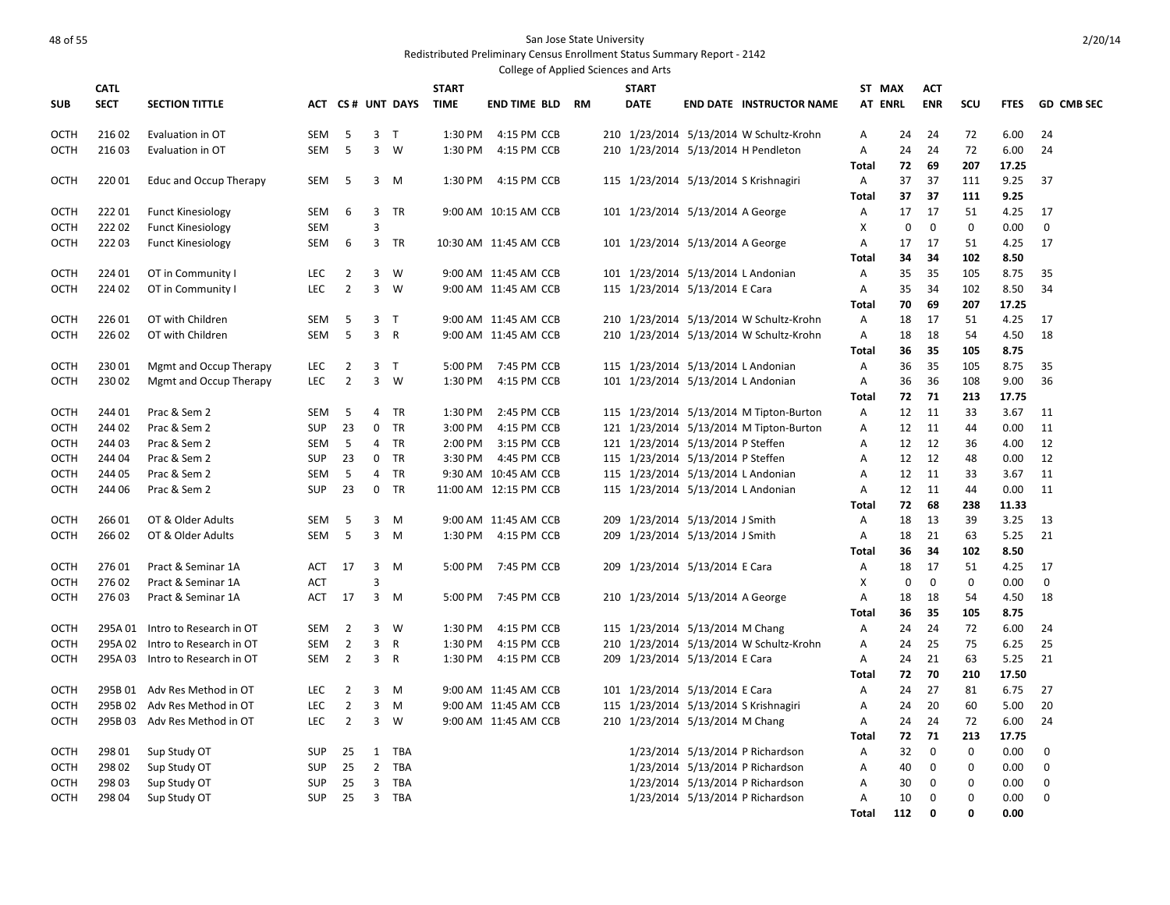| <b>CATL</b><br><b>START</b><br><b>START</b><br>ST MAX<br><b>ACT</b><br><b>SECT</b><br><b>TIME</b><br><b>ENR</b><br>SCU<br><b>GD CMB SEC</b><br><b>SUB</b><br><b>SECTION TITTLE</b><br>ACT CS# UNT DAYS<br><b>END TIME BLD</b><br><b>RM</b><br><b>DATE</b><br><b>END DATE INSTRUCTOR NAME</b><br>AT ENRL<br><b>FTES</b><br>216 02<br>5<br>3 <sub>T</sub><br>1:30 PM<br>4:15 PM CCB<br>24<br>72<br>6.00<br>OCTH<br>Evaluation in OT<br><b>SEM</b><br>210 1/23/2014 5/13/2014 W Schultz-Krohn<br>24<br>24<br>Α<br>216 03<br>5<br>3<br>1:30 PM<br>210 1/23/2014 5/13/2014 H Pendleton<br>24<br>72<br>6.00<br>OCTH<br>SEM<br>W<br>4:15 PM CCB<br>Α<br>24<br>24<br>Evaluation in OT<br>72<br>69<br>207<br>17.25<br>Total<br>115 1/23/2014 5/13/2014 S Krishnagiri<br>37<br>37<br>9.25<br>OCTH<br>22001<br>Educ and Occup Therapy<br><b>SEM</b><br>-5<br>3<br>1:30 PM<br>4:15 PM CCB<br>A<br>111<br>37<br>M<br>37<br>37<br>111<br>9.25<br>Total<br>22201<br>17<br>17<br>OCTH<br><b>Funct Kinesiology</b><br><b>SEM</b><br>6<br>3<br>TR<br>9:00 AM 10:15 AM CCB<br>101 1/23/2014 5/13/2014 A George<br>Α<br>51<br>4.25<br>17<br>22202<br>3<br>X<br>$\mathbf 0$<br>$\mathbf 0$<br><b>Funct Kinesiology</b><br><b>SEM</b><br>$\mathbf 0$<br>$\mathbf{0}$<br>0.00<br>остн<br>22203<br>101 1/23/2014 5/13/2014 A George<br>17<br>17<br>51<br>4.25<br>17<br>OCTH<br><b>Funct Kinesiology</b><br>SEM<br>6<br>3<br>TR<br>10:30 AM 11:45 AM CCB<br>Α<br>Total<br>34<br>34<br>102<br>8.50<br><b>OCTH</b><br>224 01<br>OT in Community I<br>$\overline{2}$<br>3<br>W<br>101 1/23/2014 5/13/2014 L Andonian<br>35<br>35<br>105<br>8.75<br>35<br><b>LEC</b><br>9:00 AM 11:45 AM CCB<br>Α<br>$\overline{2}$<br>$\overline{3}$<br>115 1/23/2014 5/13/2014 E Cara<br>224 02<br>OT in Community I<br><b>LEC</b><br>W<br>9:00 AM 11:45 AM CCB<br>A<br>35<br>34<br>102<br>8.50<br>34<br>ОСТН<br>70<br>69<br>207<br>17.25<br>Total<br>22601<br><b>OCTH</b><br>OT with Children<br>-5<br>3 <sub>7</sub><br>9:00 AM 11:45 AM CCB<br>210 1/23/2014 5/13/2014 W Schultz-Krohn<br>18<br>17<br>51<br>4.25<br>17<br>SEM<br>Α<br>5<br>3<br>$\overline{R}$<br>18<br>18<br>4.50<br>18<br>226 02<br>OT with Children<br>SEM<br>9:00 AM 11:45 AM CCB<br>210 1/23/2014 5/13/2014 W Schultz-Krohn<br>Α<br>54<br>ОСТН<br>35<br>36<br>105<br>8.75<br>Total<br>36<br>35<br>OCTH<br>23001<br>Mgmt and Occup Therapy<br><b>LEC</b><br>2<br>3<br>$\top$<br>5:00 PM<br>7:45 PM CCB<br>115 1/23/2014 5/13/2014 L Andonian<br>Α<br>105<br>8.75<br>35<br>$3 \quad W$<br>36<br>23002<br>Mgmt and Occup Therapy<br><b>LEC</b><br>$\overline{2}$<br>1:30 PM<br>4:15 PM CCB<br>101 1/23/2014 5/13/2014 L Andonian<br>$\overline{A}$<br>36<br>108<br>9.00<br>36<br>OCTH<br>71<br>Total<br>72<br>213<br>17.75<br>244 01<br>Prac & Sem 2<br>5<br><b>TR</b><br>1:30 PM<br>2:45 PM CCB<br>115 1/23/2014 5/13/2014 M Tipton-Burton<br>12<br>11<br>33<br>3.67<br>11<br>OCTH<br><b>SEM</b><br>$\overline{4}$<br>Α<br>23<br>TR<br>3:00 PM<br>121 1/23/2014 5/13/2014 M Tipton-Burton<br>11<br>OCTH<br>244 02<br>Prac & Sem 2<br><b>SUP</b><br>0<br>4:15 PM CCB<br>Α<br>12<br>11<br>44<br>0.00<br>244 03<br>Prac & Sem 2<br>5<br>TR<br>2:00 PM<br>3:15 PM CCB<br>121 1/23/2014 5/13/2014 P Steffen<br>Α<br>12<br>12<br>36<br>4.00<br>12<br>ОСТН<br>SEM<br>4<br>Prac & Sem 2<br>$\mathbf 0$<br>TR<br>3:30 PM<br>4:45 PM CCB<br>115 1/23/2014 5/13/2014 P Steffen<br>12<br>12<br>0.00<br>12<br>OCTH<br>244 04<br><b>SUP</b><br>23<br>Α<br>48<br>244 05<br>Prac & Sem 2<br>5<br><b>TR</b><br>9:30 AM 10:45 AM CCB<br>115 1/23/2014 5/13/2014 L Andonian<br>12<br>33<br>3.67<br>11<br>ОСТН<br>SEM<br>4<br>A<br>11<br>23<br>115 1/23/2014 5/13/2014 L Andonian<br>0.00<br>244 06<br>Prac & Sem 2<br><b>SUP</b><br>0<br>TR<br>11:00 AM 12:15 PM CCB<br>Α<br>12<br>11<br>44<br>11<br>ОСТН<br>72<br>68<br>238<br>11.33<br>Total<br>266 01<br>3<br>209 1/23/2014 5/13/2014 J Smith<br>39<br>3.25<br>OCTH<br>OT & Older Adults<br>SEM<br>-5<br>9:00 AM 11:45 AM CCB<br>18<br>13<br>13<br>M<br>Α<br>266 02<br>-5<br>3<br>1:30 PM<br>209 1/23/2014 5/13/2014 J Smith<br>18<br>21<br>63<br>5.25<br>21<br>OCTH<br>OT & Older Adults<br><b>SEM</b><br>M<br>4:15 PM CCB<br>A<br>Total<br>36<br>34<br>102<br>8.50<br>27601<br>Pract & Seminar 1A<br>17<br>3<br>5:00 PM<br>7:45 PM CCB<br>1/23/2014 5/13/2014 E Cara<br>18<br>17<br>51<br>4.25<br>17<br>OCTH<br>ACT<br>M<br>209<br>Α<br>X<br>0<br>$\mathbf 0$<br>0<br>OCTH<br>27602<br>Pract & Seminar 1A<br><b>ACT</b><br>з<br>$\Omega$<br>0.00<br>27603<br>Pract & Seminar 1A<br>$3 \, M$<br>7:45 PM CCB<br>210 1/23/2014 5/13/2014 A George<br>18<br>18<br>54<br>4.50<br>18<br>OCTH<br>ACT<br>17<br>5:00 PM<br>Α<br>35<br>Total<br>36<br>105<br>8.75<br>Intro to Research in OT<br>$\overline{2}$<br>3<br>- W<br>1:30 PM<br>4:15 PM CCB<br>115 1/23/2014 5/13/2014 M Chang<br>24<br>24<br>72<br>6.00<br>24<br>OCTH<br>295A 01<br><b>SEM</b><br>Α<br>$\overline{2}$<br>3<br>1:30 PM<br>210 1/23/2014 5/13/2014 W Schultz-Krohn<br>25<br>75<br>25<br>OCTH<br>295A 02<br>Intro to Research in OT<br>R<br>4:15 PM CCB<br>Α<br>24<br>6.25<br>SEM<br>21<br>295A 03 Intro to Research in OT<br>2<br>3<br>$\overline{R}$<br>1:30 PM<br>4:15 PM CCB<br>209 1/23/2014 5/13/2014 E Cara<br>24<br>21<br>63<br>5.25<br>OCTH<br><b>SEM</b><br>Α<br>72<br>70<br>17.50<br>210<br>Total<br>$\overline{2}$<br>3<br>101 1/23/2014 5/13/2014 E Cara<br>24<br>27<br>81<br>6.75<br>27<br>OCTH<br>295B 01<br>Adv Res Method in OT<br><b>LEC</b><br>M<br>9:00 AM 11:45 AM CCB<br>Α<br>$\overline{2}$<br>3<br>20<br>20<br>295B 02 Adv Res Method in OT<br>M<br>9:00 AM 11:45 AM CCB<br>115 1/23/2014 5/13/2014 S Krishnagiri<br>Α<br>24<br>60<br>5.00<br>ОСТН<br>LEC<br>3<br>$\overline{2}$<br>210 1/23/2014 5/13/2014 M Chang<br>24<br>OCTH<br>295B 03 Adv Res Method in OT<br><b>LEC</b><br>W<br>9:00 AM 11:45 AM CCB<br>Α<br>24<br>24<br>72<br>6.00<br>71<br><b>Total</b><br>72<br>213<br>17.75<br>298 01<br>Sup Study OT<br>TBA<br>1/23/2014 5/13/2014 P Richardson<br>32<br>$\mathbf 0$<br>$\mathbf 0$<br>0.00<br>0<br>OCTH<br><b>SUP</b><br>25<br>1<br>Α<br>298 02<br>25<br>$\overline{2}$<br>1/23/2014 5/13/2014 P Richardson<br>0<br>0<br>OCTH<br>Sup Study OT<br><b>SUP</b><br>TBA<br>Α<br>40<br>$\Omega$<br>0.00<br>298 03<br>25<br>3<br>TBA<br>1/23/2014 5/13/2014 P Richardson<br>30<br>0<br>$\mathbf 0$<br>0<br>OCTH<br>Sup Study OT<br><b>SUP</b><br>Α<br>0.00<br>25<br>$\overline{3}$<br>$\mathbf 0$<br>$\Omega$<br>$\mathbf 0$<br>OCTH<br>298 04<br>Sup Study OT<br><b>SUP</b><br>TBA<br>1/23/2014 5/13/2014 P Richardson<br>A<br>10<br>0.00<br>Total<br>112<br>0<br>O<br>0.00 |  |  |  |  | College of Applied Sciences and Arts |  |  |  |  |  |
|---------------------------------------------------------------------------------------------------------------------------------------------------------------------------------------------------------------------------------------------------------------------------------------------------------------------------------------------------------------------------------------------------------------------------------------------------------------------------------------------------------------------------------------------------------------------------------------------------------------------------------------------------------------------------------------------------------------------------------------------------------------------------------------------------------------------------------------------------------------------------------------------------------------------------------------------------------------------------------------------------------------------------------------------------------------------------------------------------------------------------------------------------------------------------------------------------------------------------------------------------------------------------------------------------------------------------------------------------------------------------------------------------------------------------------------------------------------------------------------------------------------------------------------------------------------------------------------------------------------------------------------------------------------------------------------------------------------------------------------------------------------------------------------------------------------------------------------------------------------------------------------------------------------------------------------------------------------------------------------------------------------------------------------------------------------------------------------------------------------------------------------------------------------------------------------------------------------------------------------------------------------------------------------------------------------------------------------------------------------------------------------------------------------------------------------------------------------------------------------------------------------------------------------------------------------------------------------------------------------------------------------------------------------------------------------------------------------------------------------------------------------------------------------------------------------------------------------------------------------------------------------------------------------------------------------------------------------------------------------------------------------------------------------------------------------------------------------------------------------------------------------------------------------------------------------------------------------------------------------------------------------------------------------------------------------------------------------------------------------------------------------------------------------------------------------------------------------------------------------------------------------------------------------------------------------------------------------------------------------------------------------------------------------------------------------------------------------------------------------------------------------------------------------------------------------------------------------------------------------------------------------------------------------------------------------------------------------------------------------------------------------------------------------------------------------------------------------------------------------------------------------------------------------------------------------------------------------------------------------------------------------------------------------------------------------------------------------------------------------------------------------------------------------------------------------------------------------------------------------------------------------------------------------------------------------------------------------------------------------------------------------------------------------------------------------------------------------------------------------------------------------------------------------------------------------------------------------------------------------------------------------------------------------------------------------------------------------------------------------------------------------------------------------------------------------------------------------------------------------------------------------------------------------------------------------------------------------------------------------------------------------------------------------------------------------------------------------------------------------------------------------------------------------------------------------------------------------------------------------------------------------------------------------------------------------------------------------------------------------------------------------------------------------------------------------------------------------------------------------------------------------------------------------------------------------------------------------------------------------------------------------------------------------------------------------------------------------------------------------------------------------------------------------------------------------------------------------------------------------------------------------------------------------------------------------------------------------------------------------------------------------------------------------------------------------------------------------------------------------------------------------------------------------------------------------------------------------------------------------------------------------------------------------------------------------------------------------------------------------------------------------|--|--|--|--|--------------------------------------|--|--|--|--|--|
|                                                                                                                                                                                                                                                                                                                                                                                                                                                                                                                                                                                                                                                                                                                                                                                                                                                                                                                                                                                                                                                                                                                                                                                                                                                                                                                                                                                                                                                                                                                                                                                                                                                                                                                                                                                                                                                                                                                                                                                                                                                                                                                                                                                                                                                                                                                                                                                                                                                                                                                                                                                                                                                                                                                                                                                                                                                                                                                                                                                                                                                                                                                                                                                                                                                                                                                                                                                                                                                                                                                                                                                                                                                                                                                                                                                                                                                                                                                                                                                                                                                                                                                                                                                                                                                                                                                                                                                                                                                                                                                                                                                                                                                                                                                                                                                                                                                                                                                                                                                                                                                                                                                                                                                                                                                                                                                                                                                                                                                                                                                                                                                                                                                                                                                                                                                                                                                                                                                                                                                                                                                                                                                                                                                                                                                                                                                                                                                                                                                                                                                                                                                                                                       |  |  |  |  |                                      |  |  |  |  |  |
|                                                                                                                                                                                                                                                                                                                                                                                                                                                                                                                                                                                                                                                                                                                                                                                                                                                                                                                                                                                                                                                                                                                                                                                                                                                                                                                                                                                                                                                                                                                                                                                                                                                                                                                                                                                                                                                                                                                                                                                                                                                                                                                                                                                                                                                                                                                                                                                                                                                                                                                                                                                                                                                                                                                                                                                                                                                                                                                                                                                                                                                                                                                                                                                                                                                                                                                                                                                                                                                                                                                                                                                                                                                                                                                                                                                                                                                                                                                                                                                                                                                                                                                                                                                                                                                                                                                                                                                                                                                                                                                                                                                                                                                                                                                                                                                                                                                                                                                                                                                                                                                                                                                                                                                                                                                                                                                                                                                                                                                                                                                                                                                                                                                                                                                                                                                                                                                                                                                                                                                                                                                                                                                                                                                                                                                                                                                                                                                                                                                                                                                                                                                                                                       |  |  |  |  |                                      |  |  |  |  |  |
|                                                                                                                                                                                                                                                                                                                                                                                                                                                                                                                                                                                                                                                                                                                                                                                                                                                                                                                                                                                                                                                                                                                                                                                                                                                                                                                                                                                                                                                                                                                                                                                                                                                                                                                                                                                                                                                                                                                                                                                                                                                                                                                                                                                                                                                                                                                                                                                                                                                                                                                                                                                                                                                                                                                                                                                                                                                                                                                                                                                                                                                                                                                                                                                                                                                                                                                                                                                                                                                                                                                                                                                                                                                                                                                                                                                                                                                                                                                                                                                                                                                                                                                                                                                                                                                                                                                                                                                                                                                                                                                                                                                                                                                                                                                                                                                                                                                                                                                                                                                                                                                                                                                                                                                                                                                                                                                                                                                                                                                                                                                                                                                                                                                                                                                                                                                                                                                                                                                                                                                                                                                                                                                                                                                                                                                                                                                                                                                                                                                                                                                                                                                                                                       |  |  |  |  |                                      |  |  |  |  |  |
|                                                                                                                                                                                                                                                                                                                                                                                                                                                                                                                                                                                                                                                                                                                                                                                                                                                                                                                                                                                                                                                                                                                                                                                                                                                                                                                                                                                                                                                                                                                                                                                                                                                                                                                                                                                                                                                                                                                                                                                                                                                                                                                                                                                                                                                                                                                                                                                                                                                                                                                                                                                                                                                                                                                                                                                                                                                                                                                                                                                                                                                                                                                                                                                                                                                                                                                                                                                                                                                                                                                                                                                                                                                                                                                                                                                                                                                                                                                                                                                                                                                                                                                                                                                                                                                                                                                                                                                                                                                                                                                                                                                                                                                                                                                                                                                                                                                                                                                                                                                                                                                                                                                                                                                                                                                                                                                                                                                                                                                                                                                                                                                                                                                                                                                                                                                                                                                                                                                                                                                                                                                                                                                                                                                                                                                                                                                                                                                                                                                                                                                                                                                                                                       |  |  |  |  |                                      |  |  |  |  |  |
|                                                                                                                                                                                                                                                                                                                                                                                                                                                                                                                                                                                                                                                                                                                                                                                                                                                                                                                                                                                                                                                                                                                                                                                                                                                                                                                                                                                                                                                                                                                                                                                                                                                                                                                                                                                                                                                                                                                                                                                                                                                                                                                                                                                                                                                                                                                                                                                                                                                                                                                                                                                                                                                                                                                                                                                                                                                                                                                                                                                                                                                                                                                                                                                                                                                                                                                                                                                                                                                                                                                                                                                                                                                                                                                                                                                                                                                                                                                                                                                                                                                                                                                                                                                                                                                                                                                                                                                                                                                                                                                                                                                                                                                                                                                                                                                                                                                                                                                                                                                                                                                                                                                                                                                                                                                                                                                                                                                                                                                                                                                                                                                                                                                                                                                                                                                                                                                                                                                                                                                                                                                                                                                                                                                                                                                                                                                                                                                                                                                                                                                                                                                                                                       |  |  |  |  |                                      |  |  |  |  |  |
|                                                                                                                                                                                                                                                                                                                                                                                                                                                                                                                                                                                                                                                                                                                                                                                                                                                                                                                                                                                                                                                                                                                                                                                                                                                                                                                                                                                                                                                                                                                                                                                                                                                                                                                                                                                                                                                                                                                                                                                                                                                                                                                                                                                                                                                                                                                                                                                                                                                                                                                                                                                                                                                                                                                                                                                                                                                                                                                                                                                                                                                                                                                                                                                                                                                                                                                                                                                                                                                                                                                                                                                                                                                                                                                                                                                                                                                                                                                                                                                                                                                                                                                                                                                                                                                                                                                                                                                                                                                                                                                                                                                                                                                                                                                                                                                                                                                                                                                                                                                                                                                                                                                                                                                                                                                                                                                                                                                                                                                                                                                                                                                                                                                                                                                                                                                                                                                                                                                                                                                                                                                                                                                                                                                                                                                                                                                                                                                                                                                                                                                                                                                                                                       |  |  |  |  |                                      |  |  |  |  |  |
|                                                                                                                                                                                                                                                                                                                                                                                                                                                                                                                                                                                                                                                                                                                                                                                                                                                                                                                                                                                                                                                                                                                                                                                                                                                                                                                                                                                                                                                                                                                                                                                                                                                                                                                                                                                                                                                                                                                                                                                                                                                                                                                                                                                                                                                                                                                                                                                                                                                                                                                                                                                                                                                                                                                                                                                                                                                                                                                                                                                                                                                                                                                                                                                                                                                                                                                                                                                                                                                                                                                                                                                                                                                                                                                                                                                                                                                                                                                                                                                                                                                                                                                                                                                                                                                                                                                                                                                                                                                                                                                                                                                                                                                                                                                                                                                                                                                                                                                                                                                                                                                                                                                                                                                                                                                                                                                                                                                                                                                                                                                                                                                                                                                                                                                                                                                                                                                                                                                                                                                                                                                                                                                                                                                                                                                                                                                                                                                                                                                                                                                                                                                                                                       |  |  |  |  |                                      |  |  |  |  |  |
|                                                                                                                                                                                                                                                                                                                                                                                                                                                                                                                                                                                                                                                                                                                                                                                                                                                                                                                                                                                                                                                                                                                                                                                                                                                                                                                                                                                                                                                                                                                                                                                                                                                                                                                                                                                                                                                                                                                                                                                                                                                                                                                                                                                                                                                                                                                                                                                                                                                                                                                                                                                                                                                                                                                                                                                                                                                                                                                                                                                                                                                                                                                                                                                                                                                                                                                                                                                                                                                                                                                                                                                                                                                                                                                                                                                                                                                                                                                                                                                                                                                                                                                                                                                                                                                                                                                                                                                                                                                                                                                                                                                                                                                                                                                                                                                                                                                                                                                                                                                                                                                                                                                                                                                                                                                                                                                                                                                                                                                                                                                                                                                                                                                                                                                                                                                                                                                                                                                                                                                                                                                                                                                                                                                                                                                                                                                                                                                                                                                                                                                                                                                                                                       |  |  |  |  |                                      |  |  |  |  |  |
|                                                                                                                                                                                                                                                                                                                                                                                                                                                                                                                                                                                                                                                                                                                                                                                                                                                                                                                                                                                                                                                                                                                                                                                                                                                                                                                                                                                                                                                                                                                                                                                                                                                                                                                                                                                                                                                                                                                                                                                                                                                                                                                                                                                                                                                                                                                                                                                                                                                                                                                                                                                                                                                                                                                                                                                                                                                                                                                                                                                                                                                                                                                                                                                                                                                                                                                                                                                                                                                                                                                                                                                                                                                                                                                                                                                                                                                                                                                                                                                                                                                                                                                                                                                                                                                                                                                                                                                                                                                                                                                                                                                                                                                                                                                                                                                                                                                                                                                                                                                                                                                                                                                                                                                                                                                                                                                                                                                                                                                                                                                                                                                                                                                                                                                                                                                                                                                                                                                                                                                                                                                                                                                                                                                                                                                                                                                                                                                                                                                                                                                                                                                                                                       |  |  |  |  |                                      |  |  |  |  |  |
|                                                                                                                                                                                                                                                                                                                                                                                                                                                                                                                                                                                                                                                                                                                                                                                                                                                                                                                                                                                                                                                                                                                                                                                                                                                                                                                                                                                                                                                                                                                                                                                                                                                                                                                                                                                                                                                                                                                                                                                                                                                                                                                                                                                                                                                                                                                                                                                                                                                                                                                                                                                                                                                                                                                                                                                                                                                                                                                                                                                                                                                                                                                                                                                                                                                                                                                                                                                                                                                                                                                                                                                                                                                                                                                                                                                                                                                                                                                                                                                                                                                                                                                                                                                                                                                                                                                                                                                                                                                                                                                                                                                                                                                                                                                                                                                                                                                                                                                                                                                                                                                                                                                                                                                                                                                                                                                                                                                                                                                                                                                                                                                                                                                                                                                                                                                                                                                                                                                                                                                                                                                                                                                                                                                                                                                                                                                                                                                                                                                                                                                                                                                                                                       |  |  |  |  |                                      |  |  |  |  |  |
|                                                                                                                                                                                                                                                                                                                                                                                                                                                                                                                                                                                                                                                                                                                                                                                                                                                                                                                                                                                                                                                                                                                                                                                                                                                                                                                                                                                                                                                                                                                                                                                                                                                                                                                                                                                                                                                                                                                                                                                                                                                                                                                                                                                                                                                                                                                                                                                                                                                                                                                                                                                                                                                                                                                                                                                                                                                                                                                                                                                                                                                                                                                                                                                                                                                                                                                                                                                                                                                                                                                                                                                                                                                                                                                                                                                                                                                                                                                                                                                                                                                                                                                                                                                                                                                                                                                                                                                                                                                                                                                                                                                                                                                                                                                                                                                                                                                                                                                                                                                                                                                                                                                                                                                                                                                                                                                                                                                                                                                                                                                                                                                                                                                                                                                                                                                                                                                                                                                                                                                                                                                                                                                                                                                                                                                                                                                                                                                                                                                                                                                                                                                                                                       |  |  |  |  |                                      |  |  |  |  |  |
|                                                                                                                                                                                                                                                                                                                                                                                                                                                                                                                                                                                                                                                                                                                                                                                                                                                                                                                                                                                                                                                                                                                                                                                                                                                                                                                                                                                                                                                                                                                                                                                                                                                                                                                                                                                                                                                                                                                                                                                                                                                                                                                                                                                                                                                                                                                                                                                                                                                                                                                                                                                                                                                                                                                                                                                                                                                                                                                                                                                                                                                                                                                                                                                                                                                                                                                                                                                                                                                                                                                                                                                                                                                                                                                                                                                                                                                                                                                                                                                                                                                                                                                                                                                                                                                                                                                                                                                                                                                                                                                                                                                                                                                                                                                                                                                                                                                                                                                                                                                                                                                                                                                                                                                                                                                                                                                                                                                                                                                                                                                                                                                                                                                                                                                                                                                                                                                                                                                                                                                                                                                                                                                                                                                                                                                                                                                                                                                                                                                                                                                                                                                                                                       |  |  |  |  |                                      |  |  |  |  |  |
|                                                                                                                                                                                                                                                                                                                                                                                                                                                                                                                                                                                                                                                                                                                                                                                                                                                                                                                                                                                                                                                                                                                                                                                                                                                                                                                                                                                                                                                                                                                                                                                                                                                                                                                                                                                                                                                                                                                                                                                                                                                                                                                                                                                                                                                                                                                                                                                                                                                                                                                                                                                                                                                                                                                                                                                                                                                                                                                                                                                                                                                                                                                                                                                                                                                                                                                                                                                                                                                                                                                                                                                                                                                                                                                                                                                                                                                                                                                                                                                                                                                                                                                                                                                                                                                                                                                                                                                                                                                                                                                                                                                                                                                                                                                                                                                                                                                                                                                                                                                                                                                                                                                                                                                                                                                                                                                                                                                                                                                                                                                                                                                                                                                                                                                                                                                                                                                                                                                                                                                                                                                                                                                                                                                                                                                                                                                                                                                                                                                                                                                                                                                                                                       |  |  |  |  |                                      |  |  |  |  |  |
|                                                                                                                                                                                                                                                                                                                                                                                                                                                                                                                                                                                                                                                                                                                                                                                                                                                                                                                                                                                                                                                                                                                                                                                                                                                                                                                                                                                                                                                                                                                                                                                                                                                                                                                                                                                                                                                                                                                                                                                                                                                                                                                                                                                                                                                                                                                                                                                                                                                                                                                                                                                                                                                                                                                                                                                                                                                                                                                                                                                                                                                                                                                                                                                                                                                                                                                                                                                                                                                                                                                                                                                                                                                                                                                                                                                                                                                                                                                                                                                                                                                                                                                                                                                                                                                                                                                                                                                                                                                                                                                                                                                                                                                                                                                                                                                                                                                                                                                                                                                                                                                                                                                                                                                                                                                                                                                                                                                                                                                                                                                                                                                                                                                                                                                                                                                                                                                                                                                                                                                                                                                                                                                                                                                                                                                                                                                                                                                                                                                                                                                                                                                                                                       |  |  |  |  |                                      |  |  |  |  |  |
|                                                                                                                                                                                                                                                                                                                                                                                                                                                                                                                                                                                                                                                                                                                                                                                                                                                                                                                                                                                                                                                                                                                                                                                                                                                                                                                                                                                                                                                                                                                                                                                                                                                                                                                                                                                                                                                                                                                                                                                                                                                                                                                                                                                                                                                                                                                                                                                                                                                                                                                                                                                                                                                                                                                                                                                                                                                                                                                                                                                                                                                                                                                                                                                                                                                                                                                                                                                                                                                                                                                                                                                                                                                                                                                                                                                                                                                                                                                                                                                                                                                                                                                                                                                                                                                                                                                                                                                                                                                                                                                                                                                                                                                                                                                                                                                                                                                                                                                                                                                                                                                                                                                                                                                                                                                                                                                                                                                                                                                                                                                                                                                                                                                                                                                                                                                                                                                                                                                                                                                                                                                                                                                                                                                                                                                                                                                                                                                                                                                                                                                                                                                                                                       |  |  |  |  |                                      |  |  |  |  |  |
|                                                                                                                                                                                                                                                                                                                                                                                                                                                                                                                                                                                                                                                                                                                                                                                                                                                                                                                                                                                                                                                                                                                                                                                                                                                                                                                                                                                                                                                                                                                                                                                                                                                                                                                                                                                                                                                                                                                                                                                                                                                                                                                                                                                                                                                                                                                                                                                                                                                                                                                                                                                                                                                                                                                                                                                                                                                                                                                                                                                                                                                                                                                                                                                                                                                                                                                                                                                                                                                                                                                                                                                                                                                                                                                                                                                                                                                                                                                                                                                                                                                                                                                                                                                                                                                                                                                                                                                                                                                                                                                                                                                                                                                                                                                                                                                                                                                                                                                                                                                                                                                                                                                                                                                                                                                                                                                                                                                                                                                                                                                                                                                                                                                                                                                                                                                                                                                                                                                                                                                                                                                                                                                                                                                                                                                                                                                                                                                                                                                                                                                                                                                                                                       |  |  |  |  |                                      |  |  |  |  |  |
|                                                                                                                                                                                                                                                                                                                                                                                                                                                                                                                                                                                                                                                                                                                                                                                                                                                                                                                                                                                                                                                                                                                                                                                                                                                                                                                                                                                                                                                                                                                                                                                                                                                                                                                                                                                                                                                                                                                                                                                                                                                                                                                                                                                                                                                                                                                                                                                                                                                                                                                                                                                                                                                                                                                                                                                                                                                                                                                                                                                                                                                                                                                                                                                                                                                                                                                                                                                                                                                                                                                                                                                                                                                                                                                                                                                                                                                                                                                                                                                                                                                                                                                                                                                                                                                                                                                                                                                                                                                                                                                                                                                                                                                                                                                                                                                                                                                                                                                                                                                                                                                                                                                                                                                                                                                                                                                                                                                                                                                                                                                                                                                                                                                                                                                                                                                                                                                                                                                                                                                                                                                                                                                                                                                                                                                                                                                                                                                                                                                                                                                                                                                                                                       |  |  |  |  |                                      |  |  |  |  |  |
|                                                                                                                                                                                                                                                                                                                                                                                                                                                                                                                                                                                                                                                                                                                                                                                                                                                                                                                                                                                                                                                                                                                                                                                                                                                                                                                                                                                                                                                                                                                                                                                                                                                                                                                                                                                                                                                                                                                                                                                                                                                                                                                                                                                                                                                                                                                                                                                                                                                                                                                                                                                                                                                                                                                                                                                                                                                                                                                                                                                                                                                                                                                                                                                                                                                                                                                                                                                                                                                                                                                                                                                                                                                                                                                                                                                                                                                                                                                                                                                                                                                                                                                                                                                                                                                                                                                                                                                                                                                                                                                                                                                                                                                                                                                                                                                                                                                                                                                                                                                                                                                                                                                                                                                                                                                                                                                                                                                                                                                                                                                                                                                                                                                                                                                                                                                                                                                                                                                                                                                                                                                                                                                                                                                                                                                                                                                                                                                                                                                                                                                                                                                                                                       |  |  |  |  |                                      |  |  |  |  |  |
|                                                                                                                                                                                                                                                                                                                                                                                                                                                                                                                                                                                                                                                                                                                                                                                                                                                                                                                                                                                                                                                                                                                                                                                                                                                                                                                                                                                                                                                                                                                                                                                                                                                                                                                                                                                                                                                                                                                                                                                                                                                                                                                                                                                                                                                                                                                                                                                                                                                                                                                                                                                                                                                                                                                                                                                                                                                                                                                                                                                                                                                                                                                                                                                                                                                                                                                                                                                                                                                                                                                                                                                                                                                                                                                                                                                                                                                                                                                                                                                                                                                                                                                                                                                                                                                                                                                                                                                                                                                                                                                                                                                                                                                                                                                                                                                                                                                                                                                                                                                                                                                                                                                                                                                                                                                                                                                                                                                                                                                                                                                                                                                                                                                                                                                                                                                                                                                                                                                                                                                                                                                                                                                                                                                                                                                                                                                                                                                                                                                                                                                                                                                                                                       |  |  |  |  |                                      |  |  |  |  |  |
|                                                                                                                                                                                                                                                                                                                                                                                                                                                                                                                                                                                                                                                                                                                                                                                                                                                                                                                                                                                                                                                                                                                                                                                                                                                                                                                                                                                                                                                                                                                                                                                                                                                                                                                                                                                                                                                                                                                                                                                                                                                                                                                                                                                                                                                                                                                                                                                                                                                                                                                                                                                                                                                                                                                                                                                                                                                                                                                                                                                                                                                                                                                                                                                                                                                                                                                                                                                                                                                                                                                                                                                                                                                                                                                                                                                                                                                                                                                                                                                                                                                                                                                                                                                                                                                                                                                                                                                                                                                                                                                                                                                                                                                                                                                                                                                                                                                                                                                                                                                                                                                                                                                                                                                                                                                                                                                                                                                                                                                                                                                                                                                                                                                                                                                                                                                                                                                                                                                                                                                                                                                                                                                                                                                                                                                                                                                                                                                                                                                                                                                                                                                                                                       |  |  |  |  |                                      |  |  |  |  |  |
|                                                                                                                                                                                                                                                                                                                                                                                                                                                                                                                                                                                                                                                                                                                                                                                                                                                                                                                                                                                                                                                                                                                                                                                                                                                                                                                                                                                                                                                                                                                                                                                                                                                                                                                                                                                                                                                                                                                                                                                                                                                                                                                                                                                                                                                                                                                                                                                                                                                                                                                                                                                                                                                                                                                                                                                                                                                                                                                                                                                                                                                                                                                                                                                                                                                                                                                                                                                                                                                                                                                                                                                                                                                                                                                                                                                                                                                                                                                                                                                                                                                                                                                                                                                                                                                                                                                                                                                                                                                                                                                                                                                                                                                                                                                                                                                                                                                                                                                                                                                                                                                                                                                                                                                                                                                                                                                                                                                                                                                                                                                                                                                                                                                                                                                                                                                                                                                                                                                                                                                                                                                                                                                                                                                                                                                                                                                                                                                                                                                                                                                                                                                                                                       |  |  |  |  |                                      |  |  |  |  |  |
|                                                                                                                                                                                                                                                                                                                                                                                                                                                                                                                                                                                                                                                                                                                                                                                                                                                                                                                                                                                                                                                                                                                                                                                                                                                                                                                                                                                                                                                                                                                                                                                                                                                                                                                                                                                                                                                                                                                                                                                                                                                                                                                                                                                                                                                                                                                                                                                                                                                                                                                                                                                                                                                                                                                                                                                                                                                                                                                                                                                                                                                                                                                                                                                                                                                                                                                                                                                                                                                                                                                                                                                                                                                                                                                                                                                                                                                                                                                                                                                                                                                                                                                                                                                                                                                                                                                                                                                                                                                                                                                                                                                                                                                                                                                                                                                                                                                                                                                                                                                                                                                                                                                                                                                                                                                                                                                                                                                                                                                                                                                                                                                                                                                                                                                                                                                                                                                                                                                                                                                                                                                                                                                                                                                                                                                                                                                                                                                                                                                                                                                                                                                                                                       |  |  |  |  |                                      |  |  |  |  |  |
|                                                                                                                                                                                                                                                                                                                                                                                                                                                                                                                                                                                                                                                                                                                                                                                                                                                                                                                                                                                                                                                                                                                                                                                                                                                                                                                                                                                                                                                                                                                                                                                                                                                                                                                                                                                                                                                                                                                                                                                                                                                                                                                                                                                                                                                                                                                                                                                                                                                                                                                                                                                                                                                                                                                                                                                                                                                                                                                                                                                                                                                                                                                                                                                                                                                                                                                                                                                                                                                                                                                                                                                                                                                                                                                                                                                                                                                                                                                                                                                                                                                                                                                                                                                                                                                                                                                                                                                                                                                                                                                                                                                                                                                                                                                                                                                                                                                                                                                                                                                                                                                                                                                                                                                                                                                                                                                                                                                                                                                                                                                                                                                                                                                                                                                                                                                                                                                                                                                                                                                                                                                                                                                                                                                                                                                                                                                                                                                                                                                                                                                                                                                                                                       |  |  |  |  |                                      |  |  |  |  |  |
|                                                                                                                                                                                                                                                                                                                                                                                                                                                                                                                                                                                                                                                                                                                                                                                                                                                                                                                                                                                                                                                                                                                                                                                                                                                                                                                                                                                                                                                                                                                                                                                                                                                                                                                                                                                                                                                                                                                                                                                                                                                                                                                                                                                                                                                                                                                                                                                                                                                                                                                                                                                                                                                                                                                                                                                                                                                                                                                                                                                                                                                                                                                                                                                                                                                                                                                                                                                                                                                                                                                                                                                                                                                                                                                                                                                                                                                                                                                                                                                                                                                                                                                                                                                                                                                                                                                                                                                                                                                                                                                                                                                                                                                                                                                                                                                                                                                                                                                                                                                                                                                                                                                                                                                                                                                                                                                                                                                                                                                                                                                                                                                                                                                                                                                                                                                                                                                                                                                                                                                                                                                                                                                                                                                                                                                                                                                                                                                                                                                                                                                                                                                                                                       |  |  |  |  |                                      |  |  |  |  |  |
|                                                                                                                                                                                                                                                                                                                                                                                                                                                                                                                                                                                                                                                                                                                                                                                                                                                                                                                                                                                                                                                                                                                                                                                                                                                                                                                                                                                                                                                                                                                                                                                                                                                                                                                                                                                                                                                                                                                                                                                                                                                                                                                                                                                                                                                                                                                                                                                                                                                                                                                                                                                                                                                                                                                                                                                                                                                                                                                                                                                                                                                                                                                                                                                                                                                                                                                                                                                                                                                                                                                                                                                                                                                                                                                                                                                                                                                                                                                                                                                                                                                                                                                                                                                                                                                                                                                                                                                                                                                                                                                                                                                                                                                                                                                                                                                                                                                                                                                                                                                                                                                                                                                                                                                                                                                                                                                                                                                                                                                                                                                                                                                                                                                                                                                                                                                                                                                                                                                                                                                                                                                                                                                                                                                                                                                                                                                                                                                                                                                                                                                                                                                                                                       |  |  |  |  |                                      |  |  |  |  |  |
|                                                                                                                                                                                                                                                                                                                                                                                                                                                                                                                                                                                                                                                                                                                                                                                                                                                                                                                                                                                                                                                                                                                                                                                                                                                                                                                                                                                                                                                                                                                                                                                                                                                                                                                                                                                                                                                                                                                                                                                                                                                                                                                                                                                                                                                                                                                                                                                                                                                                                                                                                                                                                                                                                                                                                                                                                                                                                                                                                                                                                                                                                                                                                                                                                                                                                                                                                                                                                                                                                                                                                                                                                                                                                                                                                                                                                                                                                                                                                                                                                                                                                                                                                                                                                                                                                                                                                                                                                                                                                                                                                                                                                                                                                                                                                                                                                                                                                                                                                                                                                                                                                                                                                                                                                                                                                                                                                                                                                                                                                                                                                                                                                                                                                                                                                                                                                                                                                                                                                                                                                                                                                                                                                                                                                                                                                                                                                                                                                                                                                                                                                                                                                                       |  |  |  |  |                                      |  |  |  |  |  |
|                                                                                                                                                                                                                                                                                                                                                                                                                                                                                                                                                                                                                                                                                                                                                                                                                                                                                                                                                                                                                                                                                                                                                                                                                                                                                                                                                                                                                                                                                                                                                                                                                                                                                                                                                                                                                                                                                                                                                                                                                                                                                                                                                                                                                                                                                                                                                                                                                                                                                                                                                                                                                                                                                                                                                                                                                                                                                                                                                                                                                                                                                                                                                                                                                                                                                                                                                                                                                                                                                                                                                                                                                                                                                                                                                                                                                                                                                                                                                                                                                                                                                                                                                                                                                                                                                                                                                                                                                                                                                                                                                                                                                                                                                                                                                                                                                                                                                                                                                                                                                                                                                                                                                                                                                                                                                                                                                                                                                                                                                                                                                                                                                                                                                                                                                                                                                                                                                                                                                                                                                                                                                                                                                                                                                                                                                                                                                                                                                                                                                                                                                                                                                                       |  |  |  |  |                                      |  |  |  |  |  |
|                                                                                                                                                                                                                                                                                                                                                                                                                                                                                                                                                                                                                                                                                                                                                                                                                                                                                                                                                                                                                                                                                                                                                                                                                                                                                                                                                                                                                                                                                                                                                                                                                                                                                                                                                                                                                                                                                                                                                                                                                                                                                                                                                                                                                                                                                                                                                                                                                                                                                                                                                                                                                                                                                                                                                                                                                                                                                                                                                                                                                                                                                                                                                                                                                                                                                                                                                                                                                                                                                                                                                                                                                                                                                                                                                                                                                                                                                                                                                                                                                                                                                                                                                                                                                                                                                                                                                                                                                                                                                                                                                                                                                                                                                                                                                                                                                                                                                                                                                                                                                                                                                                                                                                                                                                                                                                                                                                                                                                                                                                                                                                                                                                                                                                                                                                                                                                                                                                                                                                                                                                                                                                                                                                                                                                                                                                                                                                                                                                                                                                                                                                                                                                       |  |  |  |  |                                      |  |  |  |  |  |
|                                                                                                                                                                                                                                                                                                                                                                                                                                                                                                                                                                                                                                                                                                                                                                                                                                                                                                                                                                                                                                                                                                                                                                                                                                                                                                                                                                                                                                                                                                                                                                                                                                                                                                                                                                                                                                                                                                                                                                                                                                                                                                                                                                                                                                                                                                                                                                                                                                                                                                                                                                                                                                                                                                                                                                                                                                                                                                                                                                                                                                                                                                                                                                                                                                                                                                                                                                                                                                                                                                                                                                                                                                                                                                                                                                                                                                                                                                                                                                                                                                                                                                                                                                                                                                                                                                                                                                                                                                                                                                                                                                                                                                                                                                                                                                                                                                                                                                                                                                                                                                                                                                                                                                                                                                                                                                                                                                                                                                                                                                                                                                                                                                                                                                                                                                                                                                                                                                                                                                                                                                                                                                                                                                                                                                                                                                                                                                                                                                                                                                                                                                                                                                       |  |  |  |  |                                      |  |  |  |  |  |
|                                                                                                                                                                                                                                                                                                                                                                                                                                                                                                                                                                                                                                                                                                                                                                                                                                                                                                                                                                                                                                                                                                                                                                                                                                                                                                                                                                                                                                                                                                                                                                                                                                                                                                                                                                                                                                                                                                                                                                                                                                                                                                                                                                                                                                                                                                                                                                                                                                                                                                                                                                                                                                                                                                                                                                                                                                                                                                                                                                                                                                                                                                                                                                                                                                                                                                                                                                                                                                                                                                                                                                                                                                                                                                                                                                                                                                                                                                                                                                                                                                                                                                                                                                                                                                                                                                                                                                                                                                                                                                                                                                                                                                                                                                                                                                                                                                                                                                                                                                                                                                                                                                                                                                                                                                                                                                                                                                                                                                                                                                                                                                                                                                                                                                                                                                                                                                                                                                                                                                                                                                                                                                                                                                                                                                                                                                                                                                                                                                                                                                                                                                                                                                       |  |  |  |  |                                      |  |  |  |  |  |
|                                                                                                                                                                                                                                                                                                                                                                                                                                                                                                                                                                                                                                                                                                                                                                                                                                                                                                                                                                                                                                                                                                                                                                                                                                                                                                                                                                                                                                                                                                                                                                                                                                                                                                                                                                                                                                                                                                                                                                                                                                                                                                                                                                                                                                                                                                                                                                                                                                                                                                                                                                                                                                                                                                                                                                                                                                                                                                                                                                                                                                                                                                                                                                                                                                                                                                                                                                                                                                                                                                                                                                                                                                                                                                                                                                                                                                                                                                                                                                                                                                                                                                                                                                                                                                                                                                                                                                                                                                                                                                                                                                                                                                                                                                                                                                                                                                                                                                                                                                                                                                                                                                                                                                                                                                                                                                                                                                                                                                                                                                                                                                                                                                                                                                                                                                                                                                                                                                                                                                                                                                                                                                                                                                                                                                                                                                                                                                                                                                                                                                                                                                                                                                       |  |  |  |  |                                      |  |  |  |  |  |
|                                                                                                                                                                                                                                                                                                                                                                                                                                                                                                                                                                                                                                                                                                                                                                                                                                                                                                                                                                                                                                                                                                                                                                                                                                                                                                                                                                                                                                                                                                                                                                                                                                                                                                                                                                                                                                                                                                                                                                                                                                                                                                                                                                                                                                                                                                                                                                                                                                                                                                                                                                                                                                                                                                                                                                                                                                                                                                                                                                                                                                                                                                                                                                                                                                                                                                                                                                                                                                                                                                                                                                                                                                                                                                                                                                                                                                                                                                                                                                                                                                                                                                                                                                                                                                                                                                                                                                                                                                                                                                                                                                                                                                                                                                                                                                                                                                                                                                                                                                                                                                                                                                                                                                                                                                                                                                                                                                                                                                                                                                                                                                                                                                                                                                                                                                                                                                                                                                                                                                                                                                                                                                                                                                                                                                                                                                                                                                                                                                                                                                                                                                                                                                       |  |  |  |  |                                      |  |  |  |  |  |
|                                                                                                                                                                                                                                                                                                                                                                                                                                                                                                                                                                                                                                                                                                                                                                                                                                                                                                                                                                                                                                                                                                                                                                                                                                                                                                                                                                                                                                                                                                                                                                                                                                                                                                                                                                                                                                                                                                                                                                                                                                                                                                                                                                                                                                                                                                                                                                                                                                                                                                                                                                                                                                                                                                                                                                                                                                                                                                                                                                                                                                                                                                                                                                                                                                                                                                                                                                                                                                                                                                                                                                                                                                                                                                                                                                                                                                                                                                                                                                                                                                                                                                                                                                                                                                                                                                                                                                                                                                                                                                                                                                                                                                                                                                                                                                                                                                                                                                                                                                                                                                                                                                                                                                                                                                                                                                                                                                                                                                                                                                                                                                                                                                                                                                                                                                                                                                                                                                                                                                                                                                                                                                                                                                                                                                                                                                                                                                                                                                                                                                                                                                                                                                       |  |  |  |  |                                      |  |  |  |  |  |
|                                                                                                                                                                                                                                                                                                                                                                                                                                                                                                                                                                                                                                                                                                                                                                                                                                                                                                                                                                                                                                                                                                                                                                                                                                                                                                                                                                                                                                                                                                                                                                                                                                                                                                                                                                                                                                                                                                                                                                                                                                                                                                                                                                                                                                                                                                                                                                                                                                                                                                                                                                                                                                                                                                                                                                                                                                                                                                                                                                                                                                                                                                                                                                                                                                                                                                                                                                                                                                                                                                                                                                                                                                                                                                                                                                                                                                                                                                                                                                                                                                                                                                                                                                                                                                                                                                                                                                                                                                                                                                                                                                                                                                                                                                                                                                                                                                                                                                                                                                                                                                                                                                                                                                                                                                                                                                                                                                                                                                                                                                                                                                                                                                                                                                                                                                                                                                                                                                                                                                                                                                                                                                                                                                                                                                                                                                                                                                                                                                                                                                                                                                                                                                       |  |  |  |  |                                      |  |  |  |  |  |
|                                                                                                                                                                                                                                                                                                                                                                                                                                                                                                                                                                                                                                                                                                                                                                                                                                                                                                                                                                                                                                                                                                                                                                                                                                                                                                                                                                                                                                                                                                                                                                                                                                                                                                                                                                                                                                                                                                                                                                                                                                                                                                                                                                                                                                                                                                                                                                                                                                                                                                                                                                                                                                                                                                                                                                                                                                                                                                                                                                                                                                                                                                                                                                                                                                                                                                                                                                                                                                                                                                                                                                                                                                                                                                                                                                                                                                                                                                                                                                                                                                                                                                                                                                                                                                                                                                                                                                                                                                                                                                                                                                                                                                                                                                                                                                                                                                                                                                                                                                                                                                                                                                                                                                                                                                                                                                                                                                                                                                                                                                                                                                                                                                                                                                                                                                                                                                                                                                                                                                                                                                                                                                                                                                                                                                                                                                                                                                                                                                                                                                                                                                                                                                       |  |  |  |  |                                      |  |  |  |  |  |
|                                                                                                                                                                                                                                                                                                                                                                                                                                                                                                                                                                                                                                                                                                                                                                                                                                                                                                                                                                                                                                                                                                                                                                                                                                                                                                                                                                                                                                                                                                                                                                                                                                                                                                                                                                                                                                                                                                                                                                                                                                                                                                                                                                                                                                                                                                                                                                                                                                                                                                                                                                                                                                                                                                                                                                                                                                                                                                                                                                                                                                                                                                                                                                                                                                                                                                                                                                                                                                                                                                                                                                                                                                                                                                                                                                                                                                                                                                                                                                                                                                                                                                                                                                                                                                                                                                                                                                                                                                                                                                                                                                                                                                                                                                                                                                                                                                                                                                                                                                                                                                                                                                                                                                                                                                                                                                                                                                                                                                                                                                                                                                                                                                                                                                                                                                                                                                                                                                                                                                                                                                                                                                                                                                                                                                                                                                                                                                                                                                                                                                                                                                                                                                       |  |  |  |  |                                      |  |  |  |  |  |
|                                                                                                                                                                                                                                                                                                                                                                                                                                                                                                                                                                                                                                                                                                                                                                                                                                                                                                                                                                                                                                                                                                                                                                                                                                                                                                                                                                                                                                                                                                                                                                                                                                                                                                                                                                                                                                                                                                                                                                                                                                                                                                                                                                                                                                                                                                                                                                                                                                                                                                                                                                                                                                                                                                                                                                                                                                                                                                                                                                                                                                                                                                                                                                                                                                                                                                                                                                                                                                                                                                                                                                                                                                                                                                                                                                                                                                                                                                                                                                                                                                                                                                                                                                                                                                                                                                                                                                                                                                                                                                                                                                                                                                                                                                                                                                                                                                                                                                                                                                                                                                                                                                                                                                                                                                                                                                                                                                                                                                                                                                                                                                                                                                                                                                                                                                                                                                                                                                                                                                                                                                                                                                                                                                                                                                                                                                                                                                                                                                                                                                                                                                                                                                       |  |  |  |  |                                      |  |  |  |  |  |
|                                                                                                                                                                                                                                                                                                                                                                                                                                                                                                                                                                                                                                                                                                                                                                                                                                                                                                                                                                                                                                                                                                                                                                                                                                                                                                                                                                                                                                                                                                                                                                                                                                                                                                                                                                                                                                                                                                                                                                                                                                                                                                                                                                                                                                                                                                                                                                                                                                                                                                                                                                                                                                                                                                                                                                                                                                                                                                                                                                                                                                                                                                                                                                                                                                                                                                                                                                                                                                                                                                                                                                                                                                                                                                                                                                                                                                                                                                                                                                                                                                                                                                                                                                                                                                                                                                                                                                                                                                                                                                                                                                                                                                                                                                                                                                                                                                                                                                                                                                                                                                                                                                                                                                                                                                                                                                                                                                                                                                                                                                                                                                                                                                                                                                                                                                                                                                                                                                                                                                                                                                                                                                                                                                                                                                                                                                                                                                                                                                                                                                                                                                                                                                       |  |  |  |  |                                      |  |  |  |  |  |
|                                                                                                                                                                                                                                                                                                                                                                                                                                                                                                                                                                                                                                                                                                                                                                                                                                                                                                                                                                                                                                                                                                                                                                                                                                                                                                                                                                                                                                                                                                                                                                                                                                                                                                                                                                                                                                                                                                                                                                                                                                                                                                                                                                                                                                                                                                                                                                                                                                                                                                                                                                                                                                                                                                                                                                                                                                                                                                                                                                                                                                                                                                                                                                                                                                                                                                                                                                                                                                                                                                                                                                                                                                                                                                                                                                                                                                                                                                                                                                                                                                                                                                                                                                                                                                                                                                                                                                                                                                                                                                                                                                                                                                                                                                                                                                                                                                                                                                                                                                                                                                                                                                                                                                                                                                                                                                                                                                                                                                                                                                                                                                                                                                                                                                                                                                                                                                                                                                                                                                                                                                                                                                                                                                                                                                                                                                                                                                                                                                                                                                                                                                                                                                       |  |  |  |  |                                      |  |  |  |  |  |
|                                                                                                                                                                                                                                                                                                                                                                                                                                                                                                                                                                                                                                                                                                                                                                                                                                                                                                                                                                                                                                                                                                                                                                                                                                                                                                                                                                                                                                                                                                                                                                                                                                                                                                                                                                                                                                                                                                                                                                                                                                                                                                                                                                                                                                                                                                                                                                                                                                                                                                                                                                                                                                                                                                                                                                                                                                                                                                                                                                                                                                                                                                                                                                                                                                                                                                                                                                                                                                                                                                                                                                                                                                                                                                                                                                                                                                                                                                                                                                                                                                                                                                                                                                                                                                                                                                                                                                                                                                                                                                                                                                                                                                                                                                                                                                                                                                                                                                                                                                                                                                                                                                                                                                                                                                                                                                                                                                                                                                                                                                                                                                                                                                                                                                                                                                                                                                                                                                                                                                                                                                                                                                                                                                                                                                                                                                                                                                                                                                                                                                                                                                                                                                       |  |  |  |  |                                      |  |  |  |  |  |
|                                                                                                                                                                                                                                                                                                                                                                                                                                                                                                                                                                                                                                                                                                                                                                                                                                                                                                                                                                                                                                                                                                                                                                                                                                                                                                                                                                                                                                                                                                                                                                                                                                                                                                                                                                                                                                                                                                                                                                                                                                                                                                                                                                                                                                                                                                                                                                                                                                                                                                                                                                                                                                                                                                                                                                                                                                                                                                                                                                                                                                                                                                                                                                                                                                                                                                                                                                                                                                                                                                                                                                                                                                                                                                                                                                                                                                                                                                                                                                                                                                                                                                                                                                                                                                                                                                                                                                                                                                                                                                                                                                                                                                                                                                                                                                                                                                                                                                                                                                                                                                                                                                                                                                                                                                                                                                                                                                                                                                                                                                                                                                                                                                                                                                                                                                                                                                                                                                                                                                                                                                                                                                                                                                                                                                                                                                                                                                                                                                                                                                                                                                                                                                       |  |  |  |  |                                      |  |  |  |  |  |
|                                                                                                                                                                                                                                                                                                                                                                                                                                                                                                                                                                                                                                                                                                                                                                                                                                                                                                                                                                                                                                                                                                                                                                                                                                                                                                                                                                                                                                                                                                                                                                                                                                                                                                                                                                                                                                                                                                                                                                                                                                                                                                                                                                                                                                                                                                                                                                                                                                                                                                                                                                                                                                                                                                                                                                                                                                                                                                                                                                                                                                                                                                                                                                                                                                                                                                                                                                                                                                                                                                                                                                                                                                                                                                                                                                                                                                                                                                                                                                                                                                                                                                                                                                                                                                                                                                                                                                                                                                                                                                                                                                                                                                                                                                                                                                                                                                                                                                                                                                                                                                                                                                                                                                                                                                                                                                                                                                                                                                                                                                                                                                                                                                                                                                                                                                                                                                                                                                                                                                                                                                                                                                                                                                                                                                                                                                                                                                                                                                                                                                                                                                                                                                       |  |  |  |  |                                      |  |  |  |  |  |
|                                                                                                                                                                                                                                                                                                                                                                                                                                                                                                                                                                                                                                                                                                                                                                                                                                                                                                                                                                                                                                                                                                                                                                                                                                                                                                                                                                                                                                                                                                                                                                                                                                                                                                                                                                                                                                                                                                                                                                                                                                                                                                                                                                                                                                                                                                                                                                                                                                                                                                                                                                                                                                                                                                                                                                                                                                                                                                                                                                                                                                                                                                                                                                                                                                                                                                                                                                                                                                                                                                                                                                                                                                                                                                                                                                                                                                                                                                                                                                                                                                                                                                                                                                                                                                                                                                                                                                                                                                                                                                                                                                                                                                                                                                                                                                                                                                                                                                                                                                                                                                                                                                                                                                                                                                                                                                                                                                                                                                                                                                                                                                                                                                                                                                                                                                                                                                                                                                                                                                                                                                                                                                                                                                                                                                                                                                                                                                                                                                                                                                                                                                                                                                       |  |  |  |  |                                      |  |  |  |  |  |
|                                                                                                                                                                                                                                                                                                                                                                                                                                                                                                                                                                                                                                                                                                                                                                                                                                                                                                                                                                                                                                                                                                                                                                                                                                                                                                                                                                                                                                                                                                                                                                                                                                                                                                                                                                                                                                                                                                                                                                                                                                                                                                                                                                                                                                                                                                                                                                                                                                                                                                                                                                                                                                                                                                                                                                                                                                                                                                                                                                                                                                                                                                                                                                                                                                                                                                                                                                                                                                                                                                                                                                                                                                                                                                                                                                                                                                                                                                                                                                                                                                                                                                                                                                                                                                                                                                                                                                                                                                                                                                                                                                                                                                                                                                                                                                                                                                                                                                                                                                                                                                                                                                                                                                                                                                                                                                                                                                                                                                                                                                                                                                                                                                                                                                                                                                                                                                                                                                                                                                                                                                                                                                                                                                                                                                                                                                                                                                                                                                                                                                                                                                                                                                       |  |  |  |  |                                      |  |  |  |  |  |
|                                                                                                                                                                                                                                                                                                                                                                                                                                                                                                                                                                                                                                                                                                                                                                                                                                                                                                                                                                                                                                                                                                                                                                                                                                                                                                                                                                                                                                                                                                                                                                                                                                                                                                                                                                                                                                                                                                                                                                                                                                                                                                                                                                                                                                                                                                                                                                                                                                                                                                                                                                                                                                                                                                                                                                                                                                                                                                                                                                                                                                                                                                                                                                                                                                                                                                                                                                                                                                                                                                                                                                                                                                                                                                                                                                                                                                                                                                                                                                                                                                                                                                                                                                                                                                                                                                                                                                                                                                                                                                                                                                                                                                                                                                                                                                                                                                                                                                                                                                                                                                                                                                                                                                                                                                                                                                                                                                                                                                                                                                                                                                                                                                                                                                                                                                                                                                                                                                                                                                                                                                                                                                                                                                                                                                                                                                                                                                                                                                                                                                                                                                                                                                       |  |  |  |  |                                      |  |  |  |  |  |
|                                                                                                                                                                                                                                                                                                                                                                                                                                                                                                                                                                                                                                                                                                                                                                                                                                                                                                                                                                                                                                                                                                                                                                                                                                                                                                                                                                                                                                                                                                                                                                                                                                                                                                                                                                                                                                                                                                                                                                                                                                                                                                                                                                                                                                                                                                                                                                                                                                                                                                                                                                                                                                                                                                                                                                                                                                                                                                                                                                                                                                                                                                                                                                                                                                                                                                                                                                                                                                                                                                                                                                                                                                                                                                                                                                                                                                                                                                                                                                                                                                                                                                                                                                                                                                                                                                                                                                                                                                                                                                                                                                                                                                                                                                                                                                                                                                                                                                                                                                                                                                                                                                                                                                                                                                                                                                                                                                                                                                                                                                                                                                                                                                                                                                                                                                                                                                                                                                                                                                                                                                                                                                                                                                                                                                                                                                                                                                                                                                                                                                                                                                                                                                       |  |  |  |  |                                      |  |  |  |  |  |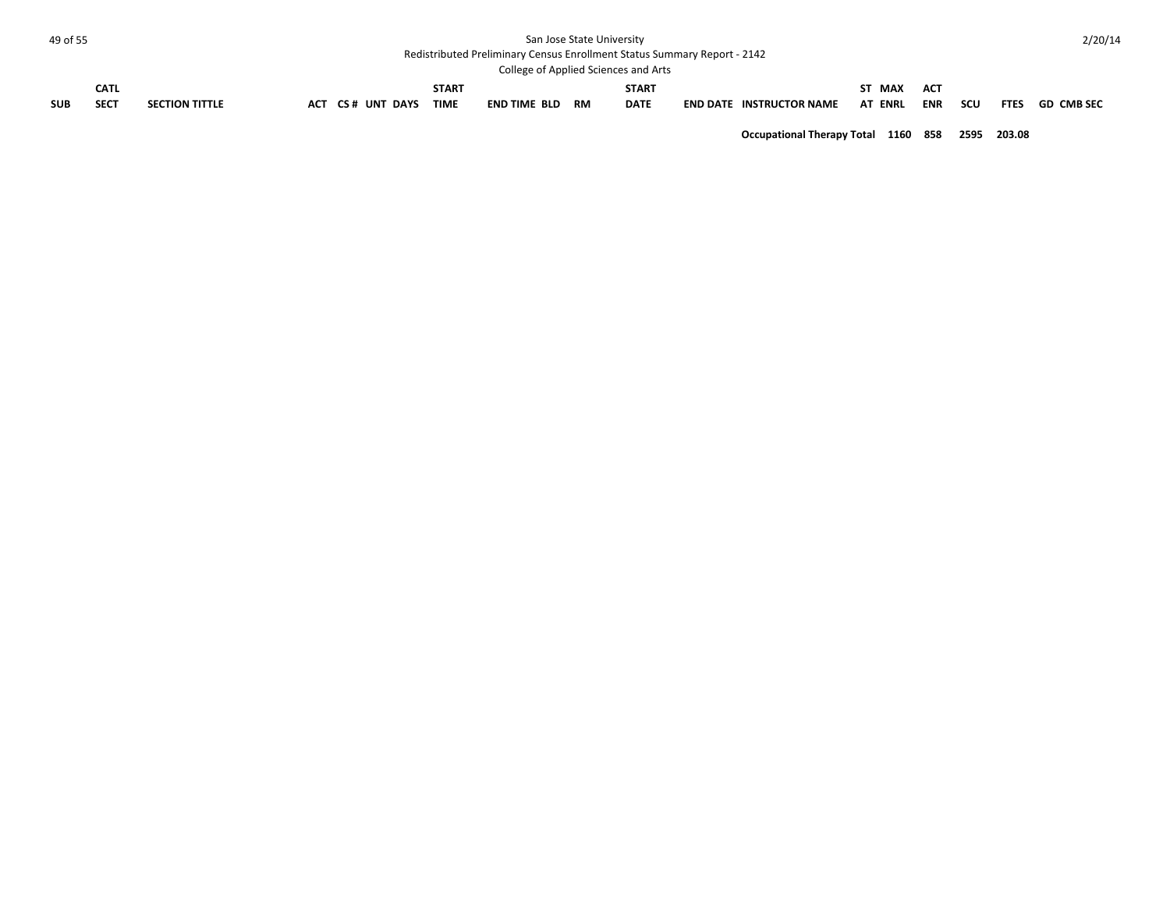| 49 of 55   |             |                       |                  |  |              |                                                                          | San Jose State University |                                      |                                 |                |            |     |             | 2/20/14    |
|------------|-------------|-----------------------|------------------|--|--------------|--------------------------------------------------------------------------|---------------------------|--------------------------------------|---------------------------------|----------------|------------|-----|-------------|------------|
|            |             |                       |                  |  |              | Redistributed Preliminary Census Enrollment Status Summary Report - 2142 |                           |                                      |                                 |                |            |     |             |            |
|            |             |                       |                  |  |              |                                                                          |                           | College of Applied Sciences and Arts |                                 |                |            |     |             |            |
|            | <b>CATL</b> |                       |                  |  | <b>START</b> |                                                                          |                           | <b>START</b>                         |                                 | ST MAX         | <b>ACT</b> |     |             |            |
| <b>SUB</b> | <b>SECT</b> | <b>SECTION TITTLE</b> | ACT CS# UNT DAYS |  | <b>TIME</b>  | END TIME BLD                                                             | RM                        | <b>DATE</b>                          | <b>END DATE INSTRUCTOR NAME</b> | <b>AT ENRL</b> | <b>ENR</b> | scu | <b>FTES</b> | GD CMB SEC |
|            |             |                       |                  |  |              |                                                                          |                           |                                      |                                 |                |            |     |             |            |

**Occupational Therapy Total 1160 858 2595 203.08**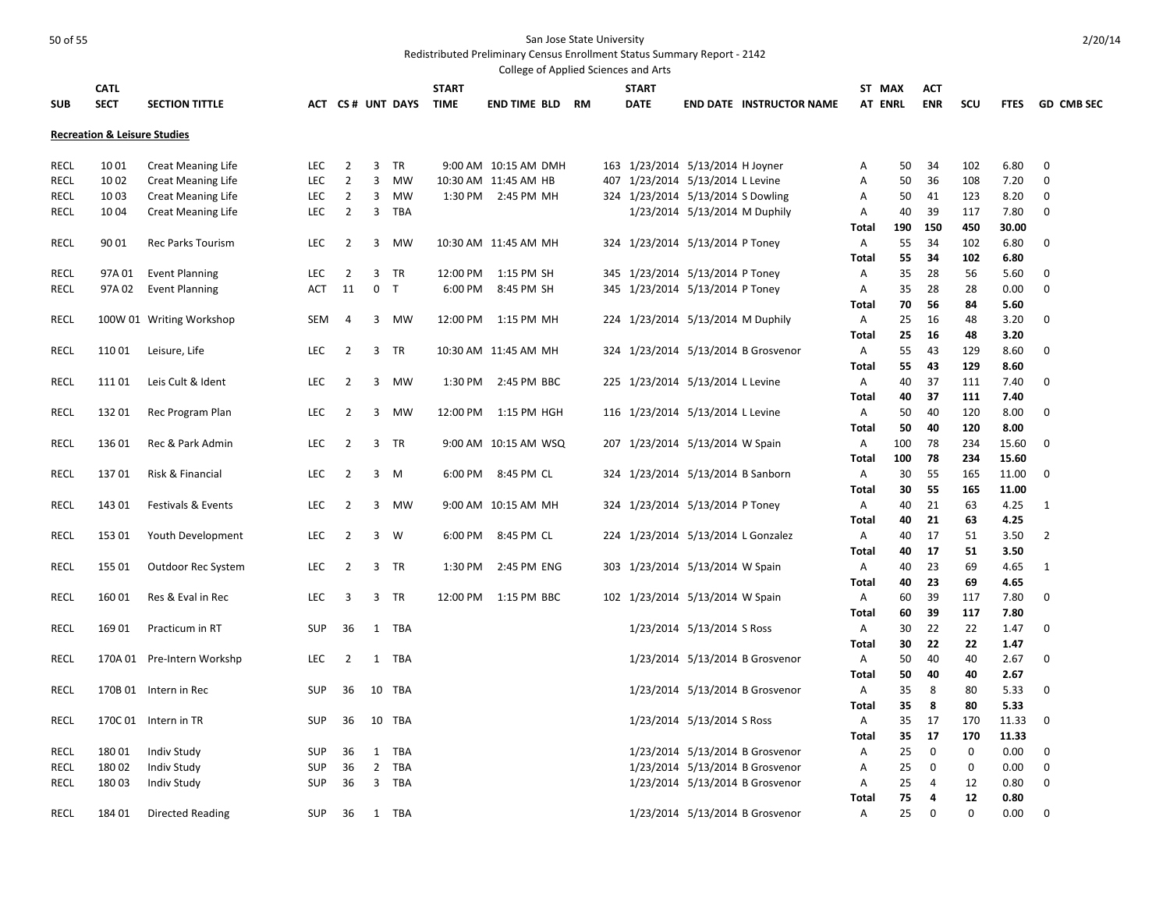| College of Applied Sciences and Arts |                                         |                            |            |                |              |                  |              |                        |  |     |                                    |                               |                                     |                   |                |            |             |              |                   |
|--------------------------------------|-----------------------------------------|----------------------------|------------|----------------|--------------|------------------|--------------|------------------------|--|-----|------------------------------------|-------------------------------|-------------------------------------|-------------------|----------------|------------|-------------|--------------|-------------------|
|                                      | <b>CATL</b>                             |                            |            |                |              |                  | <b>START</b> |                        |  |     | <b>START</b>                       |                               |                                     |                   | ST MAX         | <b>ACT</b> |             |              |                   |
| <b>SUB</b>                           | <b>SECT</b>                             | <b>SECTION TITTLE</b>      |            |                |              | ACT CS# UNT DAYS | <b>TIME</b>  | <b>END TIME BLD RM</b> |  |     | <b>DATE</b>                        |                               | <b>END DATE INSTRUCTOR NAME</b>     |                   | <b>AT ENRL</b> | <b>ENR</b> | SCU         | <b>FTES</b>  | <b>GD CMB SEC</b> |
|                                      |                                         |                            |            |                |              |                  |              |                        |  |     |                                    |                               |                                     |                   |                |            |             |              |                   |
|                                      | <b>Recreation &amp; Leisure Studies</b> |                            |            |                |              |                  |              |                        |  |     |                                    |                               |                                     |                   |                |            |             |              |                   |
|                                      |                                         |                            |            |                |              |                  |              |                        |  |     |                                    |                               |                                     |                   |                |            |             |              |                   |
| RECL                                 | 1001                                    | <b>Creat Meaning Life</b>  | <b>LEC</b> | 2              | 3            | TR               |              | 9:00 AM 10:15 AM DMH   |  |     | 163 1/23/2014 5/13/2014 H Joyner   |                               |                                     | Α                 | 50             | 34         | 102         | 6.80         | 0                 |
| <b>RECL</b>                          | 10 02                                   | <b>Creat Meaning Life</b>  | <b>LEC</b> | $\overline{2}$ | 3            | <b>MW</b>        |              | 10:30 AM 11:45 AM HB   |  | 407 |                                    | 1/23/2014 5/13/2014 L Levine  |                                     | Α                 | 50             | 36         | 108         | 7.20         | 0                 |
| RECL                                 | 1003                                    | <b>Creat Meaning Life</b>  | <b>LEC</b> | 2              | 3            | <b>MW</b>        |              | 1:30 PM 2:45 PM MH     |  |     | 324 1/23/2014 5/13/2014 S Dowling  |                               |                                     | Α                 | 50             | 41         | 123         | 8.20         | 0                 |
| RECL                                 | 1004                                    | <b>Creat Meaning Life</b>  | <b>LEC</b> | $\overline{2}$ | 3            | <b>TBA</b>       |              |                        |  |     |                                    | 1/23/2014 5/13/2014 M Duphily |                                     | Α                 | 40             | 39         | 117         | 7.80         | 0                 |
|                                      |                                         |                            |            |                |              |                  |              |                        |  |     |                                    |                               |                                     | Total             | 190            | 150        | 450         | 30.00        |                   |
| RECL                                 | 90 01                                   | <b>Rec Parks Tourism</b>   | LEC        | $\overline{2}$ | 3            | <b>MW</b>        |              | 10:30 AM 11:45 AM MH   |  |     | 324 1/23/2014 5/13/2014 P Toney    |                               |                                     | Α                 | 55             | 34         | 102         | 6.80         | 0                 |
|                                      |                                         |                            |            |                |              |                  |              |                        |  |     |                                    |                               |                                     | Total             | 55             | 34         | 102         | 6.80         |                   |
| <b>RECL</b>                          | 97A 01                                  | <b>Event Planning</b>      | LEC        | 2              | 3            | TR               | 12:00 PM     | 1:15 PM SH             |  |     | 345 1/23/2014 5/13/2014 P Toney    |                               |                                     | Α                 | 35             | 28         | 56          | 5.60         | 0                 |
| <b>RECL</b>                          | 97A 02                                  | <b>Event Planning</b>      | <b>ACT</b> | 11             |              | 0 <sub>T</sub>   | 6:00 PM      | 8:45 PM SH             |  |     | 345 1/23/2014 5/13/2014 P Toney    |                               |                                     | Α                 | 35             | 28         | 28<br>84    | 0.00         | $\mathbf 0$       |
|                                      |                                         |                            |            |                |              |                  |              |                        |  |     |                                    |                               |                                     | <b>Total</b>      | 70             | 56         | 48          | 5.60         |                   |
| <b>RECL</b>                          |                                         | 100W 01 Writing Workshop   | SEM        | 4              | 3            | MW               |              | 12:00 PM 1:15 PM MH    |  |     | 224 1/23/2014 5/13/2014 M Duphily  |                               |                                     | Α                 | 25             | 16         |             | 3.20         | $\mathbf 0$       |
|                                      |                                         |                            |            |                |              |                  |              |                        |  |     |                                    |                               |                                     | <b>Total</b>      | 25             | -16        | 48          | 3.20         |                   |
| <b>RECL</b>                          | 11001                                   | Leisure, Life              | <b>LEC</b> | $\overline{2}$ | 3            | TR               |              | 10:30 AM 11:45 AM MH   |  |     |                                    |                               | 324 1/23/2014 5/13/2014 B Grosvenor | Α                 | 55             | 43         | 129<br>129  | 8.60         | $\mathbf 0$       |
| <b>RECL</b>                          |                                         |                            |            | 2              | 3            | <b>MW</b>        |              | 2:45 PM BBC            |  |     |                                    |                               |                                     | Total             | 55             | 43<br>37   |             | 8.60         | $\mathbf 0$       |
|                                      | 11101                                   | Leis Cult & Ident          | <b>LEC</b> |                |              |                  | 1:30 PM      |                        |  |     | 225 1/23/2014 5/13/2014 L Levine   |                               |                                     | Α<br><b>Total</b> | 40<br>40       | 37         | 111<br>111  | 7.40<br>7.40 |                   |
| <b>RECL</b>                          | 13201                                   | Rec Program Plan           | LEC        | 2              | 3            | <b>MW</b>        | 12:00 PM     | 1:15 PM HGH            |  |     | 116 1/23/2014 5/13/2014 L Levine   |                               |                                     | Α                 | 50             | 40         | 120         | 8.00         | 0                 |
|                                      |                                         |                            |            |                |              |                  |              |                        |  |     |                                    |                               |                                     | <b>Total</b>      | 50             | 40         | 120         | 8.00         |                   |
| RECL                                 | 13601                                   | Rec & Park Admin           | <b>LEC</b> | 2              | 3            | TR               |              | 9:00 AM 10:15 AM WSQ   |  |     | 207 1/23/2014 5/13/2014 W Spain    |                               |                                     | Α                 | 100            | 78         | 234         | 15.60        | 0                 |
|                                      |                                         |                            |            |                |              |                  |              |                        |  |     |                                    |                               |                                     | <b>Total</b>      | 100            | 78         | 234         | 15.60        |                   |
| RECL                                 | 13701                                   | Risk & Financial           | <b>LEC</b> | 2              | 3            | M                | 6:00 PM      | 8:45 PM CL             |  |     | 324 1/23/2014 5/13/2014 B Sanborn  |                               |                                     | Α                 | 30             | 55         | 165         | 11.00        | 0                 |
|                                      |                                         |                            |            |                |              |                  |              |                        |  |     |                                    |                               |                                     | <b>Total</b>      | 30             | 55         | 165         | 11.00        |                   |
| <b>RECL</b>                          | 143 01                                  | Festivals & Events         | <b>LEC</b> | $\overline{2}$ | 3            | <b>MW</b>        |              | 9:00 AM 10:15 AM MH    |  |     | 324 1/23/2014 5/13/2014 P Toney    |                               |                                     | Α                 | 40             | 21         | 63          | 4.25         | $\mathbf{1}$      |
|                                      |                                         |                            |            |                |              |                  |              |                        |  |     |                                    |                               |                                     | <b>Total</b>      | 40             | 21         | 63          | 4.25         |                   |
| <b>RECL</b>                          | 153 01                                  | Youth Development          | <b>LEC</b> | $\overline{2}$ | 3            | W                | 6:00 PM      | 8:45 PM CL             |  |     | 224 1/23/2014 5/13/2014 L Gonzalez |                               |                                     | Α                 | 40             | 17         | 51          | 3.50         | $\overline{2}$    |
|                                      |                                         |                            |            |                |              |                  |              |                        |  |     |                                    |                               |                                     | <b>Total</b>      | 40             | 17         | 51          | 3.50         |                   |
| RECL                                 | 155 01                                  | Outdoor Rec System         | <b>LEC</b> | $\overline{2}$ | 3            | TR               | 1:30 PM      | 2:45 PM ENG            |  | 303 |                                    | 1/23/2014 5/13/2014 W Spain   |                                     | Α                 | 40             | 23         | 69          | 4.65         | 1                 |
|                                      |                                         |                            |            |                |              |                  |              |                        |  |     |                                    |                               |                                     | Total             | 40             | 23         | 69          | 4.65         |                   |
| RECL                                 | 16001                                   | Res & Eval in Rec          | LEC        | 3              | 3            | <b>TR</b>        | 12:00 PM     | 1:15 PM BBC            |  |     | 102 1/23/2014 5/13/2014 W Spain    |                               |                                     | Α                 | 60             | 39         | 117         | 7.80         | 0                 |
|                                      |                                         |                            |            |                |              |                  |              |                        |  |     |                                    |                               |                                     | <b>Total</b>      | 60             | 39         | 117         | 7.80         |                   |
| RECL                                 | 16901                                   | Practicum in RT            | <b>SUP</b> | 36             | $\mathbf{1}$ | <b>TBA</b>       |              |                        |  |     |                                    | 1/23/2014 5/13/2014 S Ross    |                                     | Α                 | 30             | 22         | 22          | 1.47         | 0                 |
|                                      |                                         |                            |            |                |              |                  |              |                        |  |     |                                    |                               |                                     | <b>Total</b>      | 30             | 22         | 22          | 1.47         |                   |
| <b>RECL</b>                          |                                         | 170A 01 Pre-Intern Workshp | <b>LEC</b> | 2              | 1            | TBA              |              |                        |  |     |                                    |                               | 1/23/2014 5/13/2014 B Grosvenor     | Α                 | 50             | 40         | 40          | 2.67         | 0                 |
|                                      |                                         |                            |            |                |              |                  |              |                        |  |     |                                    |                               |                                     | <b>Total</b>      | 50             | 40         | 40          | 2.67         |                   |
| <b>RECL</b>                          |                                         | 170B 01 Intern in Rec      | <b>SUP</b> | 36             |              | 10 TBA           |              |                        |  |     |                                    |                               | 1/23/2014 5/13/2014 B Grosvenor     | Α                 | 35             | 8          | 80          | 5.33         | 0                 |
|                                      |                                         |                            |            |                |              |                  |              |                        |  |     |                                    |                               |                                     | <b>Total</b>      | 35             | 8          | 80          | 5.33         |                   |
| RECL                                 |                                         | 170C 01 Intern in TR       | <b>SUP</b> | 36             |              | 10 TBA           |              |                        |  |     |                                    | 1/23/2014 5/13/2014 S Ross    |                                     | A                 | 35             | 17         | 170         | 11.33        | $\mathbf 0$       |
|                                      |                                         |                            |            |                |              |                  |              |                        |  |     |                                    |                               |                                     | <b>Total</b>      | 35             | 17         | 170         | 11.33        |                   |
| <b>RECL</b>                          | 18001                                   | <b>Indiv Study</b>         | SUP        | 36             | $\mathbf{1}$ | <b>TBA</b>       |              |                        |  |     |                                    |                               | 1/23/2014 5/13/2014 B Grosvenor     | Α                 | 25             | 0          | $\mathbf 0$ | 0.00         | 0                 |
| RECL                                 | 18002                                   | <b>Indiv Study</b>         | SUP        | 36             | 2            | <b>TBA</b>       |              |                        |  |     |                                    |                               | 1/23/2014 5/13/2014 B Grosvenor     | Α                 | 25             | 0          | 0           | 0.00         | 0                 |
| <b>RECL</b>                          | 18003                                   | <b>Indiv Study</b>         | <b>SUP</b> | 36             | 3            | <b>TBA</b>       |              |                        |  |     |                                    |                               | 1/23/2014 5/13/2014 B Grosvenor     | Α                 | 25             | 4          | 12          | 0.80         | 0                 |
|                                      |                                         |                            |            |                |              |                  |              |                        |  |     |                                    |                               |                                     | <b>Total</b>      | 75             | 4          | 12          | 0.80         |                   |
| <b>RECL</b>                          | 184 01                                  | Directed Reading           | <b>SUP</b> | 36             |              | 1 TBA            |              |                        |  |     |                                    |                               | 1/23/2014 5/13/2014 B Grosvenor     | Α                 | 25             | $\Omega$   | $\Omega$    | 0.00         | $\Omega$          |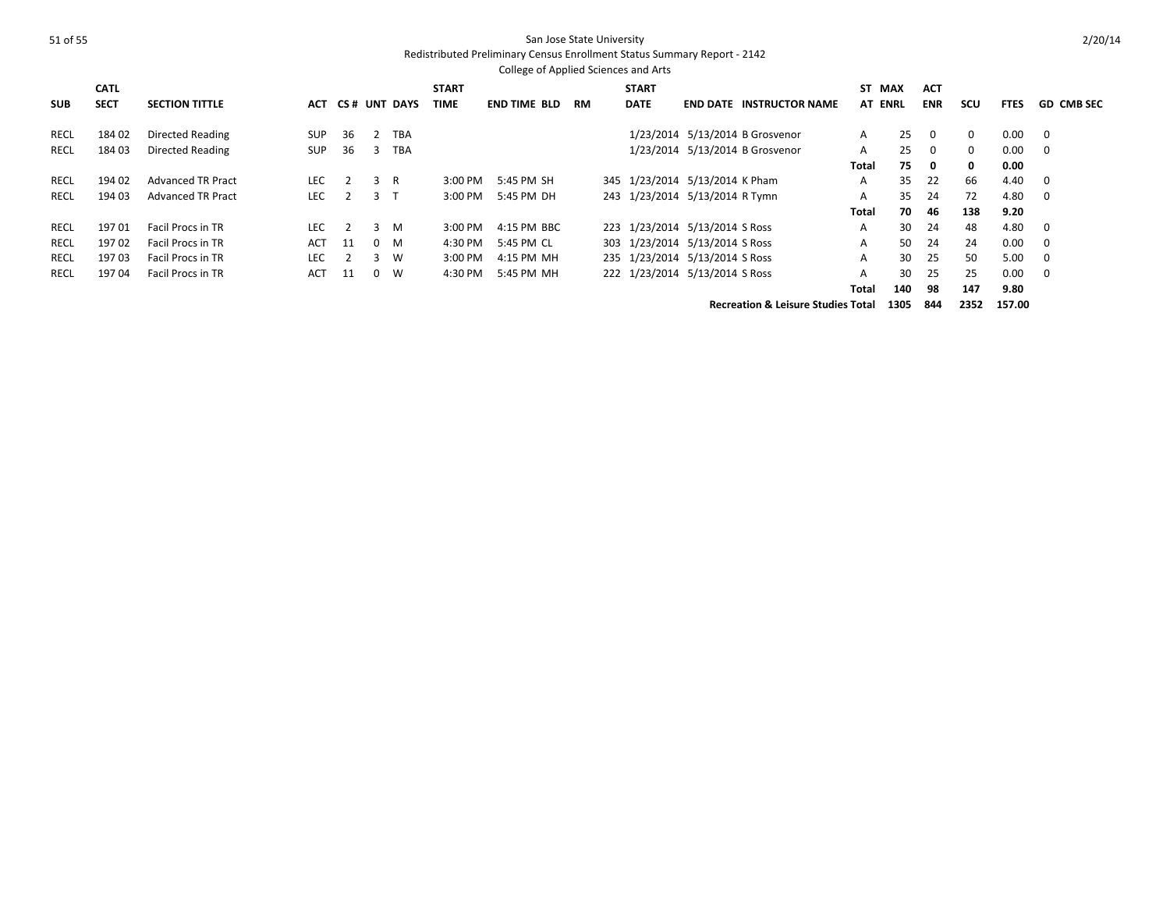### Redistributed Preliminary Census Enrollment Status Summary Report - 2142

|             | College of Applied Sciences and Arts |                          |            |     |          |                 |              |                     |    |              |  |                                |                                 |              |     |             |          |             |                   |
|-------------|--------------------------------------|--------------------------|------------|-----|----------|-----------------|--------------|---------------------|----|--------------|--|--------------------------------|---------------------------------|--------------|-----|-------------|----------|-------------|-------------------|
|             | <b>CATL</b>                          |                          |            |     |          |                 | <b>START</b> |                     |    | <b>START</b> |  |                                |                                 | ST           | MAX | <b>ACT</b>  |          |             |                   |
| <b>SUB</b>  | <b>SECT</b>                          | <b>SECTION TITTLE</b>    | ACT        | CS# |          | <b>UNT DAYS</b> | <b>TIME</b>  | <b>END TIME BLD</b> | RM | <b>DATE</b>  |  |                                | <b>END DATE INSTRUCTOR NAME</b> | AT ENRL      |     | <b>ENR</b>  | scu      | <b>FTES</b> | <b>GD CMB SEC</b> |
| RECL        | 184 02                               | Directed Reading         | <b>SUP</b> | 36  | 2        | <b>TBA</b>      |              |                     |    |              |  |                                | 1/23/2014 5/13/2014 B Grosvenor | A            | 25  | 0           | $\Omega$ | 0.00        | 0                 |
| RECL        | 184 03                               | <b>Directed Reading</b>  | <b>SUP</b> | 36  | 3        | <b>TBA</b>      |              |                     |    |              |  |                                | 1/23/2014 5/13/2014 B Grosvenor | A            | 25  | $\mathbf 0$ | $\Omega$ | 0.00        | 0                 |
|             |                                      |                          |            |     |          |                 |              |                     |    |              |  |                                |                                 | Total        | 75  | 0           | $\Omega$ | 0.00        |                   |
| RECL        | 194 02                               | <b>Advanced TR Pract</b> | LEC.       |     | 3        | R               | $3:00$ PM    | 5:45 PM SH          |    |              |  | 345 1/23/2014 5/13/2014 K Pham |                                 | A            | 35  | 22          | 66       | 4.40        | $\mathbf 0$       |
| RECL        | 194 03                               | <b>Advanced TR Pract</b> | <b>LEC</b> |     | २        |                 | 3:00 PM      | 5:45 PM DH          |    |              |  | 243 1/23/2014 5/13/2014 R Tymn |                                 | Α            | 35  | 24          | 72       | 4.80        | 0                 |
|             |                                      |                          |            |     |          |                 |              |                     |    |              |  |                                |                                 | Total        | 70  | -46         | 138      | 9.20        |                   |
| RECL        | 19701                                | <b>Facil Procs in TR</b> | LEC.       |     | 3        | M               | $3:00$ PM    | 4:15 PM BBC         |    |              |  | 223 1/23/2014 5/13/2014 S Ross |                                 | A            | 30  | 24          | 48       | 4.80        | $\mathbf 0$       |
| RECL        | 19702                                | <b>Facil Procs in TR</b> | <b>ACT</b> | 11  |          | $0 \quad M$     | 4:30 PM      | 5:45 PM CL          |    |              |  | 303 1/23/2014 5/13/2014 S Ross |                                 | A            | 50  | 24          | 24       | 0.00        | 0                 |
| <b>RECL</b> | 19703                                | <b>Facil Procs in TR</b> | <b>LEC</b> |     | २        | W               | 3:00 PM      | 4:15 PM MH          |    |              |  | 235 1/23/2014 5/13/2014 S Ross |                                 | A            | 30  | 25          | 50       | 5.00        | 0                 |
| RECL        | 19704                                | <b>Facil Procs in TR</b> | <b>ACT</b> | 11  | $\Omega$ | W               | 4:30 PM      | 5:45 PM MH          |    |              |  | 222 1/23/2014 5/13/2014 S Ross |                                 | A            | 30  | 25          | 25       | 0.00        | 0                 |
|             |                                      |                          |            |     |          |                 |              |                     |    |              |  |                                |                                 | <b>Total</b> | 140 | 98          | 147      | 9.80        |                   |

**Recreation & Leisure Studies Total 1305 844 2352 157.00**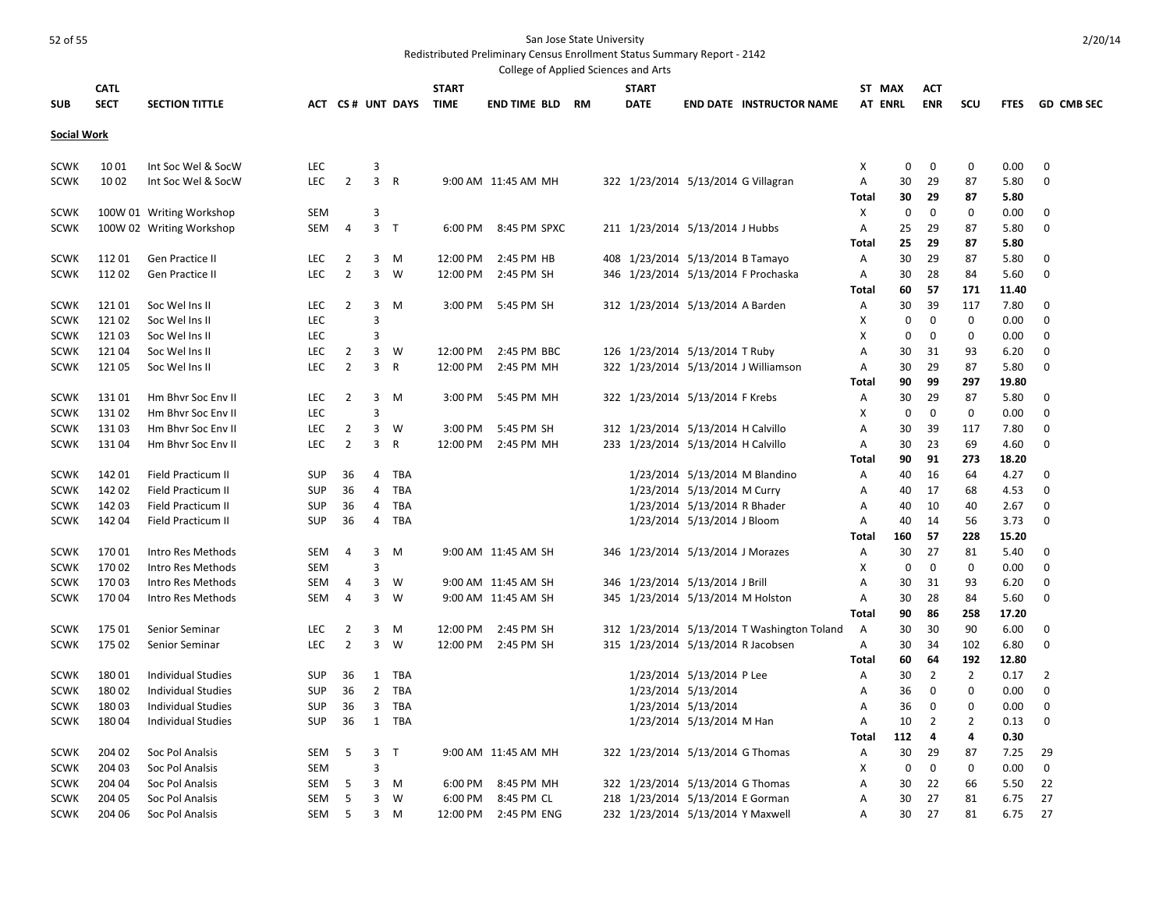| College of Applied Sciences and Arts |             |                           |            |                |                |                  |              |                        |  |  |                                     |                              |                                             |                |                   |                   |                    |             |                   |
|--------------------------------------|-------------|---------------------------|------------|----------------|----------------|------------------|--------------|------------------------|--|--|-------------------------------------|------------------------------|---------------------------------------------|----------------|-------------------|-------------------|--------------------|-------------|-------------------|
|                                      | <b>CATL</b> |                           |            |                |                |                  | <b>START</b> |                        |  |  | <b>START</b>                        |                              |                                             |                | ST MAX            | <b>ACT</b>        |                    |             |                   |
| <b>SUB</b>                           | <b>SECT</b> | <b>SECTION TITTLE</b>     |            |                |                | ACT CS# UNT DAYS | <b>TIME</b>  | <b>END TIME BLD RM</b> |  |  | <b>DATE</b>                         |                              | <b>END DATE INSTRUCTOR NAME</b>             |                | <b>AT ENRL</b>    | <b>ENR</b>        | scu                | <b>FTES</b> | <b>GD CMB SEC</b> |
|                                      |             |                           |            |                |                |                  |              |                        |  |  |                                     |                              |                                             |                |                   |                   |                    |             |                   |
| <b>Social Work</b>                   |             |                           |            |                |                |                  |              |                        |  |  |                                     |                              |                                             |                |                   |                   |                    |             |                   |
| <b>SCWK</b>                          | 1001        | Int Soc Wel & SocW        | <b>LEC</b> |                | 3              |                  |              |                        |  |  |                                     |                              |                                             | х              | 0                 | 0                 | $\mathbf 0$        | 0.00        | 0                 |
| <b>SCWK</b>                          | 10 02       | Int Soc Wel & SocW        | <b>LEC</b> | $\overline{2}$ | 3              | $\overline{R}$   |              | 9:00 AM 11:45 AM MH    |  |  | 322 1/23/2014 5/13/2014 G Villagran |                              |                                             | А              | 30                | 29                | 87                 | 5.80        | $\mathbf 0$       |
|                                      |             |                           |            |                |                |                  |              |                        |  |  |                                     |                              |                                             | Total          | 30                | 29                | 87                 | 5.80        |                   |
| <b>SCWK</b>                          |             | 100W 01 Writing Workshop  | <b>SEM</b> |                | 3              |                  |              |                        |  |  |                                     |                              |                                             | X              | $\mathbf 0$       | $\mathbf 0$       | $\Omega$           | 0.00        | 0                 |
| <b>SCWK</b>                          |             | 100W 02 Writing Workshop  | SEM        | $\overline{4}$ | 3 <sub>T</sub> |                  | 6:00 PM      | 8:45 PM SPXC           |  |  | 211 1/23/2014 5/13/2014 J Hubbs     |                              |                                             | Α              | 25                | 29                | 87                 | 5.80        | 0                 |
|                                      |             |                           |            |                |                |                  |              |                        |  |  |                                     |                              |                                             | Total          | 25                | -29               | 87                 | 5.80        |                   |
| <b>SCWK</b>                          | 11201       | Gen Practice II           | LEC.       | 2              | $\overline{3}$ | M                | 12:00 PM     | 2:45 PM HB             |  |  | 408 1/23/2014 5/13/2014 B Tamayo    |                              |                                             | Α              | 30                | 29                | 87                 | 5.80        | $\mathbf 0$       |
| <b>SCWK</b>                          | 112 02      | Gen Practice II           | <b>LEC</b> | $\overline{2}$ | 3              | W                | 12:00 PM     | 2:45 PM SH             |  |  |                                     |                              | 346 1/23/2014 5/13/2014 F Prochaska         | Α              | 30                | 28                | 84                 | 5.60        | $\mathbf 0$       |
|                                      |             |                           |            |                |                |                  |              |                        |  |  |                                     |                              |                                             |                |                   | 57                | 171                |             |                   |
|                                      |             |                           |            |                |                |                  |              |                        |  |  |                                     |                              |                                             | Total          | 60                |                   |                    | 11.40       |                   |
| <b>SCWK</b>                          | 12101       | Soc Wel Ins II            | LEC        | 2              | 3<br>3         | M                | 3:00 PM      | 5:45 PM SH             |  |  | 312 1/23/2014 5/13/2014 A Barden    |                              |                                             | Α              | 30<br>$\mathbf 0$ | 39<br>$\mathbf 0$ | 117<br>$\mathbf 0$ | 7.80        | 0<br>$\mathbf 0$  |
| <b>SCWK</b>                          | 12102       | Soc Wel Ins II            | <b>LEC</b> |                |                |                  |              |                        |  |  |                                     |                              |                                             | X              |                   |                   |                    | 0.00        |                   |
| <b>SCWK</b>                          | 12103       | Soc Wel Ins II            | <b>LEC</b> |                | 3              |                  |              |                        |  |  |                                     |                              |                                             | х              | 0                 | 0                 | $\Omega$           | 0.00        | 0                 |
| <b>SCWK</b>                          | 12104       | Soc Wel Ins II            | <b>LEC</b> | $\overline{2}$ | 3              | W                | 12:00 PM     | 2:45 PM BBC            |  |  | 126 1/23/2014 5/13/2014 T Ruby      |                              |                                             | Α              | 30                | 31                | 93                 | 6.20        | 0                 |
| <b>SCWK</b>                          | 12105       | Soc Wel Ins II            | <b>LEC</b> | $\overline{2}$ | $\overline{3}$ | R                | 12:00 PM     | 2:45 PM MH             |  |  |                                     |                              | 322 1/23/2014 5/13/2014 J Williamson        | Α              | 30                | 29                | 87                 | 5.80        | 0                 |
|                                      |             |                           |            |                |                |                  |              |                        |  |  |                                     |                              |                                             | Total          | 90                | 99                | 297                | 19.80       |                   |
| <b>SCWK</b>                          | 13101       | Hm Bhyr Soc Env II        | LEC        | 2              | 3              | M                | 3:00 PM      | 5:45 PM MH             |  |  | 322 1/23/2014 5/13/2014 F Krebs     |                              |                                             | Α              | 30                | 29                | 87                 | 5.80        | 0                 |
| <b>SCWK</b>                          | 13102       | Hm Bhvr Soc Env II        | LEC        |                | 3              |                  |              |                        |  |  |                                     |                              |                                             | Χ              | $\mathbf 0$       | $\mathbf 0$       | $\Omega$           | 0.00        | 0                 |
| <b>SCWK</b>                          | 13103       | Hm Bhvr Soc Env II        | LEC        | 2              | 3              | W                | 3:00 PM      | 5:45 PM SH             |  |  | 312 1/23/2014 5/13/2014 H Calvillo  |                              |                                             | A              | 30                | 39                | 117                | 7.80        | 0                 |
| <b>SCWK</b>                          | 13104       | Hm Bhvr Soc Env II        | LEC        | $\overline{2}$ | 3              | R                | 12:00 PM     | 2:45 PM MH             |  |  | 233 1/23/2014 5/13/2014 H Calvillo  |                              |                                             | Α              | 30                | 23                | 69                 | 4.60        | 0                 |
|                                      |             |                           |            |                |                |                  |              |                        |  |  |                                     |                              |                                             | Total          | 90                | 91                | 273                | 18.20       |                   |
| <b>SCWK</b>                          | 14201       | Field Practicum II        | <b>SUP</b> | 36             | 4              | TBA              |              |                        |  |  |                                     |                              | 1/23/2014 5/13/2014 M Blandino              | Α              | 40                | 16                | 64                 | 4.27        | 0                 |
| <b>SCWK</b>                          | 142 02      | Field Practicum II        | <b>SUP</b> | 36             | 4              | <b>TBA</b>       |              |                        |  |  |                                     | 1/23/2014 5/13/2014 M Curry  |                                             | Α              | 40                | 17                | 68                 | 4.53        | $\mathbf 0$       |
| <b>SCWK</b>                          | 142 03      | Field Practicum II        | <b>SUP</b> | 36             | 4              | <b>TBA</b>       |              |                        |  |  |                                     | 1/23/2014 5/13/2014 R Bhader |                                             | Α              | 40                | 10                | 40                 | 2.67        | 0                 |
| <b>SCWK</b>                          | 142 04      | Field Practicum II        | <b>SUP</b> | 36             | 4              | TBA              |              |                        |  |  |                                     | 1/23/2014 5/13/2014 J Bloom  |                                             | Α              | 40                | 14                | 56                 | 3.73        | $\mathbf 0$       |
|                                      |             |                           |            |                |                |                  |              |                        |  |  |                                     |                              |                                             | Total          | 160               | 57                | 228                | 15.20       |                   |
| <b>SCWK</b>                          | 170 01      | Intro Res Methods         | SEM        | 4              | 3              | M                |              | 9:00 AM 11:45 AM SH    |  |  | 346 1/23/2014 5/13/2014 J Morazes   |                              |                                             | A              | 30                | 27                | 81                 | 5.40        | 0                 |
| <b>SCWK</b>                          | 170 02      | Intro Res Methods         | <b>SEM</b> |                | 3              |                  |              |                        |  |  |                                     |                              |                                             | X              | $\mathbf 0$       | $\mathbf 0$       | $\Omega$           | 0.00        | $\mathbf 0$       |
| <b>SCWK</b>                          | 17003       | Intro Res Methods         | SEM        | 4              | 3              | W                |              | 9:00 AM 11:45 AM SH    |  |  | 346 1/23/2014 5/13/2014 J Brill     |                              |                                             | Α              | 30                | 31                | 93                 | 6.20        | 0                 |
| <b>SCWK</b>                          | 17004       | Intro Res Methods         | <b>SEM</b> | 4              | 3              | W                |              | 9:00 AM 11:45 AM SH    |  |  | 345 1/23/2014 5/13/2014 M Holston   |                              |                                             | Α              | 30                | 28                | 84                 | 5.60        | $\mathbf 0$       |
|                                      |             |                           |            |                |                |                  |              |                        |  |  |                                     |                              |                                             | Total          | 90                | 86                | 258                | 17.20       |                   |
| <b>SCWK</b>                          | 175 01      | Senior Seminar            | LEC        | 2              | 3              | M                | 12:00 PM     | 2:45 PM SH             |  |  |                                     |                              | 312 1/23/2014 5/13/2014 T Washington Toland | $\overline{A}$ | 30                | 30                | 90                 | 6.00        | 0                 |
| <b>SCWK</b>                          | 175 02      | Senior Seminar            | <b>LEC</b> | $\overline{2}$ |                | $3 \quad W$      |              | 12:00 PM 2:45 PM SH    |  |  | 315 1/23/2014 5/13/2014 R Jacobsen  |                              |                                             | A              | 30                | 34                | 102                | 6.80        | $\mathbf 0$       |
|                                      |             |                           |            |                |                |                  |              |                        |  |  |                                     |                              |                                             | Total          | 60                | 64                | 192                | 12.80       |                   |
| <b>SCWK</b>                          | 18001       | Individual Studies        | <b>SUP</b> | 36             | 1              | TBA              |              |                        |  |  |                                     | 1/23/2014 5/13/2014 P Lee    |                                             | Α              | 30                | $\overline{2}$    | $\overline{2}$     | 0.17        | $\overline{2}$    |
| <b>SCWK</b>                          | 18002       | <b>Individual Studies</b> | <b>SUP</b> | 36             | $\overline{2}$ | <b>TBA</b>       |              |                        |  |  |                                     | 1/23/2014 5/13/2014          |                                             | Α              | 36                | 0                 | $\Omega$           | 0.00        | 0                 |
| <b>SCWK</b>                          | 18003       | <b>Individual Studies</b> | <b>SUP</b> | 36             | 3              | <b>TBA</b>       |              |                        |  |  |                                     | 1/23/2014 5/13/2014          |                                             | Α              | 36                | $\mathbf 0$       | $\mathbf 0$        | 0.00        | 0                 |
| <b>SCWK</b>                          | 18004       | Individual Studies        | <b>SUP</b> | 36             | 1              | TBA              |              |                        |  |  |                                     | 1/23/2014 5/13/2014 M Han    |                                             | Α              | 10                | 2                 | $\overline{2}$     | 0.13        | $\mathbf 0$       |
|                                      |             |                           |            |                |                |                  |              |                        |  |  |                                     |                              |                                             | <b>Total</b>   | 112               | 4                 | 4                  | 0.30        |                   |
| <b>SCWK</b>                          | 204 02      | Soc Pol Analsis           | SEM        | 5              | 3              | $\top$           |              | 9:00 AM 11:45 AM MH    |  |  | 322 1/23/2014 5/13/2014 G Thomas    |                              |                                             | Α              | 30                | 29                | 87                 | 7.25        | 29                |
| <b>SCWK</b>                          | 204 03      | Soc Pol Analsis           | <b>SEM</b> |                | 3              |                  |              |                        |  |  |                                     |                              |                                             | Χ              | $\mathbf 0$       | 0                 | 0                  | 0.00        | 0                 |
| <b>SCWK</b>                          | 204 04      | Soc Pol Analsis           | <b>SEM</b> | 5              | 3              | M                | 6:00 PM      | 8:45 PM MH             |  |  | 322 1/23/2014 5/13/2014 G Thomas    |                              |                                             | Α              | 30                | 22                | 66                 | 5.50        | 22                |
| <b>SCWK</b>                          | 204 05      | Soc Pol Analsis           | SEM        | 5              | 3              | W                | 6:00 PM      | 8:45 PM CL             |  |  | 218 1/23/2014 5/13/2014 E Gorman    |                              |                                             | Α              | 30                | 27                | 81                 | 6.75        | 27                |
| <b>SCWK</b>                          | 204 06      | Soc Pol Analsis           | SEM        | 5              | 3              | M                | 12:00 PM     | 2:45 PM ENG            |  |  | 232 1/23/2014 5/13/2014 Y Maxwell   |                              |                                             | A              | 30                | 27                | 81                 | 6.75        | 27                |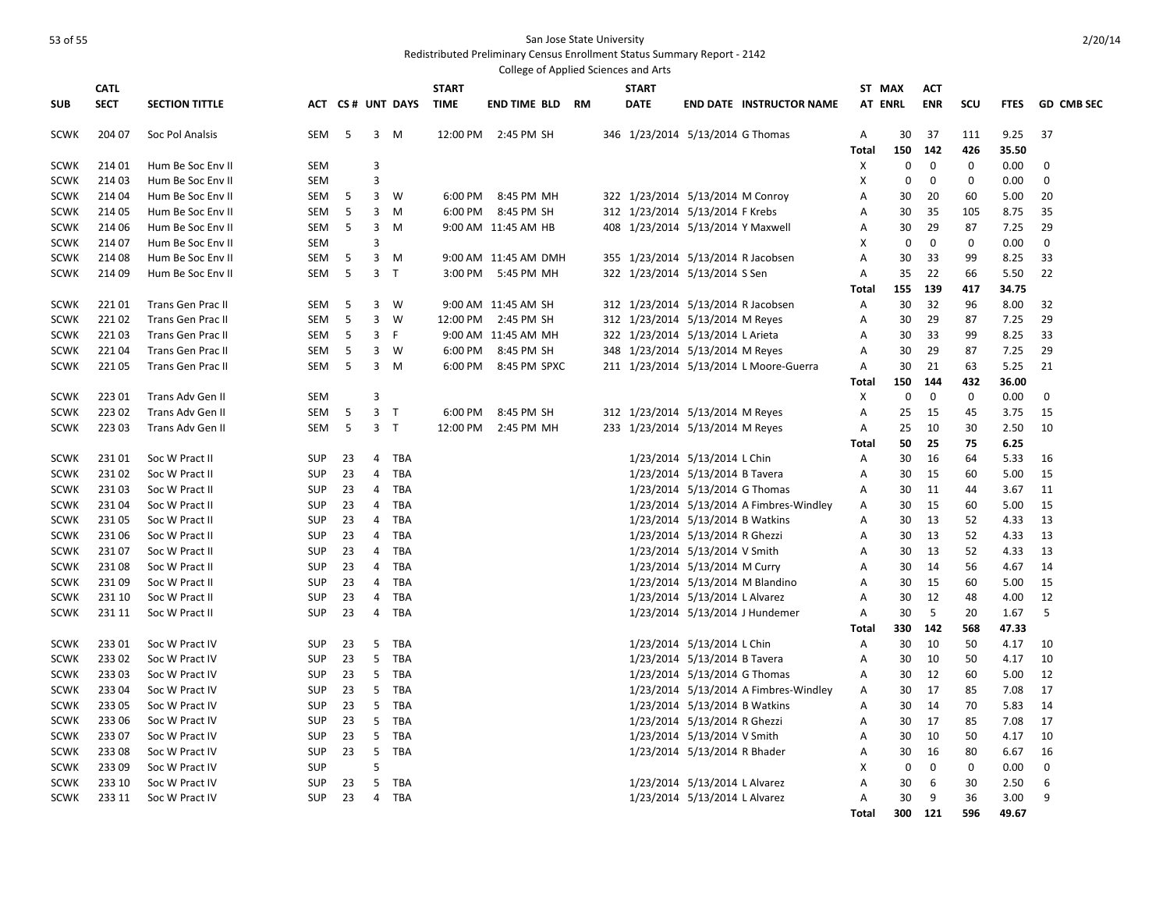|                            | College of Applied Sciences and Arts |                                  |                          |          |                |                   |              |                      |  |  |                                                               |  |                                        |                |             |              |             |              |                   |
|----------------------------|--------------------------------------|----------------------------------|--------------------------|----------|----------------|-------------------|--------------|----------------------|--|--|---------------------------------------------------------------|--|----------------------------------------|----------------|-------------|--------------|-------------|--------------|-------------------|
|                            | <b>CATL</b>                          |                                  |                          |          |                |                   | <b>START</b> |                      |  |  | <b>START</b>                                                  |  |                                        | ST MAX         |             | <b>ACT</b>   |             |              |                   |
| <b>SUB</b>                 | <b>SECT</b>                          | <b>SECTION TITTLE</b>            |                          |          |                | ACT CS# UNT DAYS  | <b>TIME</b>  | END TIME BLD RM      |  |  | <b>DATE</b>                                                   |  | <b>END DATE INSTRUCTOR NAME</b>        | <b>AT ENRL</b> |             | <b>ENR</b>   | <b>SCU</b>  | <b>FTES</b>  | <b>GD CMB SEC</b> |
| <b>SCWK</b>                | 204 07                               | Soc Pol Analsis                  | SEM                      | 5        |                | 3 M               |              | 12:00 PM 2:45 PM SH  |  |  | 346 1/23/2014 5/13/2014 G Thomas                              |  |                                        | Α              | 30          | 37           | 111         | 9.25         | 37                |
|                            |                                      |                                  |                          |          |                |                   |              |                      |  |  |                                                               |  |                                        | <b>Total</b>   | 150         | 142          | 426         | 35.50        |                   |
| <b>SCWK</b>                | 214 01                               | Hum Be Soc Env II                | <b>SEM</b>               |          | 3              |                   |              |                      |  |  |                                                               |  |                                        | Χ              | 0           | 0            | 0           | 0.00         | 0                 |
| <b>SCWK</b>                | 21403                                | Hum Be Soc Env II                | <b>SEM</b>               |          | 3              |                   |              |                      |  |  |                                                               |  |                                        | X              | $\mathbf 0$ | $\mathbf 0$  | $\mathbf 0$ | 0.00         | $\mathbf 0$       |
| <b>SCWK</b>                | 214 04                               | Hum Be Soc Env II                | SEM                      | 5        | 3              | W                 | 6:00 PM      | 8:45 PM MH           |  |  | 322 1/23/2014 5/13/2014 M Conroy                              |  |                                        | Α              | 30          | 20           | 60          | 5.00         | 20                |
| <b>SCWK</b>                | 214 05                               | Hum Be Soc Env II                | <b>SEM</b>               | 5        | 3              | M                 | 6:00 PM      | 8:45 PM SH           |  |  | 312 1/23/2014 5/13/2014 F Krebs                               |  |                                        | A              | 30          | 35           | 105         | 8.75         | 35                |
| <b>SCWK</b>                | 214 06                               | Hum Be Soc Env II                | SEM                      | 5        | 3              | M                 |              | 9:00 AM 11:45 AM HB  |  |  | 408 1/23/2014 5/13/2014 Y Maxwell                             |  |                                        | Α              | 30          | 29           | 87          | 7.25         | 29                |
| <b>SCWK</b>                | 214 07                               | Hum Be Soc Env II                | SEM                      |          | 3              |                   |              |                      |  |  |                                                               |  |                                        | X              | $\mathbf 0$ | $\mathbf{0}$ | $\Omega$    | 0.00         | $\mathbf{0}$      |
| <b>SCWK</b>                | 214 08                               | Hum Be Soc Env II                | SEM                      | 5        | 3              | M                 |              | 9:00 AM 11:45 AM DMH |  |  |                                                               |  | 355 1/23/2014 5/13/2014 R Jacobsen     | A              | 30          | 33           | 99          | 8.25         | 33                |
| <b>SCWK</b>                | 214 09                               | Hum Be Soc Env II                | SEM                      | 5        | $\overline{3}$ | $\mathsf{T}$      | 3:00 PM      | 5:45 PM MH           |  |  | 322 1/23/2014 5/13/2014 S Sen                                 |  |                                        | Α              | 35          | 22           | 66          | 5.50         | 22                |
|                            |                                      |                                  |                          |          |                |                   |              |                      |  |  |                                                               |  |                                        | Total          | 155         | 139          | 417         | 34.75        |                   |
| <b>SCWK</b>                | 22101                                | Trans Gen Prac II                | SEM                      | 5        | 3              | <b>W</b>          |              | 9:00 AM 11:45 AM SH  |  |  |                                                               |  | 312 1/23/2014 5/13/2014 R Jacobsen     | Α              | 30          | 32           | 96          | 8.00         | 32                |
| <b>SCWK</b>                | 22102                                | Trans Gen Prac II                | SEM                      | 5        | 3              | W                 |              | 12:00 PM 2:45 PM SH  |  |  | 312 1/23/2014 5/13/2014 M Reyes                               |  |                                        | Α              | 30          | 29           | 87          | 7.25         | 29                |
| <b>SCWK</b>                | 22103                                | Trans Gen Prac II                | SEM                      | 5        | 3              | F                 |              | 9:00 AM 11:45 AM MH  |  |  | 322 1/23/2014 5/13/2014 L Arieta                              |  |                                        | A              | 30          | 33           | 99          | 8.25         | 33                |
| <b>SCWK</b>                | 22104                                | Trans Gen Prac II                | <b>SEM</b>               | 5        | $\overline{3}$ | W                 | 6:00 PM      | 8:45 PM SH           |  |  | 348 1/23/2014 5/13/2014 M Reyes                               |  |                                        | A              | 30          | 29           | 87          | 7.25         | 29                |
| <b>SCWK</b>                | 22105                                | Trans Gen Prac II                | SEM                      | 5        | 3              | M                 | 6:00 PM      | 8:45 PM SPXC         |  |  |                                                               |  | 211 1/23/2014 5/13/2014 L Moore-Guerra | Α              | 30          | 21           | 63          | 5.25         | 21                |
|                            |                                      |                                  |                          |          |                |                   |              |                      |  |  |                                                               |  |                                        | Total          | 150         | 144          | 432         | 36.00        |                   |
| <b>SCWK</b>                | 223 01                               | Trans Adv Gen II                 | <b>SEM</b>               |          | 3              |                   |              |                      |  |  |                                                               |  |                                        | X              | 0           | 0            | 0           | 0.00         | 0                 |
| <b>SCWK</b>                | 22302                                | Trans Adv Gen II                 | <b>SEM</b>               | 5        | $\overline{3}$ | $\mathsf{T}$      | 6:00 PM      | 8:45 PM SH           |  |  | 312 1/23/2014 5/13/2014 M Reyes                               |  |                                        | Α              | 25          | 15           | 45          | 3.75         | 15                |
| <b>SCWK</b>                | 223 03                               | Trans Adv Gen II                 | SEM                      | 5        | 3 <sub>7</sub> |                   | 12:00 PM     | 2:45 PM MH           |  |  | 233 1/23/2014 5/13/2014 M Reyes                               |  |                                        | Α              | 25          | 10           | 30          | 2.50         | 10                |
|                            |                                      |                                  |                          |          |                |                   |              |                      |  |  |                                                               |  |                                        | <b>Total</b>   | 50          | 25           | 75          | 6.25         |                   |
| <b>SCWK</b>                | 23101                                | Soc W Pract II                   | <b>SUP</b>               | 23       | 4              | TBA               |              |                      |  |  | 1/23/2014 5/13/2014 L Chin                                    |  |                                        | Α              | 30          | 16           | 64          | 5.33         | 16                |
| <b>SCWK</b>                | 23102                                | Soc W Pract II                   | <b>SUP</b>               | 23       | $\overline{4}$ | TBA               |              |                      |  |  | 1/23/2014 5/13/2014 B Tavera                                  |  |                                        | Α              | 30          | 15           | 60          | 5.00         | 15                |
| <b>SCWK</b>                | 23103                                | Soc W Pract II                   | <b>SUP</b>               | 23       | 4              | TBA               |              |                      |  |  | 1/23/2014 5/13/2014 G Thomas                                  |  |                                        | Α              | 30          | 11           | 44          | 3.67         | 11                |
| <b>SCWK</b>                | 23104                                | Soc W Pract II                   | <b>SUP</b>               | 23       | 4              | <b>TBA</b>        |              |                      |  |  |                                                               |  | 1/23/2014 5/13/2014 A Fimbres-Windley  | A              | 30          | 15<br>13     | 60          | 5.00         | 15<br>13          |
| <b>SCWK</b><br><b>SCWK</b> | 23105<br>231 06                      | Soc W Pract II<br>Soc W Pract II | <b>SUP</b><br><b>SUP</b> | 23<br>23 | 4<br>4         | TBA<br><b>TBA</b> |              |                      |  |  | 1/23/2014 5/13/2014 B Watkins<br>1/23/2014 5/13/2014 R Ghezzi |  |                                        | Α<br>А         | 30<br>30    | 13           | 52<br>52    | 4.33<br>4.33 | 13                |
| <b>SCWK</b>                | 23107                                | Soc W Pract II                   | <b>SUP</b>               | 23       | 4              | TBA               |              |                      |  |  | 1/23/2014 5/13/2014 V Smith                                   |  |                                        | Α              | 30          | 13           | 52          | 4.33         | 13                |
| <b>SCWK</b>                | 23108                                | Soc W Pract II                   | <b>SUP</b>               | 23       | 4              | <b>TBA</b>        |              |                      |  |  | 1/23/2014 5/13/2014 M Curry                                   |  |                                        | А              | 30          | 14           | 56          | 4.67         | 14                |
| <b>SCWK</b>                | 231 09                               | Soc W Pract II                   | <b>SUP</b>               | 23       | 4              | <b>TBA</b>        |              |                      |  |  |                                                               |  | 1/23/2014 5/13/2014 M Blandino         | A              | 30          | 15           | 60          | 5.00         | 15                |
| <b>SCWK</b>                | 231 10                               | Soc W Pract II                   | <b>SUP</b>               | 23       | 4              | <b>TBA</b>        |              |                      |  |  | 1/23/2014 5/13/2014 L Alvarez                                 |  |                                        | А              | 30          | 12           | 48          | 4.00         | 12                |
| <b>SCWK</b>                | 231 11                               | Soc W Pract II                   | <b>SUP</b>               | 23       | 4              | TBA               |              |                      |  |  |                                                               |  | 1/23/2014 5/13/2014 J Hundemer         | A              | 30          | 5            | 20          | 1.67         | 5                 |
|                            |                                      |                                  |                          |          |                |                   |              |                      |  |  |                                                               |  |                                        | Total          | 330         | 142          | 568         | 47.33        |                   |
| <b>SCWK</b>                | 23301                                | Soc W Pract IV                   | <b>SUP</b>               | 23       | 5              | TBA               |              |                      |  |  | 1/23/2014 5/13/2014 L Chin                                    |  |                                        | Α              | 30          | 10           | 50          | 4.17         | 10                |
| <b>SCWK</b>                | 23302                                | Soc W Pract IV                   | <b>SUP</b>               | 23       | 5              | TBA               |              |                      |  |  | 1/23/2014 5/13/2014 B Tavera                                  |  |                                        | Α              | 30          | 10           | 50          | 4.17         | 10                |
| <b>SCWK</b>                | 233 03                               | Soc W Pract IV                   | <b>SUP</b>               | 23       | 5              | TBA               |              |                      |  |  | 1/23/2014 5/13/2014 G Thomas                                  |  |                                        | A              | 30          | 12           | 60          | 5.00         | 12                |
| <b>SCWK</b>                | 233 04                               | Soc W Pract IV                   | <b>SUP</b>               | 23       | 5              | TBA               |              |                      |  |  |                                                               |  | 1/23/2014 5/13/2014 A Fimbres-Windley  | Α              | 30          | 17           | 85          | 7.08         | 17                |
| <b>SCWK</b>                | 23305                                | Soc W Pract IV                   | <b>SUP</b>               | 23       | 5              | <b>TBA</b>        |              |                      |  |  | 1/23/2014 5/13/2014 B Watkins                                 |  |                                        | Α              | 30          | 14           | 70          | 5.83         | 14                |
| <b>SCWK</b>                | 233 06                               | Soc W Pract IV                   | <b>SUP</b>               | 23       | 5              | TBA               |              |                      |  |  | 1/23/2014 5/13/2014 R Ghezzi                                  |  |                                        | Α              | 30          | 17           | 85          | 7.08         | 17                |
| <b>SCWK</b>                | 23307                                | Soc W Pract IV                   | <b>SUP</b>               | 23       | 5              | <b>TBA</b>        |              |                      |  |  | 1/23/2014 5/13/2014 V Smith                                   |  |                                        | A              | 30          | 10           | 50          | 4.17         | 10                |
| <b>SCWK</b>                | 233 08                               | Soc W Pract IV                   | <b>SUP</b>               | 23       | 5              | <b>TBA</b>        |              |                      |  |  | 1/23/2014 5/13/2014 R Bhader                                  |  |                                        | Α              | 30          | 16           | 80          | 6.67         | 16                |
| <b>SCWK</b>                | 23309                                | Soc W Pract IV                   | <b>SUP</b>               |          | 5              |                   |              |                      |  |  |                                                               |  |                                        | X              | 0           | $\mathbf 0$  | $\mathbf 0$ | 0.00         | $\mathbf 0$       |
| <b>SCWK</b>                | 233 10                               | Soc W Pract IV                   | <b>SUP</b>               | 23       | 5              | <b>TBA</b>        |              |                      |  |  | 1/23/2014 5/13/2014 L Alvarez                                 |  |                                        | Α              | 30          | 6            | 30          | 2.50         | 6                 |
| <b>SCWK</b>                | 233 11                               | Soc W Pract IV                   | <b>SUP</b>               | 23       | 4              | <b>TBA</b>        |              |                      |  |  | 1/23/2014 5/13/2014 L Alvarez                                 |  |                                        | A              | 30          | 9            | 36          | 3.00         | 9                 |
|                            |                                      |                                  |                          |          |                |                   |              |                      |  |  |                                                               |  |                                        | <b>Total</b>   | 300         | 121          | 596         | 49.67        |                   |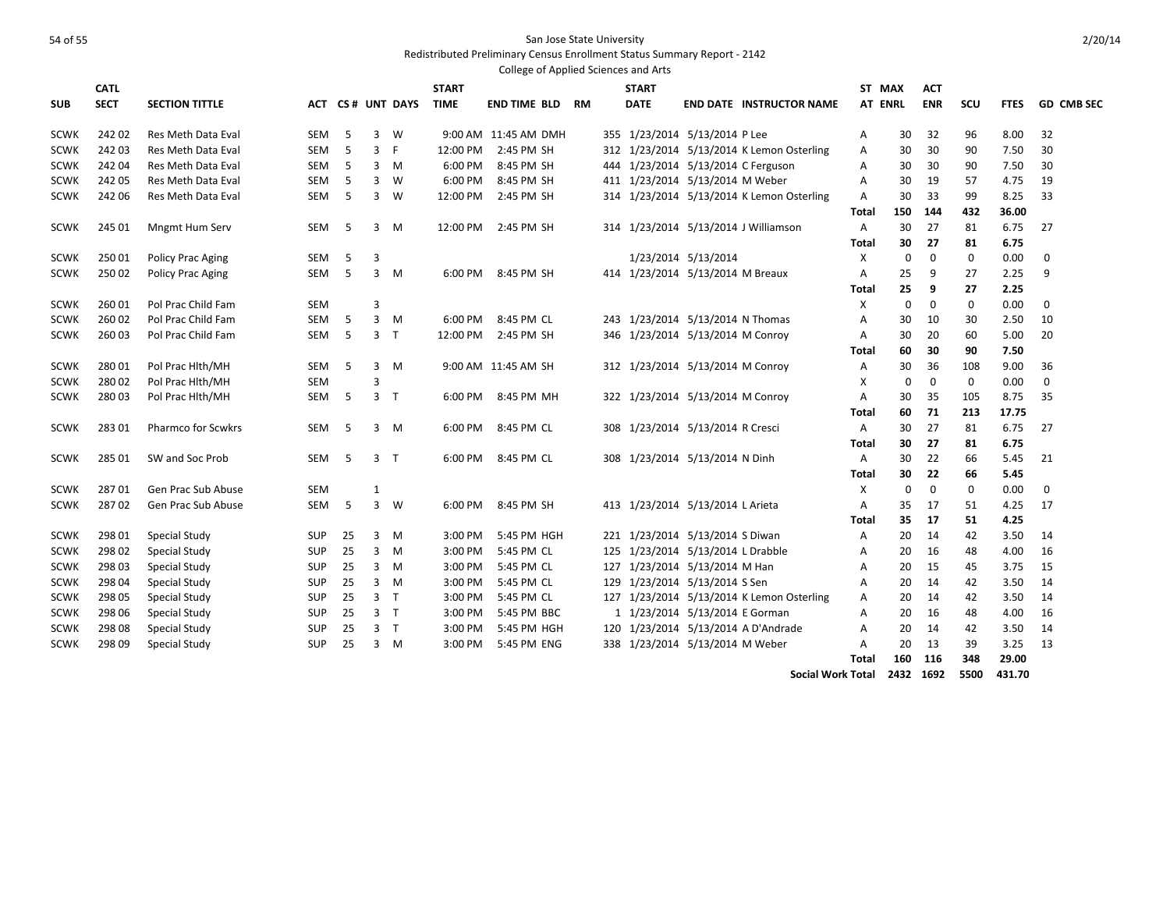Redistributed Preliminary Census Enrollment Status Summary Report - 2142

|             | College of Applied Sciences and Arts |                           |            |    |                |                     |              |                      |    |  |                                   |                     |                                           |                |                |             |             |             |                   |
|-------------|--------------------------------------|---------------------------|------------|----|----------------|---------------------|--------------|----------------------|----|--|-----------------------------------|---------------------|-------------------------------------------|----------------|----------------|-------------|-------------|-------------|-------------------|
|             | <b>CATL</b>                          |                           |            |    |                |                     | <b>START</b> |                      |    |  | <b>START</b>                      |                     |                                           |                | ST MAX         | <b>ACT</b>  |             |             |                   |
| <b>SUB</b>  | <b>SECT</b>                          | <b>SECTION TITTLE</b>     | АСТ        |    |                | <b>CS# UNT DAYS</b> | <b>TIME</b>  | END TIME BLD         | RM |  | <b>DATE</b>                       |                     | <b>END DATE INSTRUCTOR NAME</b>           |                | <b>AT ENRL</b> | <b>ENR</b>  | SCU         | <b>FTES</b> | <b>GD CMB SEC</b> |
| <b>SCWK</b> | 242 02                               | <b>Res Meth Data Eval</b> | <b>SEM</b> | 5  | 3              | W                   |              | 9:00 AM 11:45 AM DMH |    |  | 355 1/23/2014 5/13/2014 P Lee     |                     |                                           | Α              | 30             | 32          | 96          | 8.00        | 32                |
| <b>SCWK</b> | 242 03                               | Res Meth Data Eval        | SEM        | 5  | 3              | F.                  | 12:00 PM     | 2:45 PM SH           |    |  |                                   |                     | 312 1/23/2014 5/13/2014 K Lemon Osterling | A              | 30             | 30          | 90          | 7.50        | 30                |
| <b>SCWK</b> | 242 04                               | Res Meth Data Eval        | SEM        | 5  | 3              | M                   | 6:00 PM      | 8:45 PM SH           |    |  |                                   |                     | 444 1/23/2014 5/13/2014 C Ferguson        | Α              | 30             | 30          | 90          | 7.50        | 30                |
| <b>SCWK</b> | 242 05                               | Res Meth Data Eval        | <b>SEM</b> | 5  | 3              | W                   | 6:00 PM      | 8:45 PM SH           |    |  | 411 1/23/2014 5/13/2014 M Weber   |                     |                                           | A              | 30             | 19          | 57          | 4.75        | 19                |
| <b>SCWK</b> | 242 06                               | Res Meth Data Eval        | SEM        | 5  | 3              | W                   | 12:00 PM     | 2:45 PM SH           |    |  |                                   |                     | 314 1/23/2014 5/13/2014 K Lemon Osterling | A              | 30             | 33          | 99          | 8.25        | 33                |
|             |                                      |                           |            |    |                |                     |              |                      |    |  |                                   |                     |                                           | Total          | 150            | 144         | 432         | 36.00       |                   |
| <b>SCWK</b> | 245 01                               | Mngmt Hum Serv            | <b>SEM</b> | 5  | 3              | M                   | 12:00 PM     | 2:45 PM SH           |    |  |                                   |                     | 314 1/23/2014 5/13/2014 J Williamson      | $\overline{A}$ | 30             | 27          | 81          | 6.75        | 27                |
|             |                                      |                           |            |    |                |                     |              |                      |    |  |                                   |                     |                                           | <b>Total</b>   | 30             | 27          | 81          | 6.75        |                   |
| <b>SCWK</b> | 250 01                               | Policy Prac Aging         | <b>SEM</b> | 5  | $\overline{3}$ |                     |              |                      |    |  |                                   | 1/23/2014 5/13/2014 |                                           | X              | 0              | $\mathbf 0$ | 0           | 0.00        | $\mathbf 0$       |
| <b>SCWK</b> | 250 02                               | Policy Prac Aging         | SEM        | 5  | 3              | M                   | 6:00 PM      | 8:45 PM SH           |    |  | 414 1/23/2014 5/13/2014 M Breaux  |                     |                                           | Α              | 25             | 9           | 27          | 2.25        | 9                 |
|             |                                      |                           |            |    |                |                     |              |                      |    |  |                                   |                     |                                           | <b>Total</b>   | 25             | 9           | 27          | 2.25        |                   |
| <b>SCWK</b> | 26001                                | Pol Prac Child Fam        | <b>SEM</b> |    | 3              |                     |              |                      |    |  |                                   |                     |                                           | X              | $\mathbf 0$    | $\Omega$    | $\Omega$    | 0.00        | $\mathbf 0$       |
| <b>SCWK</b> | 26002                                | Pol Prac Child Fam        | SEM        | 5  | 3              | M                   | 6:00 PM      | 8:45 PM CL           |    |  | 243 1/23/2014 5/13/2014 N Thomas  |                     |                                           | Α              | 30             | 10          | 30          | 2.50        | 10                |
| <b>SCWK</b> | 260 03                               | Pol Prac Child Fam        | <b>SEM</b> | 5  | 3              | $\top$              | 12:00 PM     | 2:45 PM SH           |    |  | 346 1/23/2014 5/13/2014 M Conroy  |                     |                                           | $\mathsf{A}$   | 30             | 20          | 60          | 5.00        | 20                |
|             |                                      |                           |            |    |                |                     |              |                      |    |  |                                   |                     |                                           | Total          | 60             | 30          | 90          | 7.50        |                   |
| <b>SCWK</b> | 28001                                | Pol Prac Hlth/MH          | <b>SEM</b> | 5  | 3              | M                   |              | 9:00 AM 11:45 AM SH  |    |  | 312 1/23/2014 5/13/2014 M Conroy  |                     |                                           | Α              | 30             | 36          | 108         | 9.00        | 36                |
| <b>SCWK</b> | 280 02                               | Pol Prac Hlth/MH          | <b>SEM</b> |    | 3              |                     |              |                      |    |  |                                   |                     |                                           | X              | $\mathbf 0$    | 0           | 0           | 0.00        | $\mathbf 0$       |
| <b>SCWK</b> | 28003                                | Pol Prac Hith/MH          | SEM        | 5  | 3              | $\top$              | 6:00 PM      | 8:45 PM MH           |    |  | 322 1/23/2014 5/13/2014 M Conroy  |                     |                                           | $\overline{A}$ | 30             | 35          | 105         | 8.75        | 35                |
|             |                                      |                           |            |    |                |                     |              |                      |    |  |                                   |                     |                                           | Total          | 60             | 71          | 213         | 17.75       |                   |
| <b>SCWK</b> | 28301                                | <b>Pharmco for Scwkrs</b> | <b>SEM</b> | 5  | 3              | M                   | 6:00 PM      | 8:45 PM CL           |    |  | 308 1/23/2014 5/13/2014 R Cresci  |                     |                                           | A              | 30             | 27          | 81          | 6.75        | 27                |
|             |                                      |                           |            |    |                |                     |              |                      |    |  |                                   |                     |                                           | <b>Total</b>   | 30             | 27          | 81          | 6.75        |                   |
| <b>SCWK</b> | 285 01                               | SW and Soc Prob           | <b>SEM</b> | 5  | 3              | $\top$              | 6:00 PM      | 8:45 PM CL           |    |  | 308 1/23/2014 5/13/2014 N Dinh    |                     |                                           | A              | 30             | 22          | 66          | 5.45        | 21                |
|             |                                      |                           |            |    |                |                     |              |                      |    |  |                                   |                     |                                           | Total          | 30             | 22          | 66          | 5.45        |                   |
| <b>SCWK</b> | 28701                                | Gen Prac Sub Abuse        | <b>SEM</b> |    | 1              |                     |              |                      |    |  |                                   |                     |                                           | X              | $\mathbf 0$    | $\mathbf 0$ | $\mathbf 0$ | 0.00        | $\mathbf 0$       |
| <b>SCWK</b> | 28702                                | Gen Prac Sub Abuse        | SEM        | 5  | $\overline{3}$ | W                   | 6:00 PM      | 8:45 PM SH           |    |  | 413 1/23/2014 5/13/2014 L Arieta  |                     |                                           | $\mathsf{A}$   | 35             | 17          | 51          | 4.25        | 17                |
|             |                                      |                           |            |    |                |                     |              |                      |    |  |                                   |                     |                                           | Total          | 35             | 17          | 51          | 4.25        |                   |
| <b>SCWK</b> | 298 01                               | <b>Special Study</b>      | <b>SUP</b> | 25 | 3              | M                   | 3:00 PM      | 5:45 PM HGH          |    |  | 221 1/23/2014 5/13/2014 S Diwan   |                     |                                           | A              | 20             | 14          | 42          | 3.50        | 14                |
| <b>SCWK</b> | 298 02                               | <b>Special Study</b>      | <b>SUP</b> | 25 | 3              | M                   | 3:00 PM      | 5:45 PM CL           |    |  | 125 1/23/2014 5/13/2014 L Drabble |                     |                                           | A              | 20             | 16          | 48          | 4.00        | 16                |
| <b>SCWK</b> | 298 03                               | Special Study             | <b>SUP</b> | 25 | 3              | M                   | 3:00 PM      | 5:45 PM CL           |    |  | 127 1/23/2014 5/13/2014 M Han     |                     |                                           | A              | 20             | 15          | 45          | 3.75        | 15                |
| <b>SCWK</b> | 298 04                               | Special Study             | <b>SUP</b> | 25 | 3              | M                   | 3:00 PM      | 5:45 PM CL           |    |  | 129 1/23/2014 5/13/2014 S Sen     |                     |                                           | Α              | 20             | 14          | 42          | 3.50        | 14                |
| <b>SCWK</b> | 298 05                               | <b>Special Study</b>      | <b>SUP</b> | 25 | 3              | $\top$              | 3:00 PM      | 5:45 PM CL           |    |  |                                   |                     | 127 1/23/2014 5/13/2014 K Lemon Osterling | A              | 20             | 14          | 42          | 3.50        | 14                |
| <b>SCWK</b> | 298 06                               | <b>Special Study</b>      | <b>SUP</b> | 25 | 3              | $\mathsf{T}$        | 3:00 PM      | 5:45 PM BBC          |    |  | 1 1/23/2014 5/13/2014 E Gorman    |                     |                                           | A              | 20             | 16          | 48          | 4.00        | 16                |
| <b>SCWK</b> | 298 08                               | <b>Special Study</b>      | <b>SUP</b> | 25 | 3              | $\top$              | 3:00 PM      | 5:45 PM HGH          |    |  |                                   |                     | 120 1/23/2014 5/13/2014 A D'Andrade       | A              | 20             | 14          | 42          | 3.50        | 14                |
| <b>SCWK</b> | 298 09                               | <b>Special Study</b>      | <b>SUP</b> | 25 | 3              | M                   | 3:00 PM      | 5:45 PM ENG          |    |  | 338 1/23/2014 5/13/2014 M Weber   |                     |                                           | A              | 20             | 13          | 39          | 3.25        | 13                |
|             |                                      |                           |            |    |                |                     |              |                      |    |  |                                   |                     |                                           | Total          | 160            | 116         | 348         | 29.00       |                   |

**Social Work Total 2432 1692 5500 431.70**